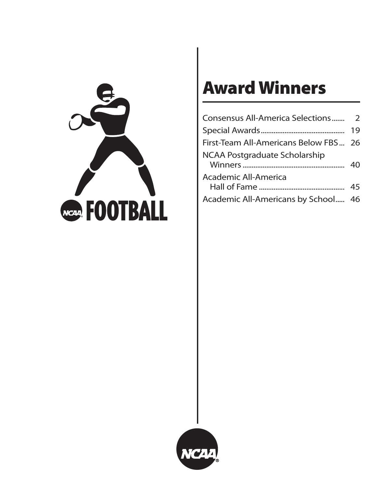

# **Award Winners**

|                                       | 19 |
|---------------------------------------|----|
| First-Team All-Americans Below FBS 26 |    |
| <b>NCAA Postgraduate Scholarship</b>  | 40 |
| Academic All-America                  |    |
| Academic All-Americans by School 46   |    |

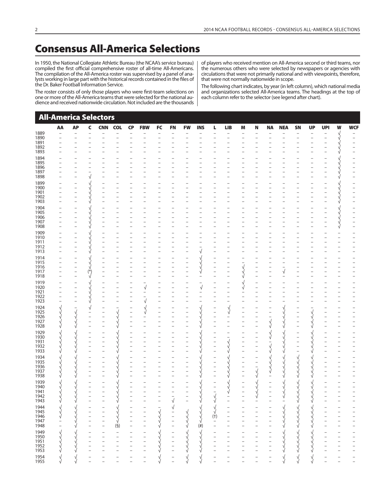# **Consensus All-America Selections**

In 1950, the National Collegiate Athletic Bureau (the NCAA's service bureau) compiled the first official comprehensive roster of all-time All-Americans. The compilation of the All-America roster was supervised by a panel of analysts working in large part with the historical records contained in the files of the Dr. Baker Football Information Service.

The roster consists of only those players who were first-team selections on one or more of the All-America teams that were selected for the national audience and received nationwide circulation. Not included are the thousands of players who received mention on All-America second or third teams, nor the numerous others who were selected by newspapers or agencies with circulations that were not primarily national and with viewpoints, therefore, that were not normally nationwide in scope.

The following chart indicates, by year (in left column), which national media and organizations selected All-America teams. The headings at the top of each column refer to the selector (see legend after chart).

| <b>All-America Selectors</b>         | AA                       | <b>AP</b>                | $\mathsf{C}$                                         | <b>CNN</b>                                 | <b>COL</b>               | <b>CP</b>                                  | <b>FBW</b>               | FC                   | <b>FN</b>                | <b>FW</b>                | <b>INS</b>           | L                                | <b>LIB</b>     | M                        | N                                             | <b>NA</b>                | <b>NEA</b> | SN                                    | <b>UP</b>      | <b>UPI</b>                                 | W      | <b>WCF</b>                                    |
|--------------------------------------|--------------------------|--------------------------|------------------------------------------------------|--------------------------------------------|--------------------------|--------------------------------------------|--------------------------|----------------------|--------------------------|--------------------------|----------------------|----------------------------------|----------------|--------------------------|-----------------------------------------------|--------------------------|------------|---------------------------------------|----------------|--------------------------------------------|--------|-----------------------------------------------|
| 1889<br>1890                         |                          | $\overline{\phantom{0}}$ |                                                      |                                            |                          |                                            |                          |                      |                          | $\overline{\phantom{0}}$ |                      |                                  |                |                          |                                               |                          |            | $\overline{\phantom{a}}$              |                | $\overline{\phantom{0}}$<br>$\overline{a}$ | V,     |                                               |
| 1891                                 |                          |                          |                                                      |                                            |                          |                                            |                          |                      |                          |                          |                      |                                  |                |                          |                                               |                          |            |                                       |                |                                            |        |                                               |
| 1892                                 |                          |                          |                                                      |                                            |                          |                                            |                          |                      |                          |                          |                      |                                  |                |                          |                                               |                          |            |                                       |                |                                            |        |                                               |
| 1893<br>1894                         |                          |                          |                                                      |                                            |                          |                                            |                          |                      |                          |                          |                      |                                  |                |                          |                                               |                          |            |                                       |                |                                            |        |                                               |
| 1895                                 |                          |                          |                                                      |                                            |                          |                                            |                          |                      |                          |                          |                      |                                  |                |                          |                                               |                          |            |                                       |                |                                            |        |                                               |
| 1896                                 |                          |                          |                                                      |                                            |                          |                                            |                          |                      |                          |                          |                      |                                  |                |                          |                                               |                          |            |                                       |                |                                            |        |                                               |
| 1897<br>1898                         |                          |                          | $\mathbf{r}$                                         |                                            |                          |                                            |                          |                      |                          |                          |                      |                                  |                |                          |                                               |                          |            |                                       |                |                                            |        |                                               |
| 1899                                 |                          |                          |                                                      |                                            |                          |                                            |                          |                      |                          |                          |                      |                                  |                |                          |                                               |                          |            |                                       |                |                                            |        |                                               |
| 1900                                 | $\overline{\phantom{0}}$ |                          |                                                      | $\qquad \qquad -$                          | $\overline{\phantom{0}}$ |                                            |                          |                      |                          |                          |                      |                                  |                | $\overline{\phantom{0}}$ |                                               |                          |            |                                       |                |                                            | ν      |                                               |
| 1901<br>1902                         |                          |                          |                                                      |                                            |                          |                                            |                          |                      |                          |                          |                      |                                  |                |                          |                                               |                          |            |                                       |                |                                            | ν      |                                               |
| 1903                                 |                          |                          |                                                      |                                            |                          |                                            |                          |                      |                          |                          |                      |                                  |                |                          |                                               |                          |            |                                       |                |                                            | V      |                                               |
| 1904                                 |                          |                          |                                                      |                                            |                          |                                            |                          |                      |                          |                          |                      |                                  |                |                          |                                               |                          |            |                                       |                |                                            |        |                                               |
| 1905<br>1906                         | $\overline{\phantom{0}}$ |                          |                                                      |                                            |                          |                                            |                          |                      |                          |                          |                      |                                  |                |                          |                                               |                          |            |                                       |                |                                            |        |                                               |
| 1907                                 |                          |                          |                                                      |                                            |                          |                                            |                          |                      |                          |                          |                      |                                  |                |                          |                                               |                          |            |                                       |                |                                            |        |                                               |
| 1908                                 |                          |                          |                                                      |                                            |                          |                                            |                          |                      |                          |                          |                      |                                  |                |                          |                                               |                          |            |                                       |                |                                            | y<br>V |                                               |
| 1909                                 |                          |                          |                                                      |                                            |                          |                                            |                          |                      |                          |                          |                      |                                  |                |                          |                                               |                          |            |                                       |                |                                            |        |                                               |
| 1910<br>1911                         |                          |                          |                                                      |                                            |                          |                                            |                          |                      |                          |                          |                      |                                  |                |                          |                                               |                          |            |                                       |                |                                            |        |                                               |
| 1912                                 |                          |                          |                                                      | $\overline{\phantom{0}}$                   |                          |                                            |                          |                      |                          |                          |                      |                                  |                |                          |                                               |                          |            |                                       |                |                                            |        |                                               |
| 1913                                 |                          |                          |                                                      |                                            |                          |                                            |                          |                      |                          |                          |                      |                                  |                |                          |                                               |                          |            |                                       |                |                                            |        |                                               |
| 1914<br>1915                         |                          |                          |                                                      | -                                          |                          |                                            |                          |                      |                          | $\overline{\phantom{0}}$ |                      | -                                |                |                          |                                               |                          |            |                                       |                |                                            |        |                                               |
| 1916                                 |                          |                          |                                                      |                                            |                          |                                            |                          |                      |                          | $\overline{a}$           | ν                    |                                  |                | $\sqrt{\frac{1}{2}}$     |                                               |                          |            |                                       |                |                                            |        |                                               |
| 1917                                 |                          |                          | $(\ast)$                                             |                                            |                          |                                            |                          |                      |                          | $\overline{a}$           | $\sqrt{}$            | $\overline{a}$                   |                |                          |                                               |                          | √          |                                       |                |                                            |        |                                               |
| 1918                                 |                          |                          | $\mathcal{L}$                                        |                                            |                          |                                            |                          |                      |                          |                          |                      |                                  |                | ν                        |                                               |                          |            |                                       |                |                                            |        |                                               |
| 1919<br>1920                         |                          |                          |                                                      | $\qquad \qquad -$                          | $\overline{\phantom{0}}$ |                                            | $\sqrt{}$                |                      |                          | $\overline{\phantom{0}}$ | $\sqrt{}$            | $\qquad \qquad -$                |                | y<br>V                   |                                               |                          |            |                                       |                |                                            |        |                                               |
| 1921                                 |                          |                          |                                                      |                                            |                          |                                            |                          |                      |                          |                          |                      |                                  |                |                          |                                               |                          |            |                                       |                |                                            |        |                                               |
| 1922<br>1923                         |                          |                          |                                                      | $\overline{\phantom{0}}$<br>$\overline{a}$ | $\overline{\phantom{0}}$ |                                            |                          |                      |                          |                          |                      |                                  |                |                          |                                               |                          |            |                                       |                |                                            |        |                                               |
| 1924                                 | V,                       |                          | V                                                    |                                            |                          |                                            |                          |                      |                          |                          |                      |                                  | ν              |                          |                                               |                          |            |                                       |                |                                            |        |                                               |
| 1925                                 |                          |                          |                                                      |                                            |                          |                                            | V                        |                      |                          |                          |                      | $\overline{a}$                   | $\sqrt{ }$     |                          |                                               |                          |            |                                       | V.             |                                            |        |                                               |
| 1926<br>1927                         |                          |                          | $\overline{a}$<br>$\overline{a}$                     | $\overline{a}$                             | ν                        | $\overline{\phantom{0}}$<br>$\overline{a}$ |                          |                      |                          | $\overline{a}$           |                      | $\overline{a}$<br>$\overline{a}$ |                |                          |                                               | $\sqrt{}$                |            | $\bar{\phantom{a}}$<br>$\overline{a}$ | ν              | L,                                         |        |                                               |
| 1928                                 |                          |                          | $\overline{\phantom{0}}$                             |                                            |                          |                                            |                          |                      |                          | $\overline{\phantom{0}}$ |                      | $\overline{a}$                   |                |                          | $\qquad \qquad -$                             | $\sqrt{}$                | √<br>√     |                                       | ν<br>ν         |                                            |        |                                               |
| 1929                                 |                          |                          |                                                      |                                            |                          |                                            |                          |                      |                          |                          |                      |                                  |                |                          | $\overline{\phantom{0}}$                      |                          |            |                                       |                |                                            |        |                                               |
| 1930                                 |                          |                          | $\qquad \qquad -$                                    |                                            |                          |                                            |                          |                      |                          |                          |                      |                                  |                |                          | $\qquad \qquad -$                             | y<br>V                   |            |                                       |                |                                            |        |                                               |
| 1931<br>1932                         |                          |                          | $\overline{\phantom{0}}$<br>$\overline{\phantom{m}}$ |                                            |                          |                                            |                          |                      |                          | $\overline{a}$           |                      | $\overline{a}$<br>$\overline{a}$ | $\sqrt{}$<br>ν | $\overline{\phantom{0}}$ | $\qquad \qquad -$<br>$\overline{\phantom{0}}$ |                          |            | $\bar{\phantom{a}}$                   |                |                                            |        |                                               |
| 1933                                 |                          |                          |                                                      |                                            |                          |                                            |                          |                      |                          |                          |                      |                                  |                |                          |                                               | $\sqrt{}$                |            |                                       |                |                                            |        |                                               |
| 1934                                 |                          |                          | $\overline{\phantom{0}}$                             |                                            |                          |                                            |                          |                      |                          |                          |                      | $\overline{\phantom{0}}$         |                |                          | $\overline{\phantom{a}}$                      |                          |            | V,                                    |                |                                            |        |                                               |
| 1935                                 |                          |                          |                                                      |                                            |                          |                                            |                          |                      |                          |                          |                      | $\overline{a}$                   |                |                          |                                               |                          |            |                                       |                |                                            |        |                                               |
| 1936<br>1937                         |                          |                          |                                                      |                                            |                          |                                            |                          |                      |                          |                          |                      | $\overline{a}$                   |                | $     -$                 | $\frac{1}{\sqrt{2}}$                          |                          |            |                                       |                |                                            |        |                                               |
| 1938                                 |                          |                          |                                                      |                                            |                          |                                            |                          |                      |                          |                          |                      | $\overline{a}$                   |                |                          |                                               |                          |            |                                       |                |                                            |        |                                               |
| 1939                                 |                          |                          |                                                      |                                            |                          |                                            |                          |                      |                          |                          |                      |                                  |                |                          |                                               |                          |            |                                       |                |                                            |        |                                               |
| 1940                                 |                          |                          |                                                      |                                            |                          |                                            |                          |                      |                          |                          |                      |                                  |                |                          |                                               |                          |            |                                       |                |                                            |        |                                               |
| 1941<br>1942<br>1943                 | V<br>V.                  |                          |                                                      |                                            |                          |                                            |                          |                      |                          |                          | ν                    | $\sqrt{}$                        |                |                          | V<br>V                                        |                          | ν<br>√     | √                                     | V              |                                            |        | $\qquad \qquad -$                             |
|                                      | √                        | V                        |                                                      |                                            | ν                        |                                            |                          |                      | $\sqrt{\phantom{a}}$     | $\overline{\phantom{a}}$ | ν                    | $\sqrt{}$                        |                |                          |                                               |                          |            | ν                                     | V              |                                            |        | $\overline{\phantom{0}}$                      |
|                                      | $\sqrt{}$                | ν                        |                                                      |                                            | ν                        |                                            |                          |                      | $\sqrt{2}$               |                          | $\sqrt{\frac{1}{2}}$ | √<br>√                           |                |                          |                                               |                          | ν          | $\sqrt{}$                             | V.             |                                            |        |                                               |
|                                      | $\sqrt{}$<br>V           |                          |                                                      |                                            |                          |                                            |                          | $\sqrt{}$<br>V       | $\bar{a}$                |                          | V,                   | $(+)$                            |                |                          |                                               |                          | V.         | $\sqrt{}$                             | $\sqrt{}$<br>ν |                                            |        |                                               |
| 1944<br>1945<br>1946<br>1947<br>1948 |                          |                          |                                                      |                                            |                          |                                            |                          | $\sqrt{ }$           | $\overline{a}$           | ノノノ                      | $\sqrt{ }$           | $\qquad \qquad -$                |                |                          |                                               |                          |            | ν                                     | ν              |                                            |        |                                               |
|                                      | $\overline{\phantom{0}}$ | $\sqrt{}$                | $\overline{\phantom{0}}$                             | $\overline{\phantom{0}}$                   | (§)                      |                                            | $\overline{\phantom{0}}$ | $\sqrt{}$            | $\overline{a}$           |                          | $(\dot{t})$          |                                  |                |                          |                                               | $\overline{\phantom{0}}$ | ν          | $\sqrt{}$                             | ν              |                                            |        | $\qquad \qquad -$                             |
| 1949<br>1950<br>1951<br>1952<br>1953 | $\sqrt{}$                | $\sqrt{}$                | $\overline{\phantom{0}}$                             |                                            |                          |                                            |                          | $\sqrt{\frac{1}{2}}$ | $\qquad \qquad -$        | $\frac{1}{2}$            |                      |                                  |                |                          |                                               |                          | V.         |                                       | V.             |                                            |        |                                               |
|                                      | $\sqrt{}$<br>V           |                          | $\qquad \qquad -$                                    |                                            |                          |                                            |                          | V                    | $\overline{\phantom{a}}$ |                          | V<br>V<br>V          |                                  |                |                          |                                               |                          | ν          | ノ<br>ソ<br>ソ                           | V.<br>ν        |                                            |        | $\qquad \qquad -$<br>$\overline{\phantom{0}}$ |
|                                      | ν                        |                          |                                                      |                                            |                          |                                            |                          | ν                    | $\overline{a}$           |                          |                      |                                  |                |                          |                                               |                          |            |                                       |                |                                            |        | $\qquad \qquad -$                             |
|                                      | V                        |                          |                                                      |                                            |                          |                                            |                          |                      |                          |                          |                      |                                  |                |                          |                                               |                          |            |                                       |                |                                            |        | $\qquad \qquad -$                             |
| 1954<br>1955                         |                          |                          |                                                      |                                            |                          |                                            |                          |                      |                          |                          |                      |                                  |                |                          |                                               |                          |            |                                       | ν              |                                            |        | $\qquad \qquad -$                             |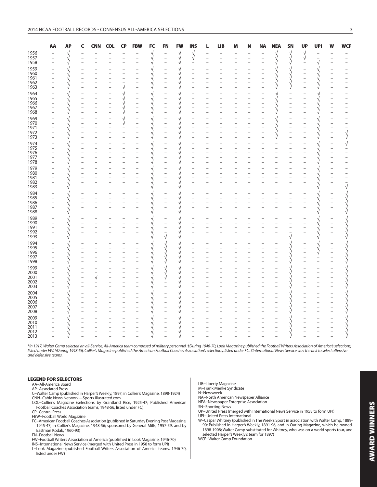|              | AA | <b>AP</b>  | C              | <b>CNN</b> | <b>COL</b> | <b>CP</b> | <b>FBW</b>               | ${\sf FC}$           | <b>FN</b>                | <b>FW</b>          | <b>INS</b>                       | L | <b>LIB</b> | M | N | <b>NA</b> | <b>NEA</b>               | <b>SN</b>            | <b>UP</b>            | <b>UPI</b> | w                        | <b>WCF</b>   |
|--------------|----|------------|----------------|------------|------------|-----------|--------------------------|----------------------|--------------------------|--------------------|----------------------------------|---|------------|---|---|-----------|--------------------------|----------------------|----------------------|------------|--------------------------|--------------|
| 1956<br>1957 |    | y<br>V     |                |            |            |           |                          | $\sqrt{\frac{1}{2}}$ | $\overline{\phantom{0}}$ |                    |                                  |   |            |   |   |           |                          |                      | $\sqrt{\frac{1}{2}}$ |            |                          |              |
|              |    |            |                |            |            |           |                          |                      |                          | $\sqrt{\sqrt{25}}$ | $\sqrt[4]{}$                     |   |            |   |   |           | $\sqrt{\frac{1}{2}}$     | $\sqrt{\frac{1}{2}}$ |                      |            |                          |              |
| 1958         |    |            |                |            |            |           |                          |                      |                          |                    |                                  |   |            |   |   |           |                          |                      |                      |            |                          |              |
| 1959         |    |            |                |            |            |           |                          |                      |                          |                    |                                  |   |            |   |   |           |                          |                      |                      |            |                          |              |
| 1960<br>1961 |    |            |                |            |            |           |                          |                      |                          |                    |                                  |   |            |   |   |           |                          | y<br>V               |                      |            |                          |              |
| 1962         |    |            |                |            |            |           | $\overline{a}$           |                      |                          |                    | $\overline{a}$                   |   |            |   |   |           |                          |                      |                      |            | $\equiv$                 |              |
| 1963         |    | $\sqrt{ }$ |                |            |            |           |                          |                      |                          |                    |                                  |   |            |   |   |           |                          | $\sqrt{}$            |                      |            |                          |              |
| 1964         |    |            |                |            |            |           |                          |                      |                          |                    |                                  |   |            |   |   |           |                          |                      |                      |            |                          |              |
| 1965         |    |            |                |            |            |           | $\overline{\phantom{a}}$ |                      | $\overline{\phantom{0}}$ |                    |                                  |   |            |   |   |           |                          |                      |                      |            |                          |              |
| 1966         |    |            |                |            |            |           |                          |                      | $\overline{a}$           |                    | $\overline{a}$                   |   |            |   |   |           |                          |                      |                      |            |                          |              |
| 1967         |    |            |                |            |            |           | $\overline{a}$           |                      |                          |                    |                                  |   |            |   |   |           |                          |                      |                      |            |                          |              |
| 1968         |    |            |                |            |            |           | $\overline{a}$           |                      |                          |                    |                                  |   |            |   |   |           |                          |                      |                      |            |                          |              |
| 1969         |    |            |                |            |            |           | $\overline{\phantom{0}}$ |                      |                          |                    |                                  |   |            |   |   |           |                          |                      |                      |            |                          |              |
| 1970<br>1971 |    |            |                |            |            | V         | $\equiv$                 |                      | $\overline{a}$           |                    |                                  |   |            |   |   |           |                          |                      |                      |            | $\frac{1}{1}$            |              |
| 1972         |    |            |                |            |            |           |                          |                      |                          |                    | $\overline{a}$                   |   |            |   |   |           |                          |                      |                      |            | $\overline{\phantom{0}}$ |              |
| 1973         |    | $\sqrt{}$  |                |            |            |           | $\equiv$                 |                      |                          |                    |                                  |   |            |   |   |           | N                        |                      |                      |            |                          | $\sqrt[4]{}$ |
| 1974         |    | $\sqrt{}$  |                |            |            |           |                          |                      |                          |                    |                                  |   |            |   |   |           |                          |                      |                      |            |                          |              |
| 1975         |    | $\sqrt{}$  |                |            |            |           | $\overline{\phantom{0}}$ |                      | $\overline{a}$           |                    | $\overline{a}$                   |   |            |   |   |           | $\overline{\phantom{a}}$ |                      |                      |            | $\overline{\phantom{0}}$ |              |
| 1976         |    |            |                |            |            |           |                          |                      |                          |                    | $\overline{a}$                   |   |            |   |   |           |                          |                      |                      |            |                          |              |
| 1977         |    |            |                |            |            |           |                          |                      |                          |                    |                                  |   |            |   |   |           |                          |                      |                      |            |                          |              |
| 1978         |    | $\sqrt{}$  | $\overline{a}$ |            |            |           | $\overline{a}$           |                      | $\overline{a}$           |                    | $\overline{a}$                   |   |            |   |   |           |                          |                      |                      |            | $\equiv$                 |              |
| 1979         |    | $\sqrt{}$  |                |            |            |           |                          |                      |                          |                    |                                  |   |            |   |   |           |                          |                      |                      |            |                          |              |
| 1980         |    | V.         |                |            |            |           |                          |                      | $\bar{ }$                | V                  |                                  |   |            |   |   |           |                          |                      |                      |            |                          |              |
| 1981<br>1982 |    |            |                |            |            |           |                          |                      |                          |                    | $\overline{a}$                   |   |            |   |   |           |                          |                      |                      |            | $\frac{1}{2}$            |              |
| 1983         |    |            |                |            |            |           |                          |                      |                          |                    |                                  |   |            |   |   |           |                          |                      |                      |            | $\overline{a}$           | $\sqrt{}$    |
| 1984         |    |            |                |            |            |           |                          |                      |                          |                    |                                  |   |            |   |   |           |                          |                      |                      |            |                          |              |
| 1985         |    |            |                |            |            |           |                          |                      | $\overline{a}$           |                    |                                  |   |            |   |   |           |                          |                      |                      |            | $\frac{1}{2}$            |              |
| 1986         |    |            |                |            |            |           |                          |                      |                          |                    |                                  |   |            |   |   |           |                          |                      |                      |            |                          |              |
| 1987         |    |            |                |            |            |           |                          |                      |                          |                    | $\overline{\phantom{0}}$         |   |            |   |   |           |                          |                      |                      |            | $\overline{\phantom{0}}$ |              |
| 1988         |    | V          |                |            |            |           |                          |                      |                          |                    |                                  |   |            |   |   |           |                          |                      |                      |            |                          |              |
| 1989         |    |            |                |            |            |           |                          |                      |                          |                    |                                  |   |            |   |   |           |                          |                      |                      |            |                          |              |
| 1990         |    |            |                |            |            |           |                          |                      |                          |                    |                                  |   |            |   |   |           |                          |                      |                      |            | $\frac{1}{1}$            |              |
| 1991<br>1992 |    |            |                |            |            |           |                          |                      |                          |                    | $\overline{a}$                   |   |            |   |   |           |                          |                      |                      |            |                          |              |
| 1993         |    | $\sqrt{}$  |                |            |            |           |                          |                      | $\bar{\sqrt}$            |                    |                                  |   |            |   |   |           |                          |                      |                      | V          | $\overline{\phantom{0}}$ |              |
| 1994         |    |            |                |            |            |           |                          |                      |                          |                    |                                  |   |            |   |   |           |                          |                      |                      | V          |                          |              |
| 1995         |    |            |                |            |            |           |                          |                      | V<br>V<br>V.             |                    |                                  |   |            |   |   |           |                          |                      |                      | √          |                          |              |
| 1996         |    |            |                |            |            |           |                          |                      |                          |                    |                                  |   |            |   |   |           |                          |                      |                      | √          | $\overline{\phantom{a}}$ |              |
| 1997         |    |            |                |            |            |           |                          |                      | $\sqrt{\frac{1}{2}}$     |                    | $\overline{a}$                   |   |            |   |   |           |                          |                      |                      |            |                          |              |
| 1998         |    | $\sqrt{ }$ |                |            |            |           |                          |                      |                          |                    | $\overline{a}$                   |   |            |   |   |           |                          |                      |                      |            |                          |              |
| 1999<br>2000 |    |            |                |            |            |           |                          |                      | y<br>V                   |                    |                                  |   |            |   |   |           |                          |                      |                      |            |                          |              |
|              |    | $\sqrt{}$  | $\overline{a}$ |            |            |           |                          |                      |                          | V                  | $\overline{a}$                   |   |            |   |   |           |                          |                      |                      |            |                          |              |
| 2001         |    |            | $\overline{a}$ | $\sqrt{ }$ |            |           |                          |                      |                          |                    | $\overline{a}$<br>$\overline{a}$ |   |            |   |   |           |                          |                      |                      |            |                          |              |
| 2002<br>2003 |    |            |                |            |            |           |                          |                      |                          |                    |                                  |   |            |   |   |           |                          |                      |                      |            |                          |              |
|              |    |            |                |            |            |           |                          |                      |                          |                    |                                  |   |            |   |   |           |                          |                      |                      |            |                          |              |
| 2004<br>2005 |    |            |                |            |            |           |                          |                      |                          |                    |                                  |   |            |   |   |           |                          |                      |                      |            |                          |              |
| 2006         |    |            |                |            |            |           |                          |                      |                          |                    |                                  |   |            |   |   |           |                          |                      |                      |            |                          |              |
| 2007<br>2008 |    |            |                |            |            |           |                          |                      |                          |                    |                                  |   |            |   |   |           |                          |                      |                      |            |                          |              |
|              |    |            |                |            |            |           |                          |                      |                          |                    |                                  |   |            |   |   |           |                          |                      |                      |            |                          |              |
| 2009         |    |            |                |            |            |           |                          |                      |                          |                    |                                  |   |            |   |   |           |                          |                      |                      |            |                          |              |
| 2010         |    |            |                |            |            |           |                          |                      |                          |                    |                                  |   |            |   |   |           |                          |                      |                      |            |                          |              |
| 2011         |    |            |                |            |            |           |                          |                      |                          |                    |                                  |   |            |   |   |           |                          |                      |                      |            |                          |              |
| 2012<br>2013 |    |            |                |            |            |           |                          |                      |                          |                    |                                  |   |            |   |   |           |                          |                      |                      |            |                          |              |
|              |    |            |                |            |            |           |                          |                      |                          |                    |                                  |   |            |   |   |           |                          |                      |                      |            |                          |              |

\*In 1917, Walter Camp selected an all-Service, All-America team composed of military personnel. †During 1946-70, Look Magazine published the Football Writers Association of America's selections, listed under FW. §During 1948-56, Collier's Magazine published the American Football Coaches Association's selections, listed under FC. #International News Service was the first to select offensive and defensive teams.

#### **LEGEND FOR SELECTORS**

AA–All-America Board

- AP–Associated Press
- C–Walter Camp (published in Harper's Weekly, 1897; in Collier's Magazine, 1898-1924) CNN–Cable News Network—Sports Illustrated.com
- COL–Collier's Magazine (selections by Grantland Rice, 1925-47; Published American Football Coaches Association teams, 1948-56, listed under FC)
- CP–Central Press

FBW–Football World Magazine

- FC–American Football Coaches Association (published in Saturday Evening Post Magazine, 1945-47; in Collier's Magazine, 1948-56; sponsored by General Mills, 1957-59, and by Eastman Kodak, 1960-93)
- FN–Football News
- FW–Football Writers Association of America (published in Look Magazine, 1946-70)
- 
- INS–International News Service (merged with United Press in 1958 to form UPI) L–Look Magazine (published Football Writers Association of America teams, 1946-70, listed under FW)

LIB–Liberty Magazine

- M–Frank Menke Syndicate
- N–Newsweek NA–North American Newspaper Alliance
- NEA–Newspaper Enterprise Association
- SN–Sporting News
- 
- UP–United Press (merged with International News Service in 1958 to form UPI) UPI–United Press International W–Caspar Whitney (published in The Week's Sport in association with Walter Camp, 1889-
- 90; Published in Harper's Weekly, 1891-96, and in Outing Magazine, which he owned, 1898-1908; Walter Camp substituted for Whitney, who was on a world sports tour, and selected Harper's Weekly's team for 1897)

WCF–Walter Camp Foundation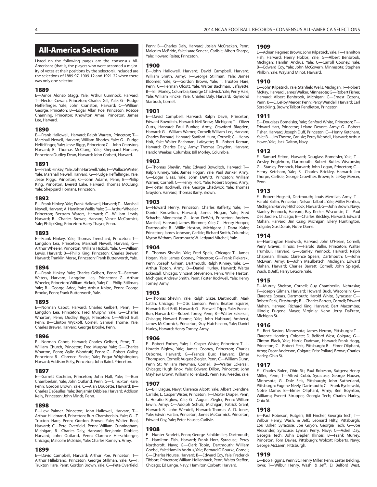## **All-America Selections**

Listed on the following pages are the consensus All-Americans (that is, the players who were accorded a majority of votes at their positions by the selectors). Included are the selections of 1889-97, 1909-12 and 1921-22 when there was only one selector.

#### **1889**

E—Amos Alonzo Stagg, Yale; Arthur Cumnock, Harvard; T—Hector Cowan, Princeton; Charles Gill, Yale; G—Pudge Heffelfinger, Yale; John Cranston, Harvard; C—William George, Princeton; B—Edgar Allan Poe, Princeton; Roscoe Channing, Princeton; Knowlton Ames, Princeton; James Lee, Harvard.

#### **1890**

E—Frank Hallowell, Harvard; Ralph Warren, Princeton; T— Marshall Newell, Harvard; William Rhodes, Yale; G—Pudge Heffelfinger, Yale; Jesse Riggs, Princeton; C—John Cranston, Harvard; B—Thomas McClung, Yale; Sheppard Homans, Princeton; Dudley Dean, Harvard; John Corbett, Harvard.

#### **1891**

E—Frank Hinkey, Yale; John Hartwell, Yale; T—Wallace Winter, Yale; Marshall Newell, Harvard; G—Pudge Heffelfinger, Yale; Jesse Riggs, Princeton; C—John Adams, Penn; B—Philip King, Princeton; Everett Lake, Harvard; Thomas McClung, Yale; Sheppard Homans, Princeton.

#### **1892**

E—Frank Hinkey, Yale; Frank Hallowell, Harvard; T—Marshall Newell, Harvard; A. Hamilton Wallis, Yale; G—Arthur Wheeler, Princeton; Bertram Waters, Harvard; C—William Lewis, Harvard; B—Charles Brewer, Harvard; Vance McCormick, Yale; Philip King, Princeton; Harry Thayer, Penn.

#### **1893**

E—Frank Hinkey, Yale; Thomas Trenchard, Princeton; T— Langdon Lea, Princeton; Marshall Newell, Harvard; G-Arthur Wheeler, Princeton; William Hickok, Yale; C—William Lewis, Harvard; B—Philip King, Princeton; Charles Brewer, Harvard; Franklin Morse, Princeton; Frank Butterworth, Yale.

#### **1894**

E—Frank Hinkey, Yale; Charles Gelbert, Penn; T—Bertram Waters, Harvard; Langdon Lea, Princeton; G—Arthur Wheeler, Princeton; William Hickok, Yale; C—Philip Stillman, Yale; B—George Adee, Yale; Arthur Knipe, Penn; George Brooke, Penn; Frank Butterworth, Yale.

#### **1895**

E—Norman Cabot, Harvard; Charles Gelbert, Penn; T— Langdon Lea, Princeton; Fred Murphy, Yale; G—Charles Wharton, Penn; Dudley Riggs, Princeton; C—Alfred Bull, Penn; B—Clinton Wyckoff, Cornell; Samuel Thorne, Yale; Charles Brewer, Harvard; George Brooke, Penn.

#### **1896**

E—Norman Cabot, Harvard; Charles Gelbert, Penn; T— William Church, Princeton; Fred Murphy, Yale; G—Charles Wharton, Penn; Wylie Woodruff, Penn; C—Robert Gailey, Princeton; B-Clarence Fincke, Yale; Edgar Wrightington, Harvard; Addison Kelly, Princeton; John Baird, Princeton.

#### **1897**

E—Garrett Cochran, Princeton; John Hall, Yale; T—Burr Chamberlain, Yale; John Outland, Penn; G—T. Truxton Hare, Penn; Gordon Brown, Yale; C—Alan Doucette, Harvard; B— Charles DeSaulles, Yale; Benjamin Dibblee, Harvard; Addison Kelly, Princeton; John Minds, Penn.

#### **1898**

E—Lew Palmer, Princeton; John Hallowell, Harvard; T— Arthur Hillebrand, Princeton; Burr Chamberlain, Yale; G—T. Truxton Hare, Penn; Gordon Brown, Yale; Walter Boal, Harvard; C—Pete Overfield, Penn; William Cunningham, Michigan; B—Charles Daly, Harvard; Benjamin Dibblee, Harvard; John Outland, Penn; Clarence Herschberger, Chicago; Malcolm McBride, Yale; Charles Romeyn, Army.

#### **1899**

E—David Campbell, Harvard; Arthur Poe, Princeton; T— Arthur Hillebrand, Princeton; George Stillman, Yale; G—T. Truxton Hare, Penn; Gordon Brown, Yale; C—Pete Overfield, Penn; B—Charles Daly, Harvard; Josiah McCracken, Penn; Malcolm McBride, Yale; Isaac Seneca, Carlisle; Albert Sharpe, Yale; Howard Reiter, Princeton.

#### **1900**

E—John Hallowell, Harvard; David Campbell, Harvard; William Smith, Army; T—George Stillman, Yale; James Bloomer, Yale; G—Gordon Brown, Yale; T. Truxton Hare, Penn; C—Herman Olcott, Yale; Walter Bachman, Lafayette; B—Bill Morley, Columbia; George Chadwick, Yale; Perry Hale, Yale; William Fincke, Yale; Charles Daly, Harvard; Raymond Starbuck, Cornell.

#### **1901**

E—David Campbell, Harvard; Ralph Davis, Princeton; Edward Bowditch, Harvard; Neil Snow, Michigan; T—Oliver Cutts, Harvard; Paul Bunker, Army; Crawford Blagden, Harvard; G—William Warner, Cornell; William Lee, Harvard; Charles Barnard, Harvard; Sanford Hunt, Cornell; C—Henry Holt, Yale; Walter Bachman, Lafayette; B—Robert Kernan, Harvard; Charles Daly, Army; Thomas Graydon, Harvard; Harold Weekes, Columbia; Bill Morley, Columbia.

#### **1902**

E—Thomas Shevlin, Yale; Edward Bowditch, Harvard; T— Ralph Kinney, Yale; James Hogan, Yale; Paul Bunker, Army; G—Edgar Glass, Yale; John DeWitt, Princeton; William Warner, Cornell; C—Henry Holt, Yale; Robert Boyers, Army; B—Foster Rockwell, Yale; George Chadwick, Yale; Thomas Graydon, Harvard; Thomas Barry, Brown.

#### **1903**

E—Howard Henry, Princeton; Charles Rafferty, Yale; T— Daniel Knowlton, Harvard; James Hogan, Yale; Fred Schacht, Minnesota; G—John DeWitt, Princeton; Andrew Marshall, Harvard; James Bloomer, Yale; C—Henry Hooper, Dartmouth; B—Willie Heston, Michigan; J. Dana Kafer, Princeton; James Johnson, Carlisle; Richard Smith, Columbia; Myron Witham, Dartmouth; W. Ledyard Mitchell, Yale.

#### **1904**

E—Thomas Shevlin, Yale; Fred Speik, Chicago; T—James Hogan, Yale; James Cooney, Princeton; G—Frank Piekarski, Penn; Joseph Gilman, Dartmouth; Ralph Kinney, Yale; C— Arthur Tipton, Army; B—Daniel Hurley, Harvard; Walter Eckersall, Chicago; Vincent Stevenson, Penn; Willie Heston, Michigan; Andrew Smith, Penn; Foster Rockwell, Yale; Henry Torney, Army.

#### **1905**

E—Thomas Shevlin, Yale; Ralph Glaze, Dartmouth; Mark Catlin, Chicago; T—Otis Lamson, Penn; Beaton Squires, Harvard; Karl Brill, Harvard; G—Roswell Tripp, Yale; Francis Burr, Harvard; C—Robert Torrey, Penn; B—Walter Eckersall, Chicago; Howard Roome, Yale; John Hubbard, Amherst; James McCormick, Princeton; Guy Hutchinson, Yale; Daniel Hurley, Harvard; Henry Torney, Army.

#### **1906**

E—Robert Forbes, Yale; L. Casper Wister, Princeton; T—L. Horatio Biglow, Yale; James Cooney, Princeton; Charles Osborne, Harvard; G—Francis Burr, Harvard; Elmer Thompson, Cornell; August Ziegler, Penn; C—William Dunn, Penn St.; William Newman, Cornell; B—Walter Eckersall, Chicago; Hugh Knox, Yale; Edward Dillon, Princeton; John Mayhew, Brown; William Hollenback, Penn; Paul Veeder, Yale.

#### **1907**

E—Bill Dague, Navy; Clarence Alcott, Yale; Albert Exendine, Carlisle; L. Casper Wister, Princeton; T—Dexter Draper, Penn; L. Horatio Biglow, Yale; G—August Ziegler, Penn; William Erwin, Army; C—Adolph Schulz, Michigan; Patrick Grant, Harvard; B—John Wendell, Harvard; Thomas A. D. Jones, Yale; Edwin Harlan, Princeton; James McCormick, Princeton; Edward Coy, Yale; Peter Hauser, Carlisle.

#### **1908**

E—Hunter Scarlett, Penn; George Schildmiller, Dartmouth; T—Hamilton Fish, Harvard; Frank Horr, Syracuse; Percy Northcroft, Navy; G—Clark Tobin, Dartmouth; William Goebel, Yale; Hamlin Andrus, Yale; Bernard O'Rourke, Cornell; C—Charles Nourse, Harvard; B—Edward Coy, Yale; Frederick Tibbott, Princeton; William Hollenback, Penn; Walter Steffen, Chicago; Ed Lange, Navy; Hamilton Corbett, Harvard.

#### **1909**

E—Adrian Regnier, Brown; John Kilpatrick, Yale; T—Hamilton Fish, Harvard; Henry Hobbs, Yale; G—Albert Benbrook, Michigan; Hamlin Andrus, Yale; C—Carroll Cooney, Yale; B—Edward Coy, Yale; John McGovern, Minnesota; Stephen Philbin, Yale; Wayland Minot, Harvard.

**1910** E—John Kilpatrick, Yale; Stanfield Wells, Michigan; T—Robert McKay, Harvard; James Walker, Minnesota; G—Robert Fisher, Harvard; Albert Benbrook, Michigan; C—Ernest Cozens, Penn; B—E. LeRoy Mercer, Penn; Percy Wendell, Harvard; Earl Sprackling, Brown; Talbot Pendleton, Princeton.

#### **1911**

E—Douglass Bomeisler, Yale; Sanford White, Princeton; T— Edward Hart, Princeton; Leland Devore, Army; G—Robert Fisher, Harvard; Joseph Duff, Princeton; C—Henry Ketcham, Yale; B—Jim Thorpe, Carlisle; Percy Wendell, Harvard; Arthur Howe, Yale; Jack Dalton, Navy.

#### **1912**

E—Samuel Felton, Harvard; Douglass Bomeisler, Yale; T— Wesley Englehorn, Dartmouth; Robert Butler, Wisconsin; G—Stanley Pennock, Harvard; John Logan, Princeton; C— Henry Ketcham, Yale; B—Charles Brickley, Harvard; Jim Thorpe, Carlisle; George Crowther, Brown; E. LeRoy Mercer, Penn.

#### **1913**

E—Robert Hogsett, Dartmouth; Louis Merrillat, Army; T— Harold Ballin, Princeton; Nelson Talbott, Yale; Miller Pontius, Michigan; Harvey Hitchcock, Harvard; G—John Brown, Navy; Stanley Pennock, Harvard; Ray Keeler, Wisconsin; C—Paul Des Jardien, Chicago; B—Charles Brickley, Harvard; Edward Mahan, Harvard; Jim Craig, Michigan; Ellery Huntington, Colgate; Gus Dorais, Notre Dame.

#### **1914**

E—Huntington Hardwick, Harvard; John O'Hearn, Cornell; Perry Graves, Illinois; T—Harold Ballin, Princeton; Walter Trumbull, Harvard; G—Stanley Pennock, Harvard; Ralph Chapman, Illinois; Clarence Spears, Dartmouth; C—John McEwan, Army; B—John Maulbetsch, Michigan; Edward Mahan, Harvard; Charles Barrett, Cornell; John Spiegel, Wash. & Jeff.; Harry LeGore, Yale.

#### **1915**

E—Murray Shelton, Cornell; Guy Chamberlin, Nebraska; T—Joseph Gilman, Harvard; Howard Buck, Wisconsin; G— Clarence Spears, Dartmouth; Harold White, Syracuse; C— Robert Peck, Pittsburgh; B—Charles Barrett, Cornell; Edward Mahan, Harvard; Richard King, Harvard; Bart Macomber, Illinois; Eugene Mayer, Virginia; Neno Jerry DaPrato, Michigan St.

#### **1916**

E—Bert Baston, Minnesota; James Herron, Pittsburgh; T— Clarence Horning, Colgate; D. Belford West, Colgate; G— Clinton Black, Yale; Harrie Dadmun, Harvard; Frank Hogg, Princeton; C—Robert Peck, Pittsburgh; B—Elmer Oliphant, Army; Oscar Anderson, Colgate; Fritz Pollard, Brown; Charles Harley, Ohio St.

#### **1917**

E—Charles Bolen, Ohio St.; Paul Robeson, Rutgers; Henry Miller, Penn; T—Alfred Cobb, Syracuse; George Hauser, Minnesota; G—Dale Seis, Pittsburgh; John Sutherland, Pittsburgh; Eugene Neely, Dartmouth; C—Frank Rydzewski, Notre Dame; B—Elmer Oliphant, Army; Ben Boynton, Williams; Everett Strupper, Georgia Tech; Charles Harley, Ohio St.

#### **1918**

E—Paul Robeson, Rutgers; Bill Fincher, Georgia Tech; T— Wilbur Henry, Wash. & Jeff.; Leonard Hilty, Pittsburgh; Lou Usher, Syracuse; Joe Guyon, Georgia Tech; G—Joe Alexander, Syracuse; Lyman Perry, Navy; C—Ashel Day, Georgia Tech; John Depler, Illinois; B—Frank Murrey, Princeton; Tom Davies, Pittsburgh; Wolcott Roberts, Navy; George McLaren, Pittsburgh.

#### **1919**

E—Bob Higgins, Penn St.; Henry Miller, Penn; Lester Belding, Iowa; T—Wilbur Henry, Wash. & Jeff.; D. Belford West,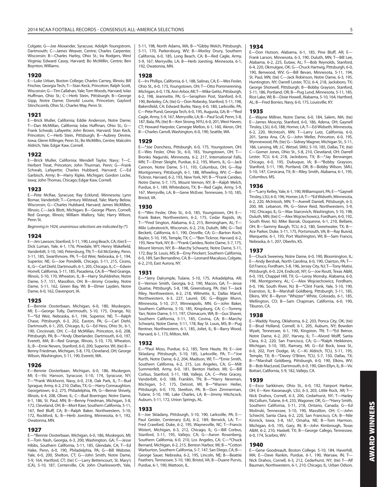Colgate; G—Joe Alexander, Syracuse; Adolph Youngstrom, Dartmouth; C—James Weaver, Centre; Charles Carpenter, Wisconsin; B—Charles Harley, Ohio St.; Ira Rodgers, West Virginia; Edward Casey, Harvard; Bo McMillin, Centre; Ben Boynton, Williams.

#### **1920**

E—Luke Urban, Boston College; Charles Carney, Illinois; Bill Fincher, Georgia Tech; T—Stan Keck, Princeton; Ralph Scott, Wisconsin; G—Tim Callahan, Yale; Tom Woods, Harvard; Iolas Huffman, Ohio St.; C—Herb Stein, Pittsburgh; B—George Gipp, Notre Dame; Donold Lourie, Princeton; Gaylord Stinchcomb, Ohio St.; Charles Way, Penn St.

#### **1921**

E—Brick Muller, California; Eddie Anderson, Notre Dame; T—Dan McMillan, California; Iolas Huffman, Ohio St.; G— Frank Schwab, Lafayette; John Brown, Harvard; Stan Keck, Princeton; C—Herb Stein, Pittsburgh; B—Aubrey Devine, Iowa; Glenn Killinger, Penn St.; Bo McMillin, Centre; Malcolm Aldrich, Yale; Edgar Kaw, Cornell.

#### **1922**

E—Brick Muller, California; Wendell Taylor, Navy; T—C. Herbert Treat, Princeton; John Thurman, Penn; G—Frank Schwab, Lafayette; Charles Hubbard, Harvard; C—Ed Garbisch, Army; B—Harry Kipke, Michigan; Gordon Locke, Iowa; John Thomas, Chicago; Edgar Kaw, Cornell.

#### **1923**

E—Pete McRae, Syracuse; Ray Ecklund, Minnesota; Lynn Bomar, Vanderbilt; T—Century Milstead, Yale; Marty Below, Wisconsin; G—Charles Hubbard, Harvard; James McMillen, Illinois; C—Jack Blott, Michigan; B—George Pfann, Cornell; Red Grange, Illinois; William Mallory, Yale; Harry Wilson, Penn St.

Beginning in 1924, unanimous selections are indicated by (\*).

#### **1924**

E—Jim Lawson, Stanford, 5-11, 190, Long Beach, CA; (tie) E— Dick Luman, Yale, 6-1, 176, Pinedale, WY; Henry Wakefield, Vanderbilt, 5-10, 160, Petersburg, TN; T-Ed McGinley, Penn, 5-11, 185, Swarth more, PA; T—Ed Weir, Nebraska, 6-1, 194, Superior, NE; G—Joe Pondelik, Chicago, 5-11, 215, Cicero, IL; G—Carl Diehl, Dartmouth, 6-1, 205, Chicago, IL; C—Edwin Horrell, California, 5-11, 185, Pasadena, CA; B—\*Red Grange, Illinois, 5-10, 170, Wheaton, IL; B—Harry Stuhldreher, Notre Dame, 5-7, 151, Massillon, OH; B—Jimmy Crowley, Notre Dame, 5-11, 162, Green Bay, WI; B—Elmer Layden, Notre Dame, 6-0, 162, Davenport, IA.

#### **1925**

E—Bennie Oosterbaan, Michigan, 6-0, 180, Muskegon, MI; E—George Tully, Dartmouth, 5-10, 175, Orange, NJ; T—\*Ed Weir, Nebraska, 6-1, 194, Superior, NE; T—Ralph Chase, Pittsburgh, 6-3, 202, Easton, PA; G—Carl Diehl, Dartmouth, 6-1, 205, Chicago, IL; G—Ed Hess, Ohio St., 6-1, 190, Cincinnati, OH; C—Ed McMillan, Princeton, 6-0, 208, Pittsburgh, PA; B—\*Andy Oberlander, Dartmouth, 6-0, 197, Everett, MA; B—Red Grange, Illinois, 5-10, 170, Wheaton, IL; B—Ernie Nevers, Stanford, 6-0, 200, Superior, WI; (tie) B— Benny Friedman, Michigan, 5-8, 170, Cleveland, OH; George Wilson, Washington, 5-11, 190, Everett, WA.

#### **1926**

E—Bennie Oosterbaan, Michigan, 6-0, 186, Muskegon, MI; E—Vic Hanson, Syracuse, 5-10, 174, Syracuse, NY; T—\*Frank Wickhorst, Navy, 6-0, 218, Oak Park, IL; T—Bud Sprague, Army, 6-2, 210, Dallas, TX; G—Harry Connaughton, Georgetown, 6-2, 275, Philadelphia, PA; G—Bernie Shively, Illinois, 6-4, 208, Oliver, IL; C—Bud Boeringer, Notre Dame, 6-1, 186, St. Paul, MN; B—Benny Friedman, Michigan, 5-8, 172, Cleveland, OH; B—Mort Kaer, Southern California, 5-11, 167, Red Bluff, CA; B—Ralph Baker, Northwestern, 5-10, 172, Rockford, IL; B—Herb Joesting, Minnesota, 6-1, 192, Owatonna, MN.

#### **1927**

E—\*Bennie Oosterbaan, Michigan, 6-0, 186, Muskegon, MI; E—Tom Nash, Georgia, 6-3, 200, Washington, GA; T—Jesse Hibbs, Southern California, 5-11, 185, Glendale, CA; T—Ed Hake, Penn, 6-0, 190, Philadelphia, PA; G—Bill Webster, Yale, 6-0, 200, Shelton, CT; G—John Smith, Notre Dame, 5-9, 164, Hartford, CT; (tie) C—Larry Bettencourt, St. Mary's (CA), 5-10, 187, Centerville, CA; John Charlesworth, Yale, 5-11, 198, North Adams, MA; B—\*Gibby Welch, Pittsburgh, 5-11, 170, Parkersburg, WV; B—Morley Drury, Southern California, 6-0, 185, Long Beach, CA; B—Red Cagle, Army, 5-9, 167, Merryville, LA; B—Herb Joesting, Minnesota, 6-1, 192, Owatonna, MN.

#### **1928**

E—Irv Phillips, California, 6-1, 188, Salinas, CA; E—Wes Fesler, Ohio St., 6-0, 173, Youngstown, OH; T—Otto Pommerening, Michigan, 6-0, 178, Ann Arbor, MI; T—Mike Getto, Pittsburgh, 6-2, 198, Jeannette, PA; G—Seraphim Post, Stanford, 6-0, 190, Berkeley, CA; (tie) G—Don Robesky, Stanford, 5-11, 198, Bakersfield, CA; Edward Burke, Navy, 6-0, 180, Larksville, PA; C—Pete Pund, Georgia Tech, 6-0, 195, Augusta, GA; B—\*Red Cagle, Army, 5-9, 167, Merryville, LA; B—Paul Scull, Penn, 5-8, 187, Bala, PA; (tie) B—Ken Strong, NYU, 6-0, 201, West Haven, CT; Howard Harpster, Carnegie Mellon, 6-1, 160, Akron, OH; B—Charles Carroll, Washington, 6-0, 190, Seattle, WA.

**1929** E—\*Joe Donchess, Pittsburgh, 6-0, 175, Youngstown, OH; E—Wes Fesler, Ohio St., 6-0, 183, Youngstown, OH; T— Bronko Nagurski, Minnesota, 6-2, 217, International Falls, MN; T—Elmer Sleight, Purdue, 6-2, 193, Morris, IL; G—Jack Cannon, Notre Dame, 5-11, 193, Columbus, OH; G—Ray Montgomery, Pittsburgh, 6-1, 188, Wheeling, WV; C—Ben Ticknor, Harvard, 6-2, 193, New York, NY; B—\*Frank Carideo, Notre Dame, 5-7, 175, Mount Vernon, NY; B—Ralph Welch, Purdue, 6-1, 189, Whitesboro, TX; B—Red Cagle, Army, 5-9, 167, Merryville, LA; B—Gene McEver, Tennessee, 5-10, 185, Bristol, VA.

#### **1930**

E—\*Wes Fesler, Ohio St., 6-0, 185, Youngstown, OH; E— Frank Baker, Northwestern, 6-2, 175, Cedar Rapids, IA; T—\*Fred Sington, Alabama, 6-2, 215, Birmingham, AL; T— Milo Lubratovich, Wisconsin, 6-2, 216, Duluth, MN; G—Ted Beckett, California, 6-1, 190, Oroville, CA; G—Barton Koch, Baylor, 5-10, 195, Temple, TX; C—\*Ben Ticknor, Harvard, 6-2, 193, New York, NY; B—\*Frank Carideo, Notre Dame, 5-7, 175, Mount Vernon, NY; B—Marchy Schwartz, Notre Dame, 5-11, 172, Bay St. Louis, MS; B—Erny Pinckert, Southern California, 6-0, 189, San Bernardino, CA; B—Leonard Macaluso, Colgate, 6-2, 210, East Aurora, NY.

#### **1931**

E—\*Jerry Dalrymple, Tulane, 5-10, 175, Arkadelphia, AR; E—Vernon Smith, Georgia, 6-2, 190, Macon, GA; T—Jesse Quatse, Pittsburgh, 5-8, 198, Greensburg, PA; (tie) T—Jack Riley, Northwestern, 6-2, 218, Wilmette, IL; Dallas Marvil, Northwestern, 6-3, 227, Laurel, DE; G—Biggie Munn, Minnesota, 5-10, 217, Minneapolis, MN; G—John Baker, Southern California, 5-10, 185, Kingsburg, CA; C—Tommy Yarr, Notre Dame, 5-11, 197, Chimacum, WA; B—Gus Shaver, Southern California, 5-11, 185, Covina, CA; B—Marchy Schwartz, Notre Dame, 5-11, 178, Bay St. Louis, MS; B—Pug Rentner, Northwestern, 6-1, 185, Joliet, IL; B—Barry Wood, Harvard, 6-1, 173, Milton, MA.

#### **1932**

E—\*Paul Moss, Purdue, 6-2, 185, Terre Haute, IN; E—Joe Skladany, Pittsburgh, 5-10, 185, Larksville, PA; T—\*Joe Kurth, Notre Dame, 6-2, 204, Madison, WI; T—\*Ernie Smith, Southern California, 6-2, 215, Los Angeles, CA; G—Milt Summerfelt, Army, 6-0, 181, Benton Harbor, MI; G—Bill Corbus, Stanford, 5-11, 188, Vallejo, CA; C—Pete Gracey, Vanderbilt, 6-0, 188, Franklin, TN; B—\*Harry Newman, Michigan, 5-7, 175, Detroit, MI; B—\*Warren Heller, Pittsburgh, 6-0, 170, Steelton, PA; B—Don Zimmerman, Tulane, 5-10, 190, Lake Charles, LA; B—Jimmy Hitchcock, Auburn, 5-11, 172, Union Springs, AL.

#### **1933**

E—Joe Skladany, Pittsburgh, 5-10, 190, Larksville, PA; E— Paul Geisler, Centenary (LA), 6-2, 189, Berwick, LA; T— Fred Crawford, Duke, 6-2, 195, Waynesville, NC; T—Francis Wistert, Michigan, 6-3, 212, Chicago, IL; G—Bill Corbus, Stanford, 5-11, 195, Vallejo, CA; G—Aaron Rosenberg, Southern California, 6-0, 210, Los Angeles, CA; C—\*Chuck Bernard, Michigan, 6-2, 215, Benton Harbor, MI; B—\*Cotton Warburton, Southern California, 5-7, 147, San Diego, CA; B— George Sauer, Nebraska, 6-2, 195, Lincoln, NE; B—Beattie Feathers, Tennessee, 5-10, 180, Bristol, VA; B—Duane Purvis, Purdue, 6-1, 190, Mattoon, IL.

#### **1934**

E—Don Hutson, Alabama, 6-1, 185, Pine Bluff, AR; E— Frank Larson, Minnesota, 6-3, 190, Duluth, MN; T—Bill Lee, Alabama, 6-2, 225, Eutaw, AL; T—Bob Reynolds, Stanford, 6-4, 220, Okmulgee, OK; G—Chuck Hartwig, Pittsburgh, 6-0, 190, Benwood, WV; G—Bill Bevan, Minnesota, 5-11, 194, St. Paul, MN; (tie) C—Jack Robinson, Notre Dame, 6-3, 195, Huntington, NY; Darrell Lester, TCU, 6-4, 218, Jacksboro, TX; George Shotwell, Pittsburgh; B—Bobby Grayson, Stanford, 5-11, 186, Portland, OR; B—Pug Lund, Minnesota, 5-11, 185, Rice Lake, WI; B—Dixie Howell, Alabama, 5-10, 164, Hartford, AL; B—Fred Borries, Navy, 6-0, 175, Louisville, KY.

#### **1935**

E—Wayne Millner, Notre Dame, 6-0, 184, Salem, MA; (tie) E—James Moscrip, Stanford, 6-0, 186, Adena, OH; Gaynell Tinsley, LSU, 6-0, 188, Homer, LA; T—Ed Widseth, Minnesota, 6-2, 220, McIntosh, MN; T—Larry Lutz, California, 6-0, 201, Santa Ana, CA; G—John Weller, Princeton, 6-0, 195, Wynnewood, PA; (tie) G—Sidney Wagner, Michigan St., 5-11, 186, Lansing, MI; J.C. Wetsel, SMU, 5-10, 185, Dallas, TX; (tie) C—Gomer Jones, Ohio St., 5-8, 210, Cleveland, OH; Darrell Lester, TCU, 6-4, 218, Jacksboro, TX; B—\*Jay Berwanger, Chicago, 6-0, 195, Dubuque, IA; B—\*Bobby Grayson, Stanford, 5-11, 190, Portland, OR; B—Bobby Wilson, SMU, 5-10, 147, Corsicana, TX; B—Riley Smith, Alabama, 6-1, 195, Columbus, MS.

#### **1936**

E—\*Larry Kelley, Yale, 6-1, 190, Williamsport, PA; E—\*Gaynell Tinsley, LSU, 6-0, 196, Homer, LA; T—\*Ed Widseth, Minnesota, 6-2, 220, McIntosh, MN; T—Averell Daniell, Pittsburgh, 6-3, 200, Mt. Lebanon, PA; G—Steve Reid, Northwestern, 5-9, 192, Chicago, IL; G—Max Starcevich, Washington, 5-10, 198, Duluth, MN; (tie) C—Alex Wojciechowicz, Fordham, 6-0, 192, South River, NJ; Mike Basrak, Duquesne, 6-1, 210, Bellaire, OH; B—Sammy Baugh, TCU, 6-2, 180, Sweetwater, TX; B— Ace Parker, Duke, 5-11, 175, Portsmouth, VA; B—Ray Buivid, Marquette, 6-1, 193, Port Washington, WI; B—Sam Francis, Nebraska, 6-1, 207, Oberlin, KS.

#### **1937**

E—Chuck Sweeney, Notre Dame, 6-0, 190, Bloomington, IL; E—Andy Bershak, North Carolina, 6-0, 190, Clairton, PA; T— Ed Franco, Fordham, 5-8, 196, Jersey City, NJ; T—Tony Matisi, Pittsburgh, 6-0, 224, Endicott, NY; G—Joe Routt, Texas A&M, 6-0, 193, Chappel Hill, TX; G—Leroy Monsky, Alabama, 6-0, 198, Montgomery, AL; C—Alex Wojciechowicz, Fordham, 6-0, 196, South River, NJ; B—\*Clint Frank, Yale, 5-10, 190, Evanston, IL; B—Marshall Goldberg, Pittsburgh, 5-11, 185, Elkins, WV; B—Byron "Whizzer" White, Colorado, 6-1, 185, Wellington, CO; B—Sam Chapman, California, 6-0, 190, Tiburon, CA.

#### **1938**

E—Waddy Young, Oklahoma, 6-2, 203, Ponca City, OK; (tie) E—Brud Holland, Cornell, 6-1, 205, Auburn, NY; Bowden Wyatt, Tennessee, 6-1, 190, Kingston, TN; T—\*Ed Beinor, Notre Dame, 6-2, 207, Harvey, IL; T—Alvord Wolff, Santa Clara, 6-2, 220, San Francisco, CA; G—\*Ralph Heikkinen, Michigan, 5-10, 185, Ramsey, MI; G—Ed Bock, Iowa St., 6-0, 202, Fort Dodge, IA; C—Ki Aldrich, TCU, 5-11, 195, Temple, TX; B—\*Davey O'Brien, TCU, 5-7, 150, Dallas, TX; B—\*Marshall Goldberg, Pittsburgh, 6-0, 190, Elkins, WV; B—Bob MacLeod, Dartmouth, 6-0, 190, Glen Ellyn, IL; B—Vic Bottari, California, 5-9, 182, Vallejo, CA.

#### **1939**

E—Esco Sarkkinen, Ohio St., 6-0, 192, Fairport Harbor, OH; E—Ken Kavanaugh, LSU, 6-3, 203, Little Rock, AR; T— Nick Drahos, Cornell, 6-3, 200, Cedarhurst, NY; T—Harley McCollum, Tulane, 6-4, 235, Wagoner, OK; G—\*Harry Smith, Southern California, 5-11, 218, Ontario, Canada; G—Ed Molinski, Tennessee, 5-10, 190, Massillon, OH; C—John Schiechl, Santa Clara, 6-2, 220, San Francisco, CA; B—Nile Kinnick, Iowa, 5-8, 167, Omaha, NE; B—Tom Harmon, Michigan, 6-0, 195, Gary, IN; B—John Kimbrough, Texas A&M, 6-2, 210, Haskell, TX; B—George Cafego, Tennessee, 6-0, 174, Scarbro, WV.

#### **1940**

E—Gene Goodreault, Boston College, 5-10, 184, Haverhill, MA; E—Dave Rankin, Purdue, 6-1, 190, Warsaw, IN; T— Nick Drahos, Cornell, 6-3, 212, Cedarhurst, NY; (tie) T—Alf Bauman, Northwestern, 6-1, 210, Chicago, IL; Urban Odson,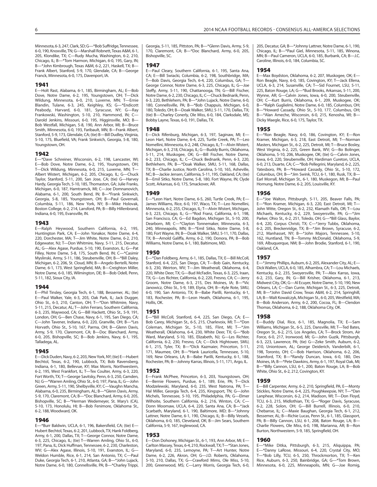Minnesota, 6-3, 247, Clark, SD; G—\*Bob Suffridge, Tennessee, 6-0, 190, Knoxville, TN; G—Marshall Robnett, Texas A&M, 6-1, 205, Klondike, TX; C-Rudy Mucha, Washington, 6-2, 210, Chicago, IL; B—\*Tom Harmon, Michigan, 6-0, 195, Gary, IN; B—\*John Kimbrough, Texas A&M, 6-2, 221, Haskell, TX; B— Frank Albert, Stanford, 5-9, 170, Glendale, CA; B—George Franck, Minnesota, 6-0, 175, Davenport, IA.

#### **1941**

E—Holt Rast, Alabama, 6-1, 185, Birmingham, AL; E—Bob Dove, Notre Dame, 6-2, 195, Youngstown, OH; T—Dick Wildung, Minnesota, 6-0, 210, Luverne, MN; T—Ernie Blandin, Tulane, 6-3, 245, Keighley, KS; G—\*Endicott Peabody, Harvard, 6-0, 181, Syracuse, NY; G—Ray Frankowski, Washington, 5-10, 210, Hammond, IN; C— Darold Jenkins, Missouri, 6-0, 195, Higginsville, MO; B— Bob Westfall, Michigan, 5-8, 190, Ann Arbor, MI; B—Bruce Smith, Minnesota, 6-0, 193, Faribault, MN; B—Frank Albert, Stanford, 5-9, 173, Glendale, CA; (tie) B—Bill Dudley, Virginia, 5-10, 175, Bluefield, VA; Frank Sinkwich, Georgia, 5-8, 180, Youngstown, OH.

#### **1942**

E—\*Dave Schreiner, Wisconsin, 6-2, 198, Lancaster, WI; E—Bob Dove, Notre Dame, 6-2, 195, Youngstown, OH; T—Dick Wildung, Minnesota, 6-0, 215, Luverne, MN; T— Albert Wistert, Michigan, 6-2, 205, Chicago, IL; G—Chuck Taylor, Stanford, 5-11, 200, San Jose, CA; (tie) G—Harvey Hardy, Georgia Tech, 5-10, 185, Thomaston, GA; Julie Franks, Michigan, 6-0, 187, Hamtramck, MI; C—Joe Domnanovich, Alabama, 6-1, 200, South Bend, IN; B—\*Frank Sinkwich, Georgia, 5-8, 185, Youngstown, OH; B—Paul Governali, Columbia, 5-11, 186, New York, NY; B—Mike Holovak, Boston College, 6-2, 214, Lansford, PA; B—Billy Hillenbrand, Indiana, 6-0, 195, Evansville, IN.

#### **1943**

E—Ralph Heywood, Southern California, 6-2, 195, Huntington Park, CA; E—John Yonakor, Notre Dame, 6-4, 220, Dorchester, MA; T—Jim White, Notre Dame, 6-2, 210, Edgewater, NJ; T—Don Whitmire, Navy, 5-11, 215, Decatur, AL; G—Alex Agase, Purdue, 5-10, 190, Evanston, IL; G—Pat Filley, Notre Dame, 5-8, 175, South Bend, IN; C—\*Casimir Myslinski, Army, 5-11, 186, Steubenville, OH; B—\*Bill Daley, Michigan, 6-2, 206, St. Cloud, MN; B—Angelo Bertelli, Notre Dame, 6-1, 173, West Springfield, MA; B—Creighton Miller, Notre Dame, 6-0, 185, Wilmington, DE; B—Bob Odell, Penn, 5-11, 182, Sioux City, IA.

#### **1944**

E—Phil Tinsley, Georgia Tech, 6-1, 188, Bessemer, AL; (tie) E—Paul Walker, Yale, 6-3, 203, Oak Park, IL; Jack Dugger, Ohio St., 6-3, 210, Canton, OH; T—\*Don Whitmire, Navy, 5-11, 215, Decatur, AL; T—John Ferraro, Southern California, 6-3, 235, Maywood, CA; G—Bill Hackett, Ohio St., 5-9, 191, London, OH; G—Ben Chase, Navy, 6-1, 195, San Diego, CA; C—John Tavener, Indiana, 6-0, 220, Granville, OH; B—\*Les Horvath, Ohio St., 5-10, 167, Parma, OH; B—Glenn Davis, Army, 5-9, 170, Claremont, CA; B—Doc Blanchard, Army, 6-0, 205, Bishopville, SC; B—Bob Jenkins, Navy, 6-1, 195, Talladega, AL.

#### **1945**

E—Dick Duden, Navy, 6-2, 203, New York, NY; (tie) E—Hubert Bechtol, Texas, 6-2, 190, Lubbock, TX; Bob Ravensberg, Indiana, 6-1, 180, Bellevue, KY; Max Morris, Northwestern, 6-2, 195, West Frankfort, IL; T—Tex Coulter, Army, 6-3, 220, Fort Worth, TX; T—George Savitsky, Penn, 6-3, 250, Camden, NJ; G—\*Warren Amling, Ohio St., 6-0, 197, Pana, IL; G—John Green, Army, 5-11, 190, Shelbyville, KY; C—Vaughn Mancha, Alabama, 6-0, 235, Birmingham, AL; B—\*Glenn Davis, Army, 5-9, 170, Claremont, CA; B—\*Doc Blanchard, Army, 6-0, 205, Bishopville, SC; B—\*Herman Wedemeyer, St. Mary's (CA), 5-10, 173, Honolulu, HI; B—Bob Fenimore, Oklahoma St., 6-2, 188, Woodward, OK.

#### **1946**

E—\*Burr Baldwin, UCLA, 6-1, 196, Bakersfield, CA; (tie) E— Hubert Bechtol, Texas, 6-2, 201, Lubbock, TX; Hank Foldberg, Army, 6-1, 200, Dallas, TX; T—George Connor, Notre Dame, 6-3, 225, Chicago, IL; (tie) T—Warren Amling, Ohio St., 6-0, 197, Pana, IL; Dick Huffman, Tennessee, 6-2, 230, Charleston, WV; G—Alex Agase, Illinois, 5-10, 191, Evanston, IL; G— Weldon Humble, Rice, 6-1, 214, San Antonio, TX; C—Paul Duke, Georgia Tech, 6-1, 210, Atlanta, GA; B—\*John Lujack, Notre Dame, 6-0, 180, Connellsville, PA; B—\*Charley Trippi, Georgia, 5-11, 185, Pittston, PA; B—\*Glenn Davis, Army, 5-9, 170, Claremont, CA; B—\*Doc Blanchard, Army, 6-0, 205, Bishopville, SC.

#### **1947**

E—Paul Cleary, Southern California, 6-1, 195, Santa Ana, CA; E—Bill Swiacki, Columbia, 6-2, 198, Southbridge, MA; T—Bob Davis, Georgia Tech, 6-4, 220, Columbus, GA; T— George Connor, Notre Dame, 6-3, 225, Chicago, IL; G—Joe Steffy, Army, 5-11, 190, Chattanooga, TN; G—Bill Fischer, Notre Dame, 6-2, 230, Chicago, IL; C—Chuck Bednarik, Penn, 6-3, 220, Bethlehem, PA; B—\*John Lujack, Notre Dame, 6-0, 180, Connellsville, PA; B—\*Bob Chappuis, Michigan, 6-0, 180, Toledo, OH; B—Doak Walker, SMU, 5-11, 170, Dallas, TX; (tie) B—Charley Conerly, Ole Miss, 6-0, 184, Clarksdale, MS; Bobby Layne, Texas, 6-0, 191, Dallas, TX.

#### **1948**

E—Dick Rifenburg, Michigan, 6-3, 197, Saginaw, MI; E— Leon Hart, Notre Dame, 6-4, 225, Turtle Creek, PA; T—Leo Nomellini, Minnesota, 6-2, 248, Chicago, IL; T—Alvin Wistert, Michigan, 6-3, 218, Chicago, IL; G—Buddy Burris, Oklahoma, 5-11, 214, Muskogee, OK; G—Bill Fischer, Notre Dame, 6-2, 233, Chicago, IL; C—Chuck Bednarik, Penn, 6-3, 220, Bethlehem, PA; B—\*Doak Walker, SMU, 5-11, 168, Dallas, TX; B—Charlie Justice, North Carolina, 5-10, 165, Asheville, NC; B—Jackie Jensen, California, 5-11, 195, Oakland, CA; (tie) B—Emil Sitko, Notre Dame, 5-8, 180, Fort Wayne, IN; Clyde Scott, Arkansas, 6-0, 175, Smackover, AR.

#### **1949**

E—\*Leon Hart, Notre Dame, 6-5, 260, Turtle Creek, PA; E— James Williams, Rice, 6-0, 197, Waco, TX; T—Leo Nomellini, Minnesota, 6-2, 255, Chicago, IL; T—Alvin Wistert, Michigan, 6-3, 223, Chicago, IL; G—\*Rod Franz, California, 6-1, 198, San Francisco, CA; G—Ed Bagdon, Michigan St., 5-10, 200, Dearborn, MI; C—\*Clayton Tonnemaker, Minnesota, 6-3, 240, Minneapolis, MN; B—\*Emil Sitko, Notre Dame, 5-8, 180, Fort Wayne, IN; B—Doak Walker, SMU, 5-11, 170, Dallas, TX; B—Arnold Galiffa, Army, 6-2, 190, Donora, PA; B—Bob Williams, Notre Dame, 6-1, 180, Baltimore, MD.

#### **1950**

E—\*Dan Foldberg, Army, 6-1, 185, Dallas, TX; E—Bill McColl, Stanford, 6-4, 225, San Diego, CA; T—Bob Gain, Kentucky, 6-3, 230, Weirton, WV; T—Jim Weatherall, Oklahoma, 6-4, 220, White Deer, TX; G—Bud McFadin, Texas, 6-3, 225, Iraan, TX; G—Les Richter, California, 6-2, 220, Fresno, CA; C—Jerry Groom, Notre Dame, 6-3, 215, Des Moines, IA; B—\*Vic Janowicz, Ohio St., 5-9, 189, Elyria, OH; B—Kyle Rote, SMU, 6-0, 190, San Antonio, TX; B—Babe Parilli, Kentucky, 6-1, 183, Rochester, PA; B—Leon Heath, Oklahoma, 6-1, 195, Hollis, OK.

#### **1951**

E—\*Bill McColl, Stanford, 6-4, 225, San Diego, CA; E— Bob Carey, Michigan St., 6-5, 215, Charlevoix, MI; T—\*Don Coleman, Michigan St., 5-10, 185, Flint, MI; T—\*Jim Weatherall, Oklahoma, 6-4, 230, White Deer, TX; G—\*Bob Ward, Maryland, 5-10, 185, Elizabeth, NJ; G—Les Richter, California, 6-2, 230, Fresno, CA; C—Dick Hightower, SMU, 6-1, 215, Tyler, TX; B—\*Dick Kazmaier, Princeton, 5-11, 171, Maumee, OH; B—\*Hank Lauricella, Tennessee, 5-10, 169, New Orleans, LA; B—Babe Parilli, Kentucky, 6-1, 188, Rochester, PA; B—Johnny Karras, Illinois, 5-11, 171, Argo, IL.

#### **1952**

E—Frank McPhee, Princeton, 6-3, 203, Youngstown, OH; E—Bernie Flowers, Purdue, 6-1, 189, Erie, PA; T—Dick Modzelewski, Maryland, 6-0, 235, West Natrona, PA; T— Hal Miller, Georgia Tech, 6-4, 235, Kingsport, TN; G—John Michels, Tennessee, 5-10, 195, Philadelphia, PA; G—Elmer Wilhoite, Southern California, 6-2, 216, Winton, CA; C— Donn Moomaw, UCLA, 6-4, 220, Santa Ana, CA; B—\*Jack Scarbath, Maryland, 6-1, 190, Baltimore, MD; B—\*Johnny Lattner, Notre Dame, 6-1, 190, Chicago, IL; B—Billy Vessels, Oklahoma, 6-0, 185, Cleveland, OK; B—Jim Sears, Southern California, 5-9, 167, Inglewood, CA.

#### **1953**

E—Don Dohoney, Michigan St., 6-1, 193, Ann Arbor, MI; E— Carlton Massey, Texas, 6-4, 210, Rockwall, TX; T—\*Stan Jones, Maryland, 6-0, 235, Lemoyne, PA; T—Art Hunter, Notre Dame, 6-2, 226, Akron, OH; G—J.D. Roberts, Oklahoma, 5-10, 210, Dallas, TX; G—Crawford Mims, Ole Miss, 5-10, 200, Green wood, MS; C—Larry Morris, Georgia Tech, 6-0, 205, Decatur, GA; B-\*Johnny Lattner, Notre Dame, 6-1, 190, Chicago, IL; B—\*Paul Giel, Minnesota, 5-11, 185, Winona, MN: B-Paul Cameron, UCLA, 6-0, 185, Burbank, CA: B-J.C. Caroline, Illinois, 6-0, 184, Columbia, SC.

#### **1954**

E—Max Boydston, Oklahoma, 6-2, 207, Muskogee, OK; E— Ron Beagle, Navy, 6-0, 185, Covington, KY; T—Jack Ellena, UCLA, 6-3, 214, Susanville, CA; T—Sid Fournet, LSU, 5-11, 225, Baton Rouge, LA; G—\*Bud Brooks, Arkansas, 5-11, 200, Wynne, AR; G—Calvin Jones, Iowa, 6-0, 200, Steubenville, OH; C—Kurt Burris, Oklahoma, 6-1, 209, Muskogee, OK; B—\*Ralph Guglielmi, Notre Dame, 6-0, 185, Columbus, OH; B—\*Howard Cassady, Ohio St., 5-10, 177, Columbus, OH; B—\*Alan Ameche, Wisconsin, 6-0, 215, Kenosha, WI; B— Dicky Maegle, Rice, 6-0, 175, Taylor, TX.

#### **1955**

E—\*Ron Beagle, Navy, 6-0, 186, Covington, KY; E—Ron Kramer, Michigan, 6-3, 218, East Detroit, MI; T—Norman Masters, Michigan St., 6-2, 225, Detroit, MI; T—Bruce Bosley, West Virginia, 6-2, 225, Green Bank, WV; G—Bo Bolinger, Oklahoma, 5-10, 206, Muskogee, OK; (tie) G—Calvin Jones, Iowa, 6-0, 220, Steubenville, OH; Hardiman Cureton, UCLA, 6-0, 213, Duarte, CA; C—\*Bob Pellegrini, Maryland, 6-2, 225, Yatesboro, PA; B—\*Howard Cassady, Ohio St., 5-10, 172, Columbus, OH; B—\*Jim Swink, TCU, 6-1, 180, Rusk, TX; B— Earl Morrall, Michigan St., 6-1, 180, Muskegon, MI; B—Paul Hornung, Notre Dame, 6-2, 205, Louisville, KY.

#### **1956**

E—\*Joe Walton, Pittsburgh, 5-11, 205, Beaver Falls, PA; E—\*Ron Kramer, Michigan, 6-3, 220, East Detroit, MI; T— John Witte, Oregon St., 6-2, 232, Klamath Falls, OR; T—Lou Michaels, Kentucky, 6-2, 229, Swoyersville, PA; G—\*Jim Parker, Ohio St., 6-2, 251, Toledo, OH; G—\*Bill Glass, Baylor, 6-4, 220, Corpus Christi, TX; C—\*Jerry Tubbs, Oklahoma, 6-2, 205, Breckenridge, TX; B—\*Jim Brown, Syracuse, 6-2, 212, Manhasset, NY; B—\*John Majors, Tennessee, 5-10, 162, Huntland, TN; B—Tommy McDonald, Oklahoma, 5-9, 169, Albuquerque, NM; B—John Brodie, Stanford, 6-1, 190, Oakland, CA.

#### **1957**

E—\*Jimmy Phillips, Auburn, 6-2, 205, Alexander City, AL; E— Dick Wallen, UCLA, 6-0, 185, Alhambra, CA; T—Lou Michaels, Kentucky, 6-2, 235, Swoyersville, PA; T—Alex Karras, Iowa, 6-2, 233, Gary, IN; G—Bill Krisher, Oklahoma, 6-1, 213, Midwest City, OK; G—Al Ecuyer, Notre Dame, 5-10, 190, New Orleans, LA; C—Dan Currie, Michigan St., 6-3, 225, Detroit, MI; B—\*John David Crow, Texas A&M, 6-2, 214, Springhill, LA; B—Walt Kowalczyk, Michigan St., 6-0, 205, Westfield, MA; B—Bob Anderson, Army, 6-2, 200, Cocoa, FL; B—Clendon Thomas, Oklahoma, 6-2, 188, Oklahoma City, OK.

#### **1958**

E—Buddy Dial, Rice, 6-1, 185, Magnolia, TX; E—Sam Williams, Michigan St., 6-5, 225, Dansville, MI; T—Ted Bates, Oregon St., 6-2, 215, Los Angeles, CA; T—Brock Strom, Air Force, 6-0, 217, Ironwood, MI; G—John Guzik, Pittsburgh, 6-3, 223, Lawrence, PA; (tie) G—Zeke Smith, Auburn, 6-2, 210, Uniontown, AL; George Deiderich, Vanderbilt, 6-1, 198, Toronto, OH; C—Bob Harrison, Oklahoma, 6-2, 206, Stamford, TX; B—\*Randy Duncan, Iowa, 6-0, 180, Des Moines, IA; B—\*Pete Dawkins, Army, 6-1, 197, Royal Oak, MI; B—\*Billy Cannon, LSU, 6-1, 200, Baton Rouge, LA; B—Bob White, Ohio St., 6-2, 212, Covington, KY.

#### **1959**

E—Bill Carpenter, Army, 6-2, 210, Springfield, PA; E—Monty Stickles, Notre Dame, 6-4, 225, Poughkeepsie, NY; T—\*Dan Lanphear, Wisconsin, 6-2, 214, Madison, WI; T—Don Floyd, TCU, 6-3, 215, Midlothian, TX; G—\*Roger Davis, Syracuse, 6-2, 228, Solon, OH; G—Bill Burrell, Illinois, 6-0, 210, Chebanse, IL; C—Maxie Baughan, Georgia Tech, 6-1, 212, Bessemer, AL; B—Richie Lucas, Penn St., 6-1, 185, Glassport, PA; B-Billy Cannon, LSU, 6-1, 208, Baton Rouge, LA; B-Charlie Flowers, Ole Miss, 6-0, 198, Marianna, AR; B—Ron Burton, Northwestern, 5-9, 185, Springfield, OH.

#### **1960**

E—\*Mike Ditka, Pittsburgh, 6-3, 215, Aliquippa, PA; E—\*Danny LaRose, Missouri, 6-4, 220, Crystal City, MO; T—\*Bob Lilly, TCU, 6-5, 250, Throckmorton, TX; T—Ken Rice, Auburn, 6-3, 250, Bainbridge, GA; G—\*Tom Brown, Minnesota, 6-0, 225, Minneapolis, MN; G—Joe Romig,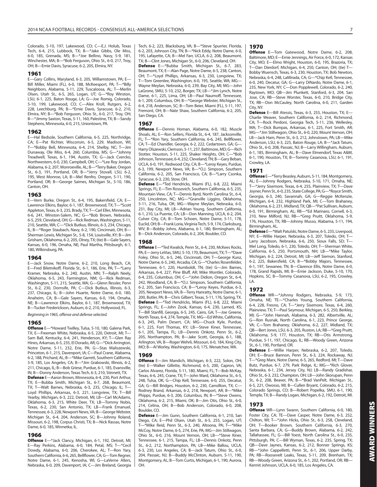Colorado, 5-10, 197, Lakewood, CO; C—E.J. Holub, Texas Tech, 6-4, 215, Lubbock, TX; B—\*Jake Gibbs, Ole Miss, 6-0, 185, Grenada, MS; B—\*Joe Bellino, Navy, 5-9, 181, Winchester, MA; B—\*Bob Ferguson, Ohio St., 6-0, 217, Troy, OH; B—Ernie Davis, Syracuse, 6-2, 205, Elmira, NY.

#### **1961**

E—Gary Collins, Maryland, 6-3, 205, Williamstown, PA; E— Bill Miller, Miami (FL), 6-0, 188, McKeesport, PA; T—\*Billy Neighbors, Alabama, 5-11, 229, Tuscaloosa, AL; T—Merlin Olsen, Utah St., 6-5, 265, Logan, UT; G—\*Roy Winston, LSU, 6-1, 225, Baton Rouge, LA; G—Joe Romig, Colorado, 5-10, 199, Lakewood, CO; C—Alex Kroll, Rutgers, 6-2, 228, Leechburg, PA; B—\*Ernie Davis, Syracuse, 6-2, 210, Elmira, NY; B—\*Bob Ferguson, Ohio St., 6-0, 217, Troy, OH; B-\*Jimmy Saxton, Texas, 5-11, 160, Palestine, TX; B-Sandy Stephens, Minnesota, 6-0, 215, Uniontown, PA.

#### **1962**

E—Hal Bedsole, Southern California, 6-5, 225, Northridge, CA; E—Pat Richter, Wisconsin, 6-5, 229, Madison, WI; T—\*Bobby Bell, Minnesota, 6-4, 214, Shelby, NC; T—Jim Dunaway, Ole Miss, 6-4, 260, Columbia, MS; G—\*Johnny Treadwell, Texas, 6-1, 194, Austin, TX; G—Jack Cvercko, Northwestern, 6-0, 230, Campbell, OH; C—\*Lee Roy Jordan, Alabama, 6-2, 207, Monroeville, AL; B—\*Terry Baker, Oregon St., 6-3, 191, Portland, OR; B—\*Jerry Stovall, LSU, 6-2, 195, West Monroe, LA; B—Mel Renfro, Oregon, 5-11, 190, Portland, OR; B—George Saimes, Michigan St., 5-10, 186, Canton, OH.

#### **1963**

E—Vern Burke, Oregon St., 6-4, 195, Bakersfield, CA; E— Lawrence Elkins, Baylor, 6-1, 187, Brownwood, TX; T—\*Scott Appleton, Texas, 6-3, 235, Brady, TX; T—Carl Eller, Minnesota, 6-6, 241, Winston-Salem, NC; G—\*Bob Brown, Nebraska, 6-5, 259, Cleveland, OH; G—Rick Redman, Washington, 5-11, 210, Seattle, WA; C—\*Dick Butkus, Illinois, 6-3, 234, Chicago, IL; B—\*Roger Staubach, Navy, 6-2, 190, Cincinnati, OH; B— Sherman Lewis, Michigan St., 5-8, 154, Louisville, KY; B—Jim Grisham, Oklahoma, 6-2, 205, Olney, TX; (tie) B—Gale Sayers, Kansas, 6-0, 196, Omaha, NE; Paul Martha, Pittsburgh, 6-1, 180, Wilkinsburg, PA.

#### **1964**

E—Jack Snow, Notre Dame, 6-2, 210, Long Beach, CA; E—Fred Biletnikoff, Florida St., 6-1, 186, Erie, PA; T—\*Larry Kramer, Nebraska, 6-2, 240, Austin, MN; T—Ralph Neely, Oklahoma, 6-5, 243, Farmington, NM; G—Rick Redman, Washington, 5-11, 215, Seattle, WA; G—Glenn Ressler, Penn St., 6-2, 230, Dornsife, PA; C—Dick Butkus, Illinois, 6-3, 237, Chicago, IL; B—John Huarte, Notre Dame, 6-0, 180 Anaheim, CA; B—Gale Sayers, Kansas, 6-0, 194, Omaha, NE; B-Lawrence Elkins, Baylor, 6-1, 187, Brownwood, TX; B—Tucker Frederickson, Auburn, 6-2, 210, Hollywood, FL.

Beginning in 1965, offense and defense selected.

#### **1965**

**Offense** E—\*Howard Twilley, Tulsa, 5-10, 180, Galena Park, TX; E—Freeman White, Nebraska, 6-5, 220, Detroit, MI; T— Sam Ball, Kentucky, 6-4, 241, Henderson, KY; T—Glen Ray Hines, Arkansas, 6-5, 235, El Dorado, AR; G—\*Dick Arrington, Notre Dame, 5-11, 232, Erie, PA; G—Stas Maliszewski, Princeton, 6-1, 215, Davenport, IA; C—Paul Crane, Alabama, 6-2, 188, Prichard, AL; B—\*Mike Garrett, Southern California, 5-9, 185, Los Angeles, CA; B—\*Jim Grabowski, Illinois, 6-2, 211, Chicago, IL; B—Bob Griese, Purdue, 6-1, 185, Evansville, IN; B—Donny Anderson, Texas Tech, 6-3, 210, Stinnett, TX.

**Defense** E—Aaron Brown, Minnesota, 6-4, 230, Port Arthur, TX; E—Bubba Smith, Michigan St., 6-7, 268, Beaumont, TX; T—Walt Barnes, Nebraska, 6-3, 235, Chicago, IL; T— Loyd Phillips, Arkansas, 6-3, 221, Longview, TX; T—Bill Yearby, Michigan, 6-3, 222, Detroit, MI; LB—Carl McAdams, Oklahoma, 6-3, 215, White Deer, TX; LB—Tommy Nobis, Texas, 6-2, 230, San Antonio, TX; LB—Frank Emanuel, Tennessee, 6-3, 228, Newport News, VA; B—George Webster, Michigan St., 6-4, 204, Anderson, SC; B—Johnny Roland, Missouri, 6-2, 198, Corpus Christi, TX; B—Nick Rassas, Notre Dame, 6-0, 185, Winnetka, IL.

#### **1966**

**Offense** E—\*Jack Clancy, Michigan, 6-1, 192, Detroit, MI; E—Ray Perkins, Alabama, 6-0, 184, Petal, MS; T—\*Cecil Dowdy, Alabama, 6-0, 206, Cherokee, AL; T—Ron Yary, Southern California, 6-6, 265, Bellflower, CA; G—Tom Regner, Notre Dame, 6-1, 245, Kenosha, WI; G—LaVerne Allers, Nebraska, 6-0, 209, Davenport, IA; C—Jim Breland, Georgia

Tech, 6-2, 223, Blacksburg, VA; B—\*Steve Spurrier, Florida, 6-2, 203, Johnson City, TN; B—\*Nick Eddy, Notre Dame, 6-0, 195, Lafayette, CA; B—Mel Farr, UCLA, 6-2, 208, Beaumont, TX; B—Clint Jones, Michigan St., 6-0, 206, Cleveland, OH.

**Defense** E—\*Bubba Smith, Michigan St., 6-7, 283, Beaumont, TX; E—Alan Page, Notre Dame, 6-5, 238, Canton, OH; T—\*Loyd Phillips, Arkansas, 6-3, 230, Longview, TX; T—Tom Greenlee, Washington, 6-0, 195, Seattle, WA; MG— Wayne Meylan, Nebraska, 6-0, 239, Bay City, MI; MG—John LaGrone, SMU, 5-10, 232, Borger, TX; LB—\*Jim Lynch, Notre Dame, 6-1, 225, Lima, OH; LB—Paul Naumoff, Tennessee, 6-1, 209, Columbus, OH; B—\*George Webster, Michigan St., 6-4, 218, Anderson, SC; B—Tom Beier, Miami (FL), 5-11, 197, Fremont, OH; B—Nate Shaw, Southern California, 6-2, 205, San Diego, CA.

#### **1967**

**Offense** E—Dennis Homan, Alabama, 6-0, 182, Muscle Shoals, AL; E—Ron Sellers, Florida St., 6-4, 187, Jacksonville, FL; T—\*Ron Yary, Southern California, 6-6, 245, Bellflower, CA; T—Ed Chandler, Georgia, 6-2, 222, Cedartown, GA; G— Harry Olszewski, Clemson, 5-11, 237, Baltimore, MD; G—Rich Stotter, Houston, 5-11, 225, Shaker Heights, OH; C—\*Bob Johnson, Tennessee, 6-4, 232, Cleveland, TN; B—Gary Beban, UCLA, 6-0, 191, Redwood City, CA; B—\*Leroy Keyes, Purdue, 6-3, 199, Newport News, VA; B—\*O.J. Simpson, Southern California, 6-2, 205, San Francisco, CA; B—\*Larry Csonka, Syracuse, 6-3, 230, Stow, OH.

**Defense** E—\*Ted Hendricks, Miami (FL), 6-8, 222, Miami Springs, FL; E—Tim Rossovich, Southern California, 6-5, 235, Mountain View, CA; T—Dennis Byrd, North Carolina St., 6-4, 250, Lincolnton, NC; MG—\*Granville Liggins, Oklahoma, 5-11, 216, Tulsa, OK; MG—Wayne Meylan, Nebraska, 6-0, 231, Bay City, MI; LB—Adrian Young, Southern California, 6-1, 210, La Puente, CA; LB—Don Manning, UCLA, 6-2, 204, Culver City, CA; B—Tom Schoen, Notre Dame, 5-11, 178, Euclid, OH; B—Frank Loria, Virginia Tech, 5-9, 174, Clarksburg, WV; B—Bobby Johns, Alabama, 6-1, 180, Birmingham, AL; B—Dick Anderson, Colorado, 6-2, 204, Boulder, CO.

#### **1968**

**Offense** E—\*Ted Kwalick, Penn St., 6-4, 230, McKees Rocks, PA; E—Jerry LeVias, SMU, 5-10, 170, Beaumont, TX; T—\*Dave Foley, Ohio St., 6-5, 246, Cincinnati, OH; T—George Kunz, Notre Dame, 6-5, 240, Arcadia, CA: G-\*Charles Rosenfelder, Tennessee, 6-1, 220, Humboldt, TN; (tie) G—Jim Barnes, Arkansas, 6-4, 227, Pine Bluff, AR; Mike Montler, Colorado, 6-4, 235, Columbus, OH; C—\*John Didion, Oregon St., 6-4, 242, Woodland, CA; B—\*O.J. Simpson, Southern California, 6-2, 205, San Francisco, CA; B—\*Leroy Keyes, Purdue, 6-3, 205, Newport News, VA; B—Terry Hanratty, Notre Dame, 6-1, 200, Butler, PA; B—Chris Gilbert, Texas, 5-11, 176, Spring, TX. **Defense** E—\*Ted Hendricks, Miami (FL), 6-8, 222, Miami Springs, FL; E—John Zook, Kansas, 6-4, 230, Larned, KS; T—Bill Stanfill, Georgia, 6-5, 245, Cairo, GA; T—Joe Greene, North Texas, 6-4, 274, Temple, TX; MG—Ed White, California, 6-3, 245, Palm Desert, CA; MG—Chuck Kyle, Purdue, 6-1, 225, Fort Thomas, KY; LB—Steve Kiner, Tennessee, 6-1, 205, Tampa, FL; LB—Dennis Onkotz, Penn St., 6-2, 205, Northampton, PA; B—Jake Scott, Georgia, 6-1, 188, Arlington, VA; B—Roger Wehrli, Missouri, 6-0, 184, King City, MO; B—Al Worley, Washington, 6-0, 175, Wenatchee, WA.

#### **1969**

**Offense** E—Jim Mandich, Michigan, 6-3, 222, Solon, OH; (tie) E—Walker Gillette, Richmond, 6-5, 200, Capron, VA; Carlos Alvarez, Florida, 5-11, 180, Miami, FL; T—Bob McKay, Texas, 6-6, 245, Crane, TX; T—John Ward, Oklahoma St., 6-5, 248, Tulsa, OK; G—Chip Kell, Tennessee, 6-0, 255, Decatur, GA; G—Bill Bridges, Houston, 6-2, 230, Carrollton, TX; C— Rodney Brand, Arkansas, 6-2, 218, Newport, AR; B—\*Mike Phipps, Purdue, 6-3, 206, Columbus, IN; B—\*Steve Owens, Oklahoma, 6-2, 215, Miami, OK; B—Jim Otis, Ohio St., 6-0, 214, Celina, OH; B—Bob Anderson, Colorado, 6-0, 208, Boulder, CO.

**Defense** E—Jim Gunn, Southern California, 6-1, 210, San Diego, CA; E—Phil Olsen, Utah St., 6-5, 255, Logan, UT;  $*$ Mike Reid, Penn St., 6-3, 240, Altoona, PA; T $*$ Mike McCoy, Notre Dame, 6-5, 274, Erie, PA; MG—Jim Stillwagon, Ohio St., 6-0, 216, Mount Vernon, OH; LB—\*Steve Kiner, Tennessee, 6-1, 215, Tampa, FL; LB—Dennis Onkotz, Penn St., 6-2, 212, Northampton, PA; LB—Mike Ballou, UCLA, 6-3, 230, Los Angeles, CA; B—Jack Tatum, Ohio St., 6-0, 204, Passaic, NJ; B—Buddy McClinton, Auburn, 5-11, 190, Montgomery, AL; B—Tom Curtis, Michigan, 6-1, 190, Aurora, OH.

#### **1970**

**Offense** E—Tom Gatewood, Notre Dame, 6-2, 208, Baltimore, MD; E—Ernie Jennings, Air Force, 6-0, 172, Kansas City, MO; E—Elmo Wright, Houston, 6-0, 195, Brazoria, TX; T—Dan Dierdorf, Michigan, 6-4, 250, Canton, OH; (tie) T— Bobby Wuensch, Texas, 6-3, 230, Houston, TX; Bob Newton, Nebraska, 6-4, 248, LaMirada, CA; G—\*Chip Kell, Tennessee, 6-0, 240, Decatur, GA; G—Larry DiNardo, Notre Dame, 6-1, 235, New York, NY; C—Don Popplewell, Colorado, 6-2, 240, Raytown, MO; QB—Jim Plunkett, Stanford, 6-3, 204, San Jose, CA; RB—Steve Worster, Texas, 6-0, 210, Bridge City, TX; RB—Don McCauley, North Carolina, 6-0, 211, Garden City, NY.

**Defense** E—Bill Atessis, Texas, 6-3, 255, Houston, TX; E— Charlie Weaver, Southern California, 6-2, 214, Richmond, CA; T—Rock Perdoni, Georgia Tech, 5-11, 236, Wellesley, MA; T—Dick Bumpas, Arkansas, 6-1, 225, Fort Smith, AR; MG—\*Jim Stillwagon, Ohio St., 6-0, 220, Mount Vernon, OH; LB—Jack Ham, Penn St., 6-3, 212, Johnstown, PA; LB—Mike Anderson, LSU, 6-3, 225, Baton Rouge, LA; B—\*Jack Tatum, Ohio St., 6-0, 208, Passaic, NJ; B—Larry Willingham, Auburn, 6-1, 185, Birmingham, AL; B—Dave Elmendorf, Texas A&M, 6-1, 190, Houston, TX; B—Tommy Casanova, LSU, 6-1, 191, Crowley, LA.

#### **1971**

**Offense** E—\*Terry Beasley, Auburn, 5-11, 184, Montgomery, AL; E—Johnny Rodgers, Nebraska, 5-10, 171, Omaha, NE; T—\*Jerry Sisemore, Texas, 6-4, 255, Plainview, TX; T—Dave Joyner, Penn St., 6-0, 235, State College, PA; G—\*Royce Smith, Georgia, 6-3, 240, Savannah, GA; G—Reggie McKenzie, Michigan, 6-4, 232, Highland Park, MI; C—Tom Brahaney, Oklahoma, 6-2, 231, Midland, TX; QB—\*Pat Sullivan, Auburn, 6-0, 191, Birmingham, AL; RB—\*Ed Marinaro, Cornell, 6-3, 210, New Milford, NJ; RB—\*Greg Pruitt, Oklahoma, 5-9, 176, Houston, TX; RB—Johnny Musso, Alabama, 5-11, 194, Birmingham, AL.

**Defense** E—\*Walt Patulski, Notre Dame, 6-5, 235, Liverpool, NY; E—Willie Harper, Nebraska, 6-3, 207, Toledo, OH; T— Larry Jacobson, Nebraska, 6-6, 250, Sioux Falls, SD; T— Mel Long, Toledo, 6-1, 230, Toledo, OH; T—Sherman White, California, 6-5, 250, Portsmouth, NH; LB—\*Mike Taylor, Michigan, 6-2, 224, Detroit, MI; LB—Jeff Siemon, Stanford, 6-2, 225, Bakersfield, CA; B—\*Bobby Majors, Tennessee, 6-1, 197, Sewanee, TN; B—Clarence Ellis, Notre Dame, 6-0, 178, Grand Rapids, MI; B—Ernie Jackson, Duke, 5-10, 170, Hopkins, SC; B—Tommy Casanova, LSU, 6-2, 195, Crowley, LA.

#### **1972**

**Offense** WR—\*Johnny Rodgers, Nebraska, 5-9, 173, Omaha, NE; TE—\*Charles Young, Southern California, 6-4, 228, Fresno, CA; T—\*Jerry Sisemore, Texas, 6-4, 260, Plainview, TX; T—Paul Seymour, Michigan, 6-5, 250, Berkley, MI; G—\*John Hannah, Alabama, 6-3, 282, Albertville, AL; G—Ron Rusnak, North Carolina, 6-1, 223, Prince George, VA; C—Tom Brahaney, Oklahoma, 6-2, 227, Midland, TX; QB—Bert Jones, LSU, 6-3, 205, Ruston, LA; RB—\*Greg Pruitt, Oklahoma, 5-9, 177, Houston, TX; RB—Otis Armstrong, Purdue, 5-11, 197, Chicago, IL; RB—Woody Green, Arizona St., 6-1, 190, Portland, OR.

**Defense** E—Willie Harper, Nebraska, 6-2, 207, Toledo, OH; E—Bruce Bannon, Penn St., 6-3, 224, Rockaway, NJ; T—\*Greg Marx, Notre Dame, 6-5, 265, Redford, MI; T—Dave Butz, Purdue, 6-7, 279, Park Ridge, IL; MG—\*Rich Glover, Nebraska, 6-1, 234, Jersey City, NJ; LB—Randy Gradishar, Ohio St., 6-3, 232, Champion, OH; LB—John Skorupan, Penn St., 6-2, 208, Beaver, PA; B—\*Brad VanPelt, Michigan St., 6-5, 221, Owosso, MI; B—Cullen Bryant, Colorado, 6-2, 215, Colorado Springs, CO; B—Robert Popelka, SMU, 6-1, 190, Temple, TX; B—Randy Logan, Michigan, 6-2, 192, Detroit, MI.

#### **1973**

**Offense** WR—Lynn Swann, Southern California, 6-0, 180, Foster City, CA; TE—Dave Casper, Notre Dame, 6-3, 252, Chilton, WI; T—\*John Hicks, Ohio St., 6-3, 258, Cleveland, OH; T—Booker Brown, Southern California, 6-3, 270, Santa Barbara, CA; G—Buddy Brown, Alabama, 6-2, 242, Tallahassee, FL; G—Bill Yoest, North Carolina St., 6-0, 235, Pittsburgh, PA; C—Bill Wyman, Texas, 6-2, 235, Spring, TX; QB—Dave Jaynes, Kansas, 6-2, 212, Bonner Springs, KS; RB—\*John Cappelletti, Penn St., 6-1, 206, Upper Darby, PA; RB—Roosevelt Leaks, Texas, 5-11, 209, Brenham, TX; RB—Woody Green, Arizona St., 6-1, 202, Portland, OR; RB— Kermit Johnson, UCLA, 6-0, 185, Los Angeles, CA.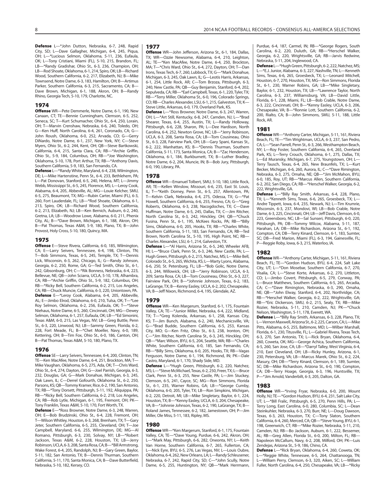**Defense** L—\*John Dutton, Nebraska, 6-7, 248, Rapid City, SD; L—Dave Gallagher, Michigan, 6-4, 245, Piqua, OH; L—\*Lucious Selmon, Oklahoma, 5-11, 236, Eufaula, OK; L—Tony Cristiani, Miami (FL), 5-10, 215, Brandon, FL; LB—\*Randy Gradishar, Ohio St., 6-3, 236, Champion, OH; LB—Rod Shoate, Oklahoma, 6-1, 214, Spiro, OK; LB—Richard Wood, Southern California, 6-2, 217, Elizabeth, NJ; B—Mike Townsend, Notre Dame, 6-3, 183, Hamilton, OH; B—Artimus Parker, Southern California, 6-3, 215, Sacramento, CA; B— Dave Brown, Michigan, 6-1, 188, Akron, OH; B—Randy Rhino, Georgia Tech, 5-10, 179, Charlotte, NC.

#### **1974**

**Offense** WR—Pete Demmerle, Notre Dame, 6-1, 190, New Canaan, CT; TE—Bennie Cunningham, Clemson, 6-5, 252, Seneca, SC; T—Kurt Schumacher, Ohio St., 6-4, 250, Lorain, OH; T—Marvin Crenshaw, Nebraska, 6-6, 240, Toledo, OH; G—Ken Huff, North Carolina, 6-4, 261, Coronado, CA; G— John Roush, Oklahoma, 6-0, 252, Arvada, CO; G—Gerry DiNardo, Notre Dame, 6-1, 237, New York, NY; C—Steve Myers, Ohio St., 6-2, 244, Kent, OH; QB—Steve Bartkowski, California, 6-4, 215, Santa Clara, CA; RB—\*Archie Griffin, Ohio St., 5-9, 184, Columbus, OH; RB—\*Joe Washington, Oklahoma, 5-10, 178, Port Arthur, TX; RB—\*Anthony Davis, Southern California, 5-9, 183, San Fernando, CA.

**Defense** L—\*Randy White, Maryland, 6-4, 238, Wilmington, DE; L—Mike Hartenstine, Penn St., 6-4, 233, Bethlehem, PA; L—Pat Donovan, Stanford, 6-5, 240, Helena, MT; L—Jimmy Webb, Mississippi St., 6-5, 245, Florence, MS; L—Leroy Cook, Alabama, 6-4, 205, Abbeville, AL; MG—Louie Kelcher, SMU, 6-5, 275, Beaumont, TX; MG—Rubin Carter, Miami (FL), 6-3, 260, Fort Lauderdale, FL; LB—\*Rod Shoate, Oklahoma, 6-1, 213, Spiro, OK; LB—Richard Wood, Southern California, 6-2, 213, Elizabeth, NJ; LB—Ken Bernich, Auburn, 6-2, 240, Gretna, LA; LB—Woodrow Lowe, Alabama, 6-0, 211, Phenix City, AL; B—\*Dave Brown, Michigan, 6-1, 188, Akron, OH; B—Pat Thomas, Texas A&M, 5-9, 180, Plano, TX; B—John Provost, Holy Cross, 5-10, 180, Quincy, MA.

#### **1975**

**Offense** E—Steve Rivera, California, 6-0, 185, Wilmington, CA; E—Larry Seivers, Tennessee, 6-4, 198, Clinton, TN; T—Bob Simmons, Texas, 6-5, 245, Temple, TX; T—Dennis Lick, Wisconsin, 6-3, 262, Chicago, IL; G—Randy Johnson, Georgia, 6-2, 250, Rome, GA; G—Ted Smith, Ohio St., 6-1, 242, Gibsonburg, OH; C—\*Rik Bonness, Nebraska, 6-4, 223, Bellevue, NE; QB—John Sciarra, UCLA, 5-10, 178, Alhambra, CA; RB—\*Archie Griffin, Ohio St., 5-9, 182, Columbus, OH; RB—\*Ricky Bell, Southern California, 6-2, 215, Los Angeles, CA; RB—Chuck Muncie, California, 6-3, 220, Uniontown, PA. **Defense** E—\*Leroy Cook, Alabama, 6-4, 205, Abbeville, AL; E—Jimbo Elrod, Oklahoma, 6-0, 210, Tulsa, OK; T—\*Lee Roy Selmon, Oklahoma, 6-2, 256, Eufaula, OK; T—\*Steve Niehaus, Notre Dame, 6-5, 260, Cincinnati, OH; MG—Dewey Selmon, Oklahoma, 6-1, 257, Eufaula, OK; LB—\*Ed Simonini, Texas A&M, 6-0, 215, Las Vegas, NV; LB—Greg Buttle, Penn St., 6-3, 220, Linwood, NJ; LB—Sammy Green, Florida, 6-2, 228, Fort Meade, FL; B—\*Chet Moeller, Navy, 6-0, 189, Kettering, OH; B—Tim Fox, Ohio St., 6-0, 186, Canton, OH; B—Pat Thomas, Texas A&M, 5-10, 180, Plano, TX.

#### **1976**

**Offense** SE—Larry Seivers, Tennessee, 6-4, 200, Clinton, TN; TE—Ken MacAfee, Notre Dame, 6-4, 251, Brockton, MA; T— Mike Vaughan, Oklahoma, 6-5, 275, Ada, OK; T—Chris Ward, Ohio St., 6-4, 274, Dayton, OH; G—Joel Parrish, Georgia, 6-3, 232, Douglas, GA; G—Mark Donahue, Michigan, 6-3, 245, Oak Lawn, IL; C—Derrel Gofourth, Oklahoma St., 6-2, 250, Parsons, KS; QB—Tommy Kramer, Rice, 6-2, 190, San Antonio, TX; RB—\*Tony Dorsett, Pittsburgh, 5-11, 192, Aliquippa, PA; RB—\*Ricky Bell, Southern California, 6-2, 218, Los Angeles, CA; RB—Rob Lytle, Michigan, 6-1, 195, Fremont, OH; PK— Tony Franklin, Texas A&M, 5-10, 170, Fort Worth, TX.

**Defense** E—\*Ross Browner, Notre Dame, 6-3, 248, Warren, OH; E—Bob Brudzinski, Ohio St., 6-4, 228, Fremont, OH; T—Wilson Whitley, Houston, 6-3, 268, Brenham, TX; T—Gary Jeter, Southern California, 6-5, 255, Cleveland, OH; T—Joe Campbell, Maryland, 6-6, 255, Wilmington, DE; MG—Al Romano, Pittsburgh, 6-3, 230, Solvay, NY; LB—\*Robert Jackson, Texas A&M, 6-2, 228, Houston, TX; LB—Jerry Robinson, UCLA, 6-3, 208, Santa Rosa, CA; B—\*Bill Armstrong, Wake Forest, 6-4, 205, Randolph, NJ; B—Gary Green, Baylor, 5-11, 182, San Antonio, TX; B—Dennis Thurman, Southern California, 5-11, 170, Santa Monica, CA; B—Dave Butterfield, Nebraska, 5-10, 182, Kersey, CO.

#### **1977**

**Offense** WR—John Jefferson, Arizona St., 6-1, 184, Dallas, TX; WR—Ozzie Newsome, Alabama, 6-4, 210, Leighton, AL; TE—\*Ken MacAfee, Notre Dame, 6-4, 250, Brockton, MA; T—\*Chris Ward, Ohio St., 6-4, 272, Dayton, OH; T—Dan Irons, Texas Tech, 6-7, 260, Lubbock, TX; G—\*Mark Donahue, Michigan, 6-3, 245, Oak Lawn, IL; G—Leotis Harris, Arkansas, 6-1, 254, Little Rock, AR; C—Tom Brzoza, Pittsburgh, 6-3, 240, New Castle, PA; QB—Guy Benjamin, Stanford, 6-4, 202, Sepulveda, CA; RB—\*Earl Campbell, Texas, 6-1, 220, Tyler, TX; RB—\*Terry Miller, Oklahoma St., 6-0, 196, Colorado Springs, CO; RB-Charles Alexander, LSU, 6-1, 215, Galveston, TX; K-Steve Little, Arkansas, 6-0, 179, Overland Park, KS.

**Defense** L—\*Ross Browner, Notre Dame, 6-3, 247, Warren, OH; L—\*Art Still, Kentucky, 6-8, 247, Camden, NJ; L—\*Brad Shearer, Texas, 6-4, 255, Austin, TX; L—Randy Holloway, Pittsburgh, 6-6, 228, Sharon, PA; L—Dee Hardison, North Carolina, 6-4, 252, Newton Grove, NC; LB—\*Jerry Robinson, UCLA, 6-3, 208, Santa Rosa, CA; LB—Tom Cousineau, Ohio St., 6-3, 228, Fairview Park, OH; LB—Gary Spani, Kansas St., 6-2, 222, Manhattan, KS; B—\*Dennis Thurman, Southern California, 5-11, 173, Santa Monica, CA; B—\*Zac Henderson, Oklahoma, 6-1, 184, Burkburnett, TX; B—Luther Bradley, Notre Dame, 6-2, 204, Muncie, IN; B—Bob Jury, Pittsburgh, 6-0, 190, Library, PA.

#### **1978**

**Offense** WR—Emanuel Tolbert, SMU, 5-10, 180, Little Rock, AR; TE—Kellen Winslow, Missouri, 6-6, 235, East St. Louis, IL; T—\*Keith Dorney, Penn St., 6-5, 257, Allentown, PA; T—Kelvin Clark, Nebraska, 6-4, 275, Odessa, TX; G—\*Pat Howell, Southern California, 6-6, 255, Fresno, CA; G—\*Greg Roberts, Oklahoma, 6-3, 238, Nacogdoches, TX; C—Dave Huffman, Notre Dame, 6-5, 245, Dallas, TX; C—Jim Ritcher, North Carolina St., 6-3, 242, Hinckley, OH; QB—\*Chuck Fusina, Penn St., 6-1, 195, McKees Rocks, PA; RB—\*Billy Sims, Oklahoma, 6-0, 205, Hooks, TX; RB—\*Charles White, Southern California, 5-11, 183, San Fernando, CA; RB—Ted Brown, North Carolina St., 5-10, 195, High Point, NC; RB— Charles Alexander, LSU, 6-1, 214, Galveston, TX.

**Defense** L—\*Al Harris, Arizona St., 6-5, 240, Wheeler AFB, HI; L—\*Bruce Clark, Penn St., 6-3, 246, New Castle, PA; L— Hugh Green, Pittsburgh, 6-2, 215, Natchez, MS; L—Mike Bell, Colorado St., 6-5, 265, Wichita, KS; L—Marty Lyons, Alabama, 6-6, 250, St. Petersburg, FL; LB—\*Bob Golic, Notre Dame, 6-3, 244, Willowick, OH; LB—\*Jerry Robinson, UCLA, 6-3, 209, Santa Rosa, CA; LB—Tom Cousineau, Ohio St., 6-3, 227, Fairview Park, OH; B—\*Johnnie Johnson, Texas, 6-2, 183, LaGrange, TX; B—Kenny Easley, UCLA, 6-2, 202, Chesapeake, VA; B—Jeff Nixon, Richmond, 6-4, 195, Glendale, AZ.

#### **1979**

**Offense** WR—Ken Margerum, Stanford, 6-1, 175, Fountain Valley, CA; TE—\*Junior Miller, Nebraska, 6-4, 222, Midland, TX; T—\*Greg Kolenda, Arkansas, 6-1, 258, Kansas City, KS; T—Jim Bunch, Alabama, 6-2, 240, Mechanicsville, VA; G—\*Brad Budde, Southern California, 6-5, 253, Kansas City, MO; G—Ken Fritz, Ohio St., 6-3, 238, Ironton, OH; C—\*Jim Ritcher, North Carolina St., 6-3, 245, Hinckley, OH; QB—\*Marc Wilson, BYU, 6-5, 204, Seattle, WA; RB—\*Charles White, Southern California, 6-0, 185, San Fernando, CA; RB—\*Billy Sims, Oklahoma, 6-0, 205, Hooks, TX; RB—Vagas Ferguson, Notre Dame, 6-1, 194, Richmond, IN; PK—Dale Castro, Maryland, 6-1, 170, Shady Side, MD.

**Defense** L—\*Hugh Green, Pittsburgh, 6-2, 220, Natchez, MS; L—\*Steve McMichael, Texas, 6-2, 250, Freer, TX; L—Bruce Clark, Penn St., 6-3, 255, New Castle, PA; L—Jim Stuckey, Clemson, 6-5, 241, Cayce, SC; MG—Ron Simmons, Florida St., 6-1, 235, Warner Robins, GA; LB—\*George Cumby, Oklahoma, 6-0, 205, Tyler, TX; LB—Ron Simpkins, Michigan, 6-2, 220, Detroit, MI; LB—Mike Singletary, Baylor, 6-1, 224, Houston, TX; B—\*Kenny Easley, UCLA, 6-3, 204, Chesapeake, VA; B—\*Johnnie Johnson, Texas, 6-2, 190, LaGrange, TX; B— Roland James, Tennessee, 6-2, 182, Jamestown, OH; P—Jim Miller, Ole Miss, 5-11, 183, Ripley, MS.

#### **1980**

**Offense** WR—\*Ken Margerum, Stanford, 6-1, 175, Fountain Valley, CA; TE—\*Dave Young, Purdue, 6-6, 242, Akron, OH; L—\*Mark May, Pittsburgh, 6-6, 282, Oneonta, NY; L—Keith Van Horne, Southern California, 6-7, 265, Fullerton, CA; L—Nick Eyre, BYU, 6-5, 276, Las Vegas, NV; L—Louis Oubre, Oklahoma, 6-4, 262, New Orleans, LA; L—Randy Schleusener, Nebraska, 6-7, 242, Rapid City, SD; C—\*John Scully, Notre Dame, 6-5, 255, Huntington, NY; QB—\*Mark Herrmann,

Purdue, 6-4, 187, Carmel, IN; RB—\*George Rogers, South Carolina, 6-2, 220, Duluth, GA; RB—\*Herschel Walker, Georgia, 6-2, 220, Wrightsville, GA; RB—Jarvis Redwine, Nebraska, 5-11, 204, Inglewood, CA.

**Defense** L—\*Hugh Green, Pittsburgh, 6-2, 222, Natchez, MS; L—\*E.J. Junior, Alabama, 6-3, 227, Nashville, TN; L—Kenneth Sims, Texas, 6-6, 265, Groesbeck, TX; L—Leonard Mitchell, Houston, 6-7, 270, Houston, TX; MG—Ron Simmons, Florida St., 6-1, 230, Warner Robins, GA; LB—\*Mike Singletary, Baylor, 6-1, 232, Houston, TX; LB—\*Lawrence Taylor, North Carolina, 6-3, 237, Williamsburg, VA; LB—David Little, Florida, 6-1, 228, Miami, FL; LB—Bob Crable, Notre Dame, 6-3, 222, Cincinnati, OH; B—\*Kenny Easley, UCLA, 6-3, 206, Chesapeake, VA; B—\*Ronnie Lott, Southern California, 6-2, 200, Rialto, CA; B—John Simmons, SMU, 5-11, 188, Little Rock, AR.

#### **1981**

**Offense** WR—\*Anthony Carter, Michigan, 5-11, 161, Riviera Beach, FL; TE—\*Tim Wrightman, UCLA, 6-3, 237, San Pedro, CA; L—\*Sean Farrell, Penn St., 6-3, 266, Westhampton Beach, NY; L—Roy Foster, Southern California, 6-4, 265, Overland Park, KS; L—Terry Crouch, Oklahoma, 6-1, 275, Dallas, TX; L—Ed Muransky, Michigan, 6-7, 275, Youngstown, OH; L— Terry Tausch, Texas, 6-4, 265, New Braunfels, TX; L—Kurt Becker, Michigan, 6-6, 260, Aurora, IL; C—\*Dave Rimington, Nebraska, 6-3, 275, Omaha, NE; QB—\*Jim McMahon, BYU, 6-0, 185, Roy, UT; RB—\*Marcus Allen, Southern California, 6-2, 202, San Diego, CA; RB—\*Herschel Walker, Georgia, 6-2, 222, Wrightsville, GA.

**Defense** L—\*Billy Ray Smith, Arkansas, 6-4, 228, Plano, TX; L—\*Kenneth Sims, Texas, 6-6, 265, Groesbeck, TX; L— Andre Tippett, Iowa, 6-4, 235, Newark, NJ; L—Tim Krumrie, Wisconsin, 6-3, 237, Mondovi, WI; LB—Bob Crable, Notre Dame, 6-3, 225, Cincinnati, OH; LB—Jeff Davis, Clemson, 6-0, 223, Greensboro, NC; LB—Sal Sunseri, Pittsburgh, 6-0, 220, Pittsburgh, PA; DB—Tommy Wilcox, Alabama, 5-11, 187, Harahan, LA; DB—Mike Richardson, Arizona St., 6-1, 192, Compton, CA; DB—Terry Kinard, Clemson, 6-1, 183, Sumter, SC; DB—Fred Marion, Miami (FL), 6-3, 194, Gainesville, FL; P—Reggie Roby, Iowa, 6-3, 215, Waterloo, IA.

#### **1982**

**Offense** WR—\*Anthony Carter, Michigan, 5-11, 161, Riviera Beach, FL; TE—\*Gordon Hudson, BYU, 6-4, 224, Salt Lake City, UT; L—\*Don Mosebar, Southern California, 6-7, 270, Visalia, CA; L—\*Steve Korte, Arkansas, 6-2, 270, Littleton, CO; L—Jimbo Covert, Pittsburgh, 6-5, 279, Conway, PA; L—Bruce Matthews, Southern California, 6-5, 265, Arcadia, CA; C—\*Dave Rimington, Nebraska, 6-3, 290, Omaha, NE; QB—\*John Elway, Stanford, 6-4, 202, Northridge, CA; RB—\*Herschel Walker, Georgia, 6-2, 222, Wrightsville, GA; RB—\*Eric Dickerson, SMU, 6-2, 215, Sealy, TX; RB—Mike Rozier, Nebraska, 5-11, 210, Camden, NJ; PK—\*Chuck Nelson, Washington, 5-11, 178, Everett, WA.

**Defense** L—\*Billy Ray Smith, Arkansas, 6-3, 228, Plano, TX; L—Vernon Maxwell, Arizona St., 6-2, 225, Carson, CA; L—Mike Pitts, Alabama, 6-5, 255, Baltimore, MD; L—Wilber Marshall, Florida, 6-1, 230, Titusville, FL; L—Gabriel Rivera, Texas Tech, 6-3, 270, San Antonio, TX; L—Rick Bryan, Oklahoma, 6-4, 260, Coweta, OK; MG—George Achica, Southern California, 6-5, 260, San Jose, CA; LB—\*Darryl Talley, West Virginia, 6-4, 210, East Cleveland, OH; LB—Ricky Hunley, Arizona, 6-1, 230, Petersburg, VA; LB—Marcus Marek, Ohio St., 6-2, 224, Masury, OH; DB—\*Terry Kinard, Clemson, 6-1, 189, Sumter, SC; DB—Mike Richardson, Arizona St., 6-0, 190, Compton, CA; DB—Terry Hoage, Georgia, 6-3, 196, Huntsville, TX; P—\*Jim Arnold, Vanderbilt, 6-3, 205, Dalton, GA.

#### **1983**

**Offense** WR—\*Irving Fryar, Nebraska, 6-0, 200, Mount Holly, NJ; TE—\*Gordon Hudson, BYU, 6-4, 231, Salt Lake City, UT; L—\*Bill Fralic, Pittsburgh, 6-5, 270, Penn Hills, PA; L— Terry Long, East Carolina, 6-0, 280, Columbia, SC; L—Dean Steinkuhler, Nebraska, 6-3, 270, Burr, NE; L—Doug Dawson, Texas, 6-3, 263, Houston, TX; C—Tony Slaton, Southern California, 6-4, 260, Merced, CA; QB—\*Steve Young, BYU, 6-1, 198, Greenwich, CT; RB—\*Mike Rozier, Nebraska, 5-11, 210, Camden, NJ; RB—Bo Jackson, Auburn, 6-1, 222, Bessemer, AL; RB—Greg Allen, Florida St., 6-0, 200, Milton, FL; RB— Napoleon McCallum, Navy, 6-2, 208, Milford, OH; PK—Luis Zendejas, Arizona St., 5-9, 186, Chino, CA.

**Defense** L—\*Rick Bryan, Oklahoma, 6-4, 260, Coweta, OK; L—\*Reggie White, Tennessee, 6-5, 264, Chattanooga, TN; L—William Perry, Clemson, 6-3, 320, Aiken, SC; L—William Fuller, North Carolina, 6-4, 250, Chesapeake, VA; LB—\*Ricky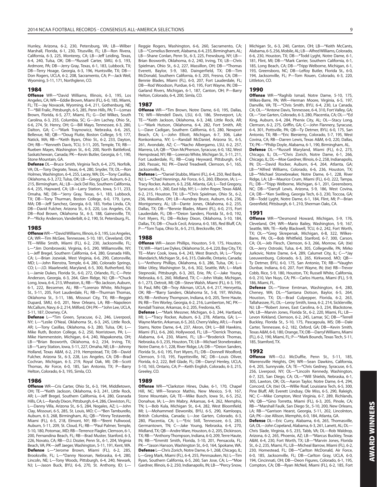Hunley, Arizona, 6-2, 230, Petersburg, VA; LB—Wilber Marshall, Florida, 6-1, 230, Titusville, FL; LB—Ron Rivera, California, 6-3, 225, Monterey, CA; LB—Jeff Leiding, Texas, 6-4, 240, Tulsa, OK; DB—\*Russell Carter, SMU, 6-3, 193, Ardmore, PA; DB—Jerry Gray, Texas, 6-1, 183, Lubbock, TX; DB—Terry Hoage, Georgia, 6-3, 196, Huntsville, TX; DB— Don Rogers, UCLA, 6-2, 208, Sacramento, CA; P—Jack Weil, Wyoming, 5-11, 171, Northglenn, CO.

#### **1984**

**Offense** WR—\*David Williams, Illinois, 6-3, 195, Los Angeles, CA; WR—Eddie Brown, Miami (FL), 6-0, 185, Miami, FL; TE—Jay Novacek, Wyoming, 6-4, 211, Gothenburg, NE; T—\*Bill Fralic, Pittsburgh, 6-5, 285, Penn Hills, PA; T—Lomas Brown, Florida, 6-5, 277, Miami, FL; G—Del Wilkes, South Carolina, 6-3, 255, Columbia, SC; G—Jim Lachey, Ohio St., 6-6, 274, St. Henry, OH; G—Bill Mayo, Tennessee, 6-3, 280, Dalton, GA; C—\*Mark Traynowicz, Nebraska, 6-6, 265, Bellevue, NE; QB—\*Doug Flutie, Boston College, 5-9, 177, Natick, MA; RB—\*Keith Byars, Ohio St., 6-2, 233, Dayton, OH; RB—\*Kenneth Davis, TCU, 5-11, 205, Temple, TX; RB— Rueben Mayes, Washington St., 6-0, 200, North Battleford, Saskatchewan, Canada; PK—Kevin Butler, Georgia, 6-1, 190, Stone Mountain, GA.

**Defense** DL—Bruce Smith, Virginia Tech, 6-4, 275, Norfolk, VA; DL—Tony Degrate, Texas, 6-4, 280, Snyder, TX; DL—Ron Holmes, Washington, 6-4, 255, Lacey, WA; DL—Tony Casillas, Oklahoma, 6-3, 272, Tulsa, OK; LB—Gregg Carr, Auburn, 6-2, 215, Birmingham, AL; LB—Jack Del Rio, Southern California, 6-4, 235, Hayward, CA; LB—Larry Station, Iowa, 5-11, 233, Omaha, NE; DB—\*Jerry Gray, Texas, 6-1, 183, Lubbock, TX; DB—Tony Thurman, Boston College, 6-0, 179, Lynn, MA; DB—Jeff Sanchez, Georgia, 6-0, 183, Yorba Linda, CA; DB—David Fulcher, Arizona St., 6-3, 220, Los Angeles, CA; DB—Rod Brown, Oklahoma St., 6-3, 188, Gainesville, TX; P—\*Ricky Anderson, Vanderbilt, 6-2, 190, St. Petersburg, FL.

#### **1985**

**Offense** WR—\*David Williams, Illinois, 6-3, 195, Los Angeles, CA; WR—Tim McGee, Tennessee, 5-10, 181, Cleveland, OH; TE—Willie Smith, Miami (FL), 6-2, 230, Jacksonville, FL; L—\*Jim Dombrowski, Virginia, 6-5, 290, Williamsville, NY; L—Jeff Bregel, Southern California, 6-4, 280, Granada Hills, CA; L—Brian Jozwiak, West Virginia, 6-6, 290, Catonsville, MD; L—John Rienstra, Temple, 6-4, 280, Colorado Springs, CO; L—J.D. Maarleveld, Maryland, 6-5, 300, Rutherford, NJ; L—Jamie Dukes, Florida St., 6-0, 272, Orlando, FL; C—Pete Anderson, Georgia, 6-3, 264, Glen Ridge, NJ; QB—\*Chuck Long, Iowa, 6-4, 213, Wheaton, IL; RB—\*Bo Jackson, Auburn, 6-1, 222, Bessemer, AL; RB—\*Lorenzo White, Michigan St., 5-11, 205, Fort Lauderdale, FL; RB—Thurman Thomas, Oklahoma St., 5-11, 186, Missouri City, TX; RB—Reggie Dupard, SMU, 6-0, 201, New Orleans, LA; RB—Napoleon McCallum, Navy, 6-2, 214, Milford, OH; PK—\*John Lee, UCLA, 5-11, 187, Downey, CA.

**Defense** L—\*Tim Green, Syracuse, 6-2, 246, Liverpool, NY; L—\*Leslie O'Neal, Oklahoma St., 6-3, 245, Little Rock, AR; L—Tony Casillas, Oklahoma, 6-3, 280, Tulsa, OK; L— Mike Ruth, Boston College, 6-2, 250, Norristown, PA; L— Mike Hammerstein, Michigan, 6-4, 240, Wapakoneta, OH; LB—\*Brian Bosworth, Oklahoma, 6-2, 234, Irving, TX; LB—\*Larry Station, Iowa, 5-11, 227, Omaha, NE; LB—Johnny Holland, Texas A&M, 6-2, 219, Hempstead, TX; DB—David Fulcher, Arizona St., 6-3, 228, Los Angeles, CA; DB—Brad Cochran, Michigan, 6-3, 219, Royal Oak, MI; DB—Scott Thomas, Air Force, 6-0, 185, San Antonio, TX; P—Barry Helton, Colorado, 6-3, 195, Simla, CO.

#### **1986**

**Offense** WR—Cris Carter, Ohio St., 6-3, 194, Middletown, OH; TE—\*Keith Jackson, Oklahoma, 6-3, 241, Little Rock, AR; L—Jeff Bregel, Southern California, 6-4, 280, Granada Hills, CA; L—Randy Dixon, Pittsburgh, 6-4, 286, Clewiston, FL; L—Danny Villa, Arizona St., 6-5, 284, Nogales, AZ; L—John Clay, Missouri, 6-5, 285, St. Louis, MO; C—\*Ben Tamburello, Auburn, 6-3, 268, Birmingham, AL; QB—\*Vinny Testaverde, Miami (FL), 6-5, 218, Elmont, NY; RB—\*Brent Fullwood, Auburn, 5-11, 209, St. Cloud, FL; RB—\*Paul Palmer, Temple, 5-10, 180, Potomac, MD; RB—Terrence Flagler, Clemson, 6-1, 200, Fernandina Beach, FL; RB—Brad Muster, Stanford, 6-3, 226, Novato, CA; RB—D.J. Dozier, Penn St., 6-1, 204, Virginia Beach, VA; PK—Jeff Jaeger, Washington, 5-11, 191, Kent, WA. **Defense** L—\*Jerome Brown, Miami (FL), 6-2, 285, Brooksville, FL; L—\*Danny Noonan, Nebraska, 6-4, 280, Lincoln, NE; L—Tony Woods, Pittsburgh, 6-4, 240, Newark, NJ; L—Jason Buck, BYU, 6-6, 270, St. Anthony, ID; L—

Reggie Rogers, Washington, 6-6, 260, Sacramento, CA; LB—\*Cornelius Bennett, Alabama, 6-4, 235, Birmingham, AL; LB—Shane Conlan, Penn St., 6-3, 225, Frewsburg, NY; LB— Brian Bosworth, Oklahoma, 6-2, 240, Irving, TX; LB—Chris Spielman, Ohio St., 6-2, 227, Massillon, OH; DB—\*Thomas Everett, Baylor, 5-9, 180, Daingerfield, TX; DB—Tim McDonald, Southern California, 6-3, 205, Fresno, CA; DB— Bennie Blades, Miami (FL), 6-0, 207, Fort Lauderdale, FL; DB—Rod Woodson, Purdue, 6-0, 195, Fort Wayne, IN; DB— Garland Rivers, Michigan, 6-1, 187, Canton, OH; P—Barry Helton, Colorado, 6-4, 200, Simla, CO.

#### **1987**

**Offense** WR—\*Tim Brown, Notre Dame, 6-0, 195, Dallas, TX; WR—Wendell Davis, LSU, 6-0, 186, Shreveport, LA; TE—\*Keith Jackson, Oklahoma, 6-3, 248, Little Rock, AR; L—\*Mark Hutson, Oklahoma, 6-4, 282, Fort Smith, AR; L—Dave Cadigan, Southern California, 6-5, 280, Newport Beach, CA; L—John Elliott, Michigan, 6-7, 306, Lake Ronkonkoma, NY; L—Randall McDaniel, Arizona St., 6-5, 261, Avondale, AZ; C—\*Nacho Albergamo, LSU, 6-2, 257, Marrera, LA; QB—\*Don McPherson, Syracuse, 6-0, 182, West Hempstead, NY; RB—Lorenzo White, Michigan St., 5-11, 211, Fort Lauderdale, FL; RB—Craig Heyward, Pittsburgh, 6-0, 260, Passaic, NJ; PK—David Treadwell, Clemson, 6-1, 165, Jacksonville, FL.

**Defense** L—\*Daniel Stubbs, Miami (FL), 6-4, 250, Red Bank, NJ; L—\*Chad Hennings, Air Force, 6-5, 260, Elboron, IA; L— Tracy Rocker, Auburn, 6-3, 258, Atlanta, GA; L—Ted Gregory, Syracuse, 6-1, 260, East Islip, NY; L—John Roper, Texas A&M, 6-2, 215, Houston, TX; LB—\*Chris Spielman, Ohio St., 6-2, 236, Massillon, OH; LB—Aundray Bruce, Auburn, 6-6, 236, Montgomery, AL; LB—Dante Jones, Oklahoma, 6-2, 235, Dallas, TX; DB—\*Bennie Blades, Miami (FL), 6-0, 215, Fort Lauderdale, FL; DB—\*Deion Sanders, Florida St., 6-0, 192, Fort Myers, FL; DB—Rickey Dixon, Oklahoma, 5-10, 184, Dallas, TX; DB—Chuck Cecil, Arizona, 6-0, 185, Red Bluff, CA; P—\*Tom Tupa, Ohio St., 6-5, 215, Brecksville, OH.

#### **1988**

**Offense** WR—Jason Phillips, Houston, 5-9, 175, Houston, TX; WR—Hart Lee Dykes, Oklahoma St., 6-4, 220, Bay City, TX; TE—Marv Cook, Iowa, 6-4, 243, West Branch, IA; L—\*Tony Mandarich, Michigan St., 6-6, 315, Oakville, Ontario, Canada; L—\*Anthony Phillips, Oklahoma, 6-3, 286, Tulsa, OK; L— Mike Utley, Washington St., 6-6, 302, Seattle, WA; L—Mark Stepnoski, Pittsburgh, 6-3, 265, Erie, PA; C—Jake Young, Nebraska, 6-5, 260, Midland, TX; C—John Vitale, Michigan, 6-1, 273, Detroit, MI; QB—Steve Walsh, Miami (FL), 6-3, 195, St. Paul, MN; QB—Troy Aikman, UCLA, 6-4, 217, Henryetta, OK; RB—\*Barry Sanders, Oklahoma St., 5-8, 197, Wichita, KS; RB—Anthony Thompson, Indiana, 6-0, 205, Terre Haute, IN; RB—Tim Worley, Georgia, 6-2, 216, Lumberton, NC; PK— Kendall Trainor, Arkansas, 6-2, 205, Fredonia, KS.

**Defense** L—\*Mark Messner, Michigan, 6-3, 244, Hartland, MI; L—\*Tracy Rocker, Auburn, 6-3, 278, Atlanta, GA; L— Wayne Martin, Arkansas, 6-5, 263, Cherry Valley, AR; L—Frank Stams, Notre Dame, 6-4, 237, Akron, OH; L—Bill Hawkins, Miami (FL), 6-6, 260, Hollywood, FL; LB—\*Derrick Thomas, Alabama, 6-4, 230, Miami, FL; LB—\*Broderick Thomas, Nebraska, 6-3, 235, Houston, TX; LB—Michael Stonebreaker, Notre Dame, 6-1, 228, River Ridge, LA; DB—\*Deion Sanders, Florida St., 6-0, 195, Fort Myers, FL; DB—Donnell Woolford, Clemson, 5-10, 195, Fayetteville, NC; DB—Louis Oliver, Florida, 6-2, 222, Bell Glade, FL; DB—Darryl Henley, UCLA, 5-10, 165, Ontario, CA; P—Keith English, Colorado, 6-3, 215, Greeley, CO.

#### **1989**

**Offense** WR—\*Clarkston Hines, Duke, 6-1, 170, Chapel Hill, NC; WR—Terance Mathis, New Mexico, 5-9, 167, Stone Mountain, GA; TE—Mike Busch, Iowa St., 6-5, 252, Donahue, IA; L—Jim Mabry, Arkansas, 6-4, 262, Memphis, TN; L—Bob Kula, Michigan St., 6-4, 282, West Bloomfield, MI; L—Mohammed Elewonibi, BYU, 6-5, 290, Kamloops, British Columbia, Canada; L—Joe Garten, Colorado, 6-3, 280, Placentia, CA; L—\*Eric Still, Tennessee, 6-3, 283, Germantown, TN; C—Jake Young, Nebraska, 6-4, 270, Midland, TX; QB—Andre Ware, Houston, 6-2, 205, Dickinson, TX; RB—\*Anthony Thompson, Indiana, 6-0, 209, Terre Haute, IN; RB—\*Emmitt Smith, Florida, 5-10, 201, Pensacola, FL; PK—\*Jason Hanson, Washington St., 6-0, 164, Spokane, WA. **Defense** L—Chris Zorich, Notre Dame, 6-1, 268, Chicago, IL; L—Greg Mark, Miami (FL), 6-4, 255, Pennsauken, NJ; L—Tim Ryan, Southern California, 6-5, 260, San Jose, CA; L—\*Moe Gardner, Illinois, 6-2, 250, Indianapolis, IN; LB—\*Percy Snow, Michigan St., 6-3, 240, Canton, OH; LB—\*Keith McCants, Alabama, 6-5, 256, Mobile, AL; LB—Alfred Williams, Colorado, 6-6, 230, Houston, TX; DB—\*Todd Lyght, Notre Dame, 6-1, 181, Flint, MI; DB—\*Mark Carrier, Southern California, 6-1, 185, Long Beach, CA; DB—\*Tripp Welborne, Michigan, 6-1, 193, Greensboro, NC; DB—LeRoy Butler, Florida St., 6-0, 194, Jacksonville, FL; P—Tom Rouen, Colorado, 6-3, 220, Littleton, CO.

#### **1990**

**Offense** WR—\*Raghib Ismail, Notre Dame, 5-10, 175, Wilkes-Barre, PA; WR—Herman Moore, Virginia, 6-5, 197, Danville, VA; TE—\*Chris Smith, BYU, 6-4, 230, La Canada, CA; OL—\*Antone Davis, Tennessee, 6-4, 310, Fort Valley, GA; OL—\*Joe Garten, Colorado, 6-3, 280, Placentia, CA; OL—\*Ed King, Auburn, 6-4, 284, Phenix City, AL; OL—Stacy Long, Clemson, 6-2, 275, Griffin, GA; C—John Flannery, Syracuse, 6-4, 301, Pottsville, PA; QB—Ty Detmer, BYU, 6-0, 175, San Antonio, TX; RB—\*Eric Bieniemy, Colorado, 5-7, 195, West Covina, CA; RB—Darren Lewis, Texas A&M, 6-0, 220, Dallas, TX; PK—\*Philip Doyle, Alabama, 6-1, 190, Birmingham, AL. **Defense** DL—\*Russell Maryland, Miami (FL), 6-2, 273, Chicago, IL; DL—\*Chris Zorich, Notre Dame, 6-1, 266,

Chicago, IL; DL—Moe Gardner, Illinois, 6-2, 258, Indianapolis, IN; DL—David Rocker, Auburn, 6-4, 264, Atlanta, GA; LB—\*Alfred Williams, Colorado, 6-6, 236, Houston, TX; LB—\*Michael Stonebreaker, Notre Dame, 6-1, 228, River Ridge, LA; LB—Maurice Crum, Miami (FL), 6-0, 222, Tampa, FL; DB—\*Tripp Welborne, Michigan, 6-1, 201, Greensboro, NC; DB—\*Darryll Lewis, Arizona, 5-9, 186, West Covina, CA; DB—\*Ken Swilling, Georgia Tech, 6-3, 230, Toccoa, GA; DB—Todd Lyght, Notre Dame, 6-1, 184, Flint, MI; P—Brian Greenfield, Pittsburgh, 6-1, 210, Sherman Oaks, CA.

#### **1991**

**Offense** WR—\*Desmond Howard, Michigan, 5-9, 176, Cleveland, OH; WR—Mario Bailey, Washington, 5-9, 167, Seattle, WA; TE—Kelly Blackwell, TCU, 6-2, 242, Fort Worth, TX; OL—\*Greg Skrepenak, Michigan, 6-8, 322, Wilkes-Barre, PA; OL—Bob Whitfield, Stanford, 6-7, 300, Carson, CA; OL—Jeb Flesch, Clemson, 6-3, 266, Morrow, GA; (tie) OL—Jerry Ostroski, Tulsa, 6-4, 305, Collegeville, PA; Mirko Jurkovic, Notre Dame, 6-4, 289, Calumet City, IL; C—\*Jay Leeuwenburg, Colorado, 6-3, 265, Kirkwood, MO; QB— Ty Detmer, BYU, 6-0, 175, San Antonio, TX; RB—\*Vaughn Dunbar, Indiana, 6-0, 207, Fort Wayne, IN; (tie) RB—Trevor Cobb, Rice, 5-9, 180, Houston, TX; Russell White, California, 6-0, 210, Van Nuys, CA; PK—Carlos Huerta, Miami (FL), 5-9, 186, Miami, FL.

**Defense** DL—\*Steve Emtman, Washington, 6-4, 280, Cheney, WA; DL—\*Santana Dotson, Baylor, 6-5, 264, Houston, TX; DL—Brad Culpepper, Florida, 6-2, 263, Tallahassee, FL; DL—Leroy Smith, Iowa, 6-2, 214, Sicklerville, NJ; LB—\*Robert Jones, East Carolina, 6-3, 234, Blackstone, VA; LB—Marvin Jones, Florida St., 6-2, 220, Miami, FL; LB— Levon Kirkland, Clemson, 6-2, 245, Lamar, SC; DB—\*Terrell Buckley, Florida St., 5-10, 175, Pascagoula, MS; DB—Dale Carter, Tennessee, 6-2, 182, Oxford, GA; DB—Kevin Smith, Texas A&M, 6-0, 180, Orange, TX; DB—Darryl Williams, Miami (FL), 6-2, 190, Miami, FL; P—\*Mark Bounds, Texas Tech, 5-11, 185, Stamford, TX.

#### **1992**

**Offense** WR—O.J. McDuffie, Penn St., 5-11, 185, Warrensville Heights, OH; WR—Sean Dawkins, California, 6-4, 205, Sunnyvale, CA; TE—\*Chris Gedney, Syracuse, 6-5, 256, Liverpool, NY; OL—\*Lincoln Kennedy, Washington, 6-7, 325, San Diego, CA; OL—\*Will Shields, Nebraska, 6-1, 305, Lawton, OK; OL—Aaron Taylor, Notre Dame, 6-4, 294, Concord, CA; (tie) OL—Willie Roaf, Louisiana Tech, 6-5, 300, Pine Bluff, AR; Everett Lindsay, Ole Miss, 6-5, 290, Raleigh, NC; C—Mike Compton, West Virginia, 6-7, 289, Richlands, VA; QB—\*Gino Torretta, Miami (FL), 6-3, 205, Pinole, CA; RB—\*Marshall Faulk, San Diego St., 5-10, 200, New Orleans, LA; RB—\*Garrison Hearst, Georgia, 5-11, 202, Lincolnton, GA; PK—Joe Allison, Memphis, 6-0, 184, Atlanta, GA.

**Defense** DL—Eric Curry, Alabama, 6-6, 265, Thomasville, GA; DL—John Copeland, Alabama, 6-3, 261, Lanett, AL; DL— Chris Slade, Virginia, 6-5, 235, Tabb, VA; DL—Rob Waldrop, Arizona, 6-2, 265, Phoenix, AZ; LB—\*Marcus Buckley, Texas A&M, 6-4, 230, Fort Worth, TX; LB—\*Marvin Jones, Florida St., 6-2, 235, Miami, FL; LB—Micheal Barrow, Miami (FL), 6-2, 230, Homestead, FL; DB—\*Carlton McDonald, Air Force, 6-0, 185, Jacksonville, FL; DB—Carlton Gray, UCLA, 6-0, 194, Cincinnati, OH; DB—Deon Figures, Colorado, 6-1, 195, Compton, CA; DB—Ryan McNeil, Miami (FL), 6-2, 185, Fort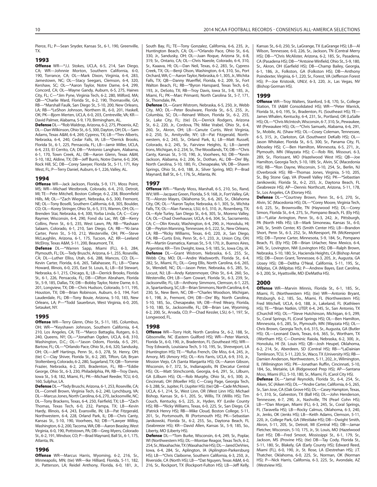Pierce, FL; P—Sean Snyder, Kansas St., 6-1, 190, Greenville, TX.

#### **1993**

**Offense** WR—\*J.J. Stokes, UCLA, 6-5, 214, San Diego, CA; WR—Johnnie Morton, Southern California, 6-0, 190, Torrance, CA; OL—Mark Dixon, Virginia, 6-4, 283, Jamestown, NC; OL—Stacy Seegars, Clemson, 6-4, 320, Kershaw, SC; OL—\*Aaron Taylor, Notre Dame, 6-4, 299, Concord, CA; OL—Wayne Gandy, Auburn, 6-5, 275, Haines City, FL; C—\*Jim Pyne, Virginia Tech, 6-2, 280, Milford, MA; QB—\*Charlie Ward, Florida St., 6-2, 190, Thomasville, GA; RB—\*Marshall Faulk, San Diego St., 5-10, 200, New Orleans, LA; RB—\*LeShon Johnson, Northern Ill., 6-0, 201, Haskell, OK; PK—Bjorn Merten, UCLA, 6-0, 203, Centreville, VA; KR— David Palmer, Alabama, 5-9, 170, Birmingham, AL.

**Defense** DL—\*Rob Waldrop, Arizona, 6-2, 275, Phoenix, AZ; DL—Dan Wilkinson, Ohio St., 6-5, 300, Dayton, OH; DL—Sam Adams, Texas A&M, 6-4, 269, Cypress, TX; LB—\*Trev Alberts, Nebraska, 6-4, 240, Cedar Falls, IA; LB—\*Derrick Brooks, Florida St., 6-1, 225, Pensacola, FL; LB—Jamir Miller, UCLA, 6-4, 233, El Cerrito, CA; DB—\*Antonio Langham, Alabama, 6-1, 170, Town Creek, AL; DB—Aaron Glenn, Texas A&M, 5-10, 182, Aldine, TX; DB—Jeff Burris, Notre Dame, 6-0, 204, Rock Hill, SC; DB—Corey Sawyer, Florida St., 5-11, 171, Key West, FL; P—Terry Daniel, Auburn, 6-1, 226, Valley, AL.

#### **1994**

**Offense** WR—Jack Jackson, Florida, 5-9, 171, Moss Point, MS; WR—Michael Westbrook, Colorado, 6-4, 210, Detroit, MI; TE—Pete Mitchell, Boston College, 6-2, 238, Bloomfield Hills, MI; OL—\*Zach Wiegert, Nebraska, 6-5, 300, Fremont, NE; OL—Tony Boselli, Southern California, 6-8, 305, Boulder, CO; OL—Korey Stringer, Ohio St., 6-5, 315, Warren, OH; OL— Brenden Stai, Nebraska, 6-4, 300, Yorba Linda, CA; C—Cory Raymer, Wisconsin, 6-4, 290, Fond du Lac, WI; QB—Kerry Collins, Penn St., 6-5, 235, West Lawn, PA; RB—\*Rashaan Salaam, Colorado, 6-1, 210, San Diego, CA; RB—\*Ki-Jana Carter, Penn St., 5-10, 212, Westerville, OH; PK—Steve McLaughlin, Arizona, 6-1, 175, Tucson, AZ; KR—Leeland McElroy, Texas A&M, 5-11, 200, Beaumont, TX.

**Defense** DL—\*Warren Sapp, Miami (FL), 6-3, 284, Plymouth, FL; DL—Tedy Bruschi, Arizona, 6-1, 255, Roseville, CA; DL—Luther Elliss, Utah, 6-6, 288, Mancos, CO; DL— Kevin Carter, Florida, 6-6, 265, Tallahassee, FL; LB—\*Dana Howard, Illinois, 6-0, 235, East St. Louis, IL; LB—Ed Stewart, Nebraska, 6-1, 215, Chicago, IL; LB—Derrick Brooks, Florida St., 6-1, 226, Pensacola, FL; DB—Clifton Abraham, Florida St., 5-9, 185, Dallas, TX; DB—Bobby Taylor, Notre Dame, 6-3, 201, Longview, TX; DB—Chris Hudson, Colorado, 5-11, 195, Houston, TX; DB—Brian Robinson, Auburn, 6-3, 194, Fort Lauderdale, FL; DB—Tony Bouie, Arizona, 5-10, 183, New Orleans, LA; P—\*Todd Sauerbrun, West Virginia, 6-0, 205, Setauket, NY.

#### **1995**

**Offense** WR—Terry Glenn, Ohio St., 5-11, 185, Columbus, OH; WR—\*Keyshawn Johnson, Southern California, 6-4, 210, Los Angeles, CA; TE—\*Marco Battaglia, Rutgers, 6-3, 240, Queens, NY; OL—\*Jonathan Ogden, UCLA, 6-8, 310, Washington, D.C.; OL—\*Jason Odom, Florida, 6-5, 291, Bartow, FL; OL—\*Orlando Pace, Ohio St., 6-6, 320, Sandusky, OH; OL—Jeff Hartings, Penn St., 6-3, 278, St. Henry, OH; (tie) C—Clay Shiver, Florida St., 6-2, 285, Tifton, GA; Bryan Stoltenberg, Colorado, 6-2, 280, Sugarland, TX; QB—Tommie Frazier, Nebraska, 6-2, 205, Bradenton, FL; RB—\*Eddie George, Ohio St., 6-3, 230, Philadelphia, PA; RB—Troy Davis, Iowa St., 5-8, 182, Miami, FL; PK—Michael Reeder, TCU, 6-0, 160, Sulphur, LA.

**Defense** DL—\*Tedy Bruschi, Arizona, 6-1, 253, Roseville, CA; DL—Cornell Brown, Virginia Tech, 6-2, 240, Lynchburg, VA; DL—Marcus Jones, North Carolina, 6-6, 270, Jacksonville, NC; DL—Tony Brackens, Texas, 6-4, 250, Fairfield, TX; LB—\*Zach Thomas, Texas Tech, 6-0, 232, Pampa, TX; LB—Kevin Hardy, Illinois, 6-4, 243, Evansville, IN; LB—Pat Fitzgerald, Northwestern, 6-4, 228, Orland Park, IL; DB—Chris Canty, Kansas St., 5-10, 190, Voorhees, NJ; DB—\*Lawyer Milloy, Washington, 6-2, 200, Tacoma, WA; DB—Aaron Beasley, West Virginia, 6-0, 190, Pottstown, PA; DB—Greg Myers, Colorado St., 6-2, 191, Windsor, CO; P—Brad Maynard, Ball St., 6-1, 175, Atlanta, IN.

#### **1996**

**Offense** WR—Marcus Harris, Wyoming, 6-2, 216, Sr., Minneapolis, MN; (tie) WR—Ike Hilliard, Florida, 5-11, 182, Jr., Patterson, LA; Reidel Anthony, Florida, 6-0, 181, Jr., South Bay, FL; TE—Tony Gonzalez, California, 6-6, 235, Jr., Huntington Beach, CA; OL—\*Orlando Pace, Ohio St., 6-6, 330, Jr., Sandusky, OH; OL—Juan Roque, Arizona St., 6-8, 319, Sr., Ontario, CA; OL—Chris Naeole, Colorado, 6-4, 310, Sr., Kaaava, HI; OL—Dan Neil, Texas, 6-2, 283, Sr., Cypress Creek, TX; OL—Benji Olson, Washington, 6-4, 310, So., Port Orchard, WA; C—Aaron Taylor, Nebraska, 6-1, 305, Jr., Wichita Falls, TX; QB—Danny Wuerffel, Florida, 6-2, 209, Sr., Fort Walton Beach, FL; RB—\*Byron Hanspard, Texas Tech, 6-0, 193, Jr., DeSoto, TX; RB—Troy Davis, Iowa St., 5-8, 185, Jr., Miami, FL; PK—Marc Primanti, North Carolina St., 5-7, 171, Sr., Thorndale, PA.

**Defense** DL—Grant Wistrom, Nebraska, 6-5, 250, Jr., Webb City, MO; DL—Peter Boulware, Florida St., 6-5, 255, Jr., Columbia, SC; DL—Reinard Wilson, Florida St., 6-2, 255, Sr., Lake City, FL; (tie) DL—Derrick Rodgers, Arizona St., 6-2, 220, Jr., Cordova, TN; Mike Vrabel, Ohio St., 6-4, 260, Sr., Akron, OH; LB—Canute Curtis, West Virginia, 6-2, 250, Sr., Amityville, NY; LB—Pat Fitzgerald, Northwestern, 6-2, 243, Sr., Orland Park, IL; LB—Matt Russell, Colorado, 6-2, 245, Sr., Fairview Heights, IL; LB—Jarrett Irons, Michigan, 6-2, 234, Sr., The Woodlands, TX; DB—\*Chris Canty, Kansas St., 5-10, 190, Jr., Voorhees, NJ; DB—\*Kevin Jackson, Alabama, 6-2, 206, Sr., Dothan, AL; DB—Dre' Bly, North Carolina, 5-10, 180, Fr., Chesapeake, VA; DB—Shawn Springs, Ohio St., 6-0, 188, Jr., Silver Spring, MD; P—Brad Maynard, Ball St., 6-1, 176, Sr., Atlanta, IN.

#### **1997**

**Offense** WR—\*Randy Moss, Marshall, 6-5, 210, So., Rand, WV; WR—Jacquez Green, Florida, 5-9, 168, Jr., Fort Valley, GA; TE—Alonzo Mayes, Oklahoma St., 6-6, 265, Sr., Oklahoma City, OK; OL—\*Aaron Taylor, Nebraska, 6-1, 305, Sr., Wichita Falls, TX; OL—Alan Faneca, LSU, 6-5, 310, Jr., Rosenberg, TX; OL—Kyle Turley, San Diego St., 6-6, 305, Sr., Moreno Valley, CA; OL—Chad Overhauser, UCLA, 6-6, 304, Sr., Sacramento, CA; C—Olin Kreutz, Washington, 6-4, 290, Jr., Honolulu, HI; QB—Peyton Manning, Tennessee, 6-5, 222, Sr., New Orleans, LA; RB—\*Ricky Williams, Texas, 6-0, 220, Jr., San Diego, CA; RB—Curtis Enis, Penn St., 6-1, 233, Jr., Union City, OH; PK—Martin Gramatica, Kansas St., 5-9, 170, Jr., Buenos Aires, Argentina; KR—Tim Dwight, Iowa, 5-9, 185, Sr., Iowa City, IA. **Defense** DL—Grant Wistrom, Nebraska, 6-5, 255, Sr., Webb City, MO; DL—Andre Wadsworth, Florida St., 6-4, 282, Sr., Miami, FL; DL—Greg Ellis, North Carolina, 6-6, 265, Sr., Wendell, NC; DL—Jason Peter, Nebraska, 6-5, 285, Sr., Locust, NJ; LB—Andy Katzenmoyer, Ohio St., 6-4, 260, So., Westerville, OH; LB—Sam Cowart, Florida St., 6-3, 239, Sr., Jacksonville, FL; LB—Anthony Simmons, Clemson, 6-1, 225, Jr., Spartanburg, SC; LB—Brian Simmons, North Carolina, 6-4, 230, Sr., New Bern, NC; DB—\*Charles Woodson, Michigan, 6-1, 198, Jr., Fremont, OH; DB—Dre' Bly, North Carolina, 5-10, 185, So., Chesapeake, VA; DB—Fred Weary, Florida, 5-10, 180, Sr., Jacksonville, FL; DB—Brian Lee, Wyoming, 6-2, 200, Sr., Arvada, CO; P—Chad Kessler, LSU, 6-1, 197, Sr., Longwood, FL.

#### **1998**

**Offense** WR—Torry Holt, North Carolina St., 6-2, 188, Sr., Gibsonville, NC (Eastern Guilford HS); WR—Peter Warrick, Florida St., 6-0, 190, Jr., Bradenton, FL (Southeast HS); WR— Troy Edwards, Louisiana Tech, 5-10, 195, Sr., Shreveport, LA (Huntington HS); TE—\*Rufus French, Ole Miss, 6-4, 245, Jr., Amory, MS (Amory HS); OL—Kris Farris, UCLA, 6-9, 310, Jr., Mission Viejo, CA (Santa Margarita HS); OL—Aaron Gibson, Wisconsin, 6-7, 372, Sr., Indianapolis, IN (Decatur Central HS); OL—Matt Stinchcomb, Georgia, 6-6, 291, Sr., Lilburn, GA (Lilburn HS); OL—Rob Murphy, Ohio St., 6-5, 300, Jr., Cincinnati, OH (Moeller HS); C—Craig Page, Georgia Tech, 6-3, 288, Sr., Jupiter, FL (Jupiter HS); (tie) QB—Cade McNown, UCLA, 6-1, 214, Sr., West Linn, OR (West Linn HS); Michael Bishop, Kansas St., 6-1, 205, Sr., Willis, TX (Willis HS); Tim Couch, Kentucky, 6-5, 225, Jr., Hyden, KY (Leslie County HS); RB—\*Ricky Williams, Texas, 6-0, 225, Sr., San Diego, CA (Patrick Henry HS); RB—Mike Cloud, Boston College, 5-11, 201, Sr., Portsmouth, RI (Portsmouth HS); PK—Sebastian Janikowski, Florida St., 6-2, 255, So., Daytona Beach, FL (Seabreeze HS); KR—David Allen, Kansas St., 5-9, 185, So., Liberty, MO (Liberty HS).

**Defense** DL—\*Tom Burke, Wisconsin, 6-4, 249, Sr., Poplar, WI (Northwestern HS); DL—Montae Reagor, Texas Tech, 6-2, 254, Sr., Waxahachie, TX (Waxahachie HS); DL—Jared DeVries, Iowa, 6-4, 284, Sr., Aplington, IA (Aplington-Parkersburg HS); LB—\*Chris Claiborne, Southern California, 6-3, 250, Jr., Riverside, CA (North HS); LB—\*Dat Nguyen, Texas A&M, 6-0, 216, Sr., Rockport, TX (Rockport-Fulton HS); LB—Jeff Kelly, Kansas St., 6-0, 250, Sr., LaGrange, TX (LaGrange HS); LB—Al Wilson, Tennessee, 6-0, 226, Sr., Jackson, TN (Central Merry HS); DB—\*Chris McAlister, Arizona, 6-2, 185, Sr., Pasadena, CA (Pasadena HS); DB—\*Antoine Winfield, Ohio St., 5-9, 180, Sr., Akron, OH (Garfield HS); DB—Champ Bailey, Georgia, 6-1, 186, Jr., Folkston, GA (Folkston HS); DB—Anthony Poindexter, Virginia, 6-1, 220, Sr., Forest, VA (Jefferson Forest HS); P—Joe Kristosik, UNLV, 6-3, 220, Jr., Las Vegas, NV (Bishop Gorman HS).

#### **1999**

**Offense** WR—Troy Walters, Stanford, 5-8, 170, Sr., College Station, TX (A&M Consolidated HS); WR—\*Peter Warrick, Florida St., 6-0, 195, Sr., Bradenton, FL (Southeast HS); TE— James Whalen, Kentucky, 6-4, 231, Sr., Portland, OR (LaSalle HS); OL—\*Chris McIntosh, Wisconsin, 6-7, 310, Sr., Pewaukee, WI (Pewaukee HS); OL—\*Chris Samuels, Alabama, 6-6, 291, Sr., Mobile, AL (Shaw HS); OL—Cosey Coleman, Tennessee, 6-5, 315, Jr., Clarkston, GA (Southwest DeKalb HS); OL— Jason Whitaker, Florida St., 6-5, 300, Sr., Panama City, FL (Moseley HS); C—Ben Hamilton, Minnesota, 6-5, 271, Jr., Plymouth, MN (Wayzata HS); C—Rob Riti, Missouri, 6-3, 289, Sr., Florissant, MO (Hazelwood West HS); QB—Joe Hamilton, Georgia Tech, 5-10, 189, Sr., Alvin, SC (Macedonia HS); RB—\*Ron Dayne, Wisconsin, 5-10, 254, Sr., Berlin, NJ (Overbrook HS); RB—Thomas Jones, Virginia, 5-10, 205, Sr., Big Stone Gap, VA (Powell Valley HS); PK—\*Sebastian Janikowski, Florida St., 6-2, 255, Jr., Daytona Beach, FL (Seabreeze HS); AP—Dennis Northcutt, Arizona, 5-11, 178, Sr., Los Angeles, CA (Dorsey HS).

**Defense** DL—\*Courtney Brown, Penn St., 6-5, 270, Sr., Alvin, SC (Macedonia HS); DL—\*Corey Moore, Virginia Tech, 6-0, 225, Sr., Brownsville, TN (Haywood HS); DL—Corey Simon, Florida St., 6-4, 275, Sr., Pompano Beach, FL (Ely HS); LB—\*LaVar Arrington, Penn St., 6-3, 242, Jr., Pittsburgh, PA (North Hills HS); LB—Mark Simoneau, Kansas St., 6-0, 240, Sr., Smith Center, KS (Smith Center HS); LB—Brandon Short, Penn St., 6-3, 252, Sr., McKeesport, PA (McKeesport HS); DB—Tyrone Carter, Minnesota, 5-9, 184, Sr., Pompano Beach, FL (Ely HS); DB—Brian Urlacher, New Mexico, 6-4, 240, Sr., Lovington, NM (Lovington HS); DB—Ralph Brown, Nebraska, 5-10, 180, Sr., Hacienda Heights, CA (Bishop Amat HS); DB—Deon Grant, Tennessee, 6-3, 205, Jr., Augusta, GA (Josey HS); DB—Deltha O'Neal, California, 5-11, 195, Sr., Milpitas, CA (Milpitas HS); P—Andrew Bayes, East Carolina, 6-3, 200, Sr., Hyattsville, MD (DeMatha HS).

#### **2000**

**Offense** WR—Marvin Minnis, Florida St., 6-1, 185, Sr., Miami, FL (Northwestern HS); (tie) WR—Antonio Bryant, Pittsburgh, 6-2, 185, So., Miami, FL (Northwestern HS); Fred Mitchell, UCLA, 6-0, 188, Jr., Lakeland, FL (Kathleen HS); TE—\*Brian Natkin, UTEP, 6-4, 245, Sr., San Antonio, TX (Churchill HS); OL—\*Steve Hutchinson, Michigan, 6-5, 299, Sr., Coral Springs, FL (Coral Springs HS); OL—Ben Hamilton, Minnesota, 6-5, 285, Sr., Plymouth, MN (Wayzata HS); OL— Chris Brown, Georgia Tech, 6-6, 315, Sr., Augusta, GA (Butler HS); OL—Leonard Davis, Texas, 6-6, 365, Sr., Wortham, TX (Wortham HS); C—Dominic Raiola, Nebraska, 6-2, 300, Jr., Honolulu, HI (St. Louis HS); QB—Josh Heupel, Oklahoma, 6-2, 214, Sr., Aberdeen, SD (Central HS); RB—\*LaDainian Tomlinson, TCU, 5-11, 220, Sr., Waco, TX (University HS); RB— Damien Anderson, Northwestern, 5-11, 202, Jr., Wilmington, IL (Wilmington HS); PK—Jonathan Ruffin, Cincinnati, 5-10, 184, So., Metairie, LA (Ridgewood Prep HS); AP—Santana Moss, Miami (FL), 5-10, 180, Sr., Miami, FL (Carol City HS).

**Defense** DL—\*Jamal Reynolds, Florida St., 6-4, 254, Sr., Aiken, SC (Aiken HS); DL—\*Andre Carter, California, 6-5, 265, Sr., San Jose, CA (Oak Grove HS); DL—Casey Hampton, Texas, 6-1, 310, Sr., Galveston, TX (Ball HS); DL—John Henderson, Tennessee, 6-7, 290, Jr., Nashville, TN (Pearl Cohn HS); LB—\*Dan Morgan, Miami (FL), 6-3, 245, Sr., Coral Springs, FL (Taravella HS); LB—Rocky Calmus, Oklahoma, 6-3, 240, Jr., Jenks, OK (Jenks HS); LB—Keith Adams, Clemson, 5-11, 220, Jr., College Park, GA (Westlake HS); DB—Dwight Smith, Akron, 5-11, 205, Sr., Detroit, MI (Central HS); DB—Jamar Fletcher, Wisconsin, 5-10, 175, Jr., St. Louis, MO (Hazelwood East HS); DB—Fred Smoot, Mississippi St., 6-1, 179, Sr., Jackson, MS (Provine HS); (tie) DB—Tay Cody, Florida St., 5-11, 180, Sr., Blakely, GA (Early County HS); Edward Reed, Miami (FL), 6-0, 190, Jr., St. Rose, LA (Destrehan HS); J.T. Thatcher, Oklahoma, 6-0, 225, Sr., Norman, OK (Norman HS); P—Nick Harris, California, 6-3, 225, Sr., Avondale, AZ (Westview HS).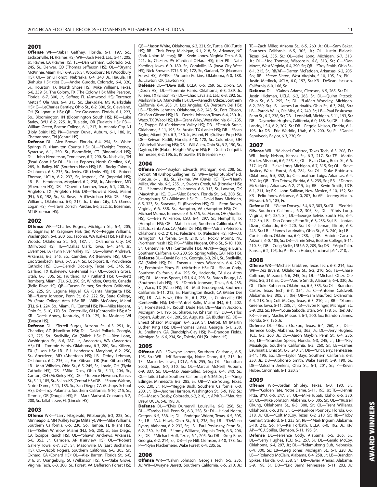#### **2001**

**Offense** WR—\*Jabar Gaffney, Florida, 6-1, 197, So., Jacksonville, FL (Raines HS); WR—Josh Reed, LSU, 5-11, 205, Jr., Rayne, LA (Rayne HS); TE—Dan Graham, Colorado, 6-3, 245, Sr., Denver, CO (Thomas Jefferson HS); OL—\*Bryant McKinnie, Miami (FL), 6-9, 335, Sr., Woodbury, NJ (Woodbury HS); OL—Toniu Fonoti, Nebraska, 6-4, 340, Jr., Hauula, HI (Kahuku HS); (tie) OL—Andre Gurode, Colorado, 6-4, 320, Sr., Houston, TX (North Shore HS); Mike Williams, Texas, 6-6, 339, Sr., The Colony, TX (The Colony HS); Mike Pearson, Florida, 6-7, 300, Jr., Seffner, FL (Armwood HS); Terrence Metcalf, Ole Miss, 6-4, 315, Sr., Clarksdale, MS (Clarksdale HS); C—LeCharles Bentley, Ohio St., 6-2, 300, Sr., Cleveland, OH (St. Ignatius HS); QB—Rex Grossman, Florida, 6-1, 223, So., Bloomington, IN (Bloomington South HS); RB—Luke Staley, BYU, 6-2, 225, Jr., Tualatin, OR (Tualatin HS); RB-William Green, Boston College, 6-1, 217, Jr., Atlantic City, NJ (Holy Spirit HS); PK—Damon Duval, Auburn, 6-1, 186, Jr., Chattanooga, TN (Central HS).

**Defense** DL—Alex Brown, Florida, 6-4, 254, Sr., White Springs, FL (Hamilton County HS); DL—\*Dwight Freeney, Syracuse, 6-1, 250, Sr., Bloomfield, CT (Bloomfield HS); DL—John Henderson, Tennessee, 6-7, 290, Sr., Nashville, TN (Pearl Cohn HS); DL—\*Julius Peppers, North Carolina, 6-6, 285, Jr., Bailey, NC (Southern Nash HS); LB—Rocky Calmus, Oklahoma, 6-3, 235, Sr., Jenks, OK (Jenks HS); LB—Robert Thomas, UCLA, 6-2, 237, Sr., Imperial, CA (Imperial HS); LB—E.J. Henderson, Maryland, 6-2, 238, Jr., Aberdeen, MD (Aberdeen HS); DB—\*Quentin Jammer, Texas, 6-1, 200, Sr., Angleton, TX (Angleton HS); DB—\*Edward Reed, Miami (FL), 6-0, 198, Sr., St. Rose, LA (Destrehan HS); DB—\*Roy Williams, Oklahoma, 6-0, 215, Jr., Union City, CA (James Logan HS); P—Travis Dorsch, Purdue, 6-6, 222, Jr., Bozeman, MT (Bozeman HS).

#### **2002**

**Offense** WR—\*Charles Rogers, Michigan St., 6-4, 205, Jr., Saginaw, MI (Saginaw HS); (tie) WR—Reggie Williams, Washington, 6-4, 200, So., Tacoma, WA (Lakes HS); Rashaun Woods, Oklahoma St., 6-2, 187, Jr., Oklahoma City, OK (Millwood HS); TE—\*Dallas Clark, Iowa, 6-4, 244, Jr., Livermore, IA (Twin River Valley HS); OL—Shawn Andrews, Arkansas, 6-5, 345, So., Camden, AR (Fairview HS); OL— Eric Steinbach, Iowa, 6-7, 284, Sr., Lockport, IL (Providence Catholic HS); OL—Derrick Dockery, Texas, 6-6, 345, Sr., Garland, TX (Lakeview Centennial HS); OL—Jordan Gross, Utah, 6-5, 306, Sr., Fruitland, ID (Fruitland HS); C—Brett Romberg, Miami (FL), 6-3, 290, Sr., Windsor, Ontario, Canada (Belle River HS); QB—Carson Palmer, Southern California, 6-5, 225, Sr., Laguna Niguel, CA (Santa Margarita HS); RB—\*Larry Johnson, Penn St., 6-2, 222, Sr., State College, PA (State College Area HS); RB—Willis McGahee, Miami (FL), 6-1, 224, So., Miami, FL (Central HS); PK—Mike Nugent, Ohio St., 5-10, 170, So., Centerville, OH (Centerville HS); AP/ KR—Derek Abney, Kentucky, 5-10, 175, Jr., Mosinee, WI (Everest HS).

**Defense** DL—\*Terrell Suggs, Arizona St., 6-3, 251, Jr., Chandler, AZ (Hamilton HS); DL—David Pollack, Georgia, 6-2, 275, So., Snellville, GA (Shiloh HS); DL—Rien Long, Washington St., 6-6, 287, Jr., Anacortes, WA (Anacortes HS); DL—Tommie Harris, Oklahoma, 6-3, 280, So., Killeen, TX (Ellison HS); LB—E.J. Henderson, Maryland, 6-2, 250, Sr., Aberdeen, MD (Aberdeen HS); LB—Teddy Lehman, Oklahoma, 6-2, 235, Jr., Fort Gibson, OK (Fort Gibson HS); LB—Matt Wilhelm, Ohio St., 6-5, 245, Sr., Lorain, OH (Elyria Catholic HS); DB—\*Mike Doss, Ohio St., 5-11, 204, Sr., Canton, OH (McKinley HS); DB—\*Terence Newman, Kansas St., 5-11, 185, Sr., Salina, KS (Central HS); DB—\*Shane Walton, Notre Dame, 5-11, 185, Sr., San Diego, CA (Bishops School HS); DB—Troy Polamalu, Southern California, 5-10, 215, Sr., Tenmile, OR (Douglas HS); P—Mark Mariscal, Colorado, 6-2, 200, Sr., Tallahassee, FL (Lincoln HS).

#### **2003**

**Offense** WR—\*Larry Fitzgerald, Pittsburgh, 6-3, 225, So., Minneapolis, MN (Valley Forge Military); WR—Mike Williams, Southern California, 6-5, 230, So., Tampa, FL (Plant HS); TE—\*Kellen Winslow, Miami (FL), 6-5, 250, Jr., San Diego, CA (Scripps Ranch HS); OL—\*Shawn Andrews, Arkansas, 6-6, 353, Jr., Camden, AR (Fairview HS); OL—\*Robert Gallery, Iowa, 6-7, 321, Sr., Masonville, IA (East Buchanan HS); OL—Jacob Rogers, Southern California, 6-6, 305, Sr., Oxnard, CA (Oxnard HS); OL—Alex Barron, Florida St., 6-6, 316, Jr., Orangeburg, SC (Wilkinson HS); C—\*Jake Grove, Virginia Tech, 6-3, 300, Sr., Forest, VA (Jefferson Forest HS); QB—\*Jason White, Oklahoma, 6-3, 221, Sr., Tuttle, OK (Tuttle HS); RB—Chris Perry, Michigan, 6-1, 218, Sr., Advance, NC (Fork Union Military); RB—Kevin Jones, Virginia Tech, 6-0, 221, Jr., Chester, PA (Cardinal O'Hara HS); (tie) PK—Nate Kaeding, Iowa, 6-0, 180, Sr., Coralville, IA (Iowa City West HS); Nick Browne, TCU, 5-10, 172, Sr., Garland, TX (Naaman Forest HS); AP/KR—\*Antonio Perkins, Oklahoma, 6-0, 188, Jr., Lawton, OK (Lawton HS).

**Defense** DL—\*Dave Ball, UCLA, 6-6, 269, Sr., Dixon, CA (Dixon HS); DL—\*Tommie Harris, Oklahoma, 6-3, 289, Jr., Killeen, TX (Ellison HS); DL—Chad Lavalais, LSU, 6-3, 292, Sr., Marksville, LA (Marksville HS); DL—Kenechi Udeze, Southern California, 6-4, 285, Jr., Los Angeles, CA (Verbum Dei HS); LB—\*Teddy Lehman, Oklahoma, 6-2, 243, Sr., Fort Gibson, OK (Fort Gibson HS); LB—Derrick Johnson, Texas, 6-4, 230, Jr., Waco, TX (Waco HS); LB—Grant Wiley, West Virginia, 6-1, 235, Sr., Trappe, PA (Perkiomen Valley HS); DB—\*Derrick Strait, Oklahoma, 5-11, 195, Sr., Austin, TX (Lanier HS); DB—\*Sean Taylor, Miami (FL), 6-3, 230, Jr., Miami, FL (Gulliver Prep HS); DB—Keiwan Ratliff, Florida, 5-10, 178, Sr., Columbus, OH (Whitehall-Yearling HS); DB—Will Allen, Ohio St., 6-2, 190, Sr., Dayton, OH (Huber Heights Wayne HS); P—Dustin Colquitt, Tennessee, 6-2, 196, Jr., Knoxville, TN (Bearden HS).

#### **2004**

**Offense** WR—\*Braylon Edwards, Michigan, 6-3, 208, Sr., Detroit, MI (Bishop Gallagher HS); WR—Taylor Stubblefield, Purdue, 6-1, 182, Sr., Yakima, WA (Davis HS); TE—\*Heath Miller, Virginia, 6-5, 255, Jr., Swords Creek, VA (Honaker HS); OL—\*Jammal Brown, Oklahoma, 6-6, 313, Sr., Lawton, OK (MacArthur HS); OL—\*Alex Barron, Florida St., 6-6, 308, Sr., Orangeburg, SC (Wilkinson HS); OL—David Baas, Michigan, 6-5, 323, Sr., Sarasota, FL (Riverview HS); OL—Elton Brown, Virginia, 6-6, 338, Sr., Hampton, VA (Hampton HS); OL— Michael Munoz, Tennessee, 6-6, 315, Sr., Mason, OH (Moeller HS); C—Ben Wilkerson, LSU, 6-4, 297, Sr., Hemphill, TX (Hemphill HS); QB—Matt Leinart, Southern California, 6-5, 225, Jr., Santa Ana, CA (Mater Dei HS); RB—\*Adrian Peterson, Oklahoma, 6-2, 210, Fr., Palestine, TX (Palestine HS); RB—J.J. Arrington, California, 5-10, 210, Sr., Rocky Mount, NC (Northern Nash HS); PK—\*Mike Nugent, Ohio St., 5-10, 180, Sr., Centerville, OH (Centerville HS); AP/KR—Reggie Bush, Southern California, 6-0, 200, So., Spring Valley, CA (Helix HS). **Defense** DL—David Pollack, Georgia, 6-3, 261, Sr., Snellville, GA (Shiloh HS); DL—Erasmus James, Wisconsin, 6-4, 263, Sr., Pembroke Pines, FL (McArthur HS); DL—Shaun Cody, Southern California, 6-4, 295, Sr., Hacienda, CA (Los Altos HS); DL—Marcus Spears, LSU, 6-4, 298, Sr., Baton Rouge, LA (Southern Lab HS); LB—\*Derrick Johnson, Texas, 6-4, 235, Sr., Waco, TX (Waco HS); LB—Matt Grootegoed, Southern California, 5-11, 215, Sr., Huntington Beach, CA (Mater Dei HS); LB—A.J. Hawk, Ohio St., 6-1, 238, Jr., Centerville, OH (Centerville HS); DB—\*Antrel Rolle, Miami (FL), 6-1, 202, Sr., Homestead, FL (South Dade HS); DB—Marlin Jackson, Michigan, 6-1, 196, Sr., Sharon, PA (Sharon HS); DB—Carlos Rogers, Auburn, 6-1, 200, Sr., Augusta, GA (Butler HS); DB— Ernest Shazor, Michigan, 6-4, 229, Sr., Detroit, MI (Martin Luther King HS); DB—Thomas Davis, Georgia, 6-1, 230, Jr., Shellman, GA (Randolph-Clay HS); P—Brandon Fields, Michigan St., 6-6, 234, So., Toledo, OH (St. John's HS).

#### **2005**

**Offense** WR—\*Dwayne Jarrett, Southern California, 6-5, 195, So.; WR—Jeff Samardzija, Notre Dame, 6-5, 215, Jr.; TE—Marcedes Lewis, UCLA, 6-6, 255, Sr.; OL—\*Jonathan Scott, Texas, 6-7, 310, Sr.; OL—Marcus McNeill, Auburn, 6-9, 337, Sr.; OL—Max Jean-Gilles, Georgia, 6-4, 340, Sr.; OL—Taitusi Lutui, Southern California, 6-6, 365, Sr.; C—\*Greg Eslinger, Minnesota, 6-3, 285, Sr.; QB—Vince Young, Texas, 6-5, 230, Jr.; RB—\*Reggie Bush, Southern California, 6-0, 200, Jr.; RB—Jerome Harrison, Washington St., 5-9, 192, Sr.; PK—Mason Crosby, Colorado, 6-2, 210, Jr.; AP/KR—\*Maurice Drew, UCLA, 5-8, 198, Jr.

**Defense** DL—\*Elvis Dumervil, Louisville, 6-0, 256, Sr.; DL—\*Tamba Hali, Penn St., 6-3, 258, Sr.; DL—Haloti Ngata, Oregon, 6-5, 338, Jr.; DL—Rodrique Wright, Texas, 6-5, 305, Sr.; LB—\*A.J. Hawk, Ohio St., 6-1, 238, Sr.; LB—\*DeMeco Ryans, Alabama, 6-2, 232, Sr.; LB—Paul Posluszny, Penn St., 6-2, 230, Jr.; DB—\*Jimmy Williams, Virginia Tech, 6-3, 206, Sr.; DB—\*Michael Huff, Texas, 6-1, 205, Sr.; DB—Greg Blue, Georgia, 6-2, 214, Sr.; DB—Tye Hill, Clemson, 5-10, 178, Sr.; P—\*Ryan Plackemeier, Wake Forest, 6-4, 235, Sr.

#### **2006**

**Offense** WR—\*Calvin Johnson, Georgia Tech, 6-5, 235, Jr.; WR—Dwayne Jarrett, Southern California, 6-5, 210, Jr.;

TE—Zach Miller, Arizona St., 6-5, 260, Jr.; OL—Sam Baker, Southern California, 6-5, 305, Jr.; OL—Justin Blalock, Texas, 6-4, 335, Sr.; OL—Jake Long, Michigan, 6-7, 313, Jr.; OL—\*Joe Thomas, Wisconsin, 6-8, 313, Sr.; C—\*Dan Mozes, West Virginia, 6-4, 290; Sr.; QB—\*Troy Smith, Ohio St., 6-1, 215, Sr.; RB/AP—Darren McFadden, Arkansas, 6-2, 205, So.; RB—\*Steve Slaton, West Virginia, 5-10, 195, So.; PK— Justin Medlock, UCLA, 6-0, 197, Sr.; KR—DeSean Jackson, California, 6-0, 166, So.

**Defense** DL—\*Gaines Adams, Clemson, 6-5, 265, Sr.; DL— Justin Hickman, UCLA, 6-2, 263, Sr.; DL—Quinn Pitcock, Ohio St., 6-3, 295, Sr.; DL—\*LaMarr Woodley, Michigan, 6-2, 269, Sr.; LB—James Laurinaitis, Ohio St., 6-3, 244, So.; LB—Patrick Willis, Ole Miss, 6-2, 240, Sr.; LB—Paul Posluszny, Penn St., 6-2, 238, Sr.; DB—Leon Hall, Michigan, 5-11, 193, Sr.; DB—Daymeion Hughes, California, 6-0, 188, Sr.; DB—LaRon Landry, LSU, 6-2, 202, Sr.; DB—Reggie Nelson, Florida, 6-1, 193, Jr.; DB—Eric Weddle, Utah, 6-0, 200, Sr.; P—\*Daniel Sepulveda, Baylor, 6-3, 230, Sr.

#### **2007**

**Offense** WR—\*Michael Crabtree, Texas Tech, 6-3, 208, Fr.; WR—Jordy Nelson, Kansas St., 6-3, 217, Sr.; TE—Martin Rucker, Missouri, 6-6, 255, Sr.; OL—Ryan Clady, Boise St., 6-6, 317, Jr.; OL—\*Jake Long, Michigan, 6-7, 315, Sr.; OL—Steve Justice, Wake Forest, 6-4, 284, Sr.; OL—Duke Robinson, Oklahoma, 6-5, 352, Jr.; C—Jonathan Luigs, Arkansas, 6-4, 307, Jr.; QB—Tim Tebow, Florida, 6-3, 235, So.; RB—\*Darren McFadden, Arkansas, 6-2, 215, Jr.; RB—Kevin Smith, UCF, 6-1, 211, Jr.; PK—John Sullivan, New Mexico, 5-10, 152, Sr.; KR—Felix Jones, Arkansas, 6-0, 207, Jr.; AP—Jeremy Maclin, Missouri, 6-1, 185, Fr.

**Defense** DL—\*Glenn Dorsey, LSU, 6-2, 303, Sr.; DL—\*Sedrick Ellis, Southern California, 6-2, 305, Sr.; DL—\*Chris Long, Virginia, 6-4, 284, Sr.; DL—George Selvie, South Fla., 6-4, 242, So.; LB—Dan Connor, Penn St., 6-3, 233, Sr.; LB—Jordan Dizon, Colorado, 6-0, 220, Sr.; LB—J Leman, Illinois, 6-3, 243, Sr.; LB—\*James Laurinaitis, Ohio St., 6-3, 240, Jr.; LB— Curtis Lofton, Oklahoma, 6-0, 238, Jr.; DB—Antoine Carson, Arizona, 6-0, 185, Sr.; DB—Jamie Silva, Boston College, 5-11, 210, Sr.; DB—Craig Steltz, LSU, 6-2, 209, Sr.; DB—\*Aqib Talib, Kansas, 6-2, 195, Jr.; P—Kevin Huber, Cincinnati, 6-1, 210, Jr.

#### **2008**

**Offense** WR—\*Michael Crabtree, Texas Tech, 6-3, 214, So.; WR—Dez Bryant, Oklahoma St., 6-2, 210, So.; TE—Chase Coffman, Missouri, 6-6, 245, Sr.; OL—\*Michael Oher, Ole Miss, 6-5, 318, Sr.; OL—\*Andre Smith, Alabama, 6-4, 330, Jr.; OL—Duke Robinson, Oklahoma, 6-5, 335, Sr.; OL—Brandon Carter, Texas Tech, 6-7, 354, Jr.; C—Antoine Caldwell, Alabama, 6-3, 305, Sr.; (tie) QB—Sam Bradford, Oklahoma, 6-4, 218, So.; Colt McCoy, Texas, 6-3, 210, Jr.; RB—\*Shonn Greene, Iowa, 5-11, 235, Jr.; RB—Javon Ringer, Michigan St., 5-9, 202, Sr.; PK—\*Louie Sakoda, Utah, 5-9, 178, Sr.; (tie) AP/ KR—Jeremy Maclin, Missouri, 6-1, 200, So.; Brandon James, Florida, 5-7, 186, Jr.

**Defense** DL—\*Brian Orakpo, Texas, 6-4, 260, Sr.; DL— Terrence Cody, Alabama, 6-5, 365, Jr.; DL—Jerry Hughes, TCU, 6-3, 260, Jr.; DL—Aaron Maybin, Penn St., 6-4, 236, So.; LB—\*Brandon Spikes, Florida, 6-3, 245, Jr.; LB—\*Rey Maualuga, Southern California, 6-2, 260, Sr.; LB—James Laurinaitis, Ohio St., 6-3, 240, Sr.; DB—\*Eric Berry, Tennessee, 5-11, 195, So.; DB—Taylor Mays, Southern California, 6-3, 230, Jr.; DB—Alphonso Smith, Wake Forest, 5-9, 190, Sr.; DB—Malcolm Jenkins, Ohio St., 6-1, 201, Sr.; P—Kevin Huber, Cincinnati, 6-1, 220, Sr.

#### **2009**

**Offense** WR—Jordan Shipley, Texas, 6-0, 190, Sr.; WR—\*Golden Tate, Notre Dame, 5-11, 195, Jr.; TE—Dennis Pitta, BYU, 6-5, 247, Sr.; OL—Mike Iupati, Idaho, 6-6, 330, Sr.; OL—Mike Johnson, Alabama, 6-6, 305, Sr.; OL—\*Russell Okung, Oklahoma St., 6-5, 300, Sr.; OL—Trent Williams, Oklahoma, 6-5, 318, Sr.; C—Maurkice Pouncey, Florida, 6-5, 318, Jr.; QB—\*Colt McCoy, Texas, 6-2, 210, Sr.; RB—\*Toby Gerhart, Stanford, 6-1, 235, Sr.; RB—\*Mark Ingram, Alabama, 5-10, 215, So.; PK—Kai Forbath, UCLA, 6-0, 192, Jr.; KR/ AP—\*C.J. Spiller, Clemson, 5-11, 195, Sr.

**Defense** DL—Terrence Cody, Alabama, 6-5, 365, Sr.; DL—\*Jerry Hughes, TCU, 6-3, 257, Sr.; DL—Gerald McCoy, Oklahoma, 6-4, 297, Jr.; DL—\*Ndamukong Suh, Nebraska, 6-4, 300, Sr.; LB—Greg Jones, Michigan St., 6-1, 228, Jr.; LB—\*Rolando McClain, Alabama, 6-4, 258, Jr.; LB—Brandon Spikes, Florida, 6-3, 258, Sr.; DB—Javier Arenas, Alabama, 5-9, 198, Sr.; DB—\*Eric Berry, Tennessee, 5-11, 203, Jr.;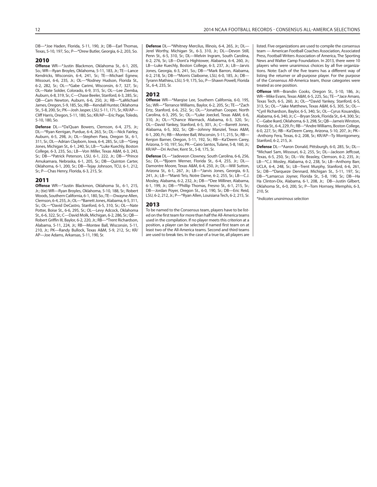DB—\*Joe Haden, Florida, 5-11, 190, Jr.; DB—Farl Thomas, Texas, 5-10, 197, So.; P—\*Drew Butler, Georgia, 6-2, 203, So.

#### **2010**

**Offense** WR—\*Justin Blackmon, Oklahoma St., 6-1, 205, So.; WR—Ryan Broyles, Oklahoma, 5-11, 183, Jr.; TE—Lance Kendricks, Wisconsin, 6-4, 241, Sr.; TE—Michael Egnew, Missouri, 6-6, 235, Jr.; OL—\*Rodney Hudson, Florida St., 6-2, 282, Sr.; OL—\*Gabe Carimi, Wisconsin, 6-7, 327, Sr.; OL—Nate Solder, Colorado, 6-9, 315, Sr.; OL—Lee Ziemba, Auburn, 6-8, 319, Sr.; C—Chase Beeler, Stanford, 6-3, 285, Sr.; QB—Cam Newton, Auburn, 6-6, 250, Jr.; RB—\*LaMichael James, Oregon, 5-9, 185, So.; RB—Kendall Hunter, Oklahoma St., 5-8, 200, Sr.; PK—Josh Jasper, LSU, 5-11, 171, Sr.; KR/AP— Cliff Harris, Oregon, 5-11, 180, So.; KR/AP—Eric Page, Toledo, 5-10, 180, So.

**Defense** DL—\*Da'Quan Bowers, Clemson, 6-4, 275, Jr.; DL—\*Ryan Kerrigan, Purdue, 6-4, 263, Sr.; DL—Nick Fairley, Auburn, 6-5, 298, Jr.; DL—Stephen Paea, Oregon St., 6-1, 311, Sr.; DL—Adrian Clayborn, Iowa, 6-4, 285, Sr.; LB—\*Greg Jones, Michigan St., 6-1, 240, Sr.; LB—\*Luke Kuechly, Boston College, 6-3, 235, So.; LB—Von Miller, Texas A&M, 6-3, 243, Sr.; DB—\*Patrick Peterson, LSU, 6-1, 222, Jr.; DB—\*Prince Amukamara, Nebraska, 6-1, 205, Sr.; DB—Quinton Carter, Oklahoma, 6-1, 200, Sr.; DB—Tejay Johnson, TCU, 6-1, 212, Sr.; P—Chas Henry, Florida, 6-3, 215, Sr.

#### **2011**

**Offense** WR—\*Justin Blackmon, Oklahoma St., 6-1, 215, Jr.; (tie) WR—Ryan Broyles, Oklahoma, 5-10, 188, Sr.; Robert Woods, Southern California, 6-1, 180, So.; TE—Dwayne Allen, Clemson, 6-4, 255, Jr.; OL—\*Barrett Jones, Alabama, 6-5, 311, Sr.; OL—\*David DeCastro, Stanford, 6-5, 310, Sr.; OL—Nate Potter, Boise St., 6-6, 295, Sr.; OL—Levy Adcock, Oklahoma St., 6-6, 322, Sr.; C—David Molk, Michigan, 6-2, 286, Sr.; QB— Robert Griffin III, Baylor, 6-2, 220, Jr.; RB—\*Trent Richardson, Alabama, 5-11, 224, Jr.; RB—Montee Ball, Wisconsin, 5-11, 210, Jr.; PK—Randy Bullock, Texas A&M, 5-9, 212, Sr.; KR/ AP—Joe Adams, Arkansas, 5-11, 190, Sr.

**Defense** DL—\*Whitney Mercilus, Illinois, 6-4, 265, Jr.; DL— Jerel Worthy, Michigan St., 6-3, 310, Jr.; DL—Devon Still, Penn St., 6-5, 310, Sr.; DL—Melvin Ingram, South Carolina, 6-2, 276, Sr.; LB—Dont'a Hightower, Alabama, 6-4, 260, Jr.; LB—Luke Kuechly, Boston College, 6-3, 237, Jr.; LB—Jarvis Jones, Georgia, 6-3, 241, So.; DB—\*Mark Barron, Alabama, 6-2, 218, Sr.; DB—\*Morris Claiborne, LSU, 6-0, 185, Jr.; DB— Tyrann Mathieu, LSU, 5-9, 175, So.; P—Shawn Powell, Florida St., 6-4, 235, Sr.

#### **2012**

**Offense** WR—\*Marqise Lee, Southern California, 6-0, 195, So.; WR—\*Terrance Williams, Baylor, 6-2, 205, Sr.; TE—\*Zach Ertz, Stanford, 6-6, 252, Sr.; OL—\*Jonathan Cooper, North Carolina, 6-3, 295, Sr.; OL—\*Luke Joeckel, Texas A&M, 6-6, 310, Jr.; OL—\*Chance Warmack, Alabama, 6-3, 320, Sr.; OL—David Yankey, Stanford, 6-5, 301, Jr.; C—Barrett Jones, Alabama, 6-5, 302, Sr.; QB—Johnny Manziel, Texas A&M, 6-1, 200, Fr.; RB—Montee Ball, Wisconsin, 5-11, 215, Sr.; RB— Kenjon Barner, Oregon, 5-11, 192, Sr.; RB—Ka'Deem Carey, Arizona, 5-10, 197, So.; PK—Cairo Santos, Tulane, 5-8, 160, Jr.; KR/AP—Dri Archer, Kent St., 5-8, 175, Sr.

**Defense** DL—\*Jadeveon Clowney, South Carolina, 6-6, 256, So.; DL—\*Bjoern Werner, Florida St., 6-4, 255, Jr.; DL— Damontre Moore, Texas A&M, 6-4, 250, Jr.; DL—Will Sutton, Arizona St., 6-1, 267, Jr.; LB—\*Jarvis Jones, Georgia, 6-3, 241, Jr.; LB—\*Manti Te'o, Notre Dame, 6-2, 255, Sr.; LB—C.J. Mosley, Alabama, 6-2, 232, Jr.; DB—\*Dee Milliner, Alabama, 6-1, 199, Jr.; DB—\*Phillip Thomas, Fresno St., 6-1, 215, Sr.; DB—Jordan Poyer, Oregon St., 6-0, 190, Sr.; DB—Eric Reid, LSU, 6-2, 212, Jr.; P—\*Ryan Allen, Louisiana Tech, 6-2, 215, Sr.

#### **2013**

To be named to the Consensus team, players have to be listed on the first team for more than half the All-America teams used in the compilation. If no player meets this criterion at a position, a player can be selected if named first team on at least two of the All-America teams. Second and third teams are used to break ties. In the case of a true tie, all players are listed. Five organizations are used to compile the consensus team — American Football Coaches Association, Associated Press, Football Writers Association of America, The Sporting News and Walter Camp Foundation. In 2013, there were 10 players who were unanimous choices by all five organizations. Note: Each of the five teams has a different way of listing the returner or all-purpose player. For the purpose of the Consensus All-America team, those categories were treated as one position.

**Offense** WR---Brandin Cooks, Oregon St., 5-10, 186, Jr.; WR---Mike Evans, Texas A&M, 6-5, 225, So.; TE---\*Jace Amaro, Texas Tech, 6-5, 260, Jr.; OL---\*David Yankey, Stanford, 6-5, 313, Sr.; OL---\*Jake Matthews, Texas A&M, 6-5, 305, Sr.; OL--- \*Cyril Richardson, Baylor, 6-5, 340, Sr.; OL---Cyrus Kouandjio, Alabama, 6-6, 340, Jr.; C---Bryan Stork, Florida St., 6-4, 300, Sr.; C---Gabe Ikard, Oklahoma, 6-3, 298, Sr.; QB---Jameis Winston, Florida St., 6-4, 229, Fr.; RB---\*Andre Williams, Boston College, 6-0, 227, Sr.; RB---Ka'Deem Carey, Arizona, 5-10, 207, Jr.; PK-- -Anthony Fera, Texas, 6-2, 208, Sr.; KR/AP---Ty Montgomery, Stanford, 6-2, 215, Jr.

**Defense** DL---\*Aaron Donald, Pittsburgh, 6-0, 285, Sr.; DL--- \*Michael Sam, Missouri, 6-2, 255, Sr.; DL---Jackson Jeffcoat, Texas, 6-5, 250, Sr.; DL---Vic Beasley, Clemson, 6-2, 235, Jr.; LB---\*C.J. Mosley, Alabama, 6-2, 238, Sr.; LB---Anthony Barr, UCLA, 6-4, 248, Sr.; LB---Trent Murphy, Stanford, 6-6, 261, Sr.; DB---\*Darqueze Dennard, Michigan St., 5-11, 197, Sr.; DB---\*Lamarcus Joyner, Florida St., 5-8, 190, Sr.; DB---Ha Ha Clinton-Dix, Alabama, 6-1, 208, Jr.; DB---Justin Gilbert, Oklahoma St., 6-0, 200, Sr.; P---Tom Hornsey, Memphis, 6-3, 210, Sr.

\*Indicates unanimous selection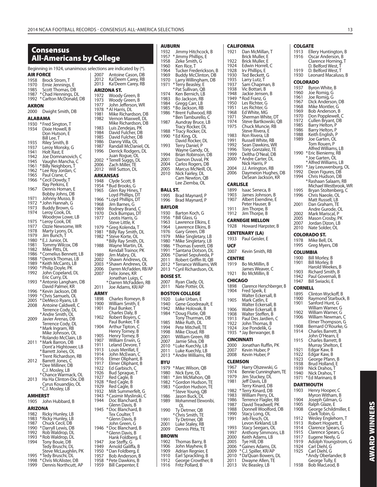**Consensus** 

#### **CALIFORNIA** 1921 Dan McMillan, T  $\mathsf{ller}, \mathsf{E}$ ıller. E orrell, C  $ns F$  $\det G$ tz. T 1pman, B ari, B nsen, B າz, G ter, G 1951 Les Richter, G 1968 Ed White, MG  $n$  White, DT irtkowski, QB 1uncie, RB vera, E era, LB Vhite, RB 1992 Sean Dawkins, WR 1996 Tony Gonzalez, TE Iorial, DB arter, DL nis, P gton, RB  $\overline{p}$ n Hughes, DB Jackson, KR neca, B bhnson, B xendine, E user, B pe, B  $pe, B$ **LLON** Harpster, B  $\blacksquare$ sler, E nith, RB illin, B leaver, C illin, B Herschberger, B eik, E ckersall, B  $\lim E$ ckersall, B ckersall, B teffen, B Jardien, C omas, B delik, G *, B* n Ruffin, PK 1ber, P ber, Pu szewski, G Iunningham, TE key, DĽ  $15, \overline{\text{LB}}$ nard, DB ard, DB Perry, DL Flagler, RB eadwell, PK Woolford, DB ng, OL ch, OL irkland, LB 1993 Stacy Seegars, OL 1997 Anthony Simmons, LB , Summo<br>lams, LB  $DB$ Adams, DL er, KR/AP **COLGATE**<br>1913 Elle 1913 Ellery Huntington, B<br>1916 Oscar Anderson, B Oscar Anderson, B Clarence Horning, T D. Belford West, T<br>D. Belford West, T 1919 D. Belford West, T **C**O<sub>19</sub> 1960 Joe Romig, G 1961 Joe Romig, G Tom Rouen, P **COLORADO ST.** 1978 Mike Bell, DL **COLUMBIA** 1900 Bill Morley, B 1901 Bill Morley, B 1947 Bill Swiacki, E  $\mathbf C$ 1921 Edgar Kaw, B 1922 Edgar Kaw, B **DARTMOUTH** Clark Tobin, G 1924 Carl Diehl, G

Bowers, DL

| 1985           | Scott Thomas, DB                            | ARIZONA ST.                                                   |  |
|----------------|---------------------------------------------|---------------------------------------------------------------|--|
| 1987           | * Chad Hennings, DL                         | 1972<br>Woody Green, B                                        |  |
| 1992           | * Carlton McDonald, DB                      | 1973<br>Woody Green, B                                        |  |
| AKRON          |                                             | 1977<br>John Jefferson, WR<br>1978 * Al Harris, DL            |  |
| 2000           | Dwight Smith, DB                            | 1981<br>Mike Richardson, DB                                   |  |
|                | <b>ALABAMA</b>                              | 1982<br>Vernon Maxwell, DL                                    |  |
|                | 1930 *Fred Sington, T                       | Mike Richardson, DB                                           |  |
| 1934           | Dixie Howell, B                             | 1983<br>Luis Zendejas, PK<br>David Fulcher, DB<br>1984        |  |
|                | Don Hutson, E<br>Bill Lee, T                | 1985<br>David Fulcher, DB                                     |  |
| 1935           | Riley Smith, B                              | 1986<br>Danny Villa, OL                                       |  |
| 1937           | Leroy Monsky, G                             | 1987<br>Randall McDaniel, OL                                  |  |
| 1941           | Holt Rast, E                                | 1996<br>Derrick Rodgers, DL                                   |  |
| 1942           | Joe Domnanovich, C                          | Juan Rogue, OL<br>*Terrell Suggs, DL<br>2002                  |  |
| 1945<br>1961   | Vaughn Mancha, C<br>*Billy Neighbors, T     | Zach Miller, TE<br>2006                                       |  |
| 1962           | * Lee Roy Jordan, C                         | 2012<br>Will Sutton, DL                                       |  |
| 1965           | Paul Crane, C                               | ARKANSAS                                                      |  |
| 1966           | * Cecil Dowdy, T                            | 1948<br>Clyde Scott, B                                        |  |
| 1967           | Ray Perkins, E<br>Dennis Homan, E           | *Bud Brooks, G<br>1954                                        |  |
|                | Bobby Johns, DB                             | 1965<br>Glen Ray Hines, T<br>Loyd Phillips, DT                |  |
| 1971           | Johnny Musso, B                             | 1966<br>* Loyd Phillips, DT                                   |  |
| 1972           | * John Hannah, G                            | 1968<br>Jim Barnes, G                                         |  |
| 1973<br>1974   | Buddy Brown, G<br>Leroy Cook, DL            | 1969<br>Rodney Brand, C                                       |  |
|                | Woodrow Lowe, LB                            | 1970<br>Dick Bumpas, DT<br>1977<br>Leotis Harris, G           |  |
| 1975           | * Leroy Cook, DE                            | Steve Little, K                                               |  |
| 1977           | Ozzie Newsome, WR                           | 1979<br>*Greg Kolenda, T                                      |  |
| 1978           | Marty Lyons, DL                             | * Billy Ray Smith, DL<br>1981                                 |  |
| 1979<br>1980   | Jim Bunch, T<br>* E.J. Junior, DL           | 1982<br>* Steve Korte, OL                                     |  |
| 1981           | Tommy Wilcox, DB                            | *Billy Ray Smith, DL<br>Wayne Martin, DL<br>1988              |  |
| 1982           | Mike Pitts, DL                              | Kendall Trainor, PK                                           |  |
| 1986           | * Cornelius Bennett, LB                     | 1989<br>Jim Mabry, OL                                         |  |
| 1988<br>1989   | * Derrick Thomas, LB<br>* Keith McCants, LB | 2002<br>Shawn Andrews, OL                                     |  |
| 1990           | * Philip Doyle, PK                          | * Shawn Andrews, OL<br>2003<br>2006<br>Darren McFadden, RB/AP |  |
| 1992           | John Copeland, DL                           | 2007<br>Felix Jones, KR                                       |  |
|                | Eric Curry, DL                              | Jonathan Luigs, C                                             |  |
| 1993           | * Antonio Langham, DB                       | * Darren McFadden, RB                                         |  |
| 1996           | David Palmer, KR<br>* Kevin Jackson, DB     | Joe Adams, KR/AP<br>2011                                      |  |
| 1999           | * Chris Samuels, OL                         | ARMY                                                          |  |
| 2005           | * DeMeco Ryans, LB                          | 1898<br>Charles Romeyn, B                                     |  |
| 2008           | Antoine Caldwell, C                         | 1900<br>William Smith, E<br>1901<br>Paul Bunker, T            |  |
|                | Terrence Cody, DL<br>* Andre Smith, OL      | Charles Daly, B                                               |  |
| 2009           | Javier Arenas, DB                           | 1902<br>Robert Boyers, C                                      |  |
|                | Terrence Cody, DL                           | Paul Bunker, T-B                                              |  |
|                | * Mark Ingram, RB                           | 1904<br>Arthur Tipton, C<br>Henry Torney, B                   |  |
|                | Mike Johnson, OL                            | 1905<br>Henry Torney, B                                       |  |
| 2011           | * Rolando McClain, LB<br>* Mark Barron, DB  | 1907<br>William Erwin, G                                      |  |
|                | Dont'a Hightower, LB                        | 1911<br>Leland Devore, T                                      |  |
|                | *Barrett Jones, OL                          | 1913<br>Louis Merillat, E<br>1914<br>John McEwan, C           |  |
|                | *Trent Richardson, RB                       | 1916<br>Elmer Oliphant, B                                     |  |
| 2012           | Barrett Jones, C<br>* Dee Milliner, DB      | 1917<br>Elmer Oliphant, B                                     |  |
|                | C.J. Mosley, LB                             | 1922<br>Ed Garbisch, C                                        |  |
|                | * Chance Warmack, OL                        | 1926<br>Bud Sprague, T<br>1927<br>Red Cagle, B                |  |
| 2013           | Ha Ha Clinton-Dix, DB                       | * Red Cagle, B<br>1928                                        |  |
|                | Cyrus Kouandjio, OL<br>* C.J. Mosley, LB    | 1929<br>Red Cagle, B                                          |  |
|                |                                             | 1932<br>Milt Summerfelt, G                                    |  |
| <b>AMHERST</b> |                                             | 1943<br>* Casimir Myslinski, C<br>1944<br>Doc Blanchard, B    |  |
| 1905           | John Hubbard, B                             | Glenn Davis, B                                                |  |
| <b>ARIZONA</b> |                                             | 1945<br>* Doc Blanchard, B                                    |  |
| 1982           | Ricky Hunley, LB                            | Tex Coulter, T                                                |  |
| 1983<br>1987   | * Ricky Hunley, LB<br>Chuck Cecil, DB       | * Glenn Davis, B<br>John Green, G                             |  |
| 1990           | * Darryll Lewis, DB                         | 1946<br>*Doc Blanchard, B                                     |  |
| 1992           | Rob Waldrop, DL                             | * Glenn Davis, B                                              |  |
| 1993           | * Rob Waldrop, DL                           | Hank Foldberg, E                                              |  |
| 1994           | Tony Bouie, DB                              | 1947<br>Joe Steffy, G                                         |  |
|                | Tedy Bruschi, DL<br>Steve McLaughlin, PK    | 1949<br>Arnold Galiffa, B<br>1950<br>* Dan Foldberg, E        |  |
| 1995           | * Tedy Bruschi, DL                          | 1957<br>Bob Anderson, B                                       |  |
| 1998           | * Chris McAlister, DB                       | 1958<br>* Pete Dawkins, B                                     |  |
| 1999           | Dennis Northcutt, AP                        | 1959<br>Bill Carpenter, E                                     |  |
|                |                                             |                                                               |  |
|                |                                             |                                                               |  |
|                |                                             |                                                               |  |
|                |                                             |                                                               |  |
|                |                                             |                                                               |  |

| <b>All-Americans by College</b>                               |                                                           | 1 J J L<br>1957 *Jimmy Phillips, E<br>1958<br>Zeke Smith, G  |
|---------------------------------------------------------------|-----------------------------------------------------------|--------------------------------------------------------------|
| Beginning in 1924, unanimous selections are indicated by (*). |                                                           | 1960<br>Ken Rice, T                                          |
| AIR FORCE                                                     | 2007<br>Antoine Cason, DB                                 | 1964<br>Tucker Fredericksor<br>1969<br>Buddy McClinton, D    |
| 1958<br>Brock Strom, T                                        | 2012<br>Ka'Deem Carey, RB                                 | 1970<br>Larry Willingham, D                                  |
| 1970<br>Ernie Jennings, E                                     | 2013<br>Ka'Deem Carey, RB                                 | 1971<br>*Terry Beasley, E                                    |
| 1985<br>Scott Thomas, DB                                      | <b>ARIZONA ST.</b>                                        | *Pat Sullivan, QB                                            |
| 1987 * Chad Hennings, DL                                      | 1972<br>Woody Green, B                                    | 1974<br>Ken Bernich, LB                                      |
| 1992<br>* Carlton McDonald, DB                                | 1973<br>Woody Green, B                                    | 1983<br>Bo Jackson, RB                                       |
| AKRON                                                         | 1977<br>John Jefferson, WR                                | 1984<br>Gregg Carr, LB<br>1985<br>* Bo Jackson, RB           |
| 2000<br>Dwight Smith, DB                                      | 1978 * Al Harris, DL<br>1981<br>Mike Richardson, DB       | 1986<br>*Brent Fullwood, RB                                  |
| <b>ALABAMA</b>                                                | 1982<br>Vernon Maxwell, DL                                | * Ben Tamburello, C                                          |
| 1930 * Fred Sington, T                                        | Mike Richardson, DB                                       | 1987<br>Aundray Bruce, LB                                    |
| 1934<br>Dixie Howell, B                                       | 1983<br>Luis Zendejas, PK                                 | Tracy Rocker, DL                                             |
| Don Hutson, E                                                 | 1984<br>David Fulcher, DB                                 | 1988 *Tracy Rocker, DL<br>1990 * Ed King, OL                 |
| Bill Lee, T                                                   | 1985<br>David Fulcher, DB<br>1986<br>Danny Villa, OL      | David Rocker, DL                                             |
| 1935<br>Riley Smith, B<br>1937<br>Leroy Monsky, G             | 1987<br>Randall McDaniel, OL                              | 1993<br>Terry Daniel, P                                      |
| 1941<br>Holt Rast, E                                          | 1996<br>Derrick Rodgers, DL                               | Wayne Gandy, OL                                              |
| 1942<br>Joe Domnanovich, C                                    | Juan Rogue, OL                                            | Brian Robinson, DB<br>1994                                   |
| 1945<br>Vaughn Mancha, C                                      | 2002 *Terrell Suggs, DL<br>2006                           | 2001<br>Damon Duval, PK<br>2004<br>Carlos Rogers, DB         |
| 1961<br>* Billy Neighbors, T                                  | Zach Miller, TE<br>Will Sutton, DL<br>2012                | 2005<br>Marcus McNeill, OL                                   |
| 1962<br>* Lee Roy Jordan, C<br>1965<br>Paul Crane, C          | <b>ARKANSAS</b>                                           | 2010<br>Nick Fairley, DL                                     |
| 1966 * Cecil Dowdy, T                                         | 1948<br>Clyde Scott, B                                    | Cam Newton, QB                                               |
| Ray Perkins, E                                                | 1954 *Bud Brooks, G                                       | Lee Ziemba, OL                                               |
| 1967<br>Dennis Homan, E                                       | 1965<br>Glen Ray Hines, T                                 | <b>BALL ST.</b>                                              |
| Bobby Johns, DB                                               | Loyd Phillips, DT                                         | 1995<br>Brad Maynard, P                                      |
| 1971<br>Johnny Musso, B<br>1972<br>* John Hannah, G           | 1966 *Loyd Phillips, DT                                   | 1996<br>Brad Maynard, P                                      |
| 1973<br>Buddy Brown, G                                        | 1968<br>Jim Barnes, G<br>1969<br>Rodney Brand, C          | <b>BAYLOR</b>                                                |
| 1974<br>Leroy Cook, DL                                        | 1970<br>Dick Bumpas, DT                                   | 1930<br>Barton Koch, G                                       |
| Woodrow Lowe, LB                                              | 1977<br>Leotis Harris, G                                  | 1956<br>* Bill Glass, G                                      |
| 1975 *Leroy Cook, DE<br>1977<br>Ozzie Newsome, WR             | Steve Little, K                                           | 1963<br>Lawrence Elkins, E                                   |
| 1978<br>Marty Lyons, DL                                       | 1979 * Greg Kolenda, T<br>1981<br>* Billy Ray Smith, DL   | 1964<br>Lawrence Elkins, B<br>1976<br>Gary Green, DB         |
| 1979<br>Jim Bunch, T                                          | *Steve Korte, OL<br>1982                                  | 1979<br>Mike Singletary, LB                                  |
| 1980 * E.J. Junior, DL                                        | *Billy Ray Smith, DL                                      | 1980 * Mike Singletary, LB                                   |
| 1981<br>Tommy Wilcox, DB<br>1982<br>Mike Pitts, DL            | 1988<br>Wayne Martin, DL                                  | 1986<br>*Thomas Everett, DB                                  |
| 1986 * Cornelius Bennett, LB                                  | Kendall Trainor, PK<br>1989<br>Jim Mabry, OL              | 1991 * Santana Dotson, DL<br>2006 *Daniel Sepulveda, P       |
| 1988 * Derrick Thomas, LB                                     | 2002<br>Shawn Andrews, OL                                 | Robert Griffin III, QB<br>2011                               |
| 1989 * Keith McCants, LB                                      | 2003 *Shawn Andrews, OL                                   | 2012 *Terrance Williams, V                                   |
| 1990 * Philip Doyle, PK<br>1992<br>John Copeland, DL          | 2006<br>Darren McFadden, RB/AP                            | 2013 * Cyril Richardson, OL                                  |
| Eric Curry, DL                                                | 2007<br>Felix Jones, KR<br>Jonathan Luigs, C              | <b>BOISE ST.</b>                                             |
| 1993 * Antonio Langham, DB                                    | * Darren McFadden, RB                                     | 2007<br>Ryan Clady, OL                                       |
| David Palmer, KR                                              | 2011<br>Joe Adams, KR/AP                                  | 2011<br>Nate Potter, OL                                      |
| 1996 * Kevin Jackson, DB<br>1999 * Chris Samuels, OL          | ARMY                                                      | <b>BOSTON COLLEGE</b>                                        |
| 2005 *DeMeco Ryans, LB                                        | 1898<br>Charles Romeyn, B                                 | 1920<br>Luke Urban, E                                        |
| 2008<br>Antoine Caldwell, C                                   | 1900<br>William Smith, E<br>1901                          | Gene Goodreault, E<br>1940                                   |
| Terrence Cody, DL                                             | Paul Bunker, T<br>Charles Daly, B                         | 1942<br>Mike Holovak, B<br>1984 * Doug Flutie, QB            |
| * Andre Smith, OL<br>2009<br>Javier Arenas, DB                | 1902<br>Robert Boyers, C                                  | Tony Thurman, DB                                             |
| Terrence Cody, DL                                             | Paul Bunker, T-B                                          | 1985<br>Mike Ruth, DL                                        |
| * Mark Ingram, RB                                             | 1904<br>Arthur Tipton, C                                  | 1994<br>Pete Mitchell, TE                                    |
| Mike Johnson, OL                                              | Henry Torney, B<br>1905<br>Henry Torney, B                | Mike Cloud, RB<br>1998                                       |
| * Rolando McClain, LB                                         | 1907<br>William Erwin, G                                  | 2001<br>William Green, RB<br>2007<br>Jamie Silva, DB         |
| 2011 *Mark Barron, DB<br>Dont'a Hightower, LB                 | 1911<br>Leland Devore, T                                  | 2010 *Luke Kuechly, LB                                       |
| * Barrett Jones, OL                                           | 1913<br>Louis Merillat, E                                 | 2011<br>Luke Kuechly, LB                                     |
| *Trent Richardson, RB                                         | 1914<br>John McEwan, C<br>1916<br>Elmer Oliphant, B       | 2013 * Andre Williams, RB                                    |
| 2012<br>Barrett Jones, C                                      | 1917<br>Elmer Oliphant, B                                 | BYU                                                          |
| * Dee Milliner, DB<br>C.J. Mosley, LB                         | 1922<br>Ed Garbisch, C                                    | 1979 * Marc Wilson, QB                                       |
| * Chance Warmack, OL                                          | 1926<br>Bud Sprague, T<br>Red Cagle, B                    | 1980<br>Nick Eyre, OL                                        |
| 2013<br>Ha Ha Clinton-Dix, DB                                 | 1927<br>1928 * Red Cagle, B                               | 1981<br>* Jim McMahon, QB<br>1982<br>* Gordon Hudson, TE     |
| Cyrus Kouandjio, OL                                           | 1929<br>Red Cagle, B                                      | 1983<br>* Gordon Hudson, TE                                  |
| * C.J. Mosley, LB                                             | 1932<br>Milt Summerfelt, G                                | * Steve Young, QB                                            |
| <b>AMHERST</b>                                                | 1943 * Casimir Myslinski, C                               | 1986<br>Jason Buck, DL                                       |
| 1905<br>John Hubbard, B                                       | 1944<br>Doc Blanchard, B<br>Glenn Davis, B                | Mohammed Elewonib<br>1989<br>OL                              |
| ARIZONA                                                       | 1945 * Doc Blanchard, B                                   | 1990<br>Ty Detmer, QB                                        |
| 1982<br>Ricky Hunley, LB                                      | Tex Coulter, T                                            | * Chris Smith, TE                                            |
| 1983<br>* Ricky Hunley, LB<br>1987<br>Chuck Cecil, DB         | * Glenn Davis, B                                          | Ty Detmer, QB<br>1991                                        |
| 1990 * Darryll Lewis, DB                                      | John Green, G<br>1946 * Doc Blanchard, B                  | 2001<br>Luke Staley, RB<br>2009<br>Dennis Pitta, TE          |
| 1992<br>Rob Waldrop, DL                                       | * Glenn Davis, B                                          |                                                              |
| 1993 * Rob Waldrop, DL                                        | Hank Foldberg, E                                          | <b>BROWN</b>                                                 |
| 1994<br>Tony Bouie, DB                                        | 1947<br>Joe Steffy, G                                     | 1902<br>Thomas Barry, B                                      |
| Tedy Bruschi, DL<br>Steve McLaughlin, PK                      | 1949<br>Arnold Galiffa, B<br>1950 *Dan Foldberg, E        | 1906<br>John Mayhew, B<br>1909<br>Adrian Regnier, E          |
| 1995 * Tedy Bruschi, DL                                       | 1957<br>Bob Anderson, B                                   | Earl Sprackling, B<br>1910                                   |
| 1998<br>* Chris McAlister, DB<br>Dennis Northcutt AP<br>1999  | 1958 * Pete Dawkins, B<br>1959<br><b>Rill Carnenter F</b> | 1912<br>George Crowther, B<br><b>Fritz Pollard R</b><br>1916 |
|                                                               |                                                           |                                                              |

**AUBURN**

| 1932             | Jimmy Hitchcock, B                              | 1921            | Dan McMillan, T                             |
|------------------|-------------------------------------------------|-----------------|---------------------------------------------|
| 1957<br>1958     | * Jimmy Phillips, E<br>Zeke Smith, G            | 1922            | Brick Muller, E<br>Brick Muller, E          |
| 1960             | Ken Rice, T                                     | 1924            | Edwin Horrell, C                            |
| 1964             | Tucker Frederickson, B                          | 1928            | Irv Phillips, E                             |
| 1969             | Buddy McClinton, DB                             | 1930            | Ted Beckett, G                              |
| 1970<br>1971     | Larry Willingham, DB<br>*Terry Beasley, E       | 1935<br>1937    | Larry Lutz, T<br>Sam Chapman, B             |
|                  | *Pat Sullivan, QB                               | 1938            | Vic Bottari, B                              |
| 1974             | Ken Bernich, LB                                 | 1948            | Jackie Jensen, B                            |
| 1983             | Bo Jackson, RB                                  | 1949            | * Rod Franz, G                              |
| 1984<br>1985     | Gregg Carr, LB<br>* Bo Jackson, RB              | 1950<br>1951    | Les Richter, G<br>Les Richter, G            |
| 1986             | *Brent Fullwood, RB                             | 1968            | Ed White, MG                                |
|                  | * Ben Tamburello, C                             | 1971            | Sherman White, C                            |
| 1987             | Aundray Bruce, LB                               | 1974<br>1975    | Steve Bartkowski,<br>Chuck Muncie, RE       |
| 1988             | Tracy Rocker, DL<br>*Tracy Rocker, DL           |                 | Steve Rivera, E                             |
| 1990             | *Ed King, OL                                    | 1983            | Ron Rivera, LB                              |
|                  | David Rocker, DL                                | 1991            | Russell White, RB                           |
| 1993             | Terry Daniel, P<br>Wayne Gandy, OL              | 1992<br>1996    | Sean Dawkins, WI<br>Tony Gonzalez, TE       |
| 1994             | Brian Robinson, DB                              | 1999            | Deltha O'Neal, DE                           |
| 2001             | Damon Duval, PK                                 | 2000            | * Andre Carter, DL                          |
| 2004             | Carlos Rogers, DB                               | 2004            | Nick Harris, P<br>J.J. Arrington, RB        |
| 2005<br>2010     | Marcus McNeill, OL<br>Nick Fairley, DL          | 2006            | Daymeion Hughe                              |
|                  | Cam Newton, QB                                  |                 | DeSean Jackson, I                           |
|                  | Lee Ziemba, OL                                  | <b>CARLISLE</b> |                                             |
| <b>BALL ST.</b>  |                                                 | 1899            | Isaac Seneca, B                             |
| 1995             | Brad Maynard, P                                 | 1903            | James Johnson, B                            |
| 1996             | Brad Maynard, P                                 | 1907            | Albert Exendine, I                          |
| <b>BAYLOR</b>    |                                                 | 1911            | Peter Hauser, B<br>Jim Thorpe, B            |
| 1930             | Barton Koch, G                                  | 1912            | Jim Thorpe, B                               |
| 1956             | * Bill Glass, G                                 |                 | <b>CARNEGIE MELLON</b>                      |
| 1963<br>1964     | Lawrence Elkins, E<br>Lawrence Elkins, B        | 1928            | Howard Harpster,                            |
| 1976             | Gary Green, DB                                  |                 | <b>CENTENARY (LA)</b>                       |
| 1979             | Mike Singletary, LB                             | 1933            | Paul Geisler, E                             |
| 1980             | * Mike Singletary, LB                           |                 |                                             |
| 1986<br>1991     | *Thomas Everett, DB<br>* Santana Dotson, DL     | UCF<br>2007     | Kevin Smith, RB                             |
|                  |                                                 |                 |                                             |
| 2006             |                                                 |                 |                                             |
| 2011             | * Daniel Sepulveda, P<br>Robert Griffin III, QB | <b>CENTRE</b>   |                                             |
| 2012             | *Terrance Williams, WR                          | 1919            | Bo McMillin, B                              |
| 2013             | * Cyril Richardson, OL                          | 1921            | James Weaver, C<br>Bo McMillin, B           |
| <b>BOISE ST.</b> |                                                 | <b>CHICAGO</b>  |                                             |
| 2007<br>2011     | Ryan Clady, OL                                  | 1898            | Clarence Herschbe                           |
|                  | Nate Potter, OL                                 | 1904            | Fred Speik, E                               |
|                  | <b>BOSTON COLLEGE</b>                           |                 | Walter Eckersall, E                         |
| 1920<br>1940     | Luke Urban, E<br>Gene Goodreault, E             | 1905            | Mark Catlin, E                              |
| 1942             | Mike Holovak, B                                 | 1906            | Walter Eckersall, B<br>Walter Eckersall, B  |
| 1984             | *Doug Flutie, QB                                | 1908            | Walter Steffen, B                           |
|                  | Tony Thurman, DB                                | 1913            | Paul Des Jardien,                           |
| 1985<br>1994     | Mike Ruth, DL<br>Pete Mitchell, TE              | 1922            | John Thomas, B                              |
| 1998             | Mike Cloud, RB                                  | 1924<br>1935    | Joe Pondelik, G<br>* Jay Berwanger, B       |
| 2001             | William Green, RB                               |                 | <b>CINCINNATI</b>                           |
| 2007<br>2010     | Jamie Silva, DB                                 | 2000            | Jonathan Ruffin, F                          |
| 2011             | * Luke Kuechly, LB<br>Luke Kuechly, LB          | 2007            | Kevin Huber, P                              |
| 2013             | * Andre Williams, RB                            | 2008            | Kevin Huber, P                              |
| BYU              |                                                 | <b>CLEMSON</b>  |                                             |
| 1979             | * Marc Wilson, QB                               | 1967            | Harry Olszewski, Q                          |
| 1980             | Nick Eyre, OL                                   | 1974            | Bennie Cunningha                            |
| 1981             | * Jim McMahon, QB                               | 1979            | Jim Stuckey, DL                             |
| 1982<br>1983     | *Gordon Hudson, TE                              | 1981            | Jeff Davis, LB<br>Terry Kinard, DB          |
|                  | * Gordon Hudson, TE<br>* Steve Young, QB        | 1982            | *Terry Kinard, DB                           |
| 1986             | Jason Buck, DL                                  | 1983            | William Perry, DL                           |
| 1989             | Mohammed Elewonibi,                             | 1986<br>1987    | Terrence Flagler, F                         |
| 1990             | 0L                                              | 1988            | David Treadwell, F<br>Donnell Woolford      |
|                  | Ty Detmer, QB<br>* Chris Smith, TE              | 1990            | Stacy Long, OL                              |
| 1991             | Ty Detmer, QB                                   | 1991            | Jeb Flesch, OL                              |
| 2001             | Luke Staley, RB                                 | 1993            | Levon Kirkland, Ll<br>Stacy Seegars, OL     |
| 2009             | Dennis Pitta, TE                                | 1997            | Anthony Simmon                              |
| <b>BROWN</b>     |                                                 | 2000            | Keith Adams, LB                             |
| 1902             | Thomas Barry, B                                 | 2005            | Tye Hill, DB                                |
| 1906<br>1909     | John Mayhew, B<br>Adrian Regnier, E             | 2006<br>2009    | * Gaines Adams, Dl<br>* C.J. Spiller, KR/AP |
| 1910             | Earl Sprackling, B                              | 2010            | *Da'Quan Bowers,                            |
| 1912<br>1916     | George Crowther, B<br>Fritz Pollard, B          | 2011<br>2013    | Dwayne Allen, TE<br>Vic Beasley, LB         |

| 1919<br>1930                         | D. Belford West, T<br>Leonard Macaluso, B      |
|--------------------------------------|------------------------------------------------|
|                                      | COLORADO                                       |
| 1937                                 | Byron White, B                                 |
| 1960                                 | Joe Romig, G                                   |
| 1961<br>1967                         | Joe Romig, G                                   |
| 1968                                 | Dick Anderson, DB<br>Mike Montler, G           |
| 1969                                 | Bob Anderson, B                                |
| 1970                                 | Don Popplewell, C                              |
| 1972<br>1985                         | Cullen Bryant, DB<br>Barry Helton, P           |
| 1986                                 | Barry Helton, P                                |
| 1988                                 | Keith English, P                               |
| 1989                                 | Joe Garten, OL                                 |
|                                      | Tom Rouen, P<br>Alfred Williams, LB            |
| 1990                                 | * Eric Bieniemy, RB                            |
|                                      | *Joe Garten, OL                                |
| 1991                                 | * Alfred Williams, LB<br>* Jay Leeuwenburg, OL |
| 1992                                 | Deon Figures, DB                               |
| 1994                                 | Chris Hudson, DB                               |
|                                      | * Rashaan Salaam, RB                           |
| 1995                                 | Michael Westbrook, WR<br>Bryan Stoltenberg, C  |
| 1996                                 | Chris Naeole, OL                               |
|                                      | Matt Russell, LB                               |
| 2001                                 | Dan Graham, TE<br>Andre Gurode, OL             |
| 2002                                 | Mark Mariscal, P                               |
| 2005                                 | Mason Crosby, PK                               |
| 2007                                 | Jordan Dizon, LB                               |
| 2010                                 | Nate Solder, OL                                |
|                                      | COLORADO ST.                                   |
| 1978<br>1995                         | Mike Bell, DL<br>Greg Myers, DB                |
|                                      | <b>COLUMBIA</b>                                |
| 1900                                 | Bill Morley, B                                 |
|                                      | <b>Bill Morley, B</b>                          |
| 1901                                 |                                                |
|                                      | Harold Weekes, B                               |
| 1903                                 | Richard Smith, B                               |
| 1942<br>1947                         | Paul Governali, B<br>Bill Swiacki, E           |
|                                      |                                                |
| CORNELL<br>1895                      |                                                |
| 1900                                 | Clinton Wyckoff, B<br>Raymond Starbuck, B      |
| 1901                                 | Sanford Hunt, G                                |
| 1902                                 | William Warner, G                              |
| 1906                                 | William Warner, G<br>William Newman, C         |
|                                      | Elmer Thompson, G                              |
| 1908                                 | Bernard O'Rourke, G                            |
| 1914                                 | Charles Barrett, B<br>John O'Hearn, E          |
| 1915                                 | Charles Barrett, B                             |
|                                      | Murray Shelton, E                              |
| 1921<br>1922                         | Edgar Kaw, B                                   |
| 1923                                 | Edgar Kaw, B<br>George Pfann, B                |
| 1938                                 | Brud Holland <u>,</u> E                        |
|                                      | Nick Drahos, T                                 |
|                                      | Nick Drahos,<br>Т<br>* Ed Marinaro, B          |
| 1939<br>1940<br>1971                 | DARTMOUTH                                      |
| 1903                                 | Henry Hooper, C                                |
|                                      | Myron Witham, B                                |
|                                      | Joseph Gilman, G                               |
| 1905                                 | Ralph Glaze, E                                 |
| 1904<br>1908                         |                                                |
| 1912                                 | George Schildmiller, E<br>Clark Tobin, G<br>Τ  |
|                                      | Wesley Englehorn,<br>Robert Hogsett, E         |
|                                      | Clarence Spears, G<br>Clarence Spears, G       |
|                                      |                                                |
|                                      | Eugene Neely, G<br>Adolph Youngstrom, G        |
| 1924<br>1925                         | Carl Diehl, G<br>Carl Diehl, G                 |
| 1913<br>1914<br>1915<br>1917<br>1919 | * Andy Oberlander, B                           |
| 1938                                 | George Tully, E<br>Bob MacLeod, B              |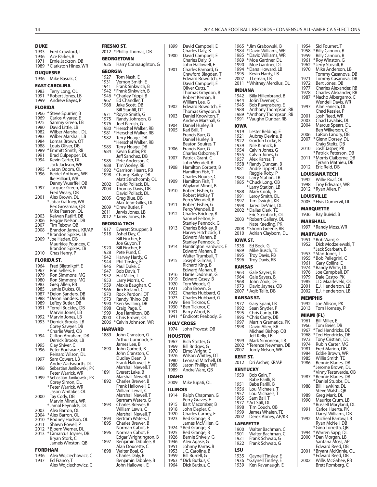#### **DUKE** 1933 Fred Crawford, T<br>1936 Ace Parker, B 1936 Ace Parker, B<br>1971 Frnie Jackson Ernie Jackson, DB 1989 \* Clarkston Hines, WR **DUQUESNE** 1936 Mike Basrak, C **EAST CAROLINA** 1983 Terry Long, OL 1991 \* Robert Jones, LB 1999 Andrew Bayes, P **FLORIDA** 1966 \* Steve Spurrier, B<br>1969 – Carlos Alvarez, F 1969 Carlos Álvarez, E<br>1975 Sammy Green, Ll 1975 Sammy Green, LB<br>1980 David Little LB 1980 David Little, LB 1982 Wilber Marshall, DL 1983 Wilber Marshall, LB<br>1984 – Lomas Brown, OT 1984 Lomas Brown, OT Louis Oliver, DB 1989 \* Emmitt Smith, RB<br>1991 Brad Culpenper 1991 Brad Culpepper, DL<br>1994 Kevin Carter, DL Kevin Carter, DL Jack Jackson, WR<br>1995 \* Jason Odom, OL 1995 \* Jason Odom, OL<br>1996 Reidel Anthony, 1 Reidel Anthony, WR Ike Hilliard, WR Danny Wuerffel, QB Jacquez Green, WR Fred Weary, DB<br>2001 - Alex Brown, DI Alex Brown, DL \* Jabar Gaffney, WR Rex Grossman, QB Mike Pearson, OL<br>2003 Keiwan Ratliff, DB 2003 Keiwan Ratliff, DB 2006 Reggie Nelson, DB<br>2007 Tim Tebow, QB 2007 Tim Tebow, QB Brandon James, KR/AP \* Brandon Spikes, LB 2009 \* Joe Haden, DB Maurkice Pouncey, C Brandon Spikes, LB 2010 Chas Henry, P **FLORIDA ST.** 1964 Fred Biletnikoff, E<br>1967 Ron Sellers, F 1967 Ron Sellers, E<br>1979 Ron Simmons 1979 Ron Simmons, MG<br>1980 Ron Simmons, MG 1980 Ron Simmons, MG<br>1983 Greg Allen, RB 1983 Greg Allen, RB<br>1985 Jamie Dukes, C Jamie Dukes, OL 1987 \* Deion Sanders, DB 1988 \* Deion Sanders, DB<br>1989 – LeRoy Butler, DB 1989 LeRoy Butler, DB<br>1991 \* Terrell Buckley, D \* Terrell Buckley, DB Marvin Jones, LB 1992 \* Marvin Jones, LB 1993 \* Derrick Brooks, LB Corey Sawyer, DB \* Charlie Ward, QB Clifton Abraham, DB Derrick Brooks, LB<br>1995 Clay Shiver C Clay Shiver, C 1996 Peter Boulware, DL Reinard Wilson, DL<br>1997 Sam Cowart, LB Sam Cowart, LB Andre Wadsworth, DL<br>1998 Sebastian Janikowski P Sebastian Janikowski, PK Peter Warrick, WR 1999 \* Sebastian Janikowski, PK Corey Simon, DL \* Peter Warrick, WR Jason Whitaker, OL<br>2000 Tay Cody, DB 2000 Tay Cody, DB Marvin Minnis, WR \* Jamal Reynolds, DL 2003 Alex Barron, OL 2004 \* Alex Barron, OL 2010 \* Rodney Hudson, OL<br>2011 Shawn Powell, P Shawn Powell, P 2012 \* Bjoern Werner, DL 2013 \* Lamarcus Joyner, DB Bryan Stork, C Jameis Winston, QB **FORDHAM**

| 1936 | Alex Wojciechowicz, C |
|------|-----------------------|
| 1937 | Ed Franco. T          |
|      | Alex Wojciechowicz, C |

|              | FRESNO ST.                                | 1899            | David Campbell, E                         |
|--------------|-------------------------------------------|-----------------|-------------------------------------------|
|              | 2012 * Phillip Thomas, DB                 | 1900            | Charles Daly, B<br>David Campbell, E      |
|              | <b>GEORGETOWN</b>                         |                 | Charles Daly, B                           |
| 1926         | Harry Connaughton, G                      | 1901            | John Hallowell, E<br>Charles Barnard, G   |
| GEORGIA      |                                           |                 | Crawford Blagden                          |
| 1927<br>1931 | Tom Nash, E<br>Vernon Smith, E            |                 | Edward Bowditch,                          |
| 1941         | Frank Sinkwich, B                         |                 | David Campbell, E<br>Oliver Cutts, T      |
| 1942         | *Frank Sinkwich, B                        |                 | Thomas Graydon,                           |
| 1946<br>1967 | * Charley Trippi, B<br>Ed Chandler, T     |                 | Robert Kernan, B                          |
| 1968         | Jake Scott, DB                            | 1902            | William Lee, G<br>Edward Bowditch,        |
|              | Bill Stanfill, DT                         |                 | Thomas Graydon,                           |
| 1971<br>1975 | *Royce Smith, G<br>Randy Johnson, G       | 1903            | Daniel Knowlton, 1                        |
| 1976         | Joel Parrish, G                           | 1904            | Andrew Marshall,<br>Daniel Hurley, B      |
| 1980         | *Herschel Walker, RB                      | 1905            | Karl Brill, T                             |
| 1981<br>1982 | * Herschel Walker, RB<br>Terry Hoage, DB  |                 | Francis Burr, G                           |
|              | *Herschel Walker, RB                      |                 | Daniel Hurley, B<br>Beaton Squires, T     |
| 1983         | Terry Hoage, DB                           | 1906            | Francis Burr, G                           |
| 1984         | Kevin Butler, PK<br>Jeff Sanchez, DB      |                 | Charles Osborne, 1                        |
| 1985         | Pete Anderson, C                          | 1907            | Patrick Grant, C                          |
| 1988         | Tim Worley, RB                            | 1908            | John Wendell, B<br>Hamilton Corbett,      |
| 1992<br>1998 | * Garrison Hearst, RB<br>Champ Bailey, DB |                 | Hamilton Fish, T                          |
|              | Matt Stinchcomb, OL                       | 1909            | Charles Nourse, C<br>Hamilton Fish, T     |
| 2002         | David Pollack, DL                         |                 | Wayland Minot, B                          |
| 2004         | Thomas Davis, DB                          | 1910            | Robert Fisher, G                          |
| 2005         | David Pollack, DL<br>Greg Blue, DB        |                 | Robert McKay, T                           |
|              | Max Jean-Gilles, OL                       | 1911            | Percy Wendell, B<br>Robert Fisher, G      |
| 2009         | * Drew Butler, P                          |                 | Percy Wendell, B                          |
| 2011<br>2012 | Jarvis Jones, LB<br>* Jarvis Jones, LB    | 1912            | Charles Brickley, B                       |
|              | GEORGIA TECH                              |                 | Samuel Felton, E<br>Stanley Pennock, (    |
| 1917         | Everett Strupper, B                       | 1913            | Charles Brickley, B                       |
| 1918         | Ashel Day, C                              |                 | Harvey Hitchcock,                         |
|              | Bill Fincher, E                           |                 | Edward Mahan, B<br>Stanley Pennock, (     |
| 1920         | Joe Guyon, T<br>Bill Fincher, E           | 1914            | Huntington Hardw                          |
| 1928         | Pete Pund, C                              |                 | Edward Mahan, B                           |
| 1942         | Harvey Hardy, G<br>Phil Tinsley, E        | 1915            | Walter Trumbull, T<br>Joseph Gilman, T    |
| 1944<br>1946 | Paul Duke, C                              |                 | Richard King, B                           |
| 1947         | Bob Davis, T                              |                 | Edward Mahan, B                           |
| 1952         | Hal Miller, T                             | 1916<br>1919    | Harrie Dadmun, G<br>Edward Casey, B       |
| 1953<br>1959 | Larry Morris, C<br>Maxie Baughan, C       | 1920            | Tom Woods, G                              |
| 1966         | Jim Breland, C                            | 1921            | John Brown, G                             |
| 1970         | Rock Perdoni, DT                          | 1922<br>1923    | Charles Hubbard, (<br>Charles Hubbard,    |
| 1973<br>1990 | Randy Rhino, DB<br>* Ken Swilling, DB     | 1929            | Ben Ticknor, C                            |
| 1998         | Craig Page, C                             | 1930            | *Ben Ticknor, C                           |
| 1999         | Joe Hamilton, QB                          | 1931<br>1941    | Barry Wood, B<br>*Endicott Peabody,       |
| 2000<br>2006 | Chris Brown, OL<br>* Calvin Johnson, WR   |                 | <b>HOLY CROSS</b>                         |
|              | <b>HARVARD</b>                            | 1974            | John Provost, DB                          |
| 1889         | John Cranston, G                          | HOUSTON         |                                           |
|              | Arthur Cumnock, E                         | 1967            | Rich Stotter, G                           |
| 1890         | James Lee, B<br>John Corbett, B           | 1969            | Bill Bridges, G                           |
|              | John Cranston, C                          | 1970            | Elmo Wright, E                            |
|              | Dudley Dean, B                            | 1976<br>1980    | Wilson Whitley, DT<br>Leonard Mitchell, I |
|              | Frank Hallowell, E<br>Marshall Newell, T  | 1988            | Jason Phillips, WR                        |
| 1891         | Everett Lake, B                           | 1989            | Andre Ware, QB                            |
|              | Marshall Newell, T                        | <b>IDAHO</b>    |                                           |
| 1892         | Charles Brewer, B<br>Frank Hallowell, E   | 2009            | Mike lupati, OL                           |
|              | William Lewis, C                          | <b>ILLINOIS</b> |                                           |
|              | Marshall Newell, T                        | 1914            | Ralph Chapman, G                          |
| 1893         | Bertram Waters, G<br>Charles Brewer, B    | 1915            | Perry Graves, E<br>Bart Macomber, B       |
|              | William Lewis, C                          | 1918            | John Depler, C                            |
|              | Marshall Newell, T                        | 1920            | Charles Carney, E                         |
| 1894         | Bertram Waters, T                         | 1923            | Red Grange, B                             |
| 1895         | Charles Brewer, B<br>Norman Cabot, E      | 1924            | James McMillen, G<br>*Red Grange, B       |
| 1896         | Norman Cabot, E                           | 1925            | Red Grange, B                             |
|              | Edgar Wrightington, B                     | 1926            | Bernie Shively, G                         |
| 1897         | Benjamin Dibblee, B<br>Alan Doucette, C   | 1946<br>1951    | Alex Agase, G<br>Johnny Karras, B         |
| 1898         | Walter Boal, G                            | 1953            | J.C. Caroline, B                          |
|              | Charles Daly, B<br>Benjamin Dibblee, B    | 1959            | Bill Burrell, G                           |
|              |                                           | 1963            | * Dick Butkus, C                          |

| 1900             | Charles Dary, D<br>David Campbell, E<br>Charles Daly, B |
|------------------|---------------------------------------------------------|
|                  | John Hallowell, E                                       |
| 1901             | Charles Barnard, G                                      |
|                  | Crawford Blagden, T<br>Edward Bowditch, E               |
|                  | David Campbell, E<br>Oliver Cutts, T                    |
|                  | Thomas Graydon, B<br>Robert Kernan, B                   |
|                  | William Lee, G                                          |
| 1902             | Edward Bowditch, E<br>Thomas Graydon, B                 |
| 1903             | Daniel Knowlton,<br>Γ<br>Andrew Marshall, G             |
| 1904             | Daniel Hurley, B                                        |
| 1905             | Karl Brill, T<br>Francis Burr, G                        |
|                  | Daniel Hurley, B<br>Beaton Squires, T                   |
| 1906             | Francis Burr, G                                         |
| 1907             | Charles Osborne, T<br>Patrick Grant, C                  |
| 1908             | John Wendell, B<br>Hamilton Corbett, B                  |
|                  | Hamilton Fish, T                                        |
| 1909             | Charles Nourse, C<br>Hamilton Fish, T                   |
| 1910             | Wayland Minot, B                                        |
|                  | Robert Fisher, G<br>Robert McKay, T                     |
| 1911             | Percy Wendell, B<br>Robert Fisher, G                    |
| 1912             | Percy Wendell, B                                        |
|                  | Charles Brickley, B<br>Samuel Felton, E                 |
| 1913             | Stanley Pennock, G<br>Charles Brickley, B               |
|                  | Harvey Hitchcock, T                                     |
|                  | Edward Mahan, B<br>Stanley Pennock, G                   |
| 1914             | Huntington Hardwick, E<br>Edward Mahan, B               |
|                  | Walter Trumbull, T                                      |
| 1915             | Joseph Gilman, T<br>Richard King, B                     |
| 1916             | Edward Mahan, B<br>Harrie Dadmun, G                     |
| 1919             | Edward Casey, B                                         |
| 1920<br>1921     | Tom Woods, G<br>John Brown, G                           |
| 1922<br>1923     | Charles Hubbard, G<br>Charles Hubbard, G                |
| 1929             | Ben Ticknor, C                                          |
| 1930<br>1931     | * Ben Ticknor, C<br>Barry Wood, B                       |
| 1941             | * Endicott Peabody, G                                   |
| 1974             | HOLY CROSS<br>John Provost, DB                          |
| HOUSTON          |                                                         |
| 1967<br>1969     | Rich Stotter, G<br>Bill Bridges, G                      |
| 1970             | Elmo Wright, E                                          |
| 1976<br>1980     | Wilson Whitley, DT<br>Leonard Mitchell, DL              |
| 1988<br>1989     | Jason Phillips, WR<br>Andre Ware, QB                    |
| <b>IDAHO</b>     |                                                         |
| 2009             | Mike Iupati, OL                                         |
| ILLINOIS<br>1914 | Ralph Chapman, G                                        |
|                  | Perry Graves, E                                         |
| 1915<br>1918     | Bart Macomber, B<br>John Depler, C                      |
| 1920<br>1923     | Charles Carney, E                                       |
|                  | Red Grange, B<br>James McMillen, G                      |
| 1924<br>1925     | *Red Grange, B<br>Red Grange, B                         |
| 1926<br>1946     | Bernie Shively, G                                       |
| 1951             | Alex Agase, G<br>Johnny Karras, B                       |
| 1953<br>1959     | J.C. Caroline, B<br>Bill Burrell, G                     |
| 1963<br>1964     | * Dick Butkus, C                                        |
|                  | Dick Butkus, C                                          |
|                  |                                                         |

#### 1965 \* Jim Grabowski, B 1984 \* David Williams, WR 1985 \* David Williams, WR 1989 \* Moe Gardner, DL Moe Gardner, DL 1994 \* Dana Howard, LB<br>1995 Kevin Hardy, LB Kevin Hardy, LB 2007 J Leman, LB 2011 \* Whitney Mercilus, DL **INDIANA** 1942 Billy Hillenbrand, B<br>1944 Iohn Tavener C 1944 John Tavener, C 1945 Bob Ravensberg, E<br>1988 Anthony Thompson Anthony Thompson, RB 1989 \* Anthony Thompson, RB 1991 \* Vaughn Dunbar, RB **IOWA** 1919 Lester Belding, E<br>1921 Aubrey Devine, E 1921 Aubrey Devine, B<br>1922 Gordon Locke, B 1922 Gordon Locke, B<br>1939 Nile Kinnick, B Nile Kinnick, B 1954 Calvin Jones, G 1955 Calvin Jones, G 1957 Alex Karras, T<br>1958 \* Randy Dunca 1958 \* Randy Duncan, B<br>1981 Andre Tippett, DL Andre Tippett, DL Reggie Roby, P<br>1984 – Larry Station, L 1984 Larry Station, LB<br>1985 \* Chuck Long, OB \* Chuck Long, QB \* Larry Station, LB<br>1988 Mary Cook. TF 1988 Mary Cook, TE<br>1991 Leroy Smith, D 1991 Leroy Smith, DL<br>1997 Tim Dwight, KR 1997 Tim Dwight, KR<br>1998 Lared DeVries 1998 Jared DeVries, DL<br>2002 \* Dallas Clark, TE 2002 \* Dallas Clark, TE Eric Steinbach, OL<br>2003 \* Robert Gallery OL 2003 \* Robert Gallery, OL Nate Kaeding, PK 2008 \* Shonn Greene, RB 2010 Adrian Clayborn, DL **IOWA ST.** 1938 Ed Bock, G<br>1989 Mike Busch 1989 Mike Busch, TE<br>1995 Trov Davis, RB 1995 Troy Davis, RB<br>1996 Troy Davis, RB Troy Davis, RB **KANSAS** 1963 Gale Sayers, B<br>1964 Gale Sayers, B 1964 Gale Sayers, B<br>1968 Hohn Zook DE 1968 John Zook, DE<br>1973 David Jaynes, QB 1973 David Jaynes, QB 2007 \* Aqib Talib, DB **KANSAS ST.** 1977 Gary Spani, LB<br>1992 Sean Snyder, P 1992 Sean Snyder, P<br>1995 Chris Canty, DI 1995 Chris Canty, DB<br>1996 \* Chris Canty, DB <sup>\*</sup> Chris Canty, DB 1997 Martin Gramatica, PK<br>1998 David Allen, KR David Allen, KR Michael Bishop, QB Jeff Kelly, LB<br>1999 Mark Simon Mark Simoneau, LB 2002 \* Terence Newman, DB 2007 Jordy Nelson, WR **KENT ST.** 2012 Dri Archer, KR/AP **KENTUCKY** 1950 Bob Gain, T Babe Parilli, B<br>1951 - Babe Parilli, B 1951 Babe Parilli, B<br>1956 Lou Michaels, Lou Michaels, T 1957 Lou Michaels, T<br>1965 Sam Ball. T 1965 Sam Ball, T<br>1977 \* Art Still, DL 1977 \* Art Still, DL<br>1998 Tim Couch 1998 Tim Couch, QB<br>1999 James Whalen, 1999 James Whalen, TE<br>2002 Derek Abney, AP/ Derek Abney, AP/KR **LAFAYETTE** Walter Bachman, C 1901 Walter Bachman, C<br>1921 Frank Schwab, G 1921 Frank Schwab, G<br>1922 Frank Schwab, G Frank Schwab, G **LSU** 1935 Gaynell Tinsley, E<br>1936 \*Gaynell Tinsley, E 1936 \* Gaynell Tinsley, E<br>1939 Ken Kavanaugh, I Ken Kavanaugh, E

| 1954         | Sid Fournet, T                                                                 |
|--------------|--------------------------------------------------------------------------------|
| 1958<br>1959 |                                                                                |
| 1961         | * Billy Cannon, B<br>Billy Cannon, B<br>* Roy Winston, G<br>* Jerry Stovall, B |
| 1962<br>1970 | Mike Anderson, LB                                                              |
| 1971         | Tommy Casanova, DB<br>Tommy Casanova, DB                                       |
| 1972<br>1977 | Bert Jones, QB<br>Charles Alexander, RB                                        |
| 1978<br>1987 | Charles Alexander, RB<br>*Nacho Albergamo, C                                   |
|              | Wendell Davis, WR                                                              |
| 1997         | Alan Faneca, OL<br>Chad Kessler, P                                             |
| 2001<br>2003 | Josh Reed, WR<br>Chad Lavalais, DL                                             |
| 2004         | Marcus Spears, DL<br>Ben Wilkerson, C                                          |
| 2006<br>2007 | LaRon Landry, DB                                                               |
| 2010         | * Glenn Dorsey, DL<br>Craig Steltz, DB<br>Josh Jasper, PK                      |
| 2011         | * Patrick Peterson, DB<br>*Morris Claiborne, DB                                |
|              | Tyrann Mathieu, DB                                                             |
| 2012         | Eric Reid, DB<br>LOUISIANA TECH                                                |
| 1992         | Willie Roaf, OL                                                                |
| 1998<br>2012 | Troy Edwards, WR<br>* Ryan Allen, P                                            |
|              | LOUISVILLE                                                                     |
| 2005         | *Elvis Dumervil, DL<br>MARQUETTE                                               |
| 1936         | Ray Buivid, B                                                                  |
| 1997         | MARSHALL                                                                       |
|              | * Randy Moss, WR<br>MARYLAND                                                   |
| 1951<br>1952 | * Bob Ward, G                                                                  |
|              | Dick Modzelewski, T<br>* Jack Scarbath, B                                      |
| 1953<br>1955 | * Stan Jones, T<br>*Bob Pellegrini, C                                          |
| 1961<br>1974 | Gary Collins, E<br>*Randy White, DL                                            |
| 1976<br>1979 | Joe Campbell, DT<br>Dale Castro, PK                                            |
| 1985         | J.D. Maarleveld, OL                                                            |
| 2001<br>2002 | E.J. Henderson, LB<br>E.J. Henderson, LB                                       |
| 1992         | MEMPHIS                                                                        |
| 2013         | Joe Allison, PK<br>Tom Hornsey, P                                              |
| MIA          | ⁄II (FL)                                                                       |
| 1961<br>1966 | Bill Miller, E<br>Tom Beier, DB                                                |
| 1967<br>1968 | *Ted Hendricks, DE<br>*Ted Hendricks, DE                                       |
| 1973<br>1974 | Tony Cristiani, DL<br>Rubin Carter, MG                                         |
| 1981<br>1984 | Fred Marion, DB<br>Eddie Brown, WR                                             |
| 1985<br>1986 | Willie Smith, TE<br>Bennie Blades, DB                                          |
|              | *Jerome Brown, DL                                                              |
| 1987         | *Vinny Testaverde, QB<br>*Bennie Blades, DB                                    |
| 1988         | *Daniel Stubbs, DL<br>Bill Hawkins, DL                                         |
| 1989         | Steve Walsh, QB<br>Greg Mark, DL                                               |
| 1990         | Maurice Crum, LB<br>* Russell Maryland, DL                                     |
| 1991         | Carlos Huerta, PK<br>Darryl Williams, DB                                       |
| 1992         | Micheal Barrow, LB                                                             |
|              | Ryan McNeil, DB<br>* Gino Torretta, QB                                         |
| 1994<br>2000 | *Warren Sapp, DL<br>* Dan Morgan, LB                                           |
|              | Santana Moss, AP<br>Edward Reed, DB                                            |
| 2001         | *Bryant McKinnie, OL<br>*Edward Reed, DB                                       |
| 2002         | Willis McGahee, RB<br>Brett Romberg, C                                         |
|              |                                                                                |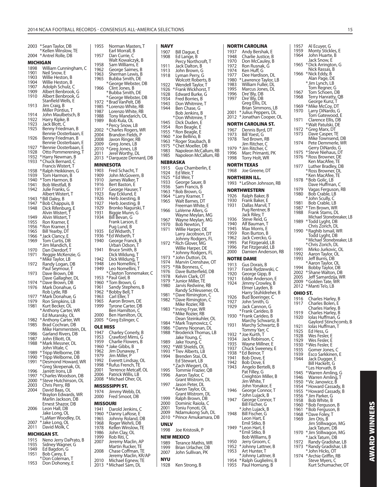2003 \* Sean Taylor, DB \* Kellen Winslow, TE 2004 \* Antrel Rolle, DB **MICHIGAN**<br>1898 Willia 1898 William Cunningham, C<br>1901 Neil Snow, E 1901 Neil Snow, E<br>1903 Willie Hestor 1903 Willie Heston, B<br>1904 Willie Heston, B 1904 Willie Heston, B<br>1907 Adolph Schulz 1907 Adolph Schulz, C 1909 Albert Benbrook, G 1910 Albert Benbrook, G Stanfield Wells, E<br>Stanfield Wells, E<br>1913 Jim Craig, B Jim Craig, B Miller Pontius, T<br>1914 John Maulbetscl 1914 John Maulbetsch, B<br>1922 Harry Kipke, B 1922 Harry Kipke, B<br>1923 Hack Blott C Jack Blott, C 1925 Benny Friedman, B Bennie Oosterbaan, E<br>Bennie Oosterbaan, E<br>1926 – Benny Friedman, B Benny Friedman, B Bennie Oosterbaan, E<br>1927 \* Bennie Oosterbaan, E 1927 \* Bennie Oosterbaan, E<br>1928 Otto Pommerening, T Otto Pommerening, T 1932 \* Harry Newman, B 1933 \* Chuck Bernard, C Francis Wistert, T 1938 \* Ralph Heikkinen, G 1939 Tom Harmon, B<br>1940 \* Tom Harmon, B 1940 \* Tom Harmon, B 1941 Bob Westfall, B<br>1942 Julie Franks, G Julie Franks, G Albert Wistert, T<br>1943 \* Rill Daley B 1943 \* Bill Daley, B<br>1947 \* Bob Chappu 1947 \* Bob Chappuis, B 1948 Dick Rifenburg, E Alvin Wistert, T 1949 Alvin Wistert, T<br>1955 Ron Kramer, E Ron Kramer, E 1956 \* Ron Kramer, E<br>1965 Bill Yearby DT 1965 Bill Yearby, DT<br>1966 \* Jack Clancy F 1966 \* Jack Clancy, E<br>1969 Tom Curtis, DI 1969 Tom Curtis, DB \* Jim Mandich, E 1970 Dan Dierdorf, T<br>1971 Reggie McKenz Reggie McKenzie, G \* Mike Taylor, LB<br>1972 Randy Logan, D 1972 Randy Logan, DB Paul Seymour, T 1973 Dave Brown, DB Dave Gallagher, DL 1974 \* Dave Brown, DB<br>1976 Mark Donahue, Q Mark Donahue, G Rob Lytle, RB<br>Mark Donahu \* 1977 1977 \* Mark Donahue, G<br>1979 Bon Simpkins, J.B 1979 Ron Simpkins, LB 1981 Kurt Becker, OL \* Anthony Carter, WR Ed Muransky, OL 1982 \* Anthony Carter, WR<br>1985 Brad Cochran, DB Brad Cochran, DB Mike Hammerstein, DL<br>1986 Garland Rivers, DB 1986 Garland Rivers, DB<br>1987 John Flliott, Ol John Elliott, OL 1988 \* Mark Messner, DL John Vitale, C 1989 \* Tripp Welborne, DB<br>1990 \* Tripp Welborne, DB 1990 \* Tripp Welborne, DB<br>1991 \* Desmond Howard, \ 1991 \* Desmond Howard, WR \* Greg Skrepenak, OL 1996 Jarrett Irons, LB 1997 \* Charles Woodson, DB 2000 \* Steve Hutchinson, OL 2003 Chris Perry, RB 2004 David Baas, OL \* Braylon Edwards, WR Marlin Jackson, DB Ernest Shazor, DB<br>2006 Leon Hall, DB Leon Hall, DB Jake Long, OL \* LaMarr Woodley, DL 2007 \* Jake Long, OL 2011 David Molk, C **MICHIGAN ST.**<br>1915 Neno Jer 1915 Neno Jerry DaPrato, B<br>1935 Sidney Wagner, G 1935 Sidney Wagner, G<br>1949 Ed Bagdon, G 1949 Ed Bagdon, G<br>1951 Bob Carey, E Bob Carey, E

 \* Don Coleman, T 1953 Don Dohoney, E

| 1955            | Norman Masters, T                                             | NAVY                      |
|-----------------|---------------------------------------------------------------|---------------------------|
| 1957            | Earl Morrall, B<br>Dan Currie, C                              | 1907<br>1908              |
| 1958            | Walt Kowalczyk, B<br>Sam Williams, E                          |                           |
| 1962            | George Saimes, B                                              | 1911<br>1913              |
| 1963            | Sherman Lewis, B                                              | 1918                      |
| 1965            | Bubba Smith, DE                                               |                           |
| 1966            | *George Webster, DB<br>Clint Jones, B                         | 1922                      |
|                 | *Bubba Smith, DE                                              | 1926<br>1928              |
|                 | *George Webster, DB                                           | 1934                      |
| 1972<br>1985    | *Brad VanPelt, DB<br>*Lorenzo White, RB                       | 1943                      |
| 1987            | Lorenzo White, RB                                             | 1944                      |
| 1988            | Tony Mandarich, OL                                            | ×                         |
| 1989            | Bob Kula, OL<br>* Percy Snow, LB                              | 1945                      |
| 2002            | * Charles Rogers, WR                                          | 1954<br>1955              |
| 2004            | Brandon Fields, P                                             | ÷<br>1960                 |
| 2008<br>2009    | Javon Ringer, RB<br>Greg Jones, LB                            | X<br>1963                 |
| 2010            | *Greg Jones, LB                                               | X<br>1975                 |
| 2011            | Jerel Worthy, DL                                              | 1983<br>1985              |
| 2013            | * Darqueze Dennard, DB                                        | NEBR/                     |
|                 | <b>MINNESOTA</b>                                              | 1915                      |
| 1903<br>1909    | Fred Schacht, T<br>John McGovern, B                           | 1924                      |
| 1910            | James Walker, T                                               | ٠N<br>1925                |
| 1916            | Bert Baston, E                                                | 1933<br>1936              |
| 1917            | George Hauser, T                                              | 1963                      |
| 1923<br>1926    | Ray Ecklund, E<br>Herb Joesting, B                            | X<br>1964                 |
| 1927            | Herb Joesting, B                                              | 1965                      |
| 1929            | Bronko Nagurski, T                                            | 1966                      |
| 1931<br>1934    | Biggie Munn, G<br>Bill Bevan, G                               |                           |
|                 | Frank Larson, E                                               | 1967                      |
|                 | Pug Lund, B                                                   | 1970<br>1971              |
| 1935<br>1936    | Ed Widseth, T<br>*Ed Widseth, T                               |                           |
| 1940            | George Franck, B                                              | ×                         |
|                 | Urban Odson, T                                                | 1972                      |
| 1941            | Bruce Smith, B<br>Dick Wildung, T                             |                           |
| 1942            | Dick Wildung, T                                               | $\lambda$<br>1973<br>1974 |
| 1948<br>1949    | Leo Nomellini, T<br>Leo Nomellini, T                          | ٠N<br>1975                |
|                 | * Clayton Tonnemaker, C                                       | 1976                      |
| 1953            | * Paul Giel, B                                                | 1978<br>X<br>1979         |
| 1960<br>1961    | *Tom Brown, G<br>Sandy Stephens, B                            | 1980                      |
| 1962            | * Bobby Bell, T                                               | $\lambda$<br>1981         |
| 1963<br>1965    | Carl Eller, T<br>Aaron Brown, DE                              | 1982                      |
| 1999            | <b>Iyrone Carter, DB</b>                                      |                           |
|                 | Ben Hamilton, C                                               | 1983<br>X                 |
| 2000<br>2005    | Ben Hamilton, OL<br>* Greg Eslinger, C                        |                           |
| <b>OLE MISS</b> |                                                               | ٠N<br>1984<br>X<br>1986   |
| 1947            | Charley Conerly, B                                            | X<br>1988                 |
| 1953            | Crawford Mims, G<br>Charlie Flowers, B                        |                           |
| 1959<br>1960    | * Jake Gibbs, B                                               | 1989<br>X<br>1992         |
| 1962            | Jim Dunaway, T                                                | X<br>1993                 |
| 1979<br>1992    | Jim Miller, P<br>Everett Lindsay, OL                          | 1994                      |
| 1998            | * Rufus French, TE                                            | ٠N                        |
| 2001            | Terrence Metcalf, OL                                          | 1995                      |
| 2006<br>2008    | Patrick Willis, LB<br>* Michael Oher, OL                      | 1996                      |
|                 | <b>MISSISSIPPI ST.</b>                                        | 1997                      |
| 1974            | Jimmy Webb, DL                                                |                           |
| 2000            | Fred Smoot, DB                                                | 1999                      |
|                 | MISSOURI                                                      | 2000                      |
| 1941            | Darold Jenkins, C                                             | 2001                      |
| 1960<br>1965    | *Danny LaRose, E<br>Johnny Roland, DB                         | 2009<br>2010              |
| 1968            | Roger Wehrli, DB                                              | UNLV                      |
| 1978            | Kellen Winslow, TE                                            | 1998                      |
| 1986<br>1999    | John Clay, OL<br>Rob Riti, C                                  | NEW N                     |
| 2007            | Jeremy Maclin, AP                                             | 1989                      |
|                 | Martin Rucker, TE                                             | 1999                      |
| 2008            | Chase Coffman, TE                                             | 2007                      |
|                 |                                                               |                           |
| 2010<br>2013    | Jeremy Maclin, KR/AP<br>Michael Egnew, TE<br>*Michael Săm, DL | NYU<br>1928               |

| 1907         | Bill Dague, E                               |
|--------------|---------------------------------------------|
| 1908         | Ed Lange, B<br>Percy Northcroft, T          |
| 1911         | Jack Dalton, B                              |
| 1913<br>1918 | John Brown, G                               |
|              | Lyman Perry, G<br>Wolcott Roberts, B        |
| 1922         | Wendell Taylor, T                           |
| 1926<br>1928 | *Frank Wickhorst, T                         |
| 1934         | Edward Burke, G<br>Fred Borries, B          |
| 1943         | Don Whitmire, T                             |
| 1944         | Ben Chase, G<br>Bob Jenkins, B              |
|              | *Don Whitmire, T                            |
| 1945         | Dick Duden, E                               |
| 1954<br>1955 | Ron Beagle, E<br>* Ron Beagle, E            |
| 1960         | * Joe Bellino, B                            |
| 1963         | * Roger Staubach, B                         |
| 1975<br>1983 | * Chet Moeller, DB<br>Napoleon McCallum, RB |
| 1985         | Napoleon McCallum, RB                       |
|              | NEBRASKA                                    |
| 1915         | Guy Chamberlin, E                           |
| 1924         | Ed Weir, T<br>Ed Weir, T                    |
| 1925<br>1933 | *Ed Weir,<br>George Sauer, B                |
| 1936         | Sam Francis, B                              |
| 1963         | *Bob Brown, G                               |
| 1964<br>1965 | * Larry Kramer, T<br>Walt Barnes, DT        |
|              | Freeman White, E                            |
| 1966         | LaVerne Allers, G                           |
| 1967         | Wayne Meylan, MG<br>Wayne Meylan, MG        |
| 1970         | <b>Bob Newton, T</b>                        |
| 1971         | Willie Harper, DE<br>Larry Jacobson, DT     |
|              | Johnny Rodgers, FL                          |
| 1972         | * Rich Glover, MG                           |
|              | Willie Harper, DE<br>*Johnny Rodgers, FL    |
| 1973         | *John Dutton, DL                            |
| 1974         | Marvin Crenshaw, OT                         |
| 1975<br>1976 | * Rik Bonness, C<br>Dave Butterfield, DB    |
| 1978         | Kelvin Clark, OT                            |
| 1979         | * Junior Miller, TE                         |
| 1980         | Jarvis Redwine, RB<br>Randy Schleusener, OL |
| 1981         | *Dave Rimington, C                          |
| 1982         | * Dave Rimington, C                         |
| 1983         | Mike Rozier, RB<br>* Irving Fryar, WR       |
|              | * Mike Rozier, RB                           |
|              | Dean Steinkuhler, OL                        |
| 1984<br>1986 | * Mark Traynowicz, C<br>* Danny Noonan, DL  |
| 1988         | * Broderick Thomas, LB                      |
|              | Jake Young, C                               |
| 1989<br>1992 | Jake Young, C<br>* Will Shields, OL         |
| 1993         | *Trev Alberts, LB                           |
| 1994         | Brenden Stai, OL                            |
|              | Ed Stewart, LB<br>* Zach Wiegert, OL        |
| 1995         | Tommie Frazier, QB                          |
| 1996         | Aaron Taylor, C<br>Grant Wistrom, DL        |
| 1997         | Jason Peter, DL                             |
|              | * Aaron Taylor, OL                          |
| 1999         | Grant Wistrom, DL<br>Ralph Brown, DB        |
| 2000         | Dominic Raiola, C                           |
| 2001         | Toniu Fonoti, OL                            |
| 2009<br>2010 | Ndamukong Suh, DL<br>*Prince Amukamara, DB  |
| UNLV         |                                             |
| 1998         | Joe Kristosik, P                            |
|              | NEW MEXICO                                  |
| 1989         | Terance Mathis, WR                          |
| 1999         | Brian Urlacher, DB                          |
| 2007         | John Sullivan, PK                           |
| NYU          |                                             |
| 1928         | Ken Strong, B                               |
|              |                                             |

|              | NORTH CAROLINA                              | 19                   |
|--------------|---------------------------------------------|----------------------|
| 1937<br>1948 | Andy Bershak, E<br>Charlie Justice, B       | 19<br>$\mathbf{1}$   |
| 1970         | Don McCauley, B                             |                      |
| 1972         | Ron Rusnak, G                               | 19                   |
| 1974         | Ken Huff, G                                 | 19                   |
| 1977<br>1980 | Dee Hardison, DL<br>* Lawrence Taylor, LB   |                      |
| 1983         | William Fuller, DL                          |                      |
| 1995         | Marcus Jones, DL                            | 19                   |
| 1996<br>1997 | Dre' Bly, DB                                | 19                   |
|              | Dre' Bly, DB<br>Greg Ellis, DL              |                      |
|              | Brian Simmons, LB<br>* Julius Peppers, DL   | 19                   |
| 2001         |                                             | 19                   |
| 2012         | * Jonathan Cooper, OL                       | 19                   |
| 1967         | <b>NORTH CAROLINA ST.</b>                   | 19                   |
| 1973         | Dennis Byrd, DT<br>Bill Yoest, G            | 19                   |
| 1978         | Ted Brown, RB                               |                      |
|              | Jim Ritcher, C                              | 19                   |
| 1979<br>1996 | * Jim Ritcher, C<br>Marc Primanti, PK       | 19                   |
| 1998         | Torry Holt, WR                              | 19                   |
|              | <b>NORTH TEXAS</b>                          | 19                   |
| 1968         | Joe Greene, DT                              |                      |
|              | <b>NORTHERN ILL.</b>                        |                      |
| 1993         | * LeShon Johnson, RB                        | 19                   |
|              | <b>NORTHWESTERN</b>                         | 19                   |
| 1926         | Ralph Baker, B                              | 19                   |
| 1930         | Frank Baker, E                              | $\mathbf{1}$         |
| 1931         | Dallas Marvil, T<br>Pug Rentner, B          | 19                   |
|              | Jack Riley, T                               | 19                   |
| 1936         | Steve Reid, G                               | 19                   |
| 1940         | Alf Bauman, T                               |                      |
| 1945<br>1959 | Max Morris, E<br>Ron Burton, B              | 19                   |
| 1962         | Jack Cvercko, G                             |                      |
| 1995         | Pat Fitzgerald, LB                          |                      |
| 1996<br>2000 | Pat Fitzgerald, LB<br>Damien Anderson, RB   | 19                   |
|              | <b>NOTRE DAME</b>                           | 19<br>19             |
| 1913         | Gus Dorais, B                               |                      |
| 1917         | Frank Rydzewski, C                          | $\mathbf{1}$         |
| 1920         | George Gipp, B                              | $\overline{2}$<br>21 |
| 1921<br>1924 | Eddie Anderson, E<br>Jimmy Crowley, B       | 21                   |
|              | Elmer Layden, B                             | 21                   |
|              | Harry Stuhldreher, B                        | О                    |
| 1926<br>1927 | Bud Boeringer, C                            | 19                   |
| 1929         | John Smith, G<br>Jack Cannon, G             | 19                   |
|              | * Frank Carideo, B                          |                      |
| 1930         |                                             |                      |
|              | * Frank Carideo, B                          | 19<br>19             |
|              | Marchy Schwartz, B                          |                      |
| 1931         | Marchy Schwartz, B                          | 19                   |
| 1932         | Tommy Yarr, C<br>* Joe Kurth, T             | 19<br>$\mathbf{1}$   |
| 1934         | Jack Robinson, C                            | 19                   |
| 1935<br>1937 | Wayne Millner, E                            | $\mathbf{1}$         |
| 1938         | Chuck Sweeney, E<br>*Ed Beinor, T           | 19<br>$\mathbf{1}$   |
| 1941         | Bob Dove, E                                 | 19                   |
| 1942<br>1943 | Bob Dove, E                                 |                      |
|              | Angelo Bertelli, B<br>Pat Filley, G         | 19                   |
|              | Creighton Miller, B                         | 19                   |
|              | Jim White, T                                | $\mathbf{1}$         |
| 1946         | John Yonakor, E<br>George Connor, T         | 19<br>1 <sup>1</sup> |
|              | * John Lujack, B                            | 19                   |
| 1947         | George Connor, T                            | $\mathbf{1}$         |
|              | Bill Fischer, G<br>* John Lujack, B         | 19<br>$\mathbf{1}$   |
| 1948         | Bill Fischer, G                             | 19                   |
|              | Leon Hart, E                                | 19                   |
| 1949         | Emil Sitko, B<br>Leon Hart, E*              |                      |
|              | * Emil Sitko, B                             | 19                   |
|              | Bob Williams, B                             |                      |
| 1950<br>1952 | Jerry Groom, C                              | 19<br>19             |
| 1953         | *Johnny Lattner, B<br>Art Hunter, T         |                      |
| 1954         | * Johnny Lattner, B<br>* Ralph Guglielmi, B | 19                   |

| 1957         |                                                               |
|--------------|---------------------------------------------------------------|
| 1959         | Al Ecuyer, G<br>Monty Stickles, E<br>John Huarte, B           |
| 1964         |                                                               |
|              |                                                               |
| 1965         | Jack Snow, E<br>* Dick Arrington, G                           |
|              | Nick Rassas, B                                                |
| 1966         | * Nick Eddy, B                                                |
|              | Alan Page, DE                                                 |
|              | * Jim Lynch, LB                                               |
|              | Tom Regner, G                                                 |
| 1967         | Tom Schoen, DB                                                |
| 1968         | Terry Hanratty, QB                                            |
|              | George Kunz,                                                  |
| 1969<br>1970 | * Mike McCoy, DT<br>Larry DiNardo, G                          |
|              | Tom Gatewood, E                                               |
| 1971         | Clarence Ellis, DB                                            |
|              | * Walt Patulski, DE                                           |
| 1972         | *Greg Marx, DT                                                |
| 1973         | Dave Casper, TE                                               |
|              | Mike Townsend, DB                                             |
| 1974         | Pete Demmerle, WR                                             |
|              | Gerry DiNardo, G                                              |
| 1975         | * Steve Niehaus, DT                                           |
| 1976         | * Ross Browner, DE                                            |
|              | Ken MacAfee,<br>TE                                            |
| 1977         | Luther Bradley, DB                                            |
|              | * Ross Browner, DL<br>*Ken MacAfee, TE                        |
| 1978         | * Bob Golic, LB                                               |
|              | Dave Huffman, C                                               |
| 1979         |                                                               |
| 1980         | Vagas Ferguson, RB<br>Bob Crable, LB                          |
|              | *John Scully, C                                               |
| 1981         | Bob Crable, LB                                                |
| 1987         | *Tim Brown, WR                                                |
| 1988         | Frank Stams, DL                                               |
|              | Michael Stonebreaker, LB                                      |
| 1989         | *Todd Lyght, DB                                               |
|              | Chris Zorich, DL                                              |
| 1990         | * Raghib Ismail, WR                                           |
|              | Todd Lyght, DB<br>* Michael Stonebreaker, LB                  |
|              |                                                               |
| 1991         | * Chris Zorich, DL<br>Mirko Jurkovic, OL                      |
|              |                                                               |
|              |                                                               |
| 1992<br>1993 | Aaron Taylor, OL                                              |
|              | Jeff Burris, DB                                               |
| 1994         | * Aaron Taylor, OL<br>Bobby Taylor, DB                        |
| 2002         | * Shane Walton, DB                                            |
| 2005         | Jeff Samardzija, WR                                           |
| 2009         | * Golden Tate, WR                                             |
| 2012         | * Manti Te'o, LB                                              |
| OHIO ST.     |                                                               |
| 1916         |                                                               |
| 1917         | Charles Harley, B<br>Charles Bolen, E                         |
|              | Charles Harley, B                                             |
| 1919         | Charles Harley, B                                             |
| 1920         |                                                               |
|              | Iolas Huffman, G<br>Gaylord Stinchcomb, B                     |
| 1921         | Iolas Huffman, T                                              |
| 1925         | Ed Hess, G                                                    |
| 1928         | Wes Fesler, E                                                 |
| 1929         | Wes Fesler, E                                                 |
| 1930         | * Wes Fesler, E                                               |
| 1935         | Gomer Jones, C                                                |
| 1939<br>1944 | Esco Sarkkinen, E                                             |
|              | Jack Dugger, E                                                |
|              | Bill Hackett, G<br>*Les Horvath, B                            |
| 1945         | *Warren Amling, G                                             |
| 1946         | Warren Amling,                                                |
| 1950         | *Vic Janowicz, B                                              |
| 1954         | *Howard Cassady, B                                            |
| 1955         | *Howard Cassady, B                                            |
| 1956         | * Jim Parker, G                                               |
| 1958         | Bob White, B                                                  |
| 1960         | *Bob Ferguson, B                                              |
| 1961<br>1968 | * Bob Ferguson, B                                             |
| 1969         | * Dave Foley, T                                               |
|              | Jim Otis, B<br>Jim Stillwagon, MG                             |
|              | Jack Tatum, DB                                                |
| 1970         | * Jim Stillwagon, MG                                          |
|              | <i>x</i> Jack Tatum, DB                                       |
| 1972         | Randy Gradishar, LB                                           |
| 1973         |                                                               |
|              | * Randy Gradishar, LB<br>* John Hicks, OT                     |
| 1974         | * Archie Griffin, RB<br>Steve Myers, C<br>Kurt Schumacher, OT |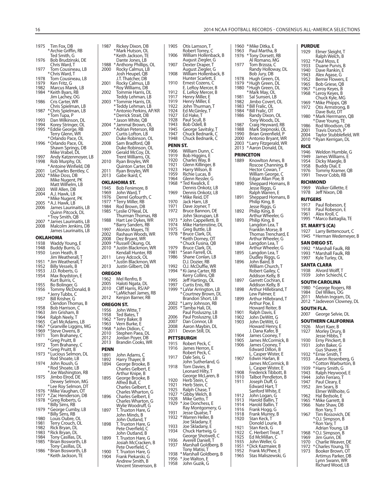1975 Tim Fox, DB \* Archie Griffin, RB Ted Smith, G<br>1976 Bob Brudzins 1986 Brudzinski, DE Chris Ward, T 1977 Tom Cousineau, LB \* Chris Ward, T<br>1978 Tom Cousines 1978 Tom Cousineau, LB<br>1979 Ken Fritz, G 1979 Ken Fritz, G<br>1982 Marcus Mar 1982 Marcus Marek, LB<br>1984 \*Keith Byars, RB \* Keith Byars, RB Jim Lachey, OG<br>1986 Cris Carter, WR Cris Carter, WR Chris Spielman, LB 1987 \* Chris Spielman, LB \* Tom Tupa, P 1993 Dan Wilkinson, DL<br>1994 Korey Stringer, OL 1994 Korey Stringer, OL<br>1995 \* Eddie George, RB \* Eddie George, RB Terry Glenn, WR \* Orlando Pace, OL 1996 \* Orlando Pace, OL Shawn Springs, DB Mike Vrabel, DL<br>Andy Katzenmo 1997 Andy Katzenmoyer, LB<br>1998 Rob Murphy, OL 1998 Rob Murphy, OL \* Antoine Winfield, DB 2001 LeCharles Bentley, C 2002 \* Mike Doss, DB Mike Nugent, PK Matt Wilhelm, LB<br>2003 Will Allen, DB 2003 Will Allen, DB<br>2004 A.J. Hawk, LB A.J. Hawk, LB \* Mike Nugent, PK 2005 \* A.J. Hawk, LB 2006 James Laurinaitis, LB Quinn Pitcock, DL \* Troy Smith, QB 2007 \* James Laurinaitis, LB 2008 Malcolm Jenkins, DB James Laurinaitis, LB **OKLAHOMA** 1938 Waddy Young, E 1948 Buddy Burris, G 1950 Leon Heath, B Jim Weatherall, T 1951 \* Jim Weatherall, T 1952 Billy Vessels, B<br>1953 J.D. Roberts, G 1953 J.D. Roberts, G.<br>1954 Max Boydston Max Boydston, E Kurt Burris, C<br>1955 – Ro Bolinger 1955 Bo Bolinger, G 1956 Tommy McDonald, B \* Jerry Tubbs, C<br>Perry Tubbs, C<br>Pill Krisher, G Bill Krisher, G Clendon Thomas, B<br>1958 Bob Harrison, C 1958 Bob Harrison, C<br>1963 Jim Grisham, R 1963 Jim Grisham, B 1964 Ralph Neely, T 1965 Carl McAdams, LB 1967 \* Granville Liggins, MG 1969 \* Steve Owens, B<br>1971 Tom Brahaney, 0 Tom Brahaney, C \* Greg Pruitt, B 1972 Tom Brahaney, C \* Greg Pruitt, B 1973 \* Lucious Selmon, DL Rod Shoate, LB<br>1974 John Roush, G John Roush, G \* Rod Shoate, LB \* Joe Washington, RB 1975 Jimbo Elrod, DE Dewey Selmon, MG \* Lee Roy Selmon, DT 1976 \* Mike Vaughan, OT 1977 \* Zac Henderson, DB 1978 \* Greg Roberts, G \* Billy Sims, RB 1979 \* George Cumby, LB \* Billy Sims, RB<br>1980 Louis Oubre, 1980 Louis Oubre, OL<br>1981 Terry Crouch, Ol 1981 Terry Crouch, OL<br>1982 Rick Bryan DI 1982 Rick Bryan, DL<br>1983 \* Rick Bryan, DL 1983 \* Rick Bryan, DL 1984 Tony Casillas, DL 1985 \* Brian Bosworth, LB Tony Casillas, DL 1986 \* Brian Bosworth, LB \* Keith Jackson, TE

| 1987          | Rickey Dixon, DB                            | 1905            | Otis Lamson, T                      |
|---------------|---------------------------------------------|-----------------|-------------------------------------|
|               | * Mark Hutson, OL                           | 1906            | Robert Torrey,                      |
|               | * Keith Jackson, TE<br>Dante Jones, LB      |                 | William Hollen<br>August Zieglei    |
| 1988          | * Anthony Phillips, OL                      | 1907            | Dexter Draper,                      |
| 2000          | Rocky Calmus, LB                            |                 | August Zieglei                      |
|               | Josh Heupel, QB                             | 1908            | William Hollen                      |
|               | J.T. Thatcher, DB                           |                 | Hunter Scarlet                      |
| 2001          | Rocky Calmus, LB                            | 1910            | Ernest Cozens,                      |
| 2002          | * Roy Williams, DB<br>Tommie Harris, DL     | 1912            | E. LeRoy Merce<br>E. LeRoy Merce    |
|               | Teddy Lehman, LB                            | 1917            | Henry Miller, E                     |
| 2003          | *Tommie Harris, DL                          | 1919            | Henry Miller, E                     |
|               | *Teddy Lehman, LB                           | 1922            | John Thurman                        |
|               | * Antonio Perkins, AP/KR                    | 1924            | Ed McGinley, T                      |
|               | *Derrick Strait, DB                         | 1927            | Ed Hake, T                          |
|               | * Jason White, QB                           | 1928<br>1943    | Paul Scull, B                       |
| 2004          | * Jammal Brown, OL<br>* Adrian Peterson, RB | 1945            | Bob Odell, B<br>George Savitsl      |
| 2007          | Curtis Lofton, LB                           | 1947            | Chuck Bednari                       |
|               | Duke Robinson, OL                           | 1948            | Chuck Bednari                       |
| 2008          | Sam Bradford, QB                            | <b>PENN ST.</b> |                                     |
|               | Duke Robinson, OL                           | 1906            | William Dunn,                       |
| 2009          | Gerald McCoy, DL                            | 1919            | Bob Higgins, E                      |
| 2010          | Trent Williams, OL<br>Ryan Broyles, WR      | 1920            | Charles Way, B                      |
|               | Quinton Carter, DB                          | 1921            | Glenn Killinger                     |
| 2011          | Ryan Broyles, WR                            | 1923            | Harry Wilson, E                     |
| 2013          | Gabe Ikard. C                               | 1959            | Richie Lucas, B                     |
|               | OKLAHOMA ST.                                | 1964            | Glenn Ressler,                      |
|               |                                             | 1968            | *Ted Kwalick, E                     |
| 1945          | Bob Fenimore, B                             |                 | Dennis Onkotz                       |
| 1969<br>1976  | John Ward, T<br>Derrel Gofourth, C          | 1969            | Dennis Onkotz<br>* Mike Reid, DT    |
| 1977          | *Terry Miller, RB                           | 1970            | Jack Ham, LB                        |
| 1984          | Rod Brown, DB                               | 1971            | Dave Joyner, T                      |
| 1985          | * Leslie O'Neal, DL                         | 1972            | Bruce Bannon,                       |
|               | Thurman Thomas, RB                          |                 | John Skorupar                       |
| 1988          | Hart Lee Dykes, WR                          | 1973            | * John Cappelle                     |
|               | *Barry Sanders, RB                          | 1974            | Mike Hartensti                      |
| 1997          | Alonzo Mayes, TE                            | 1975            | Greg Buttle, LE                     |
| 2002          | Rashaun Woods, WR                           | 1978            | *Bruce Clark, DI                    |
| 2008          | Dez Bryant, WR                              |                 | * Keith Dorney,<br>* Chuck Fusina,  |
| 2009<br>2010  | * Russell Okung, OL                         | 1979            | Bruce Clark, DI                     |
|               | * Justin Blackmon, WR                       |                 |                                     |
|               |                                             |                 |                                     |
|               | Kendall Hunter, RB                          | 1981            | * Sean Farrell, O                   |
| 2011          | Levy Adcock, OL                             | 1986            | Shane Conlan,                       |
| 2013          | * Justin Blackmon, WR<br>Justin Gilbert, DB | 1992            | D.J. Dozier, RB<br>O.J. McDuffie,   |
|               |                                             | 1994            | * Ki-Jana Carter,                   |
| <b>OREGON</b> |                                             |                 | Kerry Collins, C                    |
| 1962          | Mel Renfro, B                               | 1995            | Jeff Hartings, O                    |
| 2005<br>2010  | Haloti Ngata, DL                            | 1997            | Curtis Enis, RB                     |
|               | Cliff Harris, RS/AP<br>*LaMichael James, RB | 1999            | *LaVar Arringto                     |
| 2012          | Kenjon Barner, RB                           |                 | *Courtney Brov                      |
|               |                                             | 2002            | <b>Brandon Short</b>                |
|               | <b>OREGON ST.</b>                           | 2005            | *Larry Johnson,<br>* Tamba Hali, Dl |
| 1956          | John Witte, T                               |                 | Paul Posluszny                      |
| 1958<br>1962  | Ted Bates, T                                | 2006            | Paul Posluszny                      |
| 1963          | *Terry Baker, B<br>Vern Burke, E            | 2007            | Dan Connor, L                       |
| 1968          | * John Didion, C                            | 2008            | Aaron Maybin,                       |
| 2010          | Stephen Paea, DL                            | 2011            | Devon Still, DL                     |
| 2012          | Jordan Poyer, DB                            |                 | <b>PITTSBURGH</b>                   |
| 2013          | Brandin Cooks, WR                           | 1915            | Robert Peck, C                      |
| <b>PENN</b>   |                                             | 1916            | James Herron,                       |
| 1891          | John Adams, C                               |                 | Robert Peck, C                      |
| 1892          | Harry Thayer, B                             | 1917            | Dale Seis, G                        |
| 1894          | George Brooke, B                            |                 | John Sutherlar                      |
|               | Charles Gelbert, E                          | 1918            | Tom Davies, B                       |
|               | Arthur Knipe, B                             |                 | Leonard Hilty,                      |
| 1895          | George Brooke, B                            | 1920            | George McLar<br>Herb Stein, C       |
|               | Alfred Bull, C                              | 1921            | Herb Stein, C                       |
|               | Charles Gelbert, E                          | 1925            | Ralph Chase, T                      |
| 1896          | Charles Wharton, G                          | 1927            | * Gibby Welch, E                    |
|               | Charles Gelbert, E<br>Charles Wharton, G    | 1928            | Mike Getto, T                       |
|               | Wylie Woodruff, G                           | 1929            | * Joe Donchess,                     |
| 1897          | T. Truxton Hare, G                          |                 | Ray Montgom                         |
|               | John Minds, B                               | 1931            | Jesse Quatse, 1                     |
|               | John Outland, T                             | 1932            | *Warren Heller,                     |
| 1898          | T. Truxton Hare, G                          | 1933            | Joe Skladany, I<br>Joe Skladany, I  |
|               | Pete Overfield, C                           | 1934            | Chuck Hartwig                       |
|               | John Outland, B                             |                 | George Shotw                        |
| 1899          | T. Truxton Hare, G                          | 1936            | Averell Daniell                     |
|               | Josiah McCracken, B<br>Pete Overfield, C    | 1937            | Marshall Goldl                      |
| 1900          | T. Truxton Hare, G                          |                 | Tony Matisi, T                      |
| 1904          | Frank Piekarski, G<br>Andrew Smith. B       | 1938<br>1956    | * Marshall Goldl<br>* Joe Walton, E |

Vincent Stevenson, B

|                  | Robert Torrey, C                                                 |
|------------------|------------------------------------------------------------------|
| 1906             | William Hollenback, B<br>August Ziegler, G                       |
| 1907             | Dexter Draper, T                                                 |
| 1908             | August Ziegler, G<br>William Hollenback, B<br>Hunter Scarlett, E |
| 1910             | Ernest Cozens, C                                                 |
| 1912             | E. LeRoy Mercer, B<br>E. LeRoy Mercer, B                         |
| 1917<br>1919     | Henry Miller, E                                                  |
| 1922             | Henry Miller, E<br>John Thurman, T                               |
| 1924<br>1927     | Ed McGinley, T<br>Ed Hake, T                                     |
| 1928             | Paul Scull, B                                                    |
| 1943<br>1945     | Bob Odell, B<br>George Savitsky, T                               |
| 1947             | Chuck Bednarik, C                                                |
| 1948             | Chuck Bednarik, C                                                |
| PENN ST.<br>1906 | William Dunn, C                                                  |
| 1919             | Bob Higgins, E                                                   |
| 1920<br>1921     | Charles Way, B<br>Glenn Killinger, B                             |
| 1923             | Harry Wilson, B                                                  |
| 1959<br>1964     | Richie Lucas, B<br>Glenn Ressler, G                              |
| 1968             | *Ted Kwalick, E                                                  |
| 1969             | Dennis Onkotz, LB<br>Dennis Onkotz, LB                           |
|                  | * Mike Reid, DT                                                  |
| 1970<br>1971     | Jack Ham, LB<br>Dave Joyner, T                                   |
| 1972             | Bruce Bannon, DE<br>John Skorupan, LB                            |
| 1973             | * John Cappelletti, B                                            |
| 1974<br>1975     | Mike Hartenstine, DL<br>Greg Buttle, LB                          |
| 1978             | *Bruce Clark, DL                                                 |
|                  | * Keith Dorney, OT<br>* Chuck Fusina, QB                         |
| 1979             | Bruce Clark, DL                                                  |
| 1981<br>1986     | * Sean Farrell, OL<br>Shane Conlan, LB                           |
|                  | D.J. Dozier, RB                                                  |
| 1992<br>1994     | O.J. McDuffie, WR<br>*Ki-Jana Carter, RB                         |
| 1995             | Kerry Collins, QB<br>Jeff Hartings, OL                           |
| 1997             | Curtis Enis, RB                                                  |
| 1999             | *LaVar Arrington, LB                                             |
|                  | * Courtney Brown, DL<br>Brandon Short, LB                        |
| 2002<br>2005     | *Larry Johnson, RB<br>* Tamba Hali, DL                           |
| 2006             | Paul Posluszny, LB                                               |
| 2007             | Paul Posluszny, LB<br>Dan Connor, LB                             |
| 2008<br>2011     | Aaron Maybin, DL<br>Devon Still, DL                              |
|                  | PITTSBURGH                                                       |
| 1915             | Robert Peck, C                                                   |
| 1916             | James Herron, E<br>Robert Peck, C                                |
| 1917             | Dale Seis, G                                                     |
| 1918             | John Sutherland, G<br>Tom Davies, B                              |
|                  | Leonard Hilty, T                                                 |
| 1920             | George McLaren, B<br>Herb Stein, C                               |
| 1921             | Herb Stein, C                                                    |
| 1925<br>1927     | Ralph Chase, T<br>* Gibby Welch, B                               |
| 1928             | Mike Getto, T<br>* Joe Donchess, E                               |
| 1929             | Ray Montgomery, G                                                |
| 1931<br>1932     | Jesse Quatse, T<br>*Warren Heller, B                             |
|                  | Joe Skladany, E                                                  |
| 1933<br>1934     | Joe Skladany, E<br>Chuck Hartwig, G                              |
|                  | George Shotwell, C                                               |
| 1936<br>1937     | Averell Daniell, T<br>Marshall Goldberg, B                       |
|                  | Tony Matisi, T<br>* Marshall Goldberg, B                         |
| 1938<br>1956     | *Joe Walton, E                                                   |
| 1958             | John Guzik, G                                                    |

| 1960<br>1963 | * Mike Ditka, E<br>Paul Martha, B                                  |
|--------------|--------------------------------------------------------------------|
| 1976         | *Tony Dorsett, RB<br>Al Romano, MG                                 |
| 1977         | Tom Brzoza, C<br>Randy Holloway, DL<br>Bob Jury, DB                |
| 1978         | Hugh Green, DL                                                     |
| 1979<br>1980 | *Hugh Green, DL<br>*Hugh Green, DL<br>* Mark May, OL               |
| 1981<br>1982 | Sal Sunseri, LB<br>Jimbo Covert, OL                                |
| 1983<br>1984 | *Bill Fralic, OL<br>* Bill Fralic, OT                              |
| 1986         | Randy Dixon, OL<br>Tony Woods, DL                                  |
| 1987         | Craig Heyward, RB                                                  |
| 1988         | Mark Stepnoski, OL                                                 |
| 1990<br>2000 | Brian Greenfield, P<br>Antonio Bryant, WR<br>Larry Fitzgerald, WR* |
| 2003<br>2013 | * Aaron Donald, DL                                                 |
|              | PRINCETON                                                          |
| 1889         | Knowlton Ames, B                                                   |
|              | Roscoe Channing, B<br>Hector Cowan, T                              |
|              | William George, C<br>Edgar Allan Poe, B                            |
| 1890         | Sheppard Homans, B                                                 |
|              | Jesse Riggs, G<br>Ralph Warren, E                                  |
| 1891         | Sheppard Homans, B<br>Philip King, B                               |
|              | Jesse Riggs, G                                                     |
| 1892         | Philip King, B<br>Arthur Wheeler, G                                |
| 1893         | Philip King, B                                                     |
|              | Langdon Lea, T<br>Franklin Morse, B<br>Thomas Trenchard, E         |
|              | Arthur Wheeler, G                                                  |
| 1894         | Langdon Lea, T                                                     |
| 1895         | Arthur Wheeler, G<br>Langdon Lea, T                                |
| 1896         | Dudley Riggs, G<br>John Baird, B                                   |
|              | William Church, T<br>Robert Gailey, C                              |
|              | Addison Kelly, B                                                   |
| 1897         | Garrett Cochran, E<br>Addison Kelly, B                             |
| 1898         | Arthur Hillebrand, T<br>Lew Palmer, E                              |
| 1899         | Arthur Hillebrand, T<br>Arthur Poe, E                              |
|              | Howard Reiter, B                                                   |
| 1901<br>1902 | Ralph Davis, E<br>John DeWitt, G                                   |
| 1903         | John DeWitt, G<br>Howard Henry, E                                  |
|              | J. Dana Kafer, B<br>James Cooney, T                                |
| 1904<br>1905 | James McCormick, B                                                 |
| 1906         | James Cooney, T<br>Edward Dillon, B                                |
|              | L. Casper Wister, E                                                |
| 1907         | Edwin Harlan, B<br>James McCormick, B                              |
| 1908         | L. Casper Wister, E<br>Frederick Tibbott, B                        |
| 1910         | Talbot Pendleton, B                                                |
| 1911         | Joseph Duff, G<br>Edward Hart, T                                   |
| 1912         | Sanford White, E                                                   |
| 1913         | Santoru<br>John Logan, G<br>Harold Ballin, T<br>Marold Ballin, T   |
| 1914<br>1916 | Harold Ballin,<br>Frank Hogg, G                                    |
| 1918         | Frank Murrey, B<br>Stan Keck, T                                    |
| 1920         | Donold Lourie, B                                                   |
| 1921<br>1922 | Stan Keck, G<br>C. Herbert Treat, T                                |
| 1925         | Ed McMillan, C                                                     |
| 1935<br>1951 | John Weller, G<br>* Dick Kazmaier, B                               |
| 1952<br>1965 | Frank McPhee, E<br>Stas Maliszewski, G                             |
|              |                                                                    |

|                | <b>PURDUE</b>                                          |
|----------------|--------------------------------------------------------|
| 1929           | Elmer Sleight, T<br>Ralph Welch, B                     |
| 1932           | * Paul Moss, E                                         |
| 1933           | Duane Purvis, B                                        |
| 1940           | Dave Rankin, E                                         |
| 1943           | Alex Agase, G                                          |
| 1952<br>1965   | Bernie Flowers, E<br>Bob Griese, QB                    |
| 1967           | *Leroy Keyes, B                                        |
| 1968           | * Leroy Keyes, B<br>Chuck Kyle, MG                     |
| 1969           | * Mike Phipps, QB                                      |
| 1972           | Otis Armstrong, B                                      |
| 1980           | Dave Butz, DT                                          |
|                | * Mark Herrmann, QB<br>* Dave Young, TE                |
| 1986           | Rod Woodson, DB                                        |
| 2001<br>2004   | Travis Dorsch, P<br>Taylor Stubblefield, WR            |
| 2010           | * Ryan Kerrigan, DL                                    |
| <b>RICE</b>    |                                                        |
| 1946           | Weldon Humble, G                                       |
| 1949           | James Williams, E                                      |
| 1954           | Dicky Maegle, B                                        |
| 1958<br>1976   | Buddy Dial, E<br>Tommy Kramer, QB                      |
| 1991           | Trevor Cobb, RB                                        |
|                | <b>RICHMOND</b>                                        |
| 1969           | Walker Gillette, E                                     |
| 1978           | Jeff Nixon, DB                                         |
| <b>RUTGERS</b> |                                                        |
| 1917<br>1918   | Paul Robeson, E<br>Paul Robeson, E                     |
| 1961           | Alex Kroll, C                                          |
| 1995           | * Marco Battaglia, TE                                  |
|                | ST. MARY'S (CA)                                        |
| 1927<br>1945   | Larry Bettencourt, C<br>* Herman Wedemeyer, B          |
|                | SAN DIEGO ST.                                          |
| 1992           | * Marshall Faulk, RB                                   |
|                |                                                        |
| 1993           | * Marshall Faulk, RB                                   |
| 1997           | Kyle Turley, OL                                        |
|                | SANTA CLARA                                            |
| 1938           | Alvord Wolff, T                                        |
| 1939           | John Schiechl, C                                       |
| 1980           | SOUTH CAROLINA                                         |
| 1984           | * George Rogers, RB<br>Del Wilkes, OG                  |
| 2011           | Melvin Ingram, DL                                      |
| 2012           | * Jadeveon Clowney, DL                                 |
| 2007           | SOUTH FLA.                                             |
|                | George Selvie, DL                                      |
| SOUT<br>1926   | ERN<br>d<br>CALIFORNIA<br>Mort Kaer, B                 |
| 1927           | Morley Drury, B                                        |
| 1930           | Jesse Hibbs, T                                         |
| 1931           | Erny Pinckert, B                                       |
|                | John Baker, G<br>Gus Shaver, B                         |
| 1932<br>1933   | *Ernie Smith, T<br>Aaron Rosenberg, G                  |
|                | *Cotton Warburton, B                                   |
| 1939<br>1943   | * Harry Smith, G                                       |
| 1944           | Ralph Heywood, E                                       |
| 1947           | John Ferraro, T<br>Paul Cleary, E                      |
| 1952           | Jim Sears, B<br>Elmer Willhoite, G                     |
| 1962           | Hal Bedsole, E                                         |
| 1965           |                                                        |
| 1966           | * Mike Garrett, B<br>Nate Shaw, DB<br>Ron Yary, T      |
| 1967           | Tim Rossovich, DE                                      |
|                |                                                        |
|                | * O.J. Simpson, B<br>* Ron Yary, T<br>Adrian Ýoung, LB |
| 1968           | *O.J. Simpson, B                                       |
| 1969<br>1970   | Jim Gunn, DE                                           |
| 1972           | Charlie Weaver, DE<br>* Charles Young, TE              |
| 1973           | Booker Brown, OT<br>Artimus Parker, DB                 |

Richard Wood, LB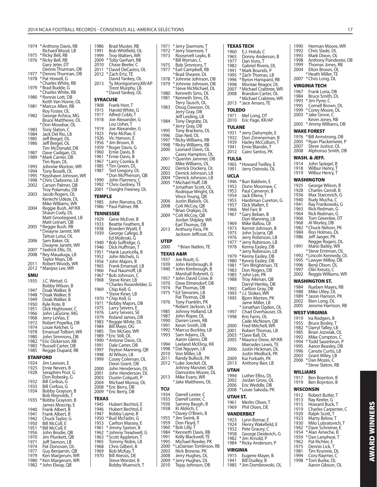1974 \* Anthony Davis, RB Richard Wood, LB 1975 \* Ricky Bell, RB<br>1976 \* Ricky Bell, RB \* Ricky Bell, RB Gary Jeter, DT Dennis Thurman, DB<br>1977 \* Dennis Thurman, DB \* Dennis Thurman, DB 1978 \* Pat Howell, G \* Charles White, RB<br>1979 \* Brad Budde, G 1979 \* Brad Budde, G \* Charles White, RB<br>1980 \* Ronnie Lott, DB \* Ronnie Lott, DB Keith Van Horne, OL<br>1981 \* Marcus Allen, RB \* Marcus Allen, RB Roy Foster, OL<br>1982 - George Achica George Achica, MG Bruce Matthews, OL \* Don Mosebar, OL 1983 Tony Slaton, C<br>1984 Jack Del Rio, Li 1984 Jack Del Rio, LB<br>1985 Jeff Bregel, OL Jeff Bregel, OL 1986 Jeff Bregel, OL Tim McDonald, DB 1987 Dave Cadigan, OL<br>1989 \* Mark Carrier, DB Mark Carrier, DB Tim Ryan, DL<br>1993 – Johnnie Mort 1993 Johnnie Morton, WR<br>1994 Tony Boselli, Ol 1994 Tony Boselli, OL<br>1995 \* Keyshawn Johns 1995 \* Keyshawn Johnson, WR<br>1998 \* Chris Claiborne, LB 1998 \* Chris Claiborne, LB<br>2002 Carson Palmer, OB Carson Palmer, QB Troy Polamalu, DB<br>2003 Jacob Rogers, OL Jacob Rogers, OL Kenechi Udeze, DL Mike Williams, WR<br>2004 Reggie Bush, AP/K Reggie Bush, AP/KR Shaun Cody, DL Matt Grootegoed, LB Matt Leinart, QB 2005 \* Reggie Bush, RB \* Dwayne Jarrett, WR Taitusi Lutui, OL 2006 Sam Baker, OL Dwayne Jarrett, WR<br>2007 \* Sedrick Ellis, DL 2007 \* Sedrick Ellis, DL \* Rey Maualuga, LB Taylor Mays, DB<br>2011 Robert Woods. V Robert Woods, WR 2012 \* Marqise Lee, WR **SMU** J.C. Wetsel, G Bobby Wilson, B<br>1947 Doak Walker, B 1947 Doak Walker, B<br>1948 \* Doak Walker, B 1948 \* Doak Walker, B<br>1949 – Doak Walker, B 1949 Doak Walker, B<br>1950 Kyle Rote B 1950 Kyle Rote, B 1951 Dick Hightower, C<br>1966 John LaGrone MG 1966 John LaGrone, MG<br>1968 Jerry LeVias. E 1968 Jerry LeVias, E<br>1972 Robert Popelk 1972 Robert Popelka, DB<br>1974 Louie Kelcher G 1974 Louie Kelcher, G<br>1978 Emanuel Tolbert 1978 Emanuel Tolbert, WR<br>1980 John Simmons, DB 1980 John Simmons, DB<br>1982 \* Eric Dickerson, RB 1982 \* Eric Dickerson, RB<br>1983 \* Russell Carter, DB 1983 \* Russell Carter, DB<br>1985 Reggie Dupard, R Reggie Dupard, RB **STANFORD** 1924 Jim Lawson, E<br>1925 Frnie Nevers J 1925 Ernie Nevers, B<br>1928 Seraphim Post, Seraphim Post, G Don Robesky, G<br>1932 Bill Corbus G 1932 Bill Corbus, G 1933 Bill Corbus, G<br>1934 Bobby Grayso Bobby Grayson, B Bob Reynolds, T<br>,1935 \*Bobby Grayson 1935 \* Bobby Grayson, B James Moscrip, E 1940 Frank Albert, B<br>1941 Frank Albert, B 1941 Frank Albert, B<br>1942 Chuck Taylor, G 1942 Chuck Taylor, G<br>1950 Bill McColl, E 1950 Bill McColl, E<br>1951 \*Bill McColl, E 1951 \* Bill McColl, E John Brodie, QB 1970 Jim Plunkett, QB 1971 Jeff Siemon, LB<br>1974 Pat Donovan, D 1974 Pat Donovan, DL<br>1977 Guy Beniamin, O 1977 Guy Benjamin, QB<br>1979 Ken Margerum, W

1979 Ken Margerum, WR<br>1980 \* Ken Margerum, WR \* Ken Margerum, WR 1982 \* John Elway, QB

1986 Brad Muster, RB<br>1991 Bob Whitfield, C 1991 Bob Whitfield, OL<br>1999 Trov Walters, WR 1999 Troy Walters, WR<br>2009 \* Toby Gerhart, RB 2009 \* Toby Gerhart, RB Chase Beeler, C 2011 \* David DeCastro, OL<br>2012 \* Zach Ertz, TE Zach Ertz, TE David Yankey, OL<br>2013 Tv Montgomery k Ty Montgomery, KR/AP Trent Murphy, LB \* David Yankey, OL **SYRACUSE** 1908 Frank Horr, T<br>1915 Harold White 1915 Harold White, G<br>1917 Alfred Cobb, T 1917 Alfred Cobb, T<br>1918 Joe Alexander Joe Alexander, G Lou Usher, T<br>Ine Alexande 1919 Joe Alexander, G<br>1923 Pete McRae, E 1923 Pete McRae, E<br>1923 Pete McRae, E<br>1926 Vic Hanson, F 1926 Vic Hanson, E<br>1956 \* Jim Brown, B \* Jim Brown, B 1959 \* Roger Davis, G<br>1960 Frnie Davis, B Ernie Davis, B 1961 \* Ernie Davis, B<br>1967 \* Larry Csonka 1967 \*Larry Csonka, B<br>1985 \*Tim Green, DL 1985 \* Tim Green, DL Ted Gregory, DL \* Don McPherson, QB<br>1990 John Flannery, C 1990 John Flannery, C<br>1992 \* Chris Gedney, TF Chris Gedney, TE 2001 \* Dwight Freeney, DL **TEMPLE** John Rienstra, OL and Dinner Coel<br>1986 \* Paul Palmer, RB **TENNESSEE**<br>1929 Gene 1929 Gene McEver, B<br>1933 Beattie Feathers 1933 Beattie Feathers, B<br>1938 Bowden Wyatt, E 1938 Bowden Wyatt, É<br>1939 George Cafego, B George Cafego, B Ed Molinski, G<br>۱۹۵۵ × ۹۵۸ × ۱۹۵۸ 1940 \* Bob Suffridge, G 1946 Dick Huffman, T 1951 \* Hank Lauricella, B<br>1952 Dohn Michels, G 1952 John Michels, G<br>1956 \*John Maiors, B 1956 \* John Majors, B<br>1965 Frank Emanuel 1965 Frank Emanuel, LB<br>1966 Paul Naumoff LB 1966 Paul Naumoff, LB<br>1967 \*Bob Johnson, C 1967 \* Bob Johnson, C<br>1968 Steve Kiner, LB 1968 Steve Kiner, LB \* Charles Rosenfelder, G 1969 Chip Kell, G \* Steve Kiner, LB<br>1970 \* Chip Kell, G 1970 \* Chip Kell, G<br>1971 \* Bobby Majo 1971 \* Bobby Majors, DB<br>1975 Larry Seivers F 1975 Larry Seivers, E 1976 Larry Seivers, SE 1979 Roland James, DB 1983 \* Reggie White, DL 1984 Bill Mayo, OG 1985 Tim McGee, WR 1989 \* Eric Still, OL<br>1990 \* Antone Dav 1990 \* Antone Davis, OL<br>1991 Dale Carter, DB 1991 Dale Carter, DB<br>1997 Peyton Manning 1997 Peyton Manning, QB<br>1998 ALWilson LB 1998 Al Wilson, LB<br>1999 Cosey Colem na missin, EB<br>Cosey Coleman, OL Deon Grant, DB<br>2000 John Hendersor 2000 John Henderson, DL<br>2001 John Henderson, DL 2001 John Henderson, DL<br>2003 Dustin Colquitt, P 2003 Dustin Colquitt, P<br>2004 Michael Munoz, O Michael Munoz, OL 2008 \* Eric Berry, DB 2009 \* Eric Berry, DB **TEXAS** 1945 Hubert Bechtol, E<br>1946 Hubert Bechtol, E 1946 Hubert Bechtol, E<br>1947 Bobby Layne, B 1947 Bobby Layne, B<br>1950 \* Bud McFadin, G 1950 \* Bud McFadin, G<br>1953 Carlton Massey 1953 Carlton Massey, E<br>1961 \* Jimmy Saxton, B 1961 \* Jimmy Saxton, B 1962 \* Johnny Treadwell, G 1963 \* Scott Appleton, T 1965 Tommy Nobis, LB<br>1968 Chris Gilbert, B 1968 Chris Gilbert, B<br>1969 Bob McKay, T 1969 Bob McKay, T<br>1970 Bill Atessis, DI Bill Atessis, DE Steve Worster, B Bobby Wuensch, T

| 1972<br>1973         | * Jerry Sisemore, T<br>Roosevelt Leaks, B                  |
|----------------------|------------------------------------------------------------|
|                      | *Bill Wyman, C                                             |
| 1975                 | Bob Simmons, T                                             |
| 1977                 | * Earl Campbell, RB<br>*Brad Shearer, DL                   |
| 1978                 | *Johnnie Johnson, DB                                       |
| 1979                 | * Johnnie Johnson, DB                                      |
| 1980                 | * Steve McMichael, DL<br>Kenneth Sims, DL                  |
| 1981                 | *Kenneth Sims, DL                                          |
| 1983                 | Terry Tausch, OL                                           |
|                      | Doug Dawson, OL                                            |
|                      | Jerry Gray, DB<br>Jeff Leiding, LB                         |
| 1984                 | Tony Degrate, DL<br>* Jerry Gray, DB                       |
| 1995                 | Tony Brackens, DL                                          |
| 1996                 | Dan Neil, OL                                               |
| 1997<br>1998         | * Ricky Williams, RB<br>* Ricky Williams, RB               |
| 2000                 | Leonard Davis, OL                                          |
| 2001                 | Casey Hampton, DL<br>* Quentin Jammer, DB                  |
|                      | Mike Williams, OL                                          |
| 2002                 | Derrick Dockery, OL                                        |
| 2003<br>2004         | Derrick Johnson, LB<br>* Derrick Johnson, LB               |
| 2005                 | * Michael Huff, DB                                         |
|                      | *Jonathan Scott, OL                                        |
|                      | Rodrique Wright, DL<br>Vince Young, QB                     |
| 2006                 | Justin Blalock, OL                                         |
| 2008                 | Colt McCoy, QB                                             |
| 2009                 | *Brian Orakpo, DL<br>* Colt McCoy, QB                      |
|                      | Jordan Shipley, WR                                         |
| 2013                 | Earl Thomas, DB<br>Anthony Fera, PK                        |
|                      | Jackson Jeffcoat, DL                                       |
| UTEP                 |                                                            |
| 2000                 | * Brian Natkin, TE                                         |
|                      |                                                            |
|                      |                                                            |
| 1937                 | TEXAS A&M<br>Joe Routt, G                                  |
| 1939                 | John Kimbrough, B                                          |
| 1940                 | * John Kimbrough, B                                        |
| 1957                 | Marshall Robnett, G<br>* John David Crow, B                |
| 1970                 | Dave Elmendorf, DB                                         |
| 1974<br>1975         | Pat Thomas, DB                                             |
|                      | *Ed Simonini, LB<br>Pat Thomas, DB                         |
| 1976                 | Tony Franklin, PK                                          |
| 1985                 | * Robert Jackson, LB<br>Johnny Holland, LB                 |
| 1987                 | John Roper, DL                                             |
| 1990                 | Darren Lewis, RB                                           |
| 1991<br>1992         | Kevin Smith, DB<br>* Marcus Buckley, LB                    |
| 1993                 | Sam Adams, DL                                              |
| 1994                 | Aaron Glenn, DB<br>Leeland McElroy, KR                     |
| 1998                 | *Dat Nguyen, LB                                            |
| 2010                 | Von Miller, LB                                             |
| 2011<br>2012         | Randy Bullock, PK                                          |
|                      | * Luke Joeckel, OL<br>Johnny Manziel, QB                   |
|                      | Damontre Moore, DL                                         |
| 2013                 | Mike Evans, WR<br>* Jake Matthews, OL                      |
| TCU                  |                                                            |
| 1934                 | Darrell Lester, C                                          |
| 1935                 | Darrell Lester, C                                          |
| 1936<br>1938         | Sammy Baugh, B<br>Ki Aldrich, C                            |
|                      | *Davey O'Brien, B                                          |
|                      | * Jim Swink, B                                             |
| 1955<br>1959<br>1960 | Don Floyd, T<br>* Bob Lilly, T                             |
| 1984                 | * Kenneth Davis, RB                                        |
| 1991<br>1995         | Kelly Blackwell, TE<br>Michael Reeder, PK                  |
| 2000                 | * LaDainian Tomlinson, RB                                  |
| 2003                 | Nick Browne, PK                                            |
| 2008<br>2009         |                                                            |
| 2010                 | Jerry Hughes, DL<br>Jerry Hughes, DL*<br>Tejay Johnson, DB |

**UTEP**

**TCU**

1971 \* Jerry Sisemore, T

**TEXAS TECH** 1960 E.J. Holub, C<br>1965 Donny Ande 1965 Donny Anderson, B<br>1977 Dan Irons T 1977 Dan Irons, T<br>1982 Gabriel River 1982 Gabriel Rivera, DL<br>1991 \* Mark Bounds P 1991 \* Mark Bounds, P<br>1995 \* Zach Thomas, L 1995 \* Zach Thomas, LB<br>1996 \* Byron Hanspard. 1996 \* Byron Hanspard, RB<br>1998 Montae Reagor, DL 1998 Montae Reagor, DL<br>2007 \*Michael Crabtree, V 2007 \* Michael Crabtree, WR<br>2008 Brandon Carter, OL Brandon Carter, OL \* Michael Crabtree, WR<br>2013 \* Jace Amaro, TE \* Jace Amaro, TE **TOLEDO** 1971 Mel Long, DT 2010 Eric Page, KR/AP **TULANE** 1931 \* Jerry Dalrymple, E<br>1932 Don Zimmerman 1932 Don Zimmerman, B<br>1939 Harley McCollum T 1939 Harley McCollum, T<br>1941 Frnie Blandin T 1941 Ernie Blandin, T<br>2012 Cairo Santos, Pl Cairo Santos, PK **TULSA** 1965 \* Howard Twilley, E<br>1991 Jerry Ostroski, OL Jerry Ostroski, OL **UCLA** 1946 \* Burr Baldwin, E<br>1952 Donn Moomaw 1952 Donn Moomaw, C<br>1953 Paul Cameron, B 1953 Paul Cameron, B<br>1954 Lack Fllena, T Jack Ellena, T 1955 Hardiman Cureton, G<br>1957 Dick Wallen, F 1957 Dick Wallen, E<br>1966 Mel Farr, B 1966 Mel Farr, B<br>1967 \* Gary Bebay Gary Beban, B Don Manning, LB<br>1969 Mike Ballou LB 1969 Mike Ballou, LB<br>1973 Kermit Johnson 1973 Kermit Johnson, B<br>1975 John Sciarra, OB John Sciarra, QB 1976 Jerry Robinson, LB 1977 \* Jerry Robinson, LB 1978 Kenny Easley, DB \* Jerry Robinson, LB 1979 \* Kenny Easley, DB<br>1980 \* Kenny Fasley, DB 1980 \* Kenny Easley, DB 1981 \* Tim Wrightman, TE 1983 Don Rogers, DB 1985 \* John Lee, PK 1988 Troy Aikman, QB Darryl Henley, DB<br>1992 Carlton Gray, DB 1992 Carlton Gray, DB<br>1993 \*J.J. Stokes, WR 1993 \* J.J. Stokes, WR<br>1995 Biorn Merten. I Bjorn Merten, PK Jamir Miller, LB \* Jonathan Ogden, OL 1997 Chad Overhauser, OL<br>1998 Kris Farris, Ol Kris Farris, OL Cade McNown, QB<br>2000 Fred Mitchell, WR 2000 Fred Mitchell, WR<br>2001 Robert Thomas II 2001 Robert Thomas, LB<br>2003 \* Dave Ball, DL 2003 \* Dave Ball, DL<br>2005 \* Maurice Drev \* Maurice Drew, AP/KR Marcedes Lewis, TE<br>2006 – Justin Hickman, DI Justin Hickman, DL Justin Medlock, PK<br>2009 Kai Forbath, PK 2009 Kai Forbath, PK<br>2013 Anthony Barr, L Anthony Barr, LB **UTAH** 1994 Luther Elliss, DL<br>2002 Jordan Gross, O 2002 Jordan Gross, OL 2006 Eric Weddle, DB<br>2008 \*Louie Sakoda, P \* Louie Sakoda, PK **UTAH ST.** 1961 Merlin Olsen, T<br>1969 Phil Olsen, DE Phil Olsen, DE **VANDERBILT** 1923 Lynn Bomar, E<br>1924 Henry Wakefie 1924 Henry Wakefield, E<br>1932 Pete Gracey, C 1932 Pete Gracey, C 1958 George Deiderich, G 1982 \* Jim Arnold, P<br>1984 \* Ricky Anderso \* Ricky Anderson, P **VIRGINIA** 1915 Eugene Mayer, B<br>1941 Bill Dudley, B Bill Dudley, B 1985 \* Jim Dombrowski, OL **VIRGINIA TECH**<br>1967 Frank Lori 1993 \* Jim Pyne, C<br>1995 Cornell Broy **WAKE FOREST WASH. & JEFF.**  $\frac{192}{192}$  $194$ 19<br>19  $19<sub>8</sub>$ 19 19  $\frac{199}{200}$ **WA W** 19 19  $\frac{19}{19}$ **W W**<br>19

1990 Herman Moore, WR 1992 Chris Slade, DL 1993 Mark Dixon, OL<br>1998 Anthony Poinde 1998 Anthony Poindexter, DB<br>1999 Thomas Jones, RB 1999 Thomas Jones, RB<br>2004 Elton Brown, OL Elton Brown, OL \* Heath Miller, TE 2007 \* Chris Long, DL 1967 Frank Loria, DB<br>1984 Bruce Smith, DI 1984 Bruce Smith, DL<br>1993 \* Jim Pyne C 1995 Cornell Brown, DL 1999 \* Corey Moore, DL<br>2003 \* Jake Grove, C \* Jake Grove, C Kevin Jones, RB 2005 \* Jimmy Williams, DB 1976 \* Bill Armstrong, DB 2005 \* Ryan Plackemeier, P 2007 Steve Justice, OL<br>2008 Alphonso Smith. Alphonso Smith, DB 1914 John Spiegel, B<br>1918 Wilbur Henry T Wilbur Henry, T 1919 Wilbur Henry, T

# **WASHINGTON**<br>1925 George Wilson

| 1925<br>1928<br>1936<br>1940<br>1941<br>1963<br>1964<br>1966<br>1968 | George Wilson, B<br>Charles Carroll, B<br>Max Starcevich, G<br>Rudy Mucha, C<br>Ray Frankowski, G<br>Rick Redman, G<br>Rick Redman, G<br>Tom Greenlee, DT               |
|----------------------------------------------------------------------|-------------------------------------------------------------------------------------------------------------------------------------------------------------------------|
| 1982<br>1984                                                         | Al Worley, DB<br>* Chuck Nelson, PK<br>Ron Holmes, DL                                                                                                                   |
| 1986                                                                 | Jeff Jaeger, PK<br>Reggie Rogers, DL                                                                                                                                    |
| 1991                                                                 | Mario Bailey, WR<br>*Steve Emtman, DL                                                                                                                                   |
| 1992<br>1995<br>1996                                                 | * Lincoln Kennedy, OL<br>*Lawyer Milloy, DB<br>Benji Olson, OL                                                                                                          |
| 1997<br>2002                                                         | Olin Kreutz, C<br>Reggie Williams, WR                                                                                                                                   |
|                                                                      | WASHINGTON ST.                                                                                                                                                          |
| 1984<br>1988<br>1989<br>2002<br>2005                                 | Rueben Mayes, RB<br>Mike Utley, OL<br>* Jason Hanson, PK<br>Rien Long, DL<br>Jerome Harrison, RB                                                                        |
|                                                                      | WEST VIRGINIA                                                                                                                                                           |
| 1919<br>1955<br>1982<br>1985<br>1992<br>1994<br>1995<br>1996         | Ira Rodgers, B<br><b>Bruce Bosley, T</b><br>* Darryl Talley, LB<br>Brian Jozwiak, OL<br>Mike Compton, C<br>*Todd Sauerbrun, P<br>Aaron Beasley, DB<br>Canute Curtis, LB |

| 2003<br>2006                                                                                                         | Grant Wiley, LB<br>* Dan Mozes, C<br>* Steve Slaton, RB                                                                                                                                                                                                                                                              |
|----------------------------------------------------------------------------------------------------------------------|----------------------------------------------------------------------------------------------------------------------------------------------------------------------------------------------------------------------------------------------------------------------------------------------------------------------|
|                                                                                                                      | WILLIAMS                                                                                                                                                                                                                                                                                                             |
| 1917<br>1919                                                                                                         | Ben Boynton, B<br>Ben Boynton, B                                                                                                                                                                                                                                                                                     |
|                                                                                                                      | WISCONSIN                                                                                                                                                                                                                                                                                                            |
| 1912<br>1913<br>1915<br>1919<br>1920<br>1923<br>1930<br>1942<br>1954<br>1959<br>1962<br>1975<br>1981<br>1994<br>1998 | Robert Butler, T<br>Ray Keeler, G<br>Howard Buck, T<br>Charles Carpenter, C<br>Ralph Scott, T<br>Marty Below, T<br>Milo Lubratovich, T<br>* Dave Schreiner, E<br>* Alan Ameche, B<br>*Dan Lanphear, T<br>Pat Richter, E<br>Dennis Lick, T<br>Tim Krumrie, DL<br>Cory Raymer, C<br>*Tom Burke, DL<br>Aaron Gibson, OL |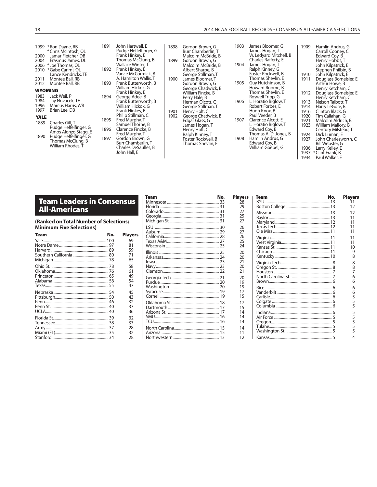#### 18 2014 NCAA FOOTBALL RECORDS - CONSENSUS ALL-AMERICA SELECTIONS

| 2000<br>2004<br>2006<br>2010 | 1999 * Ron Dayne, RB<br>* Chris McIntosh, OL<br>Jamar Fletcher. DB<br>Erasmus James, DL<br>* Joe Thomas, OL<br>* Gabe Carimi, OL<br>Lance Kendricks, TE | 1891<br>1892 | John Hartwell, E<br>Pudge Heffelfinger, G<br>Frank Hinkey, E<br>Thomas McClung, B<br>Wallace Winter, T<br>Frank Hinkey, E<br>Vance McCormick, B | 1898<br>1899 | Gordon Brown, G<br>Burr Chamberlin, T<br>Malcolm McBride, B<br>Gordon Brown, G<br>Malcolm McBride, B<br>Albert Sharpe, B<br>George Stillman, T | 1903<br>1904 | James Bloomer, G<br>James Hogan, T<br>W. Ledyard Mitchell, B<br>Charles Rafferty, E<br>James Hogan, T<br>Ralph Kinney, G<br>Foster Rockwell, B | 1909<br>1910                         | Hamlin Andrus, G<br>Carroll Cooney, C<br>Edward Cov, B<br>Henry Hobbs, T<br>John Kilpatrick, E<br>Stephen Philbin, B<br>John Kilpatrick, E |
|------------------------------|---------------------------------------------------------------------------------------------------------------------------------------------------------|--------------|-------------------------------------------------------------------------------------------------------------------------------------------------|--------------|------------------------------------------------------------------------------------------------------------------------------------------------|--------------|------------------------------------------------------------------------------------------------------------------------------------------------|--------------------------------------|--------------------------------------------------------------------------------------------------------------------------------------------|
| 2011<br>2012                 | Montee Ball, RB<br>Montee Ball, RB                                                                                                                      | 1893         | A. Hamilton Wallis, T<br>Frank Butterworth, B                                                                                                   | 1900         | James Bloomer. T<br>Gordon Brown, G                                                                                                            | 1905         | Thomas Shevlin, E<br>Guy Hutchinson, B                                                                                                         | 1911                                 | Douglass Bomeisler, E<br>Arthur Howe, B                                                                                                    |
| <b>WYOMING</b>               |                                                                                                                                                         |              | William Hickok, G<br>Frank Hinkey, E                                                                                                            |              | George Chadwick, B<br>William Fincke, B                                                                                                        |              | Howard Roome, B<br>Thomas Shevlin, E                                                                                                           | 1912                                 | Henry Ketcham, C<br>Douglass Bomeisler, E                                                                                                  |
| 1983<br>1984<br>1996<br>1997 | Jack Weil, P<br>Jay Novacek, TE<br>Marcus Harris, WR<br>Brian Lee, DB                                                                                   | 1894         | George Adee, B<br>Frank Butterworth, B<br>William Hickok, G<br>Frank Hinkey, E                                                                  | 1901         | Perry Hale, B<br>Herman Olcott, C<br>George Stillman, T<br>Henry Holt, C                                                                       | 1906         | Roswell Tripp, G<br>L. Horatio Biglow, T<br>Robert Forbes, E<br>Hugh Knox, B                                                                   | 1913<br>1914<br>1916                 | Henry Ketcham, C<br>Nelson Talbott, T<br>Harry LeGore, B<br>Clinton Black, G                                                               |
| <b>YALE</b><br>1889          | Charles Gill, T<br>Pudge Heffelfinger, G<br>Amos Alonzo Stagg, E                                                                                        | 1895<br>1896 | Philip Stillman, C<br>Fred Murphy, T<br>Samuel Thorne, B<br>Clarence Fincke, B                                                                  | 1902         | George Chadwick, B<br>Edgar Glass, G<br>James Hogan, T<br>Henry Holt, C                                                                        | 1907         | Paul Veeder, B<br>Clarence Alcott, E<br>L. Horatio Biglow, T<br>Edward Coy, B                                                                  | 1920<br>1921<br>1923                 | Tim Callahan, G<br>Malcolm Aldrich, B<br>William Mallory, B<br>Century Milstead, T                                                         |
| 1890                         | Pudge Heffelfinger, G<br>Thomas McClung, B<br>William Rhodes. T                                                                                         | 1897         | Fred Murphy, T<br>Gordon Brown, G<br>Burr Chamberlin, T<br>Charles DeSaulles, B<br>John Hall, E                                                 |              | Ralph Kinney, T<br>Foster Rockwell, B<br>Thomas Shevlin, E                                                                                     | 1908         | Thomas A. D. Jones, B.<br>Hamlin Andrus, G<br>Edward Coy, B<br>William Goebel, G                                                               | 1924<br>1927<br>1936<br>1937<br>1944 | Dick Luman, E<br>John Charlesworth, C<br>Bill Webster, G<br>Larry Kelley, E<br>*Clint Frank, B<br>Paul Walker, E                           |

## **Team Leaders in Consensus All-Americans**

**(Ranked on Total Number of Selec tions; Minimum Five Selections)**

| 69<br>81 |
|----------|
|          |
|          |
| 59       |
| 71       |
| 65       |
| 58       |
| 61       |
| 49       |
| 54       |
| 47       |
| 45       |
| 43       |
| 32       |
| 37       |
| 36       |
| 32       |
| 33       |
| 28       |
| 32       |
| 28       |
|          |

| leam | NO. | <b>Playe</b> |
|------|-----|--------------|
|      |     | 28           |
|      |     | 29           |
|      |     | 27           |
|      |     | 25<br>27     |
|      |     |              |
|      |     | 26           |
|      |     | 27           |
|      |     | 26           |
|      |     | 25           |
|      |     | 24           |
|      |     | 20           |
|      |     | 20           |
|      |     | 21           |
|      |     | 20           |
|      |     | 21           |
|      |     | 20           |
|      |     | 19           |
|      |     | 19           |
|      |     | 17<br>15     |
|      |     |              |
|      |     | 17           |
|      |     | 15           |
|      |     | 14           |
|      |     | 14<br>14     |
|      |     |              |
|      |     | 14           |
|      |     | 11           |
|      |     | 12           |

| Team<br>No. | <b>Players</b> | Team<br>No. | <b>Players</b> |
|-------------|----------------|-------------|----------------|
|             | 28             |             |                |
|             | 29             |             | 12             |
|             | 27             |             | 12             |
|             | 25             |             |                |
|             | 27             |             |                |
|             | 26             |             |                |
|             | 27             |             |                |
|             | 26             |             |                |
|             | 25             |             | 11             |
|             | 24             |             | 10             |
|             | 20             |             | 9              |
|             | 20             |             |                |
|             | 21             |             | 8              |
|             | 20             |             | 8              |
|             | 21             |             | 7              |
|             | 20             |             |                |
|             | 19             |             |                |
|             | 19             |             |                |
|             | 17             |             | 6              |
|             | 15             |             |                |
|             | 17             |             |                |
|             | 15             |             |                |
|             | 14             |             | 5              |
|             | 14             |             |                |
|             | 14             |             | 5              |
|             | 14             |             |                |
|             | 11             |             |                |
|             | 12             |             |                |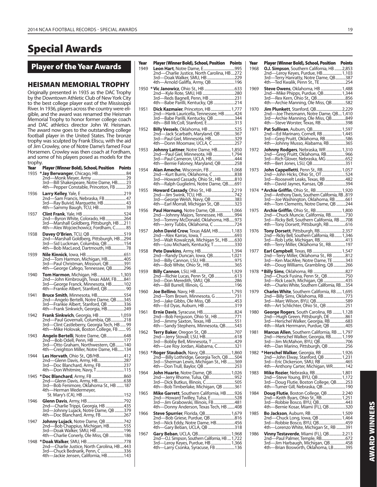# **Special Awards**

**Player of the Year Awards**

## **HEISMAN MEMORIAL TROPHY**

Originally presented in 1935 as the DAC Trophy by the Downtown Athletic Club of New York City to the best college player east of the Mississippi River. In 1936, players across the country were eligible, and the award was renamed the Heisman Memorial Trophy to honor former college coach and DAC athletics director John W. Heisman. The award now goes to the outstanding college football player in the United States. The bronze trophy was sculpted by Frank Eliscu, with the aid of Jim Crowley, one of Notre Dame's famed Four Horsemen. Crowley was then coach at Fordham, and some of his players posed as models for the trophy.

| Year | Player (Winner Bold), School, Position Points                                           |  |
|------|-----------------------------------------------------------------------------------------|--|
| 1935 | * Jay Berwanger, Chicago, HB 84                                                         |  |
|      |                                                                                         |  |
| 1936 |                                                                                         |  |
|      |                                                                                         |  |
| 1937 |                                                                                         |  |
|      |                                                                                         |  |
| 1938 |                                                                                         |  |
| 1939 |                                                                                         |  |
|      | 3rd—Paul Christman, Missouri, QB 391<br>4th—George Cafego, Tennessee, QB 296            |  |
| 1940 |                                                                                         |  |
|      |                                                                                         |  |
| 1941 | <b>Bruce Smith, Minnesota, HB554</b>                                                    |  |
|      |                                                                                         |  |
| 1942 | Frank Sinkwich, Georgia, HB  1,059<br>2nd—Paul Governali, Columbia, QB218               |  |
|      | 3rd-Clint Castleberry, Georgia Tech, HB  99<br>4th—Mike Holovak, Boston College, FB  95 |  |
| 1943 | Angelo Bertelli, Notre Dame, QB648                                                      |  |
|      |                                                                                         |  |
| 1944 | Les Horvath, Ohio St., QB/HB412                                                         |  |
|      |                                                                                         |  |
| 1945 |                                                                                         |  |
|      |                                                                                         |  |
| 1946 |                                                                                         |  |
|      |                                                                                         |  |
|      |                                                                                         |  |
| 1947 | Johnny Lujack, Notre Dame, QB 742                                                       |  |
|      |                                                                                         |  |
| 1948 |                                                                                         |  |
|      | 4th—Jackie Jensen, California, HB143                                                    |  |
|      |                                                                                         |  |

| Year | <b>Player (Winner Bold), School, Position Points</b>                         | Year | Player (Winner Bold), School, Position Points                                            |  |
|------|------------------------------------------------------------------------------|------|------------------------------------------------------------------------------------------|--|
| 1949 | 2nd—Charlie Justice, North Carolina, HB272                                   | 1968 | <b>O.J. Simpson</b> , Southern California, HB 2,853<br>2nd-Leroy Keyes, Purdue, HB 1,103 |  |
|      |                                                                              |      | 3rd-Terry Hanratty, Notre Dame, QB387                                                    |  |
|      | 4th-Arnold Galiffa, Army, QB196                                              |      | 4th—Ted Kwalik, Penn St., TE 254                                                         |  |
|      |                                                                              | 1969 | Steve Owens, Oklahoma, HB  1,488<br>2nd-Mike Phipps, Purdue, QB 1,344                    |  |
|      | 3rd-Reds Bagnell, Penn, HB 231                                               |      |                                                                                          |  |
|      | 4th—Babe Parilli, Kentucky, QB 214                                           |      | 4th—Archie Manning, Ole Miss, QB……………582                                                 |  |
| 1951 | Dick Kazmaier, Princeton, HB 1,777<br>2nd—Hank Lauricella, Tennessee, HB 424 | 1970 | 2nd—Joe Theismann, Notre Dame, QB 1,410                                                  |  |
|      | 3rd-Babe Parilli, Kentucky, QB 344<br>4th-Bill McColl, Stanford, E313        |      | 3rd-Archie Manning, Ole Miss, QB849                                                      |  |
| 1952 | Billy Vessels, Oklahoma, HB 525                                              | 1971 | 4th—Steve Worster, Texas, RB………………………398<br>Pat Sullivan, Auburn, QB 1,597               |  |
|      | 2nd-Jack Scarbath, Maryland, QB367                                           |      | 2nd—Ed Marinaro, Cornell, RB  1,445                                                      |  |
|      | 3rd-Paul Giel, Minnesota, HB329<br>4th—Donn Moomaw, UCLA, C 257              |      | 3rd-Greg Pruitt, Oklahoma, RB586<br>4th-Johnny Musso, Alabama, RB365                     |  |
| 1953 | <b>Johnny Lattner</b> , Notre Dame, HB1,850                                  | 1972 | Johnny Rodgers, Nebraska, WR  1,310                                                      |  |
|      | 2nd—Paul Giel, Minnesota, HB  1,794                                          |      | 2nd-Greg Pruitt, Oklahoma, RB966                                                         |  |
|      | 3rd-Paul Cameron, UCLA, HB444<br>4th—Bernie Faloney, Maryland, QB 258        |      |                                                                                          |  |
| 1954 | Alan Ameche, Wisconsin, FB 1,068                                             | 1973 | John Cappelletti, Penn St., RB 1,057                                                     |  |
|      | 3rd-Howard Cassady, Ohio St., HB810                                          |      | 2nd—John Hicks, Ohio St., OT524<br>3rd-Roosevelt Leaks, Texas, RB 482                    |  |
|      | 4th-Ralph Guglielmi, Notre Dame, QB691                                       |      | 4th--David Jaynes, Kansas, QB394                                                         |  |
| 1955 | Howard Cassady, Ohio St., HB2,219                                            |      | 1974 * Archie Griffin, Ohio St., RB  1,920                                               |  |
|      | 3rd-George Welsh, Navy, QB383                                                |      | 2nd—Anthony Davis, Southern California, RB 819<br>3rd—Joe Washington, Oklahoma, RB 661   |  |
|      | 4th-Earl Morrall, Michigan St., QB 323                                       |      | 4th-Tom Clements, Notre Dame, QB 244                                                     |  |
| 1956 | Paul Hornung, Notre Dame, QB 1,066<br>2nd—Johnny Majors, Tennessee, HB994    | 1975 | Archie Griffin, Ohio St., RB 1,800<br>2nd—Chuck Muncie, California, RB730                |  |
|      | 3rd-Tommy McDonald, Oklahoma, HB973                                          |      | 3rd-Ricky Bell, Southern California, RB 708                                              |  |
|      | 4th—Jerry Tubbs, Oklahoma, C 724                                             |      | 4th-Tony Dorsett, Pittsburgh, RB616                                                      |  |
| 1957 | John David Crow, Texas A&M, HB 1,183                                         | 1976 | Tony Dorsett, Pittsburgh, RB 2,357<br>2nd-Ricky Bell, Southern California, RB 1,346      |  |
|      | 3rd—Walt Kowalczyk, Michigan St., HB 630                                     |      | 3rd—Rob Lytle, Michigan, RB413                                                           |  |
| 1958 | 4th—Lou Michaels, Kentucky, T330<br>Pete Dawkins, Army, HB 1,394             | 1977 | 4th-Terry Miller, Oklahoma St., RB197                                                    |  |
|      | 2nd-Randy Duncan, Iowa, QB 1,021                                             |      | 2nd—Terry Miller, Oklahoma St., RB 812                                                   |  |
|      | 4th—Bob White, Ohio St., HB365                                               |      | 3rd-Ken MacAfee, Notre Dame, TE 343<br>4th—Doug Williams, Grambling, QB 266              |  |
| 1959 |                                                                              |      |                                                                                          |  |
|      | 3rd-Don Meredith, SMU, QB286                                                 |      | 2nd—Chuck Fusina, Penn St., QB………………750<br>3rd-Rick Leach, Michigan, QB 435              |  |
|      |                                                                              |      | 4th-Charles White, Southern California, RB354                                            |  |
| 1960 |                                                                              | 1979 | <b>Charles White, Southern California, RB 1,695</b>                                      |  |
|      | 2nd—Tom Brown, Minnesota, G731<br>3rd-Jake Gibbs, Ole Miss, QB453            |      | 2nd-Billy Sims, Oklahoma, RB773<br>3rd-Marc Wilson, BYU, QB589                           |  |
|      | 4th-Ed Dyas, Auburn, HB 319                                                  |      | 4th—Art Schlichter, Ohio St., QB 251                                                     |  |
| 1961 | 2nd—Bob Ferguson, Ohio St., HB771                                            | 1980 | George Rogers, South Carolina, RB  1,128<br>2nd—Hugh Green, Pittsburgh, DE 861           |  |
|      | 3rd-Jimmy Saxton, Texas, HB 551                                              |      | 3rd—Herschel Walker, Georgia, RB683                                                      |  |
|      | 4th—Sandy Stephens, Minnesota, QB543                                         |      | 4th-Mark Herrmann, Purdue, QB 405                                                        |  |
| 1962 |                                                                              | 1981 | Marcus Allen, Southern California, RB  1,797<br>2nd-Herschel Walker, Georgia, RB 1,199   |  |
|      | 3rd-Bobby Bell, Minnesota, T429                                              |      | 3rd—Jim McMahon, BYU, QB706                                                              |  |
|      | 4th—Lee Roy Jordan, Alabama, C321<br>1963 * Roger Staubach, Navy, QB 1,860   |      | 4th—Dan Marino, Pittsburgh, QB 256<br>1982 * Herschel Walker, Georgia, RB  1,926         |  |
|      | 2nd—Billy Lothridge, Georgia Tech, QB504                                     |      | 2nd—John Elway, Stanford, QB  1,231                                                      |  |
|      | 3rd—Sherman Lewis, Michigan St., HB 369                                      |      | 3rd—Eric Dickerson, SMU, RB 465<br>4th—Anthony Carter, Michigan, WR142                   |  |
| 1964 | John Huarte, Notre Dame, QB 1,026                                            | 1983 |                                                                                          |  |
|      |                                                                              |      | 2nd—Steve Young, BYU, QB 1,172<br>3rd-Doug Flutie, Boston College, QB253                 |  |
|      | 3rd-Dick Butkus, Illinois, C505<br>4th—Bob Timberlake, Michigan, QB 361      |      | 4th-Turner Gill, Nebraska, QB190                                                         |  |
| 1965 | Mike Garrett, Southern California, HB926                                     | 1984 | Doug Flutie, Boston College, QB2,240                                                     |  |
|      | 2nd—Howard Twilley, Tulsa, E528<br>3rd-Jim Grabowski, Illinois, FB481        |      | 2nd—Keith Byars, Ohio St., RB 1,251<br>3rd-Robbie Bosco, BYU, QB443                      |  |
|      | 4th—Donny Anderson, Texas Tech, HB 408                                       |      | 4th-Bernie Kosar, Miami (FL), QB320                                                      |  |
| 1966 | Steve Spurrier, Florida, QB 1,679                                            | 1985 |                                                                                          |  |
|      | 3rd-Nick Eddy, Notre Dame, HB456                                             |      | 2nd—Chuck Long, Iowa, QB  1,464<br>3rd-Robbie Bosco, BYU, QB459                          |  |
|      | 4th—Gary Beban, UCLA, QB 318                                                 |      | 4th—Lorenzo White, Michigan St., RB 391                                                  |  |
| 1967 | 2nd—O.J. Simpson, Southern California, HB  1,722                             | 1986 | Vinny Testaverde, Miami (FL), QB 2,213                                                   |  |
|      | 3rd—Leroy Keyes, Purdue, HB  1,366                                           |      | 3rd—Jim Harbaugh, Michigan, QB458                                                        |  |
|      | 4th—Larry Csonka, Syracuse, FB 136                                           |      | 4th—Brian Bosworth, Oklahoma, LB395                                                      |  |

| Year | Player (Winner Bold), School, Position Points                                                                                    |  |
|------|----------------------------------------------------------------------------------------------------------------------------------|--|
| 1968 | O.J. Simpson, Southern California, HB  2,853                                                                                     |  |
|      |                                                                                                                                  |  |
|      |                                                                                                                                  |  |
| 1969 |                                                                                                                                  |  |
|      |                                                                                                                                  |  |
|      |                                                                                                                                  |  |
|      |                                                                                                                                  |  |
| 1970 | Jim Plunkett, Stanford, QB2,229                                                                                                  |  |
|      |                                                                                                                                  |  |
|      |                                                                                                                                  |  |
| 1971 | Pat Sullivan, Auburn, QB 1,597                                                                                                   |  |
|      |                                                                                                                                  |  |
|      | 4th-Johnny Musso, Alabama, RB365                                                                                                 |  |
| 1972 | Johnny Rodgers, Nebraska, WR  1,310                                                                                              |  |
|      |                                                                                                                                  |  |
|      |                                                                                                                                  |  |
|      |                                                                                                                                  |  |
| 1973 | John Cappelletti, Penn St., RB 1,057                                                                                             |  |
|      |                                                                                                                                  |  |
|      | 4th—David Jaynes, Kansas, QB394                                                                                                  |  |
| 1974 | * Archie Griffin, Ohio St., RB  1,920                                                                                            |  |
|      |                                                                                                                                  |  |
|      | 2nd—Anthony Davis, Southern California, RB. 2819<br>3rd—Joe Washington, Oklahoma, RB 661<br>4th—Tom Clements, Notre Dame, QB 244 |  |
| 1975 | Archie Griffin, Ohio St., RB  1,800                                                                                              |  |
|      | 2nd—Chuck Muncie, California, RB730<br>3rd—Ricky Bell, Southern California, RB 708                                               |  |
|      |                                                                                                                                  |  |
|      | Tony Dorsett, Pittsburgh, RB 2,357                                                                                               |  |
| 1976 |                                                                                                                                  |  |
|      |                                                                                                                                  |  |
|      | 4th—Terry Miller, Oklahoma St., RB197                                                                                            |  |
| 1977 |                                                                                                                                  |  |
|      |                                                                                                                                  |  |
|      | 2nd—Terry Miller, Oklahoma St., RB 812<br>3rd—Ken MacAfee, Notre Dame, TE 343<br>4th—Doug Williams, Grambling, QB 266            |  |
| 1978 |                                                                                                                                  |  |
|      |                                                                                                                                  |  |
|      |                                                                                                                                  |  |
| 1979 | Charles White, Southern California, RB  1,695                                                                                    |  |
|      |                                                                                                                                  |  |
|      |                                                                                                                                  |  |
|      |                                                                                                                                  |  |
| 1980 | George Rogers, South Carolina, RB  1,128                                                                                         |  |
|      | 2nd—Hugh Green, Pittsburgh, DE  861<br>3rd—Herschel Walker, Georgia, RB 683                                                      |  |
|      | 4th-Mark Herrmann, Purdue, QB 405                                                                                                |  |
| 1981 | Marcus Allen, Southern California, RB  1,797<br>2nd—Herschel Walker, Georgia, RB  1,199                                          |  |
|      |                                                                                                                                  |  |
|      | 4th-Dan Marino, Pittsburgh, QB 256                                                                                               |  |
| 1982 | * Herschel Walker, Georgia, RB  1,926                                                                                            |  |
|      |                                                                                                                                  |  |
|      | $3rd-$<br>4th—Anthony Carter, Michigan, WR142                                                                                    |  |
| 1983 | Mike Rozier, Nebraska, RB 1,801                                                                                                  |  |
|      |                                                                                                                                  |  |
|      |                                                                                                                                  |  |
|      |                                                                                                                                  |  |
| 1984 | Doug Flutie, Boston College, QB  2,240                                                                                           |  |
|      |                                                                                                                                  |  |
|      | –Bernie Kosar, Miami (FL), QB………………320<br>$4th-$                                                                                 |  |
| 1985 |                                                                                                                                  |  |
|      | 2nd-Chuck Long, Iowa, QB  1,464<br>3rd-Robbie Bosco, BYU, QB 459                                                                 |  |
|      | 4th-Lorenzo White, Michigan St., RB 391                                                                                          |  |
| 1986 | Vinny Testaverde, Miami (FL), QB2,213                                                                                            |  |
|      |                                                                                                                                  |  |
|      |                                                                                                                                  |  |
|      |                                                                                                                                  |  |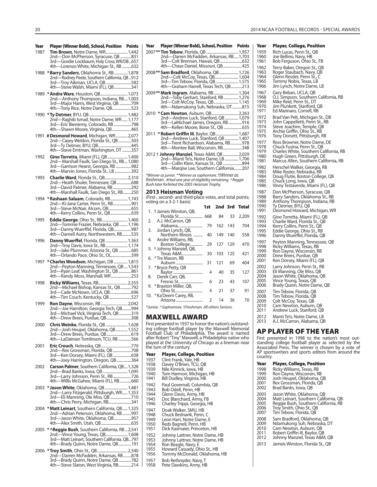| Year | Player (Winner Bold), School, Position Points                                       |
|------|-------------------------------------------------------------------------------------|
| 1987 | Tim Brown, Notre Dame, WR 1,442                                                     |
|      | 2nd-Don McPherson, Syracuse, QB 831<br>3rd-Gordie Lockbaum, Holy Cross, WR/DB657    |
|      | 4th-Lorenzo White, Michigan St., RB 632                                             |
| 1988 | *Barry Sanders, Oklahoma St., RB 1,878                                              |
|      | 2nd-Rodney Peete, Southern California, QB912                                        |
|      | -Troy Aikman, UCLA, QB582<br>$3rd-$                                                 |
|      | 4th-Steve Walsh, Miami (FL), QB 341                                                 |
| 1989 |                                                                                     |
|      | 2nd-Anthony Thompson, Indiana, RB 1,003                                             |
|      | 3rd-Major Harris, West Virginia, QB 709                                             |
|      | 4th-Tony Rice, Notre Dame, QB523                                                    |
|      |                                                                                     |
|      | -Eric Bieniemy, Colorado, RB 798<br>$3rd-$                                          |
|      | 4th-Shawn Moore, Virginia, QB465                                                    |
|      | # Desmond Howard, Michigan, WR 2,077                                                |
| 1991 | 2nd-Casey Weldon, Florida St., QB 503                                               |
|      |                                                                                     |
|      |                                                                                     |
| 1992 | Gino Torretta, Miami (FL), QB  1,400                                                |
|      | 2nd—Marshall Faulk, San Diego St., RB 1,080<br>3rd—Garrison Hearst, Georgia, RB 982 |
|      |                                                                                     |
|      | 4th-Marvin Jones, Florida Št., LB 392                                               |
| 1993 | Charlie Ward, Florida St., QB2,310                                                  |
|      | 2nd-Heath Shuler, Tennessee, QB  688                                                |
|      | 3rd—David Palmer, Alabama, KB252<br>4th—Marshall Faulk, San Diego St., RB250        |
| 1994 | *Rashaan Salaam, Colorado, RB 1,743                                                 |
|      | 2nd—Ki-Jana Carter, Penn St., RB901                                                 |
|      |                                                                                     |
|      | -Kerry Collins, Penn St., QB639<br>4th-                                             |
| 1995 | Eddie George, Ohio St., RB 1,460                                                    |
|      | 2nd—Tommie Frazier, Nebraska, QB  1,196                                             |
|      | 3rd—Danny Wuerffel, Florida, QB987<br>4th—Darnell Autry, Northwestern, RB535        |
|      |                                                                                     |
| 1996 | Danny Wuerffel, Florida, QB  1,363<br>2nd-Troy Davis, Iowa St., RB 1,174            |
|      |                                                                                     |
|      |                                                                                     |
| 1997 | * Charles Woodson, Michigan, DB  1,815                                              |
|      | 2nd-Peyton Manning, Tennessee, QB 1,543                                             |
|      | 3rd-Ryan Leaf, Washington St., QB 861                                               |
|      |                                                                                     |
| 1998 |                                                                                     |
|      |                                                                                     |
|      | 4th-Tim Couch, Kentucky, QB 527                                                     |
| 1999 |                                                                                     |
|      | Ron Dayne, Wisconsin, RB 2,042<br>2nd—Joe Hamilton, Georgia Tech, QB 994            |
|      | 3rd—Michael Vick, Virginia Tech, QB 319<br>4th—Drew Brees, Purdue, QB 308           |
|      |                                                                                     |
| 2000 | Chris Weinke, Florida St., QB  1,628                                                |
|      |                                                                                     |
|      |                                                                                     |
|      |                                                                                     |
| 2001 | Eric Crouch, Nebraska, QB770                                                        |
|      |                                                                                     |
|      |                                                                                     |
| 2002 | Carson Palmer, Southern California, QB1,328                                         |
|      | 2nd-Brad Banks, Iowa, QB  1,095                                                     |
|      | 3rd—Larry Johnson, Penn St., RB726<br>4th—Willis McGahee, Miami (FL), RB660         |
|      |                                                                                     |
| 2003 | * Jason White, Oklahoma, QB  1,481                                                  |
|      | 2nd—Larry Fitzgerald, Pittsburgh, WR 1,353<br>3rd—Eli Manning, Ole Miss, QB 710     |
|      | 4th-Chris Perry, Michigan, RB341                                                    |
| 2004 | * Matt Leinart, Southern California, QB 1,325                                       |
|      | 2nd—Adrian Peterson, Oklahoma, RB997                                                |
|      | 3rd-Jason White, Oklahoma, QB957                                                    |
|      |                                                                                     |
| 2005 | *^Reggie Bush, Southern California, RB  2,541                                       |
|      | 2nd—Vince Young, Texas, QB 1,608<br>3rd—Matt Leinart, Southern California, QB797    |
|      | 4th-Brady Quinn, Notre Dame, QB191                                                  |
|      |                                                                                     |
|      | 2nd-Darren McFadden, Arkansas, RB878                                                |
|      |                                                                                     |
|      |                                                                                     |

| 2nd—Darren McFadden, Arkansas, RB 1,703<br>3rd—Colt Brennan, Hawaii, QB632                                     |     |     |     |              |
|----------------------------------------------------------------------------------------------------------------|-----|-----|-----|--------------|
| 4th-Chase Daniel, Missouri, QB425                                                                              |     |     |     |              |
| 2008 ** Sam Bradford, Oklahoma, QB  1,726                                                                      |     |     |     |              |
|                                                                                                                |     |     |     |              |
|                                                                                                                |     |     |     |              |
| 2009** Mark Ingram, Alabama, RB 1,304<br>2nd-Toby Gerhart, Stanford, RB  1,276                                 |     |     |     |              |
| 3rd-Colt McCoy, Texas, QB 1,145<br>4th-Ndamukong Suh, Nebraska, DT815                                          |     |     |     |              |
| * Cam Newton, Auburn, QB  2,263<br>2010                                                                        |     |     |     |              |
|                                                                                                                |     |     |     |              |
|                                                                                                                |     |     |     |              |
| 2011<br>2nd—Andrew Luck, Stanford, QB  1,407                                                                   |     |     |     |              |
| 3rd—Trent Richardson, Alabama, RB978<br>4th—Montee Ball, Wisconsin, RB348                                      |     |     |     |              |
| 2012 + Johnny Manziel, Texas A&M, QB 2,029                                                                     |     |     |     |              |
| 2nd—Manti Te'o, Notre Dame, LB  1,706                                                                          |     |     |     |              |
| 4th-Margise Lee, Southern California207                                                                        |     |     |     |              |
| *Winner as junior. **Winner as sophomore. †Winner as                                                           |     |     |     |              |
| freshman. #Had one year of eligibility remaining. ^Reggie<br>Bush later forfeited the 2005 Heisman Trophy.     |     |     |     |              |
| 2013 Heisman Voting                                                                                            |     |     |     |              |
| (First-, second- and third-place votes, and total points;<br>voting on a 3-2-1 basis)                          |     |     |     |              |
| † Jameis Winston, QB,<br>1.                                                                                    | 1st | 2nd | 3rd | <b>Total</b> |
| Florida St 668                                                                                                 |     | 84  | 33  | 2,209        |
| 2.<br>A.J. McCarron, QB<br>Alabama                                                                             | 79  | 162 | 143 | 704          |
| Jordan Lynch, QB,<br>3.<br>Northern Illinois                                                                   | 40  | 149 | 140 | 558          |
| 4.<br>Andre Williams, RB,                                                                                      |     |     |     |              |
| Boston College<br>5.<br>^ Johnny Manziel, QB,                                                                  | 29  | 127 | 129 | 470          |
| Texas A&M<br>6.<br>*Tre Mason, RB                                                                              | 30  | 103 | 125 | 421          |
| Auburn                                                                                                         | 31  | 121 | 69  | 404          |
| * Bryce Petty, QB<br>7.<br>Baylor                                                                              | 4   | 40  | 35  | 127          |
| 8.<br>Derek Carr, QB,<br>Fresno St                                                                             | 6   | 23  | 43  | 107          |
| *Braxton Miller, QB,<br>9.                                                                                     | 4   | 21  | 37  | 91           |
| Ohio St<br>* Ka'Deem Carey, RB,<br>10.                                                                         |     |     |     |              |
| Arizona                                                                                                        | 2   | 14  | 36  | 70           |
| *Junior. ^Sophomore. +Freshman. All others Seniors.                                                            |     |     |     |              |
| MAXWELL AWARD                                                                                                  |     |     |     |              |
| First presented in 1937 to honor the nation's outstand-<br>ing college football player by the Maxwell Memorial |     |     |     |              |
| Football Club of Philadelphia. The award is named<br>after Robert "Tiny" Maxwell, a Philadelphia native who    |     |     |     |              |
| played at the University of Chicago as a lineman near                                                          |     |     |     |              |
| the turn of the century.                                                                                       |     |     |     |              |
| Year<br>Player, College, Position<br>1937<br>Clint Frank, Yale, HB                                             |     |     |     |              |
| 1938<br>Davey O'Brien, TCU, QB<br>Nile Kinnick, Iowa, HB                                                       |     |     |     |              |
| 1939<br>Tom Harmon, Michigan, HB<br>1940                                                                       |     |     |     |              |
| 1941<br>Bill Dudley, Virginia, HB                                                                              |     |     |     |              |
| Paul Governali, Columbia, QB<br>1942<br>1943<br>Bob Odell, Penn, HB                                            |     |     |     |              |
| 1944<br>Glenn Davis, Army, HB<br>1945<br>Doc Blanchard, Army, FB                                               |     |     |     |              |
|                                                                                                                |     |     |     |              |
| 1946<br>Charley Trippi, Georgia, HB                                                                            |     |     |     |              |
| Doak Walker, SMU, HB<br>1947                                                                                   |     |     |     |              |
| 1948<br>Chuck Bednarik, Penn, C<br>1949<br>Leon Hart, Notre Dame, E                                            |     |     |     |              |
| 1950<br>Reds Bagnell, Penn, HB<br>1951<br>Dick Kazmaier, Princeton, HB                                         |     |     |     |              |
| 1952<br>Johnny Lattner, Notre Dame, HB                                                                         |     |     |     |              |
| 1953<br>Johnny Lattner, Notre Dame, HB<br>1954<br>Ron Beagle, Navy, E<br>1955<br>Howard Cassady, Ohio St., HB  |     |     |     |              |

1957 Bob Reifsnyder, Navy, T Pete Dawkins, Army, HB

| <b>Player (Winner Bold), School, Position Points</b><br>Year |     |     |     |               | Year<br>1959 | <b>Player, College, Position</b><br>Rich Lucas, Penn St., QB   |
|--------------------------------------------------------------|-----|-----|-----|---------------|--------------|----------------------------------------------------------------|
| 2nd-Darren McFadden, Arkansas, RB 1,703                      |     |     |     |               | 1960         | Joe Bellino, Navy, HB                                          |
|                                                              |     |     |     |               | 1961         | Bob Ferguson, Ohio St., FB                                     |
| 4th—Chase Daniel, Missouri, QB425                            |     |     |     |               | 1962         | Terry Baker, Oregon St., QB                                    |
| 2008** Sam Bradford, Oklahoma, QB  1,726                     |     |     |     |               | 1963         | Roger Staubach, Navy, QB                                       |
|                                                              |     |     |     |               | 1964         | Glenn Ressler, Penn St., C                                     |
| 3rd-Tim Tebow, Florida, QB 1,575                             |     |     |     |               | 1965<br>1966 | Tommy Nobis, Texas, LB                                         |
| 4th—Graham Harrell, Texas Tech, QB 213                       |     |     |     |               |              | Jim Lynch, Notre Dame, LB                                      |
| 2009** Mark Ingram, Alabama, RB 1,304                        |     |     |     |               | 1967<br>1968 | Gary Beban, UCLA, QB<br>O.J. Simpson, Southern California, RB  |
| 2nd—Toby Gerhart, Stanford, RB  1,276                        |     |     |     |               | 1969         | Mike Reid, Penn St., DT                                        |
| 4th—Ndamukong Suh, Nebraska, DT815                           |     |     |     |               | 1970         | Jim Plunkett, Stanford, QB                                     |
| 2010 * Cam Newton, Auburn, QB  2,263                         |     |     |     |               | 1971         | Ed Marinaro, Cornell, RB                                       |
| 2nd-Andrew Luck, Stanford, QB 1,079                          |     |     |     |               | 1972         | Brad Van Pelt, Michigan St., DB                                |
| 3rd-LaMichael James, Oregon, RB916                           |     |     |     |               | 1973         | John Cappelletti, Penn St., RB                                 |
| 4th-Kellen Moore, Boise St., QB 635                          |     |     |     |               | 1974         | Steve Joachim, Temple, QB                                      |
|                                                              |     |     |     |               | 1975<br>1976 | Archie Griffin, Ohio St., RB<br>Tony Dorsett, Pittsburgh, RB   |
| 2nd—Andrew Luck, Stanford, QB  1,407                         |     |     |     |               |              |                                                                |
| 3rd-Trent Richardson, Alabama, RB978                         |     |     |     |               | 1977<br>1978 | Ross Browner, Notre Dame, DE<br>Chuck Fusina, Penn St., QB     |
| 4th—Montee Ball, Wisconsin, RB348                            |     |     |     |               | 1979         | Charles White, Southern California, RB                         |
| 2012 + Johnny Manziel, Texas A&M, QB 2,029                   |     |     |     |               | 1980         | Hugh Green, Pittsburgh, DE                                     |
| 2nd—Manti Te'o, Notre Dame, LB  1,706                        |     |     |     |               | 1981         | Marcus Allen, Southern California, RB                          |
| 4th-Margise Lee, Southern California207                      |     |     |     |               | 1982         | Herschel Walker, Georgia, RB                                   |
| *Winner as junior. **Winner as sophomore. †Winner as         |     |     |     |               | 1983         | Mike Rozier, Nebraska, RB                                      |
| freshman. #Had one year of eligibility remaining. ^Reggie    |     |     |     |               | 1984<br>1985 | Doug Flutie, Boston College, QB<br>Chuck Long, Iowa, QB        |
| Bush later forfeited the 2005 Heisman Trophy.                |     |     |     |               | 1986         | Vinny Testaverde, Miami (FL), QB                               |
| 2013 Heisman Voting                                          |     |     |     |               | 1987         | Don McPherson, Syracuse, QB                                    |
| (First-, second- and third-place votes, and total points;    |     |     |     |               | 1988         | Barry Sanders, Oklahoma St., RB                                |
| voting on a 3-2-1 basis)                                     |     |     |     |               | 1989         | Anthony Thompson, Indiana, RB                                  |
|                                                              | 1st |     |     | 2nd 3rd Total | 1990<br>1991 | Ty Detmer, BYU, QB                                             |
| 1. † Jameis Winston, QB,                                     |     |     |     |               |              | Desmond Howard, Michigan, WR                                   |
| 2.<br>A.J. McCarron, QB                                      |     | 84  | 33  | 2,209         | 1992<br>1993 | Gino Torretta, Miami (FL), QB<br>Charlie Ward, Florida St., QB |
|                                                              |     | 162 | 143 | 704           | 1994         | Kerry Collins, Penn St., QB                                    |
| 3.<br>Jordan Lynch, QB,                                      |     |     |     |               | 1995         | Eddie George, Ohio St., RB                                     |
| Northern Illinois                                            | 40  | 149 | 140 | 558           | 1996         | Danny Wuerffel, Florida, QB                                    |
| 4.<br>Andre Williams, RB,<br>Boston College                  | 29  | 127 | 129 | 470           | 1997         | Peyton Manning, Tennessee, QB                                  |
| 5. ^ Johnny Manziel, QB,                                     |     |     |     |               | 1998         | Ricky Williams, Texas, RB                                      |
| Texas A&M                                                    | 30  | 103 | 125 | 421           | 1999<br>2000 | Ron Dayne, Wisconsin, RB<br>Drew Brees, Purdue, QB             |
| * Tre Mason, RB<br>6.                                        |     |     |     |               | 2001         | Ken Dorsey, Miami (FL), QB                                     |
| Auburn                                                       | 31  | 121 | 69  | 404           | 2002         | Larry Johnson, Penn St., RB                                    |
| 7. * Bryce Petty, QB<br>Baylor                               | 4   | 40  | 35  | 127           | 2003         | Eli Manning, Ole Miss, QB                                      |
| Derek Carr, QB,<br>8.                                        |     |     |     |               | 2004         | Jason White, Oklahoma, QB                                      |
| Fresno St.                                                   | 6   | 23  | 43  | 107           | 2005         | Vince Young, Texas, QB                                         |
| 9. * Braxton Miller, QB,                                     |     |     |     |               | 2006         | Brady Quinn, Notre Dame, QB                                    |
| Ohio St                                                      | 4   | 21  | 37  | 91            | 2007         | Tim Tebow, Florida, QB                                         |
| 10. * Ka'Deem Carey, RB,<br>Arizona                          | 2   | 14  | 36  | 70            | 2008         | Tim Tebow, Florida, QB                                         |
|                                                              |     |     |     |               | 2009<br>2010 | Colt McCoy, Texas, QB<br>Cam Newton, Auburn, QB                |
| *Junior. ^Sophomore. †Freshman. All others Seniors.          |     |     |     |               | 2011         | Andrew Luck, Stanford, OB                                      |
| <b>MAXWELL AWARD</b>                                         |     |     |     |               | 2012         | Manti Te'o, Notre Dame, LB                                     |
|                                                              |     |     |     |               | 2013         | A.J. McCarron, Alabama, QB                                     |
| First presented in 1937 to honor the nation's outstand-      |     |     |     |               |              |                                                                |

## **AP PLAYER OF THE YEAR**

First presented in 1998 to the nation's most out-standing college football player as selected by the Associated Press. The winner is chosen by a vote of AP sportswriters and sports editors from around the country.

| <b>Player, College, Position</b><br>Ricky Williams, Texas, RB<br>Ron Dayne, Wisconsin, RB<br>Josh Heupel, Oklahoma, QB<br>Rex Grossman, Florida, QB<br>Brad Banks, Iowa, QB               |
|-------------------------------------------------------------------------------------------------------------------------------------------------------------------------------------------|
| Jason White, Oklahoma, QB<br>Matt Leinart, Southern California, QB<br>Reggie Bush, Southern California, RB<br>Troy Smith, Ohio St., QB<br>Tim Tebow, Florida, QB                          |
| Sam Bradford, Oklahoma, QB<br>Ndamukong Suh, Nebraska, DT<br>Cam Newton, Auburn, QB<br>Robert Griffin III, Baylor, QB<br>Johnny Manziel, Texas A&M, QB<br>Jameis Winston, Florida St., QB |
|                                                                                                                                                                                           |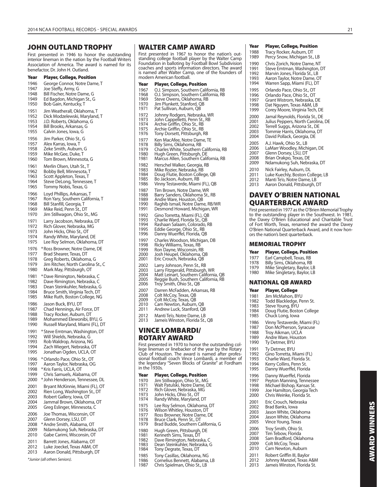## **JOHN OUTLAND TROPHY**

First presented in 1946 to honor the outstanding interior lineman in the nation by the Football Writers Association of America. The award is named for its benefactor, Dr. John H. Outland.

#### **Year Player, College, Position**

1946 George Connor, Notre Dame, T 1947 Joe Steffy, Army, G<br>1948 Bill Fischer, Notre D 1948 Bill Fischer, Notre Dame, G<br>1949 Ed Bagdon, Michigan St., G 1949 Ed Bagdon, Michigan St., G<br>1950 Bob Gain Kentucky T Bob Gain, Kentucky, T 1951 Jim Weatherall, Oklahoma, T 1952 Dick Modzelewski, Maryland, T<br>1953 J.D. Roberts, Oklahoma, G J.D. Roberts, Oklahoma, G 1954 Bill Brooks, Arkansas, G<br>1955 Calvin Jones, Jowa, G Calvin Jones, Iowa, G 1956 Jim Parker, Ohio St., G 1957 Alex Karras, Iowa, T<br>1958 Zeke Smith, Auburr Zeke Smith, Auburn, G 1959 Mike McGee, Duke, T<br>1960 Tom Brown, Minneso Tom Brown, Minnesota, G 1961 Merlin Olsen, Utah St., T<br>1962 Bobby Bell, Minnesota, J 1962 Bobby Bell, Minnesota, T<br>1963 Scott Appleton, Texas, T 1963 Scott Appleton, Texas, T<br>1964 Steve DeLong, Tennesse 1964 Steve DeLong, Tennessee, T<br>1965 Tommy Nobis, Texas, G Tommy Nobis, Texas, G 1966 Loyd Phillips, Arkansas, T 1967 Ron Yary, Southern California, T 1968 Bill Stanfill, Georgia, T<br>1969 Mike Reid, Penn St., D 1969 Mike Reid, Penn St., DT<br>1970 Jim Stillwagon, Ohio St Jim Stillwagon, Ohio St., MG 1971 Larry Jacobson, Nebraska, DT 1972 Rich Glover, Nebraska, MG 1973 John Hicks, Ohio St., OT<br>1974 Randy White, Maryland, 1974 Randy White, Maryland, DE<br>1975 Lee Roy Selmon, Oklahoma Lee Roy Selmon, Oklahoma, DT 1976 \* Ross Browner, Notre Dame, DE<br>1977 Brad Shearer Texas DT 1977 Brad Shearer, Texas, DT<br>1978 Greg Roberts, Oklahom Greg Roberts, Oklahoma, G 1979 Jim Ritcher, North Carolina St., C<br>1980 Mark May, Pittsburgh, OT Mark May, Pittsburgh, OT 1981 \* Dave Rimington, Nebraska, C<br>1982 Dave Rimington, Nebraska, C 1982 Dave Rimington, Nebraska, C<br>1983 Dean Steinkubler, Nebraska, C 1983 Dean Steinkuhler, Nebraska, G<br>1984 Bruce Smith, Virginia Tech, DT 1984 Bruce Smith, Virginia Tech, DT<br>1985 Mike Ruth, Boston College, NG Mike Ruth, Boston College, NG 1986 Jason Buck, BYU, DT 1987 Chad Hennings, Air Force, DT 1988 Tracy Rocker, Auburn, DT<br>1989 Mohammed Elewonibi, B 1989 Mohammed Elewonibi, BYU, G<br>1990 Russell Maryland, Miami (FL), D Russell Maryland, Miami (FL), DT 1991 \* Steve Emtman, Washington, DT 1992 Will Shields, Nebraska, G 1993 Rob Waldrop, Arizona, NG 1994 Zach Wiegert, Nebraska, OT 1995 Jonathan Ogden, UCLA, OT 1996 \* Orlando Pace, Ohio St., OT<br>1997 - Aaron Taylor, Nebraska, OC Aaron Taylor, Nebraska, OG 1998 \* Kris Farris, UCLA, OT<br>1999 Chris Samuels, Alaba Chris Samuels, Alabama, OT 2000 \* John Henderson, Tennessee, DL 2001 Bryant McKinnie, Miami (FL), OT<br>2002 Bien Long, Washington St., DT 2002 Rien Long, Washington St., DT<br>2003 Robert Gallery Jowa OT 2003 Robert Gallery, Iowa, OT<br>2004 Lammal Brown Oklahon Jammal Brown, Oklahoma, OT 2005 Greg Eslinger, Minnesota, C 2006 Joe Thomas, Wisconsin, OT<br>2007 Glenn Dorsey, LSU, DT Glenn Dorsey, LSU, DT 2008 \* Andre Smith, Alabama, OT 2009 Ndamukong Suh, Nebraska, DT<br>2010 Gabe Carimi. Wisconsin. OT Gabe Carimi, Wisconsin, OT 2011 Barrett Jones, Alabama, OT 2012 Luke Joeckel, Texas A&M, OT 2013 Aaron Donald, Pittsburgh, DT

\*Junior (all others Seniors).

#### **WALTER CAMP AWARD**

First presented in 1967 to honor the nation's out-standing college football player by the Walter Camp Foundation in balloting by Football Bowl Subdivision coaches and sports information directors. The award is named after Walter Camp, one of the founders of modern American football.

| Year         | Player, College, Position                                                                       |
|--------------|-------------------------------------------------------------------------------------------------|
| 1967<br>1968 | O.J. Simpson, Southern California, RB<br>O.J. Simpson, Southern California, RB                  |
| 1969<br>1970 | Steve Owens, Oklahoma, RB<br>Jim Plunkett, Stanford, QB                                         |
| 1971         | Pat Sullivan, Auburn, QB                                                                        |
| 1972<br>1973 | Johnny Rodgers, Nebraska, WR<br>John Cappelletti, Penn St., RB                                  |
| 1974         | Archie Griffin, Ohio St., RB                                                                    |
| 1975<br>1976 | Archie Griffin, Ohio St., RB<br>Tony Dorsett, Pittsburgh, RB                                    |
| 1977<br>1978 | Ken MacAfee, Notre Dame, TE<br>Billy Sims, Oklahoma, RB                                         |
| 1979         | Charles White, Southern California, RB                                                          |
| 1980<br>1981 | Hugh Green, Pittsburgh, DE<br>Marcus Allen, Southern California, RB                             |
| 1982<br>1983 | Herschel Walker, Georgia, RB                                                                    |
| 1984         | Mike Rozier, Nebraska, RB<br>Doug Flutie, Boston College, QB                                    |
| 1985<br>1986 | Bo Jackson, Auburn, RB<br>Vinny Testaverde, Miami (FL), QB                                      |
| 1987         | Tim Brown, Notre Dame, WR                                                                       |
| 1988<br>1989 | Barry Sanders, Oklahoma St., RB<br>Andre Ware, Houston, QB                                      |
| 1990<br>1991 | Raghib Ismail, Notre Dame, RB/WR<br>Desmond Howard, Michigan, WR                                |
| 1992         | Gino Torretta, Miami (FL), QB                                                                   |
| 1993<br>1994 | Charlie Ward, Florida St., QB<br>Rashaan Salaam, Colorado, RB                                   |
| 1995<br>1996 | Eddie George, Ohio St., RB<br>Danny Wuerffel, Florida, QB                                       |
| 1997         | Charles Woodson, Michigan, DB                                                                   |
| 1998<br>1999 | Ricky Williams, Texas, RB<br>Ron Dayne, Wisconsin, RB                                           |
| 2000         | Josh Heupel, Oklahoma, QB                                                                       |
| 2001<br>2002 | Eric Crouch, Nebraska, QB<br>Larry Johnson, Penn St., RB                                        |
| 2003         | Larry Fitzgerald, Pittsburgh, WR                                                                |
| 2004<br>2005 | Matt Leinart, Southern California, QB<br>Reggie Bush, Southern California, RB                   |
| 2006         | Troy Smith, Ohio St., QB                                                                        |
| 2007<br>2008 | Darren McFadden, Arkansas, RB<br>Colt McCoy, Texas, QB                                          |
| 2009<br>2010 | Colt McCoy, Texas, QB<br>Cam Newton, Auburn, QB                                                 |
| 2011         | Andrew Luck, Stanford, QB                                                                       |
| 2012<br>2013 | Manti Te'o, Notre Dame, LB<br>Jameis Winston, Florida St., QB                                   |
|              | <b>VINCE LOMBARDI/</b>                                                                          |
|              | <b>ROTARY AWARD</b>                                                                             |
|              | First presented in 1970 to honor the outstandi<br>lege lineman or linebacker of the vear by the |
|              |                                                                                                 |

ng college lineman or linebacker of the year by the Rotary Club of Houston. The award is named after professional football coach Vince Lombardi, a member of the legendary "Seven Blocks of Granite" at Fordham

- 1970 Jim Stillwagon, Ohio St., MG 1971 Walt Patulski, Notre Dame, DE
- 
- 1972 Rich Glover, Nebraska, MG<br>1973 John Hicks, Ohio St., OT
- 1973 John Hicks, Ohio St., OT<br>1974 Randy White, Maryland Randy White, Maryland, DT
- 
- 1975 Lee Roy Selmon, Oklahoma, DT<br>1976 Wilson Whitlev, Houston, DT
- 1976 Wilson Whitley, Houston, DT<br>1977 Ross Browner, Notre Dame
- 1977 Ross Browner, Notre Dame, DE<br>1978 Bruce Clark Penn St DT
- 1978 Bruce Clark, Penn St., DT<br>1979 Brad Budde, Southern C Brad Budde, Southern California. G
- 
- 1980 Hugh Green, Pittsburgh, DE<br>1981 Kenneth Sims, Texas, DT 1981 Kenneth Sims, Texas, DT<br>1982 Dave Rimington, Nebras
- 1982 Dave Rimington, Nebraska, C<br>1983 Dean Steinkuhler, Nebraska, C
- 1983 Dean Steinkuhler, Nebraska, G<br>1984 Tony Degrate, Texas, DT
- Tony Degrate, Texas, DT
- 1985 Tony Casillas, Oklahoma, NG<br>1986 Cornelius Bennett, Alabama,
- 1986 Cornelius Bennett, Alabama, LB<br>1987 Chris Spielman, Ohio St., LB Chris Spielman, Ohio St., LB

#### **Year Player, College, Position**

- 1988 Tracy Rocker, Auburn, DT<br>1989 Percy Snow, Michigan St.
- Percy Snow, Michigan St., LB
- 1990 Chris Zorich, Notre Dame, NT<br>1991 Steve Emtman, Washington, I
- 1991 Steve Emtman, Washington, DT<br>1992 Marvin Jones, Florida St., LB 1992 Marvin Jones, Florida St., LB
- 
- 1993 Aaron Taylor, Notre Dame, OT<br>1994 Warren Sann, Miami (FL), DT Warren Sapp, Miami (FL), DT
- 
- 1995 Orlando Pace, Ohio St., OT<br>1996 Orlando Pace, Ohio St., OT 1996 Orlando Pace, Ohio St., OT<br>1997 Grant Wistrom Nebraska I
- 1997 Grant Wistrom, Nebraska, DE<br>1998 Dat Nguyen, Texas A&M, I B
- 1998 Dat Nguyen, Texas A&M, LB<br>1999 Corey Moore, Virginia Tech,
- Corey Moore, Virginia Tech, DE
- 2000 Jamal Reynolds, Florida St., DE<br>2001 Julius Peppers, North Carolina.
- 2001 Julius Peppers, North Carolina, DE<br>2002 Terrell Suggs, Arizona St., DE
- 2002 Terrell Suggs, Arizona St., DE<br>2003 Tommie Harris, Oklahoma, D
- 2003 Tommie Harris, Oklahoma, DT<br>2004 David Pollack, Georgia, DE David Pollack, Georgia, DE
- 
- 2005 A.J. Hawk, Ohio St., LB<br>2006 LaMarr Woodley, Mich LaMarr Woodley, Michigan, DE
- 2007 Glenn Dorsey, LSU, DT
- 2008 Brian Orakpo, Texas, DE
- 2009 Ndamukong Suh, Nebraska, DT
- 2010 Nick Fairley, Auburn, DL
- 2011 Luke Kuechly, Boston College, LB
- 
- 2012 Manti Te'o, Notre Dame, LB<br>2013 Aaron Donald, Pittsburgh, I Aaron Donald, Pittsburgh, DT

## **DAVEY O'BRIEN NATIONAL QUARTERBACK AWARD**

First presented in 1977 as the O'Brien Memorial Trophy to the outstanding player in the Southwest. In 1981, the Davey O'Brien Educational and Charitable Trust of Fort Worth, Texas, renamed the award the Davey O'Brien National Quarterback Award, and it now honors the nation's best quarterback.

#### **MEMORIAL TROPHY**

- **Year Player, College, Position**
- 1977 Earl Campbell, Texas, RB<br>1978 Billy Sims Oklahoma RB
- 
- 1978 Billy Sims, Oklahoma, RB<br>1979 Mike Singletary, Baylor, L 1979 Mike Singletary, Baylor, LB<br>1980 Mike Singletary, Baylor, LB
- Mike Singletary, Baylor, LB

#### **NATIONAL QB AWARD**

#### **Year Player, College**

- 1981 Jim McMahon, BYU<br>1982 Todd Blackledge Pe
- 
- 1982 Todd Blackledge, Penn St.<br>1983 Steve Young, BYU Steve Young, BYU
- 1984 Doug Flutie, Boston College<br>1985 Chuck Long Jowa
- Chuck Long, Iowa
- 
- 1986 Vinny Testaverde, Miami (FL)<br>1987 Don McPherson, Syracuse Don McPherson, Syracuse
- 
- 1988 Troy Aikman, UCLÁ<br>1989 Andre Ware, Housto
- 1989 Andre Ware, Houston<br>1990 Tv Detmer, BYU Ty Detmer, BYU
	-
- 1991 Ty Detmer, BYU<br>1992 Gino Torretta M
- 1992 Gino Torretta, Miami (FL)<br>1993 Charlie Ward, Florida St.
- 1993 Charlie Ward, Florida St.<br>1994 Kerry Collins. Penn St.
- 1994 Kerry Collins, Penn St.<br>1995 Danny Wuerffel, Florid
	- Danny Wuerffel, Florida
- 1996 Danny Wuerffel, Florida<br>1997 Peyton Manning Tenney
- Peyton Manning, Tennessee
- 1998 Michael Bishop, Kansas St.
- 1999 Joe Hamilton, Georgia Tech<br>2000 Chris Weinke, Florida St. Chris Weinke, Florida St.
	-
- 2001 Eric Crouch, Nebraska<br>2002 Brad Banks, Iowa
- 2002 Brad Banks, Iowa<br>2003 Jason White, Okla
- 2003 Jason White, Oklahoma
- 2004 Jason White, Oklahoma<br>2005 Vince Young, Texas
	- Vince Young, Texas
- 2006 Troy Smith, Ohio St.<br>2007 Tim Tebow, Florida
- 2007 Tim Tebow, Florida<br>2008 Sam Bradford, Okla
- 2008 Sam Bradford, Oklahoma<br>2009 Colt McCoy, Texas
- 2009 Colt McCoy, Texas<br>2010 Cam Newton, Aub Cam Newton, Auburn
	-
- 2011 Robert Griffin III, Baylor<br>2012 Iohnny Manziel Texas A 2012 Johnny Manziel, Texas A&M<br>2013 Jameis Winston, Florida St
- Jameis Winston, Florida St.

in the 1930s. **Year Player, College, Position**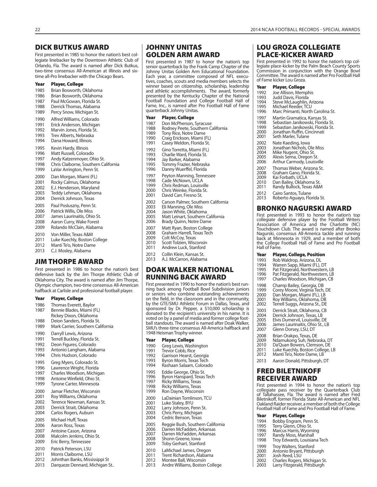## **DICK BUTKUS AWARD**

First presented in 1985 to honor the nation's best collegiate linebacker by the Downtown Athletic Club of Orlando, Fla. The award is named after Dick Butkus, two-time consensus All-American at Illinois and sixtime all-Pro linebacker with the Chicago Bears.

#### **Year Player, College**

| 1985 | Brian Bosworth, Oklahoma             |
|------|--------------------------------------|
| 1986 | Brian Bosworth, Oklahoma             |
| 1987 | Paul McGowan, Florida St.            |
| 1988 | Derrick Thomas, Alabama              |
| 1989 | Percy Snow, Michigan St.             |
| 1990 | Alfred Williams, Colorado            |
| 1991 | Erick Anderson, Michigan             |
| 1992 | Marvin Jones, Florida St.            |
| 1993 | Trev Alberts, Nebraska               |
| 1994 | Dana Howard, Illinois                |
| 1995 | Kevin Hardy, Illinois                |
| 1996 | Matt Russell, Colorado               |
| 1997 | Andy Katzenmoyer, Ohio St.           |
| 1998 | Chris Claiborne, Southern California |
| 1999 | LaVar Arrington, Penn St.            |
| 2000 | Dan Morgan, Miami (FL)               |
| 2001 | Rocky Calmus, Oklahoma               |
| 2002 | E.J. Henderson, Maryland             |
| 2003 | Teddy Lehman, Oklahoma               |
| 2004 | Derrick Johnson, Texas               |
| 2005 | Paul Posluszny, Penn St.             |
| 2006 | Patrick Willis, Ole Miss             |
| 2007 | James Laurinaitis, Ohio St.          |
| 2008 | Aaron Curry, Wake Forest             |
| 2009 | Rolando McClain, Alabama             |
| 2010 | Von Miller, Texas A&M                |
| 2011 | Luke Kuechly, Boston College         |
| 2012 | Manti Te'o, Notre Dame               |
| 2013 | C.J. Mosley, Alabama                 |

#### **JIM THORPE AWARD**

First presented in 1986 to honor the nation's best defensive back by the Jim Thorpe Athletic Club of Oklahoma City. The award is named after Jim Thorpe, Olympic champion, two-time consensus All-American halfback at Carlisle and professional football player.

#### **Year Player, College**

- 1986 Thomas Everett, Baylor<br>1987 Bennie Blades Miami (F
- Bennie Blades, Miami (FL)
- 
- Rickey Dixon, Oklahoma<br>1988 Deion Sanders, Florida St Deion Sanders, Florida St.
- 1989 Mark Carrier, Southern California
- 1990 Darryll Lewis, Arizona
- 1991 Terrell Buckley, Florida St.
- 1992 Deon Figures, Colorado
- 1993 Antonio Langham, Alabama<br>1994 Chris Hudson, Colorado Chris Hudson, Colorado
- 1995 Greg Myers, Colorado St.
- 
- 1996 Lawrence Wright, Florida<br>1997 Charles Woodson, Michig Charles Woodson, Michigan
- 1998 Antoine Winfield, Ohio St.
- 1999 Tyrone Carter, Minnesota
- 2000 Jamar Fletcher, Wisconsin
- 2001 Roy Williams, Oklahoma
- 2002 Terence Newman, Kansas St.
- 2003 Derrick Strait, Oklahoma<br>2004 Carlos Rogers, Auburn
- Carlos Rogers, Auburn
- 2005 Michael Huff, Texas<br>2006 Aaron Ross, Texas
- Aaron Ross, Texas 2007 Antoine Cason, Arizona
- 2008 Malcolm Jenkins, Ohio St.
- 2009 Eric Berry, Tennessee
- 2010 Patrick Peterson, LSU
- 
- 2011 Morris Claiborne, LSU<br>2012 Johnthan Banks Missi Johnthan Banks, Mississippi St
- 2013 Darqueze Dennard, Michigan St..

## **JOHNNY UNITAS GOLDEN ARM AWARD**

First presented in 1987 to honor the nation's top senior quarterback by the Frank Camp Chapter of the Johnny Unitas Golden Arm Educational Foundation. Each year, a committee composed of NFL executives, coaches, scouts and media members selects the winner based on citizenship, scholarship, leadership and athletic accomplishments. The award, formerly presented by the Kentucky Chapter of the National Football Foundation and College Football Hall of Fame, Inc., is named after Pro Football Hall of Fame quarterback Johnny Unitas.

| Year                                 | Player, College                                                                                                                                      |
|--------------------------------------|------------------------------------------------------------------------------------------------------------------------------------------------------|
| 1987<br>1988<br>1989<br>1990<br>1991 | Don McPherson, Syracuse<br>Rodney Peete, Southern California<br>Tony Rice, Notre Dame<br>Craig Erickson, Miami (FL)<br>Casey Weldon, Florida St.     |
| 1992<br>1993<br>1994<br>1995<br>1996 | Gino Torretta, Miami (FL)<br>Charlie Ward, Florida St.<br>Jay Barker, Alabama<br>Tommy Frazier, Nebraska<br>Danny Wuerffel, Florida                  |
| 1997<br>1998<br>1999<br>2000<br>2001 | Peyton Manning, Tennessee<br>Cade McNown, UCLA<br>Chris Redman, Louisville<br>Chris Weinke, Florida St.<br>David Carr, Fresno St.                    |
| 2002<br>2003<br>2004<br>2005<br>2006 | Carson Palmer, Southern California<br>Eli Manning, Ole Miss<br>Jason White, Oklahoma<br>Matt Leinart, Southern California<br>Brady Quinn, Notre Dame |
| 2007<br>2008<br>2009<br>2010<br>2011 | Matt Ryan, Boston College<br>Graham Harrell, Texas Tech<br>Colt McCoy, Texas<br>Scott Tolzien, Wisconsin<br>Andrew Luck, Stanford                    |
|                                      |                                                                                                                                                      |

- 2012 Collin Klein, Kansas St.<br>2013 A.J. McCarron, Alabam
- A.J. McCarron, Alabama

## **DOAK WALKER NATIONAL RUNNING BACK AWARD**

First presented in 1990 to honor the nation's best running back among Football Bowl Subdivision juniors or seniors who combine outstanding achievements on the field, in the classroom and in the community, by the GTE/SMU Athletic Forum in Dallas, Texas, and sponsored by Dr. Pepper, a \$10,000 scholarship is donated to the recipient's university in his name. It is voted on by a panel of media and former college football standouts. The award is named after Doak Walker, SMU's three-time consensus All-America halfback and 1948 Heisman Trophy winner.

| Year  | Player, College                  |
|-------|----------------------------------|
| 1990  | Greg Lewis, Washington           |
| 1991  | Trevor Cobb, Rice                |
| 1992  | Garrison Hearst, Georgia         |
| 1993  | Byron Morris, Texas Tech         |
| 1994  | Rashaan Salaam, Colorado         |
| 1995  | Eddie George, Ohio St.           |
| 1996  | Byron Hanspard, Texas Tech       |
| 1997  | <b>Ricky Williams, Texas</b>     |
| 1998  | Ricky Williams, Texas            |
| 1999  | Ron Dayne, Wisconsin             |
| 2000  | LaDainian Tomlinson, TCU         |
| 2001  | Luke Staley, BYU                 |
| 2002  | Larry Johnson, Penn St.          |
| 2003  | Chris Perry, Michigan            |
| 2004  | Cedric Benson, Texas             |
| 2005  | Reggie Bush, Southern California |
| 2006  | Darren McFadden, Arkansas        |
| 2007  | Darren McFadden, Arkansas        |
| 2008  | Shonn Greene, Iowa               |
| 2009  | Toby Gerhart, Stanford           |
| 2010  | LaMichael James, Oregon          |
| ากา 1 | Tusuk Dialenualan un Alalenu     |

- 2011 Trent Richardson, Alabama<br>2012 Montee Ball. Wisconsin 2012 Montee Ball, Wisconsin<br>2013 Andre Williams, Boston
- Andre Williams, Boston College

## **LOU GROZA COLLEGIATE PLACE-KICKER AWARD**

First presented in 1992 to honor the nation's top collegiate place-kicker by the Palm Beach County Sports Commission in conjunction with the Orange Bowl Committee. The award is named after Pro Football Hall of Fame kicker Lou Groza.

#### **Year Player, College**

| 1992 | Joe Allison, Memphis                                                   |
|------|------------------------------------------------------------------------|
| 1993 | Judd Davis, Florida                                                    |
| 1994 | Steve McLaughlin, Arizona                                              |
| 1995 | Michael Reeder, TCU                                                    |
| 1996 | Marc Primanti, North Carolina St.                                      |
| 1997 | Martin Gramatica, Kansas St.                                           |
| 1998 | Sebastian Janikowski, Florida St.                                      |
| 1999 | Sebastian Janikowski, Florida St.                                      |
| 2000 | Jonathan Ruffin, Cincinnati                                            |
| 2001 | Seth Marler, Tulane                                                    |
| 2002 | Nate Kaeding, Iowa                                                     |
| 2003 | Jonathan Nichols, Ole Miss                                             |
| 2004 | Mike Nugent, Ohio St.                                                  |
| 2005 | Alexis Serna, Oregon St.                                               |
| 2006 | Arthur Carmody, Louisville                                             |
| 2007 | Thomas Weber, Arizona St.                                              |
| 2008 | Graham Gano, Florida St.                                               |
| 2009 | Kai Forbath, UCLA                                                      |
| 2010 | Dan Bailey, Oklahoma St.                                               |
| 2011 | Randy Bullock, Texas A&M                                               |
| 2012 | Cairo Santos, Tulane                                                   |
| 2013 | Roberto Aguayo, Florida St.                                            |
|      | BRONKO NAGURSKI AWARD<br>First proconted in 1002 to honor the patien's |

First presented in 1993 to honor the nation's top collegiate defensive player by the Football Writers Association of America and the Charlotte (NC) Touchdown Club. The award is named after Bronko Nagurski, consensus All-America tackle and running back at Minnesota in 1929, and a member of both the College Football Hall of Fame and Pro Football Hall of Fame.

| Year |  |  | <b>Player, College, Position</b> |
|------|--|--|----------------------------------|
|------|--|--|----------------------------------|

| 1993                 | Rob Waldrop, Arizona, DL         |
|----------------------|----------------------------------|
| 1994                 | Warren Sapp, Miami (FL), DT      |
| 1995                 | Pat Fitzgerald, Northwestern, LB |
| 1996                 | Pat Fitzgerald, Northwestern, LB |
| 1997                 | Charles Woodson, Michigan, CB    |
| 1998                 | Champ Bailey, Georgia, DB        |
| 1999                 | Corey Moore, Virginia Tech, DE   |
| 2000                 | Dan Morgan, Miami (FL), LB       |
| 2001                 | Roy Williams, Oklahoma, DB       |
| 2002                 | Terrell Suggs, Arizona St., DE   |
| 2003                 | Derrick Strait, Oklahoma, CB     |
| $\sim$ $\sim$ $\sim$ | -------                          |

- 2004 Derrick Johnson, Texas, LB
- 2005 Elvis Dumervil, Louisville, DE<br>2006 James Laurinaitis, Ohio St., LE
- 2006 James Laurinaitis, Ohio St., LB<br>2007 Glenn Dorsey J SU DT
- Glenn Dorsey, LSU, DT
- 2008 Brian Orakpo, Texas, DE<br>2009 Ndamukong Suh, Nebra
- 2009 Ndamukong Suh, Nebraska, DT
- Da'Quan Bowers, Clemson, DE
- 2011 Luke Kuechly, Boston College, LB<br>2012 Manti Te'o, Notre Dame, LB Manti Te'o, Notre Dame, LB
- 2013 Aaron Donald, Pittsburgh, DT

## **FRED BILETNIKOFF RECEIVER AWARD**

First presented in 1994 to honor the nation's top collegiate pass receiver by the Quarterback Club of Tallahassee, Fla. The award is named after Fred Biletnikoff, former Florida State All-American and NFL Oakland Raider receiver, a member of both the College Football Hall of Fame and Pro Football Hall of Fame.

| Year | <b>Player, College</b> |
|------|------------------------|
|      |                        |

- 1994 Bobby Engram, Penn St.<br>1995 Terry Glenn, Ohio St.
- 1995 Terry Glenn, Ohio St. 1996 Marcus Harris, Wyoming
- 
- 1997 Randy Moss, Marshall<br>1998 Trov Edwards, Louisian
- 1998 Troy Edwards, Louisiana Tech
- 1999 Troy Walters, Stanford<br>2000 Antonio Bryant, Pittsb
- 2000 Antonio Bryant, Pittsburgh
- 2001 Josh Reed, LSU<br>2002 Charles Rogers
- 2002 Charles Rogers, Michigan St.<br>2003 Larry Fitzgerald, Pittsburgh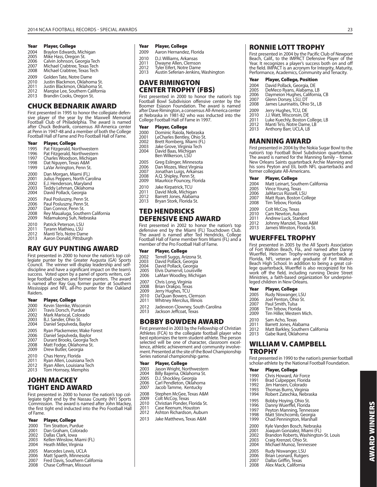#### Year Player, College **Washington College** Player, College

- 2004 Braylon Edwards, Michigan<br>2005 Mike Hass Oregon St
- 2005 Mike Hass, Oregon St.<br>2006 Calvin Johnson Georg
- 2006 Calvin Johnson, Georgia Tech<br>2007 Michael Crabtree, Texas Tech
- 2007 Michael Crabtree, Texas Tech Michael Crabtree, Texas Tech
- 2009 Golden Tate, Notre Dame
- 
- 2010 Justin Blackmon, Oklahoma St. 2011 Justin Blackmon, Oklahoma St.
- 2012 Marqise Lee, Southern California<br>2013 Brandin Cooks, Oregon St. Brandin Cooks, Oregon St.
- 

## **CHUCK BEDNARIK AWARD**

First presented in 1995 to honor the collegiate defensive player of the year by the Maxwell Memorial Football Club of Philadelphia. The award is named after Chuck Bednarik, consensus All-America center at Penn in 1947-48 and a member of both the College Football Hall of Fame and Pro Football Hall of Fame.

#### **Year Player, College**

- 1995 Pat Fitzgerald, Northwestern<br>1996 Pat Fitzgerald, Northwestern 1996 Pat Fitzgerald, Northwestern 1997 Charles Woodson, Michigan 1998 Dat Nguyen, Texas A&M 1999 LaVar Arrington, Penn St. 2000 Dan Morgan, Miami (FL)<br>2001 Lulius Peppers, North Ca 2001 Julius Peppers, North Carolina 2002 E.J. Henderson, Maryland<br>2003 Teddy Lehman, Oklahoma 2003 Teddy Lehman, Okláhoma<br>2004 David Pollack, Georgia David Pollack, Georgia
- 2005 Paul Posluszny, Penn St.<br>2006 Paul Posluszny, Penn St.
- 2006 Paul Posluszny, Penn St. 2007 Dan Connor, Penn St.
- 
- 2008 Rey Maualuga, Southern California 2009 Ndamukong Suh, Nebraska
- 
- 2010 Patrick Peterson, LSU<br>2011 Tyrann Mathieu LSU 2011 Tyrann Mathieu, LSU<br>2012 Manti Te'o, Notre Dar
- 2012 Manti Te'o, Notre Dame
- Aaron Donald, Pittsburgh

## **RAY GUY PUNTING AWARD**

First presented in 2000 to honor the nation's top collegiate punter by the Greater Augusta (GA) Sports Council. The winner will display leadership and self-discipline and have a significant impact on the team's success. Voted upon by a panel of sports writers, col-lege football coaches and former punters. The award is named after Ray Guy, former punter at Southern Mississippi and NFL all-Pro punter for the Oakland Raiders.

# **Year Player, College**

- 2000 Kevin Stemke, Wisconsin<br>2001 Travis Dorsch Purdue
- 2001 Travis Dorsch, Purdue<br>2002 Mark Mariscal, Colorad
- 2002 Mark Mariscal, Colorado
- 2003 B.J. Sander, Ohio St.
- Daniel Sepulveda, Baylor
- 2005 Ryan Plackemeier, Wake Forest<br>2006 Daniel Sepulyeda, Baylor
- 2006 Daniel Sepulveda, Baylor<br>2007 Durant Brooks, Georgia Te
- 2007 Durant Brooks, Georgia Tech 2008 Matt Fodge, Oklahoma St. 2009 Drew Butler, Georgia
- 
- 
- 2010 Chas Henry, Florida<br>2011 Ryan Allen, Louisian
- 2011 Ryan Allen, Louisiana Tech<br>2012 Ryan Allen, Louisiana Tech
- 2012 Ryan Allen, Louisiana Tech Tom Hornsey, Memphis

## **JOHN MACKEY TIGHT END AWARD**

First presented in 2000 to honor the nation's top collegiate tight end by the Nassau County (NY) Sports Commission. The award is named after John Mackey, the first tight end inducted into the Pro Football Hall of Fame.

#### **Year Player, College**

- 2000 Tim Stratton, Purdue<br>2001 Dan Graham, Colorad
- 2001 Dan Graham, Colorado<br>2002 Dallas Clark, Iowa
- 2002 Dallas Clark, Iowa
- 2003 Kellen Winslow, Miami (FL) Heath Miller, Virginia
- 
- 2005 Marcedes Lewis, UCLA<br>2006 Matt Spaeth, Minnesot 2006 Matt Spaeth, Minnesota<br>2007 Fred Davis, Southern Cal
- 
- 2007 Fred Davis, Southern California<br>2008 Chase Coffman, Missouri 2008 Chase Coffman, Missouri

- 2009 Aaron Hernandez, Florida
- 2010 D.J. Williams, Arkansas<br>2011 Dwayne Allen, Clemso
- 2011 Dwayne Allen, Clemson<br>2012 Tyler Fifert Notre Dame
- 2012 Tyler Eifert, Notre Dame<br>2013 Austin Seferian-Jenkins
- Austin Seferian-Jenkins, Washington

## **DAVE RIMINGTON CENTER TROPHY (FBS)**

First presented in 2000 to honor the nation's top Football Bowl Subdivision offensive center by the Boomer Esiason Foundation. The award is named after Dave Rimington, a consensus All-America center at Nebraska in 1981-82 who was inducted into the College Football Hall of Fame in 1997.

#### **Year Player, College**

- 2000 Dominic Raiola, Nebraska<br>2001 LeCharles Bentley, Ohio St
- 2001 LeCharles Bentley, Ohio St. 2002 Brett Romberg, Miami (FL) 2003 Jake Grove, Virginia Tech
- 
- 2004 David Baas, Michigan Ben Wilkerson, LSU
- 
- 2005 Greg Eslinger, Minnesota<br>2006 Dan Mozes, West Virginia
- 2006 Dan Mozes, West Virginia 2007 Jonathan Luigs, Arkansas<br>2008 A.O. Shipley, Penn St.
- 2008 A.Q. Shipley, Penn St.<br>2009 Maurkice Pouncey, Fl
- Maurkice Pouncey, Florida
- 2010 Jake Kirpatrick, TCU<br>2011 David Molk, Michiga
- 2011 David Molk, Michigan<br>2012 Barrett Jones, Alabam
- 2012 Barrett Jones, Alabama<br>2013 Brvan Stork, Florida St. Bryan Stork, Florida St.

## **TED HENDRICKS DEFENSIVE END AWARD**

First presented in 2002 to honor the nation's top defensive end by the Miami (FL) Touchdown Club. The award is named after Ted Hendricks, College Football Hall of Fame member from Miami (FL) and a member of the Pro Football Hall of Fame.

- **Year Player, College**
- 2002 Terrell Suggs, Arizona St. 2003 David Pollack, Georgia
- 2004 David Pollack, Georgia<br>2005 Elvis Dumervil, Louisvil
- 2005 Elvis Dumervil, Louisville<br>2006 LaMarr Woodley, Michig
- LaMarr Woodley, Michigan
- 2007 Chris Long, Virginia<br>2008 Brian Orakpo, Texas
- 2008 Brian Orakpo, Texas
- 2009 Jerry Hughes, TCU<br>2010 Da'Ouan Bowers, C
- 2010 Da'Quan Bowers, Clemson
- 2011 Whitney Mercilus, Illinois
- 2012 Jadeveon Clowney, South Carolina<br>2013 Jackson Jeffcoat, Texas
- Jackson Jeffcoat, Texas

## **BOBBY BOWDEN AWARD**

First presented in 2003 by the Fellowship of Christian Athletes (FCA) to the collegiate football player who best epitomizes the term student-athlete. The person selected will be one of character, classroom excellence, athletic achievement and community involvement. Presented at the site of the Bowl Championship Series national championship game.

#### **Year Player, College**

- 2003 Jason Wright, Northwestern 2004 Billy Bajema, Oklahoma St. 2005 D.J. Shockley, Georgia
- 
- 
- 2006 Carl Pendleton, Oklahoma<br>2007 Jacob Tamme, Kentucky Jacob Tamme, Kentucky
- 
- 2008 Stephen McGee, Texas A&M<br>2009 Colt McCov, Texas
- 2009 Colt McCoy, Texas 2010 Christian Ponder, Florida St.
- 2011 Case Keenum, Houston<br>2012 Ashton Richardson, Aut Ashton Richardson, Auburn
- 

## 2013 Jake Matthews, Texas A&M

## **RONNIE LOTT TROPHY**

**Year Player, College, Position** 2004 David Pollack, Georgia, DE 2005 DeMeco Ryans, Alabama, LB<br>2006 Daymejon Hughes, California 2006 Daymeion Hughes, California, CB 2007 Glenn Dorsey, LSU, DT 2008 James Laurinaitis, Ohio St., LB 2009 Jerry Hughes, TCU, DE<br>2010 J.J. Watt, Wisconsin, DI 2010 J.J. Watt, Wisconsin, DE<br>2011 Luke Kuechly, Boston C 2011 Luke Kuechly, Boston College, LB<br>2012 Manti Te'o, Notre Dame, LB 2012 Manti Te'o, Notre Dame, LB<br>2013 Anthony Barr, UCLA, LB Anthony Barr, UCLA, LB

**MANNING AWARD**

former collegiate All-Americans. **Year Player, College**

2004 Matt Leinart, Southern California<br>2005 Vince Young, Texas 2005 Vince Young, Texas 2006 JaMarcus Russell, LSU 2007 Matt Ryan, Boston College<br>2008 Tim Tebow, Florida Tim Tebow, Florida 2009 Colt McCoy, Texas<br>2010 Cam Newton, Aub 2010 Cam Newton, Auburn<br>2011 Andrew Luck Stanford 2011 Andrew Luck, Stanford<br>2012 Iohnny Manziel Texas 2012 Johnny Manziel, Texas A&M Jameis Winston, Florida St.

**WUERFFEL TROPHY**

leged children in New Orleans. **Year Player, College** 2005 Rudy Niswanger, LSU 2006 Joel Penton, Ohio St. 2007 Paul Smith, Tulsa 2008 Tim Tebow, Florida<br>2009 Tim Hiller Western

2010 Sam Acho, Texas 2011 Barrett Jones, Alabama<br>2012 Matt Barkley, Southern 2012 Matt Barkley, Southern California<br>2013 Gabe Ikard, Oklahoma Gabe Ikard, Oklahoma **WILLIAM V. CAMPBELL** 

**Year Player, College** 1990 Chris Howard, Air Force<br>1991 Brad Culpepper, Florida 1991 Brad Culpepper, Florida 1992 Jim Hansen, Colorado 1993 Thomas Burns, Virginia<br>1994 Robert Zatechka, Nebra

1995 Bobby Hoying, Ohio St. 1996 Danny Wuerffel, Florida 1997 Peyton Manning, Tennessee 1998 Matt Stinchcomb, Georgia 1999 Chad Pennington, Marshall 2000 Kyle Vanden Bosch, Nebraska<br>2001 - Joaquin Gonzalez, Miami (FL) 2001 Joaquin Gonzalez, Miami (FL) 2002 Brandon Roberts, Washington-St. Louis

2003 Craig Krenzel, Ohio St.<br>2004 Michael Munoz, Tenne

2005 Rudy Niswanger, LSU<br>2006 Brian Leonard, Rutger 2006 Brian Leonard, Rutgers<br>2007 Dallas Griffin, Texas 2007 Dallas Griffin, Texas Alex Mack, California

**TROPHY**

Tim Hiller, Western Mich.

First presented in 1990 to the nation's premier football scholar-athlete by the National Football Foundation.

Robert Zatechka, Nebraska

Michael Munoz, Tennessee

First presented in 2004 by the Pacific Club of Newport Beach, Calif., to the IMPACT Defensive Player of the Year. It recognizes a player's success both on and off the field. IMPACT is an acronym for Integrity, Maturity, Performance, Academics, Community and Tenacity.

First presented in 2004 by the Nokia Sugar Bowl to the nation's top Football Bowl Subdivision quarterback. The award is named for the Manning family – former New Orleans Saints quarterback Archie Manning and his sons Peyton and Eli, both NFL quarterbacks and

First presented in 2005 by the All Sports Association of Fort Walton Beach, Fla., and named after Danny Wuerffel, Heisman Trophy-winning quarterback at Florida, NFL veteran and graduate of Fort Walton Beach High School. In addition to being a great college quarterback, Wuerffel is also recognized for his work off the field, including running Desire Street Ministries, a faith-based organization for underprivi-

**AWARD WINNERS**

**AWARD WINNERS**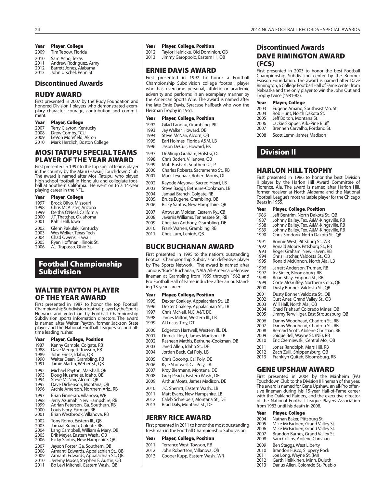- 2009 Tim Tebow, Florida
- 2010 Sam Acho, Texas<br>2011 Andrew Rodrigue
- 2011 Andrew Rodriguez, Army<br>2012 Barrett Jones, Alabama
- Barrett Jones, Alabama 2013 John Urschel, Penn St.

#### **Discontinued Awards**

### **RUDY AWARD**

First presented in 2007 by the Rudy Foundation and honored Division I players who demonstrated exemplary character, courage, contribution and commitment.

#### **Year Player, College**

- 2007 Terry Clayton, Kentucky<br>2008 Drew Combs, TCU
- 2008 Drew Combs, TCU<br>2009 LeVon Morefield, A
- 2009 LeVon Morefield, Akron<br>2010 Mark Herzlich, Boston C Mark Herzlich, Boston College
- 

## **MOSI TATUPU SPECIAL TEAMS PLAYER OF THE YEAR AWARD**

First presented in 1997 to the top special teams player in the country by the Maui (Hawaii) Touchdown Club. The award is named after Mosi Tatupu, who played high school football in Honolulu and collegiate football at Southern California. He went on to a 14-year playing career in the NFL.

| Year | <b>Player, College</b>     |
|------|----------------------------|
| 1997 | Brock Olivo, Missouri      |
| 1998 | Chris McAlister, Arizona   |
| 1999 | Deltha O'Neal, California  |
| 2000 | J.T. Thatcher, Oklahoma    |
| 2001 | Kahlil Hill, Iowa          |
| 2002 | Glenn Pakulak, Kentucky    |
| 2003 | Wes Welker, Texas Tech     |
| 2004 | Chad Owens, Hawaii         |
| 2005 | Ryan Hoffman, Illinois St. |
| 2006 | A.J. Trapasso, Ohio St.    |

## **Football Championship Subdivision**

## **WALTER PAYTON PLAYER OF THE YEAR AWARD**

First presented in 1987 to honor the top Football Championship Subdivision football player by the Sports Network and voted on by Football Championship Subdivision sports information directors. The award is named after Walter Payton, former Jackson State player and the National Football League's second alltime leading rusher.

- 1987 Kenny Gamble, Colgate, RB<br>1988 Dave Meggett, Towson, RB
- 1988 Dave Meggett, Towson, RB<br>1989 John Friesz, Idaho, OB
- 1989 John Friesz, Idaho, QB<br>1990 Walter Dean, Gramblir
- 1990 Walter Dean, Grambling, RB<br>1991 Jamie Martin, Weber St., OB Jamie Martin, Weber St., QB
- 
- 1992 Michael Payton, Marshall, QB<br>1993 Doug Nussmeier, Idaho, OB
- 1993 Doug Nussmeier, Idaho, QB<br>1994 Steve McNair, Alcorn, OB
- 1994 Steve McNair, Alcorn, QB<br>1995 Dave Dickenson, Montan
- 1995 Dave Dickenson, Montana, QB<br>1996 Archie Amerson, Northern Ariz Archie Amerson, Northern Ariz., RB
- 
- 1997 Brian Finneran, Villanova, WR<br>1998 Derry Azumah, New Hampshi
- 1998 Jerry Azumah, New Hampshire, RB<br>1999 Adrian Peterson, Ga, Southern, RB 1999 Adrian Peterson, Ga. Southern, RB<br>2000 Houis Ivory, Furman, RB
- 2000 Louis Ivory, Furman, RB 2001 Brian Westbrook, Villanova, RB
- 
- 2002 Tony Romo, Eastern III., QB<br>2003 Jamaal Branch, Colgate, RB
- 2003 Jamaal Branch, Colgate, RB 2004 Lang Campbell, William & Mary, QB
- 
- 2005 Erik Meyer, Eastern Wash., QB<br>2006 Ricky Santos, New Hampshire Ricky Santos, New Hampshire, QB
- 2007 Jayson Foster, Ga. Southern, QB<br>2008 Armanti Edwards, Appalachian 9
- 2008 Armanti Edwards, Appalachian St., QB<br>2009 Armanti Edwards, Appalachian St., QB
- 2009 Armanti Edwards, Appalachian St., QB 2010 Jeremy Moses, Stephen F. Austin, QB 2011 Bo Levi Mitchell, Eastern Wash., QB
- 
- 

#### Year Player, College **Washington College, Payer, College, Position**

- 2012 Taylor Heinicke, Old Dominion, QB<br>2013 Jimmy Garoppolo, Fastern III., OB
- Jimmy Garoppolo, Eastern III., QB

## **ERNIE DAVIS AWARD**

First presented in 1992 to honor a Football Championship Subdivision college football player who has overcome personal, athletic or academic adversity and performs in an exemplary manner by the American Sports Wire. The award is named after the late Ernie Davis, Syracuse halfback who won the Heisman Trophy in 1961.

#### **Year Player, College, Position**

- 1992 Gilad Landau, Grambling, PK<br>1993 Jav Walker, Howard, OB
- Jay Walker, Howard, OB
- 1994 Steve McNair, Alcorn, QB
- 1995 Earl Holmes, Florida A&M, LB<br>1996 Lason DeCuir Howard PK
- Jason DeCuir, Howard, PK
- 1997 DeMingo Graham, Hofstra, OL<br>1998 Chris Boden, Villanova, OB
- 1998 Chris Boden, Villanova, QB<br>1999 Matt Bushart Southern U
	- Matt Bushart, Southern U., P
- 2000 Charles Roberts, Sacramento St., RB<br>2001 Mark Levenaar Robert Morris Ol
	- Mark Leyenaar, Robert Morris, OL
- 2002 Kayode Mayowa, Sacred Heart, LB<br>2003 Steve Baggs, Bethune-Cookman, L
- 2003 Steve Baggs, Bethune-Cookman, LB<br>2004 Jamaal Branch, Colgate, RB
- Jamaal Branch, Colgate, RB
- 2005 Bruce Eugene, Grambling, QB
- 2006 Ricky Santos, New Hampshire, QB
- 
- 2007 Antwaun Molden, Eastern Ky., CB<br>2008 Javarris Williams, Tennessee St., RE 2008 Javarris Williams, Tennessee St., RB
- Christian Anthony, Grambling, DE
- 2010 Frank Warren, Grambling, RB
- 2011 Chris Lum, Lehigh, QB

### **BUCK BUCHANAN AWARD**

First presented in 1995 to the nation's outstanding Football Championship Subdivision defensive player by The Sports Network. The award is named after Junious "Buck" Buchanan, NAIA All-America defensive lineman at Grambling from 1959 through 1962 and Pro Football Hall of Fame inductee after an outstanding 13-year career.

#### **Year Player, College, Position**

- 1995 Dexter Coakley, Appalachian St., LB
- 1996 Dexter Coakley, Appalachian St., LB<br>1997 Chris McNeil N.C. A&T DE
- 1997 Chris McNeil, N.C. A&T, DE<br>1998 James Milton, Western III.
	- James Milton, Western III., LB
- 1999 Al Lucas, Troy, DT
- 2000 Edgerton Hartwell, Western Ill., DL
- 
- 2001 Derrick Lloyd, James Madison, LB<br>2002 Bashean Mathis Bethune-Cookm Rashean Mathis, Bethune-Cookman, DB
- 
- 2003 Jared Allen, Idaho St., DE<br>2004 Jordan Beck, Cal Poly, LB Jordan Beck, Cal Poly, LB
- 2005 Chris Gocong, Cal Poly, DE
- 
- 2006 Kyle Shotwell, Cal Poly, LB<br>2007 Krov Biermann, Montana, 2007 Kroy Biermann, Montana, DE<br>2008 Greg Peach, Fastern Wash, D
- 2008 Greg Peach, Eastern Wash., DE<br>2009 Arthur Moats, James Madison.
- Arthur Moats, James Madison, DE
- 2010 J.C. Sherritt, Eastern Wash., LB
- 2011 Matt Evans, New Hampshire, LB
- 2012 Caleb Schreibeis, Montana St., DE<br>2013 Brad Daly Montana St. DE
- Brad Daly, Montana St., DE

## **JERRY RICE AWARD**

First presented in 2011 to honor the most outstanding freshman in the Football Championship Subdivision.

#### **Year Player, College, Position**

- 2011 Terrance West, Towson, RB<br>2012 John Robertson, Villanova
- John Robertson, Villanova, QB
- 2013 Cooper Kupp, Eastern Wash., WR

## **Discontinued Awards DAVE RIMINGTON AWARD (FCS)**

2003 Eugene Amano, Southeast Mo. St.<br>2004 Rob Hunt, North Dakota St. 2004 Rob Hunt, North Dakota St.<br>2005 Jeff Bolton, Montana St. 2005 Jeff Bolton, Montana St.<br>2006 Jackie Skipper, Ark.-Pine 2006 Jackie Skipper, Ark.-Pine Bluff<br>2007 Brennen Carvalho, Portland St Brennen Carvalho, Portland St.

2008 Scott Lemn, James Madison

**HARLON HILL TROPHY**

**Year Player, College, Position** 1986 Jeff Bentrim, North Dakota St., QB<br>1987 Hohnny Bailey Tex A&M-Kingsville 1987 Johnny Bailey, Tex. A&M-Kingsville, RB 1988 Johnny Bailey, Tex. A&M-Kingsville, RB 1989 Johnny Bailey, Tex. A&M-Kingsville, RB<br>1990 Chris Simdorn. North Dakota St., OB Chris Simdorn, North Dakota St., QB

1991 Ronnie West, Pittsburg St., WR<br>1992 Ronald Moore, Pittsburg St., RI 1992 Ronald Moore, Pittsburg St., RB<br>1993 Roger Graham, New Haven, RB 1993 Roger Graham, New Haven, RB<br>1994 Chris Hatcher, Valdosta St., QB 1994 Chris Hatcher, Valdosta St., QB<br>1995 Ronald McKinnon, North Ala., Ronald McKinnon, North Ala., LB

1996 Jarrett Anderson, Truman, RB<br>1997 Lity Sigler Bloomsburg, RB 1997 Irv Sigler, Bloomsburg, RB<br>1998 Brian Shay, Emporia St., RI 1998 Brian Shay, Emporia St., RB<br>1999 Corte McGuffey, Northern ( 1999 Corte McGuffey, Northern Colo., QB 2000 Dusty Bonner, Valdosta St., QB 2001 Dusty Bonner, Valdosta St., QB 2002 Curt Anes, Grand Valley St., QB 2003 Will Hall, North Ala., QB 2004 Chad Friehauf, Colorado Mines, QB 2005 Jimmy Terwilliger, East Stroudsburg, QB 2006 Danny Woodhead, Chadron St., RB<br>2007 Danny Woodhead, Chadron St., RB 2007 Danny Woodhead, Chadron St., RB<br>2008 Bernard Scott, Abilene Christian, RB 2008 Bernard Scott, Abilene Christian, RB<br>2009 Iojque Bell, Wayne St. (NF), RB 2009 Joique Bell, Wayne St. (NE), RB<br>2010 Eric Czerniewski, Central Mo., ( Eric Czerniewski, Central Mo., QB

2011 Jonas Randolph, Mars Hill, RB<br>2012 Zach Zulli, Shippensburg, OB 2012 Zach Zulli, Shippensburg, QB<br>2013 Franklyn Quiteh, Bloomsburg Franklyn Quiteh, Bloomsburg, RB

**GENE UPSHAW AWARD**

from 1983 until his death in 2008. **Year Player, College** 2004 Nathan Baker, Pittsburg St.<br>2005 Mike McFadden, Grand Val 2005 Mike McFadden, Grand Valley St.<br>2006 Mike McFadden, Grand Valley St. 2006 Mike McFadden, Grand Valley St.<br>2007 Brandon Barnes, Grand Valley St. 2007 Brandon Barnes, Grand Valley St.<br>2008 Sam Collins. Abilene Christian Sam Collins, Abilene Christian

2009 Ben Staggs, West Liberty<br>2010 Brandon Fusco, Slippery 2010 Brandon Fusco, Slippery Rock<br>2011 Joe Long, Wayne St. (MI) 2011 Joe Long, Wayne St. (MI)<br>2012 Garth Heikkinen Minn D 2012 Garth Heikkinen, Minn. Duluth<br>2013 Darius Allen, Colorado St.-Pueb Darius Allen, Colorado St.-Pueblo

First presented in 2004 by the Manheim (PA) Touchdown Club to the Division II lineman of the year. The award is named for Gene Upshaw, an all-Pro offensive lineman during his 15-year Hall-of-Fame career with the Oakland Raiders, and the executive director of the National Football League Players Association

First presented in 1986 to honor the best Division II player by the Harlon Hill Award Committee of Florence, Ala. The award is named after Harlon Hill, former receiver at North Alabama and the National Football League's most valuable player for the Chicago

**Year Player, College**

**Division II**

Bears in 1955.

First presented in 2003 to honor the best Football Championship Subdivision center by the Boomer Esiason Foundation. The award is named after Dave Rimington, a College Football Hall of Fame center from Nebraska and the only player to win the John Outland Trophy twice (1981-82).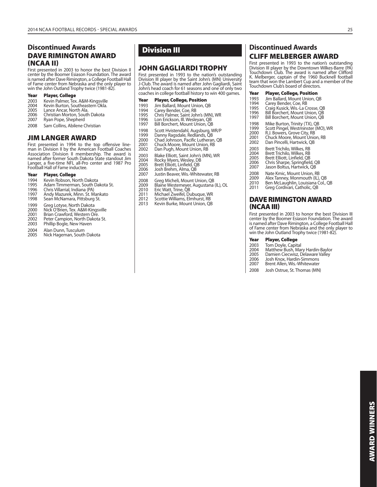## **Discontinued Awards DAVE RIMINGTON AWARD (NCAA II)**

First presented in 2003 to honor the best Division II center by the Boomer Esiason Foundation. The award is named after Dave Rimington, a College Football Hall of Fame center from Nebraska and the only player to win the John Outland Trophy twice (1981-82).

#### **Year Player, College**

- 2003 Kevin Palmer, Tex. A&M-Kingsville 2004 Kevin Burton, Southeastern Okla.
- 
- 2005 Lance Ancar, North Ala.<br>2006 Christian Morton, South
- 2006 Christian Morton, South Dakota<br>2007 Ryan Pope, Shepherd
- Ryan Pope, Shepherd
- 2008 Sam Collins, Abilene Christian

## **JIM LANGER AWARD**

First presented in 1994 to the top offensive line-man in Division II by the American Football Coaches Association Division II membership. The award is named after former South Dakota State standout Jim Langer, a five-time NFL all-Pro center and 1987 Pro Football Hall of Fame inductee.

#### **Year Player, College**

- 1994 Kevin Robson, North Dakota<br>1995 Adam Timmerman, South Da
- 1995 Adam Timmerman, South Dakota St.<br>1996 Chris Villarrial, Indiana (PA)
- 1996 Chris Villarrial, Indiana (PA)<br>1997 Andy Mazurek, Minn, St. M
- 1997 Andy Mazurek, Minn. St. Mankato<br>1998 Sean McNamara, Pittsburg St.
- Sean McNamara, Pittsburg St.
- 1999 Greg Lotyse, North Dakota
- 2000 Nick O'Brien, Tex. A&M-Kingsville 2001 Brian Crawford, Western Ore.
- 
- 2002 Peter Campion, North Dakota St.<br>2003 Phillip Bogle, New Haven Phillip Bogle, New Haven
- 
- 2004 Alan Dunn, Tusculum<br>2005 Nick Hageman, South Nick Hageman, South Dakota

## **Division III**

## **JOHN GAGLIARDI TROPHY**

First presented in 1993 to the nation's outstanding Division III player by the Saint John's (MN) University J-Club. The award is named after John Gagliardi, Saint John's head coach for 61 seasons and one of only two coaches in college football history to win 400 games.

| Year | <b>Player, College, Position</b>    |
|------|-------------------------------------|
| 1993 | Jim Ballard, Mount Union, OB        |
| 1994 | Carey Bender, Coe, RB               |
| 1995 | Chris Palmer, Saint John's (MN), WR |
| 1996 | Lon Erickson, Ill. Wesleyan, QB     |
| 1997 | Bill Borchert, Mount Union, QB      |
| 1998 | Scott Hvistendahl, Augsburg, WR/P   |
| 1999 | Danny Ragsdale, Redlands, QB        |
| 2000 | Chad Johnson, Pacific Lutheran, QB  |
| 2001 | Chuck Moore, Mount Union, RB        |

- 
- 2002 Dan Pugh, Mount Union, RB
- 2003 Blake Elliott, Saint John's (MN), WR<br>2004 Rocky Myers, Wesley, DB
- 2004 Rocky Myers, Wesley, DB 2005 Brett Elliott, Linfield, QB
- 
- 2006 Josh Brehm, Alma, QB 2007 Justin Beaver, Wis.-Whitewater, RB
- 
- 2008 Greg Micheli, Mount Union, QB<br>2009 Blaine Westemeyer, Augustana
- 2009 Blaine Westemeyer, Augustana (IL), OL
- 2010 Eric Watt, Trine, QB<br>2011 Michael Zweifel, Du
- 2011 Michael Zweifel, Dubuque, WR 2012 Scottie Williams, Elmhurst, RB
- 2013 Kevin Burke, Mount Union, QB

## **Discontinued Awards CLIFF MELBERGER AWARD**

First presented in 1993 to the nation's outstanding Division III player by the Downtown Wilkes-Barre (PA) Touchdown Club. The award is named after Clifford K. Melberger, captain of the 1960 Bucknell football team that won the Lambert Cup and a member of the Touchdown Club's board of directors.

| Year |  |  | <b>Player, College, Position</b> |
|------|--|--|----------------------------------|
|------|--|--|----------------------------------|

- 1993 Jim Ballard, Mount Union, QB<br>1994 Carey Bender, Coe, RB
- 
- 
- 1994 Carey Bender, Coe, RB 1995 Craig Kusick, Wis.-La Crosse, QB 1996 Bill Borchert, Mount Union, QB 1997 Bill Borchert, Mount Union, QB
- 
- 1998 Mike Burton, Trinity (TX), QB<br>1999 Scott Pingel, Westminster (M
- 1999 Scott Pingel, Westminster (MO), WR<br>2000 R.J. Bowers, Grove City, RB
- 2000 R.J. Bowers, Grove City, RB<br>2001 Chuck Moore, Mount Unic 2001 Chuck Moore, Mount Union, RB<br>2002 Dan Pincelli, Hartwick, OB
- Dan Pincelli, Hartwick, QB
- 2003 Brett Trichilo, Wilkes, RB
- 2004 Brett Trichilo, Wilkes, RB 2005 Brett Elliott, Linfield, QB
- 
- 2006 Chris Sharpe, Springfield, QB 2007 Jason Boltus, Hartwick, QB
- 
- 2008 Nate Kmic, Mount Union, RB<br>2009 Alex Tanney, Monmouth (IL),
- 2009 Alex Tanney, Monmouth (IL), QB<br>2010 Ben McLaughlin, Louisiana Col. Ben McLaughlin, Louisiana Col., QB
- 2011 Greg Cordivari, Catholic, QB

### **DAVE RIMINGTON AWARD (NCAA III)**

First presented in 2003 to honor the best Division III center by the Boomer Esiason Foundation. The award is named after Dave Rimington, a College Football Hall of Fame center from Nebraska and the only player to win the John Outland Trophy twice (1981-82).

#### **Year Player, College**

- 
- 2003 Tom Doyle, Capital<br>2004 Matthew Bush, Ma 2004 Matthew Bush, Mary Hardin-Baylor
- 2005 Damien Ciecwisz, Delaware Valley
- 2006 Josh Knox, Hardin-Simmons<br>2007 Rrent Allen Wis-Whitewater
- Brent Allen, Wis.-Whitewater
- 2008 Josh Ostrue, St. Thomas (MN)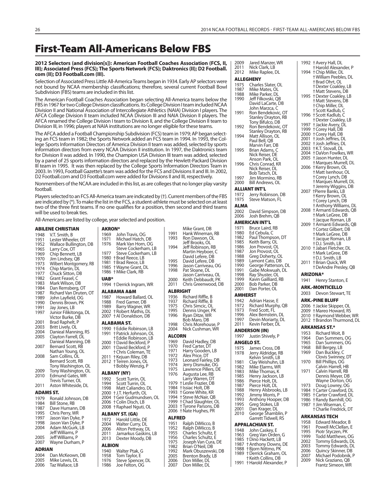# **First-Team All-Americans Below FBS**

#### **2012 Selectors (and division[s]): American Football Coaches Association (FCS, II, III); Associated Press (FCS); The Sports Network (FCS); Daktronics (II); D2 Football. com (II); D3 Football.com (III).**

Selection of Associated Press Little All-America Teams began in 1934. Early AP selectors were not bound by NCAA membership classifications; therefore, several current Football Bowl Subdivision (FBS) teams are included in this list.

The American Football Coaches Association began selecting All-America teams below the FBS in 1967 for two College Division classifications. Its College Division I team included NCAA Division II and National Association of Intercollegiate Athletics (NAIA) Division I players. The AFCA College Division II team included NCAA Division III and NAIA Division II players. The AFCA renamed the College Division I team to Division II, and the College Division II team to Division III, in 1996; players at NAIA institutions are no longer eligible for these teams.

The AFCA added a Football Championship Subdivision (FCS) team in 1979; AP began selecting an FCS team in 1982; the Sports Network added an FCS team in 1994. In 1993, the College Sports Information Directors of America Division II team was added, selected by sports information directors from every NCAA Division II institution. In 1997, the Daktronics team for Division II was added. In 1990, the Champion USA Division III team was added, selected by a panel of 25 sports information directors and replaced by the Hewlett-Packard Division III team in 1995. It was then replaced by the College Sports Information Directors Team in 2003. In 1993, Football Gazette's team was added for the FCS and Divisions II and III. In 2002, D2 Football.com and D3 Football.com were added for Divisions II and III, respectively.

Nonmembers of the NCAA are included in this list, as are colleges that no longer play varsity football.

Players selected to an FCS All-America team are indicated by (†). Current members of the FBS are indicated by (\*). To make the list in the FCS, a student-athlete must be selected on at least two of the three first teams. If no one qualifies for a position, then second and third teams will be used to break ties.

All-Americans are listed by colle

## **ABILENE CHRISTIAN**

|                  | <u>ABILENE CHRIS I IAN</u> |
|------------------|----------------------------|
| 1948             | V.T. Smith, B              |
| 1951             | Lester Wheeler, OT         |
| 1952             | Wallace Bullington, DB     |
| 1965             | Larry Cox, OT              |
| 1969             | Chip Bennett, LB           |
| 1970             | Jim Lindsey, QB            |
| 1973             | Wilbert Montgomery, RB     |
| 1974             | Chip Martin, DL            |
| 1977             | Chuck Sitton, DB           |
| 1982             | Grant Feasel, C            |
| 1983             | Mark Wilson, DB            |
| 1984             | Dan Remsberg, OT           |
| 1987             | Richard Van Druten, OT     |
| 1989             | John Layfield, OG          |
| 1990             | Dennis Brown, PK           |
| 1991             | Jay Jones, LB              |
| 1997             | Junior Filikitonga, DL     |
|                  | Victor Burke, DB           |
| 2001             | Brad Raphelt, P            |
| 2003             | Britt Lively, OL           |
| 2004             | Danieal Manning, RS        |
| 2005             | Clayton Farrell, DL        |
|                  | Danieal Manning, DB        |
| 2007             | Bernard Scott, RB          |
|                  | Nathan Young, OL           |
| 2008             | Sam Collins, OL            |
|                  | Bernard Scott, RB          |
|                  | Tony Washington, OL        |
| 2009             | Tony Washington, OL        |
| 2010             | <b>Edmund Gates, WR</b>    |
|                  | Trevis Turner, OL          |
| 2011             | Aston Whiteside, DL        |
| <b>ADAMS ST.</b> |                            |
| 1979             | Ronald Johnson, DB         |
| 1984             | Bill Stone, RB             |
| 1987             | Dave Humann, DB            |
| 1995             | Chris Perry, WR            |
| 1997             | Jason Van Dyke, P          |
| 1998             | Jason Van Dyke, P          |
| 2004             | Adam McGurk, LB            |
|                  | Jeff Williams, P           |
| 2005             | Jeff Williams, P           |
| 2007             | Wayne Durham, P            |
| ADRIAN           |                            |
| 2004             | Dan McKeown, DB            |
| 2005             | Mike Lewis, DL             |
| 2006             | Taz Wallace I R            |

|                                       | ge, year selected and position.                                                                                                                                             |                                                                |                                                   |
|---------------------------------------|-----------------------------------------------------------------------------------------------------------------------------------------------------------------------------|----------------------------------------------------------------|---------------------------------------------------|
| <b>AKRON*</b><br>1969<br>1971<br>1976 | John Travis, OG<br>Michael Hatch, DB<br>Mark Van Horn, OG                                                                                                                   | 1991<br>1993                                                   | Ν<br>Н<br>R<br>J٤                                 |
| 1977<br>1980<br>1981<br>1985          | Steve Cockerham, LB<br>Steve Cockerham, LB<br>+Brad Reece, LB<br>† Brad Reece, LB<br>† Wayne Grant, DL                                                                      | 1994<br>1995<br>1996<br>1998                                   | J٤<br>Ν<br>D<br>D<br>ةل<br>P                      |
| 1986<br><b>UAB*</b>                   | † Mike Clark, RB                                                                                                                                                            |                                                                | ةل                                                |
|                                       | 1994 †Derrick Ingram, WR                                                                                                                                                    | 2000<br>2011                                                   | Κ<br>C                                            |
|                                       | ALABAMA A&M                                                                                                                                                                 | <b>ALBRIGI</b>                                                 |                                                   |
| 1987<br>1988<br>1989<br>2007          | Howard Ballard, OL<br>Fred Garner, DB<br>Barry Wagner, WR<br>2002 + Robert Mathis, DL<br>† Al Donaldson, DB                                                                 | 1936<br>1937<br>1975<br>1995<br>1996                           | R<br>R<br>C<br>D<br>R<br>Β                        |
|                                       | ALABAMA ST.                                                                                                                                                                 | 1998                                                           | C                                                 |
| 1991                                  | 1990 † Eddie Robinson, LB<br>† Patrick Johnson, OL                                                                                                                          | 2004                                                           | Ν                                                 |
| 2000<br>2001<br>2011<br>2012          | † Eddie Robinson, LB<br><sup>†</sup> David Beckford, P<br><b>+David Beckford, P</b><br>† Chris Coleman, TE<br>† Kejuan Riley, DB<br>† Terren Jones, OL<br>† Bobby Wenzig, P | ALCORN<br>1969<br>1970<br>1971<br>1972<br>1973<br>1974<br>1975 | D<br>Fı<br>Н<br>Α<br>L<br>J٤<br>L                 |
|                                       | ALBANY (NY)                                                                                                                                                                 | 1976                                                           | A                                                 |
| 1992<br>1994<br>1998<br>2006<br>2008  | Scott Turrin, OL<br>Scott Turrin, OL<br>Matt Caliandro, DL<br>2000 + J.T. Herfurth, OL<br>2004 †Geir Gudmundsen, OL<br>† Colin Disch, LB<br>† Raphael Nguti, OL             | 1979<br>1984<br>1993<br>1994<br>1999<br>2003<br>2006           | L.<br>tμ<br>† Is<br>† G<br>t S<br>†C<br>† T<br>†Ń |
| 1972                                  | <b>ALBANY ST. (GA)</b><br>Harold Little, DE                                                                                                                                 | <b>ALFRED</b>                                                  |                                                   |
| 2004<br>2006<br>2011<br>2013          | Walter Curry, DL<br>Alton Pettway, DL<br>Jamarkus Gaskins, LB<br>Dexter Moody, DB                                                                                           | 1951<br>1952<br>1955<br>1956<br>1975                           | R<br>R<br>C<br>C<br>J                             |
| <b>ALBION</b>                         |                                                                                                                                                                             | 1982                                                           | B                                                 |
| 1940<br>1958<br>1976<br>1986          | Walter Ptak, G<br>Tom Taylor, E<br>Steve Spencer, DL<br>Joe Felton, OG                                                                                                      | 1992<br>2005<br>2006<br>2007                                   | Ν<br>Β<br>D<br>D                                  |

| 1991<br>1993                                                                                                         | Mike Grant, DB<br>Hank Wineman, RB<br>Ron Dawson, OL                                                                                                                                                                                                                                                                                              |  |  |
|----------------------------------------------------------------------------------------------------------------------|---------------------------------------------------------------------------------------------------------------------------------------------------------------------------------------------------------------------------------------------------------------------------------------------------------------------------------------------------|--|--|
| 1994                                                                                                                 | Jeff Brooks, OL<br>Jeff Robinson, RB                                                                                                                                                                                                                                                                                                              |  |  |
|                                                                                                                      | Martin Heyboer, C<br>David Lefere, DB                                                                                                                                                                                                                                                                                                             |  |  |
| 1995<br>1996                                                                                                         | David Lefere, DB<br>Jason Carriveau, OG                                                                                                                                                                                                                                                                                                           |  |  |
| 1998                                                                                                                 | Pat Sloane, DL<br>Jason Carriveau, OL                                                                                                                                                                                                                                                                                                             |  |  |
| 2000<br>2011                                                                                                         | Keith Debbaudt, PK<br>Chris Greenwood, DB                                                                                                                                                                                                                                                                                                         |  |  |
|                                                                                                                      | ALBRIGHT                                                                                                                                                                                                                                                                                                                                          |  |  |
| 1936<br>1937<br>1975<br>1995<br>1996                                                                                 | Richard Riffle, B<br>Richard Riffle, B<br>Chris Simcic, OL<br>Dennis Unger, PK<br>Ryan Ditze, WR                                                                                                                                                                                                                                                  |  |  |
| 1998                                                                                                                 | Bob Maro, DB<br>Chris Morehouse, P                                                                                                                                                                                                                                                                                                                |  |  |
| 2004                                                                                                                 | Nick Cushman, WR                                                                                                                                                                                                                                                                                                                                  |  |  |
| ALCORN                                                                                                               |                                                                                                                                                                                                                                                                                                                                                   |  |  |
| 1969<br>1970<br>1971<br>1972<br>1973<br>1974<br>1975<br>1976<br>1979<br>1984<br>1993<br>1994<br>1999<br>2003<br>2006 | David Hadley, DB<br>Fred Carter, DT<br>Harry Gooden, LB<br>Alex Price, DT<br>Leonard Fairley, DB<br>Jerry Dismuke, OG<br>Lawrence Pillers, DE<br>Augusta Lee, RB<br>Larry Warren, DT<br>† Leslie Frazier, DB<br>† Issiac Holt, DB<br>† Goree White, KR<br>+ Steve McNair, QB<br>† Chad Slaughter, OL<br>† Tyrone Parsons, DB<br>† Nate Hughes, PR |  |  |
| ALFRED                                                                                                               |                                                                                                                                                                                                                                                                                                                                                   |  |  |
| 1951<br>1952<br>1955<br>1956<br>1975<br>1982<br>1992<br>2005<br>2006<br>2007                                         | Ralph DiMicco, B<br>Ralph DiMicco, B<br>Charles Schultz, E<br>Charles Schultz, E<br>Joseph Van Cura, DE<br>Brian O'Neil, DB<br>Mark Obuszewski, DB<br>Brenton Brady, LB<br>Don Miller, DĹ<br>Don Miller DI                                                                                                                                        |  |  |

| 2009                   | Jared Manzer, WR                                                     |                 | 1992 † Avery Hall, DL                                |
|------------------------|----------------------------------------------------------------------|-----------------|------------------------------------------------------|
| 2011<br>2012           | Nick Clark, LB<br>Mike Raplee, DL                                    |                 | † Harold Alexander, P<br>1994 + Chip Miller, DL      |
|                        | <b>ALLEGHENY</b>                                                     |                 | † William Peebles, DL                                |
| 1975                   | Charles Slater, OL                                                   |                 | † Brad Ohrt, OL<br>† Dexter Coakley, LB              |
| 1987<br>1988           | Mike Mates, OL<br>Mike Parker, DL                                    |                 | †Matt Stevens, DB                                    |
| 1990                   | Jeff Filkovski, QB                                                   |                 | 1995 + Dexter Coakley, LB                            |
|                        | David LaCarte, DB                                                    |                 | +Matt Stevens, DB<br>† Chip Miller, DL               |
| 1991                   | John Marzca, C<br>Ron Bendekovic, OT                                 |                 | † Scott Kadlub, C                                    |
|                        | Stanley Drayton, RB                                                  |                 | 1996 †Scott Kadlub, C<br><b>+Dexter Coakley, LB</b>  |
| 1992                   | Tony Bifulco, DB<br>Ron Bendekovic, OT                               |                 | 1997 + Jackie Avery, DL                              |
|                        | Stanley Drayton, RB                                                  |                 | 1999 + Corey Hall, DB                                |
| 1994                   | Matt Allison, OL<br>Paul Bell, QB                                    |                 | 2000 + Corey Hall, DB<br>2001 + Josh Jeffries, DL    |
|                        | Marvin Farr, DB                                                      |                 | 2002 + Josh Jeffries, DL                             |
| 1995                   | Brian Adams, C<br>Nick Reiser, DE                                    |                 | 2003 †K.T. Stovall, DL<br>2004 †DaVon Fowlkes, WR    |
|                        | Anson Park, OL                                                       |                 | 2005 † Jason Hunter, DL                              |
| 1996                   | Chris Conrad, KR                                                     |                 | † Marques Murrell, DL<br>2006 + Kerry Brown, OL      |
|                        | Nick Reiser, DL<br>Bob Tatsch, DL                                    |                 | † Matt Isenhour, OL                                  |
| 1997                   | Jim Mormino, RB                                                      |                 | † Corey Lynch, DB<br>† Marques Murrell, DL           |
| 2000                   | Bill Andrews, OL<br><b>ALLIANT INT'L</b>                             |                 | † Jeremy Wiggins, DB                                 |
| 1972                   | Jerry Robinson, DB                                                   |                 | 2007 †Pierre Banks, LB                               |
| 1975                   | Steve Matson, FL                                                     |                 | † Kerry Brown, OL<br>† Corey Lynch, DB               |
| ALMA                   |                                                                      |                 | † Anthony Williams, D                                |
| 2002<br>2006           | David Simpson, DB<br>Josh Brehm, QB                                  |                 | 2008 † Armanti Edwards, Q<br>† Mark LeGree, DB       |
|                        | <b>AMERICAN INT'L</b>                                                |                 | † Jacque Roman, LB                                   |
| 1971                   | Bruce Laird, RB                                                      |                 | 2009 † Armanti Edwards, Q<br>† Cortez Gilbert, DB    |
| 1980<br>1982           | Ed Cebula, C<br>Paul Thompson, DT                                    |                 | † Mark LeGree, DB                                    |
| 1985                   | Keith Barry, OL                                                      |                 | † Jacque Roman, LB<br>† D.J. Smith, LB               |
| 1986<br>1987           | Jon Provost, OL<br>Jon Provost, OL                                   |                 | 2010 † Jabari Fletcher, DL                           |
| 1988                   | Greg Doherty, OL                                                     |                 | + Mark LeGree, DB<br>† D.J. Smith, LB                |
| 1989<br>1990           | Lamont Cato, DB                                                      | 2011            | † Brian Quick, WR                                    |
| 1991                   | George Patterson, DL<br>Gabe Mokwuah, DL                             |                 | † DeAndre Presley, QE                                |
| 1998<br>1999           | Ray Shuster, OL                                                      | <b>ARIZONA*</b> |                                                      |
| 2000                   | Kavin Gailliard, RB<br>Bob Parker, DB                                | 1941            | Henry Stanton, E                                     |
| 2001                   | Dan Porter, OL                                                       | 2003            | ARK.-MONTICELLO<br>Devon Stewart, TE                 |
| <b>AMHERST</b><br>1942 |                                                                      |                 | <b>ARK.-PINE BLUFF</b>                               |
| 1972                   | Adrian Hasse, E<br>Richard Murphy, QB                                |                 | 2006 + Jackie Skipper, OL                            |
| 1973                   | Fred Scott, FL                                                       |                 | 2009 + Mareo Howard, RS                              |
| 1996<br>1997           | Alex Bernstein, DL<br>Devin Moriarty, DL                             |                 | 2010 + Raymond Webber, V<br>2012 † Brandon Thurmond, |
| 2011                   | Kevin Ferber, DL                                                     |                 | ARKANSAS ST.*                                        |
|                        | <b>ANDERSON (IN)</b>                                                 |                 | 1953 Richard Woit, B                                 |
| 1997                   | Justin Shively, P<br>ANGELO ST.                                      | 1964<br>1965    | Dan Summers, OG<br>Dan Summers, OG                   |
| 1975                   | James Cross, DB                                                      | 1968            | Bill Bergey, LB                                      |
| 1978                   | Jerry Aldridge, RB                                                   | 1969            | Dan Buckley, C                                       |
| 1981                   | Kelvin Smith, LB<br>Clay Weishuhn, LB                                | 1970            | Clovis Swinney, DT<br>Bill Phillips, OG              |
| 1982                   | Mike Elarms, WR                                                      |                 | Calvin Harrell, HB                                   |
| 1983<br>1985           | Mike Thomas, K<br>Henry Jackson, LB                                  | 1971            | Calvin Harrell, RB<br>Dennis Meyer, DB               |
| 1986                   | Pierce Holt, DL                                                      |                 | Wayne Dorton, OG                                     |
| 1987<br>1988           |                                                                      | 1973            | Doug Lowrey, OG                                      |
| 1992                   | Pierce Holt, DL                                                      |                 |                                                      |
|                        | Henry Alsbrooks, LB<br>Jimmy Morris, P                               | 1984<br>1985    | † Carter Crawford, DL<br><b>+Carter Crawford, DL</b> |
| 1993                   | Anthony Hooper, DB                                                   | 1986            | † Randy Barnhill, OG                                 |
| 1995<br>2001           | Greg Stokes, LB<br>Dan Krager, DL                                    | 1987            | † Jim Wiseman, C<br>† Charlie Fredrick, DT           |
| 2010                   | George Shamblin, P                                                   |                 | <b>ARKANSAS TECH</b>                                 |
|                        | Garrett Tidwell, RS                                                  | 1958            | Edward Meador, B                                     |
| 1948                   | <b>APPALACHIAN ST.</b><br>John Caskey, E                             | 1961<br>1995    | Powell McClellan, E<br>Piotr Styczen, PK             |
| 1963                   | Greg Van Orden, G                                                    | 1999            | Todd Matthews, OG                                    |
| 1987                   | 1985 + Dino Hackett, LB<br>† Anthony Downs, DE                       | 2002            | Tommy Edwards, Dl                                    |
| 1988                   | † Bjorn Nittmo, PK                                                   | 2003<br>2006    | Tommy Edwards, DL<br>Quincy Skinner, DB              |
| 1989<br>1991           | † Derrick Graham, OL<br>† Keith Collins, DB<br>† Harold Alexander, P | 2007<br>2009    | Michael Podobnik, F<br>Nick Graziano, QB             |

larques Murrell, DL erry Brown, OL latt Isenhour, OL orey Lynch, DB larques Murrell, DL † Jeremy Wiggins, DB erre Banks, LB erry Brown, OL orey Lynch, DB † Anthony Williams, DL rmanti Edwards, QB lark LeGree, DB acque Roman, LB rmanti Edwards, OB † Cortez Gilbert, DB lark LeGree, DB acque Roman, LB † D.J. Smith, LB abari Fletcher, DL lark LeGree, DB † D.J. Smith, LB rian Quick, WR eAndre Presley, QB  $\mathbf{A}^*$ lenry Stanton, E **ANTICELLO** evon Stewart, TE **NE BLUFF** ackie Skipper, OL lareo Howard, RS aymond Webber, WR randon Thurmond, DL **ARKANSAS ST.\*** ichard Woit, B an Summers, OG an Summers, OG 1968 Bill Bergey, LB 1969 Dan Buckley, C lovis Swinney, DT ill Phillips, OG alvin Harrell, HB alvin Harrell, RB ennis Meyer, DB avne Dorton, OG 1973 Doug Lowrey, OG arter Crawford, DL arter Crawford, DL andy Barnhill, OG im Wiseman, C harlie Fredrick, DT **AS TECH** dward Meador, B owell McClellan, E iotr Styczen, PK odd Matthews, OG ommy Edwards, DL ommy Edwards, DL 2006 Quincy Skinner, DB 2007 Michael Podobnik, P 2009 Nick Graziano, QB Frantz Simeon, WR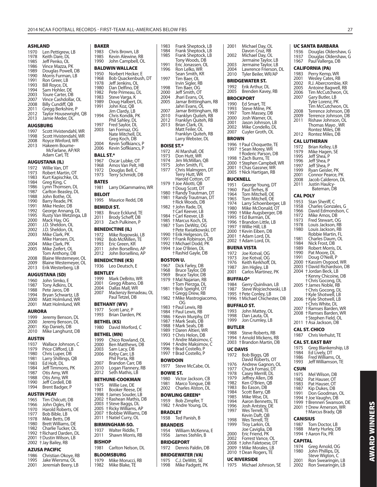**BAKER**

#### **ASHLAND**

| 1970<br>1978<br>1985<br>1986<br>1989<br>1990<br>1991<br>1993<br>1994<br>2003<br>2007<br>2008<br>2011<br>2012<br>2013<br><b>AUGSBURG</b> | Len Pettigrew, LB<br>Keith Dare, DL<br>Jeff Penko, OL<br>Vince Mazza, PK<br>Douglas Powell, DB<br>Morris Furman, LB<br>Ron Greer, LB<br>Bill Royce, DL<br>Sam Hohler, DE<br>Toure Carter, DB<br>Vince Cashdollar, OL<br><b>Billy Cundiff, QB</b><br>Gregg Berkshire, P<br>Taylor Housewright, QB<br>Jamie Meder, DL |
|-----------------------------------------------------------------------------------------------------------------------------------------|---------------------------------------------------------------------------------------------------------------------------------------------------------------------------------------------------------------------------------------------------------------------------------------------------------------------|
| 1997                                                                                                                                    | Scott Hvistendahl, WR                                                                                                                                                                                                                                                                                               |
| 1998<br>2008                                                                                                                            | Scott Hvistendahl, WR<br>Royce Winford, WR                                                                                                                                                                                                                                                                          |
| 2013                                                                                                                                    | Hakeem Bourne-                                                                                                                                                                                                                                                                                                      |
|                                                                                                                                         | McFarlane, AP/KR<br>Adam Carl, TE                                                                                                                                                                                                                                                                                   |
|                                                                                                                                         |                                                                                                                                                                                                                                                                                                                     |
|                                                                                                                                         | AUGUSTANA (IL)                                                                                                                                                                                                                                                                                                      |
|                                                                                                                                         |                                                                                                                                                                                                                                                                                                                     |
| 1972<br>1973                                                                                                                            | Willie Van, DT<br>Robert Martin, OT                                                                                                                                                                                                                                                                                 |
| 1983                                                                                                                                    | Kurt Kapischke, OL                                                                                                                                                                                                                                                                                                  |
| 1984                                                                                                                                    | Greg King, C                                                                                                                                                                                                                                                                                                        |
| 1986                                                                                                                                    | Lynn Thomsen, DL                                                                                                                                                                                                                                                                                                    |
| 1987<br>1988                                                                                                                            | Carlton Beasley, DL<br>John Bothe, OL                                                                                                                                                                                                                                                                               |
| 1990                                                                                                                                    | Barry Reade, PK                                                                                                                                                                                                                                                                                                     |
| 1991                                                                                                                                    | Mike Hesler, DB                                                                                                                                                                                                                                                                                                     |
| 1992<br>1995                                                                                                                            | George Annang, DL<br>Rusty Van Wetzinga, LB                                                                                                                                                                                                                                                                         |
| 2000                                                                                                                                    | Mack Hay, OG                                                                                                                                                                                                                                                                                                        |
| 2001<br>2002                                                                                                                            | J.D. Sheldon, OL                                                                                                                                                                                                                                                                                                    |
| 2003                                                                                                                                    | J.D. Sheldon, OL<br>Mike Clark, PK                                                                                                                                                                                                                                                                                  |
|                                                                                                                                         | Mike Hansen, DL                                                                                                                                                                                                                                                                                                     |
| 2004<br>2005                                                                                                                            | Mike Clark, PK<br>Mike Zeifert, OL                                                                                                                                                                                                                                                                                  |
|                                                                                                                                         | Tom Anthony, DB                                                                                                                                                                                                                                                                                                     |
| 2008<br>2009                                                                                                                            | Blaine Westemeyer, OL<br><b>Blaine Westemeyer, OL</b>                                                                                                                                                                                                                                                               |

#### **AUGUSTANA (SD)**

| 2001 | Matt Holmlund, WR  |
|------|--------------------|
| 2000 | Matt Holmlund, WR  |
| 1994 | Bryan Schwartz, LB |
| 1988 | Pete Jaros, DB     |
| 1987 | Tony Adkins, DL    |
| 1960 | John Simko, E      |
|      |                    |

## **AURORA**<br>1999 Jer 1999 Jeremy Benson, DL 2000 Jeremy Benson, DL 2001 Kip Daniels, DB 2010 Mike Langhurst, DB

#### **AUSTIN**

| 1937 | Wallace Johnson, C  |
|------|---------------------|
| 1979 | Price Clifford, LB  |
| 1980 | Chris Luper, DB     |
| 1981 | Larry Shillings, QB |
| 1983 | Ed Holt, DL         |
| 1984 | Jeff Timmons, PK    |
| 1987 | Otis Amy, WR        |
| 1988 | Otis Amy, WR        |
| 1990 | Jeff Cordell, DB    |
| 1994 | Brent Badger, P     |

**AUSTIN PEAY** 1965 Tim Chilcutt, DB 1966 John Ogles, FB 1970 Harold Roberts, OE 1977 Bob Bible, LB 1978 Mike Betts, DB 1980 Brett Williams, DE 1982 Charlie Tucker, OL 1992 † Richard Darden, DL 2001 † Dustin Wilson, LB 2002 † Jay Bailey, RB

#### **AZUSA PACIFIC**

| 1986 | Christian Okoye, RB |
|------|---------------------|
| 1995 | Jake Wiersma, OL    |
| 2001 | Jeremiah Beery, LB  |

| 1983<br>1985<br>1990 | Chris Brown, LB<br>Kevin Alewine, RB<br>John Campbell, OL    |
|----------------------|--------------------------------------------------------------|
|                      | BALDWIN WALLACE                                              |
| 1950<br>1968<br>1978 | Norbert Hecker, E<br>Bob Quackenbush, DT<br>Jeff Jenkins, OL |
| 1980                 | Dan Delfino, DE                                              |
| 1982                 | Pete Primeau, DL                                             |
| 1983<br>1989         | Steve Varga, K<br>Doug Halbert, DL                           |
| 1991                 | John Koz, QB                                                 |
| 1994                 | Jim Clardy, LB                                               |
|                      | chris Kondik, PK<br>Phil Sahley, DL                          |
| 1997<br>2003         | Fred Saylor, DL<br>lan Formaz, OG<br>Nate Mitchell, DL       |
| 2004<br>2006         | Greg Koch, DB<br>Kevin Soflkiancs, P<br>Kevin Soflkiancs, P  |
| <b>BALL ST.*</b>     |                                                              |
| 1967                 | Oscar Lubke, OT                                              |
| 1968<br>1972         | Amos Van Pelt, HB<br>Douglas Bell, C                         |
| 1973                 | Terry Schmidt, DB                                            |
| BATES                |                                                              |
| 1981<br>BELOIT       | Larry DiGammarino, WR                                        |
| 1995                 | Maurice Redd, DB                                             |
|                      | <b>BEMIDJI ST.</b>                                           |
| 1983<br>2011         | Bruce Ecklund, TE<br>Brody Scheff, DB                        |
| 2013                 | Zach Pulkinen, P                                             |
|                      | <b>BENEDICTINE (IL)</b>                                      |
| 1972                 | Mike Rogowski, LB                                            |
| 1992<br>1993         | Bob McMillen, TE<br>Eric Green, KR                           |
| 2011                 | John Borsellino, AP                                          |
| 2012                 | John Borsellino, AP                                          |
|                      | <b>BENEDICTINE (KS)</b>                                      |
| 1936                 | Leo Deutsch, E                                               |
| <b>BENTLEY</b>       |                                                              |
| 1999<br>2001         | Mark DeBrito, WR                                             |
| 2004                 | Gregg Albano, DB<br>Dallas Mall, WR                          |
| 2007                 | Mackenzy Bernadeau, OL<br>Paul Tetzel, DB                    |
|                      | BETHANY (WV)                                                 |
| 1977                 | Scott Lanz, P                                                |
| 1993                 | Brian Darden, PK                                             |
| 1980                 | BETHEL (KS)<br>David Morford, C                              |
|                      | BETHEL (MN)                                                  |
| 1999<br>2000         | Chico Rowland, OL<br>Ben Matthews, DB                        |
| 2003                 | Sam Lacy, DB                                                 |
| 2006                 | Kirby Carr, LB                                               |
| 2007                 | Phil Porta, RB<br>Brandon Carr, DB                           |
| 2010<br>2012         | Logan Flannery, RB<br>Seth Mathis, LB                        |
|                      | BETHUNE-COOKMAN                                              |
| 1975                 | Willie Lee, DE                                               |
| 1981                 | Booker Reese, DE                                             |
| 2002                 | 1998 + James Souder, LB<br>† Rashean Mathis, DB              |
| 2003                 | † Steve Baggs, DL                                            |
| 2005<br>2007         | † Ricky Williams, AP<br>† Bobbie Williams, DB                |
| 2011                 | † Natiel Curry, OL                                           |
|                      | <b>BIRMINGHAM-SO.</b>                                        |
| 1937<br>2011         | Walter Riddle, T<br>Shawn Morris, RB                         |
| <b>BISHOP</b>        |                                                              |
| 1981                 | Carlton Nelson, DL                                           |
| 1979                 | <b>BLOOMSBURG</b>                                            |
| 1982                 | Mike Morucci, RB<br>Mike Blake, TE                           |

| 1983<br>1984   | Frank Sheptock, LB<br>Frank Sheptock, LB<br>Frank Sheptock, LB |
|----------------|----------------------------------------------------------------|
| 1985           | Tony Woods, DB                                                 |
| 1991<br>1996   | Eric Jonassen, OL<br>Ron Lelko, WR                             |
| 1997           | Sean Smith, KR<br>Tim Baer, OL                                 |
| 1998           | Irvin Sigler, RB                                               |
| 2000           | Tim Baer, OG<br>Jeff Smith, OT                                 |
| 2004<br>2005   | Jhari Evans, OL<br>Jamar Brittingham, RB                       |
|                | Jahri Evans, OL                                                |
| 2007<br>2010   | Jamar Brittingham, RB                                          |
| 2012           | Franklyn Quiteh, RB                                            |
| 2013           | Franklýn Quiteh, RB<br>Brian Clark, OL                         |
|                | Matt Feiler, OL<br>Franklyn Quiteh, RB                         |
|                | Larry Webster, DL                                              |
|                | <b>BOISE ST.*</b>                                              |
| 1972<br>1973   | Al Marshall, OE<br>Don Hutt, WR                                |
| 1974           | Jim McMillan, QB                                               |
| 1975<br>1977   | John Smith, FL<br>Chris Malmgren, DT                           |
|                | Terry Hutt, WR                                                 |
| 1979           | Harold Cotton, OT<br>+ Joe Aliotti, QB                         |
|                | † Doug Scott, DT<br>† Randy Trautman, DT                       |
| 1980<br>1981   |                                                                |
|                | Handy Trautman, DT<br>† Randy Trautman, DT<br>† Rick Woods, DB |
| 1982           | † John Rade, DL<br>† Carl Keever, LB                           |
| 1984           | + Carl Keever, LB                                              |
| 1985<br>1987   | † Marcus Koch, DL<br>† Tom DeWitz, OG                          |
|                | † Pete Kwiatkowski, DT                                         |
| 1990           | † Erik Helgeson, DL                                            |
| 1991<br>1992   | † Frank Robinson,<br>DВ<br>† Michael Dodd, PK                  |
| 1994           | + Joe O'Brien, DL                                              |
|                | † Rashid Gayle, DB                                             |
|                |                                                                |
|                | BOSTON U.                                                      |
| 1967<br>1968   | Dick Farley, DB                                                |
| 1969           | Bruce Taylor, DB<br>Bruce Taylor, DB                           |
| 1979           | † Mal Najarian, RB<br>+Tom Pierzga, DL                         |
| 1981           | + Bob Speight, OT                                              |
| 1982           | + Gregg Drew, RB<br>+ Mike Mastrogiacomo,                      |
|                | ŰĠ                                                             |
| 1983<br>1984   | + Paul Lewis, RB<br>† Paul Lewis, RB                           |
| 1986           | +Kevin Murphy, DT                                              |
| 1987<br>1988   | † Mark Seals, DB<br>† Mark Seals, DB                           |
| 1989           | † Daren Altieri, WR                                            |
| 1993           | † Chris Helon, DB<br>† Andre Maksimov, C                       |
| 1994           | † Andre Maksimov, C                                            |
| 1996<br>1997   | † Brad Costello, P<br>† Brad Costello, P                       |
|                | <b>BOWDOIN</b>                                                 |
| 1977           | Steve McCabe, OL                                               |
|                | <b>BOWIE ST.</b>                                               |
| 1980<br>1981   | Victor Jackson, CB                                             |
| 2002           | Marco Tongue, DB<br>Charles Alston, DL                         |
|                | <b>BOWLING GREEN*</b>                                          |
| 1959<br>1982   | Bob Zimpfer, T                                                 |
| <b>BRADLEY</b> | † Andre Young, DL                                              |
| 1938           | Ted Panish, B                                                  |
|                | <b>BRANDEIS</b>                                                |
| 1954           | William McKenna, E                                             |
| 1956           | James Stehlin, B                                               |
| 1972           | <b>BRIDGEPORT</b><br>Dennis Paldin, DB                         |
|                |                                                                |
| 1975<br>1998   | <b>BRIDGEWATER (VA)</b><br>C.J. DeWitt, SE<br>Mike Padgett, PK |

| 2001          | Michael Day, OL                               | UC SANT                |              |
|---------------|-----------------------------------------------|------------------------|--------------|
| 2002          | Davon Cruz, RB<br>Michael Day, OL             | 1936<br>1937           | D١<br>D١     |
|               | Jermaine Taylor, LB                           | 1967                   | Pa           |
| 2003<br>2004  | Jermaine Taylor, LB<br>Lawrence Frierson, DL  | CALIFOR                |              |
| 2010          | Tyler Beiler, WR/AP                           | 1983<br>2001           | Pe<br>W      |
|               | <b>BRIDGEWATER ST.</b>                        | 2002                   | R.           |
| 1992<br>2005  | Erik Arthur, DL<br>Brenden Kavey, RB          | 2005<br>2006           | A۱<br>Τi     |
|               | <b>BROCKPORT</b>                              | 2007                   | G            |
| 1990          | Ed Smart, TE                                  |                        | Ty<br>Τiι    |
| 1993<br>1997  | Steve Milne, PK<br>Tom Massey, DB             | 2008                   | Тe           |
| 2000          | Josh Warner, OL<br>Jason Johnson, LB          | 2009<br>2011           | Te<br>Ri     |
| 2001<br>2002  | Mike Condello, DL                             |                        | Tŀ<br>R      |
| 2007          | Cuyler Groth, OL                              | 2012                   | Ro           |
| <b>BROWN</b>  |                                               | CAL LUT                |              |
| 1997          | 1996 + Paul Choquette, TE<br>† Sean Morey, WR | 1972<br>1979           | Br<br>Μ      |
| 1998          | † Roderic Parson, DB<br>† Zach Burns, TE      | 1995                   | Je           |
|               | 2000 + Stephen Campbell, WR                   | 1996<br>1997           | Je<br>Je     |
| 2001<br>2005  | † Chas Gassner, WR<br>† Nick Hartigan, RB     | 1999                   | Ry           |
|               | <b>BUCKNELL</b>                               | 2001<br>2008           | C)<br>Ja     |
| 1951          | George Young, DT                              | 2011                   | Ju           |
| 1960<br>1964  | Paul Terhes, B<br>Tom Mitchell, OE            |                        |              |
| 1965          | Tom Mitchell, OE                              | <b>CAL POL</b><br>1953 | St           |
| 1974<br>1980  | Larry Schoenberger, LB<br>Mike McDonald, OT   | 1958                   | Cł           |
|               | 1990 + Mike Augsberger, DB                    | 1966                   | D<br>M       |
| 1995<br>1996  | +Ed Burman, DL<br>† Brandon Little, LB        | 1972<br>1973           | Fr           |
| 1997          | † Willie Hill, LB                             | 1978<br>1980           | Lc           |
| 2000<br>2001  | † Kevin Eiben, DB<br>+ Adam Lord, DL          |                        | Lc<br>Ro     |
| 2002          | † Adam Lord, DL                               | 1981<br>1984           | Cł<br>Ni     |
|               | <b>BUENA VISTA</b>                            | 1989                   | Ro           |
| 1972<br>1973  | Joe Kotval, OG<br>Joe Kotval, OG              | 1990<br>1991           | Pa<br>D١     |
| 1976          | Keith Kerkhoff, DL                            | 2000                   | † Ka         |
| 1987<br>2001  | Jim Higley, LB<br>Carlos Martinez, PK         | 2003<br>2004           | † Di<br>t Jo |
|               | <b>BUFFALO*</b>                               |                        | † Ke         |
| 1984          | Gerry Quinlivan, LB                           | 2005                   | †Cl<br>† Ja  |
| 1987<br>1995  | Steve Wojciechowski, LB<br>+ Pete Conley, LB  |                        | † Cl<br>÷Ку  |
| 1996          | † Michael Chichester, DB                      | 2006                   | $+$ Kj       |
|               | BUFFALO ST.                                   | 2007                   | †Cl<br>† Ra  |
| 1993<br>1998  | John Mattey, OL<br>Dan Lauta, OL              | 2008                   | † Ra         |
| 1999          | Jon Crumley, LB                               | 2011                   | † St<br>$+A$ |
| <b>BUTLER</b> |                                               | <b>CAL ST. C</b>       |              |
| 1988<br>1994  | Steve Roberts, RB<br>† Arnold Mickens, RB     | 1987                   | Cł           |
| 2003          | †Brandon Martin, DB                           | <b>CAL ST. E</b>       |              |
| UC DAVIS      |                                               | 1975<br>1984           | Gı           |
| 1972          | Bob Biggs, QB<br>David Roberts, OT            | 1986                   | Ec<br>Fr     |
| 1976          | Andrew Gagnon, OL                             | 1993                   | Je           |
| 1977<br>1978  | Chuck Fomasi, DT<br>Casey Merrill, DL         | <b>CSUN</b>            |              |
| 1979          | Jeffrey Allen, DB                             | 1975<br>1982           | Μ<br>Pa      |
| 1982<br>1983  | Ken O'Brien, QB<br>Bo Eason, DB               | 1983                   | Pa           |
| 1984          | Scott Barry, QB                               | 1987<br>1991           | Ki<br>D١     |
| 1985<br>1994  | Mike Wise, DL<br>Aaron Bennetts, TE           | 1994<br>1999           | † Jo<br>† Br |
| 1996          | Josh Antstey, DE                              | 2001                   | † Di         |
| 1997          | Wes Terrell, TE<br>Kevin Daft, QB             |                        | †M           |
| 1998          | Wes Terrell, TE                               | CANISIU                |              |
| 1999          | Troy Larkin, OL<br>Joe Caviglia, DB           | 1987<br>1988           | Tc<br>M      |
| 2000          | Eric Friend, PK                               | 1994                   | † Aa         |
| 2002<br>2008  | Forrest Vance, OL<br>† John Faletoese, DT     | <b>CAPITAL</b>         |              |
| 2009<br>2010  | † Mike Morales, LB<br>† Dean Rogers, TE       | 1974<br>1980           | Gı<br>Jo     |
|               | <b>UC RIVERSIDE</b>                           |                        | St           |
| 1975          | Michael Johnson, SE                           | 2001<br>2002           | Ro<br>Ro     |

#### **UC SANTA BARBARA**

|                                                                      | UC SANTA BARBARA                                                                                                                                                                   |
|----------------------------------------------------------------------|------------------------------------------------------------------------------------------------------------------------------------------------------------------------------------|
| 1936<br>1937<br>1967                                                 | Douglas Oldershaw, G<br>Douglas Oldershaw, G<br>Paul Vallerga, DB                                                                                                                  |
|                                                                      | CALIFORNIA (PA)                                                                                                                                                                    |
| 1983<br>2001<br>2002<br>2005<br>2006<br>2007                         | Perry Kemp, WR<br>Wesley Cates, RB<br>R.J. Abercrombie, KR<br>Antoine Bagwell, RB<br>Tim McCutcheon, OL<br>Gary Butler, LB<br>Tyler Lorenz, PK                                     |
| 2008<br>2009<br>2011                                                 | Tim McCutcheon, OL<br>Terrence Johnson, DB<br>Terrence Johnson, DB<br>Rishaw Johnson, OL<br>Thomas Mayo, WR<br>Rontez Miles, DB                                                    |
| 2012                                                                 | Rontez Miles, DB                                                                                                                                                                   |
|                                                                      | CAL LUTHERAN                                                                                                                                                                       |
| 1972<br>1979<br>1995<br>1996<br>1997<br>1999<br>2001<br>2008<br>2011 | Brian Kelley, LB<br>Mike Hagen, SE<br>Jeff Shea, P<br>Jeff Shea, P<br>Jeff Shea, P<br>Ryan Geisler, PK<br>Connor Pearce, PK<br>Jacob Calderon, DL<br>Justin Haulcy-<br>Bateman, DB |
| CAL POLY                                                             |                                                                                                                                                                                    |
| 1953<br>1958<br>1966<br>1972<br>1973<br>1978<br>1980                 | Stan Sheriff, C<br>Charles Gonzales, G<br>David Edmondson, C<br>Mike Amos, DB<br>Fred Stewart, OG<br>Louis Jackson, RB<br>Louis Jackson, RB                                        |
| 1981<br>1984<br>1989<br>1990<br>1991<br>2000<br>2003                 | Robbie Martin, FL<br>Charles Daum, OL<br>Nick Frost, DB<br>Robert Morris, DL<br>Pat Moore, DL<br>Doug O'Neill, P<br>† Kassim Osgood, WR<br>† David Richardson, DB                  |
| 2004                                                                 | † Jordan Beck, LB<br>† Kenny Chicoine, DB<br>† Chris Gocong, DL                                                                                                                    |
| 2005                                                                 | † James Noble, RB<br>t Chris Gocong, DL<br>† Kyle Shotwell, LB                                                                                                                     |
| 2006                                                                 | † Kyle Shotwell, LB<br>t Chris White, DL                                                                                                                                           |
| 2007                                                                 |                                                                                                                                                                                    |
| 2008                                                                 | † Ramses Barden, WR<br>† Ramses Barden, WR<br>† Stephen Field, OL                                                                                                                  |
| 2011                                                                 | † Asa Jackson, DB                                                                                                                                                                  |
|                                                                      | CAL ST. CHICO                                                                                                                                                                      |
| 1987                                                                 | Chris Verhulst, TE                                                                                                                                                                 |
|                                                                      | <b>CAL ST. EAST BAY</b>                                                                                                                                                            |

| 1975 | Greg Blankenship, LB                            |
|------|-------------------------------------------------|
| 1984 | Ed Lively, DT                                   |
| 1986 | Fred Williams, OL                               |
| 1993 | Jeff Williamson, TE                             |
| CSUN |                                                 |
| 1975 | Mel Wilson, DB                                  |
| 1982 | Pat Hauser, OT                                  |
| 1983 | Pat Hauser, OT                                  |
| 1987 | Kip Dukes, DB                                   |
| 1991 | Don Goodman, OL                                 |
| 1994 | † Joe Vaughn, DB                                |
| 1999 | † Brennen Swanson, DE<br>2001 †Drew Amerson, WR |

#### † Marcus Brady, QB **CANISIUS**

| CANISIUS       |                      |  |
|----------------|----------------------|--|
|                | 1987 Tom Doctor, LB  |  |
| 1988           | Marty Hurley, DB     |  |
|                | 1994 + Aaron Fix, PR |  |
| <b>CAPITAL</b> |                      |  |
| 1974           | Greg Arnold, OG      |  |
| 1980           | John Phillips, DL    |  |
|                | Steve Wigton, C      |  |
| 2001           | Ron Swearingin, LB   |  |
| 2002           | Ron Swearingin, LB   |  |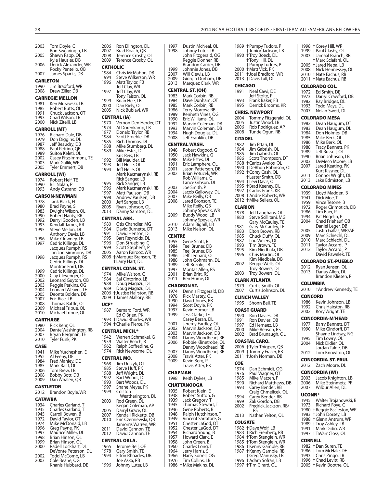2003 Tom Doyle, C Ron Swearingin, LB<br>2005 Shawn Papp, OL Shawn Papp, OL Extra Hausler, DB<br>Kyle Hausler, DB<br>2006 Derick Alexande Derick Alexander, WR Rocky Pentello, QB<br>2007 - James Sparks, DB James Sparks, DB **CARLETON** 1990 Jim Bradford, WR<br>2008 Drew Ziller DB Drew Ziller, DB **CARNEGIE MELLON** 1981 Ken Murawski, LB<br>1985 Robert Butts, OL 1985 Robert Butts, OL<br>1991 Chuck Jackson, C 1991 Chuck Jackson, OT<br>1993 Chad Wilson LB Chad Wilson, LB 2000 Nick Zitelli, LB **CARROLL (MT)** 1976 Richard Dale, DB<br>1979 Don Diggins, DL 1979 Don Diggins, DL<br>1987 Jeff Beaudry, DB 1987 Jeff Beaudry, DB<br>1988 Paul Petrino OB 1988 Paul Petrino, QB<br>1989 Suitoa Keleti OL 1989 Suitoa Keleti, OL<br>2002 Casey Fitzsimmo 2002 Casey Fitzsimmons, TE<br>2003 Mark Gallik, WR 2003 Mark Gallik, WR Tyler Emmert, QB **CARROLL (WI)** 1974 Robert Helf, TE<br>1990 Bill Nolan, P 1990 Bill Nolan, P<br>1993 Andy Ostrar Andy Ostrand, DB **CARSON-NEWMAN** 1978 Tank Black, FL<br>1980 Brad Payne, S 1980 Brad Payne, S<br>1983 Dwight Wilson 1983 Dwight Wilson, OL<br>1990 Robert Hardy, RB 1990 Robert Hardy, RB<br>1992 Darryl Gooden, LE 1992 Darryl Gooden, LB<br>1993 Kendall James KR 1993 Kendall James, KR<br>1995 Steve Mellon DL Steve Mellon, DL Anthony Davis, LB<br>1996 Mike Clowney, LB 1996 Mike Clowney, LB<br>1997 Cedric Killings, DL Cedric Killings, DL Jacques Rumph, RS Jon Jon Simmons, DB<br>1998 Jacques Rumph, RS Jacques Rumph, RS Cedric Killings, DL Montrae Ford, DB<br>1999 Cedric Killings, DL 1999 Cedric Killings, DL<br>2000 Clay Clevenger, Ol 2000 Clay Clevenger, OL<br>2002 Leonard Guyton, C 2002 Leonard Guyton, QB<br>2003 Reggie Perkins, OG 2003 Reggie Perkins, OG 2004 Leonard Weaver, TE<br>2005 Deonte Bolden, DB 2005 Deonte Bolden, DB 2007 Eric Rice, LB<br>2008 Thomas Batt 2008 Thomas Battle, OL<br>2009 Michael Tribue, OL 2009 Michael Tribue, OL<br>2010 Michael Tribue, OL Michael Tribue, OL **CARTHAGE** 1980 Rick Kehr, OL<br>2004 Dante Washir 2004 Dante Washington, RB<br>2007 Bryan Bergman, TE 2007 Bryan Bergman, TE Tyler Funk, PK **CASE** 1941 Mike Yurcheshen, E<br>1952 Al Feeny, DE 1952 Al Feeny, DE<br>1984 Fred Manley 1984 Fred Manley, DE 1985 Mark Raiff, OL 2006 Tom Brew, LB<br>2008 Bobby Bott, D 2008 Bobby Bott, DB<br>2009 Dan Whalen, OI Dan Whalen, QB **CASTLETON** 2012 Brandon Boyle, WR **CATAWBA** 1934 Charles Garland, T<br>1935 Charles Garland, T 1935 Charles Garland, T<br>1945 Carroll Bowen, B 1945 Carroll Bowen, B<br>1972 David Taylor, OT 1972 David Taylor, OT<br>1974 Mike McDonald 1974 Mike McDonald, LB<br>1996 Greg Payne, PK 1996 Greg Payne, PK<br>1997 Maurice Miller Maurice Miller, DL 1998 Brian Hinson, OL<br>1999 Brian Hinson, Ol 1999 Brian Hinson, OL<br>2000 Radell Lockhart, Radell Lockhart, DL DeVonte Peterson, DL<br>2002 Todd McComb, LB 2002 Todd McComb, LB<br>2003 Cole Beane, OG

Cole Beane, OG Khanis Hubbard, DE 2006 Ron Ellington, DL<br>2007 Brad Roach, OB 2007 Brad Roach, QB<br>2008 Terence Crosby, 2008 Terence Crosby, OL<br>2009 Terence Crosby, OL Terence Crosby, OL **CATHOLIC** 1984 Chris McMahon, DB<br>1994 Steve Wilkerson, WR 1994 Steve Wilkerson, WR<br>1996 Matt Taylor, FB Matt Taylor, FB Jeff Clay, WR<br>1997 – Jeff Clay, WR Jeff Clay, WR Tony Faison, OL<br>1999 Brian Hee, LB 1999 Brian Hee, LB<br>2000 Dan Riely, OL 2000 Dan Riely, OL<br>2005 Nick Bublavi, Nick Bublavi, WR **CENTRAL (IA)** 1970 Vernon Den Herder, DT<br>1974 Al Dorenkamp, LB 1974 Al Dorenkamp, LB<br>1977 Donald Taylor RB 1977 Donald Taylor, RB<br>1984 Scott Froehle, DB 1984 Scott Froehle, DB<br>1985 Rich Thomas, DL 1985 Rich Thomas, DL<br>1988 Mike Stumberg, I 1988 Mike Stumberg, DL<br>1989 Mike Estes, DL Mike Estes, DL Kris Reis, LB<br>1992 Bill Maulder. 1992 Bill Maulder, LB<br>1993 Leff Helle OL 1993 Jeff Helle, OL Jeff Helle, OL Mark Kacmarynski, RB Rick Sanger, LB<br>1995 Rick Sanger, LB 1995 Rick Sanger, LB<br>1996 Mark Kacmaryn 1996 Mark Kacmarynski, RB<br>1997 Matt Paulson, DB 1997 Matt Paulson, DB<br>1998 Andrew Paulsen, I 1998 Andrew Paulsen, DB<br>2000 Leff Sanger, LB 2000 Jeff Sanger, LB<br>2005 Ryan Johnson 2005 Ryan Johnson, OL<br>2013 Danny Samson, DI Danny Samson, DL **CENTRAL ARK.** 1980 Otis Chandler, MG<br>1984 David Burnette, DT 1984 David Burnette, DT<br>1991 David Henson, DL 1991 David Henson, DL<br>1995 Bart Revnolds, DL 1995 Bart Reynolds, DL<br>1996 Don Struebing 1996 Don Struebing, C 1999 Scott Stephens, P 2005 Aaron Fairooz, WR † Marquez Branson, TE † Larry Hart, DL **CENTRAL CONN. ST.**<br>1974 Mike Walton, C 1974 Mike Walton, C<br>1984 Sal Cintorino, L 1984 Sal Cintorino, LB<br>1988 Doug Magazu, D 1988 Doug Magazu, DL<br>1989 Doug Magazu, DL 1989 Doug Magazu, DL 2006 † Justise Hairston, RB 2009 † James Mallory, RB **UCF\*** Bernard Ford, WR Ed O'Brien, PK 1993 † David Rhodes, WR 1994 † Charlie Pierce, PK **CENTRAL MICH.\*** 1942 Warren Schmakel, G<br>1959 Walter Beach B Walter Beach, B 1962 Ralph Soffredine, G<br>1974 Rick Newsome, DL Rick Newsome, DL **CENTRAL MO.** 1968 Jim Urczyk, OT<br>1985 Steve Huff, PK 1985 Steve Huff, PK<br>1988 Jeff Wright, DI 1988 Jeff Wright, DL<br>1992 Bart Woods, DI 1992 Bart Woods, DL<br>1993 Bart Woods, DL Bart Woods, DL 1997 Shane Meyer, PK<br>1999 Colston Colston Weatherington, DL 2003 Rod Green, DL Kegan Coleman, AP<br>2005 Darryl Grace, OL 2005 Darryl Grace, OL<br>2007 Kendall Ricketts, 2007 Kendall Ricketts, DB<br>2010 Eric Czerniewski, QB Eric Czerniewski, QB Jamorris Warren, WR<br>2011 David Cannon, TF 2011 David Cannon, TE 2012 David Cannon, TE **CENTRAL OKLA.** 1965 Jerome Bell, OE<br>1978 Gary Smith, TE 1978 Gary Smith, TE<br>1994 Elton Rhoades, Elton Rhoades, DB Joe Aska, RB<br>1996 - Johnny Luter Johnny Luter, LB 1997 Dustin McNeal, OL

| 1998                   | Johnny Luter, LB<br>John Fitzgerald, OG<br>Reggie Donner, RB                                    |
|------------------------|-------------------------------------------------------------------------------------------------|
|                        | Brandon Carder, DB                                                                              |
| 1999<br>2007           | Johnnie Jones, DB<br>Will Clewis, LB                                                            |
| 2009                   | Giorgio Durham, DB<br>Marquez Clark, WR                                                         |
| 2013                   | CENTRAL ST. (OH)                                                                                |
| 1983                   | Mark Corbin, RB                                                                                 |
| 1984<br>1985           | Dave Dunham, OT<br>Mark Corbin, RB                                                              |
| 1986                   | Terry Morrow, RB                                                                                |
| 1989<br>1990           | Kenneth Vines, OG<br>Eric Williams, OL                                                          |
| 1992<br>1993           | Marvin Coleman, DB<br>Marvin Coleman, DB                                                        |
| 1994                   | Hugh Douglas, DL                                                                                |
| 2008                   | Jeff Franklin, DB                                                                               |
| 1948                   | CENTRAL WASH.<br>Robert Osgood, G                                                               |
| 1950                   | Jack Hawkins, G                                                                                 |
| 1988<br>1991           | Mike Estes, DL<br>Eric Lamphere, OL                                                             |
| 2001<br>2002           | Jason Patterson, DB<br>Brian Potucek, WR                                                        |
|                        | Rob Williams, C                                                                                 |
| 2003                   | Lance Gibson, DL<br>Joe Smith, P                                                                |
| 2004<br>2007           | Jacob Galloway, DL<br>Mike Reilly, QB                                                           |
| 2008                   | Jared Bronson, TE                                                                               |
|                        | Mike Reilly, QB                                                                                 |
| 2009                   | Johnny Spevak, WR<br>Buddy Wood, LB<br>Johnny Spevak, WR                                        |
| 2010                   | Adam Bighill, LB                                                                                |
| 2013                   | Mike Nelson, OL                                                                                 |
| CENTRE<br>1955         | Gene Scott, B                                                                                   |
| 1984                   | Teel Bruner, DB                                                                                 |
| 1985<br>1986           | Teel Bruner, DB<br>Jeff Leonard, OL                                                             |
|                        |                                                                                                 |
| 1988                   | John Gohmann, DL                                                                                |
| 1989<br>1997           | Jeff Bezold, LB<br>Montas Allen, RS                                                             |
| 2001<br>2011           | Brian Britt, RS<br>Ben Hume, OL                                                                 |
|                        | CHADRON ST.                                                                                     |
| 1974                   | Dennis Fitzgerald, DB                                                                           |
| 1978<br>1990           | Rick Mastey, OL<br>David Jones, RB                                                              |
| 1994<br>1997           | Scott Doyle, PK                                                                                 |
| 1999                   | Kevin Homer, LB<br>Jess Clarke, TE                                                              |
| 2001                   | Casey Beran, DL                                                                                 |
| 2002<br>2003           | Jeremy Eardley, OL<br>Marvin Jackson, DB                                                        |
| 2004                   | Marvin Jackson, DB<br>Danny Woodhead, RB                                                        |
| 2006                   |                                                                                                 |
| 2007<br>2008           |                                                                                                 |
| 2009                   | Robbie Klinetrobe, OL<br>Danny Woodhead, RB<br>Danny Woodhead, RB<br>Travis Atter, PK           |
|                        | Kevin Berg, P<br>Travis Atter, PK                                                               |
| <b>CHAPMAN</b><br>1998 | Keith Dykes, LB                                                                                 |
|                        | CHATTANOOGA                                                                                     |
| 1935                   | Robert Klein, E                                                                                 |
| 1938<br>1939           | Robert Sutton, G                                                                                |
| 1945<br>1946           | Jack Gregory, T<br>Thomas Stewart, T<br>Gene Roberts, B                                         |
| 1948                   | Ralph Hutchinson, T                                                                             |
| 1949<br>1951           | Vincent Sarratore, G<br>Chester LaGod, DT                                                       |
| 1952<br>1954           |                                                                                                 |
| 1957                   | Chester LaGod, DT<br>Richard Young, B<br>Howard Clark, E                                        |
| 1958<br>1960           | John Green, B                                                                                   |
| 1964<br>1966           |                                                                                                 |
| 1976<br>1986           | Charles Long, T<br>Jerry Harris, S<br>Harry Sorrell, OG<br>Tim Collins, LB<br>+ Mike Makins, DL |

| 1989 + Pumpy Tudors, P                                                                                                                                     | 1998 + Corey Hill, WR                                                                                                                                          |
|------------------------------------------------------------------------------------------------------------------------------------------------------------|----------------------------------------------------------------------------------------------------------------------------------------------------------------|
| † Junior Jackson, LB<br>1990 † Troy Boeck, DL<br>† Tony Hill, DL                                                                                           | 1999 + Paul Clasby, OL<br>2003 †Jamaal Branch, RI<br>+Marc Sclafani, OL                                                                                        |
| † Pumpy Tudors, P<br>2000 + Matt Vick, PK<br>2011 +Joel Bradford, WR<br>2013 + Davis Tull, DL                                                              | 2005 + Jared Nepa, LB<br>2008 + Nick Hennessey, 0<br>2010 + Nate Eachus, RB<br>2011<br>† Nate Eachus, RB                                                       |
| <b>CHICAGO</b>                                                                                                                                             | <b>COLORADO COL.</b>                                                                                                                                           |
| 1991<br>Neal Cawi, DE<br>Jeff Stolte, P<br>1993<br>Frank Baker, FB<br>1995<br>Derrick Brooms, KR                                                           | 1972<br>Ed Smith, DE<br>1973<br>Darryl Crawford, I<br>1982<br>Ray Bridges, DL<br>1993<br>Todd Mays, DL                                                         |
| <b>CHRIS. NEWPORT</b>                                                                                                                                      | 2007<br>Nolan Swett, DL                                                                                                                                        |
| 2004<br>Tommy Fitzgerald, OL<br>2005<br>Justin Wood, LB<br>2006 Rob Rodriguez, AP<br>2008<br>Tunde Ogun, RB<br><b>CITADEL</b><br>1982 Jim Ettari, DL       | <b>COLORADO MESA</b><br>1982<br>Dean Haugum, D<br>1983<br>Dean Haugum, D<br>1984<br>Don Holmes, DB<br>1985<br>Mike Berk, OL<br>1986<br>Mike Berk, OL           |
| 1984 Jim Gabrish, OL<br>1985 Jim Gabrish, OL<br>1986 Scott Thompson, DT<br>1988 + Carlos Avalos, OL<br>1990 † DeRhon Robinson, OL<br>1992 + Corey Cash, OL | Tracy Bennett, PK<br>1988<br>1989<br>Jeff Russell, OT<br>1990<br>Brian Johnson, LE<br>2003<br>DeMeco Moore, L<br>Jared Keating, PK<br>2007<br>Kurt Kissner, DL |
| † Lester Smith, DB<br>1994 + Levi Davis, OL                                                                                                                | Connor Wright, D<br>2011<br>2013<br>Jake Edmiston, LE                                                                                                          |
| 1995 + Brad Keeney, DL<br>1997 + Carlos Frank, KR                                                                                                          | <b>COLORADO MINES</b>                                                                                                                                          |
| 2008 + Andre Roberts, WR<br>2012 + Mike Sellers, OL                                                                                                        | 1939<br>Lloyd Madden, B<br>1941<br>Dick Moe, T<br>1959<br>Vince Tesone, B                                                                                      |
| <b>CLARION</b>                                                                                                                                             | 1972<br>Roger Cirimotich,<br>1986<br>Tim Baer, P                                                                                                               |
| 1978<br>Jeff Langhans, OL<br>1980<br>Steve Scillitani, MG                                                                                                  | 1994<br>Pat Hogelin, P                                                                                                                                         |
| Gary McCauley, TE<br>1981 Gary McCauley, TE<br>1983 Elton Brown, RB                                                                                        | 2004<br>Chad Friehauf, QI<br>Daniel Leger, DB<br>Justin Gallas, WR/<br>2005<br>2009                                                                            |
| 1985 Chuck Duffy, OL<br>1987 Lou Weiers, DL                                                                                                                | Marc Schiechl, DL<br>Marc Schiechl, DL<br>2010                                                                                                                 |
| 1993<br>Tim Brown, TE<br>1995<br>Kim Niedbala, DB                                                                                                          | 2011<br>Taylor Accardi, P<br>2012<br>Taylor Accardi, P                                                                                                         |
| 1996<br>Chris Martin, OL<br>Kim Niedbala, DB                                                                                                               | David Pawelek, TI                                                                                                                                              |
| 2002<br>Reggie Wells, OL                                                                                                                                   | <b>COLORADO ST.-PUEBL</b><br>2012<br>Ryan Jensen, OL                                                                                                           |
| Troy Bowers, DL<br>2003<br>Troy Bowers, DL                                                                                                                 | 2013<br>Darius Allen, DL<br>Brandon Kliesen,                                                                                                                   |
| <b>CLARK ATLANTA</b>                                                                                                                                       | <b>COLUMBIA</b>                                                                                                                                                |
| 1979<br>Curtis Smith, OL<br>2007<br>Curtis Johnson, DL                                                                                                     | 2010<br><b>+Andrew Kenned</b>                                                                                                                                  |
| <b>CLINCH VALLEY</b>                                                                                                                                       | <b>CONCORD</b>                                                                                                                                                 |
| 1995<br>Shonn Bell, TE<br><b>COAST GUARD</b>                                                                                                               | 1986 Kevin Johnson, Ll<br>1992<br>Chris Hairston, RE<br>2002<br>Kory Wright, TE                                                                                |
| 1990<br>Ron Davies, DB                                                                                                                                     | CONCORDIA-M'HEAD                                                                                                                                               |
| Ron Davies, DB<br>1991<br>1997<br>Ed Hernaez, LB                                                                                                           |                                                                                                                                                                |
|                                                                                                                                                            | 1977<br>Barry Bennett, DT                                                                                                                                      |
| 2000<br>Mike Benson, RS<br>2002<br>Brad Brunaugh, OL                                                                                                       | 1990<br>Mike Gindorff, DT<br>Shayne Lindsay, N                                                                                                                 |
| <b>COASTAL CARO.</b>                                                                                                                                       | 1995<br>Tim Lowry, OL<br>Nick Didier, OL<br>2004                                                                                                               |
| 2006 †Tyler Thigpen, QB<br>2009 + Tommy Fraser, RB                                                                                                         | Jordan Talge, DB<br>2012<br>Tom Knowlton, O                                                                                                                    |
| † Josh Norman, DB<br>2011                                                                                                                                  | <b>CONCORDIA-ST. PAUL</b>                                                                                                                                      |
| <b>COE</b><br>1974<br>Dan Schmidt, OG                                                                                                                      | 2012<br>Zach Moore, DL                                                                                                                                         |
| 1976<br>Paul Wagner, OT<br>1985<br>Mike Matzen, P                                                                                                          | <b>CONCORDIA (WI)</b><br>Jacob Knighton, I<br>2003                                                                                                             |
| 1990<br>Richard Matthews, DB<br>1993<br>Carey Bender, RB                                                                                                   | Mike Steinmetz, F<br>2006<br>Wilbur Allen, DL<br>2007                                                                                                          |
| Craig Chmelicek, OL<br>Carey Bender, RB<br>1994                                                                                                            | UCONN*                                                                                                                                                         |
| 1999<br>Zak Gordon, DB<br>Fredrick Jackson, RB/<br>2002<br>RS                                                                                              | 1945<br>Walter Trojanows<br>1973<br>Richard Foye, C<br>1980 + Reggie Eccleston,                                                                                |
| 2013<br>Nathan Yelton, OL                                                                                                                                  | 1983<br>† John Dorsey, LB<br>1988 + Glenn Antrum, W                                                                                                            |
| <b>COLGATE</b>                                                                                                                                             | 1989 † Troy Ashley, LB                                                                                                                                         |
| 1982 + Dave Wolf, LB<br>1983 † Rich Erenberg, RB                                                                                                           | 1991<br>† Mark Didio, WR<br>1997<br>† TaVarr Closs, OL                                                                                                         |
| 1984 +Tom Stenglein, WR<br>1985 +Tom Stenglein, WR                                                                                                         | <b>CORNELL</b>                                                                                                                                                 |
| 1986 †Kenny Gamble, RB                                                                                                                                     | 1982 + Dan Suren, TE                                                                                                                                           |
| 1987 † Kenny Gamble, RB<br><b>+Greg Manusky, LB</b><br>1996 † Adam Sofran, LB                                                                              | 1986 † Tom McHale, DE<br>1993 † Chris Zingo, LB<br>1996 † Chad Levitt, RB                                                                                      |

| 1999<br>2003 | † Paul Clasby, OL<br>† Jamaal Branch, RB                      |
|--------------|---------------------------------------------------------------|
| 2005         | † Marc Sclafani, OL<br>+ Jared Nepa, LB                       |
| 2008<br>2010 | † Nick Hennessey, OL<br>† Nate Eachus, RB                     |
| 2011         | † Nate Eachus, RB<br>COLORADO COL.                            |
| 1972         | Ed Smith, DE                                                  |
| 1973<br>1982 | Darryl Crawford, DB<br>Ray Bridges, DL                        |
| 1993<br>2007 | Todd Mays, DL<br>Nolan Swett, DL                              |
|              | <b>COLORADO MESA</b>                                          |
| 1982<br>1983 | Dean Haugum, DT<br>Dean Haugum, DL                            |
| 1984<br>1985 | Don Holmes, DB<br>Mike Berk, OL                               |
| 1986<br>1988 | Mike Berk, OL<br>Tracy Bennett, PK                            |
| 1989<br>1990 | Jeff Russell, OT<br>Brian Johnson, LB                         |
| 2003         | DeMeco Moore, LB                                              |
| 2007         | Jared Keating, PK<br>Kurt Kissner, DL                         |
| 2011<br>2013 | Connor Wright, DL<br>Jake Edmiston, LB                        |
|              | <b>COLORADO MINES</b>                                         |
| 1939<br>1941 | Lloyd Madden, B<br>Dick Moe, T                                |
| 1959<br>1972 | Vince Tesone, B<br>Roger Cirimotich, DB                       |
| 1986<br>1994 | Tim Baer, P<br>Pat Hogelin, P                                 |
| 2004         | Chad Friehauf, QB<br>Daniel Leger, DB<br>Justin Gallas, WR/AP |
| 2005<br>2009 |                                                               |
| 2010<br>2011 | Marc Schiechl, DL<br>Marc Schiechl, DL                        |
| 2012         | Taylor Accardi, P<br>Taylor Accardi, P<br>David Pawelek, TE   |
|              | <b>COLORADO ST.-PUEBLO</b>                                    |
| 2012<br>2013 | Ryan Jensen, OL<br>Darius Allen, DL                           |
|              | Brandon Kliesen, P                                            |
| 2010         | COLUMBIA<br>+Andrew Kennedy, TE                               |
| CONCORD      |                                                               |
| 1986<br>1992 | Kevin Johnson, LB<br>Chris Hairston, RB                       |
| 2002         | Kory Wright, TE<br>CONCORDIA-M'HEAD                           |
| 1977         | Barry Bennett, DT                                             |
| 1990         | Mike Gindorff, DT<br>Shayne Lindsay, NG                       |
| 1995<br>2004 | Tim Lowry, OL<br>Nick Didier, OL                              |
| 2012         | Jordan Talge, DB<br>Tom Knowlton, OL                          |
|              | CONCORDIA-ST. PAUL                                            |
| 2012         | Zach Moore, DL<br><b>CONCORDIA (WI)</b>                       |
| 2003         | Jacob Knighton, LB                                            |
| 2006<br>2007 | Mike Steinmetz, PR<br>Wilbur Allen, DL                        |
| UCONN*       |                                                               |
| 1945<br>1973 | Walter Trojanowski, B<br>Richard Foye, C                      |
| 1980<br>1983 | † Reggie Eccleston, WR<br>t John Dorsey, LB                   |
| 1988<br>1989 | † Glenn Antrum, WR<br>† Troy Ashley, LB<br>† Mark Didio, WR   |
| 1991<br>1997 | † TaVarr Closs, OL                                            |
| CORNELL      |                                                               |
| 1982         | +Dan Suren, TE                                                |
| 1986<br>1993 | +Tom McHale, DE<br>† Chris Zingo, LB                          |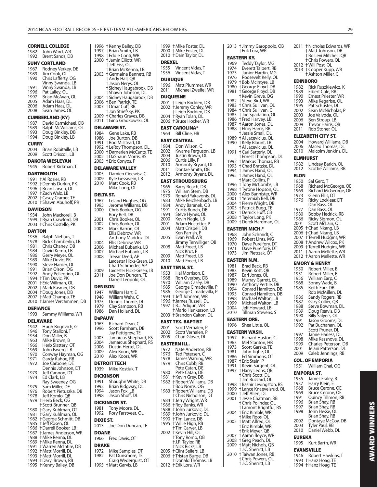| <b>CORNELL COLLEGE</b>                                                    | 1996 † Kenny Bailey, DB                            |
|---------------------------------------------------------------------------|----------------------------------------------------|
| 1982<br>John Ward, WR                                                     | 1997 + Brian Smith, LB<br>1998 † Eddie Conti, WR   |
| 1992<br>Brent Sands, DB                                                   | 2000 + Jamin Elliott, WR                           |
| <b>SUNY CORTLAND</b>                                                      | † Jeff Fiss, OL                                    |
| Rodney Verkey, DE<br>1967                                                 | † Brian McKenna, LB                                |
| 1989<br>Jim Cook, OL                                                      | 2003 †Germaine Bennett, RB                         |
| 1990<br>Chris Lafferty, OG                                                | † Andy Hall, QB                                    |
| Vinny Swanda, LB                                                          | † Jason Nerys, OL                                  |
| 1991<br>Vinny Swanda, LB                                                  | † Sidney Haugabrook, DB                            |
| 1996<br>Pat Lalley, OL                                                    | † Shawn Johnson, DL                                |
| Brian McAvan, OL<br>1997                                                  | 2004 + Sidney Haugabrook, DB                       |
| 2005<br>Adam Haas, DL<br>2006                                             | 2006 † Ben Patrick, TE                             |
| Adam Haas, DL<br>2008<br>Sean James, OL                                   | 2007 †Omar Cuff, RB<br>† Jon Striefsky, PK         |
|                                                                           | 2009 †Charles Graves, DB                           |
| <b>CUMBERLAND (KY)</b>                                                    | 2011 †Gino Gradkowski, OL                          |
| 1987<br>David Carmichael, DB                                              |                                                    |
| 1989<br>Ralph McWilliams, OL                                              | <b>DELAWARE ST.</b>                                |
| 1993<br>Doug Binkley, DB                                                  | 1984<br>Gene Lake, RB                              |
| 1994<br>Doug Binkley, LB                                                  | 1986<br>Joe Burton, DB                             |
| <b>CURRY</b>                                                              | 1991 †Rod Milstead, OL<br>1992 †LeRoy Thompson, DL |
| 2004<br>Brian Robitaille, LB                                              |                                                    |
| Scott Driscoll, LB<br>2009                                                | 2000 + Darnerien McCants, TE                       |
|                                                                           | 2002 † DaShaun Morris, RS                          |
| <b>DAKOTA WESLEYAN</b>                                                    | 2005 † Eric Conyos, P                              |
| 1945<br>Robert Kirkman, T                                                 | <b>DELAWARE VALLEY</b>                             |
| <b>DARTMOUTH</b>                                                          | Damien Ciecwisz, C<br>2005                         |
| 1991 + Al Rosier, RB                                                      | 2009<br>Kyle Gesswein, LB                          |
| 1992 † Dennis Durkin, PK                                                  | 2010<br>Matt Cook, RB                              |
| 1996 † Brian Larsen, OL                                                   | Mike Long, OL                                      |
| 1997 † Zach Walz, LB                                                      | <b>DELTA ST.</b>                                   |
| 2002 + Casey Cramer, TE                                                   | 1967                                               |
| 2010 + Shawn Abuhoff, PR                                                  | Leland Hughes, OG<br>1995<br>Jerome Williams, DB   |
| <b>DAVIDSON</b>                                                           | 2000<br>Chris Booker, OG                           |
| John Mackorell, B<br>1934                                                 | Rory Bell, DB                                      |
| 1999 † Ryan Crawford, DB                                                  | 2001<br>Chris Booker, OL                           |
| 2003 † Chris Costello, PK                                                 | 2002<br>Chris Booker, OL                           |
|                                                                           | 2003<br>Mark Barron, OT                            |
| <b>DAYTON</b>                                                             | Ellis Debrow, WR                                   |
| 1936<br>Ralph Niehaus, T                                                  | Anthony Maddox, DL                                 |
| 1978<br>Rick Chamberlin, LB                                               | Ellis Debrow, WR<br>2004                           |
| 1981 Chris Chaney, DB<br>1984 David Kemp, LB                              | 2006<br>Michael Eubanks, LB                        |
|                                                                           | 2007<br>Michael Eubanks, LB                        |
| 1986 Gerry Meyer, OL<br>1989 Mike Duvic, PK                               | 2008<br>Trevar Deed, AP                            |
|                                                                           | Lardester Hicks-Green, LB                          |
| 1990 Steve Harder, OL<br>1991 Brian Olson, OG<br>1992 Andy Pellegrino, OL | Chad Schroeder, AP                                 |
|                                                                           | Lardester Hicks-Green, LB<br>2009                  |
| 1994 + Tim Duvic, PK                                                      | 2011<br>Joe Don Duncan, IE                         |
| 2001 + Eric Willman, OL                                                   | Darrell Leopold, OL                                |
| 2002 + Mark Kasmer, DB                                                    | <b>DENISON</b>                                     |
| 2004 + Doug Jones, DB                                                     | 1947<br>William Hart, E                            |
| 2007 + Matt Champa, TE                                                    | 1948<br>William Wehr, C                            |
| 2010 † James Vercammen, DB                                                | 1975<br>Dennis Thome, DL                           |
| <b>DEFIANCE</b>                                                           | 1979<br>Clay Sampson, RB                           |
| 1993<br>Sammy Williams, WR                                                | Dan Holland, DL<br>1986                            |
|                                                                           | DePAUW                                             |
| <b>DELAWARE</b>                                                           | Richard Dean, C<br>1963                            |
| 1942<br>Hugh Bogovich, G                                                  | 1996<br>Scott Farnham, DB                          |
| 1946<br>Tony Stalloni, T                                                  | Jay Pettigrew, TE                                  |
| 1954<br>Don Miller, B                                                     | Jamarcus Shephard, RS<br>2003                      |
| 1963<br>Mike Brown, B                                                     | Jamarcus Shephard, RS<br>2004                      |
| 1966<br>Herb Slattery, OT                                                 | 2006<br>Dustin Hertel, DL                          |
| 1969<br>John Favero, LB                                                   | Alex Koors, WR<br>2009                             |
| 1970<br>Conway Hayman, OG<br>1971<br>Gardy Kahoe, RB                      | 2010<br>Alex Koors, WR                             |
| 1972<br>Joe Carbone, DE                                                   | <b>DETROIT TECH</b>                                |
| Dennis Johnson, DT                                                        | 1939<br>Mike Kostiuk, T                            |
| 1973<br>Jeff Cannon, DT                                                   |                                                    |
| 1974<br>Ed Clark, LB                                                      | DICKINSON                                          |
| Ray Sweeney, OG                                                           | 1991<br>Shaughn White, DB                          |
| 1975<br>Sam Miller, DE                                                    | 1992<br>Brian Ridgway, DL                          |
| 1976<br>Robert Pietuszka, DB                                              | 1994<br>Jason Fox, LB                              |
| 1978<br>Jeff Komlo, QB                                                    | 1998<br>Jason Shoff, DL                            |
| 1979 + Herb Beck, OG                                                      | DICKINSON ST.                                      |
| † Scott Brunner, QB                                                       | 1981<br>Tony Moore, DL                             |
| 1980<br>† Gary Kuhlman, OT                                                | 1992<br>Rory Farstveet, OL                         |
| † Gary Kuhlman, OL<br>1981<br>1982 †George Schmitt, DB                    |                                                    |
| 1985 + Jeff Rosen, OL                                                     | <b>DIXIE ST.</b>                                   |
| 1986 + Darrell Booker, LB                                                 | 2013<br>Joe Don Duncan, TE                         |
| 1987 + James Anderson, WR                                                 | <b>DOANE</b>                                       |
| 1988 + Mike Renna, DL                                                     | 1966<br>Fred Davis, OT                             |
| 1989 + Mike Renna, DL                                                     |                                                    |
| 1991 + Warren McIntire, DB                                                | <b>DRAKE</b>                                       |
| 1992 + Matt Morrill, DL                                                   | 1972<br>Mike Samples, DT                           |
| 1993 + Matt Morrill, DL                                                   | 1982<br>Pat Dunsmore, TE                           |
| 1994 + Daryl Brown, RB                                                    | Craig Wederquist, OT                               |
| 1995 + Kenny Bailey, DB                                                   | 1995 † Matt Garvis, LB                             |

| 2000<br>2010                  | 1999 †Mike Foster, DL<br>+ Mike Foster, DL<br>+Dain Taylor, DL                     |
|-------------------------------|------------------------------------------------------------------------------------|
| <b>DREXEL</b><br>1955<br>1956 | Vincent Vidas, T<br>Vincent Vidas,<br>Τ                                            |
| 1996<br>2011                  | <b>DUBUQUE</b><br>Matt Plummer, WR<br>Michael Zweifel, WR                          |
| 2001<br>2002                  | <b>DUQUESNE</b><br>† Leigh Bodden, DB<br>† Jeremy Conley, WR<br>† Leigh Bodden, DB |
| 2004<br>2006                  | † Ryan Tolan, DL<br>† Bruce Hocker, WR                                             |
| 1964                          | EAST CAROLINA*<br>Bill Cline, HB                                                   |
| 1984                          | EAST CENTRAL<br>Don Wilson, C                                                      |
| 2002<br>2004                  | Kwame Ferguson, LB<br>Justin Brown, DL<br>Curtis Lilly, P                          |
| 2006<br>2010                  | Armonty Bryant, DL<br>Dontae Smith, DB                                             |
| 2011<br>2012                  | Armonty Bryant, DL                                                                 |
| 1965                          | EAST STROUDSBURG                                                                   |
| 1975<br>1979                  | Barry Roach, DB<br>William Stem, DB                                                |
| 1983<br>1984                  | Ronald Yakavonis, DL<br>Mike Reichenbach, LB                                       |
| 1991                          | Andy Baranek, QB<br>Curtis Bunch, DB                                               |
| 1994<br>2000                  | Steve Hynes, OL<br>Kevin Nagle, LB                                                 |
| 2001<br>2004                  | Adam Hostetter, P<br>Matt Crispell, DB                                             |
| 2005                          | Ken Parrish, P<br>Evan Prall, WR<br>Jimmy Terwilliger, QB                          |
| 2008                          | Matt Freed, LB<br>Nick Krut, P                                                     |
| 2009<br>2010                  | Matt Freed, LB<br>Matt Freed, LB                                                   |
|                               | EAST TENN. ST.                                                                     |
| 1953<br>1968                  | Hal Morrison, E<br>Ron Overbay, DB                                                 |
| 1970<br>1985                  | William Caséy, DB<br>George Cimadevilla, P                                         |
| 1986<br>1994                  | George Cimadevilla, P<br>+ Jeff Johnson, WR                                        |
| 1996<br>1997                  | † James Russell, DL<br>† B.J. Adigun, WR                                           |
| 2003                          | † Mario Hankerson, LB<br>† Brandon Calton, DL                                      |
| EAST<br>2001                  | TEX. BAPTIST<br>Scott Verhalen, P                                                  |
| 2002<br>2005                  | Scott Verhalen, P<br>Chad Glover, DL                                               |
|                               | <b>EASTERN ILL.</b>                                                                |
| 1972<br>1976                  | Nate Anderson, RB<br>Ted Petersen, C                                               |
| 1978<br>1979                  | James Warring, WR<br>Chris Cobb, RB                                                |
| 1980                          | Pete Catan, DE<br>Pete Catan, DE                                                   |
| 1981<br>1982                  | † Kevin Grey, DB<br>† Robert Williams, DB                                          |
| 1983                          | † Bob Norris, OG<br>† Robert Williams, DB<br>+ Chris Nicholson, DT                 |
| 1984<br>1986                  | + Jerry Wright, WR<br>+Roy Banks, WR                                               |
| 1988<br>1989                  | † John Jurkovic, DL<br>t John Jurkovic, DL                                         |
| 1990<br>1995                  | † Tim Lance, DB<br>+ Willie High, RB                                               |
| 2002                          | <b>†Tim Carver, LB</b><br>† Kevin Hill, OL                                         |
|                               | † Tony Romo, QB<br>† J.R. Taylor, RB                                               |
| 2005                          | † Nick Ricks, LB<br>+ Clint Sellers, LB                                            |
| 2006                          | † Tristan Burge, DB<br>† Donald Thomas, LB                                         |
| 2012                          | † Erik Lora, WR                                                                    |

| 2013         | † Jimmy Garoppolo, QB<br>† Erik Lora, WR                        |  |
|--------------|-----------------------------------------------------------------|--|
|              | EASTERN KY.                                                     |  |
| 1969         | Teddy Taylor, MG                                                |  |
| 1974         | Everett Talbert, RB                                             |  |
| 1975<br>1976 | Junior Hardin, MG<br>Roosevelt Kelly, OL                        |  |
| 1979         | +Bob McIntyre, LB                                               |  |
| 1980         | † George Floyd, DB                                              |  |
| 1981         | † George Floyd, DB                                              |  |
| 1982         | +Kevin Greve, OG<br>† Steve Bird, WR                            |  |
| 1983         | + Chris Sullivan, OL                                            |  |
| 1984         | † Chris Sullivan, C                                             |  |
| 1985<br>1986 | + Joe Spadafino, OL<br>† Fred Harvey, LB                        |  |
| 1987         | + Aaron Jones, DL                                               |  |
| 1988         | † Elroy Harris, RB                                              |  |
| 1989         | † Jessie Small, DL                                              |  |
| 1990         | † Al Jacevicius, OL<br>† Kelly Blount, LB                       |  |
|              | + Al Jacevicius, OL                                             |  |
| 1991         | + Carl Satterly, OL                                             |  |
| 1992         | † Ernest Thompson, DL<br>† Markus Thomas, RB                    |  |
| 1993         | + Chad Bratzke, DL                                              |  |
| 1994         | † James Hand, OL                                                |  |
| 1995         | † James Hand, OL<br>† Marc Collins, P                           |  |
| 1996         | † Tony McCombs, LB                                              |  |
| 1998         | † Tyrone Hopson, OL                                             |  |
| 2000         | † Alex Bannister, WR                                            |  |
| 2001<br>2004 | † Yeremiah Bell, DB<br>† Pierre Wright, DB                      |  |
| 2005         |                                                                 |  |
| 2007         | † Patrick Bugg, TE<br>† Derrick Huff, CB                        |  |
| 2008<br>2009 | † Taylor Long, PK<br>† Derek Hardman, OL                        |  |
|              |                                                                 |  |
| 1968         | <b>EASTERN MICH.*</b><br>John Schmidt, C                        |  |
| 1969         | Robert Lints, MG                                                |  |
| 1970         | Dave Pureifory, DT                                              |  |
| 1971         | Dave Pureifory, DT                                              |  |
|              |                                                                 |  |
| 1973         | Jim Pietrzak, OT                                                |  |
|              | EASTERN N.M.                                                    |  |
| 1981         | Brad Beck, RB                                                   |  |
| 1983<br>1987 | Kevin Kott, QB<br>Earl Jones, OL                                |  |
| 1989         | Murray Garrett, DL                                              |  |
| 1990         | Anthony Pertile, DB                                             |  |
| 1994<br>1995 | Conrad Hamilton, DB                                             |  |
| 1998         | Conrad Hamilton, DB<br>Michael Walton, LB                       |  |
| 1999         | Michael Walton, LB                                              |  |
| 2004<br>2010 | Jeff Howard, LB                                                 |  |
| ЕЛ           | Tillman Stevens, S<br>DN.                                       |  |
| S1<br>1996   | ORE<br>Shea Little, OL                                          |  |
|              |                                                                 |  |
|              | EASTERN WASH.                                                   |  |
| 1957<br>1965 | Richard Huston, C<br>Mel Stanton, HB                            |  |
| 1973         | Scott Garske, TE                                                |  |
| 1981         | John Tighe, OL                                                  |  |
| 1986<br>1987 | Ed Simmons, OT<br>† Eric Stein, P                               |  |
| 1991         | +Kevin Sargent, OL                                              |  |
| 1997         |                                                                 |  |
|              | † Harry Leons, QB<br>† Chris Scott, DL                          |  |
| 1998         | + Jim Buzzard, OL<br><b>†Bashir Levingston, RS</b>              |  |
| 1999         | † Lance Knaevelsrud, OL                                         |  |
| 2000<br>2001 | + Jeff Allen, DL                                                |  |
|              | + Jesse Chatman, RB<br>† Chris Polinder, OL                     |  |
|              | +Lamont Brightful, RS                                           |  |
| 2004         | † Eric Kimble, WR                                               |  |
| 2005         | †Mike Roos, OL<br>†Matt Alfred, OL                              |  |
|              | † Eric Kimble, WR                                               |  |
| 2007         | † Erik Meyer, QB                                                |  |
| 2008         | + Aaron Boyce, WR<br>† Greg Peach, DL                           |  |
| 2009         | <b>+Matt Nichols, QB</b>                                        |  |
| 2010         | † J.C. Sherritt, LB                                             |  |
|              | † Taiwan Jones, RB<br>t Chris Powers, OL<br>† J.C. Sherritt, LB |  |

| 2011         | † Nicholas Edwards, WR<br>+Matt Johnson, DB                                          |
|--------------|--------------------------------------------------------------------------------------|
| 2012<br>2013 | † Bo Levi Mitchell, QB<br>+ Chris Powers, OL<br>† Will Post, OL<br>† Cooper Kupp, WR |
|              | + Ashton Miller, C                                                                   |
| 1982<br>1989 | <b>EDINBORO</b><br>Rick Ruszkiewicz, K<br>Elbert Cole, RB                            |
| 1990<br>1993 | Ernest Priester, WR<br>Mike Kegarise, OL                                             |
| 1995         | Pat Schuster, DL                                                                     |
| 2002<br>2003 | Sean McNicholas, P<br>Joe Valvoda, OL                                                |
| 2006<br>2009 | Ben Stroup, LB<br>Trevor Harris, QB                                                  |
| 2011         | Rob Stoner, OL                                                                       |
|              | ELIZABETH CITY ST.                                                                   |
| 2004<br>2006 | Howard Williams, DB<br>Maceo Thomas, DL                                              |
| 2010         | Malcolm Jenkins, DL                                                                  |
| 1982         | <b>ELMHURST</b><br>Lindsay Barich, OL                                                |
| 2012         | Scottie Williams, RB                                                                 |
| ELON         |                                                                                      |
| 1950<br>1968 | Sal Gero, T<br>Richard McGeorge, OE                                                  |
| 1969<br>1973 | Richard McGeorge, OE<br>Glenn Ellis, DT                                              |
| 1976         | Ricky Locklear, DT                                                                   |
| 1977         | Dan Bass, OL<br>Dan Bass, OL                                                         |
| 1980<br>1986 | Bobby Hedrick, RB<br>Ricky Sigmon, OL                                                |
| 2001<br>2005 | Scott McLain, OL<br><b>+Chad Nkang, LB</b>                                           |
| 2006         | † Chad Nkang, LB<br>† Terrell Hudgins, WR                                            |
| 2007<br>2008 | + Andrew Wilcox, PK                                                                  |
| 2009<br>2011 | † Terrell Hudgins, WR<br>† Aaron Mellette, WR                                        |
| 2012         | † Aaron Mellette, WR                                                                 |
|              | <b>EMORY &amp; HENRY</b>                                                             |
| 1950<br>1951 | Robert Miller, B<br>Robert Miller, B                                                 |
| 1956<br>1968 | William Earp, C<br>Sonny Wade, B                                                     |
| 1985         | Keith Furr, DB<br>Rob McMillen, DL                                                   |
| 1986         | Sandy Rogers, RB<br>Gary Collier, QB                                                 |
| 1987<br>1988 | Steve Bowman,<br>DL.                                                                 |
| 1989<br>1990 | Doug Reavis, DB<br>Billy Salyers, OL                                                 |
| 1991         | Jason Grooms, DL                                                                     |
| 1992         | Pat Buchanan, OL<br>Scott Pruner, DL                                                 |
| 1997<br>1998 | Jamie Harless, DL<br>Mike Kassnove, DL                                               |
| 1999         | Charles Peterson, DB                                                                 |
| 2001<br>2009 | Jelani Patterson, DL<br>Caleb Jennings, RB                                           |
|              | COL. OF EMPORIA                                                                      |
| 1951         | William Chai, OG                                                                     |
| 1935         | EMPORIA ST.<br>James Fraley, B                                                       |
| 1937         | Harry Klein, É                                                                       |
| 1968<br>1969 | Bruce Cerone, OE                                                                     |
| 1991<br>1996 | Bruce Cerone, OE<br>Quincy Tillmon, RB<br>Brian Shay, RB                             |
| 1997<br>1998 | Brian Shay, RB<br>John Hesse, OL                                                     |
|              | Brian Shay, RB                                                                       |
| 2002<br>2003 | Dontaye McCoy, DB<br>Tyler Paul, RB                                                  |
| 2010         | Daniel Webb, DL                                                                      |

## **EUREKA**

1995 Kurt Barth, WR

## **EVANSVILLE**

| 1946 Robert Hawkins, T |
|------------------------|
| 1993 + Hanz Hoag, TE   |
| 1994 † Hanz Hoag, TE   |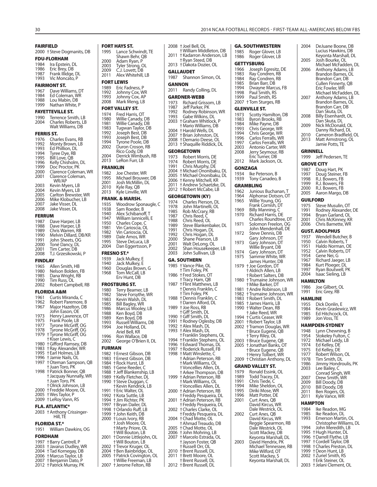|                   | <b>FAIRFIELD</b>                           |                 | <b>FORT HAYS</b>        |
|-------------------|--------------------------------------------|-----------------|-------------------------|
|                   | 2000 + Steve Dogmanits, DB                 | 1995            | Lance                   |
|                   | <b>FDU-FLORHAM</b>                         |                 | Shaw                    |
| 1984              | Ira Epstein, DL                            | 2000            | Adam                    |
| 1986              | Eric Brey, DB                              | 2003            | Tyler                   |
| 1987              | Frank Illidge, DL                          | 2009            | C.J. Lo<br>Alex \       |
| 1993              | Vic Moncato, P                             | 2011            |                         |
|                   | <b>FAIRMONT ST.</b>                        |                 | <b>FORT LEWIS</b>       |
|                   |                                            | 1989            | Eric F                  |
| 1967<br>1984      | Dave Williams, DT                          | 1992            | Johnr                   |
| 1988              | Ed Coleman, WR<br>Lou Mabin, DB            | 1993            | Johnr                   |
| 1999              | Nathan White, P                            | 2008            | Mark                    |
|                   |                                            |                 | <b>FORT VALLI</b>       |
|                   | <b>FAYETTEVILLE ST.</b>                    | 1974            | Fred I                  |
| 1990              | Terrence Smith, LB                         | 1980            | Willie                  |
| 2004              | Charles Roberts, LB<br>Walt Williams, DB   | 1981            | Willie                  |
|                   |                                            | 1983<br>1992    | Tugw                    |
| <b>FERRIS ST.</b> |                                            | 1993            | Josep<br>Josep          |
| 1976              | Charles Evans, RB                          | 1994            | Tyron                   |
| 1992<br>1993      | Monty Brown, LB<br>Ed Phillion, DL         | 2002            | Duroi                   |
| 1994              | Tyree Dye, RB                              |                 | Rico (                  |
| 1995              | Bill Love, QB                              | 2004            | Derrio                  |
| 1996              | Kelly Chisholm, DL                         | 2013            | LeRor                   |
| 1999              | Doc Proctor, PK                            | <b>FRANKLIN</b> |                         |
| 2000              | Clarence Coleman, WR                       | 1982            | Joe C                   |
| 2001              | Clarence Coleman,                          | 1995            | Micha                   |
|                   | WR/AP                                      | 2001            | Josh l                  |
| 2003              | Kevin Myers, LB                            | 2010            | Kyle F                  |
| 2004<br>2005      | Kevin Myers, LB<br>Carlton Brewster, WR    | 2013            | Kyle L                  |
| 2006              | Mike Klobucher, LB                         |                 | FRANK. & M              |
| 2007              | Jake Visser, DL                            | 1935            | Wooc                    |
| 2008              | Jake Visser, DL                            | 1938            | Sam l                   |
| <b>FERRUM</b>     |                                            | 1940            | Alex !                  |
|                   |                                            | 1947            | Willia                  |
| 1987<br>1988      | Dave Harper, LB<br>Dave Harper, LB         | 1950            | Charl                   |
| 1989              | Chris Warren, RB                           | 1981            | Vin Ca                  |
| 1990              | Melvin Dillard, DB/KR                      | 1982<br>1989    | Vin Ca<br>Dale          |
| 1991              | John Sheets, OG                            | 1995            | Steve                   |
| 2000              | Toné Dancy, DL                             | 2004            | Dan E                   |
| 2001              | Tim Carter, DB                             |                 |                         |
| 2008              | T.J. Grzesikowski, P                       |                 | <b>FRESNO ST.</b>       |
| <b>FINDLAY</b>    |                                            | 1939<br>1940    | Jack l<br>Jack l        |
| 1965              | Allen Smith, HB                            | 1960            | Doug                    |
| 1980              | Nelson Bolden, FB                          | 1968            | Tom I                   |
| 1985              | Dana Wright, RB                            |                 | Erv H                   |
| 1990<br>2002      | Tim Russ, OL<br>Robert Campbell, RB        |                 | <b>FROSTBURG</b>        |
|                   |                                            |                 | Terry                   |
|                   |                                            |                 |                         |
|                   | FLORIDA A&M                                | 1980            |                         |
| 1961              | Curtis Miranda, C                          | 1982            | Steve                   |
| 1962              | Robert Paremore, B                         | 1983<br>1985    | Kevin<br><b>Bill Ba</b> |
| 1967              | Major Hazelton, DB                         | 1986            | Marcı                   |
|                   | John Eason, OE                             | 1988            | Ken B                   |
| 1973              | Henry Lawrence, OT                         | 1989            | Ken B                   |
| 1975<br>1977      | Frank Poole, LB                            | 1993            | Russe                   |
| 1978              | Tyrone McGriff, OG<br>Tyrone McGriff, OG   | 1994            | Joe H                   |
| 1979              | † Tyrone McGriff, OG                       |                 | Ariel I                 |
|                   | † Kiser Lewis, C                           | 1996<br>2002    | Ron V<br>Geord          |
| 1980              | † Gifford Ramsey, DB                       |                 |                         |
| 1983              | † Ray Alexander, WR                        | <b>FURMAN</b>   |                         |
| 1995              | <b>t Earl Holmes, LB</b>                   | 1982            | † Ernes                 |
| 1996<br>1997      | † Jamie Nails, OL                          | 1983            | † Ernes                 |
|                   | † Oteman Sampson, QB<br>† Juan Toro, PK    | 1984<br>1985    | † Rock<br>†Gene         |
| 1998              | † Patrick Bonner, QB                       | 1988            | † Jeff B                |
|                   | † Jacquay Nunnally, WR                     | 1989            | † Kelly                 |
|                   | † Juan Toro, PK                            | 1990            | † Steve                 |
|                   | † Olrick Johnson, LB                       |                 | † Kevin                 |
| 2000              | † Freddie Moore, OL                        | 1991            | † Eric V                |
| 2005<br>2009      | † Wes Taylor, P<br>† LeRoy Vann, RS        | 1992            | <b>+Kota</b>            |
|                   |                                            | 1994<br>1997    | † Jim R<br>† Bryan      |
|                   | <b>FLA. ATLANTIC*</b>                      | 1998            | † Orlan                 |
|                   | 2003 + Anthony Crissinger-                 | 1999            | † John                  |
|                   | Hill, TE                                   | 2000            | † Louis                 |
|                   | <b>FLORIDA ST.*</b>                        |                 | † Josh I                |
| 1951              | William Dawkins, OG                        |                 | + Marty                 |
|                   | <b>FORDHAM</b>                             |                 | † Will B                |
|                   |                                            | 2001            | † Donn<br>† Will B      |
| 1997<br>2003      | † Barry Cantrell, P                        | 2002            | † Trevo                 |
| 2004              | + Javarus Dudley, WR<br>† Tad Kornegay, DB | 2004            | † Ben B                 |
| 2006              | † Marcus Taylor, LB                        | 2005            | † Patric                |
| 2007<br>2012      | † Benjamin Dato, P<br>† Patrick Murray, PK | 2007            | † Willie<br>† Jeron     |

| 2008 + Joel Bell, OL                                                      |
|---------------------------------------------------------------------------|
| † William Middleton, DB<br>2011 †Kadarron Anderson, LB                    |
| † Ryan Steed, DB                                                          |
| 2013 +Dakota Dozier, OL                                                   |
| <b>GALLAUDET</b><br>1987                                                  |
| Shannon Simon, OL                                                         |
| GANNON<br>2011 Randy Colling, DL                                          |
| <b>GARDNER-WEBB</b>                                                       |
| 1973<br>Richard Grissom, LB                                               |
| 1987 Jeff Parker, PK<br>1992 Rodney Robinson, WR<br>1993 Gabe Wilkins, DL |
|                                                                           |
| 2003 † Graham Whitlock, P                                                 |
| † Mario Williams, DB<br>2004 + Harold Wells, DL                           |
| 2007 + Brian Johnston, DL                                                 |
| 2008 † Demario Deese, OL<br>2013 † Shaquille Riddick, DL                  |
| <b>GEORGETOWN</b>                                                         |
| 1973<br>Robert Morris, DE                                                 |
| 1974<br>Robert Morris, DE<br>1991 Chris Murphy, DE                        |
| 2004 †Michael Ononibaku, DL                                               |
| 2005 + Michael Ononibaku, DL                                              |
| 2006 † Kenny Mitchell, KR<br>2011 + Andrew Schaetzke, DL                  |
| 2012 † Robert McCabe, LB                                                  |
| <b>GEORGETOWN (KY)</b>                                                    |
| 1974<br>Charles Pierson, DL<br>1978                                       |
| John Martinelli, OL<br>1985<br>Rob McCrary, RB                            |
| 1987<br>Chris Reed, C                                                     |
| 1988<br>Chris Reed, OL<br>1989<br>Steve Blankenbaker, DL                  |
| 1991<br>Chris Hogan, DL                                                   |
| 1992<br>Chris Hogan, DL<br>2000<br>Shane Pearson, LB                      |
| 2001<br>Walt DeLong, OL                                                   |
|                                                                           |
| 2002<br>Shan Housekeeper, LB<br>John Sullivan, LB<br>2003                 |
| <b>GA. SOUTHERN</b>                                                       |
| 1985 + Vance Pike, OL                                                     |
| † Tim Foley, PK                                                           |
| 1986 † Fred Stokes, OT<br>+Tracy Ham, QB                                  |
| 1987 † Flint Matthews, LB                                                 |
| † Dennis Franklin, C<br>† Tim Foley, PK                                   |
| 1988 + Dennis Franklin, C                                                 |
| † Darren Alford, DL<br>1989 + Joe Ross, RB                                |
| +Giff Smith, DL                                                           |
| 1990 + Giff Smith, DL<br>† Rodney Oglesby, DB<br>1991                     |
| 1992 †Alex Mash, DL                                                       |
| 1993 †Alex Mash, DL<br>† Franklin Stephens, OL                            |
| 1994 † Franklin Stephens, OL                                              |
| 1996 + Edward Thomas, DL<br>1997 † Roderick Russell, FB                   |
| 1998 †Matt Winslette, C                                                   |
| † Adrian Peterson, RB                                                     |
| † Mark Williams, OL<br>† Voncellies Allen, DL                             |
| † Arkee Thompson, DB                                                      |
| 1999 †Adrian Peterson, RB<br>† Mark Williams, OL                          |
| †Voncellies Allen, DL                                                     |
| 2000 † Adrian Peterson, RB<br>† Freddy Pesqueira, DL                      |
| 2001<br>† Adrian Peterson, RB                                             |
| † Freddy Pesqueira, DL<br>2002 + Charles Clarke, OL                       |
| † Freddy Pesqueira, DL                                                    |
| 2004 † Chad Motte, OL<br>† Ahmad Treaudo, DB                              |
| 2005 + Chad Motte, OL                                                     |
| 2006 + John Mohring, LB<br>† Marcelo Estrada, OL<br>2007                  |
| † Jayson Foster, QB                                                       |
| † Russell Orr, OL<br>2010 † Brent Russell, DL                             |
| † Brett Moore, OL<br>2011<br><b>+Brent Russell, DL</b>                    |
|                                                                           |

| II, OL                        |              | GA. SOUTHWESTERN                            |
|-------------------------------|--------------|---------------------------------------------|
| Middleton, DB                 | 1985         | Roger Glover, LB                            |
| on Anderson, LB               | 1986         | Roger Glover, LB                            |
| eed, DB:                      |              | <b>GETTYSBURG</b>                           |
| Dozier, OL                    | 1966         |                                             |
|                               | 1983         | Joseph Egresitz, DE<br>Ray Condren, RB      |
| งท Simon, OL                  | 1984         | Ray Condren, RB                             |
|                               | 1985         | Brian Barr, DB                              |
|                               | 1994         | Dwayne Marcus, FB                           |
| Colling, DL                   | 1998         | Paul Smith, RS                              |
| EBB                           | 1999         | Paul Smith, RS                              |
| l Grissom, LB                 | 2007         | † Tom Sturges, RB                           |
| ker, PK                       |              | <b>GLENVILLE ST.</b>                        |
| <sup>,</sup> Robinson, WR     | 1973         | Scotty Hamilton, DB                         |
| /ilkins, DL                   | 1983         | Byron Brooks, RB                            |
| า Whitlock, P                 | 1984         | Mike Payne, DB                              |
| Villiams, DB<br>Wells, DL     | 1993         | Chris George, WR                            |
| phnston, DL                   | 1994         | Chris George, WR                            |
| o Deese, OL                   | 1996         | Carlos Ferralls, WR                         |
| lle Riddick, DL               | 1997         | Carlos Ferralls, WR                         |
|                               | 2003         | Antonio Carter, WR                          |
| N                             | 2008         | Jerry Seymour, RB                           |
| Morris, DE                    |              | Eric Turner, DB                             |
| Morris, DE                    | 2012         | Mark Jackson, OL                            |
| lurphy, DE<br>l Ononibaku, DL |              | GONZAGA                                     |
| l Ononibaku, DL               | 1934         | Ike Peterson, B                             |
| Mitchell, KR                  | 1939         | Tony Canadeo, B                             |
| v Schaetzke, DL               |              | <b>GRAMBLING</b>                            |
| McCabe, LB                    |              |                                             |
|                               | 1962<br>1964 | Junious Buchanan, T                         |
| 'N (KY)                       | 1965         | Alphonse Dotson, OT<br>Willie Young, OG     |
| Pierson, DL                   |              | Frank Cornish, DT                           |
| artinelli, OL                 | 1969         | Billy Manning, C                            |
| :Crary, RB<br>eed, C          | 1970         | Richard Harris, DE                          |
| eed, OL                       |              | Charles Roundtree, DT                       |
| lankenbaker, DL               | 1971         | Solomon Freelon, OG                         |
| ogan, DL                      |              | John Mendenhall, DE                         |
| ogan, DL                      | 1972         | Steve Dennis, DB                            |
| Pearson, LB                   |              | Gary Johnson, DT                            |
| eLong, OL                     | 1973         | Gary Johnson, DT                            |
| ousekeeper, LB                |              | Willie Bryant, DB                           |
| ullivan, LB                   | 1974<br>1975 | Gary Johnson, DT<br>Sammie White, WR        |
| RN                            |              | James Hunter, DB                            |
| <sup>9</sup> ike, OL          |              | 1979 + Joe Gordon, DT                       |
| ey, PK                        |              | † Aldrich Allen, LB                         |
| okes, OT                      |              | † Robert Salters, DB                        |
| am, QB                        | 1980         | † Trumaine Johnson, WR                      |
| atthews, LB                   |              | † Mike Barker, DT                           |
| Franklin, C                   | 1981         | † Andre Robinson, LB                        |
| ey, PK                        | 1982         | † Trumaine Johnson, WR                      |
| Franklin, C                   | 1983         | † Robert Smith, DL                          |
| Alford, DL                    | 1985         | † James Harris, LB                          |
| s, RB                         | 1990         | † Walter Dean, RB                           |
| ith, DL<br>ith, DL            |              | † Jake Reed, WR<br>1994 + Curtis Ceaser, WR |
| / Oglesby, DB                 |              | 2001 †Robert Taylor, LB                     |
| ash, DL                       |              | 2002 † Tramon Douglas, WR                   |
| ash, DL                       |              | † Bruce Eugene, QB                          |
| า Stephens, OL                |              | † Terry Riley, OL                           |
| า Stephens, OL                | 2003         | † Bruce Eugene, QB                          |
| Thomas, DL                    | 2005         | † Jonathan Banks, OT                        |
| :k Russell, FB                |              | † Bruce Eugene, QB                          |
| inslette, C                   |              | † Henry Tolbert, WR                         |
| Peterson, RB<br>'illiams, OL  | 2009         | † Christian Anthony, DL                     |
| ies Allen, DL                 |              | <b>GRAND VALLEY ST.</b>                     |
| hompson, DB                   | 1979         | Ronald Essink, OL                           |
| Peterson, RB                  | 1989         | Todd Tracey, DL                             |
| 'illiams, OL                  | 1991         | Chris Tiede, C                              |
| ies Allen, DL                 | 1994         | Mike Sheldon, OL                            |
| Peterson, RB                  | 1995         | Diriki Mose, WR                             |
| Pesqueira, DL                 | 1996         | Matt Potter, DE                             |
| Peterson, RB                  | 2001         | Curt Anes, QB                               |
| Pesqueira, DL<br>Clarke, OL   |              | David Kircus, WR                            |
|                               |              | Dale Westrick, OL                           |
| Pesqueira, DL                 | 2002         | Curt Anes, QB                               |
| lotte, OL                     |              | David Kircus, WR                            |
| Treaudo, DB<br>lotte, OL      |              | Reggie Spearmon, RB<br>Dale Westrick, OL    |
| ohring, LB                    |              | Scott Mackey, DB                            |
| ɔ Estrada, OL                 |              | Keyonta Marshall, DL                        |
| Foster, QB                    | 2003         | David Hendrix, PK                           |
| Orr, OL                       |              | Michael Tennessee, RB                       |
| ussell, DL                    |              | Mike Wilford, OT                            |
| oore, OL                      |              | Scott Mackey, S                             |
| ussell, DL                    |              | Keyonta Marshall, DL                        |
| ussell. DL                    |              |                                             |

| 2004            | DeJuane Boone, DB                                                     |
|-----------------|-----------------------------------------------------------------------|
|                 | Lucius Hawkins, DB<br>Keyonta Marshall, DL                            |
| 2005            | Josh Bourke, OL<br>Michael McFadden, DL                               |
| 2006            | Anthony Adams, LB<br>Brandon Barnes, OL                               |
|                 | Brandon Carr, DB                                                      |
|                 | Cullen Finnerty, QB                                                   |
|                 | Eric Fowler, WR<br>Michael McFadden, DL                               |
| 2007            | Anthony Adams, LB<br>Brandon Barnes, OL                               |
|                 | Brandon Carr, DB                                                      |
| 2008            | Dan Skuta, DL<br>Billy Eisenhardt, OL                                 |
|                 | Dan Skuta, DL                                                         |
| 2009            | Nick McDonald, OL<br>Danny Richard, DL                                |
| 2010            | Cameron Bradfield, OL                                                 |
| 2013            | Matt Armstrong, OL<br>Jamie Potts, TE                                 |
| GRINNELL        |                                                                       |
| 1999            | Jeff Pedersen, TE                                                     |
|                 | <b>GROVE CITY</b>                                                     |
| 1987<br>1997    | Doug Hart, PK<br>Doug Steiner, FB                                     |
| 1998            | R.J. Bowers, FB                                                       |
| 1999<br>2000    | R.J. Bowers, FB<br>R.J. Bowers, FB                                    |
| 2005            | Aaron Margo, DB                                                       |
| GUILFORD        |                                                                       |
| 1975<br>1991    | Steve Musulin, OT                                                     |
| 1994            | Rodney Alexander, DE<br>Bryan Garland, OL                             |
| 2001<br>2006    | Chris McKinney, KR<br>Chris Barnette, WR                              |
|                 | GUST. ADOLPHUS                                                        |
| 1937            | Wendell Butcher, B                                                    |
| 1950<br>1951    | Calvin Roberts, T<br>Haldo Norman, OE                                 |
| 1952            | Calvin Roberts, DT                                                    |
| 1954<br>1967    | Gene Nei, G<br>Richard Jaeger, LB                                     |
| 1984            | Kurt Ploeger, DL<br>Ryan Boutwell, PK                                 |
| 1997<br>2004    | Isaac Sieling, LB                                                     |
| HAMILTON        |                                                                       |
| 1986            | Joe Gilbert, OL                                                       |
| 1991            | Eric Grey, RB                                                         |
| HAMLINE<br>1955 | Dick Donlin, E                                                        |
| 1984            | Kevin Graslewicz, WR                                                  |
| 1985<br>1989    | Ed Hitchcock, OL<br>Jon Voss, TE                                      |
|                 | <b>HAMPDEN-SYDNEY</b>                                                 |
| 1948            | Lynn Chewning, B<br>Stokeley Fulton, C                                |
| 1954<br>1972    | Michael Leidy, LB                                                     |
| 1974            | Ed Kelley, DE                                                         |
| 1975<br>1977    | Ed Kelley, DE<br>Robert Wilson, OL                                    |
| 1978<br>1986    | Tim Smith, DL<br>Jimmy Hondroulis, PK                                 |
| 2003            | Lee Báiley, C<br>Conrad Singh, WR                                     |
| 2007            |                                                                       |
| 2009            | Drew Smith, WR<br>Bill Doody, DB                                      |
| 2010<br>2011    | <b>Bill Doody, DB</b>                                                 |
| 2011            | Ben Rogers, OL<br>Kyle Vance, WR                                      |
| HAMPTON         |                                                                       |
| 1984<br>1985    | Ike Readon, MG<br>lke Readon, DL                                      |
| 1993            | Emerson Martin, OL                                                    |
| 1994            | Christopher Williams, DL<br>John Meredith, LB                         |
| 1995            | † Hugh Hunter, DL                                                     |
| 1996<br>1997    | † Darrell Flythe, LB<br>† Cordell Taylor, DB<br>† Charles Preston, DL |
| 1998            |                                                                       |
| 1999            | † Deon Hunt, LB                                                       |

2002 † Zuriel Smith, RS † Erik Steiner, OL 2003 † Jelani Clement, OL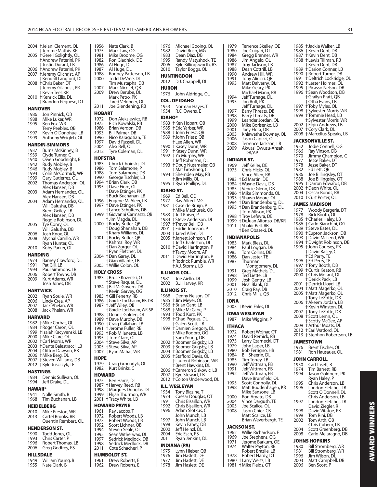|                | 2004 †Jelani Clement, OL                              | 1956           | Nate Clark, B                                  |
|----------------|-------------------------------------------------------|----------------|------------------------------------------------|
|                | † Jerome Mathis, KR                                   | 1975           | Mark Law, O                                    |
| 2005           | † Gerell Golightly, OL                                | 1981<br>1982   | Mike Broom<br><b>Ron Gladnick</b>              |
|                | † Andrew Paterini, PK<br>† Justin Durant, LB          | 1986           | Al Huge, DL                                    |
| 2006           | † Andrew Paterini, PK                                 | 1987           | Al Huge, DL                                    |
| 2007           | + Jeremy Gilchrist, AP                                | 1988           | Rodney Patte                                   |
|                | † Kendall Langford, DL                                | 2000           | <b>Todd DeVree</b>                             |
| 2008           | † Chris Baker, DT<br>† Jeremy Gilchrist, PR           | 2007           | Tim Mustaph<br>Mark Nicolet                    |
|                | † Kevin Teel, KR                                      | 2009           | Drew Berube                                    |
| 2010           | † Kenrick Ellis, DL                                   |                | Mark Petro, F                                  |
|                | † Brandon Peguese, DT                                 |                | Jared Veldhe                                   |
|                | HANOVER                                               | 2011           | Joe Glenden                                    |
| 1986           | Jon Pinnick, QB                                       | <b>HOBART</b>  |                                                |
| 1988           | Mike Luker, WR                                        | 1972           | Don Aleksiev                                   |
| 1995           | Ben Fox, WR                                           | 1975           | <b>Rich Kowalsk</b>                            |
| 1997           | Terry Peebles, QB<br>Kevin O'Donohue, LB              | 1986<br>1993   | Brian Verdon<br>Bill Palmer, D                 |
| 1999           | Anthony Weigleb, OL                                   | 1996           | Nico Karagos                                   |
|                | <b>HARDIN-SIMMONS</b>                                 | 1997           | David Russel                                   |
| 1937           | Burns McKinney, B                                     | 2004           | Alex Bell, OL                                  |
| 1939           | Clyde Turner, C                                       | 2012           | Tyre Colema                                    |
| 1940           | Owen Goodnight, B                                     | <b>HOFSTRA</b> |                                                |
| 1942           | Rudy Mobley, B                                        | 1983           | <b>Chuck Choin</b>                             |
| 1946<br>1994   | Rudy Mobley, B<br>Colin McCormick, WR                 | 1986<br>1988   | Tom Salamoı<br>Tom Salamo                      |
| 1999           | Gary Gutierrez, OL                                    | 1990           | George Tisch                                   |
| 2002           | Thomas Anderson, OL                                   |                | 1994 †Brian Clark, [                           |
|                | Alex Hansen, DB                                       | 1995           | † Dave Fiore, C                                |
| 2003           | Adam Hernandez, OL                                    |                | † Dave Ettinge<br>† Buck Buchan                |
| 2004           | Alex Hansen, DB<br>Adam Hernandez, OL                 | 1996           | †Eugene McA                                    |
|                | Will Galusha, DB                                      | 1997           | † Dave Ettinge                                 |
|                | Brent Geiley, LB                                      |                | † Lance Schult                                 |
|                | Alex Hansen, DB                                       | 1999           | † Giovanni Car                                 |
| 2005           | Reggie Robinson, DL                                   | 2000           | † Jim Magda, I<br>† Rocky Butler,              |
|                | Tye Conry, OL<br>Will Galusha, DB                     |                | <b>+Doug Shanal</b>                            |
| 2006           | Josh Knox, OL                                         |                | † Khary Willian                                |
| 2008           | Mychal Carrillo, WR                                   | 2001           | † Rocky Butler,                                |
|                | Ryan Hunter, OL                                       |                | † Kahmal Roy,<br>† Dan Zorger, (               |
| 2010           | Koby Parker, OL                                       |                | † Ryan Fletche                                 |
|                | <b>HARDING</b>                                        | 2004           | † Dan Garay, D                                 |
| 1974<br>1991   | Barney Crawford, DL<br>Pat Gill, LB                   |                | † Gian Villante,                               |
|                |                                                       |                |                                                |
|                |                                                       | 2005           | † Willie Colon,                                |
| 1994<br>2006   | Paul Simmons, LB                                      |                | <b>HOLY CROSS</b>                              |
| 2009           | Robert Towns, DB<br>Kurt Adams, WR                    | 1983           | † Bruce Kozers                                 |
|                | Josh Jones, DB                                        |                | † Steve Raque <sup>.</sup>                     |
|                | <b>HARTWICK</b>                                       |                | 1984 + Bill McGover                            |
| 2002           | Ryan Soule, WR                                        |                | <b>†Kevin Garvey</b><br>1985 + Gill Fenerty, I |
| 2006           | Lindy Crea, AP                                        | 1986           | † Gordie Lockba                                |
| 2007           | Jack Phelan, WR                                       | 1987           | + Jeff Wiley, QE                               |
| 2008           | Jack Phelan, WR                                       |                | <b>+ Gordie Lockba</b><br>1988 +Dennis Gold    |
|                | <b>HARVARD</b>                                        | 1989           | +Dave Murphy                                   |
|                | 1982 †Mike Corbat, OL                                 | 1990           | † Craig Callaha                                |
|                | 1984 †Roger Caron, OL<br>1999 † Isaiah Kacyvenski, LB | 1991           | † Jerome Fulle                                 |
|                | 2000 + Mike Clare, OL                                 | 1995           | 1993 †Rob Milanett<br>† Tom Claro, O           |
| 2002           | <b>+Carl Morris, WR</b>                               | 2004           | † Steve Silva, A                               |
| 2003           | † Dante Balestracci, LB                               | 2005           | † Steve Silva, A                               |
| 2006           | 2004 † Clifton Dawson, RB                             | 2007           | † Ryan Mahar,                                  |
| 2007           | + Mike Berg, DL<br>† Steven Williams, DB              | <b>HOPE</b>    |                                                |
| 2012           | † Kyle Juszczyk, TE                                   | 1979           | Craig Groend                                   |
|                | <b>HASTINGS</b>                                       | 1982           | Kurt Brinks, C                                 |
| 1984           | Dennis Sullivan, OL                                   | HOWARD         |                                                |
| 1994           | Jeff Drake, DL                                        | 1975           | Ben Harris, D                                  |
| <b>HAWAII*</b> |                                                       | 1987<br>1998   | † Harvey Reed                                  |
| 1941           | Nolle Smith, B                                        | 1999           | t Marques Dor<br>† Elijah Thurm                |
| 1968           | Tim Buchanan, LB                                      | 2001           | † Tracy White,                                 |
|                | <b>HEIDELBERG</b>                                     |                | HOWARD PAYNE                                   |
| 2010           | Mike Preston, WR                                      | 1961           | Ray Jacobs, T                                  |
| 2013           | Cartel Brooks, RB                                     | 1972           | Robert Wooc                                    |
|                | Quentin Rembert, OL                                   | 1973           | Robert Wood                                    |
|                | <b>HENDERSON ST.</b>                                  | 1992<br>1994   | Scott Lichne<br>Steven Seale                   |
| 1990           | Todd Jones, OL                                        | 1995           | Sean Wither\                                   |
| 1993           | Chris Carter, P                                       | 1997           | Sedrick Med                                    |
| 1996<br>2006   | Robert Thomas, LB                                     | 1998           | Sedrick Medl                                   |
|                | Greg Godfrey, RS                                      | 2011           | Cote Schach                                    |
| 1949           | <b>HILLSDALE</b><br>William Young, B                  | 1961           | HUMBOLDT ST.<br>Drew Robert                    |

|                      | Mark Law, OG                                   | 1982            | C                               |
|----------------------|------------------------------------------------|-----------------|---------------------------------|
| 1981                 | Mike Broome, OG                                | 1983            | C                               |
| 1982                 | Ron Gladnick, DE                               | 1995            | R                               |
| 1986<br>1987         | Al Huge, DL                                    | 2006<br>2010    | Κ<br>Ţ                          |
| 1988                 | Al Huge, DL<br>Rodney Patterson, LB            |                 |                                 |
| 2000                 | Todd DeVree, DL                                | <b>HUNTIN</b>   |                                 |
|                      | Tim Mustapha, DB                               | 2012            | С                               |
| 2007                 | Mark Nicolet, QB                               | <b>HURON</b>    |                                 |
| 2009                 | Drew Berube, DL<br>Mark Petro, PK              | 1976            | J١                              |
|                      | Jared Veldheer, OL                             | COL. OF         |                                 |
| 2011                 | Joe Glendening, RB                             | 1953            | Ν                               |
| HOBART               |                                                | 1954            | R                               |
| 1972                 | Don Aleksiewicz, RB                            | <b>IDAHO*</b>   |                                 |
| 1975                 | Rich Kowalski, RB                              | 1983            | tΚ                              |
| 1986                 | Brian Verdon, DB                               | 1985            | †E                              |
| 1993                 | Bill Palmer, DB                                | 1988            | † Jı                            |
| 1996                 | Nico Karagosian, TE                            | 1989            | t J                             |
| 1997<br>2004         | David Russell, DL<br>Alex Bell, OL             | 1990            | †Γ<br>tΚ                        |
| 2012                 | Tyre Coleman, DL                               | 1991            | tΚ                              |
| <b>HOFSTRA</b>       |                                                | 1992            | tΥ                              |
| 1983                 | Chuck Choinski, DL                             |                 | t Jı                            |
| 1986                 | Tom Salamone, P                                | 1993            | † C                             |
| 1988                 | Tom Salamone, DB                               | 1994            | †Ν<br>†S                        |
| 1990                 | George Tischler, LB                            |                 | † Ji                            |
| 1994                 | † Brian Clark, DB                              | 1995            | † R                             |
| 1995                 | † Dave Fiore, OL                               | <b>IDAHO!</b>   |                                 |
|                      | † Dave Ettinger, PK<br>† Buck Buchanan, LB     | 1969            | Ε                               |
| 1996                 | † Eugene McAleer, LB                           | 1977            | R                               |
| 1997                 | +Dave Ettinger, PK                             | 1981            | t C                             |
|                      | † Lance Schulters, DB                          |                 | † N                             |
| 1999                 | † Giovanni Carmazzi, QB                        | 1983            | t Jı                            |
| 2000                 | † Jim Magda, DL<br>† Rocky Butler, QB          | 1984<br>1997    | $\frac{1}{2}$<br>†T             |
|                      | +Doug Shanahan, DB                             | 2001            | tΕ                              |
|                      | † Khary Williams, DL                           | 2003            | t Ji                            |
| 2001                 | † Rocky Butler, QB<br>† Kahmal Roy, WR         | 2005            | t Ji                            |
|                      |                                                |                 | † J                             |
|                      | † Dan Zorger, OL<br>† Ryan Fletcher, DL        | 2010            | $+C$<br>tΤ                      |
| 2004                 | † Dan Garay, DL                                |                 | tΓ                              |
|                      |                                                |                 |                                 |
|                      | † Gian Villante, LB                            | 2011            | † R                             |
| 2005                 | † Willie Colon, OL                             |                 | † A                             |
|                      | <b>HOLY CROSS</b>                              | <b>ILLINOI:</b> |                                 |
| 1983                 | † Bruce Kozerski, OT                           | 1981            | J١                              |
|                      | † Steve Raquet, DL                             | 2002            | B                               |
|                      | 1984 + Bill McGovern, DB                       | <b>ILLINOI</b>  |                                 |
|                      | † Kevin Garvey, OG                             | 1968            |                                 |
| 1985<br>1986         | + Gill Fenerty, RB<br>† Gordie Lockbaum, RB-DB | 1985            | D<br>† Ji                       |
| 1987                 | + Jeff Wiley, QB                               | 1986            | †B                              |
|                      | † Gordie Lockbaum, WR-SP                       | 1988            | $\dagger$ $\underline{\Lambda}$ |
| 1988                 | † Dennis Golden, OL                            | 1993            | †T                              |
| 1989<br>1990         | +Dave Murphy, DB                               | 1998            | $\frac{1}{1}$ C<br>† G          |
| 1991                 | † Craig Callahan, LB<br>+ Jerome Fuller, RB    | 1999            | † C                             |
| 1993                 | † Rob Milanette, LB                            |                 | † N                             |
| 1995                 | † Tom Claro, OL                                |                 | t S                             |
| 2004                 | † Steve Silva, AP                              | 2002            | † B                             |
| 2005<br>2007         | † Steve Silva, AP                              | 2003<br>2004    | † B<br>† B                      |
|                      | † Ryan Mahar, WR                               | 2005            | t S                             |
| <b>HOPE</b>          |                                                |                 | †L                              |
| 1979<br>1982         | Craig Groendyk, OL<br>Kurt Brinks, C           |                 | †B                              |
|                      |                                                | 2006            | t C                             |
| <b>HOWARD</b>        |                                                | 2007<br>2012    | tΚ<br>t C                       |
| 1975<br>1987         | Ben Harris, DL                                 |                 |                                 |
| 1998                 | † Harvey Reed, RB<br>† Marques Douglas, DL     | ILL. WES        |                                 |
| 1999                 | † Elijah Thurmon, WR                           | 1934            | Т                               |
| 2001                 | † Tracy White, LB                              | 1974<br>1991    | $\overline{C}$<br>C             |
|                      | HOWARD PAYNE                                   | 1992            | C                               |
| 1961                 | Ray Jacobs, T                                  | 1996            | Α                               |
| 1972                 | Robert Woods, LB                               |                 | J١                              |
| 1973<br>1992         | Robert Woods, LB                               | 1997<br>1998    | J١<br>Κ                         |
| 1994                 | Scott Lichner, QB<br>Steven Seale, OL          | 2000            | J۱                              |
| 1995                 | Sean Witherwax, DL                             | 2004            | E                               |
|                      | Sedrick Medlock, DB                            | 2011            | R                               |
|                      | Sedrick Medlock, DB                            | <b>INDIAN</b>   |                                 |
| 1997<br>1998<br>2011 | Cote Schacherl, P                              | 1975            | Ŀ                               |
| 1961                 | HUMBOLDT ST.<br>Drew Roberts, E                | 1976<br>1977    | Ji<br>Ji                        |

| 1976                 | Michael Gooing, OL                                                                  |
|----------------------|-------------------------------------------------------------------------------------|
| 1982<br>1983         | David Rush, MG<br>Dean Diaz, DB                                                     |
| 1995                 | Randy Matyshock, TE                                                                 |
| 2006<br>2010         | Kyle Killingsworth, RS<br>Táylor Boggs, OL                                          |
|                      | <b>HUNTINGDON</b>                                                                   |
| 2012                 | D.J. Chappell, DL                                                                   |
| <b>HURON</b><br>1976 |                                                                                     |
|                      | John Aldridge, OL<br>COL. OF IDAHO                                                  |
| 1953                 | Norman Hayes, T                                                                     |
| 1954                 | R.C. Owens, E                                                                       |
| IDAHO*               |                                                                                     |
| 1983<br>1985         | † Ken Hobart, QB<br>+ Eric Yarber, WR                                               |
| 1988<br>1989         | + John Friesz, QB<br>+ John Friesz, QB                                              |
|                      | † Lee Allen, WR                                                                     |
| 1990<br>1991         | † Kasey Dunn, WR<br>† Kasey Dunn, WR                                                |
| 1992                 | t Yo Murphy, WR                                                                     |
| 1993                 | † Jeff Robinson, DL<br>† Doug Nussmeier, QB                                         |
| 1994                 | † Mat Groshong, C<br>† Sherriden May, RB                                            |
|                      | † Jim Mills, OL                                                                     |
| 1995                 | † Ryan Phillips, DL                                                                 |
| IDAHO ST.<br>1969    | Ed Bell, OE                                                                         |
| 1977                 | Ray Allred, MG                                                                      |
| 1981                 | † Case de Bruijn, P<br>† Mike Machurek, QB                                          |
| 1983                 | † Jeff Kaiser, P                                                                    |
| 1984<br>1997         | † Steve Anderson, DL<br>† Trevor Bell, DB                                           |
| 2001<br>2003         | † Eddie Johnson, P<br>† Jared Allen, DL                                             |
| 2005                 | † Jarrett Johnson, PK<br>† Jeff Charleston, DL                                      |
| 2010                 | † David Harrington, P                                                               |
|                      | † Tavoy Moore, AP                                                                   |
| 2011                 | +David Harrington, P<br>† Rodrick Rumble, WR                                        |
|                      |                                                                                     |
|                      | † A.J. Storms, LB                                                                   |
|                      | ILLINOIS COL.                                                                       |
| 1981<br>2002         | Joe Aiello, DL<br>B.J. Harvey, KR                                                   |
|                      | ILLINOIS ST.                                                                        |
| 1968                 | Denny Nelson, OT                                                                    |
| 1985<br>1986         | † Jim Meyer, OL<br>† Brian Gant, LB                                                 |
| 1988<br>1993         | † Mike McCabe, P                                                                    |
|                      | † Todd Kurz, PK<br>1998 + Chad Pegues, DI                                           |
| 1999                 | t Galen Scott, LB                                                                   |
|                      | † Damien Gregory, DL<br>+ Mike Rodbro, OG                                           |
| 2002                 | † Sam Young, DB<br>+Boomer Grigsby, LB                                              |
| 2003<br>2004         | +Boomer Grigsby, LB                                                                 |
| 2005                 | † Boomer Grigsby, LB<br>† Stafford Davis, OL                                        |
|                      | † Laurent Robinson, WR                                                              |
| 2006                 | † Brent Hawkins, DL<br>† Cameron Siskowic, LB                                       |
| 2007<br>2012         | † Kye Stewart, LB<br>† Colton Underwood, DL                                         |
|                      | ILL. WESLEYAN                                                                       |
| 1934                 | Tony Blazine, T                                                                     |
| 1974<br>1991         |                                                                                     |
| 1992<br>1996         | Caesar Douglas, OT<br>Chris Bisaillon, WR<br>Chris Bisaillon, WR<br>Adam Slotkus, C |
|                      |                                                                                     |
| 1997<br>1998         | John Munch, LB<br>John Munch, LB                                                    |
| 2000                 | Kevin Fahey, DB<br>Jeff Heinzl, DL                                                  |
| 2004<br>2011         | Eric Esch, RS<br>Ryan Jenkins, DL                                                   |
|                      | INDIANA (PA)                                                                        |
| 1975<br>1976         | Lynn Hieber, QB                                                                     |
| 1977<br>1978         | Jim Haslett, DE<br>Jim Haslett, DE<br>Jim Haslett, DE                               |

| Terrence Skelley, OE<br>1979                                | 1985 + Jackie Walker, LB                                                                                                                                                                             |
|-------------------------------------------------------------|------------------------------------------------------------------------------------------------------------------------------------------------------------------------------------------------------|
| 1980<br>Joe Cuigari, DT                                     | 1986 + Kevin Dent, DB<br>1987 + Kevin Dent, DB                                                                                                                                                       |
| 1984<br>Gregg Brenner, WR<br>1986<br>Jim Angelo, OL         | 1988 † Lewis Tillman, RB                                                                                                                                                                             |
| 1987<br>Troy Jackson, LB                                    | † Kevin Dent, DB                                                                                                                                                                                     |
| 1988<br>Dean Cottrill, LB                                   | 1989 + Darion Conner, LB                                                                                                                                                                             |
| 1990<br>Andrew Hill, WR                                     | 1990 + Robert Turner, DB                                                                                                                                                                             |
| 1991<br>Tony Aliucci, QB                                    | 1991 † Deltrich Lockridge, C                                                                                                                                                                         |
| 1993<br>Matt Dalverny, OL<br>Mike Geary, PK                 | 1992 + Lester Holmes, OL                                                                                                                                                                             |
| Michael Mann, RB                                            | 1995 †Picasso Nelson, DB<br>1996 †Sean Woodson, DB                                                                                                                                                   |
| 1994<br>Jeff Turnage, DL                                    | † Grailyn Pratt, QB                                                                                                                                                                                  |
| 1995<br>Jon Ruff, PK                                        | †Otha Evans, LB                                                                                                                                                                                      |
| Jeff Turnage, DL                                            | 1997<br>† Toby Myles, OL                                                                                                                                                                             |
| 1997<br>Barry Threats, DB<br>Barry Threats, DB              | 1998 + Sylvester Morris, WR<br>1999 † Tommie Head, LB                                                                                                                                                |
| 1998<br>1999<br>Leander Jordan, OL                          | † Sylvester Morris, WR                                                                                                                                                                               |
| Mike Borisenko, LB<br>2000                                  | 2002 † Elgin Andrews, LB                                                                                                                                                                             |
| 2001<br>Joey Flora, DB                                      | 2007 + Cory Clark, DL                                                                                                                                                                                |
| 2003<br>Khiawatha Downey, OL                                | 2008 + Marcellus Speaks, LB                                                                                                                                                                          |
| 2006<br>Jason Capizzi, OL                                   | JACKSONVILLE ST.                                                                                                                                                                                     |
| 2008<br>Terrence Jackson, LB<br>2009<br>Akwasi Owusu-Ansah, | Jodie Connell, OG<br>1952                                                                                                                                                                            |
| DB/AP                                                       |                                                                                                                                                                                                      |
| <b>INDIANA ST.</b>                                          | 1966 Ray Vinson, DB<br>1966 Ray Vinson, DB<br>1970 Jimmy Champion, C<br>1977 Jesse Baker, DT<br>1982 Ed Lett, OB<br>1988 Joe Billingsley, OT<br>1988 Joe Billingsley, OT<br>1988 Joe Billingsley, OT |
| 1969<br>Jeff Keller, DE                                     |                                                                                                                                                                                                      |
| 1975<br>Chris Hicks, OL                                     |                                                                                                                                                                                                      |
| Vince Allen, RB                                             |                                                                                                                                                                                                      |
| 1983 + Ed Martin, DE                                        |                                                                                                                                                                                                      |
| 1984 + Wayne Davis, DB                                      | 1995 † Darron Edwards, DB                                                                                                                                                                            |
| 1985 + Vencie Glenn, DB<br>1986 + Mike Simmonds, OL         | 2002 +Deon White, OL<br>2004 + Oscar Bonds, RB                                                                                                                                                       |
| 1993 + Shawn Moore, OL                                      | 2010 †Curt Porter, OL                                                                                                                                                                                |
| 1994 +Dan Brandenburg, DL                                   | <b>JAMES MADISON</b>                                                                                                                                                                                 |
| 1995 +Dan Brandenburg, DL                                   | 1977                                                                                                                                                                                                 |
| † Tom Allison, PK                                           | Woody Bergeria, DT<br>1978<br>Rick Booth, OL                                                                                                                                                         |
| 1998 + Troy Lefevra, DE<br>1999 †DeJuan Alfonzo, DB/KR      | 1985 + Charles Haley, LB                                                                                                                                                                             |
| 2011 + Shakir Bell, RB                                      | 1986 †Carlo Bianchini, OG                                                                                                                                                                            |
| † Ben Obaseki, DL                                           | 1989 + Steve Bates, DL                                                                                                                                                                               |
| <b>INDIANAPOLIS</b>                                         | 1990 + Eupton Jackson, DB<br>1993 + David McLeod, WR                                                                                                                                                 |
| Mark Bless, DL<br>1983                                      | 1994 † Dwight Robinson, DI                                                                                                                                                                           |
| 1984<br>Paul Loggan, DB                                     | 1995 + John Coursey, PK                                                                                                                                                                              |
| 1985<br>Tom Collins, DB                                     | † David Bailey, C                                                                                                                                                                                    |
| 1986<br>Dan Jester, TE                                      | † Ed Perry, TE                                                                                                                                                                                       |
| 1987<br>Thurman                                             | 1996 † Ed Perry, TE                                                                                                                                                                                  |
| Montgomery, DL<br>1991<br>Greg Matheis, DL                  | 1997 † Tony Booth, DB                                                                                                                                                                                |
|                                                             |                                                                                                                                                                                                      |
|                                                             | 1999 † Curtis Keaton, RB                                                                                                                                                                             |
| 1998<br>Ted Liette, LB                                      | 2000 + Chris Morant, DL<br>† Derick Pack, LB                                                                                                                                                         |
| 1999<br>Josh Gentry, LB<br>2001<br>Neal Blank, DL           | 2001 + Derrick Lloyd, LB                                                                                                                                                                             |
| 2010<br>Craig Ray, DB                                       | 2004 †Matt Magerko, OL                                                                                                                                                                               |
| 2012<br>Chris Mills, QB                                     | 2005 + Matt Magerko, OL                                                                                                                                                                              |
| <b>IONA</b>                                                 | † Tony LeZotte, DB                                                                                                                                                                                   |
| 2003 † Kevin Fales, DL                                      | 2006 + Akeem Jordan, LB<br>† Kevin Winston, DL                                                                                                                                                       |
|                                                             | 2007 + Tony LeZotte, DB                                                                                                                                                                              |
| IOWA WESLEYAN                                               | 2008 † Scott Lemn, OL                                                                                                                                                                                |
| 1987 Mike Wiggins, P                                        | † Scotty McGee, AP                                                                                                                                                                                   |
| ITHACA                                                      | † Arthur Moats, DL<br>2009                                                                                                                                                                           |
| 1972<br>Robert Wojnar, OT                                   | 2012 †Earl Watford, OL<br>2013 + Stephon Robertson,                                                                                                                                                  |
| 1974<br>David Remick, RB<br>1975                            |                                                                                                                                                                                                      |
| Larry Czarnecki, DT<br>1979<br>John Laper, LB               | <b>JAMESTOWN</b>                                                                                                                                                                                     |
| 1980<br>Bob Ferrigno, HB                                    | 1976<br>Brent Tischer, OL<br>1981<br>Ron Hausauer, OL                                                                                                                                                |
| 1984<br>Bill Sheerin, DL                                    |                                                                                                                                                                                                      |
| 1985<br>Tim Torrey, LB                                      | <b>JOHN CARROLL</b>                                                                                                                                                                                  |
| 1990<br>Jeff Wittman, FB                                    | 1950<br>Carl Taseff, B                                                                                                                                                                               |
| 1991<br>Jeff Wittman, FB<br>1992<br>Jeff Wittman, FB        | 1974<br>Tim Barrett, RB<br>1994<br>Jason Goldberg, PK                                                                                                                                                |
| Dave Brumfield, OL                                          | Ryan Haley, P                                                                                                                                                                                        |
| 1995<br>Scott Connolly, DL                                  | 1995<br>Chris Anderson, LB                                                                                                                                                                           |
| 1998<br>Matt Buddenhagen, KR                                | 1996<br>London Fletcher, LB                                                                                                                                                                          |
| Mike Sansone, LB<br>2000                                    | Scott O'Donnell, DL                                                                                                                                                                                  |
| Ron Amato, DB<br>2004<br>Vince Dargush, TE                  | Chris Anderson, LB<br>1997<br>London Fletcher, LB                                                                                                                                                    |
| 2005<br>Joe Scalice, OL                                     | David Ziegler, R                                                                                                                                                                                     |
| Jason Chier, CB<br>2008                                     | David Vitatoe, PK<br>1998                                                                                                                                                                            |
| Matt Scalice, LB                                            | 1999<br>Tom Rini, DB                                                                                                                                                                                 |
| Brian Weverbergh, TE                                        | 2002<br>Tom Arth, QB                                                                                                                                                                                 |
| <b>JACKSON ST.</b>                                          | Chris Cubero, LB<br>2004<br>Scott Greenberg, DB                                                                                                                                                      |
| Willie Richardson, E<br>1962                                | 2008<br>Carlo Melaragno, DB                                                                                                                                                                          |
| 1969<br>Joe Stephens, OG                                    | <b>JOHNS HOPKINS</b>                                                                                                                                                                                 |
| 1971<br>Jerome Barkum, OE<br>1974                           | 1980                                                                                                                                                                                                 |
| Walter Payton, RB<br>Robert Brazile, LB                     | Bill Stromberg, WR<br>1981<br>Bill Stromberg, WR                                                                                                                                                     |
| 1978<br>Robert Hardy, DT                                    | 1996<br>Jim Wilson, DL                                                                                                                                                                               |
| 1980 + Larry Werts, LB<br>+ Mike Fields, OT<br>1981         | 2003<br>Matt Campbell, DB<br>2006<br>Ben Scott, P                                                                                                                                                    |

1985 † Jackie Walker, LB 1986 † Kevin Dent, DB 1987 † Kevin Dent, DB 1988 † Lewis Tillman, RB † Kevin Dent, DB 1989 † Darion Conner, LB 1990 † Robert Turner, DB 1991 † Deltrich Lockridge, OL 1992 † Lester Holmes, OL 1995 † Picasso Nelson, DB  $\dagger$  Sean Woodson, DB † Grailyn Pratt, QB † Otha Evans, LB<br>1997 † Toby Myles, Ol 1997 † Toby Myles, OL 1998 † Sylvester Morris, WR 1999 † Tommie Head, LB † Sylvester Morris, WR 2002 † Elgin Andrews, LB<br>2007 † Cory Clark, DL 2007 † Cory Clark, DL 2008 † Marcellus Speaks, LB **JACKSONVILLE ST.**<br>1952 Jodie Connell 1952 Jodie Connell, OG<br>1966 Ray Vinson, DB 1966 Ray Vinson, DB<br>1970 Jimmy Champi 1970 Jimmy Champion, C<br>1977 Jesse Baker, DT 1977 Jesse Baker, DT<br>1978 Jesse Baker, DT 1978 Jesse Baker, DT<br>1982 Ed Lett. OB 1982 Ed Lett, QB<br>1986 Joe Billings 1986 Joe Billingsley, OT 1988 Joe Billingsley, OT 1995 † Darron Edwards, DB 2002 † Deon White, OL 2004 † Oscar Bonds, RB 2010 † Curt Porter, OL **JAMES MADISON** 1977 Woody Bergeria, DT 1978 Rick Booth, OL 1985 † Charles Haley, LB 1986 † Carlo Bianchini, OG 1989 † Steve Bates, DL 1990 † Eupton Jackson, DB 1993 † David McLeod, WR 1994 † Dwight Robinson, DB 1995 † John Coursey, PK † David Bailey, C † Ed Perry, TE 1996 † Ed Perry, TE 1997 † Tony Booth, DB 1999 † Curtis Keaton, RB 2000 † Chris Morant, DL † Derick Pack, LB 2001 † Derrick Lloyd, LB<br>2004 + Matt Magerko, O 2004 † Matt Magerko, OL 2005 † Matt Magerko, OL † Tony LeZotte, DB 2006 † Akeem Jordan, LB † Kevin Winston, DL 2007 † Tony LeZotte, DB 2008 † Scott Lemn, OL † Scotty McGee, AP 2009 † Arthur Moats, DL 2012 † Earl Watford, OL 2013 † Stephon Robertson, LB **JAMESTOWN** 1976 Brent Tischer, OL<br>1981 Ron Hausauer, O Ron Hausauer, OL **JOHN CARROLL**<br>1950 Carl Taseff 1950 Carl Taseff, B<br>1974 Tim Barrett J 1974 Tim Barrett, RB<br>1994 Jason Goldberg Jason Goldberg, PK Ryan Haley, P<br>Ryan Haley, P<br>Chris Anderso 1995 Chris Anderson, LB<br>1996 London Fletcher, LE London Fletcher, LB Scott O'Donnell, DL Chris Anderson, LB 1997 London Fletcher, LB David Ziegler, R<br>David Ziegler, R<br>David Vitatoe. P 1998 David Vitatoe, PK<br>1999 Tom Rini, DB 1999 Tom Rini, DB<br>2002 Tom Arth, QB Tom Arth, QB

**AWARD WINNERS**

**AWARD WINNERS** 

|      | JACKSON ST.            |
|------|------------------------|
| 1962 | Willie Richardson, E   |
| 1969 | Joe Stephens, OG       |
| 1971 | Jerome Barkum, OE      |
| 1974 | Walter Payton, RB      |
|      | Robert Brazile, LB     |
| 1978 | Robert Hardy, DT       |
|      | 1980 + Larry Werts, LB |
|      | 1981 + Mike Fields, OT |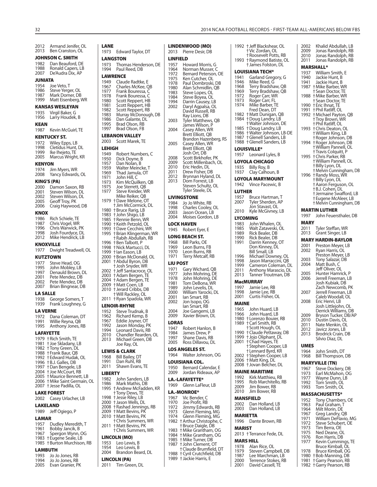#### 2012 Armand Jenifer, OL 2013 Ben Cranston, OL **JOHNSON C. SMITH** 1982 Dan Beauford, DE<br>1988 Ronald Capers, LB 1988 Ronald Capers, LB<br>2007 De'Audra Dix, AP De'Audra Dix, AP **JUNIATA** 1954 Joe Veto, T<br>1986 Steve Yerge 1986 Steve Yerger, OL<br>1987 Mark Dorner, DF 1987 Mark Dorner, DB<br>1999 Matt Eisenberg, V Matt Eisenberg, WR **KANSAS WESLEYAN** 1935 Virgil Baker, G 1956 Larry Houdek, B **KEAN** 1987 Kevin McGuirl, TE **KENTUCKY ST.** 1972 Wiley Epps, LB<br>1998 Cletidus Hunt. 1998 Cletidus Hunt, DL<br>1999 Ike Iheieto, TE 1999 Ike Ihejeto, TE<br>2005 Marcus Wrigh Marcus Wright, KR **KENYON** 1974 Jim Myers, WR 2008 Yancy Edwards, OL **KING'S (PA)** 2000 Damon Saxon, RB<br>2001 Steven Wilson, DL 2001 Steven Wilson, DL<br>2002 Steven Wilson, DL 2002 Steven Wilson, DL<br>2005 Geoff Troy, PK 2005 Geoff Troy, PK<br>2006 Craig Haywoo Craig Haywood, DB **KNOX** 1986 Rich Schiele, TE<br>1987 Chris Vogel, WR 1987 Chris Vogel, WR<br>1996 Chris Warwick, F 1996 Chris Warwick, PK<br>1998 Losh Fourdyce, DL 1998 Josh Fourdyce, DL 2012 Mike Hendrick, LB **KNOXVILLE** 1977 Dwight Treadwell, OL **KUTZTOWN** 1977 Steve Head, OG<br>1995 John Moblev, LE 1995 John Mobley, LB<br>1997 Denauld Brown. 1997 Denauld Brown, DL<br>2001 Pete Mendez, DB 2001 Pete Mendez, DB<br>2002 Pete Mendez, DB 2002 Pete Mendez, DB<br>2007 Brian Bingnear, D Brian Bingnear, DB **LA SALLE** 1938 George Somers, T 1939 Frank Loughney, G **LA VERNE** 1972 Dana Coleman, DT<br>1991 Willie Reyna, QB 1991 Willie Reyna, QB<br>1995 Anthony Jones, F Anthony Jones, RB **LAFAYETTE** 1979 † Rich Smith, TE 1981 † Joe Skladany, LB 1982 † Tony Green, DL 1988 † Frank Baur, QB 1992 † Edward Hudak, OL 1996 † B.J. Galles, DB 1997 † Dan Bengele, LB 2004 + Joe McCourt, RB 2005 † Maurice Bennett, LB 2006 † Mike Saint Germain, OL 2007 † Jesse Padilla, OL **LAKE FOREST** 2002 Casey Urlacher, LB **LAKELAND** 1989 Jeff Ogiego, P **LAMAR** 1957 Dudley Meredith, T<br>1961 Robby Jancik B 1961 Bobby Jancik, B<br>1967 Spergon Wynn, 0 Spergon Wynn, OG 1983 † Eugene Seale, LB 1985 † Burton Murchison, RB **LAMBUTH** 1993 Jo Jo Jones, RB<br>1994 Jo Jo Jones, RB Jo Jones, RB 2005 Evan Granier, PK **LANE LEHIGH LIBERTY** 2011 Tim Green, DL

#### 1973 Edward Taylor, DT **LANGSTON** 1973 Thomas Henderson, DE<br>1994 Paul Reed, DB Paul Reed, DB **LAWRENCE**<br>1949 Claud 1949 Claude Radtke, E<br>1967 Charles McKee, O 1967 Charles McKee, QB<br>1977 Frank Bouressa. C 1977 Frank Bouressa, C 1978 Frank Bouressa, C<br>1980 Scott Reppert, HB 1980 Scott Reppert, HB<br>1981 Scott Reppert, HB 1981 Scott Reppert, HB<br>1982 Scott Reppert, RB 1982 Scott Reppert, RB<br>1983 Murray McDonoug 1983 Murray McDonough, DB<br>1986 Dan Galante DI 1986 Dan Galante, DL<br>1995 Brad Olson, RB 1995 Brad Olson, RB Brad Olson, FB **LEBANON VALLEY** 2003 Scott Marek, TE 1949 Robert Numbers, C<br>1950 Dick Doyne, B 1950 Dick Doyne, B<br>1957 Dan Nolan, B 1957 Dan Nolan, B<br>1959 Walter Meincl 1959 Walter Meincke, T<br>1969 Thad Jamula, OT 1969 Thad Jamula, OT<br>1971 John Hill, C 1971 John Hill, C<br>1973 Kim McQuil 1973 Kim McQuilken, QB<br>1975 Joe Sterrett, QB 1975 Joe Sterrett, QB<br>1977 Steve Kreider, W Steve Kreider, WR Mike Reiker, QB<br>1979 + Dave Melone, O  $\dagger$  Dave Melone, OT † Jim McCormick, DL 1980 † Bruce Rarig, LB 1983 † John Shigo, LB<br>1985 † Rennie Benn V 1985 † Rennie Benn, WR 1990 † Keith Petzold, OL<br>1993 † Dave Cecchini, W 1993 † Dave Cecchini, WR<br>1995 † Brian Klingerman, 1  $\dagger$ Brian Klingerman, WR † Rabih Abdullah, RB<br>1996 ± Ben Talbott P † Ben Talbott, P 1998 † Nick Martucci, DL<br>1999 † Jan Eason, LB + Ian Eason, LB 2000 † Brian McDonald, OL 2001 † Abdul Byron, DB † Josh Snyder, WR 2002 † Jeff Santacroce, OL  $\dagger$  Adam Bergen, TE 2004 † Adam Bergen, TE 2009 † Matt Coen, LB 2010 † Jerard Cribbs, DB † Will Rackley, OL 2011 † Ryan Spadola, WR **LENOIR-RHYNE**<br>1952 Steve Truc 1952 Steve Trudnak, B<br>1962 Richard Kemp, B 1962 Richard Kemp, B<br>1967 Fddie Joyner OT 1967 Eddie Joyner, OT<br>1992 – Jason Monday, PI 1992 Jason Monday, PK<br>1994 Leonard Davis, RB 1994 Leonard Davis, RB<br>2010 Chandler Rearden 2010 Chandler Rearden, OL<br>2013 Michael Green, DB Michael Green, DB Joe Ray, OL **LEWIS & CLARK** 1968 Bill Bailey, DT<br>1991 Dan Ruhl, RB 1991 Dan Ruhl, RB<br>2011 Shawn Evans Shawn Evans, TE 1982 John Sanders, LB<br>1986 Mark Mathis, DB 1986 Mark Mathis, DB<br>1995 † Andrew McFadd 1995 † Andrew McFadden, KR † Tony Dews, TE<br>1998 ± Jesse Riley, LB 1998 † Jesse Riley, LB<br>2000 † Jason Wells, D 2000 † Jason Wells, DL 2008 † Rashad Jennings, RB † Matt Bevins, PK 2010 † Matt Bevins, PK † Chris Summers, WR 2011 † Matt Bevins, PK † Chris Summers, WR **LINCOLN (MO)** 1953 Leo Lewis, B<br>1954 Leo Lewis, B 1954 Leo Lewis, B<br>2004 Brandon Bea Brandon Beard, DL **LINCOLN (PA) LINDENWOOD (MO) LIU POST LORAS**

| 2013                 | Pierre Desir, DB                                       |
|----------------------|--------------------------------------------------------|
| <b>LINFIELD</b>      |                                                        |
| 1957                 | Howard Morris, G                                       |
| 1964                 | Norman Musser, C                                       |
| 1972<br>1975         | Bernard Peterson, OE<br>Ken Cutcher, OL                |
| 1978                 | Paul Dombroski, DB                                     |
| 1980                 | Alan Schmidlin, QB                                     |
| 1983<br>1984         | Steve Lopes, OL<br>Steve Boyea, OL                     |
| 1994                 |                                                        |
| 2002                 | Darrin Cáusey, LB<br>Daryl Agpalsa, OL                 |
|                      | David Russell, RB                                      |
| 2003                 | Ray Lions, DB                                          |
|                      | Tyler Matthews, QB<br>James Wilson, P                  |
| 2004                 | Casey Allen, WR                                        |
|                      | Brett Elliott, QB                                      |
| 2005                 | Brandon Hazenberg, RS                                  |
|                      | Casey Allen, WR<br>Brett Elliott, QB                   |
|                      | Josh Ort, DB                                           |
| 2008<br>2009         | Scott Birkhofer, PK<br>Scott Millenbach, OL            |
| 2010                 | Eric Hedin, DL                                         |
| 2011                 | Drew Fisher, DB                                        |
| 2012<br>2013         | Brynnan Hyland, DL                                     |
|                      | Dom Forrest, LB<br>Steven Schultz, OL                  |
|                      | Tyler Steele, DL                                       |
|                      | LIVINGSTONE                                            |
| 1984                 | Jo Jo White, RB                                        |
| 1998                 | Charles Cooley, OL                                     |
| 2003                 | Jason Ocean, LB                                        |
| 2004                 | Moises Gordon, LB                                      |
|                      | LOCK HAVEN                                             |
| 1945                 | Robert Eyer, E                                         |
|                      | LONG BEACH ST.                                         |
| 1968                 | <b>Bill Parks, OE</b>                                  |
| 1969<br>1970         | Leon Burns, FB<br>Leon Burns, RB                       |
| 1971                 | Terry Metcalf, RB                                      |
|                      |                                                        |
| LIU POST             |                                                        |
| 1971                 |                                                        |
| 1977                 | Gary Wichard, QB                                       |
| 1978                 |                                                        |
| 1981                 | John Mohring, DE<br>John Mohring, DE<br>Tom DeBona, WR |
| 1989<br>2000         | John Levelis, DL<br>William Yarocki, DL                |
| 2001                 | lan Smart, RB                                          |
| 2002                 | Jon Isopo, OG                                          |
| 2004                 | lan Smart, RB<br>Joe Gangemi, LB                       |
|                      | Xavier Brown, DL                                       |
| 2009<br>LORAS        |                                                        |
| 1947                 | Robert Hanlon, B                                       |
| 1984                 | James Drew, P                                          |
| 1997<br>2005         | Shane Davis, RB                                        |
|                      | Ross Dillavou, DL                                      |
|                      | LOS ANGELES ST.                                        |
| 1964                 | Walter Johnson, OG                                     |
|                      | LOUISIANA COL.                                         |
| 1950<br>2009         | Bernard Calendar, E                                    |
|                      | Jordan Rideaux, AP                                     |
| 1969                 | <b>LA.-LAFAYETTE*</b>                                  |
|                      | Glenn LaFleur, LB                                      |
|                      | <b>LA.-MONROE*</b>                                     |
| 1967<br>1970         | Vic Bender, C                                          |
| 1972                 | Joe Profit, RB<br>Jimmy Edwards, RB                    |
| 1973                 | Glenn Fleming, MG                                      |
| 1974<br>1982         | Glenn Fleming, MG                                      |
|                      | † Arthur Christophe, C<br>+ Bruce Daigle, DB           |
| 1983                 | † Mike Grantham, OG                                    |
|                      | † Mike Grantham, OG                                    |
| 1984<br>1985<br>1987 | + Mike Turner, DB<br>+ John Clement, OT                |
|                      | † Claude Brumfield, DT                                 |
|                      | † Cyril Crutchfield, DB                                |
| 1988<br>1989         | + Jackie Harris, E                                     |

| 1992 + Jeff Blackshear, OL                                                                       | 2002                                             | Khalid Abdullah, LB                         |
|--------------------------------------------------------------------------------------------------|--------------------------------------------------|---------------------------------------------|
| † Vic Zordan, OL<br>† Roosevelt Potts, RB                                                        | 2009<br>2010                                     | Jonas Randolph, RB<br>Jonas Randolph, RB    |
| 1993 †Raymond Batiste, OL                                                                        | 2011                                             | Jonas Randolph, RB                          |
| † James Folston, DL                                                                              | <b>MARSHALL*</b>                                 |                                             |
| <b>LOUISIANA TECH*</b>                                                                           | 1937                                             | William Smith, E                            |
| 1941<br>Garland Gregory, G<br>1946<br>Mike Reed, G                                               | 1940<br>1941                                     | Jackie Hunt, B<br>Jackie Hunt, B            |
|                                                                                                  | 1987 + Mike Barber, WR                           |                                             |
|                                                                                                  |                                                  | + Sean Doctor, TE                           |
| 1968 Terry Bradshaw, QB<br>1969 Terry Bradshaw, QB<br>1972 Roger Carr, WR<br>1973 Roger Carr, FL | 1988 + Mike Barber, WR                           | + Sean Doctor, TE                           |
| 1974<br>Mike Barber, TE                                                                          | 1990 + Eric Ihnat, TE<br>1991 + Phil Ratliff, OL |                                             |
| Fred Dean, DT<br>1982 †Matt Dunigan, QB                                                          | 1992 + Michael Payton, QB                        |                                             |
| 1984 + Doug Landry, LB                                                                           |                                                  | † Troy Brown, WR                            |
| † Walter Johnson, DE                                                                             | + Phil Ratliff, OL                               |                                             |
| 1985 †Doug Landry, LB<br>1986 †Walter Johnson, LB-DE                                             | 1993 † Chris Deaton, OL                          | † William King, LB                          |
| 1987 + Glenell Sanders, LB                                                                       |                                                  | † Roger Johnson, DB                         |
| 1988 †Glenell Sanders, LB                                                                        | 1994 † Roger Johnson, DB                         | † William Pannell, OL                       |
| <b>LOUISVILLE*</b><br>1957                                                                       |                                                  | † Travis Colquitt, P                        |
| Leonard Lyles, B                                                                                 | 1995<br>+ Chris Parker, RB                       | † William Pannell, OL                       |
| <b>LOYOLA CHICAGO</b><br>Billy Roy, B<br>1935                                                    | † Billy Lyon, DL                                 |                                             |
| Clay Calhoun, B<br>1937                                                                          |                                                  | † Melvin Cunningham                         |
| <b>LOYOLA MARYMOUNT</b>                                                                          | 1996 † Randy Moss, WR<br>† Billy Lyon, DL        |                                             |
| 1942<br>Vince Pacewic, B                                                                         |                                                  | † Aaron Ferguson, Ol                        |
| <b>LUTHER</b>                                                                                    | +B.J. Cohen, DL                                  | + Jermaine Swafford,                        |
| 1957<br>Bruce Hartman, T                                                                         |                                                  | † Eugene McAleer, LB                        |
| Tyler Sherden, AP<br>2007<br>Jon Stavast, OL                                                     |                                                  | † Melvin Cunningham                         |
| 2010<br>Kyle McGivney, LB                                                                        | <b>MARTIN LUTHER</b>                             |                                             |
| LYCOMING                                                                                         | 1997                                             | John Feuersthaler, I                        |
| 1983<br>John Whalen, OL                                                                          | MARY                                             |                                             |
| 1985<br>Walt Zataveski, OL<br>1989<br>Rick Bealer, DB                                            | 2011<br>2013                                     | Tyler Steffan, WR<br>Grant Singer, LB       |
| 1990<br>Rick Bealer, DB                                                                          | <b>MARY HARDIN-BAYLOR</b>                        |                                             |
| Darrin Kenney, OT<br>1991<br>Don Kinney, DL                                                      | 2001                                             | Preston Meyer, LB                           |
| Bill Small, LB                                                                                   | 2002                                             | Ryan Harris, OL                             |
| 1996<br>Michael Downey, OL                                                                       | 2003                                             | Preston Meyer, LB<br>Tony Salazar, DB       |
| 1998<br>Jason Marraccini, QB<br>1999<br>Cameron Coleman, DL                                      | Matt Bush, C<br>2004                             |                                             |
| 2011<br>Anthony Marascio, DL                                                                     | 2005                                             | Jeff Oliver, OL<br>Hunter Hamrick, P        |
| 2013<br>Tanner Troutman, DB                                                                      | 2006                                             | Jerrell Freeman, LB                         |
| <b>MacMURRAY</b>                                                                                 |                                                  | Josh Kubiak, DB                             |
|                                                                                                  |                                                  |                                             |
| 1997<br>Jamie Lee, RB<br>1998                                                                    | 2007                                             | Zach Newcomb, PK<br>Jerrell Freeman, LB     |
| Jamie Lee, RB<br>2001<br>Curtis Fisher, OL                                                       |                                                  | Caleb Woodall, OL                           |
| MAINE                                                                                            | 2008<br>Eric Henri, LB                           |                                             |
| 1965<br>John Huard, LB                                                                           |                                                  | Josh Littlejohn, OL<br>Derrick Williams, DE |
| 1966<br>John Huard, LB<br>1980 †Lorenzo Bouier, RB                                               | 2009                                             | Bryson Tucker, DB/A                         |
| 1989 †Carl Smith, RB                                                                             | 2010<br>2011                                     | Dustin Davis, OL<br>Nate Menkin, OL         |
| † Scott Hough, OL                                                                                | 2012                                             | Javicz Jones, LB                            |
| 1990 + Claude Pettaway, DB<br>1999 †Jojo Oliphant, DL                                            | 2013                                             | Brodrick Crain, DB<br>Silvio Diaz, DL       |
| 2001 + Chad Hayes, TE                                                                            | <b>UMES</b>                                      |                                             |
| † Stephen Cooper, LB<br>† Lennard Byrd, KR                                                       | 1964                                             | John Smith, DT                              |
| 2002 † Stephen Cooper, LB                                                                        | 1968                                             | Bill Thompson, DB                           |
| 2006 †Matt King, DL<br>2008 + Jovan Belcher, DL                                                  | <b>MARYVILLE (TN)</b>                            |                                             |
| <b>MAINE MARITIME</b>                                                                            | 1967                                             | Steve Dockery, DB                           |
| 1992<br>Kirk Matthieu, RB                                                                        | 1973<br>1977                                     | Earl McMahon, OG<br>Wayne Dunn, LB          |
| 1995<br>Rob Marchitello, RB                                                                      | 1992                                             | Tom Smith, OL                               |
| 2009<br>Jim Bower, RB<br>2010<br>Jim Bower, RB                                                   | 1993                                             | Tom Smith, OL                               |
| <b>MANSFIELD</b>                                                                                 | <b>MASSACHUSETTS*</b><br>1952                    |                                             |
| 2002<br>Dan Holland, LB                                                                          | 1963                                             | Tony Chambers, OE<br>Paul Graham, T         |
| 2003<br>Dan Holland, LB                                                                          | 1964<br>1967                                     | Milt Morin, DE                              |
| <b>MARIETTA</b>                                                                                  | 1971                                             | Greg Landry, QB<br>William DeFlavio, M      |
| 1996<br>Dante Brown, RB                                                                          | 1972                                             | Steve Schubert, OE                          |
| <b>MARIST</b>                                                                                    | 1973<br>Tim Berra, OE<br>1975                    | Ned Deane, OL                               |
| 2013 † Terrance Fede, DL                                                                         | 1976                                             | Ron Harris, DB                              |
| <b>MARS HILL</b><br>1978<br>Alan Rice, OL                                                        | 1977                                             | Kevin Cummings, T<br>Bruce Kimball, OL      |
| 1979<br>Steven Campbell, DB                                                                      | 1978                                             | Bruce Kimball, OG                           |
| 1987<br>Lee Marchman, LB                                                                         | 1980                                             | +Bob Manning, DB                            |
| 2000<br>Terrence Stokes, RB<br>2001<br>David Cassell, TE                                         | 1981<br>1982                                     | † Garry Pearson, RB<br>† Garry Pearson, RB  |

| 2009<br>2010<br>2011 | Jonas Randolph, RB<br>Jonas Randolph, RB<br>Jonas Randolph, RB                 |
|----------------------|--------------------------------------------------------------------------------|
|                      | <b>MARSHALL*</b>                                                               |
| 1937                 | William Smith, E                                                               |
| 1940                 | Jackie Hunt, B<br>Jackie Hunt, B                                               |
| 1941                 |                                                                                |
| 1987                 | † Mike Barber, WR                                                              |
| 1988                 | <sup>†</sup> Sean Doctor, TE<br>† Mike Barber, WR<br><u>† Sean Doster</u> , TF |
|                      | +Sean Doctor,<br>ΙF                                                            |
| 1990                 | <b>†Eric Ihnat, TE</b>                                                         |
| 1991                 | † Phil Ratliff, OL                                                             |
| 1992                 | + Michael Payton, QB<br>+ Troy Brown, WR<br>+ Phil Ratliff, OL                 |
|                      |                                                                                |
|                      |                                                                                |
| 1993                 | + Chris Deaton, OL                                                             |
|                      | +William King, LB                                                              |
|                      | † Roger Johnson, DB<br>† Roger Johnson, DB                                     |
| 1994                 |                                                                                |
|                      | † William Pannell, OL<br><b>+Travis Colquitt, P</b>                            |
| 1995                 | + Chris Parker, RB                                                             |
|                      | † William Pannell, OL                                                          |
|                      | †Billy Lyon, DL                                                                |
|                      | † Melvin Cunningham, DB                                                        |
| 1996                 | † Randy Moss, WR                                                               |
|                      | † Billy Lyon, DL                                                               |
|                      | + Aaron Ferguson, OL                                                           |
|                      | +B.J. Cohen, DL                                                                |
|                      | + Jermaine Swafford, LB                                                        |
|                      | † Eugene McAleer, LB<br>† Melvin Cunningham, DB                                |
|                      |                                                                                |
|                      | MARTIN LUTHER                                                                  |
| 1997                 | John Feuersthaler, DB                                                          |
| MARY                 |                                                                                |
| 2011                 | Tyler Steffan, WR                                                              |
| 2013                 | Grant Singer, LB                                                               |
|                      |                                                                                |
|                      | MARY HARDIN-BAYLOR                                                             |
| 2001<br>2002         | Preston Meyer, LB                                                              |
|                      | Ryan Harris, OL<br>Preston Meyer, LB                                           |
| 2003                 |                                                                                |
| 2004                 | Tony Salazar, DB<br>Matt Bush, C                                               |
|                      | Jeff Oliver, OL                                                                |
| 2005                 | Hunter Hamrick, P                                                              |
|                      |                                                                                |
| 2006                 | Jerrell Freeman, LB                                                            |
|                      | Josh Kubiak, DB                                                                |
|                      | Zach Newcomb, PK                                                               |
| 2007                 | Jerrell Freeman, LB                                                            |
|                      | Caleb Woodall, OL                                                              |
| 2008                 | Eric Henri, LB                                                                 |
|                      | Josh Littlejohn, OL                                                            |
|                      | Derrick Williams, DB                                                           |
| 2009<br>2010         |                                                                                |
| 2011                 | Bryson Tucker, DB/AP<br>Dustin Davis, OL                                       |
| 2012                 | Nate Menkin, OL<br>Javicz Jones, LB                                            |
| 2013                 | Brodrick Crain, DB                                                             |
|                      | Silvio Diaz, DL                                                                |
| UMES                 |                                                                                |
| 1964                 | John Smith, DT                                                                 |
| 1968                 | Bill Thompson, DB                                                              |
|                      |                                                                                |
|                      | MARYVILLE (TN)                                                                 |
| 1967                 | Steve Dockery, DB                                                              |
| 1973                 | Earl McMahon, OG                                                               |
| 1977<br>1992         | Wayne Dunn, LB<br>Tom Smith, OL                                                |
| 1993                 | Tom Smith, OL                                                                  |
|                      |                                                                                |
|                      | <b>MASSACHUSETTS*</b>                                                          |
| 1952                 |                                                                                |
| 1963                 | Tony Chambers, OE<br>Paul Graham, T                                            |
| 1964                 | Milt Morin, DE                                                                 |
| 1967<br>1971         | Greg Landry, QB                                                                |
| 1972                 | William DeFlavio, MG<br>Steve Schubert, OE                                     |
| 1973                 | Tim Berra, OE                                                                  |
| 1975                 | Ned Deane, OL                                                                  |
| 1976                 | Ron Harris, DB                                                                 |
| 1977                 | Kevin Cummings, TE                                                             |
|                      | Bruce Kimball, OL                                                              |
| 1978                 | Bruce Kimball, OG                                                              |
| 1980<br>1981         | † Bob Manning, DB                                                              |
| 1982                 | + Garry Pearson, RB<br>+ Garry Pearson, RB                                     |
|                      |                                                                                |
|                      |                                                                                |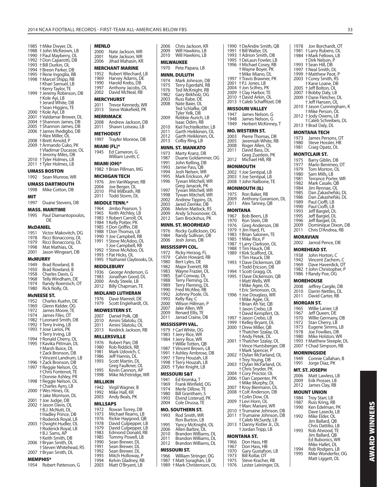| 1985<br>1988<br>1990<br>1992<br>1993<br>1994<br>1995<br>1998 | † Mike Dwyer, DL<br>† John McKeown, LB<br>+ Paul Mayberry, OL<br>† Don Caparotti, DB<br>† Bill Durkin, OL<br>† Breon Parker, DB<br>† Rene Ingoglia, RB<br>+ Marcel Shipp, RB<br>† Khari Samuel, LB<br><b>†Kerry Taylor, TE</b> |
|--------------------------------------------------------------|--------------------------------------------------------------------------------------------------------------------------------------------------------------------------------------------------------------------------------|
| 1999                                                         | † Jeremy Robinson, DB<br>† Kole Ayi, LB<br><sup>+</sup> Jerard White, DB<br>† Sean Higgins, TE                                                                                                                                 |
| 2000<br>2001<br>2004<br>2005<br>2006<br>2008                 | † Kole Ayi, LB<br>† Valdamar Brower, DL<br>+ Shannon James, DB<br>+ Shannon James, DB<br>+ James Ihedigbo, DB<br>† Alex Miller, OL<br>† Brett Arnold, P                                                                        |
| 2009<br>2010<br>2011                                         | † Armando Cuko, PK<br>† Vladimar Ducasse, OL<br>+ Jeromy Miles, DB<br>† Tyler Holmes, LB<br>† Tyler Holmes, LB                                                                                                                 |
|                                                              | <b>UMASS BOSTON</b>                                                                                                                                                                                                            |
| 1992                                                         | Sean Munroe, WR                                                                                                                                                                                                                |
|                                                              | UMASS DARTMOUTH                                                                                                                                                                                                                |
| 1998                                                         | Mike Cotton, DB                                                                                                                                                                                                                |
| MIT<br>1997                                                  | Duane Stevens, DB                                                                                                                                                                                                              |
|                                                              | <b>MASS. MARITIME</b>                                                                                                                                                                                                          |
| 1995                                                         | Paul Diamantopoulos,<br>DE                                                                                                                                                                                                     |
|                                                              | McDANIEL                                                                                                                                                                                                                       |
| 1951<br>1978<br>1979<br>1998<br>2001                         | Victor Makovitch, DG<br>Ricci Bonaccorsy, DL<br>Ricci Bonaccorsy, DL<br>Mat Mathias, OL<br>Jason Wingeart, DB                                                                                                                  |
|                                                              | <b>McMURRY</b>                                                                                                                                                                                                                 |
| 1949<br>1950<br>1958<br>1968<br>1974<br>1980                 | Brad Rowland, B<br>Brad Rowland, B<br>Charles Davis, G<br>Telly Windham, DE<br>Randy Roemisch, OT<br>Rick Nolly, OL                                                                                                            |
|                                                              | <b>MCNEESE ST.</b><br>1952 Charles Kuehn DE                                                                                                                                                                                    |

|      | MCNEESE 31.                                     |
|------|-------------------------------------------------|
| 1952 | Charles Kuehn, DE                               |
| 1969 | Glenn Kidder, OG                                |
| 1972 | James Moore, TE                                 |
| 1974 | James Files, OT                                 |
| 1982 | <b>+Leonard Smith, DB</b>                       |
| 1992 | <b>†Terry Irving, LB</b>                        |
| 1993 | t José Larios, PK                               |
|      | <b>†Terry Irving, LB</b>                        |
|      | 1994 + Ronald Cherry, OL                        |
|      | 1995 + Kavika Pittman, DL                       |
|      | +Marsh Buice, DL                                |
|      | +Zack Bronson, DB                               |
|      | † Vincent Landrum, LB                           |
|      | 1996 + Zack Bronson, DB                         |
|      | 1997 † Reggie Nelson, OL                        |
|      | <b>+Chris Fontenot, TE</b>                      |
|      | <b>+Donnie Ashley, PR</b>                       |
|      | 1998 + Reggie Nelson, OL                        |
|      | <b>+Charles Ayro, LB</b>                        |
|      | 2000 + Wes Hines, OL                            |
|      | + Jake Morrison, DL                             |
|      | 2001 + Joe Judge, DB                            |
|      | 2002 + Jason Davis, OL                          |
|      | +B.J. McNutt, DL                                |
|      | <b>+Hadley Prince, DB</b>                       |
|      | † Roderick Royal, LB<br>2003 †Dwight Hudler, OL |
|      | <b>+Roderick Royal, LB</b>                      |
|      | † B.J. Sams, AP                                 |
|      | +Keith Smith, DB                                |
|      | 2006 + Bryan Smith, DL                          |
|      | <b>†Steven Whitehead, RS</b>                    |
|      | 2007 + Bryan Smith, DL                          |
|      |                                                 |

#### **MEMPHIS\***

1954 Robert Patterson, G

| MENLO                                                                                                                                                                                                                                    |
|------------------------------------------------------------------------------------------------------------------------------------------------------------------------------------------------------------------------------------------|
| Nate Jackson, WR<br>Nate Jackson, WR<br>2000<br>2001<br>Jihad Mahasin, KR<br>2006                                                                                                                                                        |
| MERCHANT MARINE<br>Robert Wiechard, LB<br>1952<br>Harvey Adams, DE<br>Harold Krebs, DB<br>1969<br>1990<br>Anthony Jacobs, OL<br>1997<br>David McNeal, RB<br>2002                                                                         |
| <b>MERCYHURST</b><br>Trevor Kennedy, WR<br>2011<br>Steve Wakefield, PK<br>2013                                                                                                                                                           |
| MERRIMACK<br>Andrew Jackson, DB<br>Shawn Loiseau, LB<br>2008<br>2011                                                                                                                                                                     |
| METHODIST<br>Trayfer Monroe, DB<br>1997                                                                                                                                                                                                  |
| MIAMI (FL)*<br>1945<br>Ed Cameron, G<br>William Levitt, C                                                                                                                                                                                |
| MIAMI (OH)*<br>1982 †Brian Pillman, MG                                                                                                                                                                                                   |
| MICHIGAN TECH<br>Jim VanWagner, RB<br>1976<br>Joe Berger, OL<br>2004<br>Phil Milbrath, RB<br>2010<br>Todd Storm, DL<br>2011                                                                                                              |
| <b>MIDDLE TENN.*</b>                                                                                                                                                                                                                     |
| 1964<br>Jimbo Pearson, S<br>Keith Atchley, LB<br>1965<br>1983<br>† Robert Carroll, OL<br>1984<br>† Kelly Potter, PK<br>† Don Griffin, DB<br>† Don Thomas, LB<br>1985<br>1988<br>+ Joe Campbell, RB<br>1990<br>+ Steve McAdoo, OL<br>1991 |
| + Joe Campbell, RB<br>† Steve McAdoo, OL<br>1992<br>+ Pat Hicks, OL<br>1993<br>1995<br>† Nathaniel Claybrooks, DL                                                                                                                        |
| <b>MIDDLEBURY</b>                                                                                                                                                                                                                        |
| 1936<br>George Anderson, G<br>1983<br>Jonathan Good, DL<br>Andy Steele, LB<br>2000<br>Billy Chapman, TE<br>2012                                                                                                                          |
| <b>MIDLAND LUTHERAN</b>                                                                                                                                                                                                                  |
| Dave Marreel, DE<br>1976<br>1979<br>Scott Englehardt, OL                                                                                                                                                                                 |
| <b>MIDWESTERN ST.</b>                                                                                                                                                                                                                    |
| 2007<br>Daniel Polk, QB<br>2010<br>Amını Sılatolu, OL<br>Amini Silatolu, OL<br>2011<br>2013<br>Keidrick Jackson, RB                                                                                                                      |
| <b>MILLERSVILLE</b>                                                                                                                                                                                                                      |
| Robert Parr, DB<br>1976<br>Rob Riddick, RB<br>1980<br>1981<br>Mark Udovich, C<br>1986<br>Jeff Hannis, DL<br>1993<br>Scott Martin, DL                                                                                                     |
| Greg Faulkner, OL<br>1995<br>Kevin Cannon, AP<br>1998<br>Mike McFetridge, WR                                                                                                                                                             |
| MILLIKIN<br>1942<br>Virgil Wagner, B                                                                                                                                                                                                     |
| Mike Hall, KR<br>1992<br>2003<br>Andy Beals, PK                                                                                                                                                                                          |
| MILLSAPS<br>1972<br>Rowan Torrey, DB                                                                                                                                                                                                     |
| 1973<br>Michael Reams, LB<br>1976<br>Rickie Haygood, QB<br>David Culpepper, LB<br>1978<br>1979                                                                                                                                           |
| David Culpepper, LB<br>Edmond Donald, RB<br>1983<br>1985<br>Tommy Powell, LB<br>1990<br>Sean Brewer, DL<br>1991                                                                                                                          |
| Sean Brewer, DL<br>1992<br>Sean Brewer, DL<br>1993<br>Mitch Holloway, P<br>Kelvin Gladney, RB<br>1994<br>Matt O'Bryant, LB<br>2003                                                                                                       |

| 2010                         | Will Hawkins, LB<br>Will Hawkins, LB                                            |
|------------------------------|---------------------------------------------------------------------------------|
|                              | MILWAUKEE                                                                       |
| 1970                         | Pete Papara, LB                                                                 |
|                              | MINN. DULUTH                                                                    |
| 1974<br>1975                 | Mark Johnson, DB<br>Terry Egerdahĺ, RB                                          |
| 1976                         |                                                                                 |
| 1982                         | Ted McKnight, RB<br>Gary Birkholz, OG                                           |
| 2003<br>2008                 | Russ Rabe, DE<br>Nate Baier, OL                                                 |
|                              | Ted Schlafke, QB                                                                |
|                              | Tyler Yelk, DB                                                                  |
| 2009                         | Robbie Aurich, LB<br>Isaac Odim, RB                                             |
| 2010                         | Kiel Fechtelkotter, LB                                                          |
| 2011                         | Garth Heikkinen, OL                                                             |
| 2012<br>2013                 | Garth Heikkinen, OL<br>Colby Ring, LB                                           |
|                              | MINN. ST. MANKATO                                                               |
| 1973                         | Marty Kranz, DB                                                                 |
| 1987                         | Duane Goldammer, OG                                                             |
| 1991<br>1993                 | John Kelling, DB<br>Jamie Pass, QB                                              |
| 1994                         | Josh Nelsen, WR                                                                 |
| 1995                         | Mark Erickson, AP                                                               |
| 1996                         | Tywan Mitchell, WR                                                              |
| 1997                         | Greg Janacek, PK<br>Tywan Mitchell, WR<br>Tywan Mitchell, WR                    |
| 1998                         |                                                                                 |
| 2002<br>2003                 | Andrew Tippins, DL<br>Jared Ziemke, DB                                          |
| 2006                         | Melvin Matlock, RS                                                              |
| 2009                         | Andy Schoonover, OL<br>Sam Brockshus, PK                                        |
| 2012                         |                                                                                 |
| 1976                         | <b>MINN. ST. MOORHEAD</b><br>Rocky Gullickson, OG                               |
| 1984                         | Randy Sullivan, DB                                                              |
| 2006                         | Josh Jones, DB                                                                  |
|                              | MISSISSIPPI COL.                                                                |
| 1972<br>1979                 | Ricky Herzog, FL<br>Calvin Howard, RB                                           |
| 1980                         |                                                                                 |
| 1982                         | Bert Lyles, DE<br>Major Everett, RB                                             |
|                              |                                                                                 |
| 1983                         |                                                                                 |
| 1985<br>1988                 | Wayne Frazier, OL<br>Earl Conway, DL                                            |
| 1989                         | Terry Fleming, DL<br>Terry Fleming, DL                                          |
| 1990                         | Fred McAfee, RB                                                                 |
| 1992<br>1993                 | Johnny Poole, OL<br>Kelly Ray, C                                                |
| 2000                         | Wilson Hillman, P                                                               |
| 2007<br>2009                 | Jake Allen, WR                                                                  |
| 2011                         | Renard Ellis, TE<br>Jarrad Craine, DB                                           |
|                              | MISSISSIPPI VAL                                                                 |
| 1979                         |                                                                                 |
| 1983<br>1984                 |                                                                                 |
|                              | † Carl White, OG<br>† Jerry Rice, WR<br>† Jerry Rice, WR<br>† Willie Totten, QB |
| 1987                         | † Vincent Brown, LB                                                             |
|                              |                                                                                 |
|                              | † Ashley Ambrose, DB<br>† Terry Houzah, LB<br>† Terry Houzah, LB                |
| 1991<br>1997<br>1998<br>2005 | † Tyler Knight, LB                                                              |
|                              | MISSOURI S&T                                                                    |
| 1941<br>1969                 | Ed Kromka, T                                                                    |
| 1974                         | Frank Winfield, OG<br>Merle Dillow, TE                                          |
|                              | Bill Grantham, S                                                                |
| 1980<br>1993<br>2004         | Elvind Listerud, PK<br>Cole Drussa, TE                                          |
|                              | MO. SOUTHERN ST.                                                                |
| 1993                         | Rod Smith, WR                                                                   |
|                              | Ron Burton, LB                                                                  |
| 1995<br>2006                 | Yancy McKnight, OL                                                              |
|                              | Allen Barbre, OL<br>Brandon Williams, DL                                        |
| 2010<br>2011                 | Brandon Williams, DL                                                            |
| 2012                         | Brandon Williams, DL                                                            |
|                              | MISSOURI ST.                                                                    |
| 1966<br>1987<br>1989         | William Stringer, OG<br>† Matt Soraghan, LB<br>+ Mark Christenson, OL           |

2006 Chris Jackson, KR

| 1990         | † DeAndre Smith, QB                          |
|--------------|----------------------------------------------|
| 1991<br>1993 | + Bill Walter, DL<br>† Adrion Smith, DB      |
| 1995         | + DeLaun Fowler, LB<br>+ Michael Cosey, RB   |
| 1996         |                                              |
|              | † Wayne Boyer, PK<br>+ Mike Miano, DL        |
| 1997         | † Travis Brawner, PK                         |
| 2001<br>2004 | +P.J. Jones, LB<br>+ Jon Scifres, PK         |
| 2009         | † Clay Harbor, TE                            |
| 2010         | t David Arkin, OL                            |
| 2013         | † Caleb Schaffitzel, DB                      |
| 1947         | <b>MISSOURI VALLEY</b><br>James Nelson, G    |
| 1948         | James Nelson, G                              |
| 1949         | Herbert McKinney, T                          |
|              | MO. WESTERN ST.                              |
| 2003         | Pierre Thomas, DB                            |
| 2005<br>2008 | Jeremiah White, RB<br>Roger Allen, OL        |
| 2011         | David Bass, DL                               |
| 2012         | Greg Zuerlein, PK<br>Michael Hill, RB        |
|              | MONMOUTH                                     |
|              | 2002 + Joe Sentipal, LB                      |
|              | 2003 +Joe Sentipal, LB                       |
|              | 2008 †John Nalbone, TE                       |
|              | MONMOUTH (IL)                                |
| 1975<br>2009 | Ron Baker, RB<br>Anthony Goranson, DL        |
| 2011         | Alex Tanney, QB                              |
| MONTANA      |                                              |
| 1967         | Bob Beers, LB                                |
| 1970         | Ron Stein, DB<br>Greg Anderson, DB           |
| 1976<br>1979 | † Jim Hard, FL                               |
| 1983         | † Brian Salonen, TE                          |
| 1985<br>1987 | + Mike Rice, P                               |
| 1988         | † Larry Clarkson, OL<br>† Tim Hauck, DB      |
| 1989         | +Kirk Scafford, OL<br>† Tim Hauck, DB        |
| 1993         | +Dave Dickenson, QB                          |
| 1994         | † Todd Ericson, DB                           |
| 1995         | † Scott Gragg, OL<br>+Dave Dickenson, QB     |
|              | + Matt Wells, WR                             |
|              | † Mike Agee, OL<br>† Eric Simonson, OL       |
| 1996         | + Joe Douglass, WR                           |
|              | †Mike Agee, OL<br>+ Brian Ah Yat, QB         |
|              | + Jason Crebo, LB                            |
|              | <b>+David Kempfert, OL</b>                   |
| 1997<br>1999 | + Jason Crebo, LB<br>+ Kelley Bryant, DL     |
| 2000         | <b>+Drew Miller, QB</b>                      |
|              | † Thatcher Szalay, OL                        |
| 2001         | † Andy Petek, DL<br>† Thatcher Szalay, OL    |
|              | † Vince Huntsberger, DB<br>† Mark Spencer, P |
| 2002         | +Dylan McFarland, OL                         |
|              | † Trey Young, DB                             |
| 2003         | † Dylan McFarland, OL<br>† Chris Snyder, PK  |
| 2004         | t Cory Proctor, OL                           |
| 2006         | † Dan Carpenter, PK                          |
| 2007         | † Mike Murphy, DL                            |
| 2008         | + Kroy Biermann, DL<br>+ Colt Anderson, DB   |
| 2009         | t Colin Dow, OL<br>† Levi Horn, OL           |
|              | † Marc Mariani, WR                           |
| 2010<br>2011 | † Trumaine Johnson, DB                       |
|              | † Trumaine Johnson, DB<br>+Caleb McSurdy, LB |
| 2013         | † Danny Kistler Jr., OL                      |
|              | + Jordan Tripp, LB                           |
|              | MONTANA ST.                                  |
| 1966<br>1967 | Don Hass, HB<br>Don Hass, HB                 |
| 1970         | Gary Gustafson, LB                           |
| 1973         | Bill Kollar, DT                              |

Steve Kracher, RB 1976 Lester Leininger, DL

 † Dirk Nelson, P  $\dagger$  Sean Hill, DB 1997 † Neal Smith, DL 1999 † Matthew Peot, P 2003 † Corey Smith, RS † Kane Loane, DB 2005 † Jeff Bolton, OL 2007 † Bobby Daly, LB 2009 † Dane Fletcher, DL † Jeff Hansen, OL  $\dagger$  Jason Cunningham, K † Mike Person, OL 2012 † Jody Owens, LB † Caleb Schreibeis, DL 2013 † Brad Daly, DL **MONTANA TECH** 1973 James Persons, OT<br>1980 Steve Hossler, HB 1980 Steve Hossler, HB<br>1981 Craig Opatz, OL Craig Opatz, OL **MONTCLAIR ST.** 1975 Barry Giblin, DB<br>1977 Mario Benimeo. 1977 Marío Benimeo, DT<br>1979 Tom Morton, Ol 1979 Tom Morton, OL<br>1980 Sam Mills, LB 1980 Sam Mills, LB<br>1981 Terrance Port 1981 Terrance Porter, WR<br>1982 Mark Casale, QB 1982 Mark Casale, QB<br>1984 Jim Rennae, OL 1984 Jim Rennae, OL<br>1985 Dan Zakashefsk 1985 Dan Zakashefski, DL<br>1986 Dan Zakashefski, DL 1986 Dan Zakashefski, DL<br>1989 Paul Cioffi, LB 1989 Paul Cioffi, LB<br>1990 Paul Cioffi, LB 1990 Paul Cioffi, LB<br>1993 Jeff Bargiel, D 1993 Jeff Bargiel, DL<br>1995 Jeff Bargiel, DL 1995 Jeff Bargiel, DL 1996 Jeff Bargiel, DL<br>2009 Dominique Dix 2009 Dominique Dixon, DB<br>2011 Chris D'Andrea, RB Chris D'Andrea, RB **MORAVIAN** 2002 Jarrod Pence, DB

1978 Jon Borchardt, OT 1981 † Larry Rubens, OL 1984 † Mark Fellows, LB

## **MOREHEAD ST.**

- 1938 John Horton, C<br>1942 Vincent Zachen 1942 Vincent Zachem, C<br>1969 Dave Haverdick, DT Dave Haverdick, DT
- 1982 † John Christopher, P 1986 † Randy Poe, OG

## **MOREHOUSE**

2008 Jeffrey Cargile, DB 2010 Darrin Nettles, DL 2011 David Carter, RB

#### **MORGAN ST.**

- 1965 Willie Lanier, LB<br>1967 Jeff Queen, DE 1967 Jeff Queen, DE<br>1970 Willie Germany 1970 Willie Germany, DB<br>1972 Stan Cherry, LB 1972 Stan Cherry, LB<br>1973 Fugene Simms. 1973 Eugene Simms, LB 1978 Joe Fowlkes, DB 1980 Mike Holston, WR 1993 † Matthew Steeple, DL 2007 † Chad Simpson, RB **MORNINGSIDE** 1949 Connie Callahan, B 1991 Jorge Diaz, PK **MT. ST. JOSEPH** 2006 Matt Lawless, LB 2009 Erik Prosser, LB 2012 James Clay, RB **MOUNT UNION**
- 1984 Troy Starr, LB<br>1987 Russ Kring, RI 1987 Russ Kring, RB<br>1990 Ken Edelman, Ken Edelman, PK Dave Lasecki, LB<br>1992 Mike Elder, OL Mike Elder, OL Jim Ballard, QB Chris Dattilio, LB<br>1993 Rob Atwood, TE Rob Atwood, TE Jim Ballard, QB Ed Bubonics, WR Mike Hallet, DL<br>1994 Rob Rodgers L 1994 Rob Rodgers, LB<br>1995 Mike Wonderfer, Mike Wonderfer, OG Matt Liggett, DL

**AWARD WINNERS AWARD WINNERS**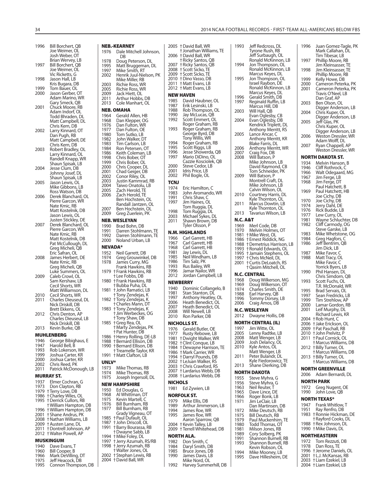| 1996         | Bill Borchert, QB                                      | NEI        |
|--------------|--------------------------------------------------------|------------|
|              | Joe Weimer, OL<br>Josh Weber, OT                       | 197        |
| 1997         | Brian Wervey, LB<br>Bill Borchert, QB                  | 197        |
|              | Joe Weimer, OL                                         | 199<br>199 |
| 1998         | Vic Ricketts, G<br>Jason Hall, LB                      | 200        |
|              | Kris Bugara, DB                                        | 200        |
| 1999<br>2000 | Tom Bauer, OL<br>Jason Gerber, OT                      | 200<br>200 |
|              | Adam Marino, WR                                        | 201        |
| 2001         | Gary Smeck, QB<br>Chuck Moore, RB                      | 201        |
|              | Adam Indorf, OL<br>Todd Bhraden, DL                    | NEI<br>196 |
|              | Matt Campbell, DL                                      | 196        |
| 2002         | Chris Kern, DB<br>Larry Kinnard, OT                    | 197<br>197 |
|              | Dan Pugh, RB                                           | 198<br>198 |
|              | Matt Campbell, DE<br>Chris Kern, DB                    | 198        |
| 2003         | Robert Bradley, OL                                     | 198<br>198 |
|              | Larry Kinnard, OL<br>Randell Knapp, WR                 | 199        |
|              | Shaun Spisak, LB                                       | 199<br>200 |
| 2004         | Jesse Clum, DB<br>Johnny Josef, DL                     | 200        |
|              | Summy Suser, DE<br>Shaun Spisak, LB<br>Jason Lewis, OL | 200<br>200 |
| 2005         | Mike Gibbons, LB                                       | 200        |
|              | Ross Watson, DB                                        | 200<br>200 |
| 2006         | Derek Blanchard, OL<br>Pierre Garcon, WR               |            |
|              | Nate Kmic, RB                                          | 200        |
|              | Matt Kostelnik, DB<br>Jason Lewis, OL                  | 200        |
|              | Justen Stickley, DE                                    | NEI        |
| 2007         | Derek Blanchard, OL<br>Pierre Garcon, WR               | 199<br>199 |
|              | Nate Kmic, RB<br>Matt Kostelnik, DB                    | 199        |
|              | Pat McCullough, DL                                     | 200        |
|              | Greg Micheli, QB<br>Eric Safran, OL                    | NE\<br>195 |
| 2008         | James Herbert, DE                                      | 197        |
|              | Nate Kmic, RB<br>Greg Micheli, QB                      | 197        |
|              | Luke Summers, OL                                       | 197        |
| 2009         | Caleb Crowl, OL<br>Sam Kershaw, LB                     | 198        |
|              | Cecil Shorts, WR                                       |            |
| 2010         | Matt Williamson, DL<br>Cecil Shorts, WR                | 198        |
| 2011         | Charles Dieuseul, DL                                   | 198        |
|              | Nick Driskill, DB<br>Brett Ekkens, OL                  | 198        |
| 2012         | Chris Denton, AP                                       |            |
|              | Charles Dieuseul, LB<br>Nick Driskill, DB              | 198        |
| 2013         | Kevin Burke, QB                                        |            |
|              | <b>MUHLENBERG</b>                                      | 198        |
| 1946<br>1947 | George Bibighaus, E<br>Harold Bell, B                  | 198<br>199 |
| 1993         | Rob Lokerson, WR                                       |            |
| 1999<br>2000 | Joshua Carter, KR<br>Joshua Carter, KR                 | 199        |
| 2002         | Chris Reed, PK                                         | UNI        |
| 2011         | Patrick McDonough, LB                                  | 197<br>197 |
| 1937         | <b>MURRAY ST.</b><br>Elmer Cochran, G                  | 197        |
| 1973         | Don Clayton, RB                                        | NE\        |
| 1979<br>1986 | +Terry Love, DB<br>t Charley Wiles, OL                 | 195<br>196 |
| 1995         | <b>+Derrick Cullors, RB</b>                            | 197        |
| 1996         | +William Hampton, DB<br>† William Hampton, DB          | 197<br>197 |
| 2001         | † Shane Andrus, PK                                     |            |
| 2008<br>2009 | † Nathan Williams, LB<br>† Austen Lane, DL             | 198<br>198 |
| 2011         | † Dontrell Johnson, AP                                 | 199        |
| 2012         | † Walter Powell, AP                                    | 199        |
| 1940         | MUSKINGUM<br>Dave Evans, T                             | 199<br>199 |
| 1960         | Bill Cooper, B                                         |            |
| 1966         | Mark DeVilling, DT                                     | 200        |

1966 Mark DeVilling, DT 1975 Jeff Heacock, DB 1995 Connon Thompson, DB

|              | NEB.-KEARNEY                                | 2005         |
|--------------|---------------------------------------------|--------------|
| 1976         | Dale Mitchell Johnson,                      |              |
|              | DB                                          | 2006         |
| 1978         | Doug Peterson, DL                           | 2007         |
| 1995<br>1997 | Matt Bruggeman, DL<br>Mike Smith, RT        | 2008         |
| 2002         | Henrik Juul-Nielson, PK                     | 2009         |
|              | Mike Miller, RB                             | 2010         |
| 2003         | Richie Ross, WR                             | 2011         |
| 2005         | Richie Ross, WR                             | 2012         |
| 2009<br>2011 | Jack Hiett, OL<br>Arthur Hobbs, DB          | NEW          |
| 2013         | Cole Manhart, OL                            | 1985         |
|              | <b>NEB. OMAHA</b>                           | 1987<br>1988 |
| 1964         | Gerald Allen, HB                            | 1990         |
| 1968         | Dan Klepper, OG                             | 1992         |
| 1976         | Dan Fulton, WR                              |              |
| 1977         | Dan Fulton, OE                              | 1993         |
| 1980         | Tom Sutko, LB                               |              |
| 1982<br>1983 | John Walker, DT<br>Tim Carlson, LB          | 1994         |
| 1984         | Ron Petersen, OT                            | 1995         |
| 1986         | Keith Coleman, LB                           | 1996         |
| 1998         | Chris Bober, OT                             | 1997         |
| 1999         | Chris Bober, OL                             | 2000         |
| 2000<br>2001 | Chris Cooper, DL<br>Chad Geiger, DB         | 2001         |
| 2002         | Conor Riley, OL                             | 2002         |
| 2003         | Justin Kammrad, RB                          | TCN.         |
| 2004         | Taiwo Onatolu, LB                           | 1974         |
| 2005         | Zach Herold, TE                             | 1983         |
| 2006         | Zach Herold, TE<br>Ben Hochstein, OL        | 1991         |
|              | Randall Jantzen, OL                         | 1997         |
| 2007         | Ben Hochstein, OL                           |              |
| 2009         | Greg Zuerlein, PK                           | 1998<br>2003 |
|              | <b>NEB. WESLEYAN</b>                        | 2011         |
| 1990         | Brad Bohn, DB                               |              |
| 1991         | Darren Stohlmann, TE                        | N.M          |
| 1992         | Darren Stohlmann, TE                        | 1966         |
| 2000         | Noland Urban, LB                            | 1967         |
|              | <b>NEVADA*</b>                              | 1968         |
| 1952         | Neil Garrett, DB                            | 1981<br>1985 |
| 1974<br>1978 | Greg Grouwinkel, DB<br>James Curry, MG      | 1986         |
|              | Frank Hawkins, RB                           | 1993         |
| 1979         | † Frank Hawkins, RB                         | 1996         |
|              | † Lee Fobbs, DB                             | 2012         |
| 1980         | † Frank Hawkins, RB<br>† Bubba Puha, DL     | <b>NEW</b>   |
| 1981         | † John Ramatici, LB                         | 1940         |
|              | † Tony Zendejas, K                          | 1981         |
| 1982         | † Tony Zendejas, K                          | 1997<br>2006 |
|              | † Charles Mann, DT                          | 2007         |
| 1983         | † Tony Zendejas, K<br>+ Jim Werbeckes, OG   | 2008         |
|              | † Tony Shaw, DB                             | 2010         |
| 1985         | † Greg Rea, OL                              | NICI         |
|              | † Marty Zendejas, PK                        | 1976         |
| 1986         | † Pat Hunter, DB<br>+ Henry Rolling, DE-LB  | 1977         |
| 1988         | †Bernard Ellison, DB                        | 1981         |
| 1990         | +Bernard Ellison, DB                        | 1982<br>1984 |
|              | † Treamelle Taylor, KR                      | 1986         |
| 1991         | + Matt Clafton, LB                          | 1994         |
| UNLV*        |                                             | 2002         |
| 1973         | Mike Thomas, RB                             | 2003<br>2007 |
| 1974         | Mike Thomas, RB                             | 2008         |
| 1975         | Joseph Ingersoll, DL                        | NICI         |
|              | <b>NEW HAMPSHIRE</b>                        | 1981         |
| 1950         | Ed Douglas, G                               |              |
| 1968<br>1975 | Al Whittman, DT<br>Kevin Martell, C         | NOR          |
| 1976         | Bill Burnham, RB                            | 1979         |
| 1977         | Bill Burnham, RB                            | 1989<br>1994 |
|              | Grady Vigneau, OT                           | 1995         |
| 1985<br>1987 | † Paul Dufault, OL                          |              |
| 1991         | † John Driscoll, OL<br>† Barry Bourassa, RB | 2004         |
|              | † Dwayne Sabb, LB                           | 2009         |
| 1994         | + Mike Foley, DL                            | NOR          |
| 1997         | † Jerry Azumah, RS/RB                       | 1982         |
| 1998         | + Jerry Azumah, RB<br>† Walter Jones, OL    | 1984         |
| 2002         | † Stephan Lewis, RB                         | 1985<br>1990 |
| 2004         | † David Ball, WR                            |              |

|                | † David Ball, WR                                    |
|----------------|-----------------------------------------------------|
| 2006           | + Jonathan Williams, TE<br><b>+David Ball, WR</b>   |
| 2007           | +Ricky Santos, QB                                   |
| 2008<br>2009   | + Ricky Santos, QB<br>+ Scott Sicko, TE             |
| 2010           | + Scott Sicko, TE<br>+ Dino Vasso, DB               |
| 2011           | † Matt Evans, LB<br>2012 + Matt Evans, LB           |
|                | NEW HAVEN                                           |
| 1985<br>1987   | David Haubner, OL<br>Erik Lesinski, LB              |
| 1988           | Rob Thompson, OL                                    |
| 1990<br>1992   | Jay McLucas, QB<br>Scott Emmert, OL                 |
| 1993           | Roger Graham, RB<br>Roger Graham, RB                |
|                | George Byrd, DB                                     |
| 1994           | Tony Willis, WR<br>Roger Graham, RB                 |
| 1995<br>1996   | Scott Riggs, LB                                     |
| 1997           | Jesse Showerda, QB<br>Mario DiDino, OL              |
| 2000           | Cazzie Kosciolek, QB<br>Steve Cedor, LB             |
| 2001           | Idris Price, LB                                     |
| 2002<br>TCNJ   | Phil Bogle, OL                                      |
| 1974           | Eric Hamilton, C                                    |
| 1983<br>1991   | John Aromando, WR<br>Chris Shaw, C                  |
| 1997           | Jim Haines, OL                                      |
| 1998           | Tom Ruggia, DL<br>Tom Ruggia, DL                    |
| 2003<br>2011   | Michael Sykes, DL<br>Shawn Brown, DB                |
|                | Tyler Olsson, P                                     |
| 1966           | N.M. HIGHLANDS                                      |
| 1967           | Carl Garrett, HB<br>Carl Garrett, HB                |
| 1968<br>1981   | Carl Garrett, HB<br>Jay Lewis, DL                   |
| 1985           | Neil Windham, LB<br>Tim Salz, PK                    |
|                |                                                     |
| 1986<br>1993   |                                                     |
| 1996           | Rus Bailey, WR<br>Jamar Nailor, WR                  |
| 2012           | Jordan Campbell, LB<br><b>NEWBERRY</b>              |
| 1940           | Dominic Collangelo, B                               |
| 1981<br>1997   | Stan Stanton, DL<br>Anthony Heatley, OL             |
| 2006<br>2007   | Heath Benedict, OL                                  |
| 2008           | Heath Benedict, OL<br>Will Newell, LB               |
| 2010           | Ron Parker, DB                                      |
| 1976           | NICHOLLS ST.<br>Gerald Butler, OE                   |
| 1977<br>1981   | Rusty Rebowe, LB<br>† Dwight Walker, WR             |
| 1982           | t Clint Conque, LB                                  |
| 1984<br>1986   | † Dewayne Harrison, TE<br>† Mark Carrier, WR        |
| 1994<br>2002   | +Darryl Pounds, DB<br>† LeJuan Walker, RS           |
| 2003           | + Chris Crawford, RS                                |
| 2007<br>2008   | † Lardarius Webb, DB<br>† Lardarius Webb, DB        |
| <b>NICHOLS</b> |                                                     |
| 1981           | Ed Zywien, LB                                       |
| 1979           | NORFOLK ST.<br>Mike Ellis, DB                       |
| 1989<br>1994   | Arthur Jimmerson, LB                                |
| 1995           | James Roe, WR<br>James Roe, WR                      |
| 2004           | Aaron Sparrow, QB<br>† Kevin Talley, LB             |
| 2009           | † Terrell Whitehead, DB                             |
| 1982           | NORTH ALA.<br>Don Smith, C                          |
| 1984           | Daryl Smith, DB                                     |
| 1985<br>1990   | Bruce Jones, DB<br>James Davis, LB<br>Mike Nord, OL |

| 1993             | Jeff Redcross, DL                                     |
|------------------|-------------------------------------------------------|
|                  | Tyrone Rush, RB<br>Jeff Surbaugh, OL                  |
| 1994             | Ronald McKinnon, LB                                   |
|                  | Jon Thompson, OL<br>Ronald McKinnon, LB               |
| 1995             | Marcus Keyes, DL<br>Jon Thompson, OL                  |
|                  | Israel Raybon, DE                                     |
|                  | Ronald McKinnon, LB<br>Marcus Keyes, DL               |
| 1996             | Gerald Smith, DB                                      |
| 1997             | Reginald Ruffin, LB<br>Marcus Hill, DB                |
| 2003             | Will Hall, QB                                         |
| 2004             | Evan Oglesby, CB                                      |
|                  | Evan Oglesby, DB<br>Kendrick Triplett, DL             |
| 2005             | Anthony Merritt, RS<br>Lance Ancar, C                 |
|                  | Anthony Merritt, KR                                   |
| 2006             | <b>Blake Farris, DL</b><br>Anthony Merritt, WR        |
| 2007             | Craig Fox, DB                                         |
| 2008             | Will Batson, P<br>Mike Johnson, LB                    |
|                  | David Raymond, CB                                     |
| 2009             | Tom Schneider, PK                                     |
|                  | Will Batson, P<br>Montrell Craft, DL                  |
|                  | Mike Johnson, LB<br>Calvin Wilson, OL                 |
| 2010             | Courtney Harris, DL                                   |
| 2011             | Kyle Thornton, OL<br>Marcus Dowtin, LB                |
|                  | Kyle Thornton, OL                                     |
| 2013             | Tavarius Wilson, LB                                   |
| N.C. A&T<br>1969 | Merl Code, DB                                         |
| 1970             | Melvin Holmes, OT                                     |
| 1981<br>1986     | t Mike West, OL<br>† Ernest Riddick, NG               |
| 1988             | † Demetrius Harrison, LB                              |
| 1993             | † Ronald Edwards, OL                                  |
|                  |                                                       |
| 1995<br>1997     | † Jamain Stephens, OL<br>† Chris McNeil, DL           |
| 2001             | † Curtis DeLoatch, RS<br>†Qasim Mitchell, OL          |
|                  | N.C. CENTRAL                                          |
| 1968             | Doug Wilkerson, MG                                    |
| 1969<br>1974     | Doug Wilkerson, OT<br>Charles Smith, DE               |
| 1988             |                                                       |
| 1996<br>2006     | Earl Harvey, QB<br>Tommy Dorsey, LB<br>Craig Amos, DB |
|                  | N.C. WESLEYAN                                         |
| 2012             | Dwayne Hollis, DB                                     |
|                  | NORTH CENTRAL (IL)                                    |
| 1997<br>2005     | Jim Witte, OL                                         |
| 2008             | Lenny Radtke, LB<br>Matt Wenger, LB                   |
| 2009<br>2010     | Josh Delancy, OL<br>Kyle Antos, OL                    |
| 2011             | Matt Wenger, LB                                       |
|                  | Peter Bulandr, DL<br>Kyle Fiedorowicz, TE             |
| 2013             | Shane Dierking, DB                                    |
| 1955             | NORTH DAKOTA<br>Steve Myhra, G                        |
| 1956             | Steve Myhra, G                                        |
| 1963<br>1965     | Neil Reuter, T                                        |
| 1966             | Dave Lince, DE<br>Roger Bonk, LB                      |
| 1971             | Jim LeClair, LB<br>Dan Martinsen, DB                  |
| 1972             | Mike Deutsch, RB                                      |
| 1975<br>1979     | Bill Deutsch, RB<br>Paul Muckenhirn, TE               |
| 1980             | Todd Thomas, OT                                       |
| 1981<br>1989     | Milson Jones, RB<br>Cory Solberg, PK                  |
| 1991             | Shannon Burnell, RB                                   |
| 1993             | Shannon Burnell, RB<br>Kevin Robson, OL               |
| 1994<br>1995     | Mike Mooney, LB<br>Dave Hilleshéim, DE                |

| 1996         | Juan Gomez-Tagle, PK<br>Mark Callahan, DL                                       |
|--------------|---------------------------------------------------------------------------------|
|              | Tim Tibesar, LB                                                                 |
| 1997         | Phillip Moore, RB<br>Pnillip mooder<br>Jim Kleinsasser, TE<br>™ Kleinsasser, TE |
| 1998         |                                                                                 |
| 1999         | Phillip Moore, RB<br>Kelly Howe, DB                                             |
| 2000         | Cameron Peterka, PK                                                             |
| 2001         | Cameron Peterka, PK                                                             |
|              | Travis O'Neel, LB<br>Dan Graf, AP                                               |
| 2003         | Ben Olson, OL                                                                   |
| 2004         | Digger Anderson, LB<br>Chris Kuper, OL                                          |
|              | Digger Anderson, LB                                                             |
| 2005         | Jeff Glas, PK<br>Chris Kuper, OL                                                |
|              | Digger Anderson, LB                                                             |
| 2006         | Weston Dressler, WR<br>Adam Wolff, DL                                           |
| 2007         | Ryan Chappell, AP<br>Weston Dressler, WR                                        |
|              | NORTH DAKOTA ST.                                                                |
| 1934         | Melvin Hanson, B                                                                |
| 1946         | Cliff Rothrock, C                                                               |
| 1966         | Walt Odegaard, MG                                                               |
| 1967         | Jim Ferge, LB                                                                   |
| 1968         | Jim Ferge, DT<br>Paul Hatchett, B                                               |
| 1969         | Paul Hatchett, HB                                                               |
|              | Joe Cichy, DB<br>Joe Cichy, DB                                                  |
| 1970<br>1974 | Jerry Dahl, DE                                                                  |
| 1976         | Rick Budde, LB                                                                  |
| 1977         | Lew Curry, OL                                                                   |
| 1981<br>1982 | Wayne Schluchter, DB<br>Cliff Carmody, OG                                       |
|              | Steve Garske, LB                                                                |
| 1983         | Mike Whetstone, OG                                                              |
| 1984<br>1986 | Greg Hagfors, C<br>Jeff Bentrim, QB                                             |
|              | Jim Dick, LB                                                                    |
| 1987<br>1988 | Mike Favor, C<br>Matt Tracy, OL                                                 |
|              | Mike Favor, C                                                                   |
|              |                                                                                 |
|              | Yorrick Byers, LB                                                               |
| 1990         | Phil Hansen, DL                                                                 |
| 1993         | Chris Simdorn, QB<br>Scott Fuchs, OL                                            |
| 1995         | T.R. McDonald, WR                                                               |
| 1997         | Brad Servais, OL<br>Sean Fredricks, LB                                          |
| 1999         | Tim Strehlow, AP                                                                |
| 2000<br>2001 | Lamar Gordon, RB                                                                |
|              | Leif Murphy, DL<br>Richard Lewis, KR                                            |
| 2004         | † Rob Hunt, C                                                                   |
| 2006<br>2009 | † Jake Erickson, OL<br>† Pat Paschall, RB                                       |
| 2010         | † John Prelvitz, P                                                              |
| 2011         | † Paul Cornick, OL                                                              |
|              | † Marcus Williams, DB                                                           |
| 2012         | <b>†Billy Turner, OL</b><br>† Marcus Williams, DB                               |
| 2013         | + Billy Turner, OL                                                              |
|              | † Marcus Williams, DB                                                           |
| 2006         | NORTH GREENVILLE<br>Adam Bernardi, DL                                           |
|              | NORTH PARK                                                                      |
| 1972         | Greg Nugent, OE                                                                 |
| 1990         | John Love, QB                                                                   |
|              | NORTH TEXAS*                                                                    |
| 1947         | Frank Whitlow, T                                                                |
| 1951<br>1983 | Ray Renfro, DB<br>† Ronnie Hickman, DE                                          |
|              | +Rayford Cooks, DL                                                              |
| 1988<br>1990 | † Rex Johnson, DL<br>† Mike Davis, DL                                           |
|              | NORTHEASTERN                                                                    |
| 1972         | Tom Rezzuti, DB                                                                 |
| 1978         | Dan Ross, TE                                                                    |
| 1996<br>2001 | + Jerome Daniels, OL                                                            |
| 2003<br>2004 | † L.J. McKansas, RB<br>† Liam Ezekiel, LB<br>† Liam Ezekiel, LB                 |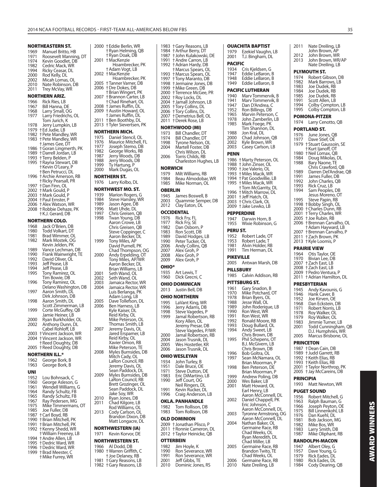|              | NORTHEASTERN ST.                             |              | 2000 †Eddie Berlin, WR              |
|--------------|----------------------------------------------|--------------|-------------------------------------|
| 1969         | Manuel Britto, HB                            |              | † Ryan Helming, QB                  |
| 1971         | Roosevelt Manning, DT                        |              | † Ryan Doak, DB                     |
| 1974         | Kevin Goodlet, DB                            | 2001         | † MacKenzie                         |
| 1982         | Cedric Mack, WR                              |              | Hoambrecker, PK                     |
| 1994         | Ricky Ceasar, DL                             |              | † Adam Vogt, LB                     |
| 2000         | Rod Kelly, DL                                |              | 2002 †MacKenzie                     |
| 2002         | Micah Lomas, OL                              |              | Hoambrecker, PK                     |
| 2010         | Nate Robinson, DB                            |              | 2005 †Tanner Varner, DB             |
|              |                                              |              | 2006 †Dre Dokes, DB                 |
| 2011         | Trey McVay, WR                               |              | † Brian Wingert, PK                 |
|              | NORTHERN ARIZ.                               |              | 2007 †Brannon Carter, LB            |
| 1966         | Rick Ries, LB                                |              | + Chad Rinehart, OL                 |
| 1967         | Bill Hanna, DE                               |              | 2008 + James Ruffin, DL             |
| 1968         | Larry Small, OG                              |              | 2009 †Austin Howard, OL             |
| 1977         | Larry Friedrichs, OL                         |              | † James Ruffin, DL                  |
|              | Tom Jurich, K                                | 2011         | +Ben Boothby, DL                    |
| 1978         | Jerry Lumpkin, LB                            |              | 2013 †Tyler Sievertsen, PK          |
|              | 1979 + Ed Judie, LB                          |              |                                     |
|              | 1982 † Pete Mandley, WR                      |              | NORTHERN MICH.                      |
|              | 1983 † Pete Mandley, WR                      | 1975         | Daniel Stencil, OL                  |
|              | + James Gee, DT                              | 1976         | Maurice Mitchell, FL                |
|              | 1986 + Goran Lingmerth, PK                   | 1977         | Joseph Stemo, DB                    |
|              | 1989 † Darrell Jordan, LB                    | 1982         | George Works, RB                    |
|              | 1993 †Terry Belden, P                        | 1987         | Jerry Woods, DB                     |
| 1995         | † Rayna Stewart, DB                          | 1988         | Jerry Woods, DB                     |
|              | +Kevin O'Leary, P                            | 1999         | Ty Hartung, P                       |
|              | † Ben Petrucci, DL                           | 2000         | Mark Dugas, OL                      |
|              | 1996 † Archie Amerson, RB                    |              | NORTHERN ST.                        |
|              | † Ricky Pearsall, PR                         | 1976         | Larry Kolbo, DL                     |
|              | 1997 +Dan Finn, OL                           |              |                                     |
|              | 2002 †Mark Gould, P                          |              | NORTHWEST MO. ST.                   |
|              |                                              | 1939         | Marion Rogers, G                    |
|              | 2003 †Mark Gould, P<br>2004 †Paul Ernster, P | 1984         | Steve Hansley, WR                   |
|              | 2006 †Alex Watson, WR                        | 1989         | Jason Agee, DB                      |
|              | 2008 †Robbie Dehaze, PK                      | 1996         | Matt Uhde, DL                       |
|              | † K.J. Gerard, DB                            | 1997         | Chris Greisen, QB                   |
|              |                                              | 1998         | Twan Young, DB                      |
|              | NORTHERN COLO.                               |              | Aaron Crowe, LB                     |
| 1968         | Jack O'Brien, DB                             |              | Chris Greisen, QB                   |
| 1980         | Todd Volkart, DT                             |              | Steve Coppinger, C                  |
| 1981         | Brad Wimmer, OL                              |              | Aaron Becker, DL                    |
| 1982         | Mark Mostek, OG                              | 1999         | Tony Miles, AP                      |
|              | Kevin Jelden, PK                             |              | David Purnell, PK                   |
| 1989         | Vance Lechman, DB                            |              | Chad Thompson, OG                   |
| 1990         | Frank Wainwright, TE                         | 2000         | Andy Erpelding, OT                  |
| 1992         | David Oliver, OL                             |              | Tony Miles, AP/WR                   |
| 1993         | Jeff Pease, LB                               |              | Aaron Becker, DL                    |
| 1994<br>1995 | Jeff Pease, LB                               |              | Brian Williams, LB                  |
|              | Tony Ramirez, OL<br>Tim Bowie, DB            | 2001         | Seth Wand, OL                       |
| 1996         | Tony Ramirez, OL                             | 2002<br>2003 | Seth Wand, OL<br>Jamaica Rector, WR |
|              | Delano Washington, DB                        | 2004         | Jamaica Rector, WR                  |
| 1997         | Aaron Smith, DL                              |              | Luis Berlanga, PK                   |
|              | Dirk Johnson, DB                             |              | Adam Long, LB                       |
| 1998         | Aaron Smith, DL                              | 2005         | Dave Tollefson, DL                  |
|              | Scott Zimmerman, LB                          | 2006         | Ben Harness, LB                     |
| 1999         | Corte McGuffey, QB                           |              | Kyle Kaiser, DL                     |
|              | Jamie Heiner, LB                             |              | Reid Kirby, OL                      |
| 2000         | Ryan Burkholder, OL                          |              | Mike Peterson, OL                   |
| 2002         | Anthony Dunn, DL                             |              | Thomas Smith, LB                    |
|              | Cabel Rohloff, LB                            | 2007         | Jeremy Davis, OL                    |
|              | 2003 +Vincent Jackson, WR                    |              | Jared Erspamer, LB                  |
|              | 2004 †Vincent Jackson, WR                    |              | Reid Kirby, OL                      |
|              | † Reed Doughty, DB                           |              | Xavier Omon, RB                     |
|              | 2005 †Reed Doughty, DB                       |              | Mike Peterson, TE                   |
|              | NORTHERN ILL.*                               | 2008         | Myles Burnsides, DB                 |
|              |                                              |              | Mitch Cady, OL                      |
| 1962         | George Bork, B                               |              | LaRon Council, RB                   |
| 1963         | George Bork, B                               |              | Jeremy Davis, OL                    |
| UNI          |                                              |              | Sean Paddock, DL                    |
| 1952         | Lou Bohnsack, C                              | 2009         | Myles Burnsides, DB                 |
| 1960         | George Asleson, G                            |              | LaRon Council, RB                   |
| 1961         | Wendell Williams, G                          |              | Brett Grozinger, OL                 |
| 1964         | Randy Schultz, FB                            |              | Sean Paddock, DL<br>Jake Soy, WR    |
| 1965         | Randy Schultz, FB                            | 2010         | Ryan Jones, DB                      |
| 1967         | Ray Pedersen, MG                             | 2011         | Chad Kilgore, LB                    |
| 1975         | Mike Timmermans, OT                          |              | Rod Williams, OL                    |
| 1985         | Joe Fuller, DB                               | 2013         | Cody Carlson, OL                    |
| 1987         | +Carl Boyd, RB                               |              | Brandon Dixon, DB                   |
| 1990         | † Brian Mitchell, PK                         |              | Matt Longacre, DL                   |
| 1991         | † Brian Mitchell, PK                         |              |                                     |
| 1992         | † Kenny Shedd, WR                            |              | NORTHWESTERN (IA)                   |
|              | † William Freeney, LB                        | 1971         | Kevin Korvor, DE                    |
| 1994         | † Andre Allen, LB                            |              | NORTHWESTERN ST.                    |
| 1995         | † Dedric Ward, WR                            | 1966         | Al Dodd, DB                         |
|              | 1996 †Dedric Ward, WR                        |              | 1980 †Warren Griffith, C            |
|              | 1999 † Brad Meester, C                       |              |                                     |

† Mike Furrey, WR

 † Joe Delaney, RB 1981 † Gary Reasons, LB 1982 † Gary Reasons, LB

| 1983<br>1984<br>1987<br>1991 | † Gary Reasons, LB<br>+ Arthur Berry, DT<br>† John Kulakowski, DE<br>+ Andre Carron, LB<br>† Adrian Hardy, DB                                     |
|------------------------------|---------------------------------------------------------------------------------------------------------------------------------------------------|
| 1993<br>1997<br>1998         | †Marcus Spears, OL<br>† Marcus Spears, OL<br>+Tony Maranto, DB<br>† Jermaine Jones, DB<br>+ Mike Green, DB                                        |
| 2000<br>2002<br>2004<br>2005 | † Terrence McGee, PR<br>† Roy Locks, DL<br>† Jamall Johnson, LB<br><b>†Tory Collins, DL</b>                                                       |
| 2007<br>2011                 | + Tory Collins, DL<br><b>+Demetrius Bell, OL</b><br>† Derek Rose, LB                                                                              |
| 1973                         | NORTHWOOD (MI)<br>Bill Chandler, DT                                                                                                               |
| 1974<br>1998<br>2004         | Bill Chandler, DT<br>Tyrone Nelson, OL<br>Martell Foster, DB                                                                                      |
| 2006                         | Chris Wilson, DL<br>Torris Childs, RB<br>Charleston Hughes, LB                                                                                    |
| 1979<br>1984<br>1985         | Milt Williams, RB<br>Beau Almodobar, WR<br>Mike Norman, OL                                                                                        |
| OBERLIN                      |                                                                                                                                                   |
| 1945<br>2003<br>2012         | James Boswell, B<br>Quammie Semper, DB<br>Clay Eaton, DL                                                                                          |
| 1976                         | Rick Fry, FL                                                                                                                                      |
| 1977                         | Rick Fry, SE<br>Dan Osborn, P                                                                                                                     |
| 1983                         | Ron Scott, DB                                                                                                                                     |
|                              | David Hodges, LB<br>Peter Tucker, OL                                                                                                              |
| 2006                         | Andy Collins, QB                                                                                                                                  |
| 2008                         | Alex Groh, P<br>Alex Groh, P                                                                                                                      |
| OHIO*                        | Alex Groh, P                                                                                                                                      |
| 1935<br>1960                 | Art Lewis, T<br>Dick Grecni, C                                                                                                                    |
|                              | OHIO DOMINICAN                                                                                                                                    |
|                              | Justin Bell, DB                                                                                                                                   |
| 1995                         | <b>OHIO NORTHERN</b><br>LaVant King, WR                                                                                                           |
| 1996                         | Jerry Adams, DB<br>Steve Vagedes, P                                                                                                               |
| 1999                         | Jamal Robertson, RB                                                                                                                               |
|                              | Kory Allen, OL<br>Jeremy Presar, DB                                                                                                               |
| 2000                         | Steve Vagedes, P/WR<br>Jamal Robertson, RB                                                                                                        |
| 2004<br>2005                 | Jason Trusnik, DL<br>Wes Hostetler, KR                                                                                                            |
| 2006                         | Jason Trusnik, DL                                                                                                                                 |
| 1934                         | <b>OHIO WESLEYAN</b><br>John Turley, B                                                                                                            |
| 1951                         | Dale Bruce, OE<br>Steve Dutton, DE                                                                                                                |
| 1983<br>1990                 | Eric DiMartino, LB<br>Jeff Court, OG<br>Neil Ringers, DL                                                                                          |
| 1991<br>1996                 | Kevin Rucker, DL<br>Craig Anderson, LB                                                                                                            |
|                              | <b>OKLA. PANHANDLE</b>                                                                                                                            |
| 1983                         | Tom Rollison, DB<br>Tom Rollison, DB                                                                                                              |
|                              | <b>OLD DOMINION</b>                                                                                                                               |
| 2011<br>2012                 | 2009 †Jonathan Plisco, P<br>+ Ronnie Cameron, DL<br>† Taylor Heinicke, QB                                                                         |
| 1982                         | Jim Hoyle, K                                                                                                                                      |
| 1990                         | Ron Severance, WR<br>Ron Severance, WR                                                                                                            |
| 2001<br>2010                 | Jeff Gibbs, TE<br>Dominic Jones, RS                                                                                                               |
|                              | 1992<br>1999<br>2006<br>NORWICH<br><b>OCCIDENTAL</b><br>1982<br>1989<br>1990<br>2007<br>2009<br>2013<br>1998<br>1971<br>1982<br>OTTERBEIN<br>1991 |

| 1979<br>2001     | Ezekiel Vaughn, LB<br>T.J. Bingham, DL                   | 2012         |
|------------------|----------------------------------------------------------|--------------|
| <b>PACIFIC</b>   |                                                          | 2013         |
| 1934             | Cris Kjeldsen, G                                         |              |
| 1947             | Eddie LeBaron, B                                         | PLYM         |
| 1948             | Eddie LeBaron, B                                         | 1974         |
| 1949             | Eddie LeBaron, B                                         | 1982<br>1983 |
|                  | PACIFIC LUTHERAN                                         | 1984         |
| 1940             | Marv Tommervik, B                                        | 1985         |
| 1941             | Marv Tommervik, B                                        | 1991         |
| 1947             | Dan D'Andrea, C                                          | 1994         |
| 1952<br>1965     | Ron Billings, DB<br>Marvin Peterson, C                   | 1995         |
| 1978             | John Zamberlin, LB                                       | POM          |
| 1985             | Mark Foege, PK                                           | 1974         |
|                  | Tim Shannon, DL                                          | PORT         |
| 1988             | Jon Kral, DL                                             | 1976         |
| 2000             | Chad Johnson, QB                                         | 1977         |
| 2002<br>2003     | Kyle Brown, WR<br>Casey Carlson, LB                      | 1979         |
|                  |                                                          |              |
| PENN             |                                                          | 1980<br>1984 |
| 1986             | † Marty Peterson, OL                                     | 1988         |
| 1988             | + John Zinser, OL                                        |              |
|                  | 1990 + Joe Valerio, OL<br>1993 + Miles Macik, WR         | 1989         |
|                  | 1994 + Pat Goodwillie, LB                                | 1991         |
| 1995             | + Miles Macik, WR                                        | 1992         |
|                  | +Tom McGarrity, DL                                       | 1993<br>1994 |
|                  | 1996 + Mitch Marrow, DL                                  |              |
|                  | 2001 †Jeff Hatch, OL                                     | 1995         |
| 2003             | + Chris Clark, OL                                        | 1998         |
| 2009             | † Jake Lewko, LB                                         | 2000         |
|                  | <b>PEPPERDINE</b>                                        | 2001         |
| 1947             | Darwin Horn, B                                           | 2005         |
| 1955             | Wixie Robinson, G                                        | 2006         |
| PERU ST.         |                                                          | 2007         |
|                  | 1952 Robert Lade, OT                                     | 2011         |
| 1953             | Robert Lade, T                                           | 2013         |
| 1981<br>1991     | Alvin Holder, RB<br>Tim Herman, DL                       | PRAIF        |
|                  |                                                          | 1964         |
| <b>PIKEVILLE</b> |                                                          | 1970         |
|                  |                                                          |              |
| 2005             | Antwan Marsh, DB                                         | 2007         |
|                  | <b>PILLSBURY</b>                                         | 2008         |
| 1985             | Calvin Addison, RB                                       | 2009         |
|                  |                                                          | 2011         |
|                  | PITTSBURG ST.                                            | <b>PRESI</b> |
| 1961<br>1970     | Gary Snadon, B                                           | 1945         |
| 1978             | Mike Potchard, OT<br>Brian Byers, OL                     | 1946         |
| 1988             | Jesse Wall, OL                                           | 1952<br>1968 |
| 1989             | John Roderique, LB                                       | 1971         |
| 1990             |                                                          | 1978         |
| 1991             | Ron West, WR<br>Ron West, WR                             | 1979         |
| 1992             | Ronald Moore, RB<br>UL                                   | 1983         |
| 1993<br>1994     | Doug Bullard,                                            | 2001         |
|                  | Andy Sweet, LB<br>Chris Brown, DB                        | 2005         |
| 1995             | Phil Schepens, OT                                        |              |
|                  | B.J. McGivern, LB                                        | PRIN¢        |
|                  | Chris Brown, DB                                          | 1987         |
| 1996             | Bob Goltra, OL                                           | 1989         |
| 1997             | Sean McNamara, OL<br>Brian Moorman, P                    | 1992<br>1993 |
| 1998             | Ben Peterson, DE                                         | 2001         |
|                  | Brian Moorman, P                                         | 2005         |
| 1999             | Andrew Poling, DB                                        | <b>PRIN</b>  |
| 2000             | Wes Baker, LB                                            | 1993         |
| 2001             | Matt Howard, OL                                          |              |
|                  | Earl Henry, LB<br>Aaron McConnell, DL                    | PUGE         |
| 2002             | Daniel Chappell, PK                                      | 1956<br>1963 |
|                  | Eric Johnson, C                                          | 1966         |
|                  | Aaron McConnell, DL                                      | 1975         |
| 2003             | Tyronne Armstrong, OG                                    | 1976         |
| 2004             | Aaron McConnell, DL<br>Nathan Baker, OL                  | 1981         |
|                  | Germaine Race, RB                                        | 1982<br>1983 |
|                  | Chad Weeks, OL                                           | 1987         |
|                  | Ryan Meredith, DL                                        |              |
|                  | Chad Miller, LB                                          | RAND         |
| 2005             | Germaine Race, RB                                        | 1947         |
|                  | Brandon Twito, TE                                        | 1957<br>1979 |
| 2006<br>2010     | Chad Weeks, OL<br>Germaine Race, RB<br>Nate Dreiling, LB | 1980<br>1984 |

**OUACHITA BAPTIST**

| 2011 Nate Dreiling, LB John Brown, AP John Brown, WR John Brown, WR/AP Nate Dreiling, LB **PUTH ST.** Robert Gibson, DB 1982 Mark Barrows, LB 1983 Joe Dudek, RB Joe Dudek, RB Joe Dudek, RB Scott Allen, LB Colby Compton, LB Colby Compton, LB **POMONA-PITZER** Larry Cenotto, QB **LAND ST.** June Jones, QB Dave Stief, OE 1979 † Stuart Gaussoin, SE † Kurt Ijanoff, OT 1980 † Neil Lomax, QB 1984 Doug Mikolas, DL 1988 Bary Naone, TE Chris Crawford, QB Darren Del'Andrae, QB James Fuller, DB John Charles, QB Rick Cruz, LB Sam Peoples, DB Jesus Moreno, OT Steve Papin, RB 1998 † Bobby Singh, OL 2000 † Charles Dunn, RB 2001 † Terry Charles, WR 2005 † Joe Rubin, RB 2006 † Brennan Carvalho, OL † Adam Hayward, LB † Brennan Ćarvalho, P Zach Brown, PK 2013 † Kyle Loomis, P **RIE VIEW** 1964 Otis Taylor, OE 1970 Bivian Lee, DB 2007 † Zach East, LB 2008 † Zach East, LB 2009 † Pedro Ventura, P 2011 † Adrian Hamilton, DL **BYTERIAN** 1945 Andy Kavounis, G 1946 Hank Caver, B 1952 Joe Kirven, OE Dan Eckstein, DB Robert Norris, LB Roy Walker, OL Roy Walker, OL 1983 Jimmie Turner, LB 2001 Todd Cunningham, QB D.J. Humphries, WR Marcus Brisbone, OL **PRINCETON** † Dean Cain, DB 1989 † Judd Garrett, RB 1992 † Keith Elias, RB 1993 † Keith Elias, RB 2001 † Taylor Northrop, PK  $\dagger$  Jay McCareins, DB

#### **PRINCIPIA**

Matt Newton, WR **P** SOUND Robert Mitchell, G Ralph Bauman, G 1966 Joseph Peyton, OE 1975 Bill Linnenkohl, LB Dan Kuehl, DL Bob Jackson, MG Mike Bos, WR Larry Smith, DB Mike Oliphant, RB

# **ROLPH-MACON**

| 1947 | Albert Oley, G   |
|------|------------------|
| 1957 | Dave Young, G    |
| 1979 | Rick Eades, DL   |
| 1980 | Rick Eades, DL   |
| 1984 | Cody Dearing, QB |
|      |                  |

**AWARD WINNERS AWARD WINNERS**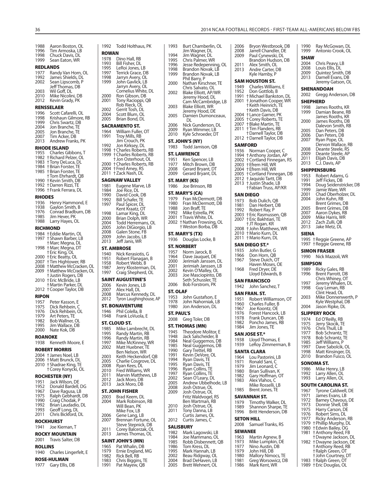| 1988<br>1996<br>1998<br>1999 | Aaron Boston, OL<br>Tim Armoska, LB<br>Chuck Davis, DL<br>Sean Eaton, WR | 1992<br>ROW<br>1978 |
|------------------------------|--------------------------------------------------------------------------|---------------------|
|                              |                                                                          | 1993                |
|                              | <b>REDLANDS</b>                                                          | 1995                |
| 1977<br>1992                 | Randy Van Horn, OL<br>James Shields, DL                                  | 1997<br>1998        |
| 2002                         | Sean Lipscomb, P                                                         | 1999                |
|                              | Jeff Thomas, DB                                                          |                     |
| 2003                         | Wil Goff, DL                                                             |                     |
| 2010                         | Mike Nicolini, DB                                                        | 2000                |
| 2012                         | Kevin Grady, PK                                                          | 2001                |
|                              | <b>RENSSELAER</b>                                                        |                     |
| 1996                         | Scott Cafarelli, OL                                                      | 2002                |
| 1998                         | Krishaun Gilmore, RB                                                     | 2004                |
| 1999                         | Chris Swartz, DB                                                         | 2005                |
| 2004                         |                                                                          | SACI                |
| 2005                         | Jon Branche, TE<br>Ion Branche, TE                                       | 1964                |
| 2007                         | Tim Acker, DB                                                            | 1991                |
| 2013                         | Andrew Franks, PK                                                        |                     |
|                              | RHODE ISLAND                                                             | 1992                |
| 1955                         | Charles Gibbons, T                                                       | 1998                |
| 1982                         | <b>+Richard Pelzer, OL</b>                                               | 1999                |
| 1983                         | +Tony DeLuca, DL                                                         | 2000                |
| 1984                         | + Brian Forster, TE<br>+ Brian Forster, TE                               | 2004                |
| 1985                         |                                                                          | 2011                |
|                              | +Tom Ehrhardt, QB                                                        |                     |
| 1990                         | +Kevin Smith, DB                                                         | SAG                 |
| 1992                         | † Darren Rizzi, TE                                                       | 1981                |
| 1996                         | † Frank Ferrara, DL                                                      | 1984                |
| RHODES                       |                                                                          | 1990                |
| 1936                         | Henry Hammond, E                                                         | 1992<br>1997        |
| 1938                         | Gaylon Smith, B                                                          |                     |
| 1976                         | Conrad Bradburn, DB                                                      | 1998                |
| 1985                         | Jim Hever, PK                                                            | 2000                |
| 1988                         | Larry Hayes, OL                                                          | 2004                |
|                              | RICHMOND                                                                 | 2005                |
| 1984                         | † Eddie Martin, OL                                                       | 2008                |
| 1997                         | † Shawn Barber, LB                                                       | 2009                |
|                              | † Marc Megna, DL                                                         | 2013                |
| 1998                         | + Marc Megna, DT                                                         | ST. A               |
|                              | † Eric King, OL                                                          | 1940                |
| 2000                         | + Eric Beatty, OL                                                        | 1951                |
| 2007                         | † Tim Hightower, RB                                                      | 1958                |
| 2008                         | † Matthew McCracken, OL                                                  | 1987                |
| 2009                         | † Matthew McCracken, OL                                                  | 1997                |
| 2010                         | † Justin Rogers, DB                                                      | <b>SAIN</b>         |
|                              | + Eric McBride, LB<br>† Martin Parker, DL                                | 2006                |
| 2012                         | + Cooper Taylor, DB                                                      | 2007                |
|                              |                                                                          | 2008                |
| <b>RIPON</b>                 |                                                                          | 2012                |
| 1957                         | Peter Kasson, E                                                          | ST. B               |
| 1975                         | Dick Rehbein, C                                                          |                     |
| 1976<br>1979                 | Dick Rehbein, OL<br>Art Peters. TE                                       | 1946<br>1948        |
| 1982                         | Bob Wallner, OL                                                          |                     |
| 1995                         | Jim Wallace, DB                                                          | ST. C               |
| 2000                         | Nate Kok, DB                                                             | 1985                |
|                              |                                                                          | 1995                |
|                              | ROANOKE                                                                  | 1996                |
| 1938                         | Kenneth Moore, E                                                         | 1997                |
|                              | <b>ROBERT MORRIS</b>                                                     | 2002                |
|                              | 2004 + James Noel, LB                                                    | 2003                |
| 2006                         | + Matt Brunck, DL                                                        | 2005                |
| 2010                         | † Shadrae King, TE                                                       | 2008                |
|                              | † Corey Konycki, OL                                                      | 2010                |
|                              | <b>ROCHESTER (NY)</b>                                                    | 2011                |
| 1951                         | Jack Wilson, DE                                                          | 2012                |
| 1952                         | Donald Bardell, DG                                                       | 2013                |
| 1967                         | Dave Ragusa, LB                                                          | ST. J               |
| 1975                         | Ralph Gebhardt, DB                                                       | 2003                |
| 1990                         | Craig Chodak, P                                                          | 2004                |
| 1992                         | Brian Laudadio, DL                                                       |                     |
| 1993                         | Geoff Long, DL                                                           |                     |
| 2011                         | Chris Bickford, DL                                                       | 2006                |
|                              | <b>ROCKHURST</b>                                                         | 2007                |
| 1941                         | Joe Kiernan, T                                                           |                     |
|                              |                                                                          | 2011                |
|                              |                                                                          |                     |
|                              | ROCKY MOUNTAIN                                                           | 2013                |
| 2001                         | Travis Salter, DB                                                        | SAIN                |
| <b>ROLLINS</b>               |                                                                          | 1965                |
| 1940                         | Charles Lingerfelt, E                                                    | 1979                |
|                              |                                                                          | 1982                |
| 1977                         | <b>ROSE-HULMAN</b><br>Gary Ellis, DB                                     | 1983<br>1991        |

| 1992                                         | Todd Holthaus, PK                                        | 1993              | Burt Chamberlin, OL                       |
|----------------------------------------------|----------------------------------------------------------|-------------------|-------------------------------------------|
| <b>ROWAN</b>                                 |                                                          |                   | Jim Wagner, DL                            |
| 1978                                         | Dino Hall, RB                                            | 1994<br>1995      | Jim Wagner, DL<br>Chris Palmer, WR        |
| 1993                                         | Bill Fisher, DL                                          | 1996              | Jesse Redepenning, (                      |
| 1995                                         | LeRoi Jones, LB                                          | 1998              | Brandon Novak, LB                         |
| 1997<br>1998                                 | Terrick Grace, DB<br>Jarryn Avery, OL                    | 1999              | Brandon Novak, LB                         |
| 1999                                         | John Gavlick, LB<br>Jarryn Avery, OL                     | 2000              | Phil Barry, P<br>Nathan Kirschner, TE     |
| 2000                                         | Cornelius White, DL<br>Ron Gibson, DB                    | 2002              | Chris Salvato, OL<br>Blake Elliott, AP/WR |
| 2001                                         | Tony Racioppi, QB                                        |                   | Jeremy Hood, DL<br>Cam McCambridge, I     |
| 2002                                         | Rob Rieck, OL<br>Gerrit Tosh, DL                         | 2003              | Blake Elliott, WR                         |
| 2004                                         | Scott Blum, OL                                           | 2005              | Jeremy Hood, DE<br>Damien Dumonceau       |
| 2005                                         | Brian Bond, DL                                           |                   | DL                                        |
|                                              | SACRAMENTO ST.                                           | 2006              | Nick Gunderson, DL                        |
| 1964                                         | William Fuller, OT                                       | 2009<br>2010      | Ryan Wimmer, LB<br>Kyle Schroeder, DT     |
| 1991                                         | Troy Mills, RB<br>Jim Crouch, PK                         |                   | ST. JOHN'S (NY)                           |
| 1992                                         | Jon Kirksey, DL                                          | 1983              | Todd Jamison, QB                          |
|                                              | 1998 + Charles Roberts, RB<br>1999 + Charles Roberts, RB |                   |                                           |
|                                              | + Jon Osterhout, OL                                      | 1951              | <b>ST. LAWRENCE</b><br>Ken Spencer, LB    |
|                                              | 2000 †Charles Roberts, RB                                | 1977              | Mitch Brown, DB                           |
|                                              | 2004 + Fred Amey, RS                                     | 2008              | Gerard Bryant, DT                         |
|                                              | 2011 †Zack Nash, DL                                      | 2009              | Gerard Bryant, DL                         |
|                                              | <b>SAGINAW VALLEY</b>                                    |                   | ST. MARY (KS)                             |
| 1981                                         | Eugene Marve, LB                                         | 1986              | Joe Brinson, RB                           |
| 1984<br>1990                                 | Joe Rice, DL<br>David Cook, DB                           |                   | ST. MARY'S (CA)                           |
| 1992                                         | Bill Schafer, TE                                         | 1979              | Fran McDermott, DB                        |
| 1997                                         | Paul Spicer, DL                                          | 1980              | Fran McDermott, DB                        |
| 1998                                         | Kent Kraatz, OT<br>Lamar King, DL                        | 1988<br>1992      | Jon Braff, TE<br>Mike Estrella, PK        |
| 2000                                         | Brian Dolph, WR                                          |                   | 2001 † Travis White, DL                   |
| 2004                                         | Todd Herremans, OL                                       |                   | 2002 + Nathan Frowsing, OL                |
| 2005                                         | John DiGiorgio, LB                                       |                   | † Weston Borba, DB                        |
| 2008<br>2009                                 | Galen Stone, FB<br>John Jacobs, LB                       |                   | ST. MARY'S (TX)                           |
| 2013                                         | Jeff Janis, WR                                           | 1936              | Douglas Locke, B                          |
|                                              | ST. AMBROSE                                              |                   | <b>ST. NORBERT</b>                        |
| 1940                                         | Nick Kerasiotis, G                                       | 1957              | Norm Jarock, B                            |
| 1951                                         | Robert Flanagan, B                                       | 1964<br>2000      | Dave Jauquet, DE<br>Jerimiah Janssen, DL  |
| 1958<br>1987                                 | Robert Webb, B<br>Jerry Klosterman, DL                   | 2001              | Jerimiah Janssen, LB                      |
| 1997                                         | Craig Shepherd, OL                                       | 2002              | Kevin O'Malley, OL                        |
|                                              | SAINT AUGUSTINE'S                                        | 2003              | Joe Masciopinto, DB<br>Seth Schussler, TE |
| 2006                                         | Kevin Jones, LB                                          | 2006              | Bob Forstrom, PK                          |
| 2007                                         | Alex Hall, DL                                            | ST. OLAF          |                                           |
| 2008                                         | Marcus Kennedy, DL                                       | 1953              | John Gustafson, E                         |
| 2012                                         | Tyron Laughinghouse, AP                                  | 1978              | John Nahorniak, LB                        |
|                                              | <b>ST. BONAVENTURE</b>                                   | 1980              | Jon Anderson, DL                          |
| 1946<br>1948                                 | Phil Colella, B                                          |                   |                                           |
|                                              |                                                          | <b>ST. PAUL'S</b> |                                           |
|                                              | Frank LoVuola, E                                         |                   | 2008 Greg Toler, DB                       |
|                                              | ST. CLOUD ST.                                            |                   | ST. THOMAS (MN)                           |
| 1985<br>1995                                 | Mike Lambrecht, DL<br>Randy Martin, RB                   | 1945              | Theodore Molitor, E                       |
| 1996                                         | Randy Martin, RB                                         | 1948              | Jack Salscheider, B                       |
| 1997                                         | Mike McKinney, WR                                        | 1984<br>1985      | Neal Guggemos, DB<br>Neal Guggemos, DB    |
| 2002                                         | Matt Huebner, TE<br>Ben Nelson, WR                       | 1990              | Gary Trettel, RB                          |
| 2003                                         | Keith Heckendorf, QB                                     | 1991              | Kevin DeVore, OL                          |
| 2005                                         | Charlie Cosgrove, DL                                     | 1994              | Ryan Davis, TE                            |
| 2008                                         | Ryan Kees, DL                                            | 1995<br>1996      | Ryan Davis, TE<br>Ryan Collins, TE        |
|                                              | Fred Williams, WR<br>Marvin Matthews, LB                 | 1997              | Ryan Collins, TE                          |
|                                              | Jack Moro, DB                                            | 2002              | Sean O'Leary, DL                          |
| 2010<br>2011<br>2012<br>2013                 | Jack Moro, DB                                            | 2005<br>2008      | Andrew Ubbelhode, I<br>Josh Ostrue, OL    |
|                                              | ST. JOHN FISHER                                          | 2009              | Josh Ostrue, OL                           |
|                                              | Brad Keem, DL                                            |                   | Fritz Waldvogel, RS                       |
|                                              | Mark Robinson, RB                                        |                   | Ben Wartman, RB                           |
|                                              | Will Bean, PK<br>Mike Fox, LB                            | 2010<br>2011      | Josh Ostrue, OL<br>Tony Danna, LB         |
|                                              | Gene Lang, LB                                            |                   | Curtis James, OL                          |
| 2003<br>2004<br>2006<br>2007                 | Brennan Fortune, OL                                      | 2012              | Curtis James, C                           |
|                                              | Steve Stepnick, DB<br>Corey Balcerzak, OL                |                   | <b>SALISBURY</b>                          |
|                                              | James Thomas, OL                                         | 1982              | Mark Lagowski, LB                         |
|                                              | SAINT JOHN'S (MN)                                        | 1984<br>1985      | Joe Mammano, OL<br>Robb Disbennett, QB    |
|                                              | Pat Whalin, DB                                           | 1986              | Tom Kress, DL                             |
|                                              | Ernie England, MG                                        | 1995              | Mark Hannah, LB                           |
| 2011<br>2013<br>1965<br>1979<br>1982<br>1983 | Rick Bell, RB<br>Chris Biggins, TE                       | 2002<br>2004      | Beau Ridgway, OL<br>Brad DeHaven, LB      |

|              | Jim Wagner, DL                                            |
|--------------|-----------------------------------------------------------|
| 1994         | Jim Wagner, DL                                            |
| 1995         | Chris Palmer, WR                                          |
| 1996         | Jesse Redepenning, OL                                     |
| 1998         | Brandon Novak, LB                                         |
| 1999         | Brandon Novak, LB                                         |
| 2000         | Phil Barry, P<br>Nathan Kirschner, TE                     |
|              | Chris Salvato, OL                                         |
| 2002         | Blake Elliott, AP/WR                                      |
|              | Jeremy Hood, DL                                           |
|              | Cam McCambridge, LB                                       |
| 2003         | Blake Elliott, WR                                         |
|              | Jeremy Hood, DE                                           |
| 2005         | Damien Dumonceaux,                                        |
|              | DL                                                        |
| 2006         | Nick Gunderson, DL                                        |
| 2009         | Ryan Wimmer, LB                                           |
| 2010         | Kyle Schroeder, DT                                        |
|              | ST. JOHN'S (NY)                                           |
| 1983         | Todd Jamison, QB                                          |
|              | ST. LAWRENCE                                              |
| 1951         |                                                           |
| 1977         | Ken Spencer, LB<br>Mitch Brown, DB                        |
| 2008         | Gerard Bryant, DT                                         |
| 2009         | Gerard Bryant, DL                                         |
|              |                                                           |
|              | ST. MARY (KS)                                             |
| 1986         | Joe Brinson, RB                                           |
|              | <b>ST. MARY'S (CA)</b>                                    |
| 1979         | Fran McDermott, DB                                        |
| 1980         | Fran McDermott, DB                                        |
| 1988         | Jon Braff, TE                                             |
| 1992         | Mike Estrella, PK                                         |
| 2001         | † Travis White, DL                                        |
| 2002         | † Nathan Frowsing, OL                                     |
|              | † Weston Borba, DB                                        |
|              | ST. MARY'S (TX)                                           |
| 1936         | Douglas Locke, B                                          |
|              |                                                           |
|              | <b>ST. NORBERT</b>                                        |
|              |                                                           |
| 1957         | Norm Jarock, B                                            |
| 1964         | Dave Jauquet, DE                                          |
| 2000         | Jerimiah Janssen, DL                                      |
| 2001         | Jerimiah Janssen, LB                                      |
| 2002         | Kevin O'Malley, OL                                        |
| 2003         | Joe Masciopinto, DB                                       |
|              | Seth Schussler, TE                                        |
| 2006         | Bob Forstrom, PK                                          |
| ST. OLAF     |                                                           |
| 1953         | John Gustafson, E                                         |
| 1978         | John Nahorniak, LB                                        |
| 1980         | Jon Anderson, DL                                          |
| ST. PAUL'S   |                                                           |
| 2008         | Greg Toler, DB                                            |
|              |                                                           |
|              | ST. THOMAS (MN)                                           |
| 1945         | Theodore Molitor, E                                       |
| 1948         | Jack Salscheider, B                                       |
| 1984         | Neal Guggemos, DB                                         |
| 1985         | Neal Guggemos, DB                                         |
| 1990<br>1991 | Gary Trettel, RB<br>Kevin DeVore, OL                      |
| 1994         |                                                           |
| 1995         | Ryan Davis, TE<br>Ryan Davis, TE                          |
| 1996         |                                                           |
| 1997         | Ryan Collins, TE<br>Ryan Collins, TE                      |
| 2002         |                                                           |
| 2005         | Séan O'Leary, DL<br>Andrew Ubbelhode, LB                  |
| 2008         |                                                           |
| 2009         | Josh Ostrue, OL<br>Josh Ostrue, OL                        |
|              | Fritz Waldvogel, RS                                       |
|              |                                                           |
| 2010<br>2011 | Ben Wartmañ, RB<br>Josh Ostrue, OL<br>Tony Danna, LB      |
|              | Curtis James, OL                                          |
| 2012         | Curtis James, C                                           |
|              |                                                           |
|              | SALISBURY                                                 |
| 1982         | Mark Lagowski, LB                                         |
| 1984         | Joe Mammano, OL                                           |
| 1985         | Robb Disbennett, QB                                       |
| 1986<br>1995 | Tom Kress, DL<br>Mark Hannah, LB                          |
| 2002         |                                                           |
| 2004<br>2005 | Beau Ridgway, OL<br>Brad DeHaven, LB<br>Brett Wehnert, OL |

| 2006<br>2008         | Bryon Westbrook, DB<br>Jarrell Chandler, DE               | 1990<br>1999    | Ray McGowan, DL<br>Antonio Crook, OL                                |
|----------------------|-----------------------------------------------------------|-----------------|---------------------------------------------------------------------|
| 2009                 | Paul Cynewski, DL                                         | <b>SHAW</b>     |                                                                     |
| 2011                 | Brandon Hudson, DB<br>Alex Smith, OL                      | 2004            | Chris Peavy, LB                                                     |
| 2013                 | Andre Carter, DB                                          | 2008<br>2009    | Louis Ellis, DL                                                     |
|                      | Kyle Hamby, P                                             | 2013            | Quintez Smith, DB<br>Darnell Evans, DB                              |
|                      | <b>SAM HOUSTON ST.</b>                                    |                 | Jeremy Gatson, OL                                                   |
| 1952                 | 1949 Charles Williams, E<br>Don Gottlob, B                |                 | <b>SHENANDOAH</b>                                                   |
|                      | 1991 + Michael Bankston, DL                               | 2002            | Gregg Anderson, DB                                                  |
|                      | 2001 †Jonathon Cooper, WR<br>† Keith Heinrich, TE         | <b>SHEPHERD</b> |                                                                     |
|                      | +Keith Davis, DB                                          | 1998<br>1999    | James Rooths, KR<br>Damian Beane, RB                                |
|                      | 2004 + Lance Garner, PK<br>2005 + Corey Roberts, TE       |                 | James Rooths, KR                                                    |
|                      | 2007 + Blake Martin, TE                                   | 2000            | James Rooths, DB<br>Dalevon Smith, RB                               |
|                      | 2011 + Tim Flanders, RB                                   | 2005            | Dan Peters, DB                                                      |
|                      | † Darnell Taylor, DB<br>2012 †Darnell Taylor, DB          | 2006            | Dan Peters, DB                                                      |
| <b>SAMFORD</b>       |                                                           | 2007            | Ryan Pope, OL<br>Dervon Wallace, RB                                 |
| 1936                 | Norman Cooper, C                                          | 2008            | Deante Steele, RS                                                   |
|                      | 1994 + Anthony Jordan, AP                                 | 2009<br>2011    | Deante Steele, AP<br>Elijah Davis, DB                               |
|                      | 2002 + Cortland Finnegan, RS<br>2003 † Efrem Hill, WR     | 2013            | C.J. Davis, AP                                                      |
|                      | 2004 † Efrem Hill, WR                                     |                 | <b>SHIPPENSBURG</b>                                                 |
|                      | 2005 + Cortland Finnegan, DB<br>2012 + Jaquiski Tartt, DB | 1953            | Robert Adams, G                                                     |
|                      | 2013 † Justin Shade, LB                                   | 1991<br>1994    | Jeff Fickes, DB<br>Doug Seidenstricker, I                           |
|                      | † Fabian Truss, AP/KR                                     | 1999            | Jamie Ware, WR                                                      |
|                      | <b>SAN DIEGO</b>                                          | 2001<br>2004    | Chad Oberholzer, DL<br>John Kuhn, RB                                |
| 1973<br>1981         | Bob Dulich, QB<br>Dan Herbert, DB                         |                 | Brent Grimes, DB                                                    |
|                      | 1992 Robert Ray, P                                        | 2005            | <b>Brent Grimes, DB</b>                                             |
|                      | 2003 † Eric Rasmussen, QB                                 | 2007<br>2009    | Aaron Dykes, RB<br>Mike Harris, WR                                  |
|                      | 2007 † Eric Bakhtiari, TE<br>† JT Rogan, KR               | 2012            | Zach Zulli, QB                                                      |
|                      | 2008 † John Matthews, WR                                  | 2013            | Jake Metz, DL                                                       |
|                      | 2010 † Mario Kurn, DL<br>2011 †Mario Kurn, DL             | <b>SIENA</b>    | 1995 † Reggie Greene, AP                                            |
|                      | SAN DIEGO ST.*                                            |                 | 1997 †Reggie Greene, RB                                             |
| 1935                 | John Butler, G                                            |                 | <b>SIMON FRASER</b>                                                 |
| 1966                 | Don Horn, QB                                              |                 |                                                                     |
|                      |                                                           | 1990            | Nick Mazzoli, WR                                                    |
| 1967                 | Steve Duich, OT<br>Haven Moses, OE                        | <b>SIMPSON</b>  |                                                                     |
| 1968                 | Fred Dryer, DE                                            | 1989            | Ricky Gales, RB                                                     |
|                      | Lloyd Edwards, B                                          | 1996            | Brent Parrott, DB<br>Chris Whiney, OT                               |
|                      | <b>SAN FRANCISCO</b>                                      | 1997            | Jeremy Whalen, DL                                                   |
| 1942                 | John Sanchez, T                                           | 1998            | Guy Leman, RB<br>Clint Head, OL                                     |
| 1951                 | SAN FRAN. ST.<br>Robert Williamson, OT                    | 2003            | Mike Donnenwerth,                                                   |
| 1960                 | Charles Fuller, B                                         | 2004            | Kyle Westphal, DB<br>Jason Ripke, DL                                |
| 1967<br>1976         | Joe Koontz, OE<br>Forest Hancock, LB                      |                 | <b>SLIPPERY ROCK</b>                                                |
| 1978                 | Frank Duncan, DB                                          |                 | 1974 Ed O'Reilly, RB                                                |
| 1982                 | Poncho James, RB                                          | 1975            | Jerry Skocik, TE                                                    |
| 1984                 | Jim Jones, TE                                             | 1976<br>1977    | Chris Thull, LB<br>Bob Schrantz, TE                                 |
| 1938                 | <b>SAN JOSE ST.*</b><br>Lloyd Thomas, E                   | 1978            | <b>Bob Schrantz, TE</b>                                             |
| 1939                 | LeRoy Zimmerman, B                                        | 1985<br>1997    | Jeff Williams, P                                                    |
|                      | SANTA CLARA                                               | 1998            | Dave Sabolcik, OL<br>Matt Kinsinger, DL                             |
| 1964                 | Lou Pastorini, LB                                         | 2010            | Brandon Fusco, OL                                                   |
| 1971<br>1979         | Ronald Sani, C<br>Jim Leonard, C                          |                 | SONOMA ST.                                                          |
| 1980                 | Brian Sullivan, K                                         | 1986<br>1992    | Mike Henry, LB                                                      |
| 1982<br>1983         | Gary Hoffman, OT<br>Alex Vlahos, C                        | 1993            | Larry Allen, OL<br>Larry Allen, OL                                  |
|                      | Mike Rosselli, LB                                         |                 | SOUTH CAROLINA ST.                                                  |
| 1985                 | Brent Jones, TE                                           | 1967            | Tyrone Caldwell, DE                                                 |
|                      | SAVANNAH ST.                                              | 1971<br>1972    | James Evans, LB<br>Barney Chavous, DE                               |
| 1979<br>1989         | Timothy Walker, DL<br>Shannon Sharpe, TE                  | 1973            | Donnie Shell, DB                                                    |
| 1996                 | Britt Henderson, DB                                       | 1975<br>1976    | Harry Carson, DE<br>Robert Sims, DL                                 |
|                      | <b>SETON HILL</b>                                         | 1977            | Ricky Anderson, RB                                                  |
| 2008                 | Samuel Tranks, RS                                         | 1979<br>1980    | † Phillip Murphy, DL<br>† Edwin Bailey, OG                          |
| <b>SEWANEE</b>       |                                                           | 1981            | † Anthony Reed, FB                                                  |
| 1963<br>1973         | Martin Agnew, B<br>Mike Lumpkin, DE                       | 1982            | † Dwayne Jackson, DL<br>† Dwayne Jackson, DE                        |
| 1977                 | Nino Austin, DB                                           |                 | † Anthony Reed, RB                                                  |
| 1979                 | John Hill, DB                                             |                 | † Ralph Green, OT                                                   |
| 1980<br>1981<br>1986 | Mallory Nimocs, TE<br>Greg Worsowicz, DB<br>Mark Kent, WR | 1983            | † John Courtney, DT<br>† Ralph Green, OT<br>1989 † Eric Douglas, OL |

| 2004<br>2008                                                         | Chris Peavy, LB<br>Louis Ellis, DL                                 |
|----------------------------------------------------------------------|--------------------------------------------------------------------|
| 2009<br>2013                                                         | Quintez Smith, DB<br>Darnell Evans, DB<br>Jeremy Gatson, OL        |
|                                                                      | SHENANDOAH                                                         |
| 2002                                                                 | Gregg Anderson, DB                                                 |
|                                                                      | SHEPHERD                                                           |
| 1998<br>1999                                                         | James Rooths, KR<br>Damian Beane, RB                               |
| 2000                                                                 | James Rooths, KR<br>James Rooths, DB                               |
| 2005                                                                 | Dalevon Smith, RB<br>Dan Peters, DB                                |
| 2006                                                                 | Dan Peters, DB                                                     |
| 2007                                                                 | Ryan Pope, OL                                                      |
| 2008                                                                 | Dervon Wallace, RB<br>Deante Steele, RS                            |
| 2009                                                                 | Deante Steele, AP                                                  |
| 2011<br>2013                                                         | Elijah Davis, DB<br>C.J. Davis, AP                                 |
|                                                                      | SHIPPENSBURG                                                       |
| 1953                                                                 | Robert Adams, G                                                    |
| 1991                                                                 | Jeff Fickes, DB                                                    |
| 1994<br>1999                                                         | Doug Seidenstricker, DB<br>Jamie Ware, WR                          |
| 2001                                                                 | Chad Oberholzer, DL                                                |
| 2004                                                                 | John Kuhn, RB                                                      |
| 2005                                                                 | Brent Grimes, DB<br>Brent Grimes, DB                               |
| 2007                                                                 | Aaron Dykes, RB<br>Mike Harris, WR                                 |
| 2009<br>2012                                                         | Zach Zulli, QB                                                     |
| 2013                                                                 | Jake Metz, DL                                                      |
| SIENA                                                                |                                                                    |
| 1995                                                                 | † Reggie Greene, AP                                                |
| 1997                                                                 | † Reggie Greene, RB                                                |
|                                                                      | SIMON FRASER                                                       |
| 1990                                                                 | Nick Mazzoli, WR                                                   |
| SIMPSON                                                              |                                                                    |
|                                                                      |                                                                    |
| 1989                                                                 | Ricky Gales, RB                                                    |
| 1996                                                                 | Brent Parrott, DB<br>Chris Whiney, OT                              |
| 1997                                                                 | Jeremy Whalen, DL                                                  |
| 1998                                                                 | Guy Leman, RB                                                      |
| 2003                                                                 | Clint Head, OL<br>Mike Donnenwerth, P                              |
|                                                                      | Kyle Westphal, DB                                                  |
| 2004                                                                 | Jason Ripke, DL                                                    |
|                                                                      | SLIPPERY ROCK                                                      |
| 1974<br>1975                                                         | Ed O'Reilly, RB<br>ТE                                              |
| 1976                                                                 | Jerry Skoćik, T<br>Chris Thull, LB                                 |
| 1978                                                                 |                                                                    |
| 1985                                                                 | Bob Schrantz, TE<br>Bob Schrantz, TE<br>Jeff Williams, P           |
|                                                                      | Dave Sabolcik, OL                                                  |
| 1998                                                                 | Matt Kinsinger, DL<br>Brandon Fusco, OL                            |
|                                                                      | SONOMA ST.                                                         |
| 1977<br>1997<br>2010<br>1986                                         | Mike Henry, LB                                                     |
|                                                                      | Larry Allen, OL                                                    |
|                                                                      | Larry Allen, OL                                                    |
| 1967                                                                 | SOUTH CAROLINA ST.<br>Tyrone Caldwell, DE                          |
|                                                                      | James Evans, LB                                                    |
|                                                                      | Barney Chavous, DE                                                 |
|                                                                      | Donnie Shell, DB<br>Harry Carson, DE                               |
|                                                                      | Robert Sims, DL                                                    |
| 1977                                                                 | Ricky Anderson, RB                                                 |
| 1980                                                                 | † Phillip Murphy, DL<br>† Edwin Bailey, OG                         |
| 1992<br>1993<br>1971<br>1972<br>1973<br>1975<br>1976<br>1979<br>1981 | † Anthony Reed, FB<br>† Dwayné Jackson, DL<br>† Dwayne Jackson, DE |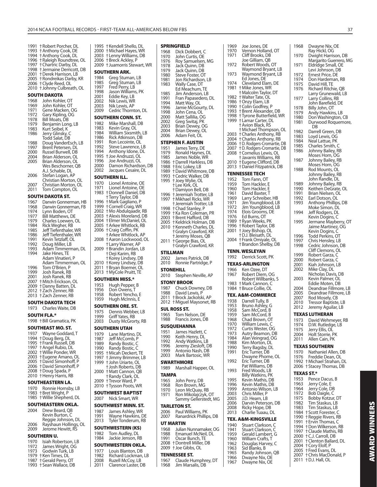1991 † Robert Porcher, DL 1993 † Anthony Cook, DE 1994 † Anthony Cook, DL 1996 † Raleigh Roundtree, OL 1997 † Chartric Darby, DL<br>1998 † Jermaine Derricott 1998 † Jermaine Derricott, DB<br>2001 + Derek Harrison LB 2001 † Derek Harrison, LB 2005 † Rondreikas Darby, KR 2006 † Clyde Reed, OL 2010 † Johnny Culbreath, OL **SOUTH DAKOTA**<br>1968 John Kohle 1968 John Kohler, OT<br>1969 John Kohler, OT 1969 John Kohler, OT<br>1971 Gene Macken, C 1971 Gene Macken, OG<br>1972 Gary Kipling, OG 1972 Gary Kipling, OG<br>1978 Bill Moats, DB 1978 Bill Moats, DB<br>1979 Benjamin Lon Benjamin Long, LB 1983 Kurt Seibel, K 1986 Jerry Glinsky, C Todd Salat, DB 1988 Doug VanderEsch, LB<br>1997 Brent Petersen, DL 1997 Brent Petersen, DL<br>2000 Russel Burwell, DB 2000 Russel Burwell, DB<br>2004 Brian Alderson, OL 2004 Brian Alderson, OL Brian Alderson, OL Wes Beschorner, QB A.J. Schable, DL<br>2006 Stefan Logan, A Stefan Logan, AP Christian Morton, OL<br>2007 Christian Morton OL 2007 Christian Morton, OL<br>2011 Tom Compton, OL Tom Compton, OL **SOUTH DAKOTA ST.** 1967 Darwin Gonnerman, HB<br>1968 Darwin Gonnerman, FB 1968 Darwin Gonnerman, FB<br>1974 Lynn Boden, OT 1974 Lynn Boden, OT<br>1977 Bill Matthews D 1977 Bill Matthews, DE<br>1979 Charles Loewen, 1979 Charles Loewen, OL<br>1984 Rick Wegher, RB 1984 Rick Wegher, RB<br>1985 Jeff Tiefenthaler. 1985 Jeff Tiefenthaler, WR<br>1986 Jeff Tiefenthaler, WR 1986 Jeff Tiefenthaler, WR<br>1991 Kevin Tetzlaff, Ol Kevin Tetzlaff, OL 1992 Doug Miller, LB 1993 Adam Timmerman, DL<br>1994 Jake Hines, TE Jake Hines, TE Adam Vinatieri, P Adam Timmerman, OL<br>1996 Tom O'Brien, P 1996 Tom O'Brien, P<br>1999 Josh Ranek, RB 1999 Josh Ranek, RB Josh Ranek, RB 2007 † Mitch Erickson, OL 2009 † Danny Batten, DL 2012 † Zach Zenner, RB 2013 † Zach Zenner, RB **SOUTH DAKOTA TECH** 1973 Charles Waite, DB **SOUTH FLA.\*** 1998 † Bill Gramatica, PK **SOUTHEAST MO. ST.** 1937 Wayne Goddard, T 1994 † Doug Berg, DL 1995 † Frank Russell, DB 1997 † Angel Rubio, DL 2002 † Willie Ponder, WR 2003 † Eugene Amano, OL 2005 † David Simonhoff, P 2006 † David Simonhoff, P 2008 † Doug Spada, P 2010 † Henry Harris, RB **SOUTHEASTERN LA.** 1970 Ronnie Hornsby, LB 1983 † Bret Wright, P 1985 † Willie Shepherd, DL **SOUTHEASTERN OKLA.**<br>2004 Drew Beard, OB Drew Beard, QB Kevin Burton, C Reggie Johnson, DL<br>2006 - Rayshaun Hollings 2006 Rayshaun Hollings, OL 2009 Jerome Hewitt, RS **SOUTHERN U.** 1970 Isiah Robertson, LB<br>1972 James Wright, OG 1972 James Wright, ÓG<br>1973 Godwin Turk, LB Godwin Turk, LB 1979 † Ken Times, DL

1987 † Gerald Perry, OT 1993 † Sean Wallace, DB

#### 1995 † Kendell Shello, DL 2000 † Michael Hayes, WR 2003 † Lenny Williams, DB 2006 † Breck Ackley, P 2009 † Juamorris Stewart, WR **SOUTHERN ARK.**<br>1984 Greg Stuma 1984 Greg Stuman, LB<br>1985 Greg Stuman, LB 1985 Greg Stuman, LB<br>1997 Fred Perry, LB 1997 Fred Perry, LB<br>1998 Dason Williams 1998 Jason Williams, PK<br>2001 Fddie Kev. J B 2001 Eddie Key, LB<br>2002 Nik Lewis, WR 2002 Nik Lewis, WR 2003 Nik Lewis, AP<br>2009 Cedric Thornt Cedric Thornton, DL **SOUTHERN CONN. ST.** 1982 Mike Marshall, DB<br>1983 Kevin Gray, OL 1983 Kevin Gray, OL<br>1984 William Sixsmi 1984 Milliam Sixsmith, LB<br>1986 Rick Atkinson, DB 1986 Rick Atkinson, DB<br>1991 Ron Lecointe, OL Ron Lecointe, OL 1992 Steve Lawrence, LB<br>1994 Anthony Idone, DI Anthony Idone, DL 1995 † Joe Andruzzi, OL 1996 Joe Andruzzi, OL<br>2000 Damon Richardso 2000 Damon Richardson, DB<br>2002 Jacques Cesaire, DL Jacques Cesaire, DL **SOUTHERN ILL.** 1970 Lionel Antoine, OE<br>1971 Lionel Antoine, OF Lionel Antoine, OE 1983 † Donnell Daniel, DB † Terry Taylor, DB 1996 + Mark Gagliano, P<br>1999 + Cornell Craig, WR 1999 † Cornell Craig, WR 2002 † Mo Abdulqaadir, RB 2003 † Alexis Moreland, DB 2004 † Elmer McDaniel, OL 2005 † Arkee Whitlock, RB<br>2006 † Craig Coffin, PK 2006 † Craig Coffin, PK † Arkee Whitlock, AP  $\dagger$  Aaron Lockwood, OL † Larry Warner, AP 2009 † Brandin Jordan, LB † Deji Karim, RB † Korey Lindsey, DB 2010 + Korey Lindsey, DB 2011 † Bryan Boemer, OL 2013 † MyCole Pruitt, TE **SOUTHERN MISS.\*** 1953 Hugh Pepper, B<br>1956 Don Owens T 1956 Don Owens, T<br>1958 Robert Yencho 1958 Robert Yencho, E<br>1959 Hugh McInnis, E Hugh McInnis, E **SOUTHERN ORE. ST.** 1975 Dennis Webber, LB<br>1999 Griff Yates, RB 1999 Griff Yates, RB<br>2003 Dusty McGror Dusty McGrorty, RB **SOUTHERN UTAH** 1979 Lane Martino, DL<br>1987 Leff McComb P 1987 Jeff McComb, P<br>1989 Randy Bostic C 1989 Randy Bostic, C<br>1990 Randy Bostic C Randy Bostic, C 1995 † Micah Deckert, TE 1997 † Jimmy Brimmer, LB 1999 † John Uriarte, OL † Josh Roberts, DB  $\dagger$  Matt Cannon, QB † Randy Clark, OL 2009 † Trevor Ward, P 2010 † Tysson Poots, WR **SOUTHWEST BAPTIST** 2007 Nick Smart, WR **SOUTHWEST MINN. ST.** 1987 James Ashley, WR<br>1991 Wayne Hawkins, D 1991 Wayne Hawkins, DE<br>2013 Tyler Tonderum, RB Tyler Tonderum, RB **SOUTHWESTERN (KS)** 1982 Tom Audley, DL<br>1984 Lackie Jenson, B Jackie Jenson, RB **SOUTHWESTERN OKLA.** 1977 Louis Blanton, DB<br>1982 Richard Lockman, 1982 Richard Lockman, LB<br>2008 Ruzell McCov, LB 2008 Ruzell McCoy, LB<br>2011 Clarence Laster, D **SPRINGFIELD** 1968 Dick Dobbert C

Clarence Laster, DB

| 1200<br>1970 | DICK DODDEI L<br>John Curtis, OE<br>Roy Samuelsen, MG       |
|--------------|-------------------------------------------------------------|
| 1976<br>1978 |                                                             |
| 1979<br>1980 | Jack Quinn, DB<br>Jack Quinn, DB<br>Steve Foster, OT        |
| 1981         | Jon Richardson, LB                                          |
| 1983         | Wally Case, DT<br>Ed Meachum, TE                            |
| 1985<br>1991 | Jim Anderson, LB                                            |
| 1994         | Fran Papasedero, DL<br>Matt Way, OL                         |
| 1996<br>1998 | Jamie McGourty, DL                                          |
| 2000         | John Cena, OL<br>Matt Sallilia, OG                          |
| 2002<br>2003 | Greg Switaj, PK<br>Brian Dewey, OG                          |
| 2004         | Brian Dewey, OL                                             |
| 2006         | Adam Feit, OL                                               |
| 1951         | STEPHEN F. AUSTIN<br>James Terry, DE                        |
| 1979         | Ronald Haynes, DL                                           |
| 1985<br>1986 | James Noble, WR<br>† Darrell Harkless, DB                   |
| 1988         | + Eric Lokey, LB                                            |
| 1989<br>1993 | † David Whitmore, DB<br>† Cedric Walker, DB                 |
| 1995         | † Joey Wylie, OL                                            |
|              | † Lee Kirk, OL                                              |
| 1996         | † Damiyon Bell, DB<br>† Jeremiah Trotter, LB                |
| 1997         | † Mikhael Ricks, WR<br>† Jeremiah Trotter, LB               |
| 1998<br>1999 | + Chad Stanley, P                                           |
| 2003         | † Ka Ron Coleman, PR<br><b>+Brent Hafford, DB</b>           |
| 2005         | † Keldrick Holman, DB                                       |
| 2010         | t Renders<br>† Kenneth Charles, DL<br>† Gralvn Crawford, KR |
|              | + Jeremy Moses, QB                                          |
| 2011         | † George Bias, OL<br>+ Gralyn Crawford, KR                  |
|              | STILLMAN                                                    |
| 2002<br>2010 | James Patrick, DB<br>Ronnie Partridge, P                    |
|              | STONEHILL                                                   |
| 2010         | Stephen Neville, AP                                         |
|              | STONY BROOK                                                 |
| 1987         | Chuck Downey, DB                                            |
| 1988<br>2011 | David Lewis, P<br>† Brock Jackolski, AP                     |
| 2012         | † Miguel Maysonet, RB                                       |
|              | SUL ROSS ST.                                                |
| 1965<br>1988 | Tom Nelson, DE<br>Francis Jones, DB                         |
|              | <b>SUSQUEHANNA</b>                                          |
| 1951         | James Hazlett, C                                            |
| 1990<br>1992 | Keith Henry, DL<br>Andy Watkins, LB                         |
| 1996         | Jeremy Ziesloft, DB<br>Antonio Nash, DB                     |
| 1999<br>2003 | Mark Bartosic, WK                                           |
|              | SWARTHMORE                                                  |
| 1989         | Marshall Happer, OL                                         |
| TAMPA        |                                                             |
| 1965<br>1968 | John Perry, DB                                              |
| 1970         | Ron Brown, MG<br>Leon McQuay, RB                            |
| 1971         | Ron Mikolajczyk, OT<br>Sammy Gellerstedt, MG                |
|              | TARLETON ST.                                                |
| 2006         | Paul Williams, PK                                           |
| 2007         | Ranardrick Phillips, DB                                     |
| 1968         | UT MARTIN<br>Julian Nunnamaker, OG                          |
| 1988         | Emanuel McNeil, DL                                          |
| 1991<br>2008 | Oscar Bunch, TE<br>† Dontrell Miller, DB                    |
| 2009         | † Joe Gibbs, OL                                             |
|              | TENNESSEE ST.                                               |
| 1967<br>1968 | Claude Humphrey, DT<br>Jim Marsalis, DB                     |
|              |                                                             |

| 1969         | Joe Jones, DE                                         |                          |
|--------------|-------------------------------------------------------|--------------------------|
| 1970         | Vernon Holland, OT                                    |                          |
| 1971         | Cliff Brooks, DB                                      |                          |
|              | Joe Gilliam, QB                                       |                          |
| 1972         | Robert Woods, OT                                      |                          |
|              | Waymond Bryant, LB                                    |                          |
| 1973         | Waymond Bryant, LB                                    | ï                        |
| 1974         | Ed Jones, DE<br>Cleveland Elam, DE                    |                          |
| 1981         | + Mike Jones, WR                                      | $\ddot{\phantom{a}}$     |
|              | † Malcolm Taylor, DT                                  |                          |
| 1982         | + Walter Tate, OL                                     |                          |
| 1986         | † Onzy Elam, LB                                       |                          |
| 1990         | t Colin Godfrey, P                                    | í                        |
| 1993         | † Brent Alexander, DB                                 |                          |
| 1998         | † Tyrone Butterfield, WR                              | $\ddot{\phantom{a}}$     |
| 1999         | † Lamar Carter, DL                                    |                          |
|              | † Avion Black, RS                                     |                          |
|              | † Michael Thompson, OL<br><b>†Charles Anthony, RB</b> | í                        |
| 2003<br>2004 | † Charles Anthony, RB                                 | $\ddot{\phantom{a}}$     |
| 2006         | † D. Rodgers-Cromartie, DB                            |                          |
| 2007         | † D. Rodgers-Cromartie, DB                            |                          |
| 2008         | t Cornelius Lewis, OL                                 |                          |
|              | † Javarris Williams, RB                               |                          |
| 2010         | + Eugene Clifford, DB                                 |                          |
| 2013         | † Daniel Fitzpatrick, DB                              | ĺ                        |
|              | <b>TENNESSEE TECH</b>                                 |                          |
| 1952         | Tom Fann, OT                                          |                          |
| 1959         | Tom Hackler, E                                        |                          |
| 1960         | Tom Hackler, E                                        | $\ddot{\phantom{a}}$     |
| 1961         | David Baxter, T                                       |                          |
| 1969         | Larry Schreiber, HB                                   |                          |
| 1971         | Jim Youngblood, LB                                    |                          |
| 1972         | Jim Youngblood, LB                                    |                          |
| 1974         | Elois Grooms, DE                                      |                          |
| 1976<br>1989 | Ed Burns, OT                                          |                          |
| 1996         | † Ryan Weeks, PK<br>† Robert Taylor, DB               |                          |
| 2001         | † Joey Bishop, OL                                     |                          |
|              | † D.J. Bleisath, DL                                   |                          |
| 2004         | † Frank Omiyale, OL                                   |                          |
|              |                                                       |                          |
|              | †Brandon Shelby, DB                                   |                          |
|              |                                                       |                          |
|              | <b>TENN. WESLEYAN</b>                                 | í                        |
| 1992         | Derrick Scott, PK                                     |                          |
|              | <b>TEXAS-ARLINGTON</b>                                |                          |
| 1966         | Ken Ozee, DT                                          |                          |
| 1967         | Robert Diem, OG                                       |                          |
|              | Robert Willbanks, S                                   | $\overline{\phantom{a}}$ |
| 1983         | † Mark Cannon, C                                      |                          |
| 1984         | † Bruce Collie, OL                                    |                          |
|              | <b>TEX. A&amp;M-COMMERCE</b>                          |                          |
| 1938         | Darrell Tully, B                                      |                          |
| 1953         | Bruno Ashley, G                                       |                          |
| 1958         | Sam McCord, B                                         |                          |
| 1959         | Sam McCord, B                                         |                          |
| 1968         | Chad Brown, OT                                        |                          |
| 1970         | William Lewis, C                                      |                          |
| 1972<br>1973 | Curtis Wester, OG                                     |                          |
| 1984         | Autry Beamon, DB                                      |                          |
| 1988         | Alan Veingrad, OG<br>Kim Morton, DL                   |                          |
| 1990         |                                                       |                          |
| 1991         | Terry Bagsby, DL<br>Eric Turner, DB                   |                          |
|              | Dwayne Phorne, OL                                     |                          |
| 1992         | Eric Turner, DB                                       |                          |
|              |                                                       |                          |
| 1993         | Pat Williams, DB<br>Fred Woods, LB                    |                          |
| 1995         | Billy Watkins, PK<br>Kevin Mathis, DB                 |                          |
| 1996         | Kevin Mathis, DB                                      |                          |
| 1999         | Antonio Wilson, LB                                    |                          |
| 2003         | Chris Miller, P                                       |                          |
| 2005         | J.D. Hearn, LB                                        |                          |
| 2006         | Darvin Peterson, DB                                   |                          |
| 2008         | Ricky Hope, DB                                        |                          |
| 2013         | Charlie Tuaau, DL                                     |                          |
|              | TEX. A&M-KINGSVILLE                                   |                          |
| 1940         | Stuart Clarkson, C                                    |                          |
| 1941         | Stuart Clarkson, C                                    |                          |
| 1959         | Gerald Lambert, G                                     |                          |
| 1960         | William Crafts, T                                     |                          |
| 1962         | Douglas Harvey, C                                     |                          |
| 1963         | Sid Blanks, B                                         |                          |
| 1965<br>1966 | Randy Johnson, QB<br>Dwayne Nix, OE                   |                          |

| 1968              | Dwayne Nix, OE                                 |
|-------------------|------------------------------------------------|
| 1970              | Ray Hickl, OG<br>Dwight Harrison, DB           |
| 1971              | Margarito Guerrero, MG<br>Eldridge Small, OE   |
| 1972              | Levi Johnson, DB<br>Ernest Price, DE           |
| 1974              | Don Hardeman, RB                               |
| 1975              | David Hill, TE                                 |
| 1976              | Richard Ritchie, QB<br>Larry Grunewald, LB     |
| 1977              | Larry Collins, RB<br>John Barefield, DE        |
| 1978              | Billy John, OT                                 |
| 1979              | Andy Hawkins, LB                               |
| 1980<br>1981      | Don Washington, CB<br>Durwood Roquemore,<br>DB |
| 1982              | Darrell Green, DB                              |
| 1983              | Loyd Lewis, OG                                 |
| 1984              | Neal Lattue, PK                                |
| 1985<br>1986      | Charles Smith, C<br>Johnny Bailey, RB          |
|                   | Moses Horn, OG                                 |
| 1987              | Johnny Bailey, RB<br>Moses Horn, OG            |
| 1988              | Rod Mounts, OL                                 |
|                   | Johnny Bailey, RB                              |
| 1989              | John Randle, DL<br>Johnny Bailey, RB           |
| 1990              | Keithen DeGrate, OL                            |
| 1991              | Brian Nielsen, OL                              |
| 1992              | Earl Dotson, OL                                |
| 1993              | Anthony Phillips, DB                           |
| 1994              | Moke Simon, DL<br>Jeff Rodgers, DL             |
|                   | Kevin Dogins, C                                |
| 1995              | Jermane Mayberry, OT                           |
|                   | Jaime Martinez, OG<br>Kevin Dogins, C          |
| 1996              | Todd Perkins, OT                               |
| 1997              | Chris Hensley, LB                              |
| 1998              | Cedric Johnson, DB<br>Cliff Clemons, OL        |
| 1999              | Robert Garza, C                                |
| 2000              | Robert Garza, C                                |
| 2001              | Kiah Johnson, LB                               |
| 2002              | Mike Clay, DL<br>Nicholas Davis, DB            |
| 2003              | Kevin Palmer, OL                               |
|                   | Eddie Moten, DB                                |
| 2004<br>2005      | Deandrae Fillmore, LB<br>Deandrae Fillmore, LB |
| 2007              | Rod Mosely, CB                                 |
| 2010              | Tressor Baptiste, LB                           |
| 2012              | Jeremy Aguilar, LB                             |
|                   | TEXAS LUTHERAN                                 |
| 1973              | David Wehmeyer, RB                             |
| 1974<br>1975      | D.W. Rutledge, LB<br>Jerry Ellis, OL           |
| 2004              | Holt Storrie, PK                               |
| 2011              | Allen Cain, PK                                 |
|                   | <b>TEXAS SOUTHERN</b>                          |
| 1970              | Nathaniel Allen, DB                            |
| 1976<br>1992      | Freddie Dean, OL<br>+Michael Strahan, DL       |
| 2006              | † Stacey Thomas, DB                            |
| <b>TEXAS ST.*</b> |                                                |
| 1953              | Pence Dacus, B                                 |
| 1963              | Jerry Cole, E                                  |
| 1964              | Jerry Cole, DB                                 |
| 1972<br>1975      | Bob Daigle, C<br>Bobby Kotzur, DT              |
| 1982              | Tim Staskus, LB                                |
| 1983              | Tim Staskus, LB                                |
| 1984              |                                                |
| 1990<br>1991      | + Scott Forester, C                            |
|                   | † Reggie Rivers, RB                            |
| 1994              | + Ervin Thomas, C<br>† Don Wilkerson, RB       |
| 1997              | + Claude Mathis, RB                            |
| 2000              | +C.J. Carroll, DB                              |
| 2001<br>2004      | + Clenton Ballard, DL                          |
| 2005              | † Cory Elolf, P<br>†Fred Evans, DL             |
| 2007<br>2011      | † Chris MacDonald, P<br>† D.J. Hall, OL        |

**AWARD WINNERS**

**AWARD WINNERS**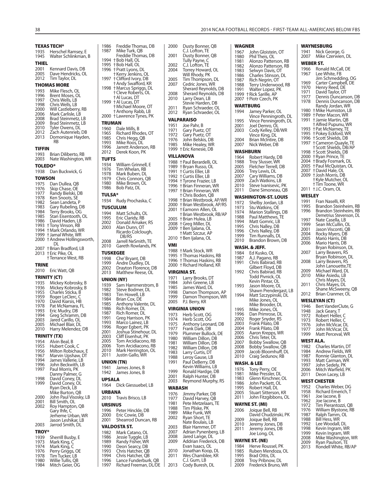|                       | <b>TEXAS TECH*</b>                                     | 1986                  | Freddie Thomas, DB                               | 2000          | Dusty Bonner, Q                                      |
|-----------------------|--------------------------------------------------------|-----------------------|--------------------------------------------------|---------------|------------------------------------------------------|
| 1935                  | Herschel Ramsey, E                                     | 1987                  | Mike Turk, QB<br>Freddie Thomas, DB              | 2001          | C.J. Lofton, TE<br>Dusty Bonner, Q                   |
| 1945                  | Walter Schlinkman, B                                   |                       | 1994 + Bob Hall, OL                              |               | Tully Payne, C                                       |
| <b>THIEL</b>          |                                                        |                       | 1995 + Bob Hall, OL                              | 2002          | C.J. Lofton, TE                                      |
| 2001<br>2005          | Kennard Davis, DB<br>Dave Hendricks, OL                |                       | 1996 † Pratt Lyons, DL<br>† Kerry Jenkins, OL    | 2004          | Torrey Howard, 0<br>Will Rhody, PK                   |
| 2012                  | Tim Taylor, DL                                         |                       | 1997 † Clifford Ivory, DB                        | 2005          | Tim Thompson,                                        |
|                       | <b>THOMAS MORE</b>                                     |                       | † Andy Swafford, KR<br>1998 † Marcus Spriggs, DL | 2007          | Cedric Jones, WF                                     |
| 1993                  | Mike Flesch, OL                                        |                       | † Cleve Roberts, OL                              | 2008          | Sherard Reynold<br>Sherard Reynold                   |
| 1996<br>1997          | Brent Moses, OL<br>Chris Wells, LB                     |                       | † Al Lucas, DT                                   | 2010          | Larry Dean, LB                                       |
| 1998                  | Chris Wells, LB                                        |                       | 1999 + Al Lucas, DT<br>† Michael Moore, OT       | 2011          | Stevie Harden, D<br>Ryan Schraeder,                  |
| 2000<br>2006          | Will Castleberry, RB<br>Mark Carlisle, LB              |                       | † Anthony Rabb, LB                               | 2012          | Ryan Schraeder,                                      |
| 2008                  | Brad Steinmetz, LB                                     |                       | 2000 + Lawrence Tynes, PK                        |               | <b>VALPARAISO</b>                                    |
| 2009<br>2010          | Brad Steinmetz, LB<br>Tyler Owens, DL                  | <b>TRUMAN</b>         |                                                  | 1951          | Joe Pahr, B                                          |
| 2012                  | Zach Autenrieb, DB                                     | 1960<br>1965          | Dale Mills, B<br>Richard Rhodes, OT              | 1971          | Gary Puetz, OT                                       |
| 2013                  | Domonique Hayden,                                      | 1985                  | Chris Hegg, QB                                   | 1972<br>1976  | Gary Puetz, OT<br>John Belskis, DB                   |
|                       | RB                                                     | 1993<br>1996          | Mike Roos, DL<br>Jarrett Anderson, RB            | 1985          | Mike Healey, WR                                      |
| <b>TIFFIN</b><br>1993 |                                                        | 2012                  | Derek Koon, PK                                   |               | 1999 † Eric Kenesie, DB                              |
| 2003                  | Brian Diliberto, RB<br>Nate Washington, WR             | <b>TUFTS</b>          |                                                  |               | <b>VILLANOVA</b>                                     |
| <b>TOLEDO*</b>        |                                                        | 1934                  | William Grinnell, E                              |               | 1988 + Paul Berardelli, C<br>1989 † Bryan Russo, OL  |
| 1938                  | Dan Buckwick, G                                        | 1976<br>1978          | Tim Whelan, RB<br>Mark Buben, DL                 |               | 1991 + Curtis Eller, LB                              |
| <b>TOWSON</b>         |                                                        | 1979                  | Chris Connors, QB                                |               | 1992 † Curtis Eller, LB                              |
| 1975                  | Dan Dullea, QB                                         | 1980                  | Mike Brown, OL                                   |               | 1994 † Tyrone Frazier, Ll<br>1996 †Brian Finneran, V |
| 1976<br>1977          | Skip Chase, OE<br>Randy Bielski, DB                    | 1986                  | Bob Patz, DL                                     |               | 1997 + Brian Finneran, V                             |
| 1978                  | Ken Snoots, SE                                         | <b>TULSA*</b><br>1934 | Rudy Prochaska, C                                |               | † Chris Boden, QB<br>1998 + Brian Westbrook,         |
| 1982<br>1983          | Sean Landeta, P<br>Gary Rubeling, DB                   |                       |                                                  |               | 2000 + Brian Westbrook,                              |
| 1984                  | Terry Brooks, OG                                       | 1994                  | <b>TUSCULUM</b><br>Matt Schults, OL              |               | 2001 + Eamonn Allen, C                               |
| 1985                  | Stan Eisentooth, OL                                    | 1995                  | Eric Claridy, RB                                 |               | † Brian Westbrook,<br>2005 † Brian Hulea, LB         |
| 1986                  | David Haden, LB<br>1993 † Tony Vinson, RB              | 2002<br>2003          | Donald Amaker, RS                                |               | 2008 + Greg Miller, DL                               |
|                       | 1994 † Mark Orlando, WR                                |                       | Alan Dunn, OT<br>Ricardo Colclough,              |               | 2009 † Ben Ijalana, OL<br>† Matt Szczur, AP          |
|                       | 1999 + Jamal White, WR<br>2000 + Andrew Hollingsworth, |                       | DB/RS                                            |               | 2010 † Ben Ijalana, OL                               |
|                       | DL                                                     | 2008<br>2010          | Jarrell NeSmith, TE<br>Gareth Rowlands, PK       | <b>VMI</b>    |                                                      |
|                       | 2007 † Brian Bradford, LB<br>2013 † Eric Pike, OL      | <b>TUSKEGEE</b>       |                                                  |               | 1988 †Mark Stock, WR                                 |
|                       | † Terrance West, RB                                    | 1998                  | Che' Bryant, DB                                  |               | 1995 † Thomas Haskins<br>1996 † Thomas Haskins       |
| TRINE                 |                                                        | 1999<br>2002          | Andre Dudley, DL<br>Drayton Florence, DB         |               | 2000 † Richard Holland,                              |
| 2010                  | Eric Watt, QB                                          | 2013                  | Matthew Reese, OL                                |               | <b>VIRGINIA ST.</b>                                  |
|                       | TRINITY (CT)                                           |                       | <b>UNION (NY)</b>                                | 1971          | Larry Brooks, DT                                     |
| 1935<br>1936          | Mickey Kobrosky, B<br>Mickey Kobrosky, B               | 1939                  | Sam Hammerstrom, B                               | 1984<br>1985  | John Greene, LB<br>James Ward, DL                    |
| 1955                  | Charles Sticka, B                                      | 1982<br>1983          | Steve Bodmer, DL<br>Tim Howell, LB               | 1998          | Damon Thomps                                         |
| 1959<br>1970          | Roger LeClerc, C<br>David Kiarsis, HB                  | 1984                  | Brian Cox, DE                                    | 1999<br>2005  | Damon Thomps<br>P.J. Berry, KR                       |
| 1978                  | Pat McNamara, FL                                       | 1985<br>1986          | Anthony Valente, DL<br>Rich Romer, DL            |               | <b>VIRGINIA UNION</b>                                |
| 1993<br>1994          | Eric Mudry, DB<br>Greg Schramm, DB                     | 1987                  | Rich Romer, DL                                   | 1973          | Herb Scott, OG                                       |
| 2003                  | Jared Carillo, OL                                      | 1991                  | Grea Harrison, PK                                | 1974          | Herb Scott, OG                                       |
| 2005                  | Michael Blair, DL                                      | 1993<br>1996          | Marco Lainez, LB<br>Roger Egbert, PK             | 1975<br>1977  | Anthony Leonar<br>Frank Dark, DB                     |
| 2010                  | Harry Melendez, DB                                     | 2001                  | Joshua Stinehour, DL                             | 1979          | <b>Plummer Bullocl</b>                               |
| 1954                  | <b>TRINITY (TX)</b><br>Alvin Beal, B                   | 2003<br>2005          | Cliff Eisenhut, PK<br>Tom Arcidiacono, RB        | 1980          | William Dillon, D                                    |
| 1955                  | Hubert Cook, C                                         | 2006                  | Tom Arcidiacono, RB                              | 1981<br>1982  | William Dillon, D<br>William Dillon, D               |
| 1956<br>1967          | Milton Robichaux, E<br>Marvin Upshaw, DT               | 2010<br>2011          | Mark Herrington, OL<br>Justin Gallo, WR          | 1983          | Larry Curtis, DT                                     |
| 1994                  | James Vallerie, LB                                     |                       | <b>UNION (TN)</b>                                | 1988<br>1991  | Leroy Gause, LB<br>Paul DeBerry, DE                  |
| 1996                  | John Beckwith, LB                                      | 1941                  | James Jones, B                                   |               | Kevin Williams, L                                    |
| 1997                  | Paul Morris, PK<br>Danny Palmer, G                     | 1942                  | James Jones, B                                   | 1999          | Ronald Hardge, I                                     |
| 1998                  | David Coney, DL                                        | <b>UPSALA</b>         |                                                  | 2001<br>2003  | Ralph Hunter, DI<br>Reymond Murph                    |
| 1999                  | David Coney, OL<br>Ryan Deck, LB                       | 1964                  | Dick Giessuebel, LB                              | <b>WABASH</b> |                                                      |
|                       | Mike Burton, QB                                        | URBANA                |                                                  | 1976          | Jimmy Parker, DI                                     |
| 2000<br>2001          | John Paul Visosky, LB<br>Bill Smith, OL                | 2010                  | Travis Brisco, LB                                | 1977          | David Harvey, QI                                     |
| 2002                  | Roy Hampton, QB                                        | URSINUS               |                                                  | 1981<br>1988  | Pete Metzelaars,<br>Tim Pliske, PK                   |
|                       | Gary Ihfe, C<br>Jerheme Urban, WR                      | 1996<br>2000          | Peter Hinckle, DB<br>Eric Cowie, DB              | 1989          | Mike Funk, WR                                        |
|                       | Jason Leshikar, LB                                     | 2001                  | Shearrod Duncan, RB                              | 2002          | Ryan Short, TE<br>Nate Boulais, LB                   |
| 2003                  | Jarrod Smith, DL                                       |                       | <b>VALDOSTA ST.</b>                              | 2003          | Blair Hammer, D                                      |
| <b>TROY*</b>          |                                                        | 1982                  | Mark Catano, OL                                  | 2007          | Adrian Pynenber                                      |
| 1939<br>1973          | Sherrill Busby, E<br>Mark King, C                      | 1986<br>1989          | Jessie Tuggle, LB<br>Randy Fisher, WR            | 2008<br>2009  | Jared Lange, DL<br>Addrian Frederic                  |
| 1974                  | Mark King, C                                           | 1990                  | Deon Searcy, DB                                  |               | Evan Isaacs, OL                                      |
| 1976<br>1978          | Perry Griggs, OE<br>Tim Tucker, LB                     | 1993<br>1994          | Chris Hatcher, QB<br>Chris Hatcher, QB           | 2010<br>2011  | Jonathan Koop,<br>Wes Chamblee, I                    |
| 1980                  | Willie Tullis, QB                                      | 1996                  | Lance Funderburk, QB                             |               | C.J. Gum, LB                                         |
| 1984                  | Mitch Geier, OG                                        | 1997                  | Richard Freeman, DL/DE                           | 2013          | Cody Buresh, DL                                      |

| 2000           | Dusty Bonner, QB<br>C.J. Lofton, TE                                                 |
|----------------|-------------------------------------------------------------------------------------|
| 2001           | Dusty Bonner, QB                                                                    |
| 2002<br>2004   | Tully Payne, C<br>C.J. Lofton, TE<br>Torrey Howard, OL<br>Will Rhody, PK            |
| 2005<br>2007   | Tim Thompson, DL<br>Cedric Jones, WR                                                |
| 2008<br>2010   | Sherard Reynolds, DB<br>Sherard Reynolds, DB<br>Larry Dean, LB<br>Stevie Harden, DB |
| 2011<br>2012   | Ryan Schraeder, OL<br>Ryan Schraeder, OL                                            |
|                | VALPARAISO                                                                          |
| 1951<br>1971   | Joe Pahr, B<br>Gary Puetz, OT                                                       |
| 1972<br>1976   | Gary Puetz, OT                                                                      |
| 1985           | John Belskis, DB<br>Mike Healey, WR                                                 |
| 1999           | † Eric Kenesie, DB<br>VILLANOVA                                                     |
| 1988           | † Paul Berardelli, OL                                                               |
| 1989<br>1991   | † Bryan Russo, OL<br>† Curtis Eller, LB                                             |
| 1992<br>1994   | + Curtis Eller, LB<br>† Tyrone Frazier, LB                                          |
| 1996<br>1997   | † Brian Finneran, WR<br>† Brian Finneran, WR                                        |
|                | † Chris Boden, QB                                                                   |
| 1998<br>2000   | † Brian Westbrook, AP/WR<br>† Brian Westbrook, AP/RS                                |
| 2001           | † Eamonn Allen, OL<br>† Brian Westbrook, RB/AP                                      |
| 2005<br>2008   | † Brian Hulea, LB<br>† Greg Miller, DL                                              |
| 2009           | † Ben Ijalana, OL                                                                   |
| 2010           | <b>+Matt Szczur, AP</b><br>† Ben Ijalana, OL                                        |
| VMI            |                                                                                     |
|                |                                                                                     |
| 1988<br>1995   | †Mark Stock, WR<br>† Thomas Haskins, RB                                             |
| 1996<br>2000   | † Thomas Haskins, RB<br>† Richard Holland, KR                                       |
|                | VIRGINIA ST.                                                                        |
| 1971<br>1984   | Larry Brooks, DT<br>John Greene, LB                                                 |
| 1985           | James Ward, DL                                                                      |
| 1998<br>1999   | Damon Thompson, AP<br>Damon Thompson, WR                                            |
| 2005           | P.J. Berry, KR<br>VIRGINIA UNION                                                    |
| 1973           | Herb Scott, OG                                                                      |
| 1974<br>1975   | Herb Scott, UG<br>Anthony Leonard, DB                                               |
| 1977<br>1979   | Frank Dark, DB<br>Plummer Bullock, DE                                               |
| 1980<br>1981   | William Dillon, DB                                                                  |
| 1982           | William Dillon, DB<br>William Dillon, DB                                            |
| 1983<br>1988   | Larry Curtis, DT<br>Leroy Gause, LB                                                 |
| 1991           | Paul DeBerry, DB<br>Kevin Williams, LB                                              |
| 1999<br>2001   | Ronald Hardge, DB<br>Ralph Hunter, DB                                               |
| 2003           | Reymond Murphy, RS                                                                  |
| WABASH<br>1976 |                                                                                     |
| 1977           | Jimmy Parker, DB<br>David Harvey, QB                                                |
| 1981<br>1988   | Pete Metzelaars, TE<br>Tim Pliske, PK                                               |
| 1989<br>2002   | Mike Funk, WR<br>Ryan Short, TE                                                     |
| 2003           | Nate Boulais, LB<br>Blair Hammer, DT                                                |
| 2007           | Adrian Pynenberg, LB                                                                |
| 2008<br>2009   | Jared Lange, DL<br>Addrian Frederick, DB                                            |
| 2010<br>2011   | Evan Isaacs, OL<br>Jonathan Koop, DL<br>Wes Chamblee, KR                            |

|     | WAGNER       |                                           |
|-----|--------------|-------------------------------------------|
|     | 1967<br>1980 | John Gloistein, OT<br>Phil Theis, OL      |
|     | 1981         | Alonzo Patterson, RB                      |
|     | 1982         | Alonzo Patterson, RB                      |
|     | 1983<br>1986 | Selwyn Davis, OT<br>Charles Stinson, DL   |
|     | 1987         | Rich Negrin, OT                           |
| Β   | 1988<br>1991 | Terry Underwood, RB<br>Walter Lopez, PK   |
| Β   | 1999         | † Rick Sarille, AP                        |
|     | 2007         | <b>+Piotr Czech, PK</b>                   |
|     | 1994         | <b>WARTBURG</b><br>Jamey Parker, OL       |
|     |              | Vince Penningroth, DL                     |
|     | 1995<br>2001 | Vince Penningroth, DL<br>Joel Demro, OL   |
|     | 2003         | Cody Kelley, DB/WR<br>Vince King, DL      |
|     | 2004         | Brian McIntire, DB                        |
|     | 2007         | Nick Weber, DB                            |
|     |              | <b>WASHBURN</b>                           |
|     | 1964<br>1988 | Robert Hardy, DB<br>Troy Slusser, WR      |
|     | 2005         | Fletcher Terrell, DB                      |
|     | 2006<br>2007 | Trey Lewis, DL<br>Cary Williams, DB       |
|     | 2009         | Zach Watkins, LB                          |
|     | 2010<br>2011 | Steve Ivanisevic, PK<br>Dane Simoneau, QB |
|     |              | <b>WASHINGTON-ST. LOUIS</b>               |
| ΝR  | 1972         | Shelby Jordan, LB                         |
| 'RS | 1973         | Stu Watkins, OE                           |
| AP  | 1974<br>1988 | Marion Stallings, DB<br>Paul Matthews, TE |
|     | 1994         | Matt Gomric, LB                           |
|     | 1995<br>1996 | Chris Nalley, DB<br>Chris Nalley, DB      |
|     | 1999         | Tim Runnalls, DL                          |
|     | 2010         | Brandon Brown, DB                         |
|     |              | WASH. & JEFF.                             |
|     | 1984<br>1987 | Ed Kusko, OL<br>A.J. Pagano, RB           |
|     | 1991         | Chris Babirad, RB                         |
|     | 1992         | Gilbert Floyd, DB<br>Chris Babirad, RB    |
|     |              | Todd Pivnick, OL                          |
|     | 1993         | Kevin Pintar, OL<br>Jason Moore, OL       |
| ĄΡ  |              | Shawn Prendergast, LB                     |
| ΝR  | 1994         | Matt Szczypinski, DL<br>Mike Jones, OL    |
|     |              | Mike Brooder, DL                          |
|     | 1995<br>1996 | Mike Jones, OL<br>Dan Primrose, DL        |
|     | 2002         | Roger Snyder, RS                          |
| Β   | 2003<br>2004 | Frank Pilato, DB<br>Frank Pilato, DB      |
| Ξ   | 2005         | Aaron Krepps, WR                          |
|     | 2006<br>2007 | Chris Teter, OL<br>Bobby Swallow, QB      |
|     | 2008         | Bobby Swallow, QB                         |
|     | 2009<br>2010 | Jacob Bloomhuff, DL<br>Craig Sedunov, RB  |
|     |              | WASH. & LEE                               |
|     | 1976         | Tony Perry, OE                            |
|     | 1981<br>1983 | Mike Pressler, DL<br>Glenn Kirschner, OL  |
| S   | 1986         | John Packett, OL                          |
|     | 1995<br>2005 | Robert Hall, DL<br>Stuart Sitterson, KR   |
|     | 2011         | John Fitzgibbons, OL                      |
|     |              | WAYNE ST. (MI)                            |
|     | 2006         | Joique Bell, RB<br>David Chudzinski, PK   |
|     | 2009         | Joique Bell, RB                           |
|     | 2010         | Jeremy Jones, DB                          |
| B   | 2011         | Jeremy Jones, DB<br>Joe Long, OL          |
| B   |              | WAYNE ST. (NE)                            |
|     | 1984         | Herve Roussel, PK                         |
|     | 1985<br>1995 | Ruben Mendoza, OL<br>Brad Ottis, DL       |
|     | 2008         | Troy Pribnow, DL                          |
|     | 2009         | Frederick Bruno, WR                       |

**WAYNESBURG**

| 1941<br>2007 | Nick George, G<br>Mike Czerwien, DL                       |
|--------------|-----------------------------------------------------------|
|              | WEBER ST.                                                 |
| 1966         | Ronald McCall, DE                                         |
| 1967         | Lee White, FB<br>Jim Schmedding, OG                       |
| 1969<br>1970 | Carter Campbell, DE                                       |
| 1971         | Henry Reed, DE<br>David Taylor, OT                        |
| 1977         | Dennis Duncanson, DB                                      |
| 1978         | Dennis Duncanson, DB                                      |
|              | Randy Jordan, WR<br>Mike Humiston, LB                     |
| 1980<br>1989 | † Peter Macon, WR                                         |
| 1991         | + Jamie Martin, QB                                        |
|              | + Alfred Pupunu, WR                                       |
| 1993<br>1995 | t Pat McNarney, TE<br>† Pokey Eckford, WR                 |
| 1996         | + Scott Shields, DB                                       |
| 1997         | + Cameron Quayle, TE                                      |
|              | † Scott Shields, DB/AP<br>† Scott Shields, DB             |
| 1998<br>2000 | † Ryan Prince, TE                                         |
| 2004         | † Brady Fosmark, DL                                       |
| 2005         | † Paul McQuistan, OL                                      |
| 2007         | † David Hale, OL                                          |
| 2009         | + Josh Morris, DB<br>t Kyle Mutcher, OL                   |
|              | † Tim Toone, WR                                           |
| 2011         | † J.C. Oram, OL                                           |
| WESLEY       |                                                           |
| 1991         | Fran Naselli, KR                                          |
| 1995         | Brandon Steinheim, RB                                     |
| 1996         | Brandon Steinheim, RB<br>Demetrius Stevenson, DL          |
| 1997         | Nate Casella, LB                                          |
| 1999         | Sean McCullin, Ol                                         |
| 2001         | Jason Visconti, QB                                        |
| 2004<br>2005 | Rocky Myers, DB<br>Mario Harris, DB                       |
| 2006         | Mario Harris, DB                                          |
|              | Bryan Robinson, DL                                        |
| 2007         | Larry Beavers, RS<br>Bryan Robinson, DL                   |
| 2008         | Larry Beavers, RS                                         |
|              | John Lanouette,TE                                         |
| 2009<br>2010 | Michael Ward, DL<br>Mike Asiedu, LB                       |
|              |                                                           |
| 2011         | Chris Mayes, DL<br>Chris Mayes, DL                        |
|              | Shane McSweeny, QB                                        |
| 2012         | Brian Cranmer, OL                                         |
| 1946         | <b>WESLEYAN (CT)</b><br>Bert VanderClute, G               |
| 1948         | Jack Geary, T                                             |
| 1972         | Robert Heller, C                                          |
| 1973         | Robert Heller, C                                          |
| 1976<br>1977 |                                                           |
| 1999         | John McVicar, DL<br>John McVicar, DL<br>Matt Perceval, WR |
|              | WEST ALA.                                                 |
| 1982         |                                                           |
| 1984         | Charles Martin, DT<br>Andrew Fields, WR                   |
| 1987         | Ronnie Glanton, DL                                        |
| 1993<br>1997 | Matt Carman, WR                                           |
| 2006         | John Sedely, PK<br>Mitch Warfield, PK                     |
| 2011         | Deon Lacey, LB                                            |
|              | <b>WEST CHESTER</b>                                       |
| 1952         | Charles Weber, DG                                         |
| 1958<br>1961 | Richard Emerich, T                                        |
| 1962         | Joe Iacone, B<br>Joe Iacone, B                            |
| 1972         | Tim Pierantozzi, QB                                       |
| 1976         | William Blystone, RB                                      |
| 1987<br>1988 | Ralph Tamm, OL<br><b>Bill Hess, WR</b>                    |
| 1992         | Lee Woodall, DL                                           |
| 1998         | Kevin Ingram, WR<br>Kevin Ingram, WR<br>Milu Washin the   |
| 1999         |                                                           |
| 2008<br>2009 | Mike Washington, WR<br>Ryan Paulson, TE                   |
| 2013         | Rondell White, RB/AP                                      |
|              |                                                           |
|              |                                                           |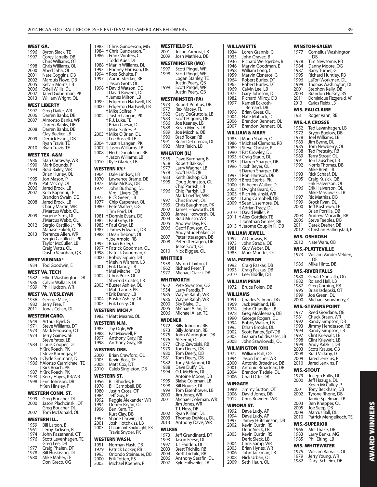1983 † Chris Gunderson, MG<br>1984 † Chris Gunderson T

# **WINSTON-SALEM**

|      | <b>WINSTON-SALEM</b>                |
|------|-------------------------------------|
| 1977 | Cornelius Washington,<br>DΒ         |
| 1978 |                                     |
| 1984 | Tim Newsome, RB                     |
|      | Danny Moore, OG                     |
| 1987 | Barry Turner, G                     |
| 1995 | <b>Richard Huntley, RB</b>          |
| 1996 | LaTori Workman, DL                  |
| 1999 | Thomas Washington, DL               |
| 2001 | Stephon Kelly, DB                   |
| 2003 | Brandon Hussey, RS                  |
| 2011 | Dominique Fitzgerald, AP            |
| 2013 | Carlos Fields, LB                   |
|      | <b>WIS.-EAU CLAIRE</b>              |
| 1981 | Roger Vann, RB                      |
|      | WIS.-LA CROSSE                      |
| 1952 | Ted Levanhagen, LB                  |
| 1972 | Bryon Buelow, DB                    |
| 1978 | Joel Williams, LB                   |
| 1983 | Jim Byrne, DL                       |
| 1985 | Tom Newberry, OL                    |
| 1988 | Ted Pretasky, RB                    |
| 1989 | Terry Strouf, OL                    |
| 1991 | Jon Lauscher, LB                    |
| 1992 | Norris Thomas, DB                   |
|      | Mike Breit, LB                      |
| 1993 | Rick Schaaf, DL<br>Craig Kusick, QB |
| 1995 |                                     |
|      | Erik Halverson, OL                  |
| 1996 | Erik Halverson, OL                  |
|      | Mike Maslowski, LB                  |
| 1997 | Ric Mathias, DB                     |
| 1999 | Brock Ryan, DL                      |
| 2000 | Jeff Kostrewa, TE                   |
|      | Brian Portilia, DB                  |
| 2003 | Andrew Mocadlo, RB                  |
| 2006 | Steve Teeples, DB                   |
| 2011 | Derek Dreher, DB                    |
| 2012 | Christian Hallingstad, P            |
|      | WIS.-OSHKOSH                        |
| 2012 | Nate Wara, QB                       |
|      | <b>WIS.-PLATTEVILLE</b>             |
|      |                                     |
| 1973 | William Vander Velden,<br>DΕ        |
| 1986 | Mike Hintz, DB                      |
|      | WIS.-RIVER FALLS                    |
| 1980 | Gerald Sonsalla, OG                 |
| 1982 | Roland Hall, LB                     |
| 1987 | Greg Corning, RB                    |
| 1995 | Brian Izdepski, OT                  |

1999 Joe Green, DL<br>2000 Michael Snow

WIS.-STOUT<br>1979 loseph 1979 Joseph Bullis, DL<br>2000 Jeff Hazuga, DL 2000 Jeff Hazuga, DL Kevin McCulley, P 2001 Tony Beckham, DB<br>2002 Tyrone Rhone, DB Tyrone Rhone, DB Jamie Spielman, LB<br>2003 – Ben Knepper, Ol 2003 Ben Knepper, OL<br>2005 Joe Seep, DB 2005 Joe Seep, DB 2009 Marcus Ball, DL 2010 Patrick Mengelkoch, TE

**WIS.-STEVENS POINT** 1977 Reed Giordana, QB<br>1981 Chuck Braun, WR 1981 Chuck Braun, WR<br>1992 Randy Simpson, I 1992 Randy Simpson, DB<br>1993 Jimmy Henderson, I 1993 Jimmy Henderson, RB<br>1994 Randy Simpson, LB 1994 Randy Simpson, LB<br>1997 Clint Kriewalt, LB 1997 Clint Kriewalt, LB<br>1998 Clint Kriewalt, LB 1998 Clint Kriewalt, LB<br>1999 Andy Palzkill, DB 1999 Andy Palzkill, DB 2003 Scott Krause, QB 2008 Brad Vickroy, DT<br>2009 Jared Jenkins, P 2009 Jared Jenkins, P<br>2010 Jared Jenkins, P Jared Jenkins, P

Michael Snowberry, C

#### 1972 Bruce Polen, DB

**WILLIAMS** 

**WM. PATERSON** 1992 Craig Paskas, DB<br>1993 Craig Paskas, DB 1993 Craig Paskas, DB Leer Biddle, DB

**WILLIAM PENN**

| 1951 | Charles Salmon, DG  |
|------|---------------------|
| 1969 | Jack Maitland, HB   |
| 1974 | John Chandler, LB   |
| 1978 | Greg McAleenan, DB  |
| 1990 | George Rogers, DL   |
| 1994 | Bobby Walker, LB    |
| 1995 | Ethan Brooks, DL    |
| 2002 | Scott Farley SnT/DR |

2002 Scott Farley, SpT/DB 2003 Graham Goldwasser, LB 2008 John Szawlowski, OL

## **WILMINGTON**

|      | WILMINGTON (OH)      |
|------|----------------------|
| 1972 | William Roll, OG     |
| 1994 | Jason Tincher. WR    |
| 2000 | Antonio Broadnax, DB |
| 2001 | Antonio Broadnax, DB |

2001 Antonio Broadnax, DB 2004 Brandon Tisdale, DL 2006 Chad Otte, DB

# **WINGATE**

| 2012         | Chris Bowden, WR                    |  |
|--------------|-------------------------------------|--|
| 1989<br>2006 | Jimmy Sutton, OT<br>David Jones, DB |  |

|      | WINONA ST.           |
|------|----------------------|
| 1992 | Dave Ludy, AP        |
| 1994 | Dave Ludy, AP        |
| 1997 | Jamey Hutchinson, DB |
| 2002 | Kevin Curtin, RS     |
|      | Deric Sieck, LB      |
| 2003 | Kevin Curtin, RS     |
|      | Deric Sieck, LB      |
| 2004 | Chris Samp, WR       |

2005 Brian Hynes, WR 2006 John Tackman, LB 2008 Nick Urban, OL<br>2009 Seth Haun Ol Seth Haun, OL

#### 1966 Mel Thake, DB<br>1983 Larry Banks M 1983 Larry Banks, MG<br>1985 Phil Fiting J B Phil Eiting, LB **WIS.-WHITEWATER**

**WIS.-SUPERIOR**

**AWARD WINNERS**

**AWARD WINNERS** 

| 1975 | William Barwick, OL |
|------|---------------------|
| 1979 | Jerry Young, WR     |
| 1982 | Daryl Schleim, DE   |

**WEST GA.** 1996 Byron Slack, TE<br>1997 Corey Jarrells, D **Corey Jarrells, DB** Chris Williams, OT<br>1998 Chris Williams, OI 1998 Chris Williams, OL<br>2000 Abed Taha, Ol Abed Taha, OL 2001 Nate Coggins, DB 2002 Marquis Floyd, DB 2005 Kelvin Morris, LB<br>2006 Odell Willis, DL 2006 Odell Willis, DL<br>2007 Jared Guberma 2007 Jared Guberman, PK<br>2013 William Wright, OL William Wright, OL **WEST LIBERTY** 1997 Greg Dailer, WR<br>2006 Darren Banks, D 2006 Darren Banks, DB Almonzo Banks, WR Darren Banks, DB<br>2008 Darren Banks, DB Darren Banks, DB Clay Beeker, LB<br>2009 Derrick Fyans, D Derrick Evans, DB Ryan Travis, TE<br>2010 - Ryan Travis, TF Ryan Travis, TE **WEST TEX. A&M** 1986 Stan Carraway, WR<br>1990 Mark Bounds P 1990 Mark Bounds, P<br>1994 Rrad Bailey WR Brad Bailey, WR Brian Hurley, OL<br>1995 Jon Mason, P 1995 Jon Mason, P<br>2005 Pat McCov. O 2005 Pat McCoy, OL<br>2006 Jared Brock Lt 2006 Jared Brock, LB<br>2007 Kolo Kapanuj T Kolo Kapanui, TE Brandon Swain, DE<br>2008 Jared Brock, LB 2008 Jared Brock, LB Charly Martin, WR J'Marcus Webb, OL<br>2009 Eugene Sims, DL Eugene Sims, DL J'Marcus Webb, OL<br>2012 - Sergio Castillo Ir 2012 Sergio Castillo Jr., PK Manase Foketi, OL 2013 Torrance Allen, WR Sergio Castillo Jr., PK Taylor McCuller, LB Craig Watts, OL Dustin Vaughan, QB **WEST VIRGINIA\*** 1934 Tod Goodwin, E **WEST VA. TECH**<br>1982 **Flliott Was** 1982 Elliott Washington, DB<br>1986 Calvin Wallace, DL 1986 Calvin Wallace, DL<br>1989 Phil Hudson, WR Phil Hudson, WR **WEST VA. WESLEYAN** 1936 George Mike, T<br>1982 Jerry Free T 1982 Jerry Free, T<br>2011 Jonas Celian 2011 Jonas Celian, DL **WESTERN CARO.** 1949 Arthur Byrd, G<br>1971 Steve Williams. 1971 Steve Williams, DT<br>1973 Mark Ferguson, O 1973 Mark Ferguson, OT<br>1974 Jerry Gaines, SE Jerry Gaines, SE Steve Yates, LB<br>1984 Houis Cooper, D 1984 † Louis Cooper, DL † Kirk Roach, PK † Steve Kornegay, P 1985 † Clyde Simmons, DL<br>1986 † Alonzo Carmichael, 1986 † Alonzo Carmichael, TE † Kirk Roach, PK<br>1987 † Kirk Roach, PK 1987 † Kirk Roach, PK 1993 † Kerry Hayes, KR/WR<br>1998 † Fric Johnson, DB 1998 † Eric Johnson, DB † Ken Hinsley, P **WESTERN CONN. ST.**

#### 1999 Greg Boucher, DL<br>2000 Jason Plachcinski Jason Plachcinski, OT Greg Boucher, DL<br>2007 Tom McDonald, C Tom McDonald, OL

### **WESTERN ILL.**

| 1959 | Bill Larson, B       |
|------|----------------------|
| 1961 | Leroy Jackson, B     |
| 1974 | John Passananti, OT  |
| 1976 | Scott Levenhagen, TE |
|      | Greg Lee, DB         |
| 1977 | Craig Phalen, DT     |
| 1978 | Bill Huskisson, DL   |
| 1980 | Mike Maher, TE       |

Don Greco, OG

|              | 1984 + Chris Gunderson, T<br>1986 †Frank Winters, C     | 2001         | Josue Zamora, LB                            |
|--------------|---------------------------------------------------------|--------------|---------------------------------------------|
|              | † Todd Auer, DL                                         | 2009         | Josh Mathieu, DB                            |
|              | 1988 + Marlin Williams, DL                              | 1997         | <b>WESTMINSTER (MO)</b><br>Scott Pingel, WR |
|              | 1993 + Rodney Harrison, DB<br>1994 + Ross Schulte, P    | 1998         | Scott Pingel, WR                            |
|              | 1997 † Aaron Stecker, RB                                |              | Logan Stanley, TE                           |
|              | † Jason Grott, OL<br>1998 †David Watson, DE             | 1999         | Justin Peery, QB<br>Scott Pingel, WR        |
|              | † David Bowens, DL                                      |              | Justin Peery, QB                            |
|              | † James Milton, LB                                      |              | WESTMINSTER (PA)                            |
|              | 1999 + Edgerton Hartwell, LB                            | 1973         | Robert Pontius, D                           |
|              | 2000 + Edgerton Hartwell, LB<br>† Mike Scifres, P       | 1977         | Rex Macey, FL                               |
|              | 2002 † Justin Langan, PK                                | 1982<br>1983 | Gary DeGruttola, I                          |
|              | +R.J. Luke, TE                                          | 1986         | Scott Higgins, DB<br>Joe Keaney, LB         |
|              | † Brian Caesar, DL<br>† Mike Scifres, P                 | 1988         | Kevin Myers, LB                             |
|              | 2003 †Mike O'Brien, DL                                  | 1989         | Joe Micchia, QB                             |
|              | † Lee Russell, LB                                       | 1990<br>1991 | Brad Tokar, RB<br>Brian DeLorenzo,          |
| 2007         | 2004 † Justin Langan, PK<br>† Jason Williams, LB        | 1992         | Matt Raich, LB                              |
| 2008         | <b>+Herb Donaldson, RB</b>                              |              | WHEATON (IL)                                |
|              | + Jason Williams, LB                                    | 1955         | Dave Burnham, B                             |
|              | 2010 †Kyle Glazier, LB                                  | 1958         | Robert Bakke, T                             |
|              | WESTERN KY.*                                            | 1977         | Larry Wagner, LB                            |
| 1964         | Dale Lindsey, LB                                        | 1978<br>1983 | Scott Hall, QB<br>Keith Bishop, QB          |
| 1970         | Lawrence Brame, DE                                      | 1995         | Doug Johnston, C                            |
| 1973<br>1974 | Mike McKoy, DB<br>John Bushong, DL                      |              | Chip Parrish, LB                            |
|              | Virgil Livers, DB                                       | 1996         | Chip Parrish, LB                            |
| 1975         | Rick Green, LB                                          | 1997         | Mark Loeffler, WR<br>Chris Brown, OL        |
| 1977         | Chip Carpenter, OL                                      | 1999         | Chris Baughman,                             |
|              | 1980 †Pete Walters, OG<br>† Tim Ford, DL                | 2002         | James Hoxworth,                             |
| 1981         | † Donnie Evans, DE                                      | 2003         | James Hoxworth,                             |
|              | 1982 + Paul Gray, LB                                    | 2004<br>2005 | Brad Musso, WR<br>Andrew Day, PK            |
|              | 1983 †Paul Gray, LB<br>1987 †James Edwards, DB          | 2006         | Geoff Rowson, OL                            |
|              | 1988 +Dean Tiebout, OL                                  |              | Andy Studebaker,                            |
|              | † Joe Arnold, RB                                        | 2007<br>2008 | Peter Ittersagen, L                         |
| 1995         | † Brian Bixler, C                                       |              | Peter Ittersagen, L<br>Jesse Scott, OL      |
|              | 1997 † Patrick Goodman, OL<br>1998 † Patrick Goodman, C | 2010         | Nick Biggee, OL                             |
|              | 2000 + Bobby Sippio, DB                                 | WHITTIER     |                                             |
|              |                                                         |              |                                             |
|              | † Melvin Wisham, LB                                     | 1938         | Myron Claxton, T                            |
| 2001         | † Erik Dandy, LB                                        | 1962         | Richard Peter, T                            |
|              | † Mel Mitchell, DB<br>2002 † Chris Price, OL            | 1977         | Michael Ciacci, DE                          |
|              | † Sherrod Coates, LB                                    |              | WHITWORTH                                   |
|              | 2003 † Buster Ashley, OL                                | 1952         | Pete Swanson, OC                            |
|              | †Matt Lange, PK                                         | 1954<br>1985 | Larry Paradis, T                            |
|              | + Erik Dandy, LB<br>2004 †Buster Ashley, OL             | 1986         | Wayne Ralph, WR<br>Wayne Ralph, WR          |
|              | 2005 † Erik Losey, OL                                   | 2000         | Sky Blake, DL                               |
|              | <b>WESTERN MICH.*</b>                                   | 2005         | Michael Allan, TE                           |
|              | 1982 + Matt Meares, OL                                  | 2006         | Michael Allan, TE                           |
|              | <b>WESTERN N.M.</b>                                     | WIDENER      |                                             |
| 1983         | Jay Ogle, WR                                            | 1972<br>1973 | Billy Johnson, RB<br>Billy Johnson, RB      |
| 1988         | Pat Maxwell, P                                          | 1975         | John Warrington,                            |
| 1997<br>1998 | Anthony Gray, RB                                        | 1976         | Al Senni, OL                                |
|              | Anthony Gray, RB                                        | 1977<br>1979 | Chip Zawoiski, RB                           |
|              | <b>WESTERN ORE.</b>                                     | 1980         | Tom Deery, DB<br>Tom Deery, DB              |
| 2000<br>2005 | Brian Crawford, OL<br>Kevin Boss, TE                    | 1981         | Tom Deery, DB                               |
| 2008         | Matt Cox, DT                                            | 1982         | Tony Stefanoni, D                           |
| 2010         | Caleb Singleton, DB                                     | 1988<br>1994 | Dave Duffy, DL<br>O.J. McElroy, DL          |
|              | WESTERN ST.                                             |              | Antoine Moore, D                            |
| 1956         | Bill Rhodes, B                                          | 1995         | Blaise Coleman, LI                          |
| 1978         | Bill Campbell, DB                                       | 1998<br>1999 | Bill Nourse, DL<br>Tom Eisenhower, I        |
| 1980<br>1984 | Justin Cross, OT<br>Jeff Guy, P                         | 2000         | Jim Jones, WR                               |
| 1992         | Reggie Alexander, WR                                    | 2001         | Michael Coleman,                            |
| 1994         | Derren Bryan, OL                                        |              | Jim Jones, WR                               |
| 1996         | Ben Kern, TE                                            | 2002         | T.J. Hess, DB<br>Ryan Killian, DL           |
| 1997         | Kurt Clay, DB<br>Shane Carwin, LB                       | 2003         | Thomas DeMoss,                              |
| 2001         | Josh Hotchkiss, LB                                      | 2013         | Anthony Davis, W                            |
| 2003         | Chaumont Bouknight, RB                                  | WILKES       |                                             |
|              | Travis Snyder, PK                                       | 1973         | Jeff Grandinetti, D                         |
|              | WESTERN WASH.                                           | 1993<br>1997 | Jason Feese, DL<br>J.J. Fadden, DL          |
| 1951<br>1979 | Norman Hash, DB<br>Patrick Locker, RB                   | 2003         | Brett Trichilo, RB                          |
| 1995         | Orlondo Steinauer, DB                                   | 2004         | Brett Trichilo, RB                          |
| 2000<br>2002 | Erik Totten, RS<br>Michael Koenen, P                    | 2006<br>2007 | Anthony Serafin, I<br>Kyle Follweiler, LB   |

|                          | WESTMINSTER (MO)                                                  |
|--------------------------|-------------------------------------------------------------------|
| 1997<br>1998             | Scott Pingel, WR<br>Scott Pingel, WR<br>Logan Stanley, TE         |
| 1999                     | Justin Peery, QB<br>Scott Pingel, WR<br>Justin Peery, QB          |
|                          | WESTMINSTER (PA)                                                  |
| 1973                     | Robert Pontius, DB                                                |
| 1977<br>1982             | Rex Macey, FL<br>Gary DeGruttola, LB                              |
| 1983                     | Scott Higgins, DB                                                 |
| 1986                     |                                                                   |
| 1988<br>1989             | Joe Keaney, LB<br>Kevin Myers, LB<br>Joe Micchia, QB              |
| 1990                     | Brad Tokar, RB                                                    |
| 1991<br>1992             | Brian DeLorenzo, DL<br>Matt Raich, LB                             |
| 1955                     | WHEATON (IL)<br>Dave Burnham, B                                   |
| 1958                     | Robert Bakke, T                                                   |
| 1977                     | Larry Wagner, LB                                                  |
| 1978<br>1983             | Scott Hall, QB<br>Keith Bishop, QB                                |
| 1995                     | Doug Johnston, OL                                                 |
|                          | Chip Parrish, LB                                                  |
| 1996                     | Chip Parrish, LB<br>Mark Loeffler, WR                             |
| 1997                     | Chris Brown, OL                                                   |
| 1999                     | Chris Baughman, PK                                                |
| 2002<br>2003             | James Hoxworth, OL<br>James Hoxworth, OL                          |
| 2004                     | Brad Musso, WR                                                    |
| 2005                     | Andrew Day, PK                                                    |
| 2006                     | Geoff Rowson, OL<br>Andy Studebaker, DL                           |
| 2007                     | Peter Ittersagen, DB                                              |
| 2008                     | Peter Ittersagen, DB                                              |
|                          | Jesse Scott, OL                                                   |
| 2010<br>WHITTIER         | Nick Biggee, OL                                                   |
| 1938                     | Myron Claxton, T                                                  |
| 1962                     | Richard Peter, T                                                  |
| 1977                     | Michael Ciacci, DB                                                |
|                          | WHITWORTH                                                         |
| 1952<br>1954             | Pete Swanson, OG<br>Larry Paradis, T                              |
| 1985                     |                                                                   |
| 1986                     | Wayne Ralph, WR<br>Wayne Ralph, WR                                |
| 2000<br>2005             | Ský Blake, DL<br>Michael Allan, TE                                |
| 2006                     | Michael Allan,<br>ΙE                                              |
| <b>WIDENER</b>           |                                                                   |
| 1972                     | Billy Johnson, RB                                                 |
| 1973<br>1975             | Billy Johnson, RB                                                 |
| 1976                     | John Warrington, DB<br>Al Senni, OL                               |
| 1977                     | Chip Zawoiski, RB                                                 |
| 1979                     |                                                                   |
| 1980<br>1981             | Tom Deery, DB<br>Tom Deery, DB<br>Tom Deery, DB<br>Tom: Stefanoni |
| 1982                     | Tony Stefanoni, DL<br>Dave Duffy, DL                              |
| 1988                     |                                                                   |
| 1994                     | O.J. McElroy, DL<br>Antoine Moore, DB                             |
| 1995                     | Blaise Coleman, LB                                                |
| 1998                     | Bill Nourse, DL                                                   |
| 1999<br>2000             | Tom Eisenhower, LB<br>Jim Jones, WR                               |
| 2001                     | Michael Coleman, WR                                               |
|                          | Jim Jones, WR<br>T.J. Hess, DB                                    |
| 2002                     | Ryan Killian, DL                                                  |
| 2003                     | Thomas DeMoss, DL                                                 |
| 2013                     | Anthony Davis, WR                                                 |
| <b>WILKES</b>            |                                                                   |
| 1973                     | Jeff Grandinetti, DT                                              |
| 1993                     | Jason Feese, DL                                                   |
| 1997<br>$\frac{2003}{3}$ | J.J. Fadden, DL<br>Brett Trichilo, RB                             |
| 2004                     | Brett Trichilo, RB<br>Anthony Serafin, DL                         |
| 2006<br>2007             | Kyle Follweiler, LB                                               |

**WESTFIELD ST.**

**WILLAMETTE** 1934 Loren Grannis, G<br>1935 John Oravec, B 1935 John Oravec, B<br>1936 Richard Weisge 1936 Richard Weisgerber, B<br>1946 Marvin Goodman, E 1946 Marvin Goodman, E<br>1958 William Long, C William Long, C 1959 Marvin Cisneros, G<br>1964 Robert Burles, DT 1964 Robert Burles, DT<br>1965 Robert Burles, DT 1965 Robert Burles, DT<br>1969 Calvin Lee, LB 1969 Calvin Lee, LB<br>1975 Gary Johnson 1975 Gary Johnson, DL<br>1982 Richard Milroy DI Richard Milroy, DB 1997 Kamell Eckroth-Bernard, DB 1998 Brian Greer, OL<br>2004 Nate Matlock 2004 Nate Matlock, DL 2006 Brandon Bennett, OL Brandon Bennett, OL

**WILLIAM & MARY** 1983 † Mario Shaffer, OL 1986 † Michael Clemons, RB 1989 † Steve Christie, P 1990 † Pat Crowley, DL 1993 † Craig Staub, DL 1995 † Darren Sharper, DB 1996 † Josh Beyer, OL † Darren Sharper, DB 1997 † Ron Harrison, DB 1999 † Brett Sterba, PK 2000 † Raheem Walker, DL 2002 † Dwight Beard, OL 2003 † Rich Musinski, WR 2004 † Lang Campbell, QB 2009 † Sean Lissemore, DL † Adrian Tracy, DL 2010 † David Miller, P 2011 † Alex Gottlieb, TE † Jonathan Grimes, RB 2013 † Jerome Couplin III, DB **WILLIAM JEWELL** 1952 Al Conway, B<br>1973 – John Strada ( 1973 John Strada, OE<br>1981 Guy Weber DI 1981 Guy Weber, DL<br>1983 Mark Mundel ( Mark Mundel, OL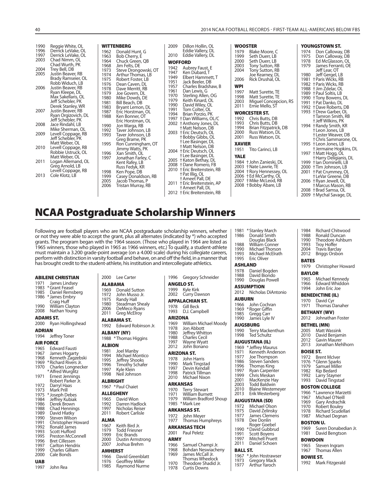| 1990<br>1996<br>1997<br>2003<br>2004<br>2005<br>2006<br>2007<br>2008<br>2009<br>2010<br>2011<br>2013 | Reggie White, OL<br>Derrick LeVake, OL<br>Derrick LeVake, OL<br>Chad Nimm, OL<br>Chad Wurth, PK<br>Trey Bell, DB<br>Justin Beaver, RB<br>Brady Ramseier, OL<br>Robb Widuch, LB<br>Justin Beaver, RB<br>Ryan Kleepe, DL<br>Max Sakellaris, OL<br>Jeff Schebler, PK<br>Derek Stanley, WR<br>Justin Beaver, RB<br>Ryan Orgizovich, DL<br>Jeff Schebler, PK<br>Jace Rindahl, LB<br>Mike Sherman, OL<br>Levell Coppage, RB<br>Jeff Schebler, PK<br>Matt Weber, OL<br>Levell Coppage, RB<br>Robbie Ustruck, OL<br>Matt Weber, OL<br>Logan Allemand, OL<br>Greg Arnold, LB<br>Levell Coppage, RB<br>Cole Klotz, LB | <b>WITTENBERG</b><br>1962<br>Donald Hunt, G<br>1963<br>Bob Cherry, E<br>1964<br>Chuck Green, OB<br>1968<br>Jim Felts, DE<br>1973<br>Steve Drongowski, OT<br>1974<br>Arthur Thomas, LB<br>1975<br>Robert Foster, LB<br>1976<br>Dean Caven, DL<br>1978<br>Dave Merritt, RB<br>1979<br>Joe Govern, DL<br>1980<br>Mike Dowds, DE<br>1981<br>Bill Beach, DB<br>1983<br>Bryant Lemon, DL<br>1987<br>Eric Horstman, OL<br>1988<br>Ken Bonner, OT<br>Eric Horstman, OL<br>1990<br>Jon Warga, RB<br>1992<br>Taver Johnson, LB<br>1993<br>Taver Johnson, LB<br>Greg Brame, PK<br>1995<br>Ron Cunningham, OT<br>Jimmy Watts, PK<br>1996<br>Xan Smith, OL<br>1997<br>Jonathan Farley, C<br>Kent Rafey, LB<br>Russ Fedyk, KR<br>1998<br>Ken Pope, DB<br>1999<br>Casey Donaldson, RB | 2009<br>Dillon Hollin, OL<br>Eddie Vallery, DL<br>2010<br>Eddie Vallery, DL<br><b>WOFFORD</b><br>1942<br>Aubrey Faust, E<br>1947<br>Ken Dubard, T<br>1949<br>Elbert Hammett, T<br>1951<br>Jack Beeler, DB<br>1957<br>Charles Bradshaw, B<br>1961<br>Dan Lewis, G<br>1970<br>Sterling Allen, OG<br>1979<br>Keith Kinard, OL<br>1990<br>David Wiley, OL<br>1991<br>Tom Colter, OL<br>1994<br>Brian Porzio, PK<br>1997<br>† Dan Williams, OL/C<br>2002 † Anthony Jones, DL<br>+Matt Nelson, DB<br>2003 + Eric Deutsch, OL<br>† Bobby Gibbs, OL<br>† Lee Basinger, DL<br>†Matt Nelson, DB<br>2004 † Eric Deutsch, OL<br>+Lee Basinger, DL<br>2005 + Katon Bethay, DL<br>2008 + Dane Romero, FB<br>2010 † Eric Breitenstein, RB<br>+Pat Illig, OL | <b>WOOSTER</b><br>1979<br>Blake Moore, C<br>1999<br>Seth Duerr, LB<br>2000<br>Seth Duerr, LB<br>2003<br>Tony Sutton, RB<br>2004<br>Tony Sutton, RB<br>Joe Kearney, DL<br>2006<br>Rick Drushal, OL<br><b>WPI</b><br>1997<br>Matt Surette, TE<br>1998<br>Matt Surette, TE<br>2003<br>Miguel Concepcion, RS<br>Ernie Mello, ST<br>2011<br><b>WORCESTER ST.</b><br>Chris Butts, DB<br>1992<br>1993<br>Chris Butts, DB<br>1994<br>Brian Fitzpatrick, DB<br>2000<br>Russ Watson, DL<br>2001<br>Russ Watson, DL<br><b>XAVIER</b><br>Tito Carinci, LB<br>1951<br><b>YALE</b><br>1984 + John Zanieski, DL<br>2003 + Nate Lawrie, TE<br>2004 † Rory Hennessey, OL<br>2006 + Ed McCarthy, OL | YOUNGSTOWN ST.<br>Don Calloway, DB<br>1974<br>1975<br>Don Calloway, DB<br>1978<br>Ed McGlasson, OL<br>1979<br>James Ferranti, OE<br>Jeff Lear, OT<br>Jeff Gergel, LB<br>1980<br>1981<br><sup>+</sup> Paris Wicks, RB<br>1982 + Paris Wicks, RB<br>1988 + Jim Zdelar, OL<br>1989 † Paul Soltis, LB<br>1990 † Tony Bowens, DL<br>1991<br>† Pat Danko, DL<br>1992 + Dave Roberts, DB<br>1993 + Drew Garber, OL<br>† Tamron Smith, RB<br>+ Jeff Wilkins, PK<br>1994 † Randy Smith, KR<br>+Leon Jones, LB<br><b>+Lester Weaver, DB</b><br>† Chris Sammarone, OL<br>1995 + Leon Jones, LB<br><b>+Jermaine Hopkins, DL</b><br>1997 + Matt Hogg, OL<br>† Harry Deligianis, DL<br>1999 + lan Dominelli, LB<br>2000 † Tim Johnson, LB<br>2001 + Pat Crummey, OL<br><b>+LeVar Greene, DB</b> |
|------------------------------------------------------------------------------------------------------|-------------------------------------------------------------------------------------------------------------------------------------------------------------------------------------------------------------------------------------------------------------------------------------------------------------------------------------------------------------------------------------------------------------------------------------------------------------------------------------------------------------------------------------------------------------------------------------------------------------|------------------------------------------------------------------------------------------------------------------------------------------------------------------------------------------------------------------------------------------------------------------------------------------------------------------------------------------------------------------------------------------------------------------------------------------------------------------------------------------------------------------------------------------------------------------------------------------------------------------------------------------------------------------------------------------------------------------------------------------------------------------------|----------------------------------------------------------------------------------------------------------------------------------------------------------------------------------------------------------------------------------------------------------------------------------------------------------------------------------------------------------------------------------------------------------------------------------------------------------------------------------------------------------------------------------------------------------------------------------------------------------------------------------------------------------------------------------------------------------------------------------------------|-----------------------------------------------------------------------------------------------------------------------------------------------------------------------------------------------------------------------------------------------------------------------------------------------------------------------------------------------------------------------------------------------------------------------------------------------------------------------------------------------------------------------------------------------------------------------------------------------------------------------------------------------------------------------------------|-----------------------------------------------------------------------------------------------------------------------------------------------------------------------------------------------------------------------------------------------------------------------------------------------------------------------------------------------------------------------------------------------------------------------------------------------------------------------------------------------------------------------------------------------------------------------------------------------------------------------------------------------------------------------------------------------------------------------------------------------------------------------------------|
|                                                                                                      |                                                                                                                                                                                                                                                                                                                                                                                                                                                                                                                                                                                                             | Jacob Thomas, P<br>2005<br>2006<br>Tristan Murray, RB                                                                                                                                                                                                                                                                                                                                                                                                                                                                                                                                                                                                                                                                                                                  | + Ameet Pall, DE<br>2011 + Eric Breitenstein, AP<br>† Ameet Pall, DL<br>2012 † Eric Breitenstein, RB                                                                                                                                                                                                                                                                                                                                                                                                                                                                                                                                                                                                                                         | 2007 + Mike McLeod, RB<br>2008 + Bobby Abare, LB                                                                                                                                                                                                                                                                                                                                                                                                                                                                                                                                                                                                                                  | 2006 + Ryan Jewell, OL<br>† Marcus Mason, RB<br>+ Brad Samsa, OL<br>2008<br>2009 + Mychal Savage, DL                                                                                                                                                                                                                                                                                                                                                                                                                                                                                                                                                                                                                                                                              |

# **NCAA Postgraduate Scholarship Winners**

Following are football players who are NCAA postgraduate scholarship winners, whether or not they were able to accept the grant, plus all alternates (indicated by \*) who accepted grants. The program began with the 1964 season. (Those who played in 1964 are listed as 1965 winners, those who played in 1965 as 1966 winners, etc.) To qualify, a student-athlete must maintain a 3.200 grade-point average (on a 4.000 scale) during his collegiate careers, perform with distinction in varsity football and behave, on and off the has brought credit to the student-athlete, his institution and intercol

| <b>ABILENE CHRISTIAN</b> |  |  |
|--------------------------|--|--|
|--------------------------|--|--|

| 1971 | James Lindsey   |
|------|-----------------|
| 1983 | *Grant Feasel   |
| 1985 | Daniel Remsberg |
| 1986 | * James Embry   |
|      | Craig Huff      |
| 1990 | William Clayton |
| 2008 | Nathan Young    |

#### **ADAMS ST.** 2000 Ryan Hollingshead

**ADRIAN**

1994 Jeffrey Toner

#### **AIR FORCE**

| 1965<br>1967<br>1968<br>1969<br>1970<br>1971<br>1972<br>1973<br>1975<br>1984<br>1986<br>1988<br>1989<br>1990<br>1991<br>1992<br>1993<br>1995<br>1996<br>1997<br>1999<br>2000 | <b>Edward Fausti</b><br>James Hogarty<br>Kenneth Zagzebski<br>* Richard Rivers Jr.<br><b>Charles Longnecker</b><br>* Alfred Wurglitz<br>Ernest Jennings<br>Robert Parker Jr.<br>Darryl Haas<br>Mark Prill<br>* Joseph Debes<br>Jeffrey Kubiak<br>Derek Brown<br><b>Chad Hennings</b><br>David Hlatky<br><b>Steven Wilson</b><br>Christopher Howard<br>Ronald James<br>Scott Hufford<br>Preston McConnell<br><b>Bret Cillessen</b><br>Carlton Hendrix<br><b>Charles Gilliam</b><br>Cale Bonds |
|------------------------------------------------------------------------------------------------------------------------------------------------------------------------------|----------------------------------------------------------------------------------------------------------------------------------------------------------------------------------------------------------------------------------------------------------------------------------------------------------------------------------------------------------------------------------------------------------------------------------------------------------------------------------------------|
| UAB                                                                                                                                                                          |                                                                                                                                                                                                                                                                                                                                                                                                                                                                                              |

1997 John Rea

#### 2000 Lee Carter

| .              |                    |
|----------------|--------------------|
| <b>ALABAMA</b> |                    |
|                | 1969 Donald Sutton |
| 1972           | John Musso Jr.     |
| 1975           | <b>Randy Hall</b>  |

1972<br>1975 1975 Randy Hall 1980 Steadman Shealy

2006 DeMeco Ryans<br>2011 Greg McElroy Greg McElroy

#### **ALABAMA ST.**

1992 Edward Robinson Jr. **ALBANY (NY)**

1988 \* Thomas Higgins

- **ALBION**<br>1981 Jo 1981 Joel Manby 1994 Michael Montico
- 1995 Jeffrey Shooks<br>1996 Timothy Schafe
- 1996 Timothy Schafer<br>1997 Kyle Klein
- 1997 Kyle Kléin<br>1998 Neil Johns Neil Johnson
- **ALBRIGHT**
- 1967 \* Paul Chaiet
- 
- **ALLEGHENY**<br>1965 David 1965 David Wion<br>1992 Darren Hadl
- 1992 Darren Hadlock<br>1997 Nicholas Reiser
- 1997 Nicholas Reiser<br>2011 Robert Carlisle Robert Carlisle

# **ALMA**

- 1967 Keith Bird Jr.<br>1979 Todd Friesner 1979 Todd Friesner<br>1999 Eric Brands
- 1999 Eric Brands<br>2000 Dustin Arm 2000 Dustin Armstrong<br>2007 Joshua Brehm
- Joshua Brehm **AMHERST**

| AMINENJI |                        |
|----------|------------------------|
| 1966     | David Greenblatt       |
| 1976     | <b>Geoffrey Miller</b> |
| 1985     | <b>Raymond Nurme</b>   |

|                                      | off the field, in a manner that<br>ercollegiate athletics.                                                 |  |
|--------------------------------------|------------------------------------------------------------------------------------------------------------|--|
| 1996                                 | Gregory Schneider                                                                                          |  |
|                                      | <b>ANGELO ST.</b>                                                                                          |  |
| 1999<br>2002                         | Kyle Kirk<br>Curry Dawson                                                                                  |  |
|                                      | <b>APPALACHIAN ST.</b>                                                                                     |  |
| 1978<br>1993                         | Gill Beck<br>D.J. Campbell                                                                                 |  |
| <b>ARIZONA</b>                       |                                                                                                            |  |
| 1969<br>1978<br>1980<br>1997<br>2012 | William Michael Moody<br>Jon Abbott<br>Jeffrey Whitton<br>1988 Charles Cecil<br>Wayne Wyatt<br>John Bonano |  |
|                                      | <b>ARIZONA ST.</b>                                                                                         |  |
| 1978<br>1990<br>1997<br>1998<br>2010 | <b>John Harris</b><br>Mark Tingstad<br>Devin Kendall<br>Patrick Tillman<br>Michael Nixon                   |  |
| <b>ARKANSAS</b>                      |                                                                                                            |  |
| 1970<br>1971<br>1070                 | <b>Terry Stewart</b><br>William Burnett<br>William Rradford Shoun                                          |  |

- 1971<br>1979 n Bradford Shoup 1985 \* Mark Lee
- **ARKANSAS ST.**<br>1972 John Mey
- 1972 John Meyer<br>1977 Thomas Hur 1977 Thomas Humphreys

#### **ARKANSAS TECH**

- 2001 Paul Peletz
- **ARMY**
- - 1966 Samuel Champi Jr.<br>1968 Bohdan Neswiache 1968 Bohdan Neswiacheny<br>1969 James McCall Jr.
	- James McCall Jr. Thomas Wheelock<br>1970 Theodore Shadid J
	- 1970 Theodore Shadid Jr.<br>1978 Curtis Downs
		- **Curtis Downs**

| 1981<br>1986    |                                      |                        |
|-----------------|--------------------------------------|------------------------|
|                 | * Stanley March<br>Donald Smith      | 1984<br>1988           |
|                 | Douglas Black                        | 1990                   |
| 1988<br>1990    | William Conner<br>Michael Thorson    | 1993<br>2004           |
| 1993            | Michael McElrath                     | 2012                   |
| 1995            | <b>Eric Oliver</b>                   | <b>BATES</b>           |
| <b>ASHLAND</b>  |                                      | 1979                   |
| 1978            | Daniel Bogden                        | <b>BAYLO</b>           |
| 1988<br>1990    | David Biondo<br>Douglas Powell       | 1965                   |
|                 | <b>ASSUMPTION</b>                    | 1966                   |
| 2012            | Nicholas DiAntonio                   | 1994                   |
| <b>AUBURN</b>   |                                      | <b>BENED</b>           |
| 1966            | John Cochran                         | 1970<br>1971           |
| 1969            | * Roger Giffin                       |                        |
| 1985            | Gregg Carr                           | <b>BETHA</b><br>2012   |
| 1990            | James Lyle IV                        |                        |
| 1990            | <b>AUGSBURG</b><br>Terry Mackenthun  | <b>BETHE</b><br>2005   |
| 1998            | Ted Schultz                          | 2010                   |
|                 | <b>AUGUSTANA (IL)</b>                | 2012                   |
| 1969            | * Jeffrey Maurus                     | 2013                   |
| 1971            | Kenneth Anderson                     | <b>BOISE</b>           |
| 1977            | Joe Thompson                         | 1972                   |
|                 |                                      | $\ast$                 |
| 1986<br>1996    | <b>Steven Sanders</b><br>Thomas King | 1976<br>1979           |
| 1997            | <b>Ryan Carpenter</b>                | 1982                   |
| 1999            | Chris Meskan                         | 1992                   |
| 2001<br>2003    | MacKenzie Hay<br>Todd Baldwin        | 1993                   |
| 2010            | <b>Blaine Westemeyer</b>             | <b>BOSTC</b><br>$\ast$ |
| 2013            | Erik Westerberg                      | 1966<br>1967           |
|                 | <b>AUGUSTANA (SD)</b>                | 1969                   |
| 1972<br>1975    | Michael Olson                        | 1970                   |
| 1977            | David Zelinsky<br>James Clemens      | 1978<br>1987           |
| 1978            | Dee Donlin                           | <b>BOSTC</b>           |
| 1990            | Roger Goebel                         | 1969                   |
| 1991            | *David Gubbrud<br>Scott Boyens       | 1981                   |
| 1997            | Mitchell Pruett                      | <b>BOWD</b>            |
| 2011            | Daniel Schoen                        | 1965                   |
| <b>BALL ST.</b> |                                      | 1967                   |
| 1967<br>1973    | *John Hostrawser                     | <b>BOWIE</b>           |
| 1977            | Gregory Mack<br>Arthur Yaroch        | 1992                   |

- Richard Chitwood Ronald Duncan
- Theodore Ashburn
- Troy Hoffer
- Travis Barclay Briggs Orsbon
- - Christopher Howard

#### **BAYLOR**

Michael Kennedy Edward Whiddon John Eric Joe

#### **BICTINE** (IL)

- 1970 David Cyr 1971 Thomas Danaher
- 
- **BETHANY (WV)** Johnathan Foster

#### **EL (MN)**

- **Matt Wassink**
- David Benjamin
- Gavin Maurer Jonathan Mehlhorn

#### **ST.**

- **Brent McIver**
- Glenn Sparks
- Samuel Miller Kip Bedard
- 1992 Larry Stayner 1993 David Tingstad
- 

#### **BOSTON COLLEGE**

- Lawrence Marzetti Michael O'Neill
- Gary Andrachik
- 1970 Robert Bouley 1978 Richard Scudellari
- Michael Degnan

#### **BOSTON U.**

Suren Donabedian Jr. David Bengtson

#### **BOW**

| ------ |               |
|--------|---------------|
| 1965   | Steven Ingram |
| 1967   | Thomas Allen  |

#### **BOWIE ST.**

Mark Fitzgerald

2002 APP/ 1978 1993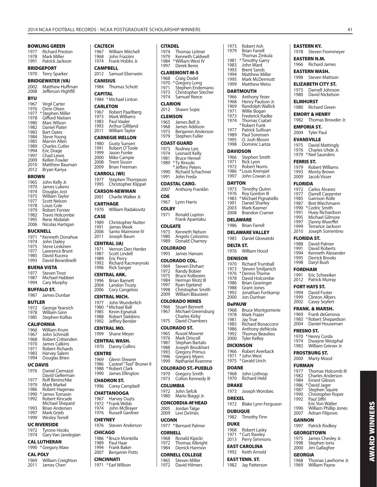**CITADEL**

Thomas Leitner Kenneth Caldwell *William West IV* Derek Beres

1973 Robert Ash

**CALTECH**

1976 Russell Gardner

1976 Steven Anderson

1986 \* Bruce Montella<br>1989 Paul Haar 1989 Paul Haar<br>1994 Frank Bak 1994 Frank Baker<br>2007 Benjamin Po Benjamin Potts

**CHEYNEY**

**CHICAGO**

**CINCINNATI** 1971 \* Earl Willson

#### **BOWLING GREEN**

| 1977<br>1978<br>1991                                                                                                 | <b>Richard Preston</b><br>Mark Miller<br>Patrick Jackson                                                                                                                                                                                                               |
|----------------------------------------------------------------------------------------------------------------------|------------------------------------------------------------------------------------------------------------------------------------------------------------------------------------------------------------------------------------------------------------------------|
|                                                                                                                      | <b>BRIDGEPORT</b>                                                                                                                                                                                                                                                      |
| 1970                                                                                                                 | <b>Terry Sparker</b>                                                                                                                                                                                                                                                   |
|                                                                                                                      | <b>BRIDGEWATER (VA)</b>                                                                                                                                                                                                                                                |
| 2002<br>2008                                                                                                         | Matthew Huffman<br>Jefferson Highfill                                                                                                                                                                                                                                  |
| BYU                                                                                                                  |                                                                                                                                                                                                                                                                        |
| 1967<br>1976<br>1977<br>1978<br>1980<br>1982<br>1983<br>1984<br>1985<br>1989<br>1994<br>1997<br>2009<br>2010<br>2012 | <b>Virgil Carter</b><br>Orrin Olsen<br>* Stephen Miller<br>Gifford Nielsen<br>Marc Wilson<br>Daniel Plater<br><b>Bart Oates</b><br><b>Steve Young</b><br>Marvin Allen<br>Charles Cutler<br>Eric Drage<br>Chad Lewis<br>Kellen Fowler<br>Matthew Bauman<br>Bryan Kariya |
| <b>BROWN</b>                                                                                                         |                                                                                                                                                                                                                                                                        |
| 1965<br>1970<br>1974<br>1975                                                                                         | John Kelly Jr.<br>James Lukens<br>Douglas Jost<br>William Taylor<br>.                                                                                                                                                                                                  |

| 1977 | Scott Nelson          |
|------|-----------------------|
| 1978 | Louis Cole            |
| 1979 | <b>Robert Forster</b> |
| 1982 | Travis Holcombe       |
| 1995 | Rene Abdalah          |
| 2006 | Nicolas Hartigan      |
|      |                       |

#### **BUCKNELL**

| 1971 | * Kenneth Donahue  |
|------|--------------------|
| 1974 | John Dailey        |
| 1975 | Steve Leskinen     |
| 1977 | Lawrence Brunt     |
| 1985 | David Kucera       |
| 1993 | David Berardinelli |
|      |                    |

#### **BUENA VISTA**

| 1977 | <b>Steven Trost</b> |
|------|---------------------|
| 1987 | Michael Habben      |
| 1994 | Cary Murphy         |

#### **BUFFALO ST.**

| 1987          | James Dunbar |  |
|---------------|--------------|--|
| <b>BUTLER</b> |              |  |

- 1972 George Yearsich<br>1978 William Ginn
- 1978 William Ginn<br>1985 Stephen Kolli Stephen Kollias

# **CALIFORNIA**

- 1966 William Krum<br>1967 John Schmidt 1967 John Schmidt<br>1968 Robert Critten 1968 Robert Crittenden<br>1970 James Calkins 1970 James Calkins<br>1971 Robert Richard 1971 Robert Richards<br>1983 Harvey Salem
- 1983 Harvey Salem<br>1994 Douglas Brien Douglas Brien

#### **UC DAVIS**

| 1976 | Daniel Carmazzi        |
|------|------------------------|
|      | David Gellerman        |
| 1977 | <b>Rolf Benirschke</b> |
| 1979 | Mark Markel            |
| 1986 | Robert Hagenau         |
| 1990 | * James Tomasin        |
| 1992 | Robert Kincade         |
|      | Michael Shepard        |
| 1993 | <b>Brian Andersen</b>  |

1997 Mark Grieb 1999 Wesley Terrell

#### **UC RIVERSIDE**

- 1972 Tyrone Hooks<br>1974 Gary Van Jand Gary Van Jandegian
- **CAL LUTHERAN**

### 1990 \* Gregory Maw

#### **CAL POLY**

1969 William Creighton 2011 James Chen

| 1967<br>1968<br>1974                              | <b>William Mitchell</b><br>John Frazzini<br>Frank Hobbs Jr.                                                                        | 1974<br>1979<br>1984                               |
|---------------------------------------------------|------------------------------------------------------------------------------------------------------------------------------------|----------------------------------------------------|
| <b>CAMPBELL</b>                                   |                                                                                                                                    | 1997                                               |
| 2012<br><b>CANISIUS</b><br>1984<br><b>CAPITAL</b> | Samuel Eberwein<br><b>Thomas Schott</b><br>1984 *Michael Linton                                                                    | <b>CLA</b><br>1968<br>1970<br>1971<br>1973<br>1974 |
| <b>CARLETON</b>                                   |                                                                                                                                    | CLA                                                |
|                                                   | 1967 Robert Paarlberg<br>1973 Mark Williams<br>1983 Paul Vaaler<br>1993 Arthur Gillilan<br>2011 William Taylor<br>Arthur Gilliland | 2012<br><b>CLEI</b><br>1965<br>1968<br>1973        |
| 1980                                              | <b>CARNEGIE MELLON</b><br><b>Gusty Sunseri</b>                                                                                     | 1979<br><b>COA</b>                                 |
| 1991<br>1999<br>2000<br>2008<br>2009              | Robert O'Toole<br>Jason Funke<br>Mike Campie<br>Trent Sisson<br><b>Brian Freeman</b>                                               | 1973<br>1974<br>1981<br>1989                       |
|                                                   | <b>CARROLL (WI)</b>                                                                                                                | 1990<br>1991                                       |
| 1977<br>1995                                      | Stephen Thompson<br>Christopher Klippel                                                                                            | <b>COA</b><br>2007                                 |
| 2001                                              | <b>CARSON-NEWMAN</b><br>Charlie Walker Jr.                                                                                         | <b>COE</b>                                         |
|                                                   | <b>CARTHAGE</b>                                                                                                                    | 1967<br><b>COL</b>                                 |
| 1970<br><b>CASE</b>                               | William Radakovitz                                                                                                                 | 1971                                               |
| 1989<br>1991<br>2006<br>2011                      | <b>Christopher Nutter</b><br>James Meek<br>Santo Maimone IV<br>Joseph Baum                                                         | COL<br>1973<br>1980                                |
| 1971                                              | <b>CENTRAL (IA)</b><br>Vernon Den Herder                                                                                           | 1989<br>COL                                        |
| 1987<br>1987<br>1989<br>1992<br>1996              | <b>Scott Lindell</b><br><b>Eric Perry</b><br>Richard Kacmarynski<br><b>Rick Sanger</b>                                             | 1993<br>COL<br>1969                                |
|                                                   | <b>CENTRAL ARK.</b>                                                                                                                | 1972<br>1975                                       |
| 2004<br>2006                                      | 1996 Brian Barnett<br>Landon Trusty<br>Cory Cangelosi<br><b>CENTRAL MICH.</b>                                                      | 1984<br>1997<br>1998<br>2009                       |
| 1977                                              | John Wunderlich<br>1980 *Michael Ball<br>1985 Kevin Egnatuk<br>Robert Stebbins                                                     | <b>COL</b><br>1966<br>1967                         |
| 1988<br>1992                                      | Jeffrey Bender                                                                                                                     | 1975                                               |
| 1999                                              | <b>CENTRAL MO.</b><br><b>Shane Meyer</b>                                                                                           | COL<br>1965                                        |
| 1970                                              | <b>CENTRAL WASH.</b><br>Danny Collins                                                                                              | 1976<br>1987<br>1988                               |
| <b>CENTRE</b><br>1969<br>1986                     | Glenn Shearer<br>Casteel "Teel" Bruner II                                                                                          | 1993<br>1996<br>1999                               |
| 1988<br>1990                                      | * Robert Clark<br>James Ellington                                                                                                  | COL<br>1970                                        |
| 1996                                              | <b>CHADRON ST.</b><br><b>Corey Campbell</b>                                                                                        | 1973<br><b>COL</b>                                 |
|                                                   | <b>CHATTANOOGA</b>                                                                                                                 | 1972<br>1980                                       |
| 1967<br>1972<br>1974                              | <b>Harvey Ouzts</b><br>*Frank Webb<br>John McBrayer                                                                                | CON<br>2005                                        |

|                                                      | <b>CLAREMONT-M-S</b>                                                                                                                                       |
|------------------------------------------------------|------------------------------------------------------------------------------------------------------------------------------------------------------------|
| 1968<br>1970<br>1971<br>1973<br>1974                 | Craig Dodel<br>* Gregory Long<br>Stephen Endemano<br>Christopher Stecher<br>Samuel Reece                                                                   |
| CLARION<br>2012                                      | Shawn Sopic                                                                                                                                                |
| CLEMSON<br>1965<br>1968<br>1973<br>1979              | James Bell Jr.<br>James Addison<br>Benjamin Anderson<br>Stephen Fuller                                                                                     |
| 1973<br>1974<br>1981<br>1989<br>1990<br>1991         | COAST GUARD<br>Rodney Leis<br>Leonard Kelly<br>Bruce Hensel<br>*Ty Rinoski<br>* Jeffery Peters<br>Richard Schachner<br>John Freda                          |
| 2007                                                 | <b>COASTAL CARO.</b><br>Anthony Franklin                                                                                                                   |
| COE<br>1967                                          | Lynn Harris                                                                                                                                                |
| <b>COLBY</b><br>1971                                 | Ronald Lupton<br>Frank Apantaku                                                                                                                            |
| <b>COLGATE</b>                                       |                                                                                                                                                            |
| 1973<br>1980<br>1989                                 | Kenneth Nelson<br>Angelo Colosimo<br>Donald Charney                                                                                                        |
| COLORADO<br>1993                                     | James Hansen                                                                                                                                               |
| 1969<br>1972<br>1975<br>1984<br>1997<br>1998<br>2009 | COLORADO COL.<br>Steven Ehrhart<br>Randy Bobier<br><b>Bruce Kolbezen</b><br>Herman Motz III<br>Ryan Egeland<br>Christopher Smith<br>William Blaustein      |
| 1966<br>1967<br>1975                                 | COLORADO MINES<br><b>Stuart Bennett</b><br>Michael Greensburg<br>Charles Kirby<br>David Chambers                                                           |
|                                                      |                                                                                                                                                            |
| 1965<br>1976<br>1987<br>1988<br>1993<br>1996<br>1999 | COLORADO ST.<br>Russel Mowrer<br>Mark Driscoll<br>Stephan Bartalo<br>Joseph Brookhart<br><b>Gregory Primus</b><br><b>Gregory Myers</b><br>Nathaniel Kvamme |
| 1970<br>1973                                         | <b>COLORADO ST.-PUEBLO</b><br>Gregory Smith<br>Collon Kennedy III                                                                                          |
| COLUMBIA                                             |                                                                                                                                                            |
| 1972<br>1980                                         | John Sefcik<br>Mario Biaggi Jr.                                                                                                                            |

**CONCORDIA-M'HEAD**

1982 Timothy Finn

1968 Robert Lasky 1971 \* Curt Rawley 2013 Perry Simmons **EAST CAROLINA** 1992 Keith Arnold **EAST TENN. ST.** 1982 Jay Patterson

**DUKE**

2005 Jordan Talge<br>2009 Levi DeVries Levi DeVries **UCONN**

1977 \* Bernard Palmer

#### **CORNELL**

1968 Ronald Kipicki<br>1972 Thomas Albrig 1972 Thomas Albright<br>1984 Derrick Harmon Derrick Harmon

## **CORNELL COLLEGE**

1965 Steven Miller<br>1972 David Hilmer David Hilmers

| 1979             | <b>Brian Farrell</b>                    | 1978         |
|------------------|-----------------------------------------|--------------|
| 1981             | Thomas Zinkula<br>*Timothy Garry        | <b>EAST</b>  |
| 1983             | John Ward                               | 1966         |
| 1993             | Brent Sands                             | <b>EASTI</b> |
| 1994<br>1995     | <b>Matthew Miller</b><br>Mark McDermott | 1998         |
| 1999             | <b>Matthew Weiss</b>                    | ELIZA        |
|                  | <b>DARTMOUTH</b>                        | 1973         |
| 1966             | Anthony Yezer                           | 1980         |
| 1968             | Henry Paulson Jr.                       | <b>ELMH</b>  |
| 1969<br>1971     | Randolph Wallick<br>Willie Bogan        | 1980         |
| 1973             | Frederick Radke                         | EMOF         |
| 1974             | Thomas Csatari                          | 1982         |
| 1977             | *Robert Funk<br>Patrick Sullivan        | <b>EMPC</b>  |
| 1989             | Paul Sorensen                           | 2004         |
| 1995             | O. Josh Bloom                           | <b>EVAN</b>  |
| 1998             | Dominic Lanza                           | 1975         |
|                  | <b>DAVIDSON</b>                         | 1976<br>1979 |
| 1966<br>1971     | Stephen Smith<br>Rick Lyon              | <b>FERRI</b> |
| 1972             | <b>Robert Norris</b>                    | 1979         |
| 1986             | *Louis Krempel                          | 1993         |
| 1997             | John Cowan Jr.                          | 2009         |
| <b>DAYTON</b>    |                                         | <b>FLOR</b>  |
| 1973             | <b>Timothy Quinn</b>                    | 1972         |
| 1976<br>1983     | Roy Gordon III<br>*Michael Pignatiello  | 1977<br>1985 |
| 1991             | Daniel Sharley                          | 1987         |
| 2003             | Mark Kasmer                             | 1990         |
| 2008             | <b>Brandon Cramer</b>                   | 1991<br>1995 |
|                  | <b>DELAWARE</b>                         | 1997         |
| 1986             | <b>Brian Farrell</b>                    | 1999<br>2010 |
|                  |                                         |              |
|                  | <b>DELAWARE VALLEY</b>                  |              |
| 1985             | Daniel Glowatski                        | <b>FLOR</b>  |
| <b>DELTA ST.</b> |                                         | 1988<br>1991 |
| 1976             | William Hood                            | 1994         |
| <b>DENISON</b>   |                                         | 1995         |
| 1970             | <b>Richard Trumball</b>                 | 1998         |
| 1973<br>1976     | Steven Smiljanich<br>*Dennis Thome      | FORD         |
| 1978             | David Holcombe                          | 1991<br>2012 |
| 1986             | Brian Gearinger                         | <b>FORT</b>  |
| 1988<br>1992     | Grant Jones<br>Jonathan Fortkamp        | 1994         |
| 2000             | Jon Dunhan                              | 1999         |
| <b>DePAUW</b>    |                                         | 2002         |
| 1968             | <b>Bruce Montgomerie</b>                | <b>FRAN</b>  |
| 1978<br>1981     | Mark Frazer                             | 1969<br>1983 |
| 1985             | Jay True<br><b>Richard Bonaccorsi</b>   | 2004         |
| 1986             | Anthony deNicola                        | <b>FRESI</b> |
| 1992<br>2000     | Thomas Beaulieu                         | 1970         |
|                  | Tyler Kelley<br><b>DICKINSON</b>        | 1974         |
| 1966             | Robert Averback                         | 1983         |
| 1971             | * John West                             | <b>FROS</b>  |
| 1975             | * Gerald Urich                          | 2000         |
| <b>DOANE</b>     |                                         | <b>FURN</b>  |
| 1968             | John Lothrop                            | 1977<br>1982 |
| 1970             | Richard Held                            | 1984         |
| <b>DRAKE</b>     |                                         | 1986<br>1987 |
| 1973             | Joseph Worobec                          | 1990         |
| <b>DREXEL</b>    |                                         | 1992         |
| 1972             | Blake Lynn Ferguson<br><b>DUBUQUE</b>   | 1996<br>2007 |

#### **EASTERN KY.**

Steven Frommeyer

**ERN N.M.** Richard James

#### **ERN WASH.**

Steven Mattson

**BETH CITY ST.** 

#### Darnell Johnson David Nickelson

- **ELMHURST**
- Richard Green
- **RY & HENRY**
- Thomas Browder Jr.

#### **RIA ST.**

- **Tyler Paul**
- **ESVILLE** 
	- David Mattingly
	- Charles Uhde Jr. 1979 \* Neil Saunders

#### **FERRIS ST.**

- Robert Williams
- Monty Brown
- Jacob Visser

#### **FLORIDA**

- Carlos Alvarez
	- Darrell Carpenter
- Garrison Rolle Bret Wiechmann
- \* Cedric Smith
- Huey Richardson
- Michael Gilmore
- Danny Wuerffel
- Terrance Jackson 2010 Joseph Sorrentino

#### **IDA ST.**

- David Palmer
- David Roberts
- Kenneth Alexander Derrick Brooks
- Daryl Bush

#### **HAM**

- 1991 Eric Schweiker
- Patrick Murray

#### **HAYS ST.**

- David Foster
	- **Clinton Albers**
	- Casey Seyfert
	- K. & MARSH.
	- Frank deGenova
	- 1983 \* Robert Shepardson
	- Daniel Houseman

#### **NO ST.**

- \* Henry Corda
- Dwayne Westphal William Griever Jr.

#### **TBURG ST.**

**Marty Mood** 

#### **FAN**

- Thomas Holcomb III
- Charles Anderson
- Ernest Gibson \* David Jager
- Stephen Squire
- Christopher Roper
- Paul Siffri Eric Von Walter
- 1996 William Phillip Jones<br>2007 Adnan Filipovic
- Adnan Filipovic

#### **GANNON**

1997 Patrick Rodkey

## **GEORGETOWN**

William Payne

**AWARD WINNERS**

**AWARD WINNERS** 

- 1975 James Chesley Jr.<br>1998 Stephen Iorio 1998 Stephen Iorio<br>2000 Jim Gallagher
	- Jim Gallagher
- **GEORGIA** 1968 Thomas Lawhorne Jr.<br>1969 William Pavne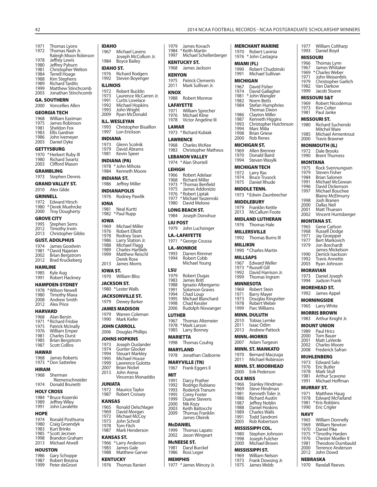1971 Thomas Lyons 1972 Thomas Nash Jr. Raleigh Mixon Robinson<br>1978 – Jeffrey Lewis 1978 Jeffrey Lewis<br>1980 Jeffrey Pybur 1980 Jeffrey Pyburn<br>1981 Christopher W 1981 Christopher Welton<br>1984 Terrell Hoage 1984 Terrell Hoage<br>1988 Kim Stephens 1988 Kim Stephens<br>1989 Richard Tardits 1989 Richard Tardits<br>1999 Matthew Stincl 1999 Matthew Stinchcomb<br>2003 Jonathan Stinchcomb 2003 Jonathan Stinchcomb **GA. SOUTHERN** 2000 Voncellies Allen **GEORGIA TECH** 1968 William Eastman<br>1975 James Robinson 1975 James Robinson<br>1981 Sheldon Fox 1981 Sheldon Fox<br>1983 Fllis Gardner 1983 Ellis Gardner<br>1986 John Ivemey 1986 John Ivemeyer<br>2003 Daniel Dyke Daniel Dyke **GETTYSBURG** 1970 \* Herbert Ruby III<br>1980 Richard Swartz 1980 Richard Swartz<br>2003 Clifford Mason Clifford Mason **GRAMBLING** 1973 Stephen Dennis **GRAND VALLEY ST.** 2010 Alex Gilde **GRINNELL** 1972 Edward Hirsch 1980 \* Derek Muehrcke 2000 Troy Dougherty **GROVE CITY** 1995 Stephen Sems<br>2012 Timothy Irwin 2012 Timothy Irwin<br>2013 Christopher Gi Christopher Gibbs **GUST. ADOLPHUS**<br>1974 **Lames Goody** James Goodwin 1981 \* David Najarian 2002 Brian Bergstrom Brad Kruckeberg **HAMLINE**<br>1985 Kyle 1985 Kyle Aug<br>1991 Robert H Robert Hackney **HAMPDEN-SYDNEY** 1978 \* Wilson Newell<br>1980 Timothy Maxa 1980 Timothy Maxa<br>2008 Andrew Smith 2008 Andrew Smith<br>2012 Alex Price **Alex Price HARVARD** 1968 Alan Bersin<br>1971 \* Richard Fris 1971 \* Richard Frisbie<br>1975 Patrick McInally 1975 Patrick McInally<br>1976 William Emper 1976 William Emper<br>1981 Charles Durst 1981 Charles Durst<br>1985 Brian Bergstro 1985 Brian Bergstrom<br>1987 Scott Collins Scott Collins **HAWAII** 1968 James Roberts 1973 \* Don Satterlee **HIRAM**<br>1968 Sherman Riemenschneider 1974 Donald Brunetti **HOLY CROSS** 1984 \* Bruce Kozerski<br>1989 – Jeffrey Wiley 1989 Jeffrey Wiley<br>1991 John Lavalet John Lavalette **HOPE**<br>1974 1974 Ronald Posthuma<br>1980 Craig Groendyk 1980 Craig Groendyk<br>1983 Kurt Brinks 1983 Kurt Brinks<br>1985 \* Scott Jecme 1985 \* Scott Jecmen<br>1998 Brandon Grah 1998 Brandon Graham<br>2013 Michael Atwell **Michael Atwell** 

#### **HOUSTON**

| 1986 | Gary Schoppe   |
|------|----------------|
| 1987 | Robert Brezina |
| 1999 | Peter deGroot  |

**IDAHO** 1967 Michael Lavens Joseph McCollum Jr.<br>1984 Boyce Bailey Boyce Bailey **IDAHO ST.** 1976 Richard Rodgers 1992 Steven Boyenger **ILLINOIS** 1972 Robert Bucklin<br>1973 Laurence McCa 1973 Laurence McCarren Jr.<br>1991 Curtis Lovelace 1991 Curtis Lovelace<br>1992 Michael Hopkin 1992 Michael Hopkins<br>1993 John Wright 1993 John Wright Ryan McDonald **ILL. WESLEYAN**<br>1993 Christoph 1993 Christopher Bisaillon<br>1997 Lon Erickson Ennstephene **INDIANA** 1973 Glenn Scolnik<br>1979 David Abrams 1979 David Abrams<br>1981 Kevin Speer **Kevin Speer INDIANA (PA)** 1978 \* John Mihota 1984 Kenneth Moore **INDIANA ST.** 1986 Jeffrey Miller **INDIANAPOLIS** 1976 Rodney Pawlik **IONA** Neal Kurtti 1982 \* Paul Rupp **IOWA** 1969 Michael Miller 1976 Robert Elliott<br>1978 Rodney Sears 1978 Rodney Sears<br>1986 Larry Station 1986 Larry Station Jr.<br>1988 Michael Flagg 1988 Michael Flagg<br>1989 Charles Hartliel 1989 Charles Hartlieb<br>1999 Matthew Reisch Matthew Reischl Derek Rose<br>2013 James Morr James Morris **IOWA ST.** 1970 William Bliss **JACKSON ST.** 1980 \* Lester Walls **JACKSONVILLE ST.** 1979 Dewey Barker **JAMES MADISON** 1979 Warren Coleman 1990 Mark Kiefer **JOHN CARROLL** 2006 Douglas Phillips **JOHNS HOPKINS**<br>1973 Joseph Ous 1973 Joseph Ouslander<br>1974 Gunter Glocker 1974 Gunter Glocker<br>1994 Steuart Markley 1994 Steuart Markley<br>1995 Michael House 1995 Michael House<br>1999 Lawrence Gulo 1999 Lawrence Gulotta<br>2007 Brian Nickel 2007 Brian Nickel<br>2013 John Arena John Arena Vincenzo Monaddio **JUNIATA** 1972 Maurice Taylor<br>1987 Robert Crossey Robert Crossey **KANSAS** 1965 Ronald Oelschlager<br>1969 David Morgan 1969 David Morgan<br>1972 Michael McCoy 1972 Michael McCoy<br>1973 John Schroll 1973 John Schroll<br>1978 Tom Fitch 1978 Tom Fitch<br>1987 Mark Hene Mark Henderson **KANSAS ST.** 1966 \* Larry Anderson<br>1983 Lames Gale 1983 James Gale<br>1988 Matthew Ga Matthew Garver **KENTUCKY** 1976 Thomas Ranieri

| 1979                    | James Kovach<br>1984 * Keith Martin              | <b>MERCHANT I</b>    |                                            |
|-------------------------|--------------------------------------------------|----------------------|--------------------------------------------|
|                         | 1997 Michael Schellenberger                      | 1970<br>1976         | Robert<br>* John C                         |
|                         | <b>KENTUCKY ST.</b>                              |                      |                                            |
| 1968                    | James Jackson                                    | 1990                 | MIAMI (FL)<br>Robert                       |
| <b>KENYON</b>           |                                                  | 1991                 | Micha                                      |
| 1975                    | <b>Patrick Clements</b>                          |                      | <b>MICHIGAN</b>                            |
|                         | 2011 Mark Sullivan Jr.                           | 1967                 | David                                      |
| <b>KNOX</b>             |                                                  | 1974                 | David<br>1981 *John V                      |
|                         | 1988 Robert Monroe                               | 1982                 | Norm                                       |
|                         | <b>LAFAYETTE</b><br>1971 William Sprecher        | 1984                 | Stefan<br>Thoma                            |
|                         | 1976 Michael Kline                               |                      | 1986 Clayto                                |
| 1978                    | Victor Angeline III                              |                      |                                            |
| <b>LAMAR</b>            |                                                  |                      | Christo<br>Marc N                          |
|                         | 1973 * Richard Kubiak                            | 1993<br>1994<br>1998 | Brian C                                    |
|                         | <b>LAWRENCE</b>                                  | 2000                 | Rob Re                                     |
| 1983                    | 1968 Charles McKee<br><b>Christopher Matheus</b> |                      | <b>MICHIGAN S</b>                          |
|                         |                                                  |                      | 1969 Allen E<br>1970 Donak                 |
|                         | <b>LEBANON VALLEY</b><br>1974 * Alan Shortell    | 1994                 | Steven                                     |
| <b>LEHIGH</b>           |                                                  |                      | MICHIGAN T                                 |
| 1966                    | Robert Adelaar                                   |                      | 1972 Larry F                               |
| 1968                    | <b>Richard Miller</b>                            | 1974<br>1975         | Bruce <sup>-</sup><br>Daniel               |
| 1975                    | 1973 * Thomas Benfield<br>James Addonizio        |                      | <b>MIDDLE TEN</b>                          |
|                         | 1976 *Robert Liptak                              |                      | 1973 *Edwin                                |
|                         | 1977 * Michael Yaszemski                         |                      | <b>MIDDLEBUR</b>                           |
|                         | 1980 David Melone                                |                      | 1979 Frankli                               |
|                         | <b>LONG BEACH ST.</b>                            | 2013                 | McCall                                     |
|                         | 1984 Joseph Donohue                              |                      | <b>MIDLAND LU</b>                          |
| <b>LIU POST</b><br>1979 | John Luchsinger                                  | 1976                 | Thoma                                      |
|                         |                                                  |                      | <b>MILLERSVILI</b>                         |
| 1971                    | <b>LA.-LAFAYETTE</b><br>*George Coussa           | 1992                 | Thoma                                      |
|                         | <b>LA.-MONROE</b>                                | <b>MILLIKIN</b>      |                                            |
| 1993                    | Darren Rimmer                                    |                      | 1990 * Charle                              |
| 1994                    | Robert Cobb                                      | <b>MILLSAPS</b>      |                                            |
|                         |                                                  |                      |                                            |
|                         | Michael Young                                    | 1967                 | Edwar                                      |
| LSU                     |                                                  | 1973<br>1992         | *Russel<br>David                           |
| 1979                    | Robert Dugas                                     | 1999                 | Thoma                                      |
| 1983<br>1988            | James Britt<br>Ignazio Albergamo                 |                      | <b>MINNESOTA</b>                           |
| 1991                    | Solomon Graves                                   |                      | 1969 Robert                                |
| 1994<br>1995            | Chad Loup<br>Michael Blanchard                   |                      |                                            |
| 1998                    | <b>Chad Kessler</b>                              |                      | 1971 Barry M<br>1973 Dougla<br>1978 Robert |
| 2006                    | Rudolph Niswanger                                | 1999                 | Parc W                                     |
| <b>LUTHER</b>           |                                                  |                      | <b>MINN. DULU</b>                          |
| 1967<br>1978            | Thomas Altemeier<br>* Mark Larson                | 2010<br>2011         | Tobias<br>Isaac C                          |
| 1985                    | Larry Bonney                                     | 2013                 | Andrey                                     |
| <b>MARIETTA</b>         |                                                  |                      | <b>MINN.-MORE</b>                          |
| 1998                    | Thomas Couhig                                    | 2007                 | Adam <sup>®</sup>                          |
|                         | <b>MARYLAND</b>                                  |                      | MINN, ST. M/                               |
| 1978                    | Jonathan Claiborne                               | 1970<br>2011         | Bernar                                     |
|                         | <b>MARYVILLE (TN)</b>                            |                      | Micha                                      |
| 1967                    | Frank Eggers II                                  | 2000                 | MINN. ST. M<br>Erik Pe                     |
| MIT                     |                                                  | <b>OLE MISS</b>      |                                            |
| 1991<br>1992            | Darcy Prather                                    | 1966                 | <b>Stanle</b>                              |
| 1993                    | Rodrigo Rubiano<br>Roderick Tranum               | 1969                 | Steve l                                    |
| 1995                    | Corey Foster                                     | 1981<br>1986         | Kenne<br>Richar                            |
| 1999<br>2000            | Duane Stevens<br>Nik Kozy                        | 1987                 | Jeffrey                                    |
| 2003                    | Keith Battocchi                                  | 1988                 | Daniel                                     |
| 2009                    | Thomas Franklin<br>James Oleinik                 | 1989<br>1991         | Charle<br>Todd S                           |
|                         |                                                  | 2005                 | Rob Ro                                     |
| <b>McDANIEL</b><br>1999 | Thomas Lapato                                    |                      | <b>MISSISSIPPI</b>                         |
| 2002                    | Jason Wingeart                                   | 1980                 | <b>Stephe</b>                              |
|                         | <b>MCNEESE ST.</b>                               | 1998<br>2000         | Joseph<br>Micha                            |
| 1981                    | Daryl Burckel                                    |                      | <b>MISSISSIPPI</b>                         |
| 1986                    | Ross Leger                                       | 1969                 | Willian                                    |
| <b>MEMPHIS</b>          | 1977 * James Mincey Jr.                          | 1973<br>1975         | Frank I<br>James                           |

|                         | RECORDS - NCAA POSTGRADUATE SCHOL                                           |                  |                  |
|-------------------------|-----------------------------------------------------------------------------|------------------|------------------|
|                         |                                                                             |                  |                  |
|                         | MERCHANT MARINE                                                             | 1977             | Willi            |
| 1970                    | Robert Lavinia                                                              | 1993             | Dan              |
|                         | 1976 * John Castagna                                                        | <b>MISSOURI</b>  |                  |
| MIAMI (FL)              |                                                                             | 1966<br>1967     | Thoı<br>Jam      |
| 1991                    | 1990 Robert Chudzinski<br>Michael Sullivan                                  | 1969 * Char      |                  |
| MICHIGAN                |                                                                             | 1971             | Johr             |
| 1967                    | David Fisher                                                                | 1979<br>1982     | Chri<br>Van      |
| 1974                    | David Gallagher                                                             | 1999             | Jaco             |
|                         | 1981 *John Wangler                                                          | MISSOURI         |                  |
| 1982                    | Norm Betts                                                                  | 1969             | Rob <sub>®</sub> |
| 1984                    | Stefan Humphries<br>Thomas Dixon                                            | 1973             | Kim              |
| 1986                    | Clayton Miller                                                              | 1981             | Paul             |
|                         | 1980 - Clayton Miller<br>1987 - Kenneth Higgins<br>1993 - Christopher Hutcl | MISSOURI         |                  |
| 1993                    | Christopher Hutchinson<br>Marc Milia                                        | 1980             | Rich             |
| 1994<br>1999<br>1998    | <b>Brian Griese</b>                                                         | 1985             | Mitc<br>Mich     |
| 2000                    | <b>Rob Renes</b>                                                            | 2000             | Trav             |
|                         | <b>MICHIGAN ST.</b>                                                         | <b>MONMOU</b>    |                  |
|                         | 1969 Allen Brenner                                                          | 1972             | Dale             |
| 1970                    | Donald Baird                                                                | 1990             | Brer             |
| 1994                    | Steven Wasylk                                                               | MONTANA          |                  |
|                         | MICHIGAN TECH                                                               | 1975             | Rocl             |
| 1972                    | Larry Ras                                                                   | 1979             | Stev             |
| 1974<br>1975            | <b>Bruce Trusock</b>                                                        | 1984<br>1991     | Briar<br>Micł    |
|                         | Daniel Rhude                                                                | 1996             | Davi             |
|                         | <b>MIDDLE TENN.</b>                                                         | 1997             | Mich             |
|                         | 1973 * Edwin Zaunbrecher                                                    |                  | Blair            |
|                         | <b>MIDDLEBURY</b>                                                           | 1998<br>2000     | Josh<br>Dalla    |
| 1979                    | <b>Franklin Kettle</b>                                                      | 2001             | Mati             |
| 2013                    | <b>McCallum Foote</b>                                                       | 2002             | Vinc             |
|                         | <b>MIDLAND LUTHERAN</b>                                                     | MONTANA          |                  |
| 1976                    | Thomas Hale                                                                 | 1965             | Gen              |
|                         | <b>MILLERSVILLE</b>                                                         | 1968             | Russ             |
| 1992                    | Thomas Burns III                                                            | 1971<br>1977     | Jay (<br>Bert    |
| MILLIKIN                |                                                                             | 1979             | Jon              |
|                         |                                                                             |                  |                  |
|                         | 1990 * Charles Martin                                                       |                  | Jam              |
|                         |                                                                             | 1990             | Derr             |
| <b>MILLSAPS</b><br>1967 | Edward Weller                                                               | 1992             | Trav             |
| 1973                    | * Russell Gill                                                              | 2003             | Ryar             |
| 1992                    | David Harrison Jr.                                                          | <b>MORAVIAI</b>  |                  |
| 1999                    | Thomas Ingram                                                               | 1973<br>1994     | Dan<br>Juds      |
|                         | MINNESOTA                                                                   |                  |                  |
| 1969                    | Robert Stein                                                                | MOREHEA<br>1992  | Jam              |
| 1971<br>1973            | <b>Barry Mayer</b>                                                          |                  |                  |
| 1978                    | Douglas Kingsriter<br>Robert Weber                                          | <b>MORNING</b>   |                  |
| 1999                    | Parc Williams                                                               | 1965             | Larry            |
|                         | <b>MINN. DULUTH</b>                                                         | <b>MORRIS BI</b> |                  |
| 2010                    | <b>Tobias Lemke</b>                                                         | 1983             | Arth             |
| 2011                    | Isaac Odim                                                                  | MOUNT UI         |                  |
| 2013                    | Andrew Pattock                                                              | 1989             | Paul             |
|                         | <b>MINN.-MORRIS</b>                                                         | 2000<br>2001     | Tom<br>Mati      |
| 2007                    | Adam Turgeon                                                                | 2002             | Chai             |
|                         | MINN. ST. MANKATO                                                           | 2008             | Fred             |
| 1970<br>2011            | Bernard Maczuga<br>Michael Robinson                                         | <b>MUHLENB</b>   |                  |
|                         |                                                                             | 1973             | Edw              |
|                         | MINN. ST. MOORHEAD                                                          | 1976<br>1978     | Eric             |
| 2000                    | Erik Pederson                                                               | 1981             | Marl<br>Arth     |
| OLE MISS                |                                                                             | 1991             | Micł             |
| 1966<br>1969            | Stanley Hindman<br>Steve Hindman                                            | <b>MURRAY S</b>  |                  |
| 1981                    | Kenneth Toler Jr.                                                           | 1971             | Mati             |
| 1986                    | <b>Richard Austin</b>                                                       | 1978             | Edw              |
| 1987                    | Jeffrey Noblin                                                              | 1981<br>1990     | * Kris<br>Eric   |
| 1988<br>1989            | Daniel Hoskins<br>Charles Walls                                             |                  |                  |
| 1991                    | <b>Todd Sandroni</b>                                                        | NAVY             |                  |
|                         | Rob Robertson                                                               | 1965<br>1969     | Willi<br>Willi   |
|                         | MISSISSIPPI COL.                                                            | 1970             | Dan              |
| 2005<br>1980            | Stephen Johnson                                                             | 1975             | *Timo            |
| 1998                    | Joseph Fulcher                                                              | 1976             | Che:             |
| 2000                    | Michael Brown                                                               | 1981<br>2000     | Theo<br>Terr     |
|                         | MISSISSIPPI ST.                                                             | 2012             | Johr             |
|                         | <b>William Nelson</b><br>Frank Dowsing Jr.                                  | <b>NEBRASKA</b>  |                  |
| 1969<br>1973<br>1975    | James Webb                                                                  | 1970             | Ran              |

| 1966         | Thomas Lynn                                   |
|--------------|-----------------------------------------------|
| 1967<br>1969 | James Whitaker<br>* Charles Weber             |
| 1971         | John Weisenfels                               |
| 1979<br>1982 | Christopher Garlich                           |
| 1999         | Van Darkow<br>Jacob Stueve                    |
|              | <b>MISSOURI S&amp;T</b>                       |
| 1969         | <b>Robert Nicodemus</b>                       |
| 1973         | Kim Colter                                    |
| 1981         | Paul Janke                                    |
|              | MISSOURI ST.                                  |
| 1980         | Richard Suchenski<br>Mitchel Ware             |
| 1985         | Michael Armentrout                            |
| 2000         | Travis Brawner                                |
|              | MONMOUTH (IL)                                 |
| 1972         | Dale Brooks                                   |
| 1990         | Brent Thurness                                |
| MONTANA      |                                               |
| 1975<br>1979 | Rock Svennungsen<br>Steven Fisher             |
| 1984         | Brian Salonen                                 |
| 1991<br>1996 | Michael McGowan                               |
| 1997         | David Dickenson<br>Michael Bouchee            |
|              | <b>Blaine McElmurry</b>                       |
| 1998<br>2000 | Josh Branen<br>Dallas Neil                    |
| 2001         | Matt Thuesen                                  |
| 2002         | Vincent Huntsberger                           |
|              | MONTANA ST.                                   |
| 1965         | Gene Carlson                                  |
| 1968<br>1971 | Russell Dodge                                 |
| 1977         | Jay Groepper<br>Bert Markovich                |
| 1979         | Jon Borchardt                                 |
| 1990         | James Mickelson<br>Derrick Isackson           |
| 1992         | Travis Annette                                |
|              |                                               |
| 2003         | Ryan Johnson                                  |
|              | MORAVIAN                                      |
| 1973         | Daniel Joseph                                 |
| 1994         | Judson Frank                                  |
|              | MOREHEAD ST.                                  |
| 1992         | James Appel                                   |
|              | <b>MORNINGSIDE</b>                            |
| 1965         | <b>Larry White</b>                            |
|              | <b>MORRIS BROWN</b>                           |
| 1983         | Arthur Knight Jr.                             |
|              | <b>MOUNT UNION</b>                            |
| 1989         | Paul Hrics                                    |
| 2000<br>2001 | Tom Bauer<br>Matt LaVerde                     |
| 2002         | Charles Moore                                 |
| 2008         | Frederick Safran                              |
|              | MUHLENBERG                                    |
| 1973         | <b>Edward Salo</b>                            |
| 1976<br>1978 | <b>Eric Butler</b><br>Mark Stull              |
| 1981         | Arthur Scavone                                |
| 1991         | Michael Hoffman                               |
|              | MURRAY ST.                                    |
| 1971<br>1978 | Matthew Haug                                  |
| 1981         | Edward McFarland<br>* Kris Robbins            |
| 1990         | Eric Crigler                                  |
| NAVY         |                                               |
| 1965         | <b>William Donnelly</b>                       |
| 1969<br>1970 | William Newton<br>Daniel Pike                 |
| 1975         | *Timothy Harden                               |
| 1976         | Chester Moeller II                            |
| 1981<br>2000 | <b>Theodore Dumbauld</b><br>Terrence Anderson |
| 2012         | John Dowd                                     |
| NEBRASKA     | 1970 Randall Reeves                           |

William Coltharp Daniel Boyd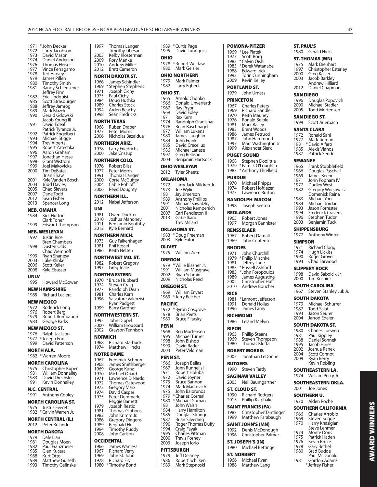| 1971         | * John Decker                         | 1997           | <b>Thomas Langer</b>                                                                 |
|--------------|---------------------------------------|----------------|--------------------------------------------------------------------------------------|
| 1972         | Larry Jacobson                        |                | Timothy Tibesar                                                                      |
| 1973         | David Mason                           | 2003           | Kelby Klosterma                                                                      |
| 1974<br>1976 | Daniel Anderson<br>Thomas Heiser      | 2009<br>2010   | Rory Manke<br>Andrew Miller                                                          |
| 1977         | Vince Ferragamo                       | 2012           | <b>Brett Cameron</b>                                                                 |
| 1978         | <b>Ted Harvey</b>                     |                | <b>NORTH DAKOTA ST.</b>                                                              |
| 1979         | James Pillen                          |                |                                                                                      |
| 1980         | Timothy Smith                         | 1966<br>1969   | James Schindler<br>*Stephen Stephe                                                   |
| 1981         | Randy Schleusener<br>Jeffrey Finn     | 1971           | Joseph Cichy                                                                         |
| 1982         | Eric Lindquist                        | 1975           | Paul Cichy                                                                           |
| 1985         | Scott Strasburger                     |                | 1984 Doug Hushka<br>1989 Charles Stock                                               |
| 1988         | Jeffrey Jamrog                        | 1994           |                                                                                      |
| 1989<br>1990 | Mark Blazek<br>Gerald Gdowski         | 1998           | Arden Beachy<br>Sean Fredricks                                                       |
|              | Jacob Young III                       |                |                                                                                      |
| 1991         | David Edeal                           |                | <b>NORTH TEXAS</b>                                                                   |
|              | Patrick Tyrance Jr.                   | 1968<br>1977   | Ruben Draper<br><b>Peter Morris</b>                                                  |
| 1992         | Patrick Engelbert                     | 2006           | Nicholas Bazald                                                                      |
| 1993<br>1994 | Michael Stigge<br><b>Trev Alberts</b> |                | <b>NORTHERN ARIZ.</b>                                                                |
| 1995         | Robert Zatechka                       | 1978           | Larry Friedrichs                                                                     |
| 1996         | Aaron Graham                          | 2000           | Jake Crissup                                                                         |
| 1997         | Jonathan Hesse                        |                | <b>NORTHERN COLO.</b>                                                                |
| 1998<br>1999 | <b>Grant Wistrom</b>                  | 1976           |                                                                                      |
| 2000         | Joel Makovicka<br>Tim DeBates         |                | Robert Bliss                                                                         |
|              | Brian Shaw                            |                | 1977 Peter Morris<br>1991 Thomas Langer<br>2000 Corte McGuffey<br>2004 Cable Rohloff |
| 2001         | Kyle Vanden Bosch                     |                |                                                                                      |
| 2004         | <b>Judd Davies</b>                    |                |                                                                                      |
| 2005         | <b>Chad Sievers</b><br>Dane Todd      | 2006           | Reed Doughty                                                                         |
| 2007<br>2012 | Sean Fisher                           |                | <b>NORTHERN ILL.</b>                                                                 |
| 2013         | Spencer Long                          | 2012           | Nabal Jefferson                                                                      |
|              | <b>NEB. OMAHA</b>                     | UNI            |                                                                                      |
| 1984         | Kirk Hutton                           | 1981           | Owen Dockter                                                                         |
|              | Clark Toner                           | 2010           | Joshua Mahone                                                                        |
| 1999         | Edward Thompson                       | 2011           | Benjamin Booth                                                                       |
|              | NEB. WESLEYAN                         | 2012           | Kyle Bernard                                                                         |
| 1997         | <b>Justin Rice</b>                    |                | NORTHERN MICH.                                                                       |
|              | <b>Bren Chambers</b>                  | 1973           | Guy Falkenhage                                                                       |
| 1998         | Dusten Olds                           | 1981<br>1986   | Phil Kessel<br>Keith Nelsen                                                          |
| 1999         | Chad Wemhoff<br>Ryan Shanesy          |                |                                                                                      |
| 2003         | Luke Klinker                          |                | <b>NORTHWEST MO. ST.</b>                                                             |
| 2006         | Scott Keller                          | 1982<br>1997   | <b>Robert Gregory</b><br>Greg Teale                                                  |
| 2008         | Kyle Elsasser                         |                |                                                                                      |
| UNLV         |                                       |                | <b>NORTHWESTERN</b>                                                                  |
| 1995         | Howard McGowan                        | 1974           | 1970 * Bruce Hubbard<br><b>Steven Craig</b>                                          |
|              | <b>NEW HAMPSHIRE</b>                  |                |                                                                                      |
| 1985         | <b>Richard Leclerc</b>                |                | 1977 – Randolph Dean<br>1981 – Charles Kern                                          |
|              |                                       |                |                                                                                      |
|              |                                       | 1996           | Salvatore Valenz                                                                     |
|              | <b>NEW MEXICO</b>                     |                | Ryan Padgett                                                                         |
| 1972<br>1976 | Roderick Long<br>Robert Berg          | 1999           | Barry Gardner                                                                        |
| 1979         | Robert Rumbaugh                       |                | <b>NORTHWESTERN ST.</b>                                                              |
| 1983         | George Parks                          | 1995           | John Dippel                                                                          |
|              | <b>NEW MEXICO ST.</b>                 | 2000<br>2002   | <b>William Broussa</b>                                                               |
| 1976         | Ralph Jackson                         |                | Grayson Tennisc                                                                      |
| 1977         | * Joseph Fox                          | <b>NORWICH</b> |                                                                                      |
| 1999         | David Patterson                       | 1968<br>1974   | <b>Richard Starbuc</b><br><b>Matthew Hincks</b>                                      |
|              | <b>NORTH ALA.</b>                     |                |                                                                                      |
|              | 1982 *Warren Moore                    |                | <b>NOTRE DAME</b>                                                                    |
|              | <b>NORTH CAROLINA</b>                 | 1967<br>1968   | Frederick Schnu<br>James Smithber                                                    |
| 1975         | Christopher Kupec                     | 1969           | George Kunz                                                                          |
| 1981         | <b>William Donnalley</b>              | 1970           | Michael Oriard                                                                       |
| 1983<br>1991 | David Drechsler<br>Kevin Donnalley    | 1971           | Lawrence DiNar                                                                       |
|              |                                       | 1972<br>1973   | <b>Thomas Gatewo</b>                                                                 |
|              | N.C. CENTRAL                          | 1974           | Gregory Marx<br>David Casper                                                         |
| 1991         | <b>Anthony Cooley</b>                 | 1975           | Peter Demmerle                                                                       |
|              | <b>NORTH CAROLINA ST.</b>             |                | Reggie Barnett                                                                       |
| 1975         | <b>Justus Everett</b>                 | 1979<br>1981   | Joseph Restic<br>Thomas Gibbon                                                       |
| 1982         | * Calvin Warren Jr.                   | 1982           | John Krimm Jr.                                                                       |
|              | <b>NORTH CENTRAL (IL)</b>             | 1986           | Gregory Dingen                                                                       |
| 2012         | Peter Bulandr                         | 1989           | Reginald Ho                                                                          |
|              | <b>NORTH DAKOTA</b>                   | 1994<br>2008   | Timothy Ruddy<br>John Carlson                                                        |
| 1979         | Dale Lian                             |                |                                                                                      |
| 1981         | Douglas Moen                          |                | <b>OCCIDENTAL</b>                                                                    |
| 1982<br>1985 | Paul Franzmeier<br>Glen Kucera        | 1966<br>1967   | James Wanless<br><b>Richard Verry</b>                                                |

1988 Kurt Otto<br>1989 Matthew 1989 Matthew Gulseth<br>1993 Timothy Gelinske Timothy Gelinske

| 2003               | Timothy Tibesar<br>Kelby Klosterman                                                  | 1995         |
|--------------------|--------------------------------------------------------------------------------------|--------------|
| 2009               | Rory Manke                                                                           | OHIO         |
| 2010               | Andrew Miller                                                                        | 1978         |
| 2012               | <b>Brett Cameron</b>                                                                 | 1980         |
|                    | NORTH DAKOTA ST.                                                                     | OHIO         |
| 1966               | James Schindler                                                                      | 1979<br>1982 |
| 1969<br>1971       | * Stephen Stephens<br>Joseph Cichy                                                   |              |
| 1975               | Paul Cichy                                                                           | OHIO         |
| 1984               | Doug Hushka                                                                          | 1965<br>1966 |
| 1989<br>1994       | Charles Stock                                                                        | 1967         |
| 1998               | Arden Beachy<br>Sean Fredricks                                                       | 1969         |
|                    | NORTH TEXAS                                                                          | 1971         |
| 1968               | Ruben Draper                                                                         | 1974<br>1976 |
| 1977               | <b>Peter Morris</b>                                                                  | 1977         |
| 2006               | Nicholas Bazaldua                                                                    | 1980         |
|                    | <b>NORTHERN ARIZ.</b>                                                                | 1984<br>1985 |
| 1978               | Larry Friedrichs                                                                     | 1986         |
| 2000               | Jake Crissup                                                                         | 1997         |
|                    | NORTHERN COLO.                                                                       | 2004         |
| 1976               | <b>Robert Bliss</b>                                                                  | OHIO         |
|                    |                                                                                      | 2012         |
|                    |                                                                                      | OKLA         |
|                    | 1977 Peter Morris<br>1991 Thomas Langer<br>2000 Corte McGuffey<br>2004 Cable Rohloff | 1972         |
| 2006               | Reed Doughty                                                                         | 1973         |
|                    | <b>NORTHERN ILL.</b>                                                                 | 1981         |
| 2012               | Nabal Jefferson                                                                      | 1989<br>1991 |
| UNI                |                                                                                      | 2001         |
| 1981               | Owen Dockter                                                                         | 2007         |
| 2010               | Joshua Mahoney                                                                       | 2013         |
| 2011               | Benjamin Boothby                                                                     |              |
| 2012               | Kyle Bernard                                                                         | OKLA         |
|                    | <b>NORTHERN MICH.</b>                                                                | 1983<br>2003 |
| 1973<br>1981       | Guy Falkenhagen<br>Phil Kessel                                                       |              |
| 1986               | Keith Nelsen                                                                         | <b>OLIVE</b> |
|                    |                                                                                      | 1975         |
|                    |                                                                                      |              |
|                    | NORTHWEST MO. ST.                                                                    | <b>OREG</b>  |
| 1982<br>1997       | Robert Gregory<br>Greg Teale                                                         | 1979         |
|                    |                                                                                      | 1991         |
| 1970               | NORTHWESTERN                                                                         | 2002<br>2009 |
| 1974               | *Bruce Hubbard<br>Steven Craig                                                       | OREG         |
| 1977               | Randolph Dean                                                                        | 1969         |
| . <i>.</i><br>1981 | Charles Kern                                                                         | 1969         |
| 1996               | Salvatore Valenzisi<br>Ryan Padgett                                                  | <b>PACIF</b> |
| 1999               | <b>Barry Gardner</b>                                                                 | 1972         |
|                    | NORTHWESTERN ST.                                                                     | 1978         |
| 1995               | John Dippel                                                                          | 1980         |
| 2000               | William Broussard                                                                    | <b>PENN</b>  |
| 2002               | Grayson Tennison                                                                     | 1968         |
| NORWICH            |                                                                                      | 1995         |
| 1968               | <b>Richard Starbuck</b>                                                              | 1998<br>1999 |
| 1974               | Matthew Hincks                                                                       | 2004         |
|                    | NOTRE DAME                                                                           | <b>PENN</b>  |
| 1967               | Frederick Schnurr                                                                    | 1966         |
| 1968<br>1969       | James Smithberger<br>George Kunz                                                     | 1967         |
| 1970               | Michael Oriard                                                                       | 1971         |
| 1971               | Lawrence DiNardo                                                                     | 1972         |
| 1972<br>1973       | Thomas Gatewood                                                                      | 1973<br>1974 |
| 1974               | <b>Gregory Marx</b><br>David Casper                                                  | 1975         |
| 1975               | Peter Demmerle                                                                       | 1979         |
|                    | Reggie Barnett                                                                       | 1980<br>1981 |
| 1979<br>1981       | Joseph Restic<br>Thomas Gibbons                                                      | 1984         |
| 1982               | John Krimm Jr.                                                                       | 1985         |
| 1986               | <b>Gregory Dingens</b>                                                               | 1987         |
| 1989<br>1994       | Reginald Ho                                                                          | 1990<br>1994 |
| 2008               | Timothy Ruddy<br>John Carlson                                                        | 1995         |
|                    | OCCIDENTAL                                                                           | 2000         |
| 1966               | <b>James Wanless</b>                                                                 | 2003         |
| 1967               | <b>Richard Verry</b>                                                                 | PITTS        |
| 1969<br>1978       | John St. John<br><b>Richard Fry</b>                                                  | 1979<br>1986 |

| 1995         | Davin Lundquist                             |
|--------------|---------------------------------------------|
| OHIO         |                                             |
| 1978<br>1980 | *Robert Weidaw<br>Mark Geisler              |
|              | OHIO NORTHERN                               |
| 1979         | Mark Palmer                                 |
| 1982         | Larry Egbert                                |
| OHIO ST.     |                                             |
| 1965<br>1966 | Arnold Chonko<br>Donald Unverferth          |
| 1967         | Ray Pryor                                   |
| 1969<br>1971 | David Foley<br>Rex Kern                     |
| 1974         | Randolph Gradishar                          |
| 1976<br>1977 | Brian Baschnagel<br>William Lukens          |
| 1980         | James Laughlin                              |
| 1984         | John Frank                                  |
| 1985<br>1986 | David Crecelius<br>Michael Lanese           |
| 1997         | Greg Bellisari                              |
| 2004         | Benjamin Hartsock                           |
| 2012         | <b>OHIO WESLEYAN</b><br><b>Tyler Sheetz</b> |
| OKLAHOMA     |                                             |
| 1972         | Larry Jack Mildren Jr.                      |
| 1973         | Joe Wylie<br>Jay Jimerson                   |
| 1981<br>1989 |                                             |
| 1991         | Anthony Phillips<br>Michael Sawatzky        |
| 2001<br>2007 | Nicholas Kempenich<br>Carl Pendleton II     |
| 2013         | Gabe Ikard                                  |
|              | Trey Millard                                |
|              | OKLAHOMA ST.                                |
| 1983<br>2003 | * Doug Freeman<br>Kyle Eaton                |
| OLIVET       |                                             |
| 1975         | William Ziem                                |
| OREGON       |                                             |
| 1979         | * Willie Blasher Jr.                        |
| 1991<br>2002 | William Musgrave<br>Ryan Schmid             |
| 2009         | Nicholas Reed                               |
| OREGON ST.   |                                             |
| 1969<br>1969 | William Enyart<br>* Jerry Belcher           |
| PACIFIC      |                                             |
| 1972         | * Byron Cosgrove                            |
| 1978<br>1980 | Brian Peets                                 |
|              | <b>Bruce Filarsky</b>                       |
| PENN<br>1968 | Ben Mortensen                               |
| 1995         | Michael Turner                              |
| 1998<br>1999 | John Bishop<br>David Rader                  |
| 2004         | Peter Veldman                               |
| PENN ST.     |                                             |
| 1966         | Joseph Bellas<br>John Runnells III          |
| 1967<br>1971 | Robert Holuba                               |
| 1972         | David Joyner                                |
| 1973<br>1974 | <b>Bruce Bannon</b><br>Mark Markovich       |
| 1975         | John Baiorunos                              |
| 1979<br>1980 | * Charles Correal<br>* Michael Guman        |
| 1981         | John Walsh                                  |
| 1984<br>1985 | Harry Hamilton<br>Douglas Strange           |
| 1987         | Brian Silverling<br>Roger Thomas Duffy      |
| 1990<br>1994 |                                             |
| 1995         | Craig Fayak<br>Charles Pittman              |
| 2000         | <b>Travis Forney</b>                        |
| 2003         | Joseph Iorio<br><b>PITTSBURGH</b>           |
| 1979         | <b>Jeff Delaney</b>                         |
| 1986         | Robert Schilken                             |
| 1989         | Mark Stepnoski                              |

| 1989 \* Curtis Page

| POMONA-PITZER                                          | ST. PAUL'S                                          |
|--------------------------------------------------------|-----------------------------------------------------|
| 1969<br>* Lee Piatek                                   | 1980<br><b>Gerald Hicks</b>                         |
| 1977<br>Scott Borg                                     | <b>ST. THOMAS (MN)</b>                              |
| *Calvin Oishi<br>1983<br>1985 *Derek Watanabe          | 1975<br>Mark Dienhart                               |
| 1988<br>Edward Irick                                   | 1997<br><b>Christopher Este</b>                     |
| 1993<br>Torin Cunningham                               | 2000<br>Greg Kaiser                                 |
| 2009<br>Kevin Kelley                                   | 2003<br>Jacob Barkley<br>Andrew Hilliard            |
| PORTLAND ST.                                           | 2012<br>Daniel Chapmar                              |
| John Urness<br>1979                                    | SAN DIEGO                                           |
| PRINCETON                                              | 1996<br>Douglas Popovi                              |
| 1967 Charles Peters                                    | Michael Stadler<br>2000                             |
| 1969<br>Richard Sandler                                | Todd Mortenser<br>2005                              |
| 1970<br>Keith Mauney                                   | <b>SAN DIEGO ST.</b>                                |
| 1976 Ronald Beible<br>1981 Mark Bailey                 | 1999<br>Scott Auerbach                              |
| 1983<br>1986<br><b>Brent Woods</b>                     | <b>SANTA CLARA</b>                                  |
| James Petrucci                                         | Ronald Sani<br>1972                                 |
| 1987<br>John Hammond<br>1997<br>Marc Washington Jr.    | 1977<br>Mark Tiernan                                |
| 1999<br>Alexander Sierk                                | *David Alfaro<br>1981<br>1985<br>Alexis Vlahos      |
| <b>PUGET SOUND</b>                                     | Patrick Sende<br>1987                               |
| Stephen Doolittle<br>1968                              | <b>SEWANEE</b>                                      |
| * Patrick O'Loughlin<br>1979                           | 1965<br>Frank Stubblefie                            |
| 1983<br>* Anthony Threlkeld                            | 1966<br>Douglas Paschal                             |
| <b>PURDUE</b>                                          | 1969<br>James Beene                                 |
| 1970<br>Michael Phipps                                 | 1971<br>John Popham IV                              |
| 1974<br>Robert Hoftiezer                               | 1977<br>Dudley West<br>1982<br>Gregory Worsov       |
| 1975<br>Lawrence Burton                                | Domenick Reina                                      |
| RANDOLPH-MACON                                         | 1983<br>Michael York                                |
| Joseph Seetoo<br>1998                                  | Michael Jordan<br>1984<br>1993<br>Jason Forrester   |
| <b>REDLANDS</b>                                        | 1994<br>Frederick Craver                            |
| Robert Jones<br>1965                                   | 1996<br>Stephen Tudor                               |
| 1997<br>Morgan Bannister                               | 2003<br>Benjamin Tuck                               |
| <b>RENSSELAER</b>                                      | <b>SHIPPENSBURG</b>                                 |
| <b>Robert Darnall</b><br>1967                          | 1977<br>Anthony Winter                              |
| 1969<br>John Contento                                  | <b>SIMPSON</b>                                      |
| <b>RHODES</b>                                          | 1971<br><b>Richard Clogg</b>                        |
| 1971<br>John Churchill                                 | 1974<br><b>Hugh Lickiss</b>                         |
| 1979<br>* Philip Mischke                               | 1990<br>Roger Grover                                |
| 1981<br>Jeffrey Lane                                   | 1994<br>Chad Earwood                                |
| 1983<br>* Russell Ashford<br>1985<br>* John Foropoulos | <b>SLIPPERY ROCK</b>                                |
| 1989<br>James Augustine                                | David Sabolcik J<br>1998<br>2000<br>Tim Kusniez     |
| Christopher Huff<br>2002                               |                                                     |
| Andrew Boucher<br>2010                                 | <b>SOUTH CAROLINA</b>                               |
| RICE                                                   |                                                     |
|                                                        | 1967<br>Steven Stanley J                            |
| * Lamont Jefferson<br>1981                             | <b>SOUTH DAKOTA</b>                                 |
| 1991<br>Donald Hollas                                  | 1979<br>Michael Schurre                             |
| 1996<br>James Lamy                                     | 1987<br><b>Todd Salat</b><br>1993                   |
| RICHMOND                                               | Jason Seurer<br>Jarrod Edelen<br>2004               |
| 1986<br>Leland Melvin                                  | <b>SOUTH DAKOTA ST.</b>                             |
| <b>RIPON</b>                                           | 1980<br>Charles Loewen                              |
| 1965<br><b>Phillip Steans</b>                          | 1981<br>Paul Kippley                                |
| 1969<br>Steven Thompson                                | Daniel Sonnek<br>1988                               |
| Thomas Klofta<br>1980                                  | 1995<br>Jacob Hines                                 |
| <b>ROBERT MORRIS</b>                                   | Joshua Ranek<br>2002<br>2004<br><b>Scott Connot</b> |
| 2005<br>Jonathan LeDonne                               | 2009<br>Ryan Berry                                  |
| <b>RUTGERS</b>                                         | Kevin Robling                                       |
| 1990<br><b>Steven Tardy</b>                            | <b>SOUTHEASTERN LA.</b>                             |
| <b>SAGINAW VALLEY</b>                                  | 1974<br>William Percy Jr.                           |
| 2005<br>Neil Baumgartner                               | <b>SOUTHEASTERN OKL</b>                             |
| ST. CLOUD ST.                                          | 2001<br>Joe Jones                                   |
| 1990<br><b>Richard Rodgers</b>                         | <b>SOUTHERN U.</b>                                  |
| 2013<br>Phillip Klaphake                               | Alden Roche<br>1970                                 |
| SAINT FRANCIS (PA)                                     | <b>SOUTHERN CALIFOR</b>                             |
| 1987<br>Christopher Tantlinger                         | Charles Arrobio<br>1966                             |
| 1999<br>Matthew Farabaugh                              | 1969<br>Steven Sogge                                |
| SAINT JOHN'S (MN)                                      | 1970<br>Harry Khasigian                             |
| 1992<br>Denis McDonough                                | Steve Lehmer                                        |
| 1996<br>Christopher Palmer                             | <b>Monte Doris</b><br>1974<br>1975<br>Patrick Haden |
| ST. JOSEPH'S (IN)                                      | 1976<br>Kevin Bruce                                 |
| 1980<br>Michael Bettinger                              | 1978<br>Gary Bethel                                 |
| <b>ST. NORBERT</b>                                     | <b>Brad Budde</b><br>1980<br>Paul McDonald          |
| 1966<br>Michael Ryan<br>1988<br>Matthew Lang           | Gordon Adams<br>1981<br>* Jeffrey Fisher            |

#### opher Esterley aiser) 2003 Jacob Barkley Andrew Hilliard Chapman las Popovich el Stadler Mortensen ST. .<br>Auerbach d Sani iernan Alfaro Vlahos s Sende Stubblefield 1966 Douglas Paschall Beene Popham IV y West! iry Worsowicz nick Reina el York el Jordan **Forrester** rick Cravens en Tudor min Tuck

- URG
- <sub>ny</sub> Winter
- 
- d Clogg<sup>r</sup>
- Lickiss<sup>®</sup> 1990 Roger Grover
- Earwood

#### **DCK**

- Sabolcik Jr. usniez
- **OLINA**
- n Stanley Juk Jr.

#### **SOLUTE**

- el Schurrer salat
- Seurer
- **Edelen**

#### **OTA ST.**

- es Loewen
- 
- Hines
- . . . . . . <del>.</del><br>a Ranek
- **Connot**
- 
- 
- **FERN LA.**
- m Percy Jr. **FERN OKLA.**
- nes

#### **U.**

#### **CALIFORNIA** es Arrobio

- - -
- **AWARD WINNERS AWARD WINNERS**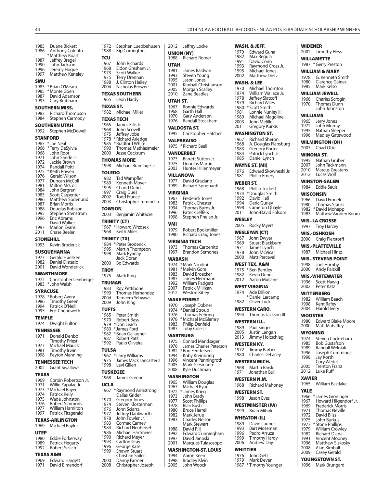| 1985<br>1986         | Duane Bickett                                 | 1972<br>1988          | Stephen Luebl<br>Kip Corringtor       |
|----------------------|-----------------------------------------------|-----------------------|---------------------------------------|
|                      | Anthony Colorito<br>* Matthew Koart           | τςυ                   |                                       |
| 1987<br>1990         | Jeffrey Bregel<br>John Jackson                | 1967                  | John Richards                         |
| 1996                 | Jeremy Hogue                                  | 1968<br>1973          | Eldon Greshan<br><b>Scott Walker</b>  |
| 1997                 | Matthew Keneley                               | 1975                  | Terry Drennan                         |
| SMU<br>1983          | *Brian O'Meara                                | 1988<br>2004          | J. Clinton Haile<br>Nicholas Brow     |
| 1985                 | *Monte Goen                                   |                       | <b>TEXAS SOUTHERN</b>                 |
| 1987<br>1993         | David Adamson<br>Cary Brabham                 | 1965                  | Leon Hardy                            |
|                      | <b>SOUTHERN MISS.</b>                         | <b>TEXAS ST.</b>      |                                       |
| 1983                 | Richard Thompson                              | 1982                  | Michael Miller                        |
| 1984                 | Stephen Carmody<br><b>SOUTHERN UTAH</b>       | 1965                  | <b>TEXAS TECH</b><br>James Ellis Jr.  |
| 1992                 | Stephen McDowell                              | 1968                  | John Scovell                          |
|                      | <b>STANFORD</b>                               | 1975                  | Jeffrey Jobe<br>1978 * Richard Arledo |
| 1965                 | * Joe Neal                                    | 1985                  | *Bradford White                       |
| 1966<br>1968         | * Terry DeSylvia<br>John Root                 | 1990<br>2000          | Thomas Mathi<br>Jesse Cockrum         |
| 1971<br>1972         | John Sande III<br>Jackie Brown                |                       | <b>THOMAS MORE</b>                    |
| 1974                 | <b>Randall Poltl</b>                          | 1998                  | Michael Braml                         |
| 1975<br>1976         | * Keith Rowen<br>Gerald Wilson                | TOLEDO                |                                       |
| 1977                 | Duncan McColl                                 | 1982<br>1989          | Tad Wampfler<br>Kenneth Moye          |
| 1981<br>1984         | Milton McColl<br>John Bergren                 | 1995                  | Chadd Dehn                            |
| 1985                 | Scott Carpenter                               | 1997<br>2002          | Craig Dues<br>Todd France             |
| 1986<br>1987         | Matthew Soderlund<br><b>Brian Morris</b>      | 2003                  | Christopher Tu                        |
| 1988<br>1995         | Douglas Robison<br>Stephen Stenstrom          | <b>TOWSON</b>         |                                       |
| 1996                 | Eric Abrams                                   | 2003                  | Benjamin Whit                         |
| 1997                 | David Walker<br>Marlon Evans                  |                       | TRINITY (CT)<br>1967 *Howard Wrzos    |
| 2011                 | Chase Beeler                                  | 1968                  | Keith Miles                           |
|                      | STONEHILL                                     |                       | TRINITY (TX)                          |
| 1993                 | Kevin Broderick                               | 1995                  | 1984 * Peter Broderic<br>Martin Thomp |
| 1977                 | <b>SUSQUEHANNA</b><br>Gerald Huesken          | 1998                  | Mark Byarlay<br>Jack Doran            |
| 1982                 | Daniel Distasio<br>David Wonderlick           | 2000                  | <b>Bo Edwards</b>                     |
| 2001                 | <b>SWARTHMORE</b>                             | TROY                  |                                       |
| 1972                 | Christopher Leinberger                        | 1975<br><b>TRUMAN</b> | Mark King                             |
| 1983                 | * John Walsh                                  | 1983                  | Roy Pettibone                         |
|                      | <b>SYRACUSE</b><br>1978 *Robert Avery         | 1999<br>2004          | Thomas Herna<br>Tameem Yehya          |
|                      | 1986 Timothy Green<br>1994 Patrick O'Neill    | 2009                  | John King                             |
| 1995                 | Eric Chenoweth                                | <b>TUFTS</b>          |                                       |
| <b>TEMPLE</b>        |                                               | 1970                  | 1965 Peter Smith<br>Robert Bass       |
| 1974                 | Dwight Fulton                                 | 1979                  | *Don Leach                            |
|                      | <b>TENNESSEE</b>                              | 1980<br>1982          | * James Ford<br>* Brian Gallaghe      |
| 1971                 | Donald Denbo<br>Timothy Priest                | 1987                  | Robert Patz                           |
| 1977<br>1981         | Michael Mauck                                 | 1992<br>TULSA         | Paulo Oliveira                        |
| 1998                 | Timothy Irwin<br>Peyton Manning               | 1967                  | * Larry Williams                      |
|                      | <b>TENNESSEE TECH</b>                         | 1975<br>1998          | James Mack La<br>Levi Gillen          |
| 2002                 | <b>Grant Swallows</b>                         | <b>TUSKEGEE</b>       |                                       |
| <b>TEXAS</b><br>1969 | Corbin Robertson Jr.                          | 1968                  | James Greene                          |
| 1971                 | Willie Zapalac Jr.                            | <b>UCLA</b>           |                                       |
| 1973<br>1974         | * Michael Bayer<br>Patrick Kelly              | 1967                  | *Raymond Arm<br>Dallas Grider         |
| 1975                 |                                               |                       |                                       |
| 1976                 | Wade Johnston                                 | 1970                  | Gregory Jones                         |
| 1977                 | Robert Simmons<br>William Hamilton            | 1974                  | Steven Kloster                        |
| 1997                 | Patrick Fitzgerald                            | 1976<br>1977          | John Sciarra<br>Jeffrey Dankw         |
|                      | <b>TEXAS-ARLINGTON</b>                        | 1978<br>1983          | John Fowler Jr<br>Cormac Carne        |
| 1969                 | Michael Baylor                                | 1984                  | <b>Richard Neuhe</b>                  |
| <b>UTEP</b>          |                                               | 1986<br>1990          | Michael Hartm<br><b>Richard Meyer</b> |
| 1980<br>1989         | Eddie Forkerway<br>Patrick Hegarty            | 1993                  | Carlton Gray                          |
| 1992                 | Robert Sesich                                 | 1996<br>1999          | George Kase<br>Shawn Stuart           |
| 1969                 | <b>TEXAS A&amp;M</b><br><b>Edward Hargett</b> | 2000                  | Christian Saile<br>Danny Farmer       |

**WASH. & JEFF.**

| 1988<br>τςυ   | Kip Corrington                                                                                                                 |                 | <b>UNION (NY)</b><br>1988 Richard Ro                                                                        |
|---------------|--------------------------------------------------------------------------------------------------------------------------------|-----------------|-------------------------------------------------------------------------------------------------------------|
|               | 1967 – John Richards<br>1968 – Eldon Gresham Jr.<br>1973 – Scott Walker<br>1988 – J. Clinton Hailey<br>2004 – Nicholas Browner |                 |                                                                                                             |
|               |                                                                                                                                | <b>UTAH</b>     |                                                                                                             |
|               |                                                                                                                                | 1981            | James Bald                                                                                                  |
|               |                                                                                                                                |                 |                                                                                                             |
|               |                                                                                                                                |                 |                                                                                                             |
|               |                                                                                                                                |                 |                                                                                                             |
|               | <b>TEXAS SOUTHERN</b>                                                                                                          |                 | Example Bald<br>1993 Steven You<br>1995 Jason Jone<br>2001 Kimball Ch<br>2005 Morgan Sca<br>2010 Zane Beadl |
| 1965          | Leon Hardy                                                                                                                     | UTAH ST.        |                                                                                                             |
|               | <b>TEXAS ST.</b>                                                                                                               |                 | 1967 Ronnie Edv<br>1968 Garth Hall<br>1970 Gary Ander<br>1976 Randall Sto                                   |
|               | 1982 Michael Miller                                                                                                            |                 |                                                                                                             |
|               | <b>TEXAS TECH</b>                                                                                                              |                 |                                                                                                             |
|               |                                                                                                                                |                 | <b>VALDOSTA ST.</b>                                                                                         |
|               | 1965 James Ellis Jr.<br>1968 John Scovell<br>1975 Jeffrey Jobe                                                                 |                 |                                                                                                             |
|               | 1978 *Richard Arledge                                                                                                          | 1995            | Christophe                                                                                                  |
|               | 1985 *Bradford White                                                                                                           |                 | <b>VALPARAISO</b>                                                                                           |
|               | 1990 Thomas Mathiasmeier                                                                                                       |                 | 1975 * Richard Sea                                                                                          |
| 2000          | Jesse Cockrum                                                                                                                  |                 | <b><i>VANDERBILT</i></b>                                                                                    |
|               | <b>THOMAS MORE</b>                                                                                                             | 1973            | Barrett Sut                                                                                                 |
| 1998          | Michael Bramlage Jr.                                                                                                           | 1975            | Douglas M                                                                                                   |
|               |                                                                                                                                | 2003            | Hunter Hill                                                                                                 |
| <b>TOLEDO</b> |                                                                                                                                |                 | <b>VILLANOVA</b>                                                                                            |
|               |                                                                                                                                |                 | 1977 David Graz                                                                                             |
|               |                                                                                                                                | 1989            | Richard Sp                                                                                                  |
|               |                                                                                                                                | <b>VIRGINIA</b> |                                                                                                             |
|               | 1982 Tad Wampfler<br>1989 Kenneth Moyer<br>1995 Chadd Dehn<br>1997 Craig Dues<br>2002 Todd France                              |                 |                                                                                                             |
|               | 2003 Christopher Tuminello                                                                                                     |                 |                                                                                                             |
| <b>TOWSON</b> |                                                                                                                                |                 |                                                                                                             |
| 2003          | Benjamin Whitacre                                                                                                              |                 |                                                                                                             |
|               |                                                                                                                                |                 | 1967 Frederick Julie<br>1983 Patrick Che<br>1994 Thomas Bu<br>1996 Patrick Jeff<br>1998 Stephen Pr          |
|               | TRINITY (CT)                                                                                                                   | VMI             |                                                                                                             |
| 1968          | 1967 *Howard Wrzosek<br><b>Keith Miles</b>                                                                                     | 1979            | Robert Boc                                                                                                  |
|               |                                                                                                                                | 1980            | <b>Richard Cra</b>                                                                                          |
|               | TRINITY (TX)                                                                                                                   |                 | <b>VIRGINIA TECH</b>                                                                                        |
|               | 1984 * Peter Broderick                                                                                                         | 1973            | Thomas Ca                                                                                                   |
| 1995<br>1998  | Martin Thompson<br>Mark Byarlay                                                                                                | 1997            | Brandon Se                                                                                                  |
|               | Jack Doran                                                                                                                     | <b>WABASH</b>   |                                                                                                             |
| 2000          | <b>Bo Edwards</b>                                                                                                              |                 | 1974 * Mark Nicoli                                                                                          |
| TROY          |                                                                                                                                |                 | 1981 * Melvin Gor                                                                                           |
| 1975          |                                                                                                                                |                 | 1983 David Broe<br>1987 James Herr<br>1992 William Pac<br>2007 Patrick Mill                                 |
|               | Mark King                                                                                                                      |                 |                                                                                                             |
| <b>TRUMAN</b> |                                                                                                                                |                 |                                                                                                             |
| 1983          | Roy Pettibone                                                                                                                  |                 |                                                                                                             |
| 1999<br>2004  | Thomas Hernandez<br>Tameem Yehyawi                                                                                             | 2012            | <b>Weston Kit</b>                                                                                           |
| 2009          | John King                                                                                                                      |                 | <b>WAKE FOREST</b>                                                                                          |
|               |                                                                                                                                |                 | 1970 Joseph Dol                                                                                             |
| <b>TUFTS</b>  |                                                                                                                                | 1974            | *Daniel Stro                                                                                                |
|               | 1965 Peter Smith<br>1970 Robert Bass                                                                                           | 1976<br>1978    | Thomas Fe<br>* Michael Mo                                                                                   |
|               | 1979 *Don Leach                                                                                                                | 1983            | Philip Denf                                                                                                 |
| 1980          | * James Ford                                                                                                                   | 1987            | Toby Cole J                                                                                                 |
| 1982          | * Brian Gallagher                                                                                                              |                 | <b>WARTBURG</b>                                                                                             |
| 1987          | <b>Robert Patz</b>                                                                                                             | 1975            | Conrad Ma                                                                                                   |
| 1992          | Paulo Oliveira                                                                                                                 | 1976            | James Char                                                                                                  |
| TULSA         |                                                                                                                                | 1982            | *Rod Fedde                                                                                                  |
| 1967          | * Larry Williams                                                                                                               | 1994            | Koby Krein                                                                                                  |
| 1975          | James Mack Lancaster II                                                                                                        | 1996            | Vincent Peı                                                                                                 |
| 1998          | Levi Gillen                                                                                                                    | 2005            | Mark Giesn                                                                                                  |
|               | <b>TUSKEGEE</b>                                                                                                                | 2008            | Kyle Duchr                                                                                                  |
| 1968          | James Greene                                                                                                                   |                 | <b>WASHINGTON</b>                                                                                           |
| UCLA          |                                                                                                                                | 1965            | William Do                                                                                                  |
| 1967          | *Raymond Armstrong                                                                                                             | 1967            | Michael Ry                                                                                                  |
|               | Dallas Grider                                                                                                                  | 1972<br>1973    | * James Krie<br>John Brady                                                                                  |
| 1970          | <b>Gregory Jones</b>                                                                                                           | 1977            | Scott Philli <sub>l</sub>                                                                                   |
| 1974          | Steven Klosterman                                                                                                              | 1978            | Blair Bush                                                                                                  |
| 1976          | John Sciarra                                                                                                                   | 1980            | <b>Bruce Harre</b>                                                                                          |
| 1977          | Jeffrey Dankworth                                                                                                              | 1982            | Mark Jerue                                                                                                  |
| 1978<br>1983  | John Fowler Jr.<br>Cormac Carney                                                                                               | 1983            | Charles Nel                                                                                                 |
| 1984          | <b>Richard Neuheisel</b>                                                                                                       |                 | Mark Stewa                                                                                                  |
| 1986          | Michael Hartmeier                                                                                                              | 1988<br>1992    | David Rill<br>Edward Cu                                                                                     |
| 1990          | Richard Meyer                                                                                                                  | 1997            | David Jano                                                                                                  |
| 1993          | Carlton Gray                                                                                                                   | 2001            | Marques Tu                                                                                                  |
| 1996          | George Kase<br>Shawn Stuart                                                                                                    |                 | <b>WASHINGTON-S</b>                                                                                         |
| 1999          |                                                                                                                                |                 |                                                                                                             |

Stephen Luebbehusen Kip Corrington

2012 Jeffrey Locke

Christopher Joseph

| <b>UNION (NY)</b>                                         | <b>Edward Guna</b><br>1970                                 |
|-----------------------------------------------------------|------------------------------------------------------------|
| 1988<br>Richard Romer                                     | 1982<br>Max Regula<br>1991<br>David Conn                   |
| UTAH                                                      | 1993<br>Raymond Cross Jr.                                  |
| 1981<br>James Baldwin                                     | 1995<br>Michael Jones                                      |
| 1993<br>Steven Young<br>1995<br>Jason Jones               | 2002<br>Matthew Dietz                                      |
| 1995<br>2001<br>Kimball Christianson                      | WASH. & LEE                                                |
| 2005<br>Morgan Scalley                                    | Michael Thornton<br>1970                                   |
| 2010<br>Zane Beadles                                      | 1974<br>William Wallace Jr.<br>Jeffrey Slatcoff<br>1978    |
| UTAH ST.                                                  | 1979<br><b>Richard Wiles</b>                               |
| 1967<br>Ronnie Edwards                                    | 1980 * Scott Smith                                         |
| 1968<br>1970<br>Garth Hall<br>Gary Anderson               | 1981<br>Lonnie Nunley III                                  |
| 1976<br>Randall Stockham                                  | 1989<br>Michael Magoline<br>2003<br>John Melillo           |
| <b>VALDOSTA ST.</b>                                       | 2011<br><b>Gregory Kurkis</b>                              |
| 1995<br>Christopher Hatcher                               | <b>WASHINGTON ST.</b>                                      |
| VALPARAISO                                                | 1967<br>Richard Sheron                                     |
| 1975 *Richard Seall                                       | 1968<br>A. Douglas Flansburg                               |
| <b><i>VANDERBILT</i></b>                                  | <b>Gregory Porter</b><br>1983<br>Patrick Lynch Jr.<br>1984 |
| 1973<br>Barrett Sutton Jr.                                | 1985<br>Daniel Lynch                                       |
| 1975<br>Douglas Martin                                    | <b>WAYNE ST. (MI)</b>                                      |
| 2003<br>Hunter Hillenmeyer                                | 1976<br>Edward Skowneski Jr.                               |
| VILLANOVA                                                 | 1981<br>Phillip Emery                                      |
| 1977<br>David Graziano                                    | <b>WEBER ST.</b>                                           |
| 1989<br>Richard Spugnardi                                 | 1968<br>Phillip Tuckett                                    |
| <b>VIRGINIA</b>                                           | 1974<br>* Douglas Smith                                    |
| Frederick Jones                                           | 1992<br>David Hall                                         |
| <b>Patrick Chester</b><br>Thomas Burns Jr.                | 1994<br>Deric Gurley<br><b>Cameron Quayle</b><br>1998      |
| 1967<br>1983<br>1994<br>1996<br>Patrick Jeffers           | John-David Folsom<br>2011                                  |
| 1998<br>Stephen Phelan Jr.                                | <b>WESLEY</b>                                              |
| VMI                                                       | 2005<br><b>Rocky Myers</b>                                 |
| 1979<br>Robert Bookmiller                                 |                                                            |
| 1980<br>Richard Craig Jones                               | <b>WESLEYAN (CT)</b><br>1967<br>John Dwyer                 |
| VIRGINIA TECH                                             | 1969<br>Stuart Blackburn                                   |
| 1973<br><b>Thomas Carpenito</b>                           | 1971<br>James Lynch                                        |
| 1997<br><b>Brandon Semones</b>                            | 1978<br>John McVicar                                       |
| <b>WABASH</b>                                             | 2000<br>Matt Perceval                                      |
| 1974 *Mark Nicolini                                       | <b>WEST TEX. A&amp;M</b>                                   |
| 1981<br>* Melvin Gore<br>David Broecker                   | 1975 *Ben Bentley<br><b>Kevin Dennis</b><br>1982           |
| $\frac{1983}{1987}$<br>1987<br>1992<br>James Herrmann     | 2012<br>Aaron Mullane                                      |
| William Padgett                                           | <b>WEST VIRGINIA</b>                                       |
| 2007<br>Patrick Millikan<br>2012 Weston Kitley            | 1974<br>Ade Dillion                                        |
| <b>WAKE FOREST</b>                                        | * Daniel Larcamp                                           |
| 1970<br>Joseph Dobner                                     | Oliver Luck<br>1982                                        |
| *Daniel Stroup<br>1974                                    | <b>WESTERN CARO.</b>                                       |
| 1976<br>Thomas Fehring                                    | Thomas Jackson III<br>1994                                 |
| * Michael McGlamry<br>1978                                | <b>WESTERN ILL.</b>                                        |
| 1983<br>Philip Denfeld<br>Toby Cole Jr.<br>1987           | 1989<br>Paul Singer                                        |
| <b>WARTBURG</b>                                           | 2005<br>Justin Langan                                      |
| 1975<br>Conrad Mandsager                                  | 2013<br>Jimmy Holtschlag                                   |
| James Charles Peterson<br>1976                            | <b>WESTERN KY.</b>                                         |
| *Rod Feddersen<br>1982                                    | 1972<br>Jimmy Barber<br>1980                               |
| Koby Kreinbring<br>1994<br>1996<br>Vincent Penningroth    | <b>Charles DeLacey</b>                                     |
| 2005<br>Mark Giesmann                                     | <b>WESTERN MICH.</b>                                       |
| 2008<br>Kyle Duchman                                      | 1968<br>Martin Barski<br>1971<br>Jonathan Bull             |
| <b>WASHINGTON</b>                                         | <b>WESTERN N.M.</b>                                        |
| 1965<br>William Douglas                                   | <b>Richard Mahoney</b><br>1968                             |
| 1967<br>Michael Ryan                                      |                                                            |
| * James Krieg<br>1972<br>1973<br>John Brady               | <b>WESTERN ST.</b>                                         |
| 1977<br><b>Scott Phillips</b>                             | Jason Eves<br>1998                                         |
| 1978<br>Blair Bush                                        | <b>WESTMINSTER (PA)</b>                                    |
| 1980<br><b>Bruce Harrell</b><br>1982<br>Mark Jerue        | <b>Brian Mihok</b><br>1999                                 |
| 1983<br>Charles Nelson                                    | <b>WHEATON (IL)</b>                                        |
| Mark Stewart                                              | 1989<br>David Lauber                                       |
| 1988<br>David Rill                                        | <b>Bart Moseman</b><br>1993<br>Pedro Arruza                |
| 1992<br><b>Edward Cunningham</b><br>1997<br>David Janoski | 1996<br>1999<br>Timothy Hardy                              |
| 2001<br>Marques Tuiasosopo                                | 2006<br>Andrew Day                                         |
| WASHINGTON-ST. LOUIS                                      | WHITTIER                                                   |
| 1994<br>Aaron Keen                                        | 1976<br>John Getz                                          |
| 1998<br><b>Bradley Klein</b>                              | 1979<br>Mark Deven                                         |
| 2005<br>John Woock                                        | 1987<br>*Timothy Younger                                   |

| ones            |                 | <b>WILLIAM &amp; MARY</b>                                                                                       |
|-----------------|-----------------|-----------------------------------------------------------------------------------------------------------------|
| Dietz           |                 | 1978 G. Kenneth Smith                                                                                           |
|                 | 1980            | <b>Clarence Gaines</b>                                                                                          |
| hornton         | 1985            | Mark Kelso                                                                                                      |
| 'allace Jr.     |                 | <b>WILLIAM JEWELL</b>                                                                                           |
| ıtcoff          |                 | 1966 Charles Scrogin                                                                                            |
| /iles<br>th     | 1970            | <b>Thomas Dunn</b>                                                                                              |
| unley III       |                 | John Johnston                                                                                                   |
| 1agoline        | <b>WILLIAMS</b> |                                                                                                                 |
| llo             |                 |                                                                                                                 |
| urkis)          |                 | John Murray                                                                                                     |
| ST.             |                 | 1965 Jerry Jones<br>1972 John Murra<br>1995 Nathan Slee<br>1996 Medley Gat<br>Nathan Sleeper<br>Medley Gatewood |
| heron           |                 |                                                                                                                 |
| s Flansburg     |                 | <b>WILMINGTON (OH)</b>                                                                                          |
| orter           | 2007            | Chad Otte                                                                                                       |
| nch Jr.         |                 | <b>WINONA ST.</b>                                                                                               |
| าch             |                 | 1995 Nathan Gruber<br>2007 John Tackmann                                                                        |
|                 |                 |                                                                                                                 |
| kowneski Jr.    |                 | 2007 - John Fackh<br>2010 - Marcus Gre<br>2012 - Lucas Wolf<br><b>Marcus Greatens</b>                           |
| iery            |                 |                                                                                                                 |
|                 |                 | <b>WINSTON-SALEM</b>                                                                                            |
| :kett           |                 | 1984 Eddie Sauls                                                                                                |
| imith           |                 | <b>WISCONSIN</b>                                                                                                |
| I<br>ley        |                 | 1966 David Fronek<br>1980 Thomas Staus                                                                          |
| Quayle          |                 | <b>Thomas Stauss</b><br>1982 *David Mohapp                                                                      |
| id Folsom       | 1983            | Mathew Vanden Bo                                                                                                |
|                 |                 |                                                                                                                 |
| ers             |                 | <b>WIS.-LA CROSSE</b>                                                                                           |
|                 |                 | 1997 Troy Harcey                                                                                                |
| I               |                 | WIS.-OSHKOSH                                                                                                    |
| er              | 2000            | <b>Craig Pierstorff</b>                                                                                         |
| ckburn<br>ነch   |                 | <b>WIS.-PLATTEVILLE</b>                                                                                         |
| 'icar           | 1987            | Michael Hintz                                                                                                   |
| eval            |                 | <b>WIS.-STEVENS POINT</b>                                                                                       |
| 1               | 1998            | Joel Hornby                                                                                                     |
| ey              | 2000            | Andy Palzkill                                                                                                   |
| nnis            |                 | <b>WIS.-WHITEWATER</b>                                                                                          |
| ıllane          | 1996            | Scott Hawig                                                                                                     |
|                 | 2002            | Peter Katz                                                                                                      |
| n               |                 | <b>WITTENBERG</b>                                                                                               |
| rcamp           | 1982            | William Beach                                                                                                   |
| :k              | 1998            | Kent Rafey                                                                                                      |
| ).              | 2004            | Harold Ivery                                                                                                    |
| ackson III      | <b>WOOSTER</b>  |                                                                                                                 |
|                 |                 | 1980 Edward Blake Moo                                                                                           |
| эr              |                 | 2000 Matt Mahaffey                                                                                              |
| ıgan            | WYOMING         |                                                                                                                 |
| <b>Itschlag</b> | 1974            | Steven Cockreham                                                                                                |
|                 | 1985            | <b>Bob Gustafson</b>                                                                                            |
| rber            | 1989            | Randall Welniak                                                                                                 |
| eLacey          | 1996            | Joseph Cummings                                                                                                 |
| I.              | 1998            | Jay Korth<br>Cory Wedel                                                                                         |
| rski            | 2005            | <b>Trenton Franz</b>                                                                                            |
| Bull            | 2012            | Luke Ruff                                                                                                       |
|                 | <b>XAVIER</b>   |                                                                                                                 |
|                 | 1965            | <b>William Eastlake</b>                                                                                         |
| lahoney         |                 |                                                                                                                 |
|                 | YALE            |                                                                                                                 |
| S               | 1966<br>1967    | * James Groninger<br>Howard Hilgendor                                                                           |
| (PA)            | 1969            | <b>Frederick Morris</b>                                                                                         |
| ok              | 1971            | <b>Thomas Neville</b>                                                                                           |
|                 |                 | $\pm$ 1.015.                                                                                                    |

Greatens  $\ln$ LEM auls ronek Stauss lohapp Vanden Boom **SE** rcey **WIS.-OSHKOSH** erstorff **WILLE** Hintz

**WIDENER** 2002 Timothy Hess **WILLAMETTE** 1987 \* Gerry Preston

**SPOINT** mby alzkill **WATER** awig 1tz **Beach** 1998 Kent Rafey 2004 Harold Ivery Blake Moore ahaffey Cockreham stafson .........<br>Welniak Cumming<mark>s</mark><br>.h edel

- Franz<br>ff **Eastlake** <sub>i</sub> roninger
- 1967 Howard Hilgendorf Jr. 1969 Frederick Morris **Neville** 1972 David Bliss<br>1975 John Burku 1975 John Burkus<br>1977 \* Stone Phillin 1977 \* Stone Phillips<br>1979 William Crowl 1979 William Crowley<br>1982 Richard Diana 1982 Richard Diana<br>1991 Vincent Moon 1991 Vincent Mooney<br>1996 Matthew Siskosk 1996 Matthew Siskosky<br>2008 Alan Kimball 2008 Alan Kimball<br>2009 Casey Gerald Casey Gerald **YOUNGSTOWN ST.**

## 1996 Mark Brungard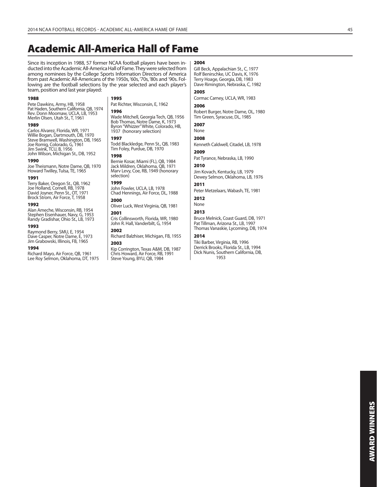# **Academic All-America Hall of Fame**

Since its inception in 1988, 57 former NCAA football players have been inducted into the Academic All-America Hall of Fame. They were selected from among nominees by the College Sports Information Directors of America from past Academic All-Americans of the 1950s, '60s, '70s, '80s and '90s. Following are the football selections by the year selected and each player's team, position and last year played:

#### **1988**

Pete Dawkins, Army, HB, 1958 Pat Haden, Southern California, QB, 1974 Rev. Donn Moomaw, UCLA, LB, 1953 Merlin Olsen, Utah St., T, 1961

#### **1989**

Carlos Alvarez, Florida, WR, 1971 Willie Bogan, Dartmouth, DB, 1970 Steve Bramwell, Washington, DB, 1965 Joe Romig, Colorado, G, 1961 Jim Swink, TCU, B, 1956 John Wilson, Michigan St., DB, 1952

#### **1990**

Joe Theismann, Notre Dame, QB, 1970 Howard Twilley, Tulsa, TE, 1965

#### **1991**

Terry Baker, Oregon St., QB, 1962 Joe Holland, Cornell, RB, 1978 David Joyner, Penn St., OT, 1971 Brock Strom, Air Force, T, 1958

#### **1992**

Alan Ameche, Wisconsin, RB, 1954 Stephen Eisenhauer, Navy, G, 1953 Randy Gradishar, Ohio St., LB, 1973

#### **1993**

Raymond Berry, SMU, E, 1954 Dave Casper, Notre Dame, E, 1973 Jim Grabowski, Illinois, FB, 1965

#### **1994**

Richard Mayo, Air Force, QB, 1961 Lee Roy Selmon, Oklahoma, DT, 1975

#### **1995**

Pat Richter, Wisconsin, E, 1962 **1996**

Wade Mitchell, Georgia Tech, QB, 1956 Bob Thomas, Notre Dame, K, 1973 Byron "Whizzer" White, Colorado, HB, 1937 (honorary selection)

#### **1997**

Todd Blackledge, Penn St., QB, 1983 Tim Foley, Purdue, DB, 1970

#### **1998**

Bernie Kosar, Miami (FL), QB, 1984 Jack Mildren, Oklahoma, QB, 1971 Marv Levy, Coe, RB, 1949 (honorary selection)

## **1999**

John Fowler, UCLA, LB, 1978 Chad Hennings, Air Force, DL, 1988 **2000**

Oliver Luck, West Virginia, QB, 1981

#### **2001**

Cris Collinsworth, Florida, WR, 1980 John R. Hall, Vanderbilt, G, 1954 **2002**

Richard Balzhiser, Michigan, FB, 1955 **2003**

Kip Corrington, Texas A&M, DB, 1987 Chris Howard, Air Force, RB, 1991 Steve Young, BYU, QB, 1984

#### **2004**

Gill Beck, Appalachian St., C, 1977 Rolf Benirschke, UC Davis, K, 1976 Terry Hoage, Georgia, DB, 1983 Dave Rimington, Nebraska, C, 1982 **2005**

Cormac Carney, UCLA, WR, 1983

## **2006**

Robert Burger, Notre Dame, OL, 1980 Tim Green, Syracuse, DL, 1985

**2007** None

## **2008**

Kenneth Caldwell, Citadel, LB, 1978 **2009**

Pat Tyrance, Nebraska, LB, 1990

#### **2010**

Jim Kovach, Kentucky, LB, 1979 Dewey Selmon, Oklahoma, LB, 1976

## **2011**

Peter Metzelaars, Wabash, TE, 1981

#### **2012** None

## **2013**

Bruce Melnick, Coast Guard, DB, 1971 Pat Tillman, Arizona St., LB, 1997 Thomas Vanaskie, Lycoming, DB, 1974

#### **2014**

Tiki Barber, Virginia, RB, 1996 Derrick Brooks, Florida St., LB, 1994 Dick Nunis, Southern California, DB, 1953

# **AWARD WINNERS AWARD WINNERS**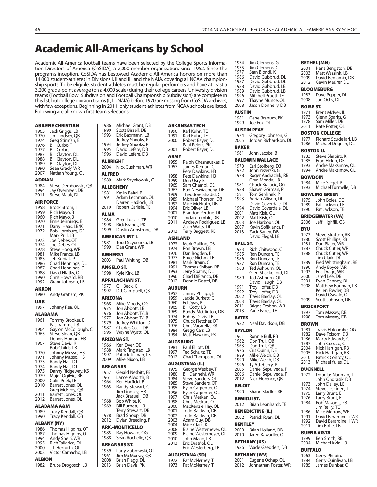# **Academic All-Americans by School**

 $| 1986$ 

Academic All-America football teams have been selected by the College Sports Information Directors of America (CoSIDA), a 2,000-member organization, since 1952. Since the program's inception, CoSIDA has bestowed Academic All-America honors on more than 14,000 student-athletes in Divisions I, II and III, and the NAIA, covering all NCAA championship sports. To be eligible, student-athletes must be regular performers and have at least a 3.200 grade-point average (on a 4.000 scale) during their college careers. University division teams (Football Bowl Subdivision and Football Championship Subdivision) are complete in this list, but college division teams (II, III, NAIA) before 1970 are missing from CoSIDA archives, with few exceptions. Beginning in 2011, only student-athletes from NCAA schools are listed. Following are all known first-team selections:

| 1963<br>1970 | Jack Griggs, LB<br>Jim Lindsey, QB      | 1990<br>1993    | Scott Biss<br>Eric Baxn             |
|--------------|-----------------------------------------|-----------------|-------------------------------------|
| 1974         | Greg Stirman, E                         |                 | Jeffrey Sł                          |
| 1976         | Bill Curbo, T                           | 1994            | Jeffrey SI                          |
| 1977<br>1987 | Bill Curbo, T<br>Bill Clayton, DL       | 1995<br>1996    | David Let<br>David Let              |
| 1988         | <b>Bill Clayton, DL</b>                 | <b>ALBRIGHT</b> |                                     |
| 1989         | Bill Clayton, DL                        | 2004            | Nick Cusl                           |
| 1990<br>2007 | Sean Grady, WR<br>Nathan Young, OL      | ALFRED          |                                     |
| ADRIAN       |                                         | 1989            | Mark Szy                            |
| 1984         | Steve Dembowski, QB                     |                 | <b>ALLEGHENY</b>                    |
| 1994         | Jay Overmyer, DB                        | 1981            | Kevin Bai                           |
| 2011         | <b>Steve Mauk, DL</b>                   | 1991            | Adam Le                             |
| AIR FORCE    |                                         |                 | Darren H                            |
| 1958<br>1959 | Brock Strom, T<br>Rich Mayo, B          | 2010            | Robert C                            |
| 1960         | Rich Mayo, B                            | <b>ALMA</b>     |                                     |
| 1970         | Ernie Jennings, E                       | 1986<br>1998    | Greg Luc<br>Rick Bran               |
| 1971<br>1972 | Darryl Haas, LB/K<br>Bob Homburg, DE    | 1999            | Dustin A                            |
|              | Mark Prill, LB                          |                 | <b>AMERICAN INT</b>                 |
| 1973         | Joe Debes, OT                           | 1981            | <b>Todd Scy</b>                     |
| 1974<br>1978 | Joe Debes, OT<br>Steve Hoog, WR         | 1999            | Dan Grar                            |
| 1981         | Mike France, LB                         | <b>AMHERST</b>  |                                     |
| 1983         | Jeff Kubiak, P                          | 2003            | Paul Whi                            |
| 1986<br>1987 | Chad Hennings, DL<br>Chad Hennings, DL  |                 | <b>ANGELO ST.</b>                   |
| 1988         | David Hlatky, OL                        | 1998            | Kyle Kirk,                          |
| 1990         | Chris Howard, RB                        |                 | <b>APPALACHIAN</b>                  |
| 1992         | Grant Johnson, LB                       | 1977            | Gill Beck,                          |
| AKRON        |                                         | 1992            | D.J. Camı                           |
| 1980         | Andy Graham, PK                         | <b>ARIZONA</b>  |                                     |
| <b>UAB</b>   |                                         | 1968            | Mike Mo                             |
| 1997         | Johnny Rea, OL                          | 1975<br>1976    | Jon Abbo<br>Jon Abbo                |
| ALABAMA      |                                         | 1977            | Jon Abbo                            |
| 1961         | Tommy Brooker, E<br>Pat Trammell, B     | 1979            | Jeffrey W                           |
| 1964         | Gaylon McCollough, C                    | 1987            | Charles C                           |
| 1965         | Steve Sloan, QB                         | 1996            | Wayne W                             |
| 1967         | Dennis Homan, HB<br>Steve Davis, K      |                 | ARIZONA ST.                         |
|              | Bob Childs, LB                          | 1966<br>1988    | Ken Dyer<br>Mark Tin                |
| 1970<br>1971 | Johnny Musso, HB<br>Johnny Musso, HB    | 1997            | Patrick Ti                          |
| 1973         | Randy Hall, DT                          | 2009            | Mike Nix                            |
| 1974         | Randy Hall, DT                          |                 | <b>ARKANSAS</b>                     |
| 1975<br>1979 | Danny Ridgeway, KS<br>Major Ogilvie, RB | 1957            | Gerald N                            |
| 2009         | Colin Peek, TE                          | 1961<br>1964    | Lance Alv<br>Ken Hatfi              |
| 2010         | Barrett Jones, OL                       | 1965            | Randy St                            |
| 2011         | Greg McElroy, QB<br>Barrett Jones, OL   |                 | Jim Linds                           |
| 2012         | Barrett Jones, OL                       | 1968            | <b>Jack Bras</b><br><b>Bob Whit</b> |
|              | ALABAMA A&M                             | 1969            | <b>Bill Burne</b>                   |
| 1989         | Tracy Kendall, QB                       |                 | Terry Ste                           |
| 1990         | Tracy Kendall, QB                       | 1978            | Brad Sho                            |
|              | ALBANY (NY)                             | 2012            | Dylan Bre                           |
| 1986         | Thomas Higgins, OT                      |                 | <b>ARK.-MONTICE</b>                 |
| 1987<br>1994 | Thomas Higgins, OT<br>Andy Shein, WR    | 1985<br>1988    | Ray How<br>Sean Roc                 |
| 1995         | Rich Tallarico, OL                      |                 | ARKANSAS ST.                        |
| 2000         | J.T. Herfurth, OL                       | 1959            | Larry Zab                           |
| 2003         | Victor Camacho, LB                      | 1961            | Jim McM                             |
| ALBION       |                                         | 2008            | Brian Fla                           |
| 1982         | Bruce Drogosch, LB                      | 2013            | Brian Day                           |

| 1986<br>1990<br>1993 | Michael Grant, DB<br>Scott Bissell, DB<br>Eric Baxmann, LB<br>Jeffrey Shooks, P | ARKAI<br>1990<br>1991<br>2000 |
|----------------------|---------------------------------------------------------------------------------|-------------------------------|
| 1994<br>1995<br>1996 | Jeffrey Shooks, P<br>David Lefere, DB<br>David Lefere, DB                       | 2001<br>ARMY                  |
| <b>ALBRIGHT</b>      |                                                                                 | 1955                          |
| 2004                 | Nick Cushman, WR                                                                | 1957                          |
| ALFRED<br>1989       | Mark Szynkowski, OL                                                             | 1958                          |
|                      | <b>ALLEGHENY</b>                                                                | 1959<br>1965                  |
| 1981                 | Kevin Baird, P                                                                  | 1967                          |
| 1991                 | Adam Lechman, OL<br>Darren Hadlock, LB                                          | 1969<br>1989<br>1992          |
| 2010                 | Robert Carlisle, TE                                                             | 1994<br>2001                  |
| ALMA<br>1986         | Greg Luczak, TE                                                                 | 2010                          |
| 1998<br>1999         | Rick Brands, PK<br>Dustin Armstrong, DB                                         | 2011<br>2013                  |
|                      | <b>AMERICAN INT'L</b>                                                           | ASHLA                         |
| 1981<br>1999         | Todd Scyocurka, LB<br>Dan Grant, WR                                             | 1973<br>1974                  |
| <b>AMHERST</b>       |                                                                                 | 1976<br>1977                  |
| 2003                 | Paul Whiting, DB                                                                | 1981                          |
| 1998                 | <b>ANGELO ST.</b><br>Kyle Kirk, LB                                              | 1991<br>1993                  |
|                      | APPALACHIAN ST.                                                                 | 1996<br>2012                  |
| 1977                 | Gill Beck, C                                                                    | <b>AUBUI</b>                  |
| 1992                 | D.J. Campbell, QB                                                               | 1957                          |
| ARIZONA              |                                                                                 | 1959                          |
| 1968<br>1975         | Mike Moody, OG<br>Jon Abbott, LB                                                | 1960<br>1965                  |
| 1976                 | Jon Abbott, T/LB<br>Jon Abbott, T/LB                                            | 1969<br>1974                  |
| 1977<br>1979         | Jeffrey Whitton, DL                                                             | 1975                          |
| 1987                 | Charles Cecil, DB                                                               | 1976<br>1984                  |
| 1996                 | Wayne Wyatt, OL                                                                 | 1994                          |
|                      | ARIZONA ST.                                                                     | AUGSE                         |
| 1966<br>1988         | Ken Dyer, OE<br>Mark Tingstad, LB                                               | 1981                          |
| 1997                 | Patrick Tillman, LB                                                             | 1997<br>2012                  |
| 2009                 | Mike Nixon, LB                                                                  | <b>AUGU:</b>                  |
| 1957                 | <b>ARKANSAS</b><br>Gerald Nesbitt, FB                                           | 1975                          |
| 1961                 | Lance Alworth, B                                                                | 1980<br>1984                  |
| 1964<br>1965         | Ken Hatfield, B<br>Randy Stewart, C                                             | 1985                          |
|                      | Jim Lindsey, HB<br>Jack Brasuell, DB                                            | 1995<br>1996<br>1997          |
| 1968<br>1969         | Bob White, K<br>Bill Burnett, HB<br>Terry Stewart, DB                           | 1998<br>2000<br>2001          |
| 1978<br>2012         | Brad Shoup, DB<br>Dylan Breeding, P                                             | 2002<br>2003                  |
|                      | <b>ARK.-MONTICELLO</b>                                                          | 2004<br>2008                  |
| 1985<br>1988         | Ray Howard, OG<br>Sean Rochelle, QB                                             | 2009<br>2010                  |
|                      | ARKANSAS ST.                                                                    | 2013                          |
| 1959                 | Larry Zabrowski, OT                                                             |                               |
| 1961<br>2008         | Jim McMurray, QB<br>Brian Flagg, DL                                             | AUGU:<br>1972                 |
| 2013                 | Brian Davis, PK                                                                 | 1973                          |

| 1990<br>1991<br>2000<br>2001                                                                                                         | ARKANSAS TECH<br>Karl Kuhn, TE<br>Karl Kuhn, TE<br>Robert Bayer, DL<br>Paul Peletz, PK<br>Robert Bayer, DL                                                                                                                                                                                                                                                                                       |
|--------------------------------------------------------------------------------------------------------------------------------------|--------------------------------------------------------------------------------------------------------------------------------------------------------------------------------------------------------------------------------------------------------------------------------------------------------------------------------------------------------------------------------------------------|
| ARMY                                                                                                                                 |                                                                                                                                                                                                                                                                                                                                                                                                  |
| 1955<br>1957                                                                                                                         | Ralph Chesnauskas, E<br>James Kernan, C<br>Pete Dawkins, HB                                                                                                                                                                                                                                                                                                                                      |
| 1958<br>1959<br>1965<br>1967<br>1969<br>1989<br>1992<br>1994                                                                         | Pete Dawkins, HB<br>Don Usry, E<br>Sam Champi, DE<br><b>Bud Neswiacheny, DE</b><br>Theodore Shadid, C<br>Michael Thorson, DB<br>Mike McElrath, DB<br>Eric Oliver, LB                                                                                                                                                                                                                             |
| 2001<br>2010<br>2011                                                                                                                 | Brandon Perdue, DL<br>Jordan Trimble, DB<br>Andrew Rodriguez, LB<br>Zach Watts, DI                                                                                                                                                                                                                                                                                                               |
| 2013                                                                                                                                 | Terry Baggett, RB                                                                                                                                                                                                                                                                                                                                                                                |
| ASHLAND<br>1973<br>1974<br>1976<br>1977<br>1981<br>1991<br>1993<br>1996<br>2012                                                      | Mark Gulling, DB<br>Ron Brown, LB<br>Dan Bogden, E<br>Bruce Niehm, LB<br>Mark Braun, C<br>Thomas Shiban, RB<br>Jerry Spatny, DL<br>Chad DiFranco, DB<br>Donnie Dottei, DB                                                                                                                                                                                                                        |
| AUBURN                                                                                                                               |                                                                                                                                                                                                                                                                                                                                                                                                  |
| 1957<br>1959<br>1960<br>1965<br>1969<br>1974<br>1975<br>1976<br>1984<br>1994                                                         | Jimmy Phillips, E<br>Jackie Burkett, C<br>Ed Dyas, B<br>Bill Cody, LB<br><b>Buddy McClinton, DB</b><br>Bobby Davis, LB<br>Chuck Fletcher, DT<br>Chris Vacarella, RB<br>Gregg Carr, LB<br>Matt Hawkins, PK                                                                                                                                                                                        |
|                                                                                                                                      | AUGSBURG                                                                                                                                                                                                                                                                                                                                                                                         |
| 1981<br>1997<br>2012                                                                                                                 | Paul Elliott, DL<br>Ted Schultz, TE<br>Chad Thompson, OL                                                                                                                                                                                                                                                                                                                                         |
|                                                                                                                                      | <b>AUGUSTANA (IL)</b>                                                                                                                                                                                                                                                                                                                                                                            |
| 1975<br>1980<br>1984<br>1985<br>1995<br>1996<br>1997<br>1998<br>2000<br>2001<br>2002<br>2003<br>2004<br>2008<br>2009<br>2010<br>2013 | George Wesbey, T<br>Bill Dannehl, WR<br>Steve Sanders, OT<br>Steve Sanders, OT<br>Ryan Carpenter, OL<br>Ryan Carpenter, OL<br>Chris Meskan, OL<br>Chris Meskan, OL<br>MacKenzie Hay, OL<br>Todd Baldwin, DB<br>Todd Baldwin, DB<br>Adam Guy, DB<br>Mike Clark, K<br>Blaine Westemeyer, OL<br>Blaine Westemeyer, OL<br>John Mago, LB<br>Eric Dratnol, OL<br>Erik Westerberg, LB<br>AUGUSTANA (SD) |
| 1972                                                                                                                                 | Pat McNerney, T                                                                                                                                                                                                                                                                                                                                                                                  |
| 1973                                                                                                                                 | Pat McNerney, T                                                                                                                                                                                                                                                                                                                                                                                  |

| 1974           | Jim Clemens, G                           |                  | <b>BETHEL (MN)</b>                                         |
|----------------|------------------------------------------|------------------|------------------------------------------------------------|
| 1975           | Jim Clemens, C                           | 2001             | Hans Bengston, DB                                          |
| 1977<br>1986   | Stan Biondi, K<br>David Gubbrud, DL      | 2003<br>2009     | Matt Wassink, LB                                           |
| 1987           | David Gubbrud, DL                        | 2012             | David Benjamin, DB<br>Gavin Maurer, DL                     |
| 1988           | David Gubbrud, LB                        |                  |                                                            |
| 1989           | David Gubbrud, LB                        |                  | <b>BLOOMSBURG</b>                                          |
| 1996           | Mitchell Pruett, TE                      | 1983             | Dave Pepper, DL                                            |
| 1997           | Thayne Munce, OL                         | 2008             | Jon Ochs, DL                                               |
| 2008           | Jason Donnelly, DB                       | <b>BOISE ST.</b> |                                                            |
| <b>AUSTIN</b>  |                                          | 1971             | Brent McIver, IL                                           |
| 1981           | Gene Branum, PK                          | 1973<br>1978     | Glenn Sparks, G<br>Sam Miller, DB                          |
| 1999           | Joe Fox, OL                              | 2011             | Nate Potter, OL                                            |
|                | <b>AUSTIN PEAY</b>                       |                  | <b>BOSTON COLLEGE</b>                                      |
| 1974           | Gregory Johnson, G                       | 1977             |                                                            |
| 2005           | Jordan Richardson, DL                    | 1986             | Richard Scudellari, L<br>Michael Degnan, DL                |
| <b>BAKER</b>   |                                          | <b>BOSTON U.</b> |                                                            |
| 1961           | John Jacobs, B                           | 1983             | Steve Shapiro, K                                           |
|                | <b>BALDWIN WALLACE</b>                   | 1985             | Brad Hokin, DB                                             |
| 1970           | Earl Stolberg, DB                        | 1993             | Andre Maksimov, Ol                                         |
| 1972           | John Yezerski, G                         | 1994             | Andre Maksimov, Ol                                         |
| 1978           | Roger Andrachik, RB                      | <b>BOWDOIN</b>   |                                                            |
| 1981           | Greg Monda, LB                           | 1984             | Mike Siegel, P                                             |
| 1988           | Chuck Krajacic, OG<br>Shawn Gorman, P    | 1993             | Michael Turmelle, D                                        |
| 1991           | Tom Serdinak, P                          |                  | <b>BOWLING GREEN</b>                                       |
| 1993           | Adrian Allison, DL                       | 1975             | John Boles, DE                                             |
|                | David Coverdale, DL                      | 1989             | Pat Jackson, LB                                            |
| 1994<br>2001   | David Coverdale, DL<br>Matt Kish, OL     | 1990             | Pat Jackson, TE                                            |
| 2002           | Matt Kish, OL                            |                  | <b>BRIDGEWATER (VA)</b>                                    |
| 2003           | Joe Harbour, OL                          | 2006             | Jeff Highfill, QB                                          |
| 2007           | Kevin Soflkiancs, P                      | BYU              |                                                            |
| 2013           | Zack Barley, DB                          | 1973             | Steve Stratton, RB                                         |
|                | David Flegal, LB                         | 1980             | Scott Phillips, RB                                         |
| BALL ST.       |                                          | 1981             | Dan Plater, WR                                             |
| 1983           | Rich Chitwood, C                         | 1987             | Chuck Cutler, WR                                           |
| 1985           | Ron Duncan, TE                           | 1988             | Chuck Cutler, WR<br>Tim Clark, DL                          |
| 1986<br>1987   | Ron Duncan, TE<br>Ron Duncan, TE         | 1989             | Fred Whittingham, F                                        |
| 1988           | Ted Ashburn, OL                          | 1990             | Andy Boyce, WR                                             |
|                | Greg Shackelford, DL                     | 1993             | Eric Drage, WR                                             |
| 1989           | Ted Ashburn, OL                          | 2000             | Jared Lee, DB                                              |
|                | David Haugh, DB                          | 2001<br>2008     | Ryan Denney, DL<br>Matthew Bauman, L                       |
| 1991<br>1992   | Troy Hoffer, DB<br>Troy Hoffer, DB       |                  | Kellen Fowler, DB                                          |
| 2002           | Travis Barclay, OL                       |                  | David Oswald, OL                                           |
| 2003           | Travis Barclay, OL                       | 2009             | Scott Johnson, DB                                          |
| 2011           | Briggs Orsbon, WR                        |                  | <b>BROCKPORT</b>                                           |
| 2013           | Zane Fakes, TE                           | 1997             | Tom Massey, DB                                             |
| <b>BATES</b>   |                                          | 1998             | Tom Massey, DB                                             |
| 1982           | Neal Davidson, DB                        | <b>BROWN</b>     |                                                            |
| <b>BAYLOR</b>  |                                          | 1981             | Travis Holcombe, O                                         |
|                | 1961 Ronnie Bull, RB                     | 1982             | Dave Folsom, DB                                            |
| 1962           | Don Trull, QB                            | 1986<br>1987     | Marty Edwards, C                                           |
| 1963           | Don Trull, QB                            | 2004             | John Cuozzo, C<br>Nick Hartigan, RB                        |
| 1976<br>1989   | Cris Quinn, DE                           | 2005             | Nick Hartigan, RB                                          |
| 1990           | Mike Welch, DB<br>Mike Welch, DB         | 2010             | Patrick Conroy, OL                                         |
| 1996           | Ty Atteberry, P                          | 2013             | Michael Yules, DL                                          |
| 2005           | Daniel Sepulveda, P                      | <b>BUCKNELL</b>  |                                                            |
| 2006           | Daniel Sepulveda, P                      | 1972             | Douglas Nauman, T                                          |
| 2012           | Nick Florence, QB                        |                  | John Ondrasik, DB                                          |
|                |                                          |                  |                                                            |
| <b>BELOIT</b>  |                                          | 1973             | John Dailey, LB                                            |
| 1990           | Shane Stadler, RB                        | 1974             | Steve Leskinen, T                                          |
|                | <b>BEMIDJI ST.</b>                       | 1975<br>1976     | Larry Brunt, E<br>Larry Brunt, E                           |
| 2012           |                                          | 1984             | Rob Masonis, RB                                            |
|                | Brian Leonhardt, TE                      |                  | Jim Reilly, TE                                             |
|                | <b>BENEDICTINE (IL)</b>                  | 1986             | Mike Morrow, WR                                            |
| 2002           | Patrick Ryan, DL                         | 1991<br>1992     | David Berardinelli, V<br>David Berardinelli, V             |
| <b>BENTLEY</b> |                                          | 2011             | Tim Bolte, LB                                              |
| 2000           | Brian Holland, DB                        |                  | <b>BUENA VISTA</b>                                         |
| 2010           | Jared Kawadler, OL                       | 1999             | Ben Smith, RB                                              |
|                | <b>BETHANY (KS)</b>                      | 2004             | Michael Irvin, LB                                          |
| 1986           | Wade Gaeddert, DB                        | <b>BUFFALO</b>   |                                                            |
|                | <b>BETHANY (WV)</b>                      | 1963             |                                                            |
| 2001<br>2012   | Eugene Ochap, OL<br>Johnathan Foster, WR | 1984<br>1985     | Gerry Philbin, T<br>Gerry Quinlivan, LB<br>James Dunbar, C |

| 1983<br>2008                 | Dave Pepper, DL<br>Jon Ochs, DL                                          |
|------------------------------|--------------------------------------------------------------------------|
| BOISE ST.                    |                                                                          |
| 1971<br>1973<br>1978<br>2011 | Brent McIver, IL<br>Glenn Sparks, G<br>Sam Miller, DB<br>Nate Potter, OL |
|                              | <b>BOSTON COLLEGE</b>                                                    |
| 1977<br>1986                 | Richard Scudellari, LB<br>Michael Degnan, DL                             |
| BOSTON U.<br>1983            | Steve Shapiro, K                                                         |
| 1985                         | Brad Hokin, DB                                                           |
| 1993<br>1994                 | Andre Maksimov, OL<br>Andre Maksimov, OL                                 |
| BOWDOIN                      |                                                                          |
| 1984                         | Mike Siegel, P                                                           |
| 1993                         | Michael Turmelle, DB                                                     |
| 1975                         | <b>BOWLING GREEN</b><br>John Boles, DE                                   |
| 1989                         |                                                                          |
| 1990                         | Pat Jackson, LB<br>Pat Jackson, TE                                       |
| 2006                         | <b>BRIDGEWATER (VA)</b><br>Jeff Highfill, QB                             |
| BYU                          |                                                                          |
| 1973                         | Steve Stratton, RB<br>Scott Phillips, RB                                 |
| 1980<br>1981                 | Dan Plater, WR                                                           |
| 1987                         | Chuck Cutler, WR                                                         |
| 1988                         | Chuck Cutler, WR<br>Tim Clark, DL                                        |
| 1989                         | Fred Whittingham, RB                                                     |
| 1990<br>1993                 | Andy Boyce, WR<br>Eric Drage, WR                                         |
| 2000                         | Jared Lee, DB                                                            |
| 2001<br>2008                 | Ryan Denney, DL<br>Matthew Bauman, LB                                    |
|                              | Kellen Fowler, DB                                                        |
| 2009                         | David Oswald, OL<br>Scott Johnson, DB                                    |
| BROCKPORT                    |                                                                          |
| 1997                         | Tom Massey, DB                                                           |
| 1998                         | Tom Massey, DB                                                           |
| <b>BROWN</b><br>1981         | Travis Holcombe, OG                                                      |
| 1982                         | Dave Folsom, DB                                                          |
| 1986<br>1987                 | Marty Edwards, C<br>John Cuozzo, C                                       |
| 2004                         | Nick Hartigan, RB                                                        |
| 2005<br>2010                 | Nick Hartigan, RB<br>Patrick Conroy, OL                                  |
| 2013                         | Michael Yules, DL                                                        |
| BUCKNELL                     |                                                                          |
| 1972                         | Douglas Nauman,<br>Τ<br>John Ondrasik, DB                                |
| 1973                         | John Dailey, LB                                                          |
| 1974<br>1975                 | Steve Leskinen, T                                                        |
| 1976                         | Larry Brunt, E<br>Larry Brunt, E                                         |
| 1984                         | Rob Masonis, RB<br>Jim Reilly, TE                                        |
| 1986<br>1991                 | Mike Morrow, WR<br>David Berardinelli, WR                                |
| 1992                         | David Berardinelli, WR                                                   |
| 2011                         | Tim Bolte, LB                                                            |
| 1999                         | BUENA VISTA                                                              |
| 2004                         | Ben Smith, RB<br>Michael Irvin, LB                                       |
|                              | BUFFALO                                                                  |

**ABILENE CHRISTIAN**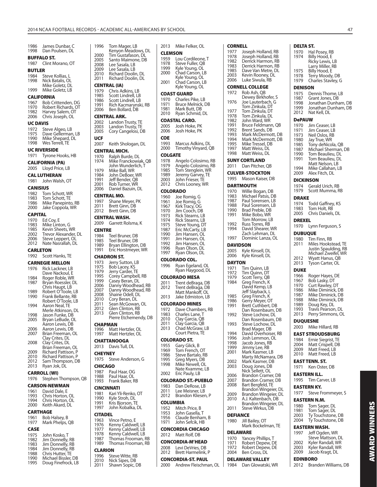| 1986<br>1998    | James Dunbar, C<br>Dan Poulsen, DL    | 1996                 | Tom Mager, LB<br>Kenyon Meadows, DL        |
|-----------------|---------------------------------------|----------------------|--------------------------------------------|
|                 | <b>BUFFALO ST.</b>                    | 2000                 | Tim Gustafason, DL                         |
| 1987            | Clint Morano, OT                      | 2005<br>2008         | Santo Maimone, DB                          |
| <b>BUTLER</b>   |                                       | 2009                 | Lee Sasala, LB<br>Lee Sasala, LB           |
| 1984            | Steve Kollias, L                      | 2010                 | Richard Doolin, DL                         |
| 1998            | Nick Batalis, OL                      | 2011                 | Richard Doolin, DL                         |
| 1999            | Mike Goletz, DL<br>Mike Goletz, LB    |                      | <b>CENTRAL (IA)</b>                        |
|                 |                                       | 1979<br>1985         | Chris Adkins, LB<br>Scott Lindrell, LB     |
| 1967            | CALIFORNIA<br>Bob Crittenden, DG      | 1986                 | Scott Lindrell, LB                         |
| 1970            | Robert Richards, OT                   | 1991                 | Rich Kacmarynski, RB                       |
| 1982            | Harvey Salem, OT                      | 2006                 | Ben Bollard, DB                            |
| 2006            | Chris Joseph, OL                      |                      | <b>CENTRAL ARK.</b>                        |
| <b>UC DAVIS</b> |                                       | 2002<br>2003         | Landon Trusty, TE<br>Landon Trusty, TE     |
| 1972<br>1975    | Steve Algeo, LB<br>Dave Gellerman, LB | 2005                 | Cory Cangelosi, DB                         |
| 1990            | Mike Shepard, DL                      | UCF                  |                                            |
|                 | 1998 Wes Terrell, TE                  | 2007                 | Keith Shologan, DL                         |
|                 | <b>UC RIVERSIDE</b>                   |                      | CENTRAL MICH.                              |
| 1971            | Tyrone Hooks, HB                      | 1970                 | Ralph Burde, DL                            |
|                 | <b>CALIFORNIA (PA)</b>                | 1974                 | Mike Franckowiak, QE<br>John Wunderlich, T |
| 2005            | Lloyd Price, LB                       | 1979                 | Mike Ball, WR                              |
|                 | <b>CAL LUTHERAN</b>                   | 1984<br>1991<br>2001 | John DeBoer, WR                            |
| 1981            | John Walsh, OT                        |                      | Jeff Bender, QB<br>Rob Turner, WR          |
| <b>CANISIUS</b> |                                       | 2006                 | Daniel Bazuin, DL                          |
| 1982<br>1983    | Tom Schott, WR                        |                      | CENTRAL MO.                                |
| 1986            | Tom Schott, TE<br>Mike Panepinto, RB  | 1997                 | Shane Meyer, PK                            |
| 2000            | Jake Coppola, WR                      | 2011<br>2012         | Brett Ginn, DB                             |
| <b>CAPITAL</b>  |                                       |                      | Brett Ginn, DB                             |
| 1970            | Ed Coy, E                             | 2009                 | CENTRAL WASH.<br>Garrett Rolsma, K         |
| 1983<br>1985    | Mike Linton, G<br>Kevin Sheets, WR    | <b>CENTRE</b>        |                                            |
| 2002<br>2006    | Trevor Alexander, DL                  | 1984                 | Teel Bruner, DB                            |
|                 | Steve Leppert, OL                     | 1985                 | Teel Bruner, DB                            |
| 2012            | Nate Nasrallah, DL                    | 1989                 | Bryan Ellington, DB                        |
|                 |                                       |                      |                                            |
| <b>CARLETON</b> |                                       | 1991                 | Eric Horstmeyer, WR                        |
| 1992            | Scott Hanks, TE                       |                      | CHADRON ST.                                |
|                 | <b>CARNEGIE MELLON</b>                | 1973                 | Jerry Sutton, LB                           |
| 1976            | Rick Lackner, LB                      | 1975<br>1979         | Bob Lacey, KS<br>Jerry Carder, TE          |
| 1984            | Dave Nackoul, E<br>Roger Roble, WR    | 1995                 | Corey Campbell, RB                         |
| 1987            | Bryan Roessler, DL                    | 1999<br>2006         | Casey Beran, DL<br>Danny Woodhead, RB      |
| 1989            | Chris Haupt, LB<br>Robert O'Toole, LB | 2007                 | Danny Woodhead, RB                         |
| 1990            | Frank Bellante, RB                    | 2008                 | Shaine Odell, DL                           |
|                 | Robert O'Toole, LB                    | 2010<br>2011         | Cory Beran, DL<br>Sean McGowan, OL         |
| 1994            | Aaron Neal, TE<br>Merle Atkinson, DL  | 2012                 | Glen Clinton, RB                           |
| 1998            | Jason Funke, DB                       | 2013                 | Glen Clinton, RB                           |
| <b>ZUU5</b>     | Bryan LeBude, OL                      |                      | Pierre Etchemendy, D                       |
| 2006            | Aaron Lewis, DB<br>Aaron Lewis, DB    | CHAPMAN<br>1996      | Matt Hertzler, OL                          |
| 2007            | Brian Freeman, OL                     | 1997                 | Matt Hertzler, OL                          |
|                 | Clay Crites, DL                       |                      | <b>CHATTANOOGA</b>                         |
| 2008            | Clay Crites, DL<br>Brian Freeman, OL  | 2013                 | Davis Tull, DL                             |
| 2009            | Richard Pattison, P                   | CHEYNEY              |                                            |
| 2010<br>2012    | Richard Pattison, P                   | 1975                 | Steve Anderson, G                          |
| 2013            | Sam Thompson, DB<br>Ryan Jok, DL      | <b>CHICAGO</b>       |                                            |
|                 | <b>CARROLL (WI)</b>                   | 1987                 | Paul Haar, OG                              |
| 1976            | Stephen Thompson, QB                  | 1988                 | Paul Haar, OL                              |
|                 | <b>CARSON-NEWMAN</b>                  | 1993                 | Frank Baker, RB<br><b>CINCINNATI</b>       |

1961 David Dale, E 1993 Chris Horton, OL 1994 Chris Horton, OL 2000 Keith Akard, DL

## **CARTHAGE** 1961 Bob Halsey, B 1977 Mark Phelps, QB

| 19/7        | Mark Prieips, QB    |
|-------------|---------------------|
| <b>CASE</b> |                     |
| 1975        | John Kosko, T       |
| 1982        | Jim Donnelly, RB    |
| 1983        | Jim Donnelly, RB    |
| 1984        | Jim Donnelly, RB    |
| 1988        | Chris Hutter, TE    |
| 1990        | Michael Bissler, DB |
| 1995        | Doug Finefrock, LB  |
|             |                     |

|    |                              | CENTRAL MICH.                                                                    |
|----|------------------------------|----------------------------------------------------------------------------------|
|    | 1970<br>1974                 | Ralph Burde, DL<br>Mike Franckowiak, QB<br>John Wunderlich, T                    |
|    | 1979<br>1984                 | Mike Ball, WR<br>John DeBoer, WR                                                 |
|    | 1991<br>2001                 | Jeff Bender, QB<br>Rob Turner, WR                                                |
|    | 2006                         | Daniel Bazuin, DL                                                                |
|    |                              | CENTRAL MO.<br>Shane Meyer, PK                                                   |
|    | 1997<br>2011<br>2012         | Brett Ginn, DB<br>Brett Ginn, DB                                                 |
|    | 2009                         | CENTRAL WASH.<br>Garrett Rolsma, K                                               |
|    | <b>CENTRE</b>                |                                                                                  |
|    | 1984<br>1985<br>1989<br>1991 | Teel Bruner, DB<br>Teel Bruner, DB<br>Bryan Ellington, DB<br>Eric Horstmeyer, WR |
|    |                              | CHADRON ST.                                                                      |
|    | 1973<br>1975                 | Jerry Sutton, LB<br>Bob Lacey, KS                                                |
|    | 1979                         | Jerry Carder, TE                                                                 |
|    | 1995<br>1999                 | Corey Campbell, RB<br>Casey Beran, DL<br>Danny Woodhead, RB                      |
|    | 2006<br>2007                 | Danny Woodhead, RB                                                               |
|    | 2008<br>2010                 | Shaine Odell, DL<br>Cory Beran, DL                                               |
|    | 2011<br>2012                 | Sean McGowan, OL<br>Glen Clinton, RB                                             |
|    | 2013                         | Glen Clinton, RB<br>Pierre Etchemendy, DB                                        |
|    | CHAPMAN                      |                                                                                  |
|    | 1996<br>1997                 | Matt Hertzler, OL<br>Matt Hertzler, OL                                           |
|    | 2013                         | <b>CHATTANOOGA</b><br>Davis Tull, DL                                             |
|    | <b>CHEYNEY</b><br>1975       | Steve Anderson, G                                                                |
|    | <b>CHICAGO</b>               |                                                                                  |
| QΒ | 1987<br>1988<br>1993         | Paul Haar, OG<br>Paul Haar, OL<br>Frank Baker, RB                                |
|    |                              | <b>CINCINNATI</b>                                                                |
|    | 1981<br>1990                 | Kari Yli-Renko, OT<br>Kyle Stroh, DL                                             |
|    | 1991<br>1997                 | Kris Bjorson, TE<br>John Kobalka, DL                                             |
|    | CITADEL                      |                                                                                  |
|    | 1963                         | Vince Petno, E                                                                   |
|    |                              |                                                                                  |
|    | 1976<br>1977                 | Kenny Caldwell, LB<br>Kenny Caldwell, LB                                         |
|    | 1978<br>1987                 | Kenny Caldwell, LB<br>Thomas Frooman, RB                                         |
|    | 1989                         | Thomas Frooman, RB                                                               |
|    | CLARION<br>1996              | Steve Witte, RB                                                                  |
|    | 2010<br>2011                 | Nick Sipes, DB<br>Shawn Sopic, DB                                                |
|    |                              |                                                                                  |
|    |                              |                                                                                  |

| 2013                    | Mike Felker, OL                                        |
|-------------------------|--------------------------------------------------------|
| <b>CLEMSON</b>          |                                                        |
| 1959<br>1978            | Lou Cordileone, T<br>Steve Fuller, QB                  |
| 1999                    | Kyle Young, OL                                         |
| 2000                    | Chad Carson, LB<br>Kyle Young, OL                      |
| 2001                    | Chad Carson, LB                                        |
|                         | Kyle Young, ÓL                                         |
| 1970                    | <b>COAST GUARD</b><br>Charles Pike, LB                 |
| 1971                    | <b>Bruce Melnick, DB</b>                               |
| 1981<br>2010            | Mark Butt, DB<br>Ryan Schmid, DL                       |
|                         | COASTAL CARO.                                          |
| 2005                    | Josh Hoke, PK                                          |
| 2006                    | Josh Hoke, PK                                          |
| COE                     |                                                        |
| 1993<br>2000            | Marcus Adkins, DL<br>Timothy Vinyard, QB               |
| <b>COLGATE</b>          |                                                        |
| 1978                    | Angelo Colosimo, RB                                    |
| 1979<br>1985            | Angelo Colosimo, RB<br>Tom Stenglein, WR               |
| 1989                    | Jeremy Garvey,<br>ΙE                                   |
| 2003<br>2012            | John Frieser, TE<br>Chris Looney, WR                   |
|                         | COLORADO                                               |
| 1960                    | Joe Romig, G                                           |
| 1961<br>1967            | Joe Romig, G                                           |
| 1970                    | Kirk Tracy, OG<br>Jim Cooch, DB                        |
| 1973<br>1974            | Rick Stearns, LB<br>Rick Stearns, LB                   |
| 1975                    | Steve Young, DT                                        |
| 1987<br>1990            | Eric McCarty, LB<br>Jim Hansen, OL                     |
| 1991                    | Jim Hansen, OL                                         |
| 1992<br>1996            | Jim Hansen, OL<br>Ryan Olson, DL                       |
| 1997                    | Ryan Olson, DL                                         |
|                         |                                                        |
|                         | COLORADO COL.                                          |
| 1996                    | Ryan Egeland, OL<br>Ryan Haygood, DL                   |
|                         | <b>COLORADO MESA</b>                                   |
| 2011                    | Trent deBraga, DB                                      |
| 2012                    | Trent deBraga, DB<br>Matt Mankoff, OL                  |
| 2013                    | Jake Edmiston, LB                                      |
|                         | <b>COLORADO MINES</b>                                  |
| 1972<br>1983            | Dave Chambers, RB<br>Τ                                 |
| 2010                    | Charles Lane,<br>Clay Garcia, QB                       |
| 2011<br>2013            | Clay Garcia, QB                                        |
|                         | Chad McGraw, LB<br>Court Pietra, TE                    |
|                         | COLORADO ST.                                           |
| 1955<br>1969            | Gary Glick, B<br>Tom French, OT                        |
| 1986                    |                                                        |
| 1995<br>1998            | Steve Bartalo, RB<br>Greg Myers, DB<br>Mike Newell, OL |
|                         | Nate Kvamme, LB                                        |
| 2002                    | Eric Pauly, LB                                         |
| 1983                    | <b>COLORADO ST.-PUEBLO</b><br>Dan DeRose, LB           |
| 2011                    | Lee Meisner, LB                                        |
| 2012                    | Brandon Kliesen, P                                     |
| <b>COLUMBIA</b><br>1952 | Mitch Price, B                                         |
| 1953                    | John Gasella, T                                        |
| 1956<br>1971            | Claude Benham, B<br>John Sefcik, HB                    |
|                         | <b>CONCORDIA CHICAGO</b>                               |
| 2012                    | Matt Rolf, DB                                          |
|                         | CONCORDIA-M'HEAD                                       |
| 2008<br>2012            | Levi DeVries, DB<br>Brett Harmelink, P                 |
|                         | CONCORDIA-ST. PAUL                                     |
| 2000                    | Andrew Fleischman, OL                                  |

|                 | CORNELL                                     |                         | DELTA ST.                           |
|-----------------|---------------------------------------------|-------------------------|-------------------------------------|
| 1977<br>1978    | Joseph Holland, RB                          | 1970                    | Hal Posey, RB                       |
| 1982            | Joseph Holland, RB<br>Derrick Harmon, RB    | 1974                    | Billy Hood, E<br>Ricky Lewis, L     |
| 1983            | Derrick Harmon, RB                          |                         | Larry Miller, R                     |
| 1985            | Dave Van Metre, DL                          | 1975                    | Billy Hood, E                       |
| 2003            | Kevin Rooney, DL                            | 1978                    | Terry Moody,                        |
| 2006            | Luke Siwula, RB                             | 1979                    | Charles Stavle                      |
|                 | <b>CORNELL COLLEGE</b>                      | <b>DENISON</b>          |                                     |
| 1972            | Rob Ash, QB                                 | 1975                    | Dennis Thom                         |
| 1976            | Dewey Birkhofer, S<br>Joe Lauterbach, G     | 1987                    | Grant Jones, I                      |
|                 | Tom Zinkula, DT                             | 1998<br>1999            | Jonathan Dui<br>Jonathan Du         |
| 1977            | Tom Zinkula, DT                             | 2012                    | Nat Kell, DL                        |
| 1978            | Tom Zinkula, DL                             | <b>DePAUW</b>           |                                     |
| 1982<br>1991    | John Ward, WR<br>Bruce Feldmann, QB         | 1970                    | Jim Ceaser, Ll                      |
| 1992            | Brent Sands, DB                             | 1971                    | Jim Ceaser, Ll                      |
| 1993            | Mark McDermott, DB                          | 1973                    | Neil Oslos, RB                      |
| 1994            | Mark McDermott, DB                          | 1980                    | Jay True, WR                        |
| 1995            | Mike Tressel, DB                            | 1985                    | Tony deNicol                        |
| 1997<br>1998    | Matt Weiss, DL<br>Matt Weiss, DL            | 1987<br>1990            | Michael Sher<br>Tom Beaulieu        |
|                 |                                             | 1991                    | <b>Tom Beaulieu</b>                 |
| 2011            | <b>SUNY CORTLAND</b><br>Dan Pitcher, QB     |                         | Matt Nelson,                        |
|                 |                                             | 1994                    | Mike Callahaı                       |
|                 | <b>CULVER-STOCKTON</b>                      | 2009                    | Alex Fitch, DL                      |
| 1995            | Mason Kaiser, DB                            |                         | <b>DICKINSON</b>                    |
|                 | <b>DARTMOUTH</b>                            | 1974                    | Gerald Urich,                       |
| 1970<br>1983    | Willie Bogan, DB<br>Michael Patsis, DB      | 1979                    | Scott Mumm                          |
| 1987            | Paul Sorensen, LB                           | <b>DRAKE</b>            |                                     |
| 1988            | Paul Sorensen, LB                           | 1974                    | <b>Todd Gaffney</b>                 |
| 1990            | Brad Preble, DB                             | 1983<br>2005            | Tom Holt, RB<br>Chris Daniels,      |
| 1991            | Mike Bobo, WR<br>Tom Morrow, LB             |                         |                                     |
| 1992            | Russ Torres, RB                             | <b>DREXEL</b>           |                                     |
| 1994            | David Shearer, WR                           | 1970                    | Lynn Fergusc                        |
|                 | Zach Lehman, DL                             | <b>DUBUQUE</b>          |                                     |
| 1997            | Dominic Lanza, OL                           | 1980<br>2011            | Tim Finn, RB<br>Miles Hookst        |
|                 | DAVIDSON                                    |                         | Justin Spauld                       |
| 2005<br>2006    | Kyle Kinsell, DL<br>Kyle Kinsell, DL        |                         | Michael Zwei                        |
|                 |                                             | 2012                    | Wyatt Hanus,                        |
| <b>DAYTON</b>   |                                             | 2013                    | Tyson Carter,                       |
| 1971<br>1972    | Tim Quinn, LB<br>Tim Quinn, DT              | <b>DUKE</b>             |                                     |
| 1979            | Scott Terry, QB                             | 1966                    | Roger Hayes,                        |
| 1984            | Greg French, K                              | 1967<br>1970            | Bob Lasky, DT<br>Curt Rawley,       |
|                 | David Kemp, LB                              | 1986                    | <b>Mike Diminic</b>                 |
| 1985            | Jeff Slayback, L<br>Greg French, K          | 1987                    | Mike Diminic                        |
| 1986            |                                             | 1988                    | Mike Diminic                        |
|                 |                                             |                         |                                     |
| 1991            | Gerry Meyer, OT<br>Brett Cuthbert, DB       | 1989                    | Doug Key, DL                        |
|                 | Dan Rosenbaum, DB                           | 1993                    | Travis Pearsor                      |
| 1992            | Steve Lochow, DL                            | 2013                    | Perry Simmo                         |
| 1993            | Dan Rosenbaum, DB<br>Steve Lochow, DL       |                         | <b>DUQUESNE</b>                     |
|                 | Brad Mager, DB                              | 2003                    | Mike Hillard, I                     |
| 1994            | David Overhoiser, RB                        |                         | <b>EAST STROUDSBU</b>               |
| 1996<br>1998    | Josh Lemmon, OL                             | 1984                    | Ernie Siegrist                      |
| 1999            | Jacob Jones, RB<br>Jimmy Lee, RB            | 2004                    | Matt Crispell,                      |
| 2001            | Mark Kasmer, LB                             | 2009<br>2010            | Matt Freed, L<br>Matt Freed, L      |
|                 | Marty McNamara, DB                          |                         |                                     |
| 2002<br>2003    | Mark Kasmer, DB<br>Doug Jones, DB           |                         | <b>EAST TENN. ST.</b>               |
|                 | Nick Sellett, OL                            | 1971                    | Ken Oster, DE                       |
| 2006            | Brandon Cramer, DB                          |                         | <b>EASTERN ILL.</b>                 |
| 2007<br>2008    | Brandon Cramer, DB<br>Bart Bergfeld, TE     | 1995                    | Tim Carver, Ll                      |
|                 | Brandon Wingeier, DL                        |                         | <b>EASTERN KY.</b>                  |
| 2009            | Brandon Wingeier, DL                        | 1977                    | Steve Fromm                         |
| 2010            | A.J. Kaltenbach, DB                         |                         | <b>EASTERN N.M.</b>                 |
| 2011            | Brandon Wingeier, DL<br>Steve Wirkus, DB    | 1980                    | Tom Sager, D                        |
| <b>DEFIANCE</b> |                                             | 1981                    | Tom Sager, D                        |
| 1980            | Jill Bailey, OT                             | 2003<br>2004            | Ty Touchston<br><b>Ty Touchston</b> |
|                 | Mark Bockelman, TE                          |                         | <b>EASTERN WASH.</b>                |
|                 | <b>DELAWARE</b>                             | 1997                    | Jeff Ogden, V                       |
| 1970            | Yancey Phillips, T                          |                         | Steve Mattso                        |
| 1971            | Robert Depew, DE                            | 2002                    | Kyler Randall                       |
| 1972            | Robert Depew, DE                            | 2003                    | Kyler Randall,                      |
| 2004            | Ben Cross, DL                               | 2009                    | Jacob Kragt, I                      |
| 1984            | <b>DELAWARE VALLEY</b><br>Dan Glowatski, WR | <b>EDINBORO</b><br>2012 | Branden Willi                       |

**CORNELL**

|                        | <b>UIII</b><br>1100u, L<br>Ricky Lewis, LB<br>Larry Miller, RB |
|------------------------|----------------------------------------------------------------|
| 1975                   | Billy Hood, E                                                  |
| 1978                   | Terry Moody, DB                                                |
| 1979                   | Charles Stavley, G                                             |
| DENISON<br>1975        | Dennis Thome, LB                                               |
| 1987                   | Grant Jones, DB                                                |
| 1998                   | Jonathan Dunham, DB                                            |
| 1999<br>2012           | Jonathan Dunham, DB<br>Nat Kell, DL                            |
| DePAUW                 |                                                                |
| 1970                   | Jim Ceaser, LB<br>Jim Ceaser, LB<br>Neil Oslos, RB             |
| 1971<br>1973           |                                                                |
| 1980                   | Jay True, WR                                                   |
| 1985                   | Tony deNicola, QB                                              |
| 1987<br>1990           | Michael Sherman, DB                                            |
| 1991                   | Tom Beaulieu, DL<br>Tom Beaulieu, DL                           |
| 1994                   | Matt Nelson, LB<br>Mike Callahan, LB                           |
| 2009                   | Alex Fitch, DL                                                 |
| DICKINSON              |                                                                |
| 1974                   | Gerald Urich, RB                                               |
| 1979                   | Scott Mumma, RB                                                |
| <b>DRAKE</b><br>1974   | Todd Gaffney, KS                                               |
| 1983                   | Tom Holt, RB                                                   |
| 2005                   | Chris Daniels, DL                                              |
| <b>DREXEL</b>          |                                                                |
| 1970                   | Lynn Ferguson, S                                               |
| <b>DUBUQUE</b><br>1980 | Tim Finn, RB                                                   |
| 2011                   | Miles Hookstead, TE                                            |
|                        | Justin Spaulding, RB<br>Michael Zweifel, WR                    |
| 2012                   | Wyatt Hanus, QB                                                |
| 2013                   | Tyson Carter, OL                                               |
| DUKE                   |                                                                |
| 1966<br>1967           | Roger Hayes, DE<br>Bob Lasky, DT                               |
| 1970                   | Curt Rawley, DT                                                |
| 1986<br>1987           | Mike Diminick, DB<br>Mike Diminick, DB                         |
| 1988                   | Mike Diminick, DB                                              |
| 1989                   | Doug Key, DL                                                   |
| 1993<br>2013           | Travis Pearson, DL<br>Perry Simmons, OL                        |
| <b>DUQUESNE</b>        |                                                                |
| 2003                   | Mike Hillard, RB                                               |
| <b>EAST</b>            | <b>STROUDSBUR</b>                                              |
| 1984                   | Ernie Siegrist, TE<br>Matt Crispell, DB                        |
| 2004<br>2009           | Matt Freed, LB                                                 |
| 2010                   | Matt Freed, LB                                                 |
|                        | EAST TENN. ST.                                                 |
| 1971                   | Ken Oster, DB                                                  |
| 1995                   | EASTERN ILL.<br>Tim Carver, LB                                 |
|                        | <b>EASTERN KY.</b>                                             |
| 1977                   | Steve Frommeyer, S                                             |
|                        | EASTERN N.M.                                                   |
| 1980                   | Tom Sager, DL                                                  |
| 1981                   | Tom Sager, DL                                                  |
| 2003<br>2004           | Ty Touchstone, DB<br>Ty Touchstone, DB                         |
|                        | EASTERN WASH.                                                  |
| 1997                   | Jeff Ogden, WR                                                 |
|                        | Steve Mattson, DL                                              |
| 2002<br>2003           | Kyler Randall, WR<br>Kyler Randall, WR                         |

**DELTA ST.**

# **EDINBORO**

Branden Williams, DB

Jacob Kragt, DL

**AWARD WINNERS**

**AWARD WINNERS**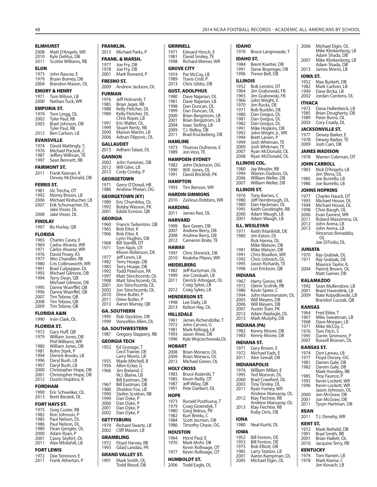**ELMHURST** 2008 Matt D'Angelo, WR<br>2010 Kyle DeMus, DB 2010 Kyle DeMus, DB<br>2011 Scottie Williams. Scottie Williams, RB **ELON** 1973 John Rascoe, E<br>1979 Brvan Burney I 1979 Bryan Burney, DB<br>2004 Brandon Mason, C Brandon Mason, OL **EMORY & HENRY** 1971 Tom Wilson, LB<br>2000 Nathan Tuck W Nathan Tuck, WR **EMPORIA ST.**<br>1979 Tom Lin 1979 Tom Lingg, DL<br>2002 Tyler Paul. RB 2002 Tyler Paul, RB<br>2003 Brad Johnson Brad Johnson, DB Tyler Paul, RB<br>2012 Ben Carlson, I Ben Carlson, LB **EVANSVILLE** 1974 David Mattingly, S<br>1976 Michael Pociask C 1976 Michael Pociask, C<br>1987 Jeffery Willman, TE 1987 Jeffery Willman, TE<br>1997 Sean Bennett, RB Sean Bennett, RB **FAIRMONT ST.** 2011 Frank Keenan, K Dewey McDonald, DB **FERRIS ST.** 1981 Vic Trecha, OT<br>1992 Monty Brown 1992 Monty Brown, LB<br>2006 Michael Klobuche 2006 Michael Klobucher, LB<br>2007 Frik Schumacher, DI 2007 Erik Schumacher, DL Jake Visser, DL<br>2008 Jake Visser, DL Jake Visser, DL **FINDLAY** 1997 Bo Hurley, QB **FLORIDA** 1965 Charles Casey, E<br>1969 Carlos Alvarez V 1969 Carlos Alvarez, WR<br>1971 Carlos Alvarez, WR 1971 Carlos Alvarez, WR<br>1976 David Posey, KS 1976 David Posey, KS<br>1977 Wes Chandler, R 1977 Wes Chandler, RB<br>1980 Cris Collinsworth 1980 Cris Collinsworth, WR<br>1991 Brad Culpepper, DL 1991 Brad Culpepper, DL<br>1993 Michael Gilmore, D. 1993 Michael Gilmore, DB<br>1994 Terry Dean, QB Terry Dean, QB Michael Gilmore, DB<br>1995 Danny Wuerffel, OB 1995 Danny Wuerffel, QB<br>1996 Danny Wuerffel, OB 1996 Danny Wuerffel, QB<br>2007 Tim Tebow, QB 2007 Tim Tebow, QB<br>2008 Tim Tebow, QB 2008 Tim Tebow, QB<br>2009 Tim Tebow, OB Tim Tebow, OB **FLORIDA A&M** 1990 Irvin Clark, DL **FLORIDA ST.** 1972 Gary Huff, QB<br>1979 William Jones William Jones, DB Phil Williams, WR<br>1980 William Jones 1980 William Jones, DB<br>1981 Rohn Stark, P 1981 Rohn Stark, P<br>1994 Derrick Brook 1994 Derrick Brooks, LB<br>1996 Daryl Bush LB 1996 Daryl Bush, LB<br>1997 Daryl Bush, LB 1997 Daryl Bush, LB<br>2000 Christopher Ho 2000 Christopher Hope, DB<br>2001 Christopher Hope, DB 2001 Christopher Hope, DB<br>2012 Dustin Hopkins, K Dustin Hopkins, K **FORDHAM** 1990 Eric Schweiker, OL<br>2013 Brett Biestek DI Brett Biestek, DL **FORT HAYS ST.**<br>1975 **Grea** Cus 1975 Greg Custer, RB<br>1982 Ron Johnson, P 1982 Ron Johnson, P<br>1985 Paul Nelson, DI 1985 Paul Nelson, DL<br>1986 Paul Nelson, DL 1986 Paul Nelson, DL<br>1989 Dean Gengler C 1989 Dean Gengler, OL<br>2000 Adam Ryan, P 2000 Adam Ryan, P<br>2001 Casey Seyfert 2001 Casey Seyfert, DL 2011 Alex Whitehill, LB **FORT LEWIS** 1972 Dee Tennison, E<br>2011 Erank Atherton Frank Atherton, P

#### **FRANKLIN.** 2013 Michael Parks, P **FRANK. & MARSH.** 1977 Joe Fry, DB<br>1978 Joe Fry, DR 1978 Joe Fry, DB<br>2001 Mark Rowa Mark Rowand, P **FRESNO ST.** 2009 Andrew Jackson, OL **FURMAN** 1976 Jeff Holcomb, T<br>1985 Brian Jager, RB 1985 Brian Jager, RB 1988 Kelly Fletcher, DL 1989 Kelly Fletcher, DL Chris Roper, LB<br>1991 Fric Walter OI 1991 Eric Walter, OL<br>1999 Stuart Rentz, R 1999 Stuart Rentz, RB<br>2000 Marion Martin, L 2000 Marion Martin, LB Adnan Filipovic, OL **GALLAUDET** 2013 Adham Talaat, DL GANNON<br>2002 Joh 2002 John Yurisinec, DB<br>2012 Will Giles, LB 2012 Will Giles, LB<br>2013 Cody Crosby, Cody Crosby, P **GEORGETOWN** 1971 Gerry O'Dowd, HB<br>1986 Andrew Phelan O Andrew Phelan, OG **GEORGETOWN (KY)** 1989 Eric Chumbley, OL<br>1992 Bobby Wasson, PK 1992 Bobby Wasson, PK<br>2001 Eddie Eviston, OB Eddie Eviston, OB **GEORGIA** 1960 Francis Tarkenton, QB<br>1965 Bob Etter. K 1965 Bob Etter, K<br>1966 Bob Etter, K Bob Etter, K Lynn Hughes, DB<br>1968 Bill Stanfill, DT 1968 Bill Stanfill, DT<br>1971 Tom Nash, OT Tom Nash, OT Mixon Robinson, DE<br>1977 Leff Lewis, LB 1977 Jeff Lewis, LB<br>1982 Terry Hoage, 1982 Terry Hoage, DB<br>1983 Terry Hoage, DB 1983 Terry Hoage, DB 1992 Todd Peterson, PK 1997 Matt Stinchcomb, OL<br>1998 Matt Stinchcomb, OL 1998 Matt Stinchcomb, OL<br>2001 Jon Stinchcomb, OL 2001 Jon Stinchcomb, OL<br>2002 Jon Stinchcomb, OL 2002 Jon Stinchcomb, OL<br>2010 Drew Butler, P 2010 Drew Butler, P<br>2011 Drew Butler, P 2011 Drew Butler, P<br>2013 Aaron Murray Aaron Murray, QB **GA. SOUTHERN** 1995 Rob Stockton, DB<br>1999 Voncellies Allen, D Voncellies Allen, DL **GA. SOUTHWESTERN** 1987 Gregory Slappery, RB **GEORGIA TECH** 1952 Ed Gossage, T Cecil Trainer, DE Larry Morris, LB<br>1955 Wade Mitchell Wade Mitchell, B 1956 Allen Ecker, G Jim Breland, C W.J. Blaine, LB Bill Eastman, DB<br>1967 Bill Eastman, DB 1967 Bill Eastman, DB<br>1980 Sheldon Fox, LB 1980 Sheldon Fox, LB<br>1990 Stefen Scotton, 1990 Stefen Scotton, RB<br>1999 Dan Dyke, P Dan Dyke, P 2000 Dan Dyke, P 2001 Dan Dyke, P 2002 Dan Dyke, P **GETTYSBURG**<br>1979 Richard 1979 Richard Swartz, LB<br>2002 Cliff Mason, LB Cliff Mason, LB **GRAMBLING**<br>1972 Floyd H 1972 Floyd Harvey, RB<br>1993 Gilad Landau, PK Gilad Landau, PK **GRAND VALLEY ST.** 1991 Mark Smith, OL

Todd Wood, DB

2006 Todd Eagle, DL

**GRINNELL**<br>1971 Edw 1971 Edward Hirsch, E<br>1981 David Smilev. TE 1981 David Smiley, TE<br>1998 Richard Wemer, \ Richard Wemer, WR **GROVE CITY** 1974 Pat McCoy, LB<br>1989 Travis Croll, P 1989 Travis Croll, P<br>2013 Chris Gibbs. D Chris Gibbs, DB **GUST. ADOLPHUS** 1980 Dave Najarian, DL<br>1981 Dave Najarian LB 1981 Dave Najarian, LB<br>1998 Dan Duncan, Ol 1998 Dan Duncan, OL<br>1999 Dan Duncan, Ol 1999 Dan Duncan, OL<br>2000 Brian Bergstrom, 2000 Brian Bergstrom, LB<br>2001 Brian Bergstrom, LB 2001 Brian Bergstrom, LB<br>2004 Isaac Sieling, LB 2004 Isaac Sieling, LB<br>2009 T.J. Ridley, DB 2009 T.J. Ridley, DB<br>2011 Brad Kruckebe Brad Kruckeberg, DB **HAMLINE** 1973 Thomas Dufresne, E<br>1989 Jon Voss, TE Jon Voss, TE **HAMPDEN-SYDNEY** 1982 John Dickinson, OG<br>1990 W.R. Jones OJ 1990 W.R. Jones, OL<br>1991 David Brickhill David Brickhill, PK **HAMPTON** 1993 Tim Benson, WR **HARDIN-SIMMONS** 2010 ZaVious Robbins, WR **HARDING** 2011 James Kee, OL **HARVARD** 1999 Ben Green, DB<br>2007 Andrew Berry. 2007 Andrew Berry, DB<br>2008 Andrew Berry, DB 2008 Andrew Berry, DB<br>2012 Cameron Brate, TE Cameron Brate, TE **HAWAII** 1997 Chris Shinnick, DB 2010 Kealoha Pilares, WR **HEIDELBERG** 1982 Jeff Kurtzman, DL<br>1999 Joe Conduah, J.B 1999 Joe Conduah, LB<br>2011 Derrick Arbogast Derrick Arbogast, OL Craig Sykes, LB<br>2012 Craig Sykes, LB Craig Sykes, LB **HENDERSON ST.** -<br>1998 Lee Daily, LB<br>2013 Kelton Hav. C Kelton Hay, OL **HILLSDALE** 1961 James Richendollar, T<br>1972 John Cervini, G 1972 John Cervini, G<br>1981 Mark Kellogg, Ll 1981 Mark Kellogg, LB<br>1993 Jason Ahee, DB 1993 Jason Ahee, DB<br>1996 Kyle Woiciechov Kyle Wojciechowski, OL **HOBART** 2008 Brian Monaco, OL<br>2009 Brian Monaco, OL 2009 Brian Monaco, OL<br>2013 Michael Green Ol Michael Green, OL **HOLY CROSS** 1983 Bruce Kozerski, T<br>1985 Kevin Reilly, OT 1985 Kevin Reilly, OT<br>1987 Heff Wiley, OB 1987 Jeff Wiley, QB<br>1991 Pete Dankert. Pete Dankert, DL **HOPE** 1973 Ronald Posthuma, T<br>1979 Craig Groendyk, T 1979 Craig Groendyk, T<br>1980 Greg Bekius, PK 1980 Greg Bekius, PK<br>1982 Kurt Brinks, C 1982 Kurt Brinks, C<br>1984 Scott Jecmen. 1984 Scott Jecmen, DB<br>1986 Timothy Chase, O Timothy Chase, OG **HOUSTON** 1964 Horst Paul, E<br>1976 Mark Mohr, E Mark Mohr, DB Kevin Rollwage, OT<br>1977 Kevin Rollwage, OT Kevin Rollwage, OT **HUMBOLDT ST.**

```
IDAHO
1970 Bruce Langmeade, T
IDAHO ST.
1984 Brent Koetter, DB<br>1991 Steve Bovenger, I
1991 Steve Boyenger, DB
1996 Trevor Bell, DB
ILLINOIS
1952 Bob Lenzini, DT<br>1964 Jim Grabowski,
1964 Jim Grabowski, FB<br>1965 Jim Grabowski, FB
1965 Jim Grabowski, FB<br>1966 John Wright F
1966 John Wright, E
1970 Jim Rucks, DE<br>1971 Bob Bucklin, D
1971 Bob Bucklin, DE<br>1980 Dan Gregus DL
          Dan Gregus, DL
1981 Dan Gregus, DL<br>1982 Dan Gregus, DL
1982 Dan Gregus, DL<br>1991 Mike Hopkins, D
1991 Mike Hopkins, DB<br>1992 John Wright Jr., W
1992 John Wright Jr., WR<br>1994 Brett Larsen, P
1994 Brett Larsen, P<br>1999 Josh Whitman
1999 Josh Whitman, TE
2000 Josh Whitman, TE<br>2007 Ryan McDonald, C
2007 Ryan McDonald, OL<br>2008 Ryan McDonald, OL
          Ryan McDonald, OL
ILLINOIS COL.
1980 Jay Wessler, RB<br>1994 Warren Dodsor
1994 Warren Dodson, OL<br>2006 William Weller, DB
2006 William Weller, DB<br>2007 William Weller, DB
          William Weller, DB
ILLINOIS ST.<br>1976 Tony B
1976 Tony Barnes, C
1980 Jeff Hembrough, DL
1989 Dan Hackman, OL<br>1995 Keith Goodnight, F
1995 Keith Goodnight, RB<br>2000 Adam Waugh, LB
2000 Adam Waugh, LB
          Adam Waugh, LB
ILL. WESLEYAN
1971 Keith Ihlanfeldt, DE<br>1980 – Jim Faton DI
          Im Eaton, DL
            Rick Hanna, DL
Mike Watson, DB<br>1981 Mike Watson, DB
1981 Mike Watson, DB<br>1991 Chris Bisaillon, W
1991 Chris Bisaillon, WR<br>1992 Chris Udovich, DL
1992 Chris Udovich, DL<br>1995 Lason Richards TF
          Jason Richards, TE
1996 Lon Erickson, QB
INDIANA
1967 Harry Gonso, HB<br>1972 Glenn Scolnik, RI
1972 Glenn Scolnik, RB<br>1980 Kevin Speer, C
1980 Kevin Speer, C<br>1994 John Hammer
1994 John Hammerstein, DL<br>2005 Will Mevers, DB
2005 Will Meyers, DB<br>2006 Will Meyers, DB
          Will Meyers, DB
2007 Austin Starr, PK
2012 Adam Replogle, DL<br>2013 Mark Murphy, DB
          Mark Murphy, DB
INDIANA (PA)
1982 Kenny Moore, DB<br>1983 Kenny Moore, DB
          Kenny Moore, DB
INDIANA ST.
1971 Gary Brown, E
1972 Michael Eads, E
          Alex Sewall, DB
INDIANAPOLIS
1976 William Willan, E<br>1995 Ted Munson, DL
1995 Ted Munson, DL<br>2000 Brad Crawford, C
2000 Brad Crawford, OL<br>2003 Trov Tinsley, OL
2003 Troy Tinsley, OL<br>2011 Ryan Forney, W
           Ryan Forney, WR
Andrew Mansaray, OL<br>2012 Klay Fiechter, RB
          Klay Fiechter, RB
Andrew Mansaray, OL<br>2013 Klav Fiechter, RB
           Klay Fiechter, RB
            Koby Orris, DB
IONA
1980 Neal Kurtti, DL
IOWA
1952 Bill Fenton, DE<br>1953 Bill Fenton, DE
1953 Bill Fenton, DE<br>1975 Bob Elliott, DB
1975 Bob Elliott, DB<br>1985 Larry Station, L
1985 Larry Station, LB<br>2001 Aaron Kampmar
2001 Aaron Kampman, DL<br>2005 Michael Elgin, OL
          Michael Elgin, OL
                                                2006 Michael Elgin, OL
                                                             Mike Klinkenborg, LB
                                                Adam Shada, DB<br>2007 Mike Klinkenborg
                                                            Mike Klinkenborg, LB
                                                Adam Shada, DB<br>2013   James Morris, LB
                                                            James Morris, LB
                                                 IOWA ST.<br>1952 Ma
                                                 1952 Max Burkett, DB<br>1982 Mark Carlson LB
                                                 1982 Mark Carlson, LB<br>1999 Dave Brcka LB
                                                 1999 Dave Brcka, LB
                                                            Jordan Carstens, DL
                                                ITHACA
                                                 1972 Dana Hallenbeck, LB<br>1985 Brian Dougherty, DB
                                                 1985 Brian Dougherty, DB<br>1989 Peter Burns Ol
                                                            Peter Burns, OL
                                                 2003 Cory Coady, DL
                                                 JACKSONVILLE ST.<br>1977 Dewey Barker
                                                 1977 Dewey Barker, E<br>1978 Dewey Barker, TI
                                                 1978 Dewey Barker, TE<br>2009 Losh Cain DB
                                                            Josh Cain, DB
                                                 JAMES MADISON
                                                 1978 Warren Coleman, OT
                                                 JOHN CARROLL<br>1983 Nick D'And
                                                           Nick D'Angelo, LB
                                                 Jim Sferra, DL<br>1985 Loe Burrello L
                                                 1985 Joe Burrello, LB
                                                            Joe Burrello, LB
                                                 JOHNS HOPKINS
                                                 1977 Charles Hauck, DT<br>1993 Michael House, Dl
                                                 1993 Michael House, DL
                                                 1994 Michael House, DL<br>1998 Chris Baugh, Ol
                                                 1998 Chris Baugh, OL<br>2006 Evan Earnest, W
                                                 2006 Evan Earnest, WR<br>2011 Roland Massimin
                                                 2011 Roland Massimino, OL<br>2012 John Arena, LB
                                                 2012 John Arena, LB<br>2013 John Arena, LB
                                                            John Arena, LB
                                                             Vincenzo Bonaddio, 
                                                              OL
                                                             Joe DiTrolio, DL
                                                JUNIATA
                                                 1970 Ray Grabiak, DL<br>1971 Ray Grabiak, DE
                                                            Ray Grabiak, DE
                                                 Maurice Taylor, IL<br>2004 Patrick Brown, Ol
                                                            Patrick Brown, OL
                                                             Matt Garner, DB
                                                 KALAMAZOO
                                                 1992 Sean Mullendore, LB<br>2001 Brant Haverdink LB
                                                 2001 Brant Haverdink, LB<br>2009 Nate Kopydlowski, L
                                                            Nate Kopydlowski, LB
                                                             Brandon Luczak, QB
                                                 KANSAS
                                                 1964 Fred Elder, T<br>1967 Mike Sweatr
                                                 1967 Mike Sweatman, LB<br>1968 Dave Morgan, LB
                                                 1968 Dave Morgan, LB<br>1971 Mike McCov. C
                                                 1971 Mike McCoy, C<br>1976 Tom Fitch, S
                                                 1976     Tom Fitch, Ś<br>1995     Darrin Simm
                                                 1995 Darrin Simmons, P<br>2007 Russell Brorsen, DI
                                                            Russell Brorsen, DL
                                                 KANSAS ST.
                                                 1974 Don Lareau, LB<br>1977 Floyd Dorsey, O
                                                 1977 Floyd Dorsey, OG
1981 Darren Gale, DB
                                                 1982 Darren Gale, DB
                                                  Mark Hundley, RB
1985 Troy Faunce, P
                                                 1995 Kevin Lockett, WR<br>1996 Kevin Lockett WR
                                                            Kevin Lockett, WR
                                                 Jason Johnson, OL<br>2000 Jon McGraw. DB
                                                2000 Jon McGraw, DB<br>2001 Jon McGraw, DB
                                                2001 Jon McGraw, DB<br>2011 Tysyn Hartman, I
                                                            Tysyn Hartman, DB
                                                KEAN
                                                 2011 T.J. Denehy, WR
                                                KENT ST.<br>1972 Ma
                                                 1972 Mark Reiheld, DB<br>1991 Brad Smith RB
                                                 1991 Brad Smith, RB<br>2001 Brian Hallett O
                                                2001 Brian Hallett, OL<br>2010 Jacquise Terry, R
                                                           Jacquise Terry, RB
                                                KENTUCKY
                                                 1974 Tom Ranieri, LB<br>1978 Mark Keene, C
                                                            Mark Keene, C
                                                            Jim Kovach, LB
```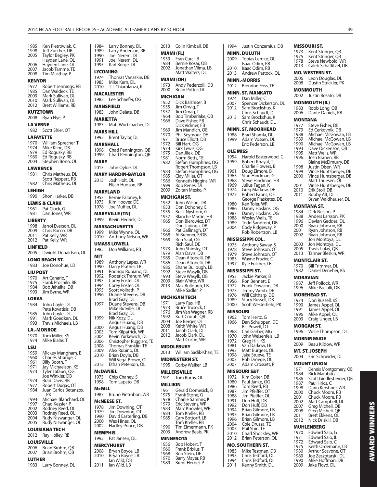| 1985<br>1998              | Ken Pietrowiak, C<br>Jeff Zurcher, DB       | 1984<br>1989            | Larry Bonney, DL<br>Larry Anderson, RB             |
|---------------------------|---------------------------------------------|-------------------------|----------------------------------------------------|
| 2005                      | Taylor Begley, PK<br>Hayden Lane, OL        | 1990<br>1991            | Joel Nerem, DL<br>Joel Nerem, DL                   |
| 2006<br>2007              | Hayden Lane, OL<br>Jacob Tamme, TE          | 1995                    | Karl Borge, DL                                     |
| 2008                      | Tim Masthay, P                              | LYCOMING<br>1974        | Thomas Vanaskie, DB                                |
| <b>KENYON</b><br>1977     | Robert Jennings, RB                         | 1985<br>2010            | Mike Kern, DL<br>T.J. Chiarolanza, K               |
| 1985                      | Dan Waldeck, TE                             |                         | <b>MACALESTER</b>                                  |
| 2009<br>2010              | Mark Sullivan, DL<br>Mark Sullivan, DL      | 1982                    | Lee Schaefer, OG                                   |
| 2012                      | Brett Williams, RB                          |                         | <b>MANSFIELD</b>                                   |
| KUTZTOWN<br>2008          | Ryan Nye, P                                 | 1983<br><b>MARIETTA</b> | John Delate, DB                                    |
| <b>LA VERNE</b>           |                                             | 1983                    | Matt Wurtzbacher, DL                               |
| 1982                      | Scott Shier, OT                             | <b>MARS HILL</b>        |                                                    |
| <b>LAFAYETTE</b>          | 1970 William Sprecher, T                    | 1992<br>MARSHALL        | Brent Taylor, DL                                   |
| 1974<br>1979              | Mike Kline, DB                              |                         | 1998 Chad Pennington, QB                           |
| 1980                      | Ed Rogusky, RB<br>Ed Rogusky, RB            | 1999                    | Chad Pennington, QB                                |
| 2004<br><b>LAWRENCE</b>   | Stephen Bono, OL                            | MARY<br>2013            | John Oyloe, DL                                     |
| 1981                      | Chris Matheus, DL                           |                         | <b>MARY HARDIN-BAYLOR</b>                          |
| 1982                      | Scott Reppert, RB<br>Chris Matheus, DL      | 2013                    | Josh Holt, OL<br>Elijah Hudson, RB                 |
| <b>LEHIGH</b>             |                                             |                         | <b>MARYLAND</b>                                    |
| 1990                      | Shon Harker, DB<br><b>LEWIS &amp; CLARK</b> | 1953<br>1975            | Bernie Faloney, B<br>Kim Hoover, DE                |
| 1961                      | Pat Clock, G                                | 1978                    | Joe Muffler, DL                                    |
| 1981<br><b>LIBERTY</b>    | Dan Jones, WR                               | 1999                    | <b>MARYVILLE (TN)</b><br>Kevin Hedrick, DL         |
| 1998                      | Jarrol Everson, DL                          |                         | <b>MASSACHUSETTS</b>                               |
| 2009<br>2011              | Chris Rocco, DB<br>Pat Kelly, WR            | 1999<br>2010            | Mike Wynne, OL<br>Anthony Nelson, WR               |
| 2012                      | Pat Kelly, WR                               |                         | <b>UMASS LOWELL</b>                                |
| <b>LINFIELD</b><br>2005   | Dwight Donaldson, OL                        | 1985                    | Don Williams, RB                                   |
|                           |                                             |                         |                                                    |
|                           | LONG BEACH ST.                              | MIT                     |                                                    |
| 1983                      | Joe Donohue, LB                             | 1989<br>1990            | Anthony Lapes, WR<br>Darcy Prather, LB             |
| <b>LIU POST</b>           |                                             | 1991<br>1992            | Rodrigo Rubiano, DL<br>Roderick Tranum, WR         |
| 1970<br>1975              | Art Canario, T<br>Frank Prochilo, RB        | 1993<br>1994            | Corey Foster, OL<br>Corey Foster, OL               |
| 1984<br>1993              | Bob Jahelka, DB<br>Jim Byrne, WR            | 1995                    | Scott Vollrath, P                                  |
| LORAS                     |                                             | 1996                    | Duane Stevens, DB<br>Brad Gray, DL                 |
| 1984                      | John Coyle, DL<br>Pete Kovatisis, DB        | 1997                    | Duane Stevens, DB<br>Mike Butville, LB             |
| 1985                      | John Coyle, DL                              | 1999                    | Brad Gray, DL                                      |
| 1991<br>1993              | Mark Goedken, DL<br>Travis Michaels, LB     |                         | Nik Kozy, DL<br>Angus Huang, DB                    |
|                           | LA.-MONROE                                  | 2000<br>2003            | Angus Huang, DB<br>Tom Kilpatrick, WR              |
| 1970<br>1974              | Tom Miller, KS<br>Mike Bialas, T            | 2004<br>2006            | Kevin Yurkewich, DL<br>Christopher Ruggiero, TE    |
| LSU                       |                                             | 2008<br>2009            | Thomas Franklin, TE<br>Alex Rubino, DL             |
| 1959<br>1960              | Mickey Mangham, E<br>Charles Strange, C     | 2010                    | Brian Doyle, DB                                    |
| 1961<br>1971              | Billy Booth, T<br>Jay Michaelson, KS        | 2012                    | Will Vega-Brown, OL<br>Ethan Peterson, OL          |
| 1973                      | Tyler Lafauci, OG                           | McDANIEL                |                                                    |
| 1974                      | Joe Winkler, DB<br>Brad Davis, RB           | 1973<br>1998            | Chip Chaney, S<br>Tom Lapato, DB                   |
| 1977<br>1984              | Robert Dugas, OT<br>Juan Carlos Betanzos,   | McGILL                  |                                                    |
| 1994                      | РK<br>Michael Blanchard, OL                 | 1987                    | Bruno Pietrobon, WR                                |
| 1997                      | Chad Kessler, P                             | 1978                    | <b>MCNEESE ST.</b><br>Jim Downing, OT              |
| 2002<br>2003              | Rodney Reed, OL<br>Rodney Reed, OL          | 1979<br>1990            | Jim Downing, OT                                    |
| 2004<br>2005              | Rudy Niswanger, OL<br>Rudy Niswanger, OL    | 2000                    | David Easterling, DB<br>Wes Hines, OL              |
|                           | LOUISIANA TECH                              | 2002<br><b>MEMPHIS</b>  | Hadley Prince, DB                                  |
| 2012                      | Ray Holley, RB                              | 1992                    | Pat Jansen, DL                                     |
| <b>LOUISVILLE</b><br>2006 | Brian Brohm, QB                             |                         | <b>MERCYHURST</b>                                  |
| 2007<br><b>LUTHER</b>     | Brian Brohm, QB                             | 2008<br>2010            | Bryan Boyce, LB<br>Bryan Boyce, LB<br>lan Wild, DB |

| MIAMI (FL)       |                                                                                        |
|------------------|----------------------------------------------------------------------------------------|
| 1959<br>1984     | Fran Curci, B<br>Bernie Kosar, QB                                                      |
| 2002             | Jonathan Vilma, LB                                                                     |
|                  | Matt Walters, DL                                                                       |
| MIAMI (OH)       |                                                                                        |
| 1973<br>2000     | Andy Pederzolli, DB<br>Brian Potter, DL                                                |
| MICHIGAN         |                                                                                        |
| 1952             | Dick Balzhiser, B                                                                      |
| 1955             | Jim Orwig, $\overline{I}$                                                              |
| 1957<br>1964     | Jim Orwig, T<br>Bob Timberlake, QB                                                     |
| 1966             | Dave Fisher, FB                                                                        |
| 1969             | Dick Vidmer, FB                                                                        |
| 1970             | Jim Mandich, OE<br>Phil Seymour, DE                                                    |
| 1971             | Phil Seymour, D<br>Bruce Elliott, DB                                                   |
| 1972<br>1974     | Bill Hart, OG<br>Kirk Lewis, OG                                                        |
| 1975             | Dan Jilek, DE                                                                          |
| 1981<br>1982     | Norm Betts, TE                                                                         |
|                  | Stefan Humphries, OG<br>Robert Thompson, LB<br>Stefan Humphries, OG<br>Clay Miller, OT |
| 1983<br>1985     |                                                                                        |
| 1986             | Kenneth Higgins, WR                                                                    |
| 1999             | Rob Renes, DL                                                                          |
| 2009             | Zoltan Mesko, P                                                                        |
| 1952             | MICHIGAN ST.<br>John Wilson, DB                                                        |
| 1953             | Don Dohoney, E                                                                         |
| 1955             | Buck Nystrom, G                                                                        |
| 1957<br>1965     | Blanche Martin, HB                                                                     |
|                  | Don Bierowicz, DT<br>Don Japinga, DB<br>Pet Gallingala PF                              |
| 1966<br>1968     | Pat Gallinagh, DT                                                                      |
| 1969             | Al Brenner, E/DB<br>Ron Saul, OG                                                       |
|                  | Rich Saul, DE                                                                          |
| 1973<br>1979     | John Shinsky, DT<br>Alan Davis, DB                                                     |
| 1985             | Dean Altobelli, DB                                                                     |
| 1986<br>1986     | Dean Altobelli, DB<br>Shane Bullough, LB                                               |
| 1992             |                                                                                        |
| 1993             | Steve Wasylk, DB<br>Steve Wasylk, DB                                                   |
| 2009<br>2013     | <b>Blair White, WR</b>                                                                 |
|                  | Max Bullough, LB<br>Mike Sadler, P                                                     |
|                  | MICHIGAN TECH                                                                          |
| 1971             | Larry Ras, HB                                                                          |
| 1973<br>1976     | Bruce Trusock, C                                                                       |
| 1992             | Jim Van Wagner, RB<br>Kurt Coduti, QB                                                  |
| 2004<br>2008     | Joe Berger, OL                                                                         |
| 2011             | Keith White, WR<br>Jacob Clark, DL<br>Jacob Clark, DL                                  |
| 2012             |                                                                                        |
|                  | Matt Curtin, WR                                                                        |
| 2013             | <b>MIDDLEBURY</b><br>William Sadik-Khan, TE                                            |
|                  | <b>MIDWESTERN ST.</b>                                                                  |
| 1995             | Corby Walker, LB                                                                       |
|                  | <b>MILLERSVILLE</b>                                                                    |
| 1991             | Tom Burns, OL                                                                          |
| MILLIKIN         |                                                                                        |
| 1961             | Gerald Domesick, B                                                                     |
| 1975             | Frank Stone, G<br>Charlie Sammis, K                                                    |
| 1978<br>1979     | Eric Stevens, WR                                                                       |
| 1983             | Marc Knowles, WR                                                                       |
| 1984<br>1985     | Tom Kreller, RB<br>Cary Bottorff, LB                                                   |
|                  | Tom Kreller, RB                                                                        |
| 1990<br>2003     | Tim Eimermann, PK                                                                      |
|                  | Andrew Beals, PK                                                                       |
|                  |                                                                                        |
| <b>MINNESOTA</b> |                                                                                        |
| 1956<br>1960     | Bob Hobert, T                                                                          |
| 1968<br>1970     | Frank Brixius, T<br>Bob Stein, DE<br>Barry Mayer, RB                                   |

2013 Colin Kimball, DB

| 1994            | Justin Conzemius, DB                       |              | MISSOURI ST.                            |
|-----------------|--------------------------------------------|--------------|-----------------------------------------|
|                 | <b>MINN. DULUTH</b>                        | 1973<br>1975 | Kent Stringer,<br>Kent Stringer,        |
| 2009            | Tobias Lemke, OL                           | 1978         | <b>Steve Newbolo</b>                    |
| 2010            | Isaac Odim, RB<br>Isaac Odim, RB           | 2013         | Caleb Schaffitz                         |
| 2013            | Andrew Pattock, OL                         |              | <b>MO. WESTERN ST.</b>                  |
|                 | <b>MINN.-MORRIS</b>                        | 2006<br>2008 | Leon Douglas,<br>Dustin Strickle        |
| 2012            | Brendon Foss, TE                           |              | MONMOUTH                                |
|                 | <b>MINN. ST. MANKATO</b>                   | 2002         | Justin Rosato,                          |
| 1974<br>2007    | Dan Miller, C                              |              | <b>MONMOUTH (IL)</b>                    |
| 2012            | Spencer Dickerson, DL<br>Sam Brockshus, K  | 1983         | Robb Long, QE                           |
|                 | Chris Schaudt, DL                          | 2006         | Dante Daniels,                          |
| 2013            | Sam Brockshus, K<br>Chris Schaudt, DL      | MONTANA      |                                         |
|                 | <b>MINN. ST. MOORHEAD</b>                  | 1977         | Steve Fisher, D                         |
| 1988            | Brad Shamla, DL                            | 1979<br>1988 | Ed Cerkovnik,<br>Michael McGo           |
| 1999            | Adam Vossen, DL                            | 1989         | Michael McGo                            |
|                 | Eric Pederson, LB                          | 1990<br>1993 | Michael McGo<br>Dave Dickensc           |
| <b>OLE MISS</b> |                                            | 1995         | Matt Wells, WF                          |
| 1954<br>1959    | Harold Easterwood, C<br>Robert Khayat, T   | 1996         | Josh Branen, R<br><b>Blaine McElmu</b>  |
|                 | Charlie Flowers, B                         | 1998         | Justin Olsen, W                         |
| 1961<br>1965    | Doug Elmore, B<br>Stan Hindman, G          | 1999<br>2000 | Vince Huntsbe<br>Vince Huntsbe          |
| 1968            | Steve Hindman, HB                          |              | Matt Thuesen,                           |
| 1969            | Julius Fagan, K                            | 2001         | Vince Huntsbe                           |
| 1974<br>1977    | Greg Markow, DE<br>Robert Fabris, OE       | 2010<br>2011 | Erik Stoll, DB<br>Bobby Alt, DL         |
|                 | George Plasketes, DE                       |              | Bryan Waldhau                           |
| 1980<br>1986    | Ken Toler, WR<br>Danny Hoskins, OG         |              | <b>MONTANA ST.</b>                      |
| 1987            | Danny Hoskins, OG                          | 1984<br>1988 | Dirk Nelson, P                          |
| 1988<br>1989    | Wesley Walls, TE<br>Todd Sandroni, DB      | 1996         | Anders Larssoi<br>Devlan Gedde          |
| 2004            | Cody Ridgeway, P                           | 2000         | Ryan Johnson,                           |
|                 | Rob Robertson, LB                          | 2001<br>2002 | Ryan Johnson,<br>Ryan Johnson,          |
|                 | MISSISSIPPI COL.                           |              | Jon Montoya,                            |
| 1975<br>1978    | Anthony Saway, S                           | 2003<br>2005 | Jon Montoya,<br>Travis Lulay, Q         |
| 1979            | Steve Johnson, OT<br>Steve Johnson, OT     | 2013         | Tanner Bleskin                          |
| 1983            | Wayne Frazier, C                           |              | <b>MONTCLAIR ST.</b>                    |
| 1997            | Kyle Fulcher, LB                           | 1970         | <b>Bill Trimmer, D</b><br>Daniel Denehe |
| 1953            | <b>MISSISSIPPI ST.</b><br>Jackie Parker, B | 1982         | <b>MORAVIAN</b>                         |
| 1956            | Ron Bennett, E                             | 1987         | Jeff Pollock, W                         |
| 1972<br>1973    | Frank Dowsing, DB<br>Jimmy Webb, DE        | 1996         | Mike Paciulli, D                        |
| 1976            | Will Coltharp, DE                          |              | <b>MOREHEAD ST.</b>                     |
| 1989<br>2000    | Stacy Russell, DB<br>Scott Westerfield, PK | 1974         | Don Russell, K.                         |
|                 |                                            | 1990<br>1991 | James Appel, (<br>James Appel, (        |
| <b>MISSOURI</b> | 1962 Tom Hertz, G                          | 1996         | Mike Appel, Ol                          |
| 1966            | Dan Schuppan, DE                           | 2003         | Craig Unger, L                          |
| 1968            | <b>Bill Powell, DT</b>                     | 1996         | MORGAN ST.<br>Willie Thomps             |
| 1970            | Carl Garber, MG<br>John Weisenfels, LB     |              |                                         |
| 1972            | Greg Hill, KS                              | 2009         | MORNINGSIDE<br>Beau Kildow, V           |
| 1981<br>1993    | Van Darkow, LB<br>Matt Burgess, OL         |              | <b>MT. ST. JOSEPH</b>                   |
| 1998            | Jake Stueve, TE                            | 2004         | Eric Schneider,                         |
| 2003<br>2007    | Rob Droege, OL<br>Adam Crossett, P         |              | <b>MOUNT UNION</b>                      |
|                 | MISSOURI S&T                               | 1971         | Dennis Montgo                           |
| 1972            | Kim Colter, DB                             | 1984<br>1986 | Rick Marabito,<br>Scott Gindlesb        |
| 1980            | Paul Janke, OG                             | 1987         | Paul Hrics, C                           |
| 1986<br>1987    | Tom Reed, RB<br>Jim Pfeiffer, OT           | 1998         | Darin Kershne                           |
| 1988            | Jim Pfeiffer, OL                           | 2000<br>2001 | Chuck Moore,<br>Chuck Moore,            |
| 1991<br>1992    | Don Huff, DB<br>Don Huff, DB               | 2002         | Matt Campbel                            |
| 1994            | Brian Gilmore, LB                          | 2007<br>2008 | Greg Micheli, (<br>Greg Micheli, Q      |
| 1995            | Brian Gilmore, LB                          | 2011         | Brett Ekkens, C                         |
| 1996<br>2004    | Brian Gilmore, LB<br>Cole Drussa, TE       | 2012         | Nick Driskill, D                        |
| 2005            | Phil Shin, TE                              |              | <b>MUHLENBERG</b>                       |
| 2010<br>2012    | Chad Shockley, WR<br>Brian Peterson, OL    | 1970<br>1971 | Edward Salo, C<br>Edward Salo, II       |
|                 |                                            | 1972         | Edward Salo, C                          |
|                 |                                            |              |                                         |
| 1985            | <b>MO. SOUTHERN ST.</b>                    | 1975         | Keith Ordemai                           |
| 1993            | Mike Testman, DB<br>Chris Tedford, OL      | 1980<br>1989 | Arthur Scavon<br>Joe Zeszotarsk         |
| 1994<br>2011    | Chris Tedford, OL<br>Kenny Smith, DL       | 1990<br>2009 | Mike Hoffman<br>Jake Floyd, DL          |

#### 3 Kent Stringer, QB 1975 Kent Stringer, QB 1978 Steve Newbold, WR 3 Caleb Schaffitzel, DB **WESTERN ST.** 6 Leon Douglas, DL<br>8 Dustin Strickler. P Dustin Strickler, PK **MONMOUTH** 2 Justin Rosato, DB **MONMOUTH (IL)** 3 Robb Long, QB<br>6 Dante Daniels, Dante Daniels, RB **NTANA** Steve Fisher, DE Ed Cerkovnik, DB Michael McGowan, LB 1989 Michael McGowan, LB 1990 Michael McGowan, LB 1993 Dave Dickenson, QB 5 Matt Wells, WR 6 Josh Branen, RB Blaine McElmurry, DB Justin Olsen, WR Vince Huntsberger, DB 0 Vince Huntsberger, DB Matt Thuesen, OL 2001 Vince Huntsberger, DB 0 Erik Stoll, DB 2011 Bobby Alt, DL Bryan Waldhauser, DL **NTANA ST.** 4 Dirk Nelson, P 1988 Anders Larsson, PK 1996 Devlan Geddes, DL Ryan Johnson, RB Ryan Johnson, RB 2 Ryan Johnson, RB Jon Montoya, DL 2003 Jon Montoya, DL 2005 Travis Lulay, QB 3 Tanner Bleskin, WR **NTCLAIR ST.** 0 Bill Trimmer, DL<br>2 Daniel Deneber Daniel Deneher, KS **RAVIAN** 1987 Jeff Pollock, WR 1996 Mike Paciulli, DB **REHEAD ST.** Don Russell, KS James Appel, OL James Appel, OL 6 Mike Appel, OL<br>3 Craig Unger, LB Craig Unger, LB **RGAN ST.** 6 Willie Thompson, DL **RNINGSIDE** 9 Beau Kildow, WR **ST. JOSEPH**

## 4 Eric Schneider, DL **MOUNT UNION** 1971 Dennis Montgomery, QB 1984 Rick Marabito, L

| 1904 | RICK MididDILO, L       |
|------|-------------------------|
| 1986 | Scott Gindlesberger, QB |
| 1987 | Paul Hrics, C           |
| 1998 | Darin Kershner, WR      |
| 2000 | Chuck Moore, RB         |
| 2001 | Chuck Moore, RB         |
| 2002 | Matt Campbell, DL       |
| 2007 | Greg Micheli, QB        |
| 2008 | Greg Micheli, QB        |
| 2011 | Brett Ekkens, OL        |
| 2012 | Nick Driskill, DB       |
|      | MUHLENBERG              |
| 1970 | Edward Salo, G          |
| 1971 | Edward Salo, IL         |
| 1972 | Edward Salo, C          |
| 1975 | Keith Ordemann, LB      |
| 1980 | Arthur Scavone, OT      |
| 1989 | Joe Zeszotarski, DL     |
| 1990 | Mike Hoffman, DB        |
|      |                         |

**AWARD WINNERS AWARD WINNERS**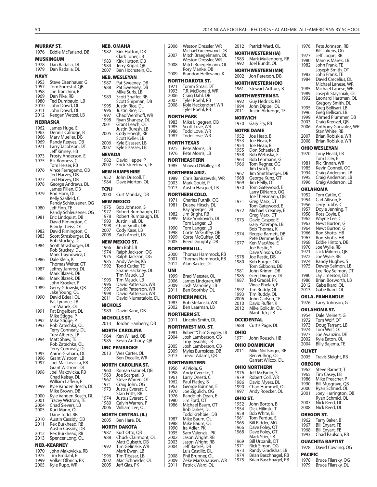|              | MURRAY ST.                                             |
|--------------|--------------------------------------------------------|
| 1976         | Eddie McFarland, DB                                    |
|              | <b>MUSKINGUM</b>                                       |
| 1978<br>1979 | Dan Radalia, DL<br>Dan Radalia, DL                     |
| NAVY         |                                                        |
| 1953         | Steve Eisenhauer, G                                    |
| 1957         | Tom Forrestal, QB                                      |
| 1958<br>1969 | Joe Tranchini, B<br>Dan Pike, RB                       |
| 1980         | Ted Dumbauld, LB                                       |
| 2010<br>2011 | John Dowd, OL<br>John Dowd, OL                         |
| 2012         | Keegan Wetzel, LB                                      |
| NEBRASKA     |                                                        |
| 1962<br>1963 | James Huge, E<br>Dennis Calridge, B                    |
| 1966         | Marv Mueller, DB                                       |
| 1969<br>1971 | Randy Reeves, DB                                       |
|              | Larry Jacobson, DT<br>Jeff Kinney, HB                  |
| 1973         | Frosty Anderson, E                                     |
| 1975         | Rik Bonness, C<br>Tom Heiser, RB                       |
| 1976         | Vince Ferragamo, QB                                    |
| 1977         | Ted Harvey, DB                                         |
| 1978         | Ted Harvey, DB<br>George Andrews, DL                   |
| 1979         | James Pillen, DB<br>Rod Horn, DL                       |
|              | Kelly Saalfeld, C                                      |
| 1980         | Randy Schleusener, OG<br>Jeff Finn, TE                 |
|              | Randy Schleusener, OG                                  |
| 1981         | Eric Lindquist, DB                                     |
|              | David Rimington, C<br>Randy Theiss, OT                 |
| 1982<br>1983 | David Rimington, C<br>Scott Strasburger, DL            |
|              | Rob Stuckey, DL<br>Scott Strasburger, DL               |
| 1984         |                                                        |
|              | Rob Stuckey, DL<br>Mark Traynowicz, C                  |
| 1986         | Dale Klein, K                                          |
| 1987         | Thomas Welter, OT<br>Jeffrey Jamrog, DL                |
|              | Mark Blazek, DB<br>Mark Blazek, DB                     |
| 1988         | John Kroeker, P                                        |
| 1989         | Gerry Gdowski, QB<br>Jake Young, OL<br>David Edeal, OL |
| 1990         |                                                        |
|              | Pat Tyrance, LB                                        |
| 1991         | Jim Wanek, OL<br>Pat Engelbert, DL                     |
|              | Mike Stigge, P<br>Mike Stigge, P                       |
| 1992<br>1993 |                                                        |
|              | Rob Zatechka, OL<br>Terry Connealy, DL                 |
| 1994         | Trev Alberts, LB<br>Matt Shaw, TE                      |
|              | Rob Zatechka, OL                                       |
| 1995         | Terry Connealy, DL<br>Aaron Graham, OL                 |
| 1996         | Grant Wistrom, LB                                      |
| 1997         | Joel Mackovicka, RB<br>Grant Wistrom, DL               |
| 1998         | Joel Makovicka, RB                                     |
|              | Chad Kelsay, DL<br>William Lafleur, P                  |
| 1999         | Kyle Vanden Bosch, DL                                  |
| 2000         | Mike Brown, DB<br>Kyle Vanden Bosch, DL                |
| 2001         | Tracey Wistrom, TE                                     |
| 2004<br>2005 | Chad Sievers, LB                                       |
|              | Kurt Mann, OL<br>Dane Todd, RB                         |
| 2010         | Austin Cassidy, DB                                     |
| 2011         | Rex Burkhead, RB<br>Austin Cassidy, DB                 |
| 2012<br>2013 | Rex Burkhead, RB                                       |
|              | Spencer Long, OL                                       |
| 1970         | NEB.-KEARNEY<br>John Makovicka, RB                     |
| 1975         | Tim Brodahl, E                                         |
| 1999<br>2005 | Volker Olbrich, PK<br>Kyle Rupp, WR                    |

|    | 1987<br>1988   | Pat Sweeney, DB<br>Pat Sweeney, DB                                |
|----|----------------|-------------------------------------------------------------------|
|    | 1989           | Mike Surls, LB<br>Scott Shaffer, RB                               |
|    |                | Scott Shipman, DB                                                 |
|    | 1995<br>1996   | Justin Rice, DL<br>Justin Rice, DL                                |
|    | 1997<br>1998   | Chad Wemhoff, WR<br>Ryan Shanesy, DL                              |
|    | 2001           | Grant Leach, OL<br>Justin Buresh, LB                              |
|    | 2005           | Cody Hoegh, RB<br>Scott Keller, LB                                |
|    | 2006<br>2007   | Kyle Elsasser, LB<br>Kyle Elsasser, LB                            |
|    | <b>NEVADA</b>  |                                                                   |
|    | 1982<br>2002   | David Heppe, P<br>Erick Streelman, TE                             |
| ₿  |                | NEW HAMPSHIRE                                                     |
|    | 1952<br>1984   | John Driscoll, T<br>Dave Morton, OL                               |
|    | TCNJ           |                                                                   |
|    | 2000           | Curt Monday, DB                                                   |
| ЭG |                | NEW MEXICO                                                        |
| ЭG | 1975<br>1977   | Bob Johnson, S<br>Robert Rumbaugh, DT                             |
|    | 1978<br>1993   | Robert Rumbaugh, DL<br>Justin Hall, OL                            |
|    | 1998           | Chad Smith, DB                                                    |
|    | 2007<br>2008   | Cody Kase, LB<br>Zach Arnett, LB                                  |
|    |                | NEW MEXICO ST.                                                    |
|    | 1966<br>1974   | Jim Bohl, B<br>Ralph Jackson, OG                                  |
|    | 1975           | Ralph Jackson, OG                                                 |
|    | 1985<br>1992   | Andy Weiler, KS<br>Todá Cutler, TE                                |
|    |                | Shane Hackney, OL<br>Tim Mauck, LB                                |
|    | 1993<br>1996   | Tim Mauck, LB                                                     |
|    | 1997           | David Patterson, WR<br>David Patterson, WR<br>David Patterson, WR |
|    | 1998<br>2011   | David Niumatalolo, DL                                             |
|    | <b>NICHOLS</b> |                                                                   |
|    | 1989           | David Kane, DB<br><b>NICHOLLS ST.</b>                             |
|    | 2013           | Jordan Hanberry, DB                                               |
|    |                | NORTH CAROLINA                                                    |
|    | 1964<br>1985   | Ken Willard, QB<br>Kevin Anthony, QB                              |
|    |                | UNC-PEMBROKE                                                      |
|    | 2013           | Wes Carter, OL<br>Ben Decelle, WR                                 |
|    |                | NORTH CAROLINA ST.                                                |
|    | 1960           | Roman Gabriel, QB                                                 |
|    | 1963<br>1967   | Joe Scarpati, B<br>Steve Warren, OT                               |
| ЭL | 1971<br>1973   | Craig John, OG<br>Justus Everett, C                               |
| ЭL |                | Stan Fritts, RB                                                   |
|    | 1974<br>1980   | Justus Everett, C<br>Calvin Warren, P                             |
|    | 2006           | William Lee, OL                                                   |
|    | 2005           | NORTH CENTRAL (IL)<br>Ben Hare, DL                                |
|    |                | NORTH DAKOTA                                                      |
|    | 1987<br>1988   | Kurt Otto, QB<br>Chuck Clairmont, OL                              |
|    | 1992           | Matt Gulseth, DB<br>Tim Gelinske, WR                              |
|    |                | Mark Ewen, LB<br>Tim Tibesar, LB                                  |
|    |                |                                                                   |
|    | 1996<br>2002   |                                                                   |
|    | 2005           | Mac Schneider, OL<br>Jeff Glas, PK                                |

**NEB. OMAHA**

**NEB. WESLEYAN**

1982 Kirk Hutton, DB Clark Toner, LB 1983 Kirk Hutton, DB 1984 Jerry Kripal, QB 2007 Ben Hochstein, OL

| 2006         | Weston Dressler, WR                                                               |
|--------------|-----------------------------------------------------------------------------------|
| 2007         | Michael Greenwood, DB<br>Mitch Braegelmann, OL                                    |
| 2008         | Weston Dressler, WR<br>Mitch Braegelmann, OL                                      |
|              | Rory Manke, DB                                                                    |
| 2009         | Brandon Hellevang, K<br>NORTH DAKOTA ST.                                          |
| 1971         | Tomm Smail, DT                                                                    |
| 1993<br>2006 | T.R. McDonald, WR<br>Craig Dahl, DB                                               |
| 2007         | Tyler Roehl, RB                                                                   |
| 2008         | Kole Heckendorf, WR<br>Tyler Roehl, RB                                            |
|              | NORTH PARK                                                                        |
| 1983<br>1985 | Mike Lilgegren, DB                                                                |
| 1986         | Scott Love, WR<br>Todd Love, WR<br>Todd Love, WR                                  |
| 1987         | <b>NORTH TEXAS</b>                                                                |
| 1975         | Pete Morris, LB                                                                   |
| 1976         | Pete Morris, LB                                                                   |
| 1985         | NORTHEASTERN<br>Shawn O'Malley, LB                                                |
|              | NORTHERN ARIZ.                                                                    |
| 2003         | 1989 Chris Baniszewski, WR<br>Mark Gould, P                                       |
| 2013         | Austin Hasquet, LB                                                                |
|              | NORTHERN COLO.                                                                    |
| 1971<br>1981 | Charles Putnik, OG<br>Duane Hirsch, DL                                            |
|              | Ray Sperger, DB                                                                   |
| 1982<br>1989 | Jim Bright, RB<br>Mike Yonkovich, DL                                              |
| 1990         | Tom Langer, LB<br>Tom Langer, LB                                                  |
| 1998         | Corte McGuffey, QB                                                                |
| 1999<br>2005 | Corte McGuffey, QB<br>Reed Doughty, DB                                            |
|              | NORTHERN ILL.                                                                     |
| 2000<br>2001 | Thomas Hammock, RB<br>Thomas Hammock, RB                                          |
| 2012         | Alan Baxter, DL                                                                   |
| UNI          |                                                                                   |
|              |                                                                                   |
| 1999         | Brad Meester, OL                                                                  |
| 2006<br>2009 | James Lindgren, WR<br>Josh Mahoney, LB                                            |
| 2011         | Ben Boothby, DL                                                                   |
| 1983         | NORTHERN MICH.<br>Bob Stefanski, WR                                               |
| 2002         | Ben Laarman, LB                                                                   |
|              | NORTHERN ST.<br>2011 Lincoln Smith, DI                                            |
|              | NORTHWEST MO. ST.                                                                 |
| 1981<br>2004 | Robert "Chip" Gregory, LB                                                         |
|              | Josh Lamberson, QB                                                                |
| 2005<br>2009 |                                                                                   |
| 2013         | Troy Tysdahl, LB<br>Josh Lamberson, QB<br>Myles Burnsides, DB<br>Trevor Adams, QB |
|              | NORTHWESTERN                                                                      |
| 1956<br>1958 | Al Viola, G<br>Andy Cvercko, T                                                    |
| 1961<br>1962 |                                                                                   |
| 1963         | .<br>Larry Onesti, C<br>Paul Flatley, B                                           |
| 1970<br>1976 | George Burman, E<br>Joe Zigulich, OG<br>Randolph Dean, E                          |
| 1980         | Jim Ford, OT                                                                      |
| 1986         | Michael Baum, OT<br>Bob Dirkes, DL                                                |
| 1987         | Todd Krehbiel, DB<br>Mike Baum, OL                                                |
| 1988         | Mike Baum, OL                                                                     |
| 1990<br>1995 | Ira Adler, PK<br>Sam Valenzisi, PK                                                |
| 2002<br>2003 | Jason Wright, RB                                                                  |
| 2004         | Jason Wright, RB<br>Jeff Backes, DB                                               |
| 2008<br>2009 | Luis Castillo, DL<br>Phil Brunner, OL<br>Zeke Markshausen, WR                     |

| 2012         | Patrick Ward, OL                       |
|--------------|----------------------------------------|
|              | NORTHWESTERN (IA)                      |
| 1983         | Mark Muilenberg, RB                    |
| 1992         | Joel Bundt, OL                         |
|              | NORTHWESTERN (MN)                      |
| 2002         | Jon Peterson, DB                       |
| 1961         | <b>NORTHWESTERN (OK)</b>               |
|              | Stewart Arthurs, B                     |
| 1992         | NORTHWESTERN ST.<br>Guy Hedrick, RB    |
| 1994         | John Dippel, OL<br>Justin Aldredge, TE |
| 2011         |                                        |
| NORWICH      |                                        |
| 1970         | Gary Fry, RB                           |
|              | <b>NOTRE DAME</b>                      |
| 1952<br>1953 | Joe Heap, B<br>Joe Heap, B             |
| 1954         | Joe Heap, B                            |
| 1955         | Don Schaefer, B                        |
| 1958<br>1963 | Bob Wetoska, E<br>Bob Lehmann, G       |
| 1966         | Tom Regner, OG<br>Jim Lynch, LB        |
| 1967         | Jim Smithberger, DB                    |
| 1968         | George Kunz, OT                        |
| 1969         | Jim Reilly, OT                         |
| 1970         | Tom Gatewood, E                        |
|              | Larry DiNardo, OG<br>Joe Theismann, QB |
| 1971         | Greg Marx, DT<br>Tom Gatewood, E       |
| 1972         | Michael Creaney, E                     |
|              | Greg Marx, DT                          |
| 1973         | David Casper, E<br>Gary Potempa, LB    |
|              | Bob Thomas, K                          |
| 1974         | Reggie Barnett, DB                     |
| 1977         | Pete Demmerle, E<br>Ken MacAfee, E     |
|              | Joe Restic, S                          |
| 1978         | Dave Vinson, OG<br>Joe Restic, DB      |
| 1980         | Bob Burger, OG<br>Tom Gibbons, DB      |
| 1981         |                                        |
| 1985         | John Krimm, DB<br>Greg Dingens, DL     |
| 1987         | Ted Gradel, PK                         |
| 1992         | Vince Phelan, P<br>Tim Ruddy, OL       |
| 1993         | Tim Ruddy, OL                          |
| 2006<br>2010 | John Carlson, TE<br>David Ruffer, K    |
| 2012         | Mike Golic Jr., OL                     |
|              | Manti Te'o, LB                         |
|              | ŋ<br>Ņ                                 |
| 1988         | Curtis Page, DL                        |
| OHIO         |                                        |
| 1971         | John Rousch, HB                        |
|              | OHIO DOMINICAN                         |
| 2011         | Mike Noffsinger, RB                    |
|              | Ben Vulhop, ŌL<br>Garrett Wilcox, DL   |
|              | OHIO NORTHERN                          |
| 1976         | Jeff McFarlin, S                       |
| 1979<br>1986 | Robert Coll, WR<br>David Myers, DL     |
| 1990         | Chad Hummell, OL                       |
| 1997         | Andy Roecker, OL                       |
| OHIO ST.     |                                        |
| 1952<br>1954 | John Borton, B<br>Dick Hilinski,<br>Τ  |
| 1958         | Bob White, B                           |
| 1961         | Tom Perdue, E                          |
| 1965<br>1966 | Bill Ridder, MG                        |
| 1968         | Dave Foley, OT<br>Dave Foley, OT       |
| 1969         | Mark Stier, LB<br>Bill Urbanik, DT     |
| 1971         | Rick Simon, OG<br>Randy Gradishar, LB  |
| 1973         |                                        |
| 1974         | Brian Baschnagel, RB                   |

| 1976                            | Pete Johnson, RB                         |
|---------------------------------|------------------------------------------|
| 1977                            | Bill Lukens, OG<br>Jeff Logan, RB        |
| 1980<br>1982                    | Marcus Marek, LB<br>John Frank, TE       |
|                                 | Joseph Smith, OT                         |
| 1983<br>1984                    | John Frank, TE<br>David Crecelius, DL    |
|                                 | Michael Lanese, WR<br>Michael Lanese, WR |
| 1985<br>1989                    | Joseph Staysniak, OL                     |
| 1992                            | Leonard Hartman, OL                      |
| 1995                            | Gregory Smith, DL<br>Greg Bellisari, LB  |
| 1996                            | Greg Bellisari, LB                       |
| 1999<br>2003                    | Ahmed Plummer, DB<br>Craig Krenzel, QB   |
| 2006                            | Anthony Gonzalez, WR                     |
| 2007                            | Stan White, RB                           |
| 2008                            | Brian Robiskie, WR<br>Brian Robiskie, WR |
|                                 | OHIO WESLEYAN                            |
| 1970                            | Tony Heald, LB<br>Tom Liller, E          |
| 1981                            | Ric Kinnan, WR                           |
| 1985                            | Kevin Connell, OG                        |
| 1994<br>1995                    | Craig Anderson, LB<br>Craig Anderson, LB |
| 1996                            | Craig Anderson, LB                       |
| OKLAHOMA                        |                                          |
| 1952<br>1954                    | Tom Catlin, C<br>Carl Allison, E         |
| 1956                            | Jerry Tubbs, C                           |
| 1957                            | Doyle Jenning, T<br>Ross Coyle, E        |
| 1958<br>1962                    | Wayne Lee, C                             |
| 1963                            | Newt Burton, G                           |
| 1964<br>1966                    | Newt Burton, G<br>Ron Shotts, HB         |
| 1967                            | Ron Shotts, HB                           |
| 1968<br>1970                    | Eddie Hinton, DB<br>Joe Wylie, RB        |
| 1971                            | Jack Mildren, QB                         |
|                                 |                                          |
| 1972                            | Joe Wylie, RB                            |
| 1974<br>1975                    | Randy Hughes, S<br>Dewey Selmon, LB      |
|                                 | Lee Roy Selmon, DT                       |
| 1980<br>1986                    | Jay Jimerson, DB<br>Brian Bosworth, LB   |
| 2012                            | Gabe Ikard, OL                           |
| 2013                            | Gabe Ikard, OL                           |
| OKLA.<br>1976                   | <b>PANHANDLE</b><br>Larry Johnson, G     |
|                                 | OKLAHOMA ST.                             |
| 1954                            | Dale Meinert, G                          |
| 1972                            | Tom Wolf, OT                             |
| 1973<br>1974                    | Doug Tarrant, LB<br>Tom Wolf, OT         |
| 1977                            | Joe Avanzini, DE                         |
| 2002<br>2004                    | Kyle Eaton, OL<br>Billy Bajema, TE       |
| OLIVET                          |                                          |
| 2005                            | Travis Sleight, RB                       |
| OREGON                          |                                          |
| 1962                            | Steve Barnett, T                         |
| 1965<br>1986                    | Tim Casey, LB<br>Mike Preacher, P        |
| 1990                            | Bill Musgrave, QB                        |
| <b>2000</b><br>2001             | Ryan Schmid, OL<br>Joey Harrington, QB   |
|                                 | Ryan Schmid, OL                          |
|                                 | Nick Reed, DL<br>Nick Reed, DL           |
| 2007<br>2008<br>OREGON ST.      |                                          |
| 1962                            | Terry Baker, B                           |
| 1967<br>1968                    | Bill Enyart, FB<br>Bill Enyart, FB       |
|                                 | Chad Paulson, RB                         |
|                                 | OUACHITA BAPTIST                         |
|                                 | David Cowling, OG                        |
| 1993<br>1978<br>PACIFIC<br>1978 | Bruce Filarsky, OG                       |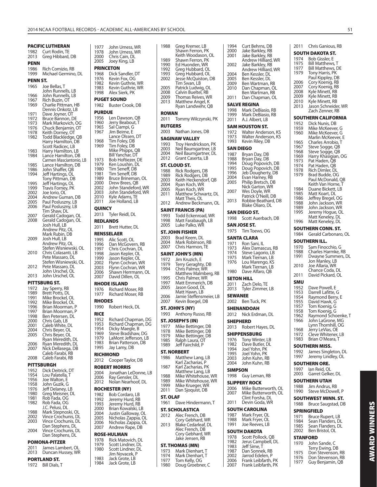|                 | PACIFIC LUTHERAN        | 1977            | John Urness, WR                        |
|-----------------|-------------------------|-----------------|----------------------------------------|
| 1982            | Curt Rodin, TE          | 1978            | John Urness, WR                        |
| 2013            | Greg Hibbard, DB        | 2000            | Chris Cain, DL                         |
| <b>PENN</b>     |                         | 2005            | Joey King, LB                          |
|                 |                         |                 |                                        |
| 1986            | Rich Comizio, RB        |                 | <b>PRINCETON</b>                       |
| 1999            | Michael Germino, DL     | 1968            | Dick Sandler, DT                       |
| <b>PENN ST.</b> |                         | 1976            | Kevin Fox, OG                          |
| 1965            | Joe Bellas, T           | 1982            | Kevin Guthrie, WR                      |
|                 | John Runnells, LB       | 1983            | Kevin Guthrie, WR                      |
| 1966            | John Runnells, LB       | 1998            | Alex Sierk, PK                         |
| 1967            | Rich Buzin, OT          |                 | <b>PUGET SOUND</b>                     |
| 1969            | Charlie Pittman, HB     | 1982            | Buster Crook, DB                       |
|                 | Dennis Onkotz, LB       |                 |                                        |
| 1971            | Dave Joyner, OT         | <b>PURDUE</b>   |                                        |
| 1972            | Bruce Bannon, DE        | 1956            | Len Dawson, QB                         |
| 1973            | Mark Markovich, OG      | 1960            | Jerry Beabout, T                       |
| 1976            | Chuck Benjamin, OT      | 1965            | Sal Ciampi, G                          |
| 1978            | Keith Dorney, OT        | 1967            | Jim Beirne, E                          |
| 1982            | Todd Blackledge, QB     |                 | Lance Olssen, DT                       |
|                 | Harry Hamilton, DB      | 1968            | Tim Foley, DB                          |
|                 | Scott Radicec, LB       | 1969            | Tim Foley, DB                          |
| 1983            | Harry Hamilton, LB      |                 | Mike Phipps, QB                        |
| 1984            | Lance Hamilton, DB      |                 | Bill Yanchar, DT                       |
|                 | Carmen Masciantonio, LB | 1973            | Bob Hoftiezer, DE                      |
| 1985            | Lance Hamilton, DB      | 1979            | Ken Loushin, DL                        |
| 1986            | John Shaffer, QB        | 1980            | Tim Seneff, DB                         |
| 1994            | Jeff Hartings, OL       | 1981            | Tim Seneff, DB                         |
|                 | Tony Pittman, DB        | 1989            | Bruce Brineman, OL                     |
| 1995            | Jeff Hartings, OL       | 2000            | Drew Brees, QB                         |
| 1999            | Travis Forney, PK       | 2002            | John Standeford, WR                    |
| 2002            | Joe Iorio, OL           | 2003            | John Standeford, WR                    |
| 2004            | Andrew Guman, DB        | 2010            | Kyle Adams, TE                         |
| 2005            | Paul Posluszny, LB      | 2011            | Joe Holland, LB                        |
| 2006            | Paul Posluszny, LB      | <b>QUINCY</b>   |                                        |
|                 | Tim Shaw, DL            |                 |                                        |
| 2007            | Gerald Cadogan, OL      | 2013            | Tyler Reidl, DL                        |
| 2008            | Gerald Cadogan, OL      | <b>REDLANDS</b> |                                        |
|                 | Josh Hull, LB           | 2011            | Brett Hutter, DL                       |
|                 | Andrew Pitz, OL         |                 |                                        |
|                 | Mark Rubin, DB          |                 | <b>RENSSELAER</b>                      |
| 2009            | Josh Hull, LB           | 1995            | Alic Scott, OL                         |
|                 | Andrew Pitz, OL         | 1996            | Dan McGovern, RB                       |
|                 | Stefen Wisniewski, OL   | 1997            | Chris Cochran, DL                      |
| 2010            | Chris Colasanti, LB     | 1998            | Jason Kepler, OL                       |
|                 | Pete Massaro, DL        | 1999            | Jason Kepler, OL                       |
|                 | Stefen Wisniewski, OL   | 2002            | Flynn Cochran, WR                      |
| 2012            | Pete Massaro, DL        | 2003            | Flynn Cochran, WR                      |
|                 | John Urschel, OL        | 2006            | Shawn Herrmann, OL                     |
| 2013            | John Urschel, OL        | 2007            | David Dillen, OL                       |
|                 | <b>PITTSBURG ST.</b>    |                 | <b>RHODE ISLAND</b>                    |
|                 |                         |                 |                                        |
|                 |                         |                 |                                        |
| 1972            | Jay Sperry, RB          | 1976            | Richard Moser, RB                      |
| 1989            | Brett Potts, DL         | 1977            | Richard Moser, RB                      |
| 1991            | Mike Brockel, OL        |                 |                                        |
| 1992            | Mike Brockel, OL        | <b>RHODES</b>   |                                        |
| 1996            | Brian Moorman, P        | 1990            | Robert Heck, DL                        |
| 1997            | Brian Moorman, P        | <b>RICE</b>     |                                        |
| 1998            | Ben Petersen, Dl        | 1952            |                                        |
| 2000            | Chris Gab, LB           | 1953            | Richard Chapman, DG                    |
| 2001            | Caleb White, DL         | 1954            | Richard Chapman, DG                    |
| 2004            | Chris Beyer, OL         | 1969            | Dicky Maegle, B<br>Steve Bradshaw, DG  |
| 2005            | Chris Beyer, OL         | 1979            | LaMont Jefferson, LB                   |
|                 | Ryan Meredith, DL       | 1983            | Brian Patterson, DB                    |
| 2006            | Ryan Meredith, DL       | 1995            |                                        |
| 2007            | Nick Dellasega, DB      |                 | Jay Lamy, DB                           |
|                 | Caleb Farabi, RB        |                 | <b>RICHMOND</b>                        |
| 2008            | Caleb Farabi, RB        | 2012            | Cooper Taylor, DB                      |
|                 | <b>PITTSBURGH</b>       |                 | <b>ROBERT MORRIS</b>                   |
| 1952            | Dick Deitrick, DT       |                 |                                        |
| 1954            | Lou Palatella, T        | 2004            | Jonathan LeDonne, LB                   |
| 1956            | Joe Walton, E           | 2006            | Ray Gensler, DL                        |
| 1958            | John Guzik, G           | 2012            | Nolan Nearhoof, DL                     |
| 1976            | Jeff Delaney, LB        |                 | <b>ROCHESTER (NY)</b>                  |
| 1980            | Greg Meisner, DL        | 1982            | Bob Cordaro, LB                        |
| 1981            | Rob Fada, OG            | 1992            | Jeremy Hurd, RB                        |
| 1982            | Rob Fada, OG            | 1993            | Jeremy Hurd, RB                        |
|                 | J.C. Pelusi, DL         | 2000            | Brian Kowalski, LB                     |
| 1988            | Mark Stepnoski, OL      | 2004            |                                        |
| 2002            | Vince Crochunis, DL     | 2005            | Justin Galloway, OL                    |
| 2003            | Vince Crochunis, DL     | 2006            | Nicholas Zappia, OL                    |
|                 | Dan Stephens, DL        | 2007            | Nicholas Zappia, OL<br>Andrew Rape, DB |
| 2004            | Vince Crochunis, DL     |                 |                                        |
|                 | Dan Stephens, DL        |                 | <b>ROSE-HULMAN</b>                     |
|                 |                         | 1978            | Rick Matovich, DL                      |
|                 | <b>POMONA-PITZER</b>    | 1979            | Scott Lindner, DL                      |
| 2011            | James Lambert, OL       | 1980            | Scott Lindner, DL                      |
| 2013            | Duncan Hussey, WR       |                 | Jim Novacek, P                         |
|                 | <b>PORTLAND ST.</b>     | 1983<br>1984    | Jack Grote, LB<br>Jack Grote, LB       |

| 1988                                         | Greg Kremer, LB<br>Shawn Ferron, PK                                                                                                                       |
|----------------------------------------------|-----------------------------------------------------------------------------------------------------------------------------------------------------------|
| 1989<br>1990<br>1992<br>1993<br>2002         | Keith Woodason, OL<br>Shawn Ferron, PK<br>Ed Huonden, WR<br>Greg Hubbard, OL<br>Greg Hubbard, OL<br>Jesse McQuiston, DB<br>Tim Swan, LB                   |
| 2005<br>2008<br>2009<br>2013                 | Patrick Ludwig, OL<br>Calvin Bueltel, RB<br>Thomas Reives, WR<br>Matthew Angel, K<br>Ryan Landwehr, QB                                                    |
| ROWAN<br>2011<br><b>RUTGERS</b>              | Tommy Wilczynski, PK                                                                                                                                      |
| 2003                                         | Nathan Jones, DB                                                                                                                                          |
| 1993<br>2003<br>2004<br>2012                 | <b>SAGINAW VALLEY</b><br>Troy Hendrickson, PK<br>Neil Baumgartner, LB<br>Neil Baumgartner, DL<br>Grant Caserta, LB                                        |
| 1988<br>1989<br>2003<br>2004<br>2005<br>2011 | ST. CLOUD ST.<br>Rick Rodgers, DB<br>Rick Rodgers, DB<br>Keith Heckendorf, QB<br>nyan Koch, WR<br>Ryan Koch, WR<br>Matthew Schwartz, DL<br>Matt Theis, OL |
| 2012                                         | Andrew Beckmann, OL                                                                                                                                       |
| 1993<br>1998<br>2005                         | SAINT FRANCIS (PA)<br>Todd Eckenroad, WR<br>Matt Farabaugh, LB<br>Luke Palko, WR                                                                          |
| 2003                                         | ST. JOHN FISHER<br>Brad Keem, DL                                                                                                                          |
| 2004<br>2007                                 | Mark Robinson, RB<br>Chris Harmon, TE                                                                                                                     |
|                                              | SAINT JOHN'S (MN)                                                                                                                                         |
| 1972<br>1979<br>1994                         | Jim Kruzich, E<br>Terry Geraghty, DB<br>Chris Palmer, WR<br>Matthew Malmberg, RB                                                                          |
| 1995<br>1997<br>2005                         | Chris Palmer, WR<br>Matt Emmerich, DB<br>Jason Good, DL<br>Matt Hawn, LB                                                                                  |
| 2006<br>2007                                 | Jamie Steffensmeier, LB<br>Kevin Boegel, DB                                                                                                               |
| 1993                                         | ST. JOHN'S (NY)<br>Anthony Russo, RB                                                                                                                      |
|                                              | ST. JOSEPH'S (IN)                                                                                                                                         |
| 1977<br>1978                                 | Mike Bettinger, DB<br>Mike Bettinger, DB                                                                                                                  |
| 1979<br>1985                                 | Mike Bettinger, DB<br>Ralph Laura, OT                                                                                                                     |
| 1989                                         | Jeff Fairchild, P                                                                                                                                         |
| 1986                                         | ST. NORBERT                                                                                                                                               |
|                                              | Matthew Lang, LB<br>Karl Zacharias, P                                                                                                                     |
| 1987                                         | Karl Zacharias, PK<br>Matthew Lang, LB                                                                                                                    |
| 1988<br>1989<br>1999<br>2011                 | Mike Whitehouse, WR<br>Mike Whitehouse, WR<br>Mike Krueger, WR<br>Dan Sjoquist, DB                                                                        |
| <b>ST. OLAF</b>                              |                                                                                                                                                           |
| 1961                                         | Dave Hindermann, T<br>ST. SCHOLASTICA                                                                                                                     |
| 2012                                         | Alec French, DB                                                                                                                                           |
| 2013                                         | Cory Gebhard, WR<br>Blake Cedarleaf, DL<br>Alec French, DB<br>Cory Gebhard, WR                                                                            |
|                                              | Jake Jensen, RB                                                                                                                                           |
|                                              | ST. THOMAS (MN)                                                                                                                                           |
| 1973<br>1974                                 | Mark Dienhart, T<br>Mark Dienhart,                                                                                                                        |
| 1977<br>1980                                 | Tom Kelly, OG<br>Doug Groebner, C                                                                                                                         |

| 1994                    | Curt Behrns, DB                            | 2011            | Chris Ganious, RB                           |
|-------------------------|--------------------------------------------|-----------------|---------------------------------------------|
| 2000<br>2001            | Jake Barkley, RB<br>Jake Barkley, RB       |                 | <b>SOUTH DAKOTA ST.</b>                     |
|                         | Andrew Hilliard, WR                        | 1974            | Bob Gissler, E                              |
| 2002                    | Jake Barkley, RB                           | 1975            | Bill Matthews, T                            |
|                         | Andrew Hilliard, WR                        | 1977<br>1979    | <b>Bill Matthews, DE</b><br>Tony Harris, PK |
| 2004<br>2005            | Ben Kessler, DL<br>Ben Kessler, DL         |                 | Paul Kippley, DB                            |
| 2009                    | Ben Wartman, RB                            | 2006            | Cory Koenig, RB                             |
| 2010                    | Dan Chapman, OL                            | 2007            | Cory Koenig, RB                             |
|                         | Ben Wartman, RB                            | 2008<br>2009    | Kyle Minett, RB<br>Kyle Minett, RB          |
| 2011                    | Dan Chapman, OL                            | 2010            | Kyle Minett, RB                             |
|                         | <b>SALVE REGINA</b>                        | 2013            | Jason Schneider, \                          |
| 1998<br>1999            | Mark DeBiasio, RB<br>Mark DeBiasio, RB     |                 | Zach Zenner, RB                             |
| 2011                    | A.J. Albert, LB                            |                 | SOUTHERN CALIFORN                           |
|                         | SAM HOUSTON ST.                            | 1952            | Dick Nunis, DB                              |
| 1972                    | Walter Anderson, KS                        | 1959<br>1960    | Mike McKeever, G<br>Mike McKeever, G        |
| 1973                    | Walter Anderson, KS                        |                 | Marlin McKeever,                            |
| 1993                    | Kevin Riley, DB                            | 1965            | Charles Arrobio, T                          |
|                         | SAN DIEGO                                  | 1967<br>1968    | Steve Sogge, QB<br>Steve Sogge, QB          |
| 1987                    | Bryan Day, DB                              | 1969            | Harry Khasigian, O                          |
| 1988<br>1994            | Bryan Day, DB<br>Doug Popovich, DB         | 1973            | Pat Haden, QB                               |
| 1995                    | Doug Popovich, DB                          | 1974<br>1978    | Pat Haden, QB                               |
| 1996                    | Jeb Dougherty, DB                          | 1979            | Rich Dimler, DL<br>Brad Budde, OG           |
| 2004<br>2005            | Evan Harney, RB<br>Philip Bretsch, DB      |                 | Paul McDonald, C                            |
|                         | Nick Garton, WR                            |                 | Keith Van Horne,                            |
| 2007                    | Wes Doyle, WR                              | 1984<br>1985    | Duane Bickett, LB<br>Matt Koart, DL         |
|                         | Patrick O'Neill, DB                        | 1986            | Jeffrey Bregel, OG                          |
| 2013                    | Robbie Beathard, DB<br>Blake Oliaro, DL    | 1988            | John Jackson, WR                            |
|                         | SAN DIEGO ST.                              | 1989<br>1995    | John Jackson, WR                            |
| 1998                    | Scott Auerbach, DB                         |                 | Jeremy Hogue, Ol<br>Matt Keneley, DL        |
|                         |                                            | 1996            | Matt Keneley, DL                            |
| 1975                    | SAN JOSE ST.<br>Tim Toews, OG              |                 | <b>SOUTHERN CONN. ST.</b>                   |
|                         |                                            | 1984            | Gerald Carbonarc                            |
| 1971                    | <b>SANTA CLARA</b>                         |                 | SOUTHERN ILL.                               |
| 1973                    | Ron Sani, IL<br>Alex Damascus, RB          | 1970            | Sam Finocchio, G                            |
| 15,<br>1974<br>^75      | Steve Lagorio, LB                          | 1988            | Charles Harmke, F                           |
|                         | Mark Tiernan, LB                           | 1991            | Dwayne Summer                               |
|                         |                                            |                 |                                             |
| 1976                    | Lou Marengo, KS                            |                 | Jon Manley, LB                              |
| 1980                    | Mark Tiernan, LB<br>Dave Alfaro, QB        | 2010            | Joe Allaria, WR<br>Chance Coda, DL          |
|                         |                                            | 2011            | David Pickard, OL                           |
| 2011                    | <b>SETON HILL</b>                          | SMU             |                                             |
| 2013                    | Zach Delo, TE<br>Tyler Zimmer, LB          | 1952            | Dave Powell, E                              |
| <b>SEWANEE</b>          |                                            | 1953            | Darrell Lafitte, G                          |
| 2002                    | Ben Tuck, PK                               | 1954<br>1955    | Raymond Berry, E<br>David Hawk, G           |
|                         | SHENANDOAH                                 | 1957            | Tom Koenig, G                               |
| 2012                    | Nick Erdman, DL                            | 1958            | Tom Koenig, G                               |
|                         |                                            | 1962<br>1966    | Raymond Schoen<br>John LaGrone, MK          |
| <b>SHEPHERD</b><br>2013 | Robert Hayes, DL                           |                 | Lynn Thornhill, O                           |
|                         |                                            | 1968            | Jerry LeVias, OE                            |
| 1976                    | SHIPPENSBURG                               | 1972<br>1983    | Cleve Whitener, L<br>Brian O'Meara, T       |
| 1982                    | Tony Winter, LB<br>Dave Butler, DL         |                 |                                             |
| 1994                    | Joel Yohn, PK                              | 1992            | <b>SOUTHERN MISS.</b>                       |
| 1995                    | Joel Yohn, PK                              | 1997            | James Singleton,<br>Jeremy Lindley, O       |
| 2003<br>2004            | John Kuhn, RB<br>John Kuhn, RB             |                 | <b>SOUTHERN ORE.</b>                        |
| SIMPSON                 |                                            | 1997            | lan Reid, OL                                |
| 1998                    | Guy Leman, RB                              | 2003            | Garret Gelker, DL                           |
|                         | SLIPPERY ROCK                              |                 | <b>SOUTHERN UTAH</b>                        |
| 2006                    | Mike Butterworth, OL                       | 1988            | Jim Andrus, RB                              |
| 2007                    | Mike Butterworth, OL                       | 1990            | Steve McDowell, I                           |
|                         | Clint Forsha, DL                           |                 | <b>SOUTHWEST MINN. ST</b>                   |
| 2011                    | Devin Goda, WR                             | 1988            | Bruce Saugstad, D                           |
|                         | SOUTH CAROLINA                             |                 | <b>SPRINGFIELD</b>                          |
| 1987<br>1988            | Mark Fryer, OL                             | 1971            | Bruce Rupert, LB                            |
| 1991                    | Mark Fryer, OL<br>Joe Reeves, LB           | 1984<br>1985    | Sean Flanders, DL                           |
|                         | SOUTH DAKOTA                               | 2002            | Sean Flanders, DL<br>Ben Bristol, OL        |
| 1978                    | Scott Pollock, QB                          | <b>STANFORD</b> |                                             |
| 1982                    | Jerus Campbell, DL                         | 1970            | John Sande, C                               |
| 1983                    | Jeff Sime, T                               |                 | Terry Ewing, DB                             |
| 1987<br>2002            | Dan Sonnek, RB<br>Jarrod Edelen, P         | 1975            | Don Stevenson, R                            |
| 2006<br>2007            | Frank Leibfarth, PK<br>Frank Leibfarth, PK | 1976<br>1977    | Don Stevenson, R<br>Guy Benjamin, QE        |

|                      | SOUTH DAKOTA ST.                                      |
|----------------------|-------------------------------------------------------|
| 1974                 | Bob Gissler, E                                        |
| 1975                 | Bill Matthews, T                                      |
| 1977<br>1979         | <b>Bill Matthews, DE</b><br>Tony Harris, PK           |
|                      | Paul Kippley, DB                                      |
| 2006                 |                                                       |
| 2007                 | Cory Koenig, RB<br>Cory Koenig, RB                    |
| 2008                 | Kyle Minett, RB<br>Kyle Minett, RB                    |
| 2009<br>2010         | Kyle Minett, RB                                       |
| 2013                 | Jason Schneider, WR                                   |
|                      | Zach Zenner, RB                                       |
|                      | SOUTHERN CALIFORNIA                                   |
| 1952<br>1959         | Dick Nunis, DB<br>Mike McKeever, G                    |
| 1960                 | Mike McKeever, G                                      |
|                      | Marlin McKeever, E                                    |
| 1965                 | Charles Arrobio, T                                    |
| 1967<br>1968         | Steve Sogge, QB<br>Steve Sogge, QB                    |
| 1969                 |                                                       |
| 1973                 | Harry Khasigian, OG<br>Pat Haden, QB                  |
| 1974                 | Pat Haden, QB                                         |
| 1978<br>1979         | Rich Dimler, DL<br>Brad Budde, OG                     |
|                      | Paul McDonald, QB                                     |
|                      | Keith Van Horne, T                                    |
| 1984                 | Duane Bickett, LB                                     |
| 1985<br>1986         | Matt Koart, DL<br>Jeffrey Bregel, OG                  |
| 1988                 |                                                       |
| 1989                 | John Jackson, WR<br>John Jackson, WR                  |
| 1995                 | Jeremy Hogue, OL                                      |
| 1996                 | Matt Keneley, DL<br>Matt Keneley, DL                  |
|                      |                                                       |
| 1984                 | SOUTHERN CONN. ST.<br>Gerald Carbonaro, OL            |
|                      |                                                       |
|                      |                                                       |
|                      | SOUTHERN ILL.                                         |
|                      | Sam Finocchio, G                                      |
|                      | Charles Harmke, RB<br>Dwayne Summers, DL              |
| 1970<br>1988<br>1991 | Jon Manley, LB                                        |
| 2010                 | Joe Allaria, WR                                       |
| 2011                 | Chance Coda, DL<br>David Pickard, OL                  |
| SMU                  |                                                       |
| 1952                 | Dave Powell, E                                        |
| 1953                 | Darrell Lafitte, G                                    |
| 1954                 | Raymond Berry, E                                      |
| 1955                 | David Hawk, G                                         |
| 1957<br>1958         |                                                       |
| 1962                 | Tom Koenig, G<br>Tom Koenig, G<br>Raymond Schoenke, T |
| 1966                 | John LaGrone, MG                                      |
| 1968                 | Lynn Thornhill,                                       |
| 1972                 | Jerry LeVias, OE                                      |
| 1983                 | Cleve Whitener, LB<br>Brian O'Meara, T                |
|                      | SOUTHERN MISS.                                        |
|                      | James Singleton, DL                                   |
|                      | Jeremy Lindley, OL                                    |
| 1992<br>1997         | SOUTHERN ORE.                                         |
| 1997                 | lan Reid, OL                                          |
| 2003                 | Garret Gelker, DL                                     |
|                      | SOUTHERN UTAH                                         |
| 1988                 | Jim Andrus, RB                                        |
|                      | Steve McDowell, P                                     |
| 1990                 | SOUTHWEST MINN. ST.                                   |
| 1988                 | Bruce Saugstad, DB                                    |
|                      | SPRINGFIELD                                           |
| 1971                 | Bruce Rupert, LB                                      |
| 1984<br>1985         | Sean Flanders, DL<br>Sean Flanders, DL                |

# John Sande, C Terry Ewing, DB<br>1975 Don Stevenson, 1975 Don Stevenson, RB<br>1976 Don Stevenson, RB 1976 Don Stevenson, RB<br>1977 Guy Benjamin, QB Guy Benjamin, QB

**AWARD WINNERS**

**AWARD WINNERS**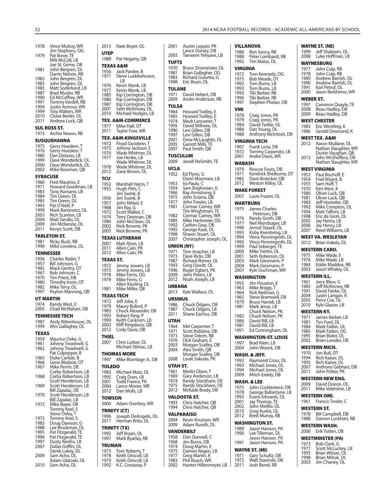**VILLANOVA**

| 1978                    | Vince Mulroy, WR                           | 2013                          | Nat          |
|-------------------------|--------------------------------------------|-------------------------------|--------------|
| 1979                    | Jim Stephens, OG<br>Pat Bowe, TE           | <b>UTEP</b><br>1988           | Pat          |
|                         | Milt McColl, LB<br>Joe St. Geme, DB        | TEXAS A&                      |              |
| 1981                    | John Bergren, DL<br>Darrin Nelson, RB      | 1956<br>1971                  | Jacl<br>Ste  |
| 1982<br>1983            | John Bergren, DL<br>John Bergren, DL       |                               | LI           |
| 1985<br>1987            | Matt Soderlund, LB<br>Brad Muster, RB      | 1976<br>1977                  | Kev<br>Kev   |
| 1990                    | Ed McCaffrey, WR                           | 1985<br>1986                  | Kip<br>Kip   |
| 1991<br>1994            | Tommy Vardell, RB<br>Justin Armour, WR     | 1987<br>2001                  | Kip<br>Setl  |
| 1999<br>2010            | Troy Walters, WR<br>Chase Beeler, OL       | 2010                          | Mic          |
| 2011                    | Andrew Luck, QB                            | TEX. A&M<br>1977              | Mik          |
| 1973                    | <b>SUL ROSS ST.</b><br>Archie Nexon, RB    | 2011                          | lay          |
|                         | <b>SUSQUEHANNA</b>                         | TEX. A&M<br>1972              | Floy         |
| 1975<br>1976            | Gerry Huesken, T<br>Gerry Huesken, T       | 1973                          | Joh          |
| 1980<br>1999            | Dan Distasio, LB<br>Dave Wonderlick, OL    | 1976<br>1977                  | Wa<br>Joe    |
| 2000                    | Dave Wonderlick, OL                        | 1978                          | Wa<br>Wa     |
| 2002<br><b>SYRACUSE</b> | Mike Bowman, QB                            | 2012                          | Zar          |
| 1960                    | Fred Mautino, E                            | τςυ<br>1952                   | Maı          |
| 1971<br>1983            | Howard Goodman, LB<br>Tony Romano, LB      | 1955                          | Huc<br>Jim   |
| 1984<br>1985            | Tim Green, DL<br>Tim Green, DL             | 1956                          | Jim          |
| 1993                    | Pat O'Neill, P                             | 1957<br>1968                  | Joh<br>Jim   |
| 1999<br>2003            | Mark Baniewicz, OL<br>Rich Scanlon, LB     | 1972<br>1974                  | Sco<br>Teri  |
| 2004<br>2009            | Matt Tarullo, OL<br>Jim McKenzie, OL       | 1980<br>2002                  | Joh<br>Nicl  |
| 2011                    | Kevyn Scott, DB                            | 2003                          | Nicl         |
| 1981                    | TARLETON ST.<br>Ricky Bush, RB             | TEXAS LU <sup>.</sup><br>2007 | Mat          |
| 1990                    | Mike Loveless, OL<br><b>TENNESSEE</b>      | 2011<br>2012                  | Alle<br>Alle |
| 1956                    | Charles Rader, T                           | <b>TEXAS ST.</b>              |              |
| 1957<br>1965            | Bill Johnson, G<br>Mack Gentry, DT         | 1972<br>1973                  | Jim<br>Jim   |
| 1967<br>1970            | Bob Johnson, C<br>Tim Priest, DB           | 1978                          | Mik          |
| 1980<br>1982            | Timothy Irwin, OT<br>Mike Terry, DL        | 1979                          | Mik<br>Alle  |
| 1997                    | Peyton Manning, QB                         | 1981<br><b>TEXAS TEO</b>      | Mik          |
| 1974                    | UT MARTIN<br>Randy West, E                 | 1972                          | Jeff         |
| 2005                    | Chad McMahan, DB                           | 1979<br>1983                  | Mai<br>Chι   |
| 1987                    | TENNESSEE TECH<br>Andy Rittenhouse, DL     | 1993<br>1999                  | Rok<br>Keit  |
| 1999                    | Wes Gallagher, OL                          | 2002<br>2012                  | Klifl<br>Coc |
| TEXAS<br>1959           | Maurice Doke, G                            | <b>THIEL</b>                  |              |
| 1961                    | Johnny Treadwell, G<br>Johnny Treadwell, G | 2007                          | Chr<br>Mic   |
| 1962                    | Pat Culpepper, B                           | <b>THOMAS</b>                 |              |
| 1963<br>1966            | Duke Carlisle, B<br>Gene Bledsoe, OT       | 1997                          | Mik          |
| 1967                    | Mike Perrin, DE<br>Corby Robertson, LB     | <b>TOLEDO</b><br>1983         | Mic          |
| 1968                    | Corby Robertson, LB<br>Scott Henderson, LB | 1995                          | Cra          |
| 1969                    | Scott Henderson, LB                        | 2001<br>2004                  | Tod<br>Lan   |
| 1970                    | Bill Zapalac, DE<br>Scott Henderson, LB    | 2012<br><b>TOWSON</b>         | Dar          |
| 1972                    | Bill Zapalac, LB<br>Mike Bayer, DB         | 2000                          | Ada          |
|                         | Tommy Keel, S<br>Steve Oxley, T            | TRINITY (¢                    |              |
| 1973<br>1983            | Tommy Keel, S<br>Doug Dawson, G            | 1996<br>2011                  | Jos<br>Her   |
| 1988                    | Lee Brockman, DL                           | TRINITY (1                    |              |
| 1995<br>1996            | Pat Fitzgerald, TE<br>Pat Fitzgerald, TE   | 1992<br>1997                  | Jeff<br>Mai  |
| 1997<br>2007            | Dusty Renfro, LB<br>Dallas Griffin, OL     | <b>TRUMAN</b>                 |              |
| 2009                    | Derek Lokey, DL<br>Sam Acho, DL            | 1973<br>1978                  | Ton<br>Keit  |
|                         | Adam Ulatoski, OL<br>Sam Acho, DL          | 1979<br>1992                  | Keit<br>K.C. |
| 2010                    |                                            |                               |              |

| 2013          | Nate Boyer, OL                           | 2001            | Austin Lepper, PK                      |
|---------------|------------------------------------------|-----------------|----------------------------------------|
| <b>UTEP</b>   |                                          | 2003            | Lance Dorsey, DB<br>Tameem Yehyawi, LB |
| 1988          | Pat Hegarty, QB                          | <b>TUFTS</b>    |                                        |
|               | TEXAS A&M                                | 1970            | Bruce Zinsmeister, DI                  |
| 1956          | Jack Pardee, B                           | 1981            | Brian Gallagher, OG                    |
| 1971          | Steve Luebbehusen,                       | 1983            | Richard Guiunta, G                     |
|               | LB                                       | 1998            | Eric Brum, DL                          |
| 1976<br>1977  | Kevin Monk, LB<br>Kevin Monk, LB         | TULANE          |                                        |
| 1985          | Kip Corrington, DB                       | 1971            | David Hebert, DB                       |
| 1986          | Kip Corrington, DB                       | 2009            | Andre Anderson, RB                     |
| 1987          | Kip Corrington, DB                       | <b>TULSA</b>    |                                        |
| 2001          | Seth McKinney, OL                        | 1964            | Howard Twilley, E                      |
| 2010          | Michael Hodges, LB                       | 1965            | Howard Twilley, E                      |
|               | TEX. A&M-COMMERCE                        | 1974            | Mack Lancaster, T                      |
| 1977          | Mike Hall, OT                            | 1995            | David Millwee, OL                      |
| 2011          | Taylor Fore, WR                          | 1996            | Levi Gillen, DB                        |
|               | TEX. A&M-KINGSVILLE                      | 1997<br>2001    | Levi Gillen, DB<br>Drew McLaughlin, DL |
| 1972          | Floyd Goodwin, T                         | 2005            | Garrett Mills, TE                      |
| 1973          | Johnny Jackson, E                        | 2007            | Paul Smith, QB                         |
| 1976          | Wade Whitmer, DL                         | <b>TUSCULUM</b> |                                        |
| 1977          | Joe Henke, LB<br>Wade Whitmer, DL        | 2009            | Jarrell NeSmith, TE                    |
| 1978          | Wade Whitmer, DL                         | <b>UCLA</b>     |                                        |
| 2012          | Zane Brown, DL                           |                 |                                        |
| τςυ           |                                          | 1952            | Ed Flynn, G<br>Donn Moomaw, LB         |
| 1952          | Marshall Harris, T                       | 1953            | Ira Pauly, C                           |
| 1955          | Hugh Pitts, C                            | 1954            | Sam Boghosian, G                       |
|               | Jim Swink, B                             | 1966            | Ray Armstrong, E                       |
| 1956          | Jim Swink, B                             | 1975            | John Sciarra, QB                       |
| 1957          | John Nikkel, E                           | 1977            | John Fowler, LB                        |
| 1968          | Jim Ray, G                               | 1981            | Cormac Carney, WR<br>Tim Wrightman, TE |
| 1972<br>1974  | Scott Walker, C<br>Terry Drennan, DB     | 1982            | Cormac Carney, WR                      |
| 1980          | John McClean, DL                         | 1985            | Mike Hartmeier, OG                     |
| 2002          | Nick Browne, PK                          | 1992            | Carlton Gray, DB                       |
| 2003          | Nick Browne, PK                          | 1995            | George Kase, DL                        |
|               | TEXAS LUTHERAN                           | 1998            | Shawn Stuart, OL                       |
| 2007          | Matt Alves, LB                           | 2007            | Christopher Joseph, 0                  |
| 2011          | Allen Cain, PK                           | UNION (NY)      |                                        |
| 2012          | Allen Cain, PK                           | 1971            | Tom Anacher, LB                        |
| TEXAS ST.     |                                          | 1973<br>1987    | Dave Ricks, DB<br>Richard Romer, DL    |
| 1972          | Jimmy Jowers, LB                         | 1993            | Greg Oswitt, OL                        |
| 1973          | Jimmy Jowers, LB                         | 1996            | Roger Egbert, PK                       |
| 1978          | Mike Ferris, OG                          | 2009            | John Peters, LB                        |
| 1979          | Mike Ferris, G                           | 2012            | Noah Joseph, LB                        |
|               | Allen Kiesling, DL                       | <b>URBANA</b>   |                                        |
| 1981          | Mike Miller, QB                          | 2013            | Kyle Wallace, OL                       |
|               | TEXAS TECH                               | URSINUS         |                                        |
| 1972          | Jeff Jobe, E                             | 1986            | Chuck Odgers, DB                       |
| 1979          | Maury Buford, P                          | 1987            | Chuck Odgers, LB                       |
| 1983<br>1993  | Chuck Alexander, DB<br>Robert King, P    | 2011            | Shane Eachus, DB                       |
| 1999          | Keith Cockrum, LB                        | UTAH            |                                        |
| 2002          | Kliff Kingsbury, QB                      | 1964            | Mel Carpenter, T                       |
| 2012          | Cody Davis, DB                           | 1971            | Scott Robbins, DB                      |
| THIEL         |                                          | 1973            | Steve Odom, RB                         |
| 2007          | Chris Lorber, DL                         | 1976            | Dick Graham, E                         |
|               | Michael Stimac, LB                       | 2003            | Morgan Scalley, DB                     |
|               | <b>THOMAS MORE</b>                       | 2004            | Alex Smith, QB<br>Morgan Scalley, DB   |
| 1997          | Mike Bramlage Jr., DB                    | 2008            | Louie Sakoda, PK                       |
|               |                                          | UTAH ST.        |                                        |
| <b>TOLEDO</b> |                                          | 1961            | Merlin Olsen, T                        |
| 1983<br>1995  | Michael Matz, DL<br>Craig Dues, LB       | 1969            | Gary Anderson, LB                      |
| 2001          | Todd France, PK                          | 1974            | Randy Stockham, DE                     |
| 2004          | Lance Moore, WR                          | 1975            | Randy Stockham, DE                     |
| 2012          | Dan Molls, LB                            | 2012            | McKade Brady, DB                       |
| TOWSON        |                                          |                 | VALDOSTA ST.                           |
| 2000          | Adam Overbey, WR                         | 1993            | Chris Hatcher, QB                      |
|               |                                          | 1994            | Chris Hatcher, QB                      |
|               | TRINITY (CT)                             |                 | VALPARAISO                             |
| 1996<br>2011  | Joseph DeAngelis, OL<br>Herman Brito, DL | 2004            | Kevin Knutson, WR                      |
|               |                                          | 2009            | Adam Rundh, DL                         |
|               | TRINITY (TX)                             |                 | VANDERBILT                             |
| 1992          | Jeff Bryan, OL                           | 1958            | Don Donnell, C                         |
| 1997          | Mark Byarlay, RB                         | 1968            | Jim Burns, DB                          |
| TRUMAN        |                                          | 1974            | Doug Martin, E                         |
| 1973          | Tom Roberts, T                           | 1975            | Damon Regen, LB                        |
| 1978          | Keith Driscoll, LB                       | 1977            | Greg Martin, K                         |
| 1979<br>1992  | Keith Driscoll, LB<br>K.C. Conaway, P    | 1983<br>2002    | Phil Roach, WR<br>Hunter Hillenmeyer,  |
|               |                                          |                 |                                        |

| 1970<br>1981<br>1983<br>1998                                                  | Bruce Zinsmeister, DL<br>Brian Gallagher, OG<br>Richard Guiunta, G<br>Eric Brum, DL                                                                                                  |
|-------------------------------------------------------------------------------|--------------------------------------------------------------------------------------------------------------------------------------------------------------------------------------|
| TULANE<br>1971<br>2009                                                        | David Hebert, DB<br>Andre Anderson, RB                                                                                                                                               |
| TULSA<br>1964<br>1965<br>1974<br>1995<br>1996<br>1997<br>2001<br>2005<br>2007 | Howard Twilley, E<br>Howard Twilley, E<br>Mack Lancaster, T<br>David Millwee, OL<br>Levi Gillen, DB<br>Levi Gillen, DB<br>Drew McLaughlin, DL<br>Garrett Mills, TE<br>Paul Smith, QB |
| 2009                                                                          | TUSCULUM<br>Jarrell NeSmith, TE                                                                                                                                                      |
| UCLA                                                                          |                                                                                                                                                                                      |
| 1952                                                                          | Ed Flynn, G<br>Donn Moomaw, LB                                                                                                                                                       |
| 1953<br>1954                                                                  | Ira Pauly, C<br>Sam Boghosian, G                                                                                                                                                     |
| 1966                                                                          | Ray Armstrong, E                                                                                                                                                                     |
| 1975<br>1977                                                                  | John Sciarra, QB<br>John Fowler, LB                                                                                                                                                  |
| 1981                                                                          | Cormac Carney, WR                                                                                                                                                                    |
| 1982<br>1985                                                                  | Tim Wrightman, TE<br>Cormac Carney, WR<br>Mike Hartmeier, OG                                                                                                                         |
| 1992<br>1995                                                                  | Carlton Gray, DB<br>George Kase, DL                                                                                                                                                  |
| 1998                                                                          | Shawn Stuart, OL                                                                                                                                                                     |
| 2007                                                                          | Christopher Joseph, OL<br>UNION (NY)                                                                                                                                                 |
| 1971                                                                          | Tom Anacher, LB                                                                                                                                                                      |
| 1973<br>1987                                                                  | Dave Ricks, DB<br>Richard Romer, DL                                                                                                                                                  |
| 1993<br>1996                                                                  | Greg Oswitt, OL<br>Roger Egbert, PK                                                                                                                                                  |
| 2009<br>2012                                                                  | John Peters, LB<br>Noah Joseph, LB                                                                                                                                                   |
| URBANA                                                                        |                                                                                                                                                                                      |
| 2013                                                                          | Kyle Wallace, OL                                                                                                                                                                     |
| URSINUS<br>1986                                                               | Chuck Odgers, DB                                                                                                                                                                     |
| 1987<br>2011                                                                  | Chuck Odgers, LB<br>Shane Eachus, DB                                                                                                                                                 |
| UTAH                                                                          |                                                                                                                                                                                      |
| 1964                                                                          | Mel Carpenter, T<br>Scott Robbins, DB                                                                                                                                                |
| 1971<br>1973                                                                  | Steve Odom, RB                                                                                                                                                                       |
| 1976<br>2003                                                                  | Dick Graham, E                                                                                                                                                                       |
|                                                                               |                                                                                                                                                                                      |
| 2004                                                                          | Morgan Scalley, DB<br>Alex Smith, QB                                                                                                                                                 |
| 2008                                                                          | Morgan Scalley, DB<br>Louie Sakoda, PK                                                                                                                                               |
| UTAH ST.                                                                      |                                                                                                                                                                                      |
| 1961<br>1969                                                                  | Merlin Olsen, T                                                                                                                                                                      |
| 1974<br>1975                                                                  | Gary Anderson, LB<br>Randy Stockham, DE<br>Randy Stockham, DE                                                                                                                        |
| 2012                                                                          | McKade Brady, DB                                                                                                                                                                     |
| 1993                                                                          | VALDOSTA ST.<br>Chris Hatcher, QB                                                                                                                                                    |
| 1994                                                                          | Chris Hatcher, QB                                                                                                                                                                    |
| 2004                                                                          | VALPARAISO<br>Kevin Knutson, WR                                                                                                                                                      |
| 2009                                                                          | Adam Rundh, DL                                                                                                                                                                       |
|                                                                               | VANDERBILT                                                                                                                                                                           |
| 1958<br>1968                                                                  | Don Donnell, C<br>Jim Burns, DB                                                                                                                                                      |
| 1974<br>1975                                                                  | Doug Martin, E<br>Damon Regen, LB                                                                                                                                                    |
| 1977<br>1983<br>2002                                                          | Greg Martin, K<br>Phil Roach, WR<br>Hunter Hillenmeyer, LB                                                                                                                           |

| 1986<br>1988<br>1992 | Ron Sency, RB<br>Peter Lombardi, RB<br>Tim Matas, DL |
|----------------------|------------------------------------------------------|
| VIRGINIA             |                                                      |
| 1972                 | Tom Kennedy, OG                                      |
| 1975<br>1992         | Bob Meade, DT                                        |
| 1993                 | Tom Burns, LB<br>Tom Burns, LB                       |
| 1995<br>1996         | Tiki Barber, RB<br>Tiki Barber, RB                   |
| 1997                 | Stephen Phelan, DB                                   |
| VMI<br>1978          |                                                      |
| 1979                 | Craig Jones, PK<br>Craig Jones, PK                   |
| 1984<br>1986         | David Twillie, OL<br>Dan Young, DL                   |
| 1988                 | Anthony McIntosh, DB                                 |
|                      | VIRGINIA TECH                                        |
| 1967<br>1972         | Frank Loria, DB<br>Tommy Carpenito, LB               |
| 2001                 | Andre Davis, WR                                      |
| WABASH               |                                                      |
| 1970<br>1971         | Roscoe Fouts, DB<br>Kendrick Shelburne, DT           |
| 1982                 | Dave Broecker, QB                                    |
| 2012                 | Weston Kitley, OL                                    |
| 2007                 | <b>WAKE FOREST</b><br>Louis Frazier, OL              |
|                      | WARTBURG                                             |
| 1975                 | James Charles<br>Peterson, DB                        |
| 1976                 | Randy Groth, DB                                      |
| 1977<br>1990         | Neil Mandsager, LB<br>Jerrod Staack, OL              |
| 1993                 | Koby Kreinbring, LB                                  |
| 1994<br>1995         | Vince Penningroth, DL<br>Vince Penningroth, DL       |
| 1999                 | Paul Seberger, TE<br>Mike Trettin, OL                |
| 2000<br>2001         | Seth Roberson, OL                                    |
| 2003                 | Mark Giesmann, P                                     |
|                      |                                                      |
| 2004<br>2007         | Mark Giesmann, P<br>Kyle Duchman, WR                 |
|                      | WASHINGTON                                           |
| 1955<br>1963         | Jim Houston, E<br>Mike Briggs, T                     |
| 1964                 | Rick Redman, G                                       |
| 1965<br>1979         | Steve Bramwell, DB<br>Bruce Harrell, LB              |
| 1981                 | Mark Jerue, LB                                       |
| 1982                 | Chuck Nelson, PK<br>Chuck Nelson, PK                 |
| 1986<br>1987         | David Rill, LB<br>David Rill, LB                     |
| 1991                 | Ed Cunningham, OL                                    |
|                      | <b>WASHINGTON-ST. LOUIS</b>                          |
| 1997<br>2004         | Brad Klein, LB<br>John Woock, DB                     |
|                      | WASH. & JEFF.                                        |
| 1992<br>1993         | Raymond Cross, DL                                    |
| 1994                 | Michael Jones, OL<br>Michael Jones, OL               |
| 2009                 | Mitch Erdely, DB                                     |
| 1975                 | WASH. & LEE<br>John Cocklereece, DB                  |
| 1978                 | George Ballantyne, LB                                |
| 1992<br>2001         | Evans Edwards, OL<br>Jay Thomas, TE                  |
| 2002<br>2010         | John Melillo, OL<br>Greg Kurkis, OL                  |
| 2012                 | Brett Murray, RB                                     |
|                      | <b>WASHINGTON ST.</b>                                |
| 1989<br>1990         | Jason Hanson, PK<br>Lee Tilleman, DL                 |
|                      | Jason Hanson, PK                                     |
| 1991                 | Jason Hanson, PK<br><b>WAYNE ST. (MI)</b>            |
| 1971<br>1972         | Gary Schultz, DB<br>Walt Stasinski, DB               |

|              | WAYNE ST. (NE)                              |
|--------------|---------------------------------------------|
| 1999<br>2008 | Jeff Shabram, OL<br>Luke Hoffman, LB        |
|              | WAYNESBURG                                  |
| 1977<br>1978 | John Culp, RB<br>John Culp, RB              |
| 1989         | Andrew Barrish, OL<br>Andrew Barrish, OL    |
| 1990<br>1991 | Karl Petrof, OL                             |
| 2000         | Jason Berkhimer, WR                         |
| WEBER ST.    |                                             |
| 1997<br>2008 | Cameron Quayle, TE                          |
| 2009         | Beau Hadley, DB<br>Beau Hadley, DB          |
|              | WEST CHESTER                                |
| 1983         | Eric Wentling, K                            |
| 1986         | Gerald Desmond, K                           |
| 2012         | WEST TEX. A&M<br>Aaron Mullane, OL          |
|              | Nathan Slaughter, WR<br>Dustin Vaughan, QB  |
|              |                                             |
| 2013         | John McSheffery, DB<br>Nathan Slaughter, WR |
|              | WEST VIRGINIA                               |
| 1952         | Paul Bischoff, E                            |
| 1954<br>1955 | Fred Wyant, B<br>Sam Huff, T                |
| 1970         | Kim West, K                                 |
| 1980<br>1981 | Oliver Luck, QB<br>Oliver Luck, QB          |
| 1983         | Jeff Hostetler, QB                          |
| 1992         | Mike Compton, OL<br>Matt Taffoni, LB        |
| 1994<br>1998 | Eric de Groh, OL                            |
| 2005         | Jay Henry, LB<br>Jay Henry, LB              |
| 2006<br>2007 | Reed Williams, LB                           |
|              |                                             |
|              | WEST VA. WESLEYAN                           |
| 2012         | Brian Vukela, DL                            |
|              | WESTERN CARO.                               |
| 1975         | Mike Wade, E                                |
| 1976<br>1984 | Mike Wade, LB<br>Eddie Maddox, RB           |
| 2003         | Jason Whaley, OL                            |
|              | WESTERN ILL.                                |
| 1961<br>1985 | Jerry Blew, G<br>Jeff McKinney, RB          |
| 1991         | David Fierke, OL                            |
| 2004<br>2005 | Justin Langan, K<br>Perry Cox, OL           |
| 2010         | Kyle Glazier, LB                            |
|              | <b>WESTERN KY.</b>                          |
| 1981         | 1971 James Barber, LB                       |
| 1984         | Tim Ford, DL<br>Mark Fatkin, OL             |
| 1985         | Mark Fatkin, OG                             |
| 1995<br>2002 | Brian Bixler, OL<br>Brian Lowder, DB        |
|              | WESTERN MICH.                               |
| 1970         | Jon Bull, OT                                |
| 1994<br>1995 | Rich Kaiser, DL<br>Rich Kaiser, DL          |
| 2007         | Anthony Gebhart, DB                         |
| 2011         | John Potter, PK                             |
| 2009         | WESTERN NEW ENG.<br>David Doiron, OL        |
| 2011         | Mike Valentine, LB                          |
|              | <b>WESTERN ORE.</b>                         |
| 1961         | Francis Tresler, C                          |
| 1978         | WESTERN ST.<br>Bill Campbell, DB            |

#### **WESTERN WASH.**

|      | ----------------- |
|------|-------------------|
| 2000 | Erik Totten, DB   |

- 
- **WESTMINSTER (PA)** 1973 Bob Clark, G 1977 Scott McLuckey, LB 1993 Brian Wilson, OL 1998 Brian Mihok, DL 2003 Jim Chaney, OL
	-
	-
	-